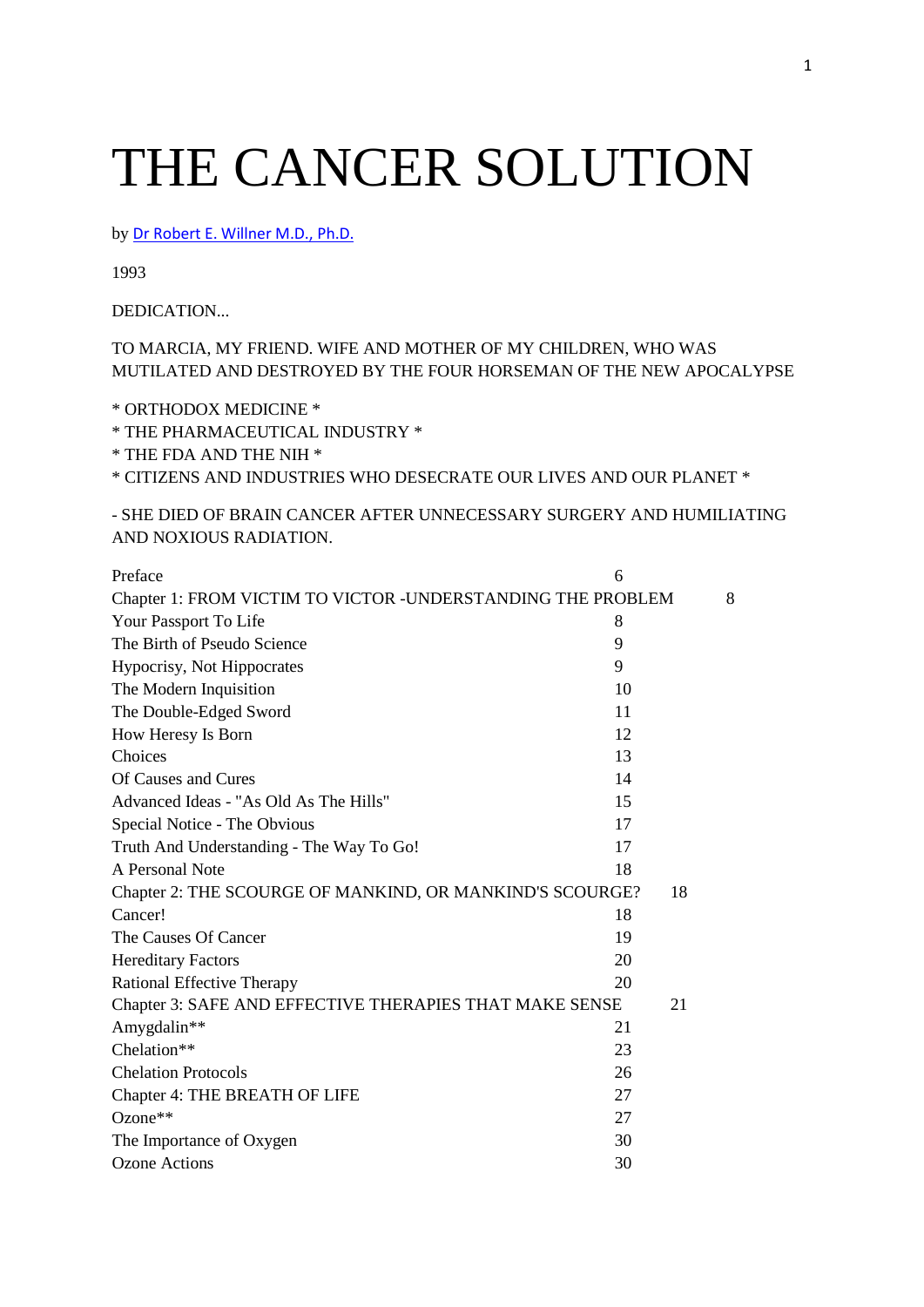# THE CANCER SOLUTION

by Dr Robert E. Willner M.D., Ph.D.

1993

DEDICATION...

TO MARCIA, MY FRIEND. WIFE AND MOTHER OF MY CHILDREN, WHO WAS MUTILATED AND DESTROYED BY THE FOUR HORSEMAN OF THE NEW APOCALYPSE

\* ORTHODOX MEDICINE \*

\* THE PHARMACEUTICAL INDUSTRY \*

\* THE FDA AND THE NIH \*

\* CITIZENS AND INDUSTRIES WHO DESECRATE OUR LIVES AND OUR PLANET \*

- SHE DIED OF BRAIN CANCER AFTER UNNECESSARY SURGERY AND HUMILIATING AND NOXIOUS RADIATION.

| Preface                                                     | 6  |   |
|-------------------------------------------------------------|----|---|
| Chapter 1: FROM VICTIM TO VICTOR -UNDERSTANDING THE PROBLEM |    | 8 |
| Your Passport To Life                                       | 8  |   |
| The Birth of Pseudo Science                                 | 9  |   |
| Hypocrisy, Not Hippocrates                                  | 9  |   |
| The Modern Inquisition                                      | 10 |   |
| The Double-Edged Sword                                      | 11 |   |
| How Heresy Is Born                                          | 12 |   |
| Choices                                                     | 13 |   |
| Of Causes and Cures                                         | 14 |   |
| Advanced Ideas - "As Old As The Hills"                      | 15 |   |
| Special Notice - The Obvious                                | 17 |   |
| Truth And Understanding - The Way To Go!                    | 17 |   |
| A Personal Note                                             | 18 |   |
| Chapter 2: THE SCOURGE OF MANKIND, OR MANKIND'S SCOURGE?    | 18 |   |
| Cancer!                                                     | 18 |   |
| The Causes Of Cancer                                        | 19 |   |
| <b>Hereditary Factors</b>                                   | 20 |   |
| <b>Rational Effective Therapy</b>                           | 20 |   |
| Chapter 3: SAFE AND EFFECTIVE THERAPIES THAT MAKE SENSE     | 21 |   |
| Amygdalin**                                                 | 21 |   |
| Chelation**                                                 | 23 |   |
| <b>Chelation Protocols</b>                                  | 26 |   |
| <b>Chapter 4: THE BREATH OF LIFE</b>                        | 27 |   |
| $Ozone**$                                                   | 27 |   |
| The Importance of Oxygen                                    | 30 |   |
| Ozone Actions                                               | 30 |   |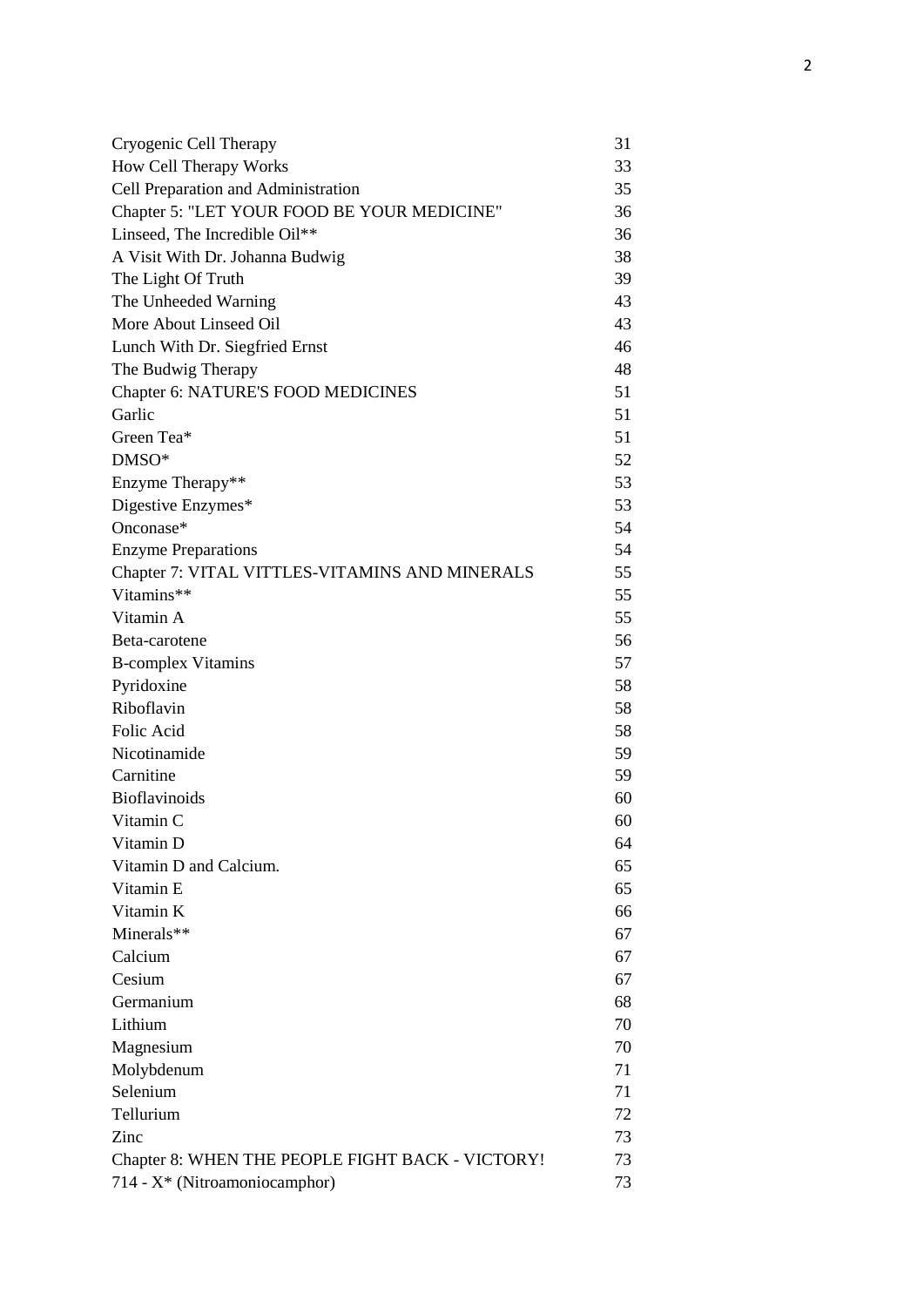| Cryogenic Cell Therapy                           | 31 |
|--------------------------------------------------|----|
| How Cell Therapy Works                           | 33 |
| Cell Preparation and Administration              | 35 |
| Chapter 5: "LET YOUR FOOD BE YOUR MEDICINE"      | 36 |
| Linseed, The Incredible Oil**                    | 36 |
| A Visit With Dr. Johanna Budwig                  | 38 |
| The Light Of Truth                               | 39 |
| The Unheeded Warning                             | 43 |
| More About Linseed Oil                           | 43 |
| Lunch With Dr. Siegfried Ernst                   | 46 |
| The Budwig Therapy                               | 48 |
| Chapter 6: NATURE'S FOOD MEDICINES               | 51 |
| Garlic                                           | 51 |
| Green Tea*                                       | 51 |
| DMSO*                                            | 52 |
| Enzyme Therapy**                                 | 53 |
| Digestive Enzymes*                               | 53 |
| Onconase*                                        | 54 |
| <b>Enzyme Preparations</b>                       | 54 |
| Chapter 7: VITAL VITTLES-VITAMINS AND MINERALS   | 55 |
| Vitamins**                                       | 55 |
| Vitamin A                                        | 55 |
| Beta-carotene                                    | 56 |
| <b>B-complex Vitamins</b>                        | 57 |
| Pyridoxine                                       | 58 |
| Riboflavin                                       | 58 |
| Folic Acid                                       | 58 |
| Nicotinamide                                     | 59 |
| Carnitine                                        | 59 |
| <b>Bioflavinoids</b>                             | 60 |
| Vitamin C                                        | 60 |
| Vitamin D                                        | 64 |
| Vitamin D and Calcium.                           | 65 |
| Vitamin E                                        | 65 |
| Vitamin K                                        | 66 |
| Minerals**                                       | 67 |
| Calcium                                          | 67 |
| Cesium                                           | 67 |
| Germanium                                        | 68 |
| Lithium                                          | 70 |
| Magnesium                                        | 70 |
| Molybdenum                                       | 71 |
| Selenium                                         | 71 |
| Tellurium                                        | 72 |
| Zinc                                             | 73 |
| Chapter 8: WHEN THE PEOPLE FIGHT BACK - VICTORY! | 73 |
| 714 - X* (Nitroamoniocamphor)                    | 73 |
|                                                  |    |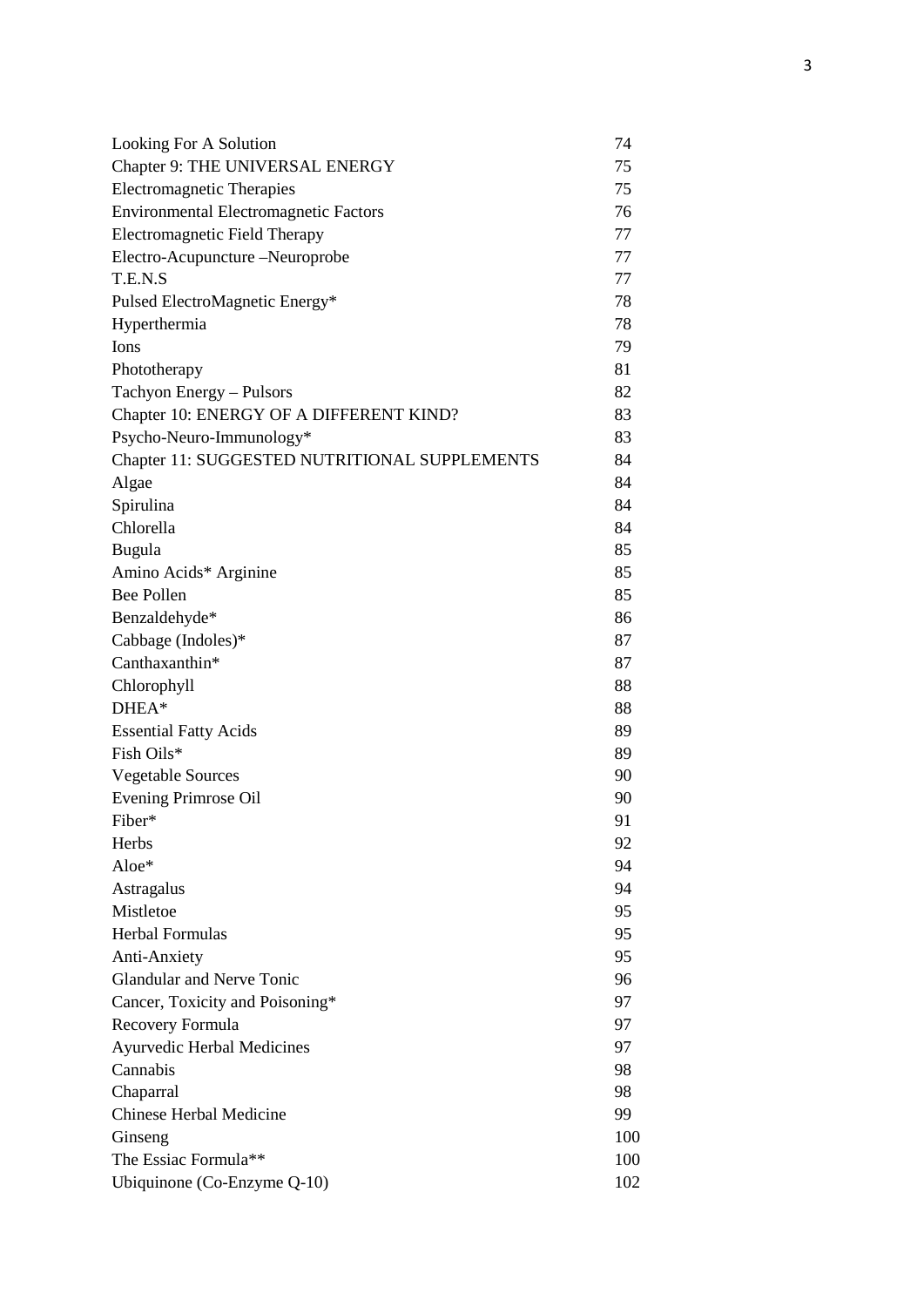| Looking For A Solution                        | 74  |
|-----------------------------------------------|-----|
| Chapter 9: THE UNIVERSAL ENERGY               | 75  |
| <b>Electromagnetic Therapies</b>              | 75  |
| <b>Environmental Electromagnetic Factors</b>  | 76  |
| <b>Electromagnetic Field Therapy</b>          | 77  |
| Electro-Acupuncture-Neuroprobe                | 77  |
| T.E.N.S                                       | 77  |
| Pulsed ElectroMagnetic Energy*                | 78  |
| Hyperthermia                                  | 78  |
| Ions                                          | 79  |
| Phototherapy                                  | 81  |
| Tachyon Energy - Pulsors                      | 82  |
| Chapter 10: ENERGY OF A DIFFERENT KIND?       | 83  |
| Psycho-Neuro-Immunology*                      | 83  |
| Chapter 11: SUGGESTED NUTRITIONAL SUPPLEMENTS | 84  |
| Algae                                         | 84  |
| Spirulina                                     | 84  |
| Chlorella                                     | 84  |
| Bugula                                        | 85  |
| Amino Acids* Arginine                         | 85  |
| <b>Bee Pollen</b>                             | 85  |
| Benzaldehyde*                                 | 86  |
| Cabbage (Indoles)*                            | 87  |
| Canthaxanthin*                                | 87  |
| Chlorophyll                                   | 88  |
| DHEA*                                         | 88  |
| <b>Essential Fatty Acids</b>                  | 89  |
| Fish Oils*                                    | 89  |
| <b>Vegetable Sources</b>                      | 90  |
| <b>Evening Primrose Oil</b>                   | 90  |
| Fiber*                                        | 91  |
| Herbs                                         | 92  |
| Aloe*                                         | 94  |
| Astragalus                                    | 94  |
| Mistletoe                                     | 95  |
| <b>Herbal Formulas</b>                        | 95  |
| Anti-Anxiety                                  | 95  |
| <b>Glandular and Nerve Tonic</b>              | 96  |
| Cancer, Toxicity and Poisoning*               | 97  |
| Recovery Formula                              | 97  |
| Ayurvedic Herbal Medicines                    | 97  |
| Cannabis                                      | 98  |
| Chaparral                                     | 98  |
| <b>Chinese Herbal Medicine</b>                | 99  |
| Ginseng                                       | 100 |
| The Essiac Formula**                          | 100 |
| Ubiquinone (Co-Enzyme Q-10)                   | 102 |
|                                               |     |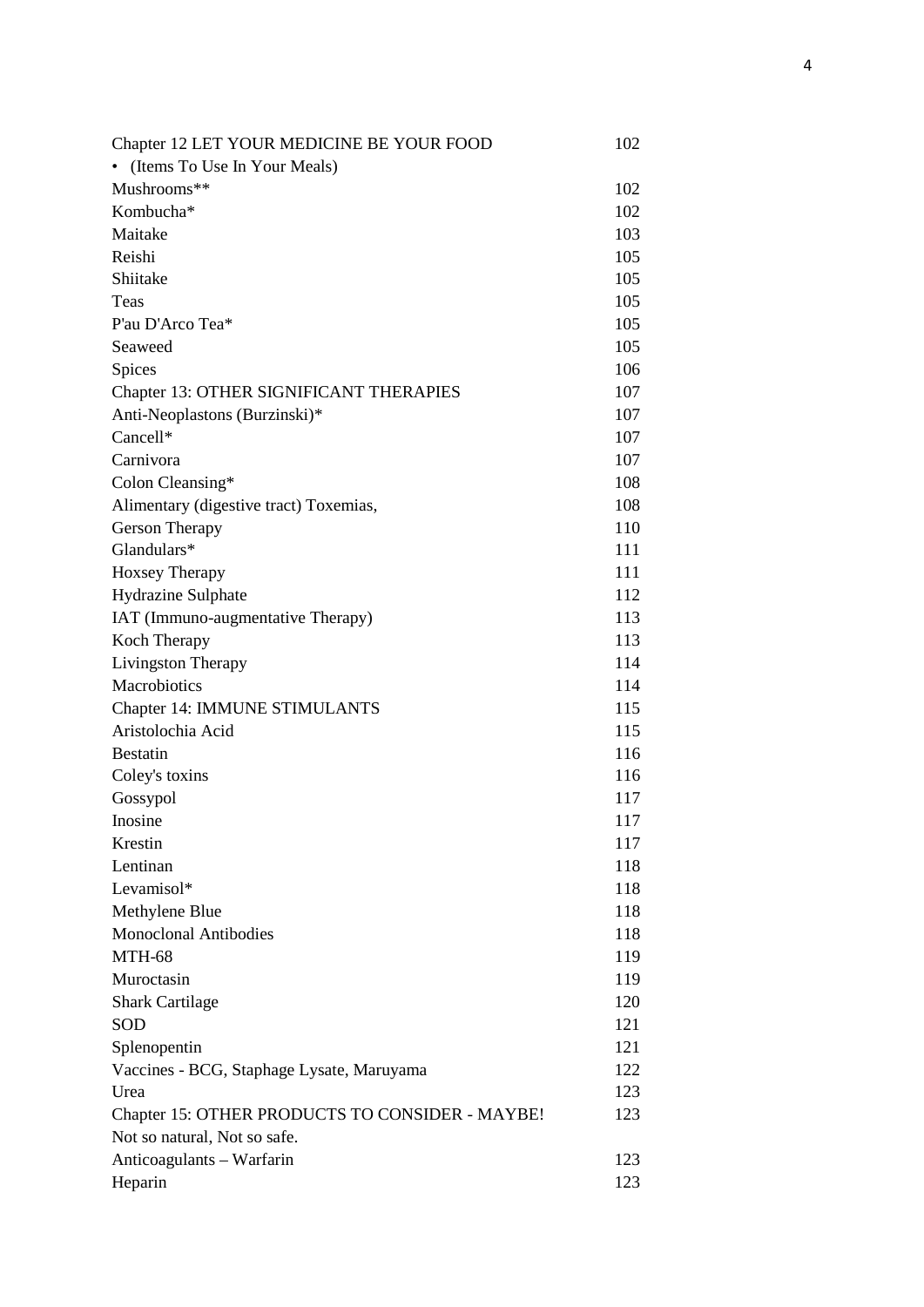| Chapter 12 LET YOUR MEDICINE BE YOUR FOOD       | 102 |
|-------------------------------------------------|-----|
| (Items To Use In Your Meals)                    |     |
| Mushrooms**                                     | 102 |
| Kombucha*                                       | 102 |
| Maitake                                         | 103 |
| Reishi                                          | 105 |
| Shiitake                                        | 105 |
| Teas                                            | 105 |
| P'au D'Arco Tea*                                | 105 |
| Seaweed                                         | 105 |
| Spices                                          | 106 |
| Chapter 13: OTHER SIGNIFICANT THERAPIES         | 107 |
| Anti-Neoplastons (Burzinski)*                   | 107 |
| Cancell*                                        | 107 |
| Carnivora                                       | 107 |
| Colon Cleansing*                                | 108 |
| Alimentary (digestive tract) Toxemias,          | 108 |
| <b>Gerson Therapy</b>                           | 110 |
| Glandulars*                                     | 111 |
| Hoxsey Therapy                                  | 111 |
| Hydrazine Sulphate                              | 112 |
| IAT (Immuno-augmentative Therapy)               | 113 |
| Koch Therapy                                    | 113 |
| Livingston Therapy                              | 114 |
| Macrobiotics                                    | 114 |
| <b>Chapter 14: IMMUNE STIMULANTS</b>            | 115 |
| Aristolochia Acid                               | 115 |
| <b>Bestatin</b>                                 | 116 |
| Coley's toxins                                  | 116 |
| Gossypol                                        | 117 |
| Inosine                                         | 117 |
| Krestin                                         | 117 |
| Lentinan                                        | 118 |
| Levamisol*                                      | 118 |
| Methylene Blue                                  | 118 |
| <b>Monoclonal Antibodies</b>                    | 118 |
| MTH-68                                          | 119 |
| Muroctasin                                      | 119 |
| <b>Shark Cartilage</b>                          | 120 |
| SOD                                             | 121 |
| Splenopentin                                    | 121 |
| Vaccines - BCG, Staphage Lysate, Maruyama       | 122 |
| Urea                                            | 123 |
| Chapter 15: OTHER PRODUCTS TO CONSIDER - MAYBE! | 123 |
| Not so natural, Not so safe.                    |     |
| Anticoagulants - Warfarin                       | 123 |
| Heparin                                         | 123 |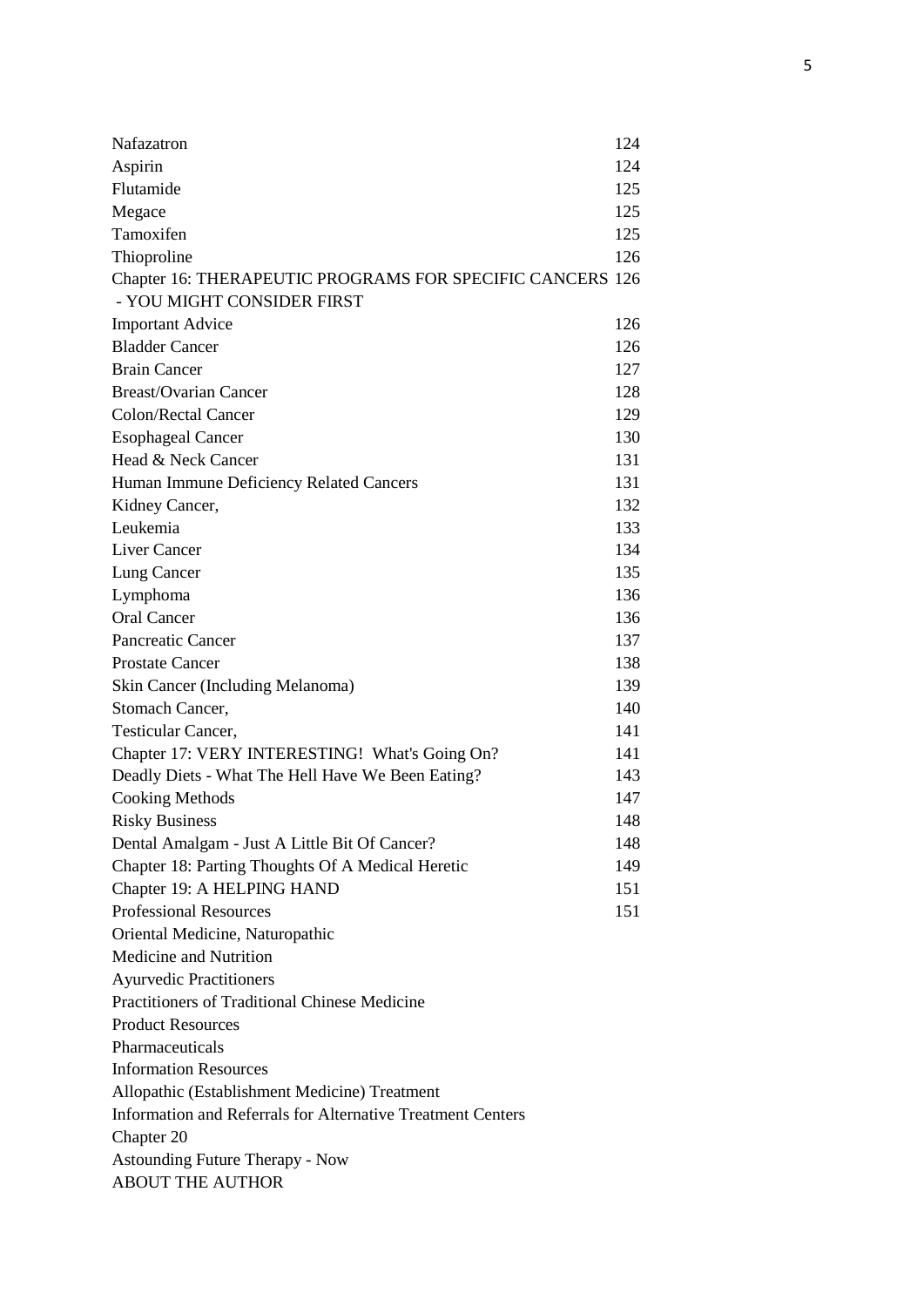| Nafazatron                                                                              | 124 |
|-----------------------------------------------------------------------------------------|-----|
| Aspirin                                                                                 | 124 |
| Flutamide                                                                               | 125 |
| Megace                                                                                  | 125 |
| Tamoxifen                                                                               | 125 |
| Thioproline                                                                             | 126 |
| Chapter 16: THERAPEUTIC PROGRAMS FOR SPECIFIC CANCERS 126<br>- YOU MIGHT CONSIDER FIRST |     |
| <b>Important Advice</b>                                                                 | 126 |
| <b>Bladder Cancer</b>                                                                   | 126 |
| <b>Brain Cancer</b>                                                                     | 127 |
| <b>Breast/Ovarian Cancer</b>                                                            | 128 |
| <b>Colon/Rectal Cancer</b>                                                              | 129 |
|                                                                                         | 130 |
| <b>Esophageal Cancer</b>                                                                |     |
| Head & Neck Cancer                                                                      | 131 |
| Human Immune Deficiency Related Cancers                                                 | 131 |
| Kidney Cancer,                                                                          | 132 |
| Leukemia                                                                                | 133 |
| Liver Cancer                                                                            | 134 |
| Lung Cancer                                                                             | 135 |
| Lymphoma                                                                                | 136 |
| <b>Oral Cancer</b>                                                                      | 136 |
| <b>Pancreatic Cancer</b>                                                                | 137 |
| <b>Prostate Cancer</b>                                                                  | 138 |
| Skin Cancer (Including Melanoma)                                                        | 139 |
| Stomach Cancer,                                                                         | 140 |
| <b>Testicular Cancer,</b>                                                               | 141 |
| Chapter 17: VERY INTERESTING! What's Going On?                                          | 141 |
| Deadly Diets - What The Hell Have We Been Eating?                                       | 143 |
| <b>Cooking Methods</b>                                                                  | 147 |
| <b>Risky Business</b>                                                                   | 148 |
| Dental Amalgam - Just A Little Bit Of Cancer?                                           | 148 |
| Chapter 18: Parting Thoughts Of A Medical Heretic                                       | 149 |
| Chapter 19: A HELPING HAND                                                              | 151 |
| <b>Professional Resources</b>                                                           | 151 |
| Oriental Medicine, Naturopathic                                                         |     |
| Medicine and Nutrition                                                                  |     |
| <b>Ayurvedic Practitioners</b>                                                          |     |
| <b>Practitioners of Traditional Chinese Medicine</b>                                    |     |
| <b>Product Resources</b>                                                                |     |
| Pharmaceuticals                                                                         |     |
| <b>Information Resources</b>                                                            |     |
| Allopathic (Establishment Medicine) Treatment                                           |     |
| Information and Referrals for Alternative Treatment Centers                             |     |
| Chapter 20                                                                              |     |
| <b>Astounding Future Therapy - Now</b>                                                  |     |
| <b>ABOUT THE AUTHOR</b>                                                                 |     |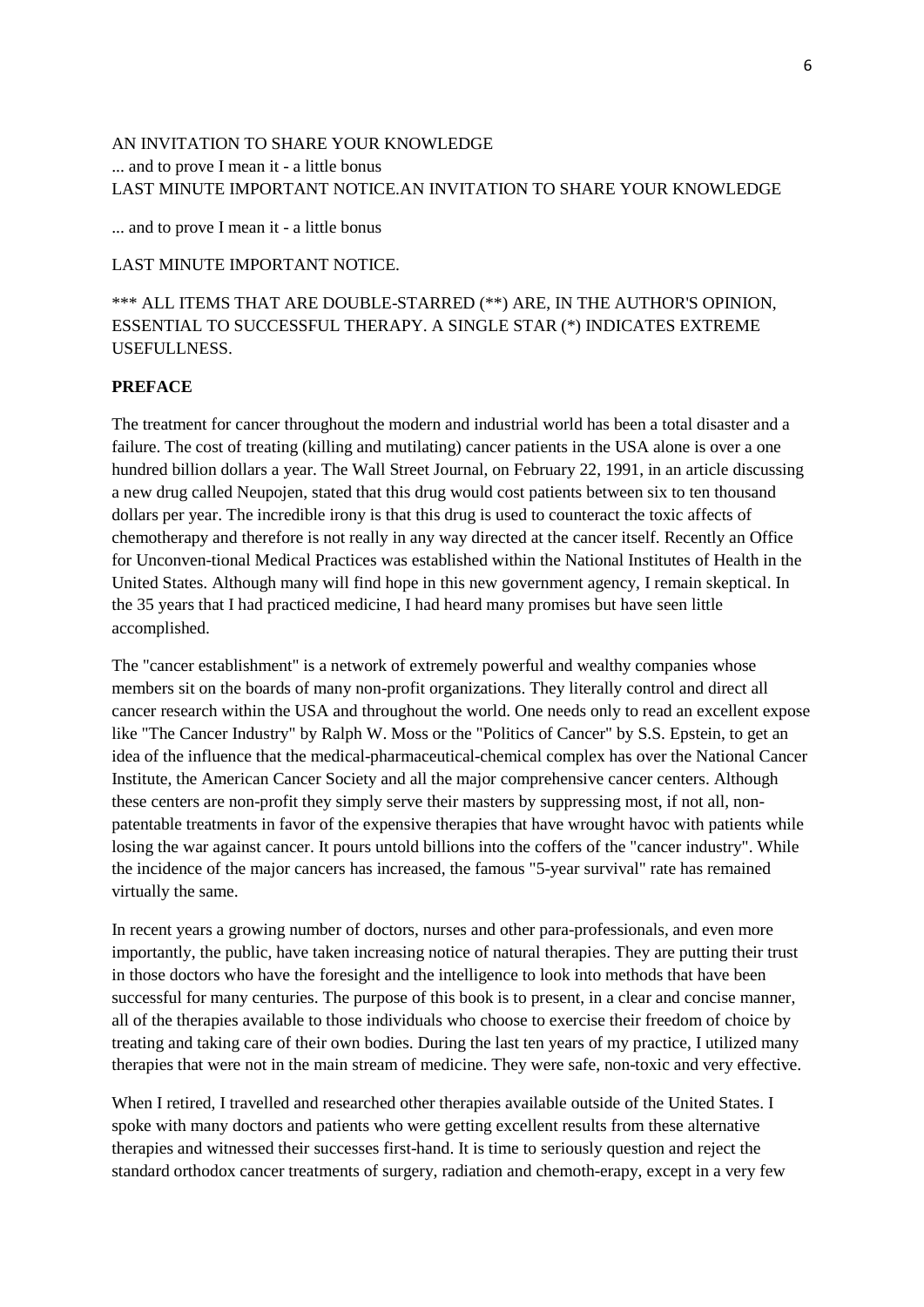# AN INVITATION TO SHARE YOUR KNOWLEDGE ... and to prove I mean it - a little bonus LAST MINUTE IMPORTANT NOTICE.AN INVITATION TO SHARE YOUR KNOWLEDGE

... and to prove I mean it - a little bonus

LAST MINUTE IMPORTANT NOTICE.

\*\*\* ALL ITEMS THAT ARE DOUBLE-STARRED (\*\*) ARE, IN THE AUTHOR'S OPINION, ESSENTIAL TO SUCCESSFUL THERAPY. A SINGLE STAR (\*) INDICATES EXTREME USEFULLNESS.

#### **PREFACE**

The treatment for cancer throughout the modern and industrial world has been a total disaster and a failure. The cost of treating (killing and mutilating) cancer patients in the USA alone is over a one hundred billion dollars a year. The Wall Street Journal, on February 22, 1991, in an article discussing a new drug called Neupojen, stated that this drug would cost patients between six to ten thousand dollars per year. The incredible irony is that this drug is used to counteract the toxic affects of chemotherapy and therefore is not really in any way directed at the cancer itself. Recently an Office for Unconven-tional Medical Practices was established within the National Institutes of Health in the United States. Although many will find hope in this new government agency, I remain skeptical. In the 35 years that I had practiced medicine, I had heard many promises but have seen little accomplished.

The "cancer establishment" is a network of extremely powerful and wealthy companies whose members sit on the boards of many non-profit organizations. They literally control and direct all cancer research within the USA and throughout the world. One needs only to read an excellent expose like "The Cancer Industry" by Ralph W. Moss or the "Politics of Cancer" by S.S. Epstein, to get an idea of the influence that the medical-pharmaceutical-chemical complex has over the National Cancer Institute, the American Cancer Society and all the major comprehensive cancer centers. Although these centers are non-profit they simply serve their masters by suppressing most, if not all, nonpatentable treatments in favor of the expensive therapies that have wrought havoc with patients while losing the war against cancer. It pours untold billions into the coffers of the "cancer industry". While the incidence of the major cancers has increased, the famous "5-year survival" rate has remained virtually the same.

In recent years a growing number of doctors, nurses and other para-professionals, and even more importantly, the public, have taken increasing notice of natural therapies. They are putting their trust in those doctors who have the foresight and the intelligence to look into methods that have been successful for many centuries. The purpose of this book is to present, in a clear and concise manner, all of the therapies available to those individuals who choose to exercise their freedom of choice by treating and taking care of their own bodies. During the last ten years of my practice, I utilized many therapies that were not in the main stream of medicine. They were safe, non-toxic and very effective.

When I retired, I travelled and researched other therapies available outside of the United States. I spoke with many doctors and patients who were getting excellent results from these alternative therapies and witnessed their successes first-hand. It is time to seriously question and reject the standard orthodox cancer treatments of surgery, radiation and chemoth-erapy, except in a very few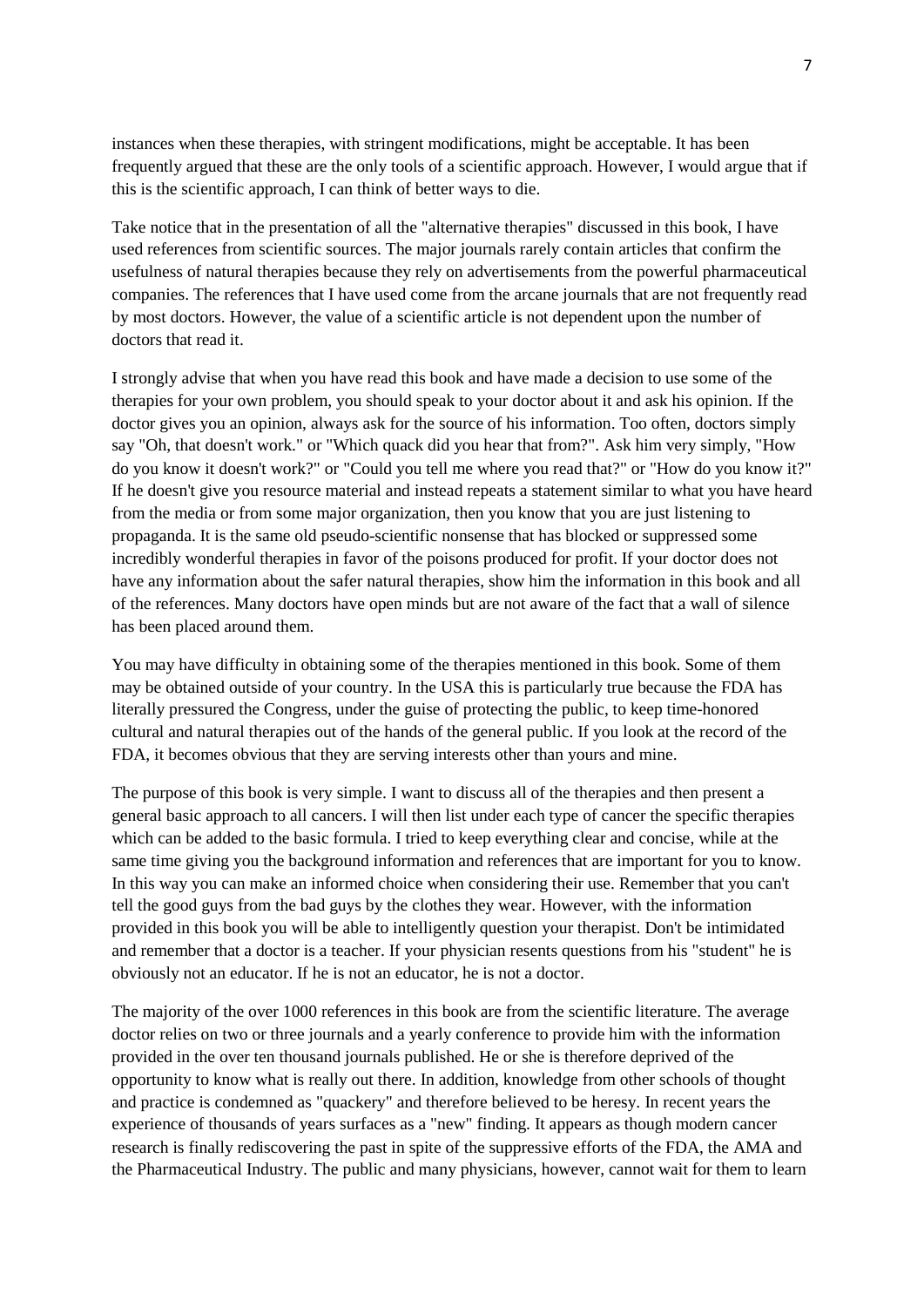instances when these therapies, with stringent modifications, might be acceptable. It has been frequently argued that these are the only tools of a scientific approach. However, I would argue that if this is the scientific approach, I can think of better ways to die.

Take notice that in the presentation of all the "alternative therapies" discussed in this book, I have used references from scientific sources. The major journals rarely contain articles that confirm the usefulness of natural therapies because they rely on advertisements from the powerful pharmaceutical companies. The references that I have used come from the arcane journals that are not frequently read by most doctors. However, the value of a scientific article is not dependent upon the number of doctors that read it.

I strongly advise that when you have read this book and have made a decision to use some of the therapies for your own problem, you should speak to your doctor about it and ask his opinion. If the doctor gives you an opinion, always ask for the source of his information. Too often, doctors simply say "Oh, that doesn't work." or "Which quack did you hear that from?". Ask him very simply, "How do you know it doesn't work?" or "Could you tell me where you read that?" or "How do you know it?" If he doesn't give you resource material and instead repeats a statement similar to what you have heard from the media or from some major organization, then you know that you are just listening to propaganda. It is the same old pseudo-scientific nonsense that has blocked or suppressed some incredibly wonderful therapies in favor of the poisons produced for profit. If your doctor does not have any information about the safer natural therapies, show him the information in this book and all of the references. Many doctors have open minds but are not aware of the fact that a wall of silence has been placed around them.

You may have difficulty in obtaining some of the therapies mentioned in this book. Some of them may be obtained outside of your country. In the USA this is particularly true because the FDA has literally pressured the Congress, under the guise of protecting the public, to keep time-honored cultural and natural therapies out of the hands of the general public. If you look at the record of the FDA, it becomes obvious that they are serving interests other than yours and mine.

The purpose of this book is very simple. I want to discuss all of the therapies and then present a general basic approach to all cancers. I will then list under each type of cancer the specific therapies which can be added to the basic formula. I tried to keep everything clear and concise, while at the same time giving you the background information and references that are important for you to know. In this way you can make an informed choice when considering their use. Remember that you can't tell the good guys from the bad guys by the clothes they wear. However, with the information provided in this book you will be able to intelligently question your therapist. Don't be intimidated and remember that a doctor is a teacher. If your physician resents questions from his "student" he is obviously not an educator. If he is not an educator, he is not a doctor.

The majority of the over 1000 references in this book are from the scientific literature. The average doctor relies on two or three journals and a yearly conference to provide him with the information provided in the over ten thousand journals published. He or she is therefore deprived of the opportunity to know what is really out there. In addition, knowledge from other schools of thought and practice is condemned as "quackery" and therefore believed to be heresy. In recent years the experience of thousands of years surfaces as a "new" finding. It appears as though modern cancer research is finally rediscovering the past in spite of the suppressive efforts of the FDA, the AMA and the Pharmaceutical Industry. The public and many physicians, however, cannot wait for them to learn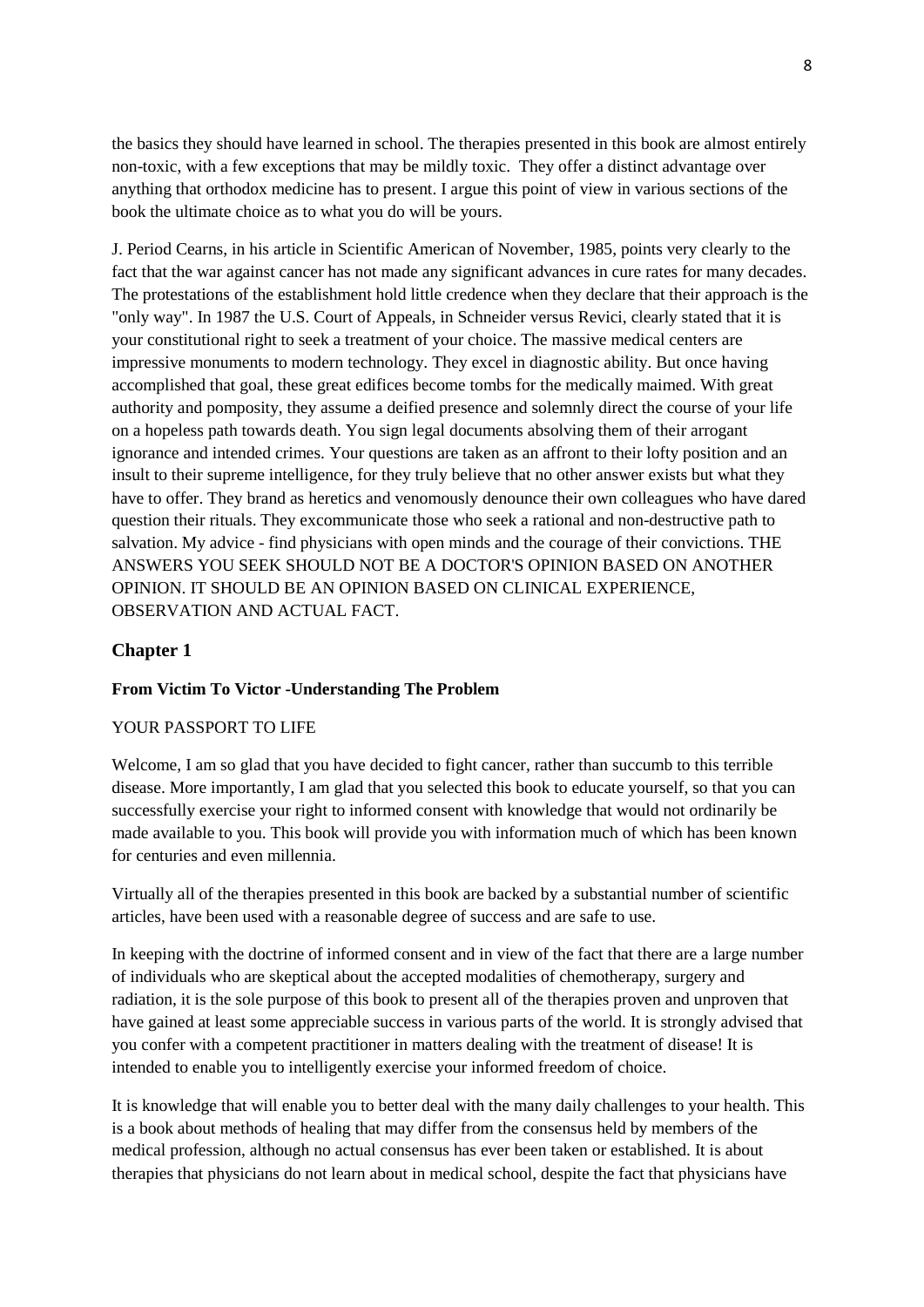the basics they should have learned in school. The therapies presented in this book are almost entirely non-toxic, with a few exceptions that may be mildly toxic. They offer a distinct advantage over anything that orthodox medicine has to present. I argue this point of view in various sections of the book the ultimate choice as to what you do will be yours.

J. Period Cearns, in his article in Scientific American of November, 1985, points very clearly to the fact that the war against cancer has not made any significant advances in cure rates for many decades. The protestations of the establishment hold little credence when they declare that their approach is the "only way". In 1987 the U.S. Court of Appeals, in Schneider versus Revici, clearly stated that it is your constitutional right to seek a treatment of your choice. The massive medical centers are impressive monuments to modern technology. They excel in diagnostic ability. But once having accomplished that goal, these great edifices become tombs for the medically maimed. With great authority and pomposity, they assume a deified presence and solemnly direct the course of your life on a hopeless path towards death. You sign legal documents absolving them of their arrogant ignorance and intended crimes. Your questions are taken as an affront to their lofty position and an insult to their supreme intelligence, for they truly believe that no other answer exists but what they have to offer. They brand as heretics and venomously denounce their own colleagues who have dared question their rituals. They excommunicate those who seek a rational and non-destructive path to salvation. My advice - find physicians with open minds and the courage of their convictions. THE ANSWERS YOU SEEK SHOULD NOT BE A DOCTOR'S OPINION BASED ON ANOTHER OPINION. IT SHOULD BE AN OPINION BASED ON CLINICAL EXPERIENCE, OBSERVATION AND ACTUAL FACT.

#### **Chapter 1**

#### **From Victim To Victor -Understanding The Problem**

#### YOUR PASSPORT TO LIFE

Welcome, I am so glad that you have decided to fight cancer, rather than succumb to this terrible disease. More importantly, I am glad that you selected this book to educate yourself, so that you can successfully exercise your right to informed consent with knowledge that would not ordinarily be made available to you. This book will provide you with information much of which has been known for centuries and even millennia.

Virtually all of the therapies presented in this book are backed by a substantial number of scientific articles, have been used with a reasonable degree of success and are safe to use.

In keeping with the doctrine of informed consent and in view of the fact that there are a large number of individuals who are skeptical about the accepted modalities of chemotherapy, surgery and radiation, it is the sole purpose of this book to present all of the therapies proven and unproven that have gained at least some appreciable success in various parts of the world. It is strongly advised that you confer with a competent practitioner in matters dealing with the treatment of disease! It is intended to enable you to intelligently exercise your informed freedom of choice.

It is knowledge that will enable you to better deal with the many daily challenges to your health. This is a book about methods of healing that may differ from the consensus held by members of the medical profession, although no actual consensus has ever been taken or established. It is about therapies that physicians do not learn about in medical school, despite the fact that physicians have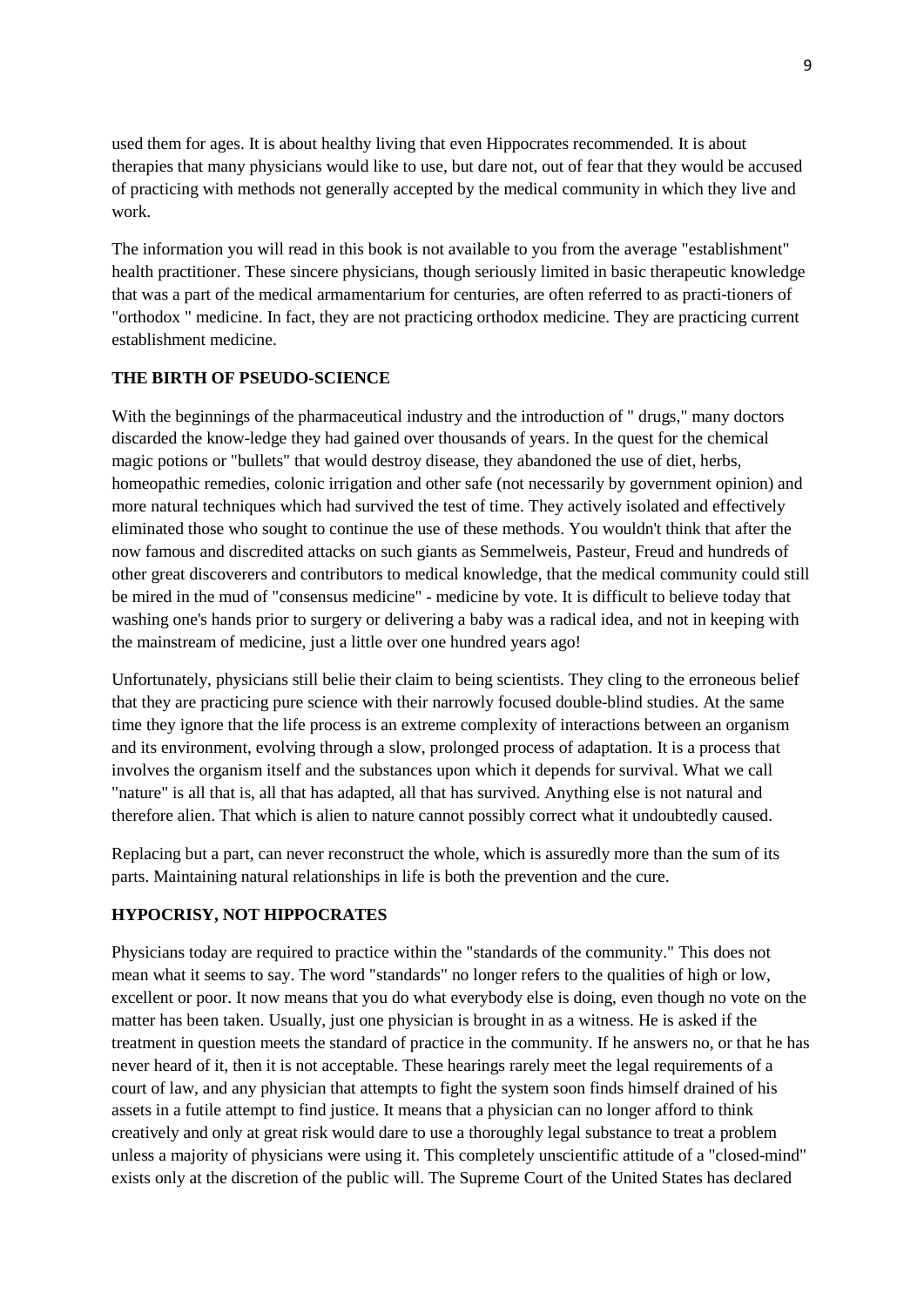used them for ages. It is about healthy living that even Hippocrates recommended. It is about therapies that many physicians would like to use, but dare not, out of fear that they would be accused of practicing with methods not generally accepted by the medical community in which they live and work.

The information you will read in this book is not available to you from the average "establishment" health practitioner. These sincere physicians, though seriously limited in basic therapeutic knowledge that was a part of the medical armamentarium for centuries, are often referred to as practi-tioners of "orthodox " medicine. In fact, they are not practicing orthodox medicine. They are practicing current establishment medicine.

#### **THE BIRTH OF PSEUDO-SCIENCE**

With the beginnings of the pharmaceutical industry and the introduction of " drugs," many doctors discarded the know-ledge they had gained over thousands of years. In the quest for the chemical magic potions or "bullets" that would destroy disease, they abandoned the use of diet, herbs, homeopathic remedies, colonic irrigation and other safe (not necessarily by government opinion) and more natural techniques which had survived the test of time. They actively isolated and effectively eliminated those who sought to continue the use of these methods. You wouldn't think that after the now famous and discredited attacks on such giants as Semmelweis, Pasteur, Freud and hundreds of other great discoverers and contributors to medical knowledge, that the medical community could still be mired in the mud of "consensus medicine" - medicine by vote. It is difficult to believe today that washing one's hands prior to surgery or delivering a baby was a radical idea, and not in keeping with the mainstream of medicine, just a little over one hundred years ago!

Unfortunately, physicians still belie their claim to being scientists. They cling to the erroneous belief that they are practicing pure science with their narrowly focused double-blind studies. At the same time they ignore that the life process is an extreme complexity of interactions between an organism and its environment, evolving through a slow, prolonged process of adaptation. It is a process that involves the organism itself and the substances upon which it depends for survival. What we call "nature" is all that is, all that has adapted, all that has survived. Anything else is not natural and therefore alien. That which is alien to nature cannot possibly correct what it undoubtedly caused.

Replacing but a part, can never reconstruct the whole, which is assuredly more than the sum of its parts. Maintaining natural relationships in life is both the prevention and the cure.

#### **HYPOCRISY, NOT HIPPOCRATES**

Physicians today are required to practice within the "standards of the community." This does not mean what it seems to say. The word "standards" no longer refers to the qualities of high or low, excellent or poor. It now means that you do what everybody else is doing, even though no vote on the matter has been taken. Usually, just one physician is brought in as a witness. He is asked if the treatment in question meets the standard of practice in the community. If he answers no, or that he has never heard of it, then it is not acceptable. These hearings rarely meet the legal requirements of a court of law, and any physician that attempts to fight the system soon finds himself drained of his assets in a futile attempt to find justice. It means that a physician can no longer afford to think creatively and only at great risk would dare to use a thoroughly legal substance to treat a problem unless a majority of physicians were using it. This completely unscientific attitude of a "closed-mind" exists only at the discretion of the public will. The Supreme Court of the United States has declared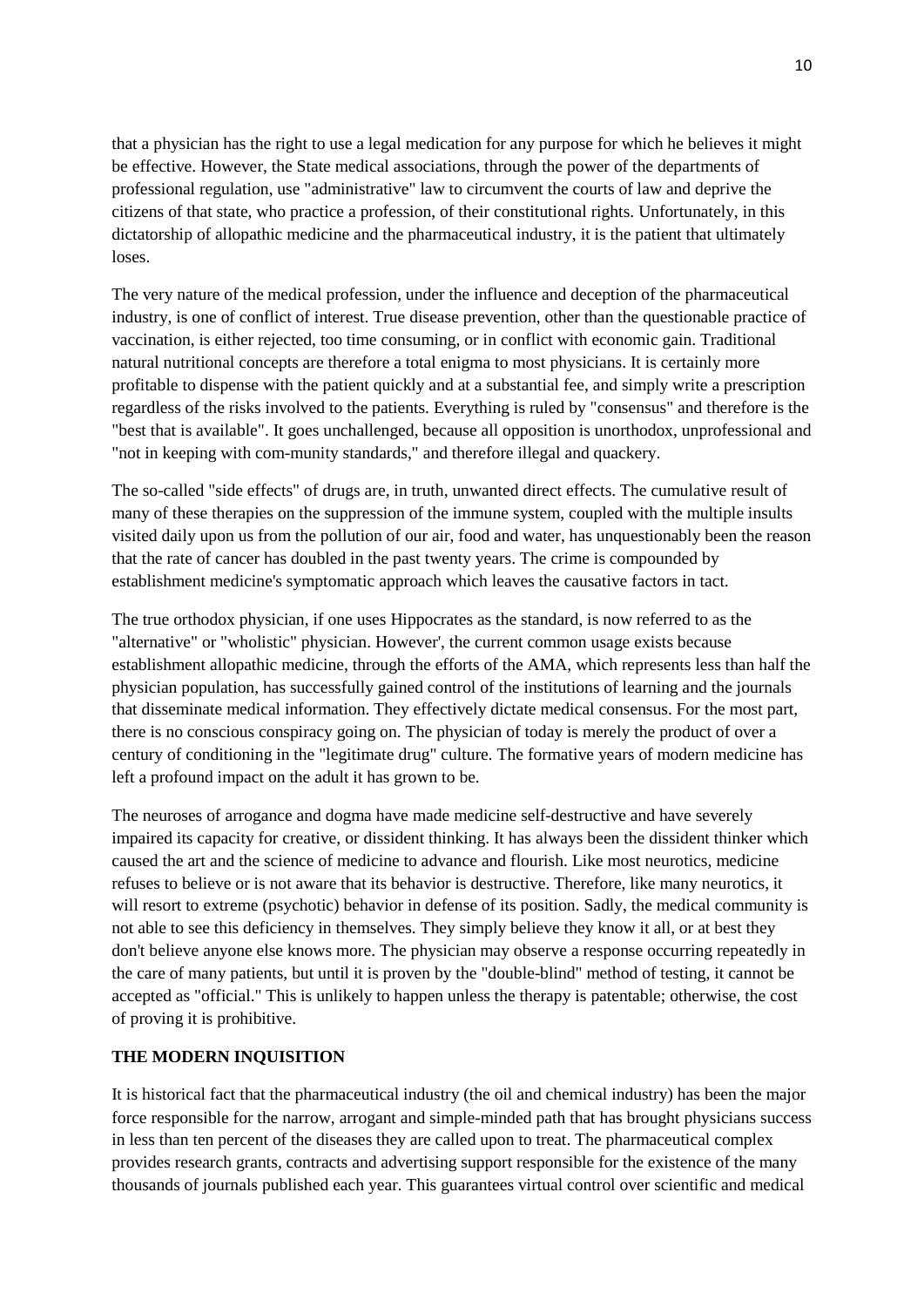that a physician has the right to use a legal medication for any purpose for which he believes it might be effective. However, the State medical associations, through the power of the departments of professional regulation, use "administrative" law to circumvent the courts of law and deprive the citizens of that state, who practice a profession, of their constitutional rights. Unfortunately, in this dictatorship of allopathic medicine and the pharmaceutical industry, it is the patient that ultimately loses.

The very nature of the medical profession, under the influence and deception of the pharmaceutical industry, is one of conflict of interest. True disease prevention, other than the questionable practice of vaccination, is either rejected, too time consuming, or in conflict with economic gain. Traditional natural nutritional concepts are therefore a total enigma to most physicians. It is certainly more profitable to dispense with the patient quickly and at a substantial fee, and simply write a prescription regardless of the risks involved to the patients. Everything is ruled by "consensus" and therefore is the "best that is available". It goes unchallenged, because all opposition is unorthodox, unprofessional and "not in keeping with com-munity standards," and therefore illegal and quackery.

The so-called "side effects" of drugs are, in truth, unwanted direct effects. The cumulative result of many of these therapies on the suppression of the immune system, coupled with the multiple insults visited daily upon us from the pollution of our air, food and water, has unquestionably been the reason that the rate of cancer has doubled in the past twenty years. The crime is compounded by establishment medicine's symptomatic approach which leaves the causative factors in tact.

The true orthodox physician, if one uses Hippocrates as the standard, is now referred to as the "alternative" or "wholistic" physician. However', the current common usage exists because establishment allopathic medicine, through the efforts of the AMA, which represents less than half the physician population, has successfully gained control of the institutions of learning and the journals that disseminate medical information. They effectively dictate medical consensus. For the most part, there is no conscious conspiracy going on. The physician of today is merely the product of over a century of conditioning in the "legitimate drug" culture. The formative years of modern medicine has left a profound impact on the adult it has grown to be.

The neuroses of arrogance and dogma have made medicine self-destructive and have severely impaired its capacity for creative, or dissident thinking. It has always been the dissident thinker which caused the art and the science of medicine to advance and flourish. Like most neurotics, medicine refuses to believe or is not aware that its behavior is destructive. Therefore, like many neurotics, it will resort to extreme (psychotic) behavior in defense of its position. Sadly, the medical community is not able to see this deficiency in themselves. They simply believe they know it all, or at best they don't believe anyone else knows more. The physician may observe a response occurring repeatedly in the care of many patients, but until it is proven by the "double-blind" method of testing, it cannot be accepted as "official." This is unlikely to happen unless the therapy is patentable; otherwise, the cost of proving it is prohibitive.

#### **THE MODERN INQUISITION**

It is historical fact that the pharmaceutical industry (the oil and chemical industry) has been the major force responsible for the narrow, arrogant and simple-minded path that has brought physicians success in less than ten percent of the diseases they are called upon to treat. The pharmaceutical complex provides research grants, contracts and advertising support responsible for the existence of the many thousands of journals published each year. This guarantees virtual control over scientific and medical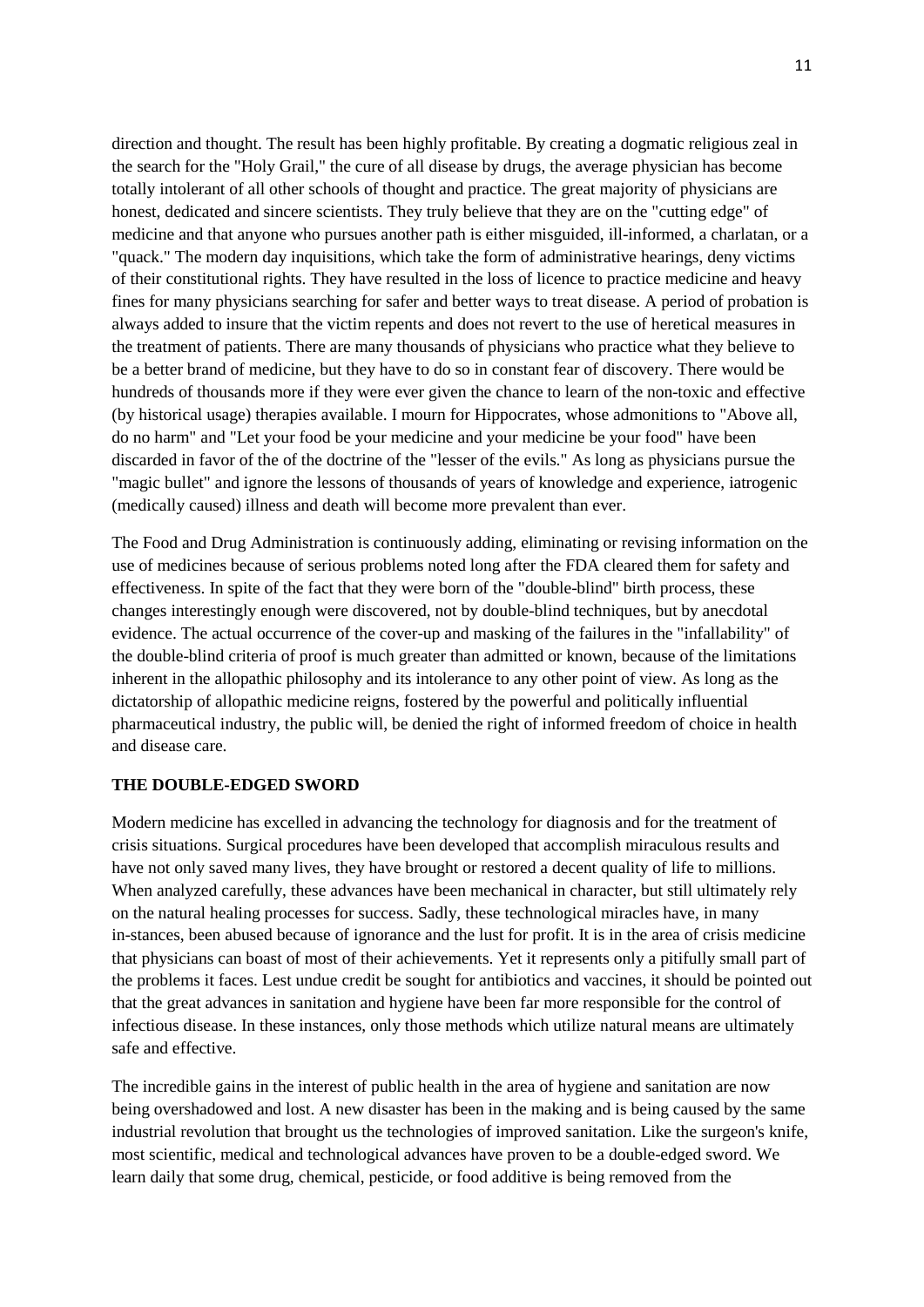direction and thought. The result has been highly profitable. By creating a dogmatic religious zeal in the search for the "Holy Grail," the cure of all disease by drugs, the average physician has become totally intolerant of all other schools of thought and practice. The great majority of physicians are honest, dedicated and sincere scientists. They truly believe that they are on the "cutting edge" of medicine and that anyone who pursues another path is either misguided, ill-informed, a charlatan, or a "quack." The modern day inquisitions, which take the form of administrative hearings, deny victims of their constitutional rights. They have resulted in the loss of licence to practice medicine and heavy fines for many physicians searching for safer and better ways to treat disease. A period of probation is always added to insure that the victim repents and does not revert to the use of heretical measures in the treatment of patients. There are many thousands of physicians who practice what they believe to be a better brand of medicine, but they have to do so in constant fear of discovery. There would be hundreds of thousands more if they were ever given the chance to learn of the non-toxic and effective (by historical usage) therapies available. I mourn for Hippocrates, whose admonitions to "Above all, do no harm" and "Let your food be your medicine and your medicine be your food" have been discarded in favor of the of the doctrine of the "lesser of the evils." As long as physicians pursue the "magic bullet" and ignore the lessons of thousands of years of knowledge and experience, iatrogenic (medically caused) illness and death will become more prevalent than ever.

The Food and Drug Administration is continuously adding, eliminating or revising information on the use of medicines because of serious problems noted long after the FDA cleared them for safety and effectiveness. In spite of the fact that they were born of the "double-blind" birth process, these changes interestingly enough were discovered, not by double-blind techniques, but by anecdotal evidence. The actual occurrence of the cover-up and masking of the failures in the "infallability" of the double-blind criteria of proof is much greater than admitted or known, because of the limitations inherent in the allopathic philosophy and its intolerance to any other point of view. As long as the dictatorship of allopathic medicine reigns, fostered by the powerful and politically influential pharmaceutical industry, the public will, be denied the right of informed freedom of choice in health and disease care.

#### **THE DOUBLE-EDGED SWORD**

Modern medicine has excelled in advancing the technology for diagnosis and for the treatment of crisis situations. Surgical procedures have been developed that accomplish miraculous results and have not only saved many lives, they have brought or restored a decent quality of life to millions. When analyzed carefully, these advances have been mechanical in character, but still ultimately rely on the natural healing processes for success. Sadly, these technological miracles have, in many in-stances, been abused because of ignorance and the lust for profit. It is in the area of crisis medicine that physicians can boast of most of their achievements. Yet it represents only a pitifully small part of the problems it faces. Lest undue credit be sought for antibiotics and vaccines, it should be pointed out that the great advances in sanitation and hygiene have been far more responsible for the control of infectious disease. In these instances, only those methods which utilize natural means are ultimately safe and effective.

The incredible gains in the interest of public health in the area of hygiene and sanitation are now being overshadowed and lost. A new disaster has been in the making and is being caused by the same industrial revolution that brought us the technologies of improved sanitation. Like the surgeon's knife, most scientific, medical and technological advances have proven to be a double-edged sword. We learn daily that some drug, chemical, pesticide, or food additive is being removed from the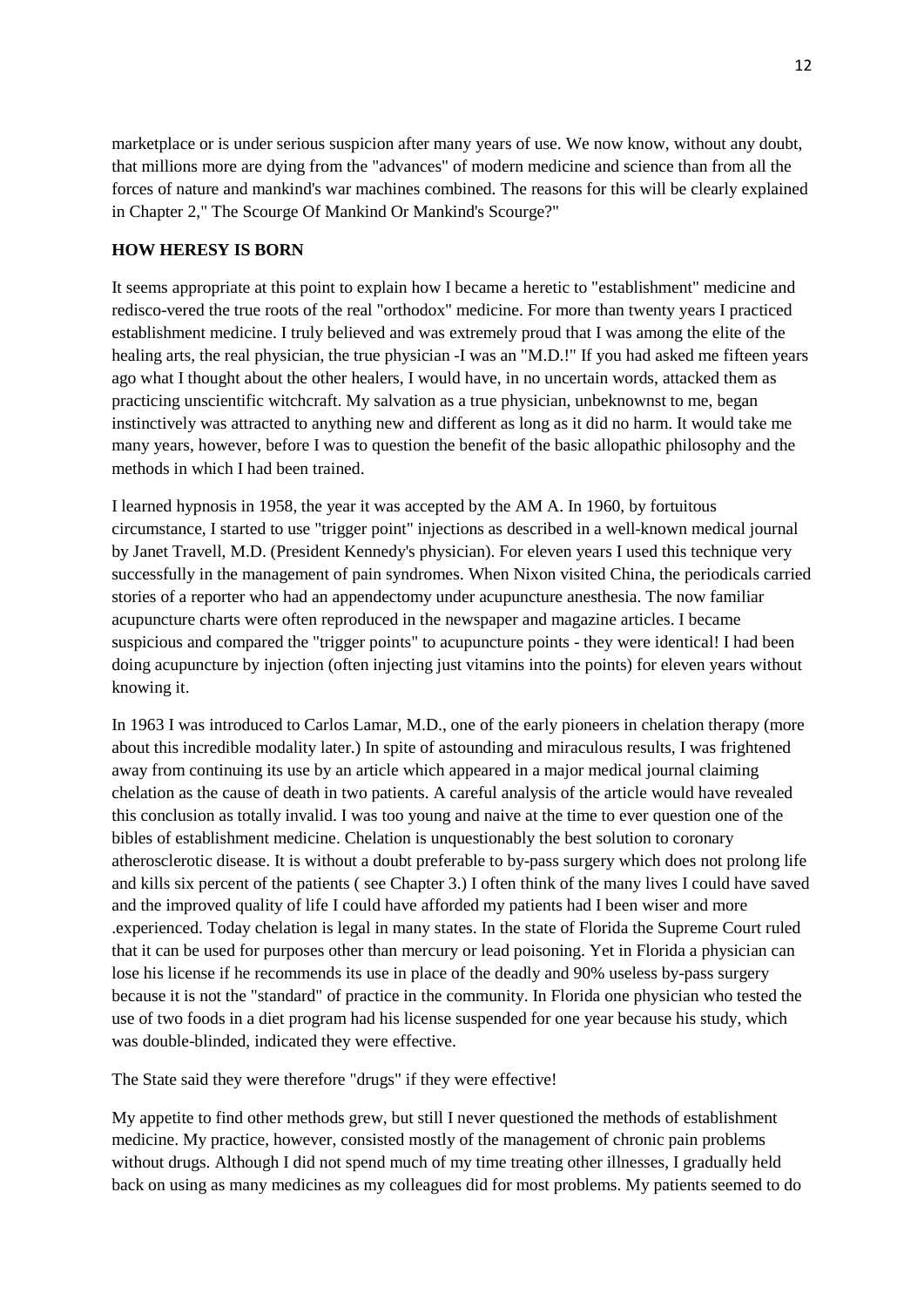marketplace or is under serious suspicion after many years of use. We now know, without any doubt, that millions more are dying from the "advances" of modern medicine and science than from all the forces of nature and mankind's war machines combined. The reasons for this will be clearly explained in Chapter 2," The Scourge Of Mankind Or Mankind's Scourge?"

#### **HOW HERESY IS BORN**

It seems appropriate at this point to explain how I became a heretic to "establishment" medicine and redisco-vered the true roots of the real "orthodox" medicine. For more than twenty years I practiced establishment medicine. I truly believed and was extremely proud that I was among the elite of the healing arts, the real physician, the true physician -I was an "M.D.!" If you had asked me fifteen years ago what I thought about the other healers, I would have, in no uncertain words, attacked them as practicing unscientific witchcraft. My salvation as a true physician, unbeknownst to me, began instinctively was attracted to anything new and different as long as it did no harm. It would take me many years, however, before I was to question the benefit of the basic allopathic philosophy and the methods in which I had been trained.

I learned hypnosis in 1958, the year it was accepted by the AM A. In 1960, by fortuitous circumstance, I started to use "trigger point" injections as described in a well-known medical journal by Janet Travell, M.D. (President Kennedy's physician). For eleven years I used this technique very successfully in the management of pain syndromes. When Nixon visited China, the periodicals carried stories of a reporter who had an appendectomy under acupuncture anesthesia. The now familiar acupuncture charts were often reproduced in the newspaper and magazine articles. I became suspicious and compared the "trigger points" to acupuncture points - they were identical! I had been doing acupuncture by injection (often injecting just vitamins into the points) for eleven years without knowing it.

In 1963 I was introduced to Carlos Lamar, M.D., one of the early pioneers in chelation therapy (more about this incredible modality later.) In spite of astounding and miraculous results, I was frightened away from continuing its use by an article which appeared in a major medical journal claiming chelation as the cause of death in two patients. A careful analysis of the article would have revealed this conclusion as totally invalid. I was too young and naive at the time to ever question one of the bibles of establishment medicine. Chelation is unquestionably the best solution to coronary atherosclerotic disease. It is without a doubt preferable to by-pass surgery which does not prolong life and kills six percent of the patients ( see Chapter 3.) I often think of the many lives I could have saved and the improved quality of life I could have afforded my patients had I been wiser and more .experienced. Today chelation is legal in many states. In the state of Florida the Supreme Court ruled that it can be used for purposes other than mercury or lead poisoning. Yet in Florida a physician can lose his license if he recommends its use in place of the deadly and 90% useless by-pass surgery because it is not the "standard" of practice in the community. In Florida one physician who tested the use of two foods in a diet program had his license suspended for one year because his study, which was double-blinded, indicated they were effective.

The State said they were therefore "drugs" if they were effective!

My appetite to find other methods grew, but still I never questioned the methods of establishment medicine. My practice, however, consisted mostly of the management of chronic pain problems without drugs. Although I did not spend much of my time treating other illnesses, I gradually held back on using as many medicines as my colleagues did for most problems. My patients seemed to do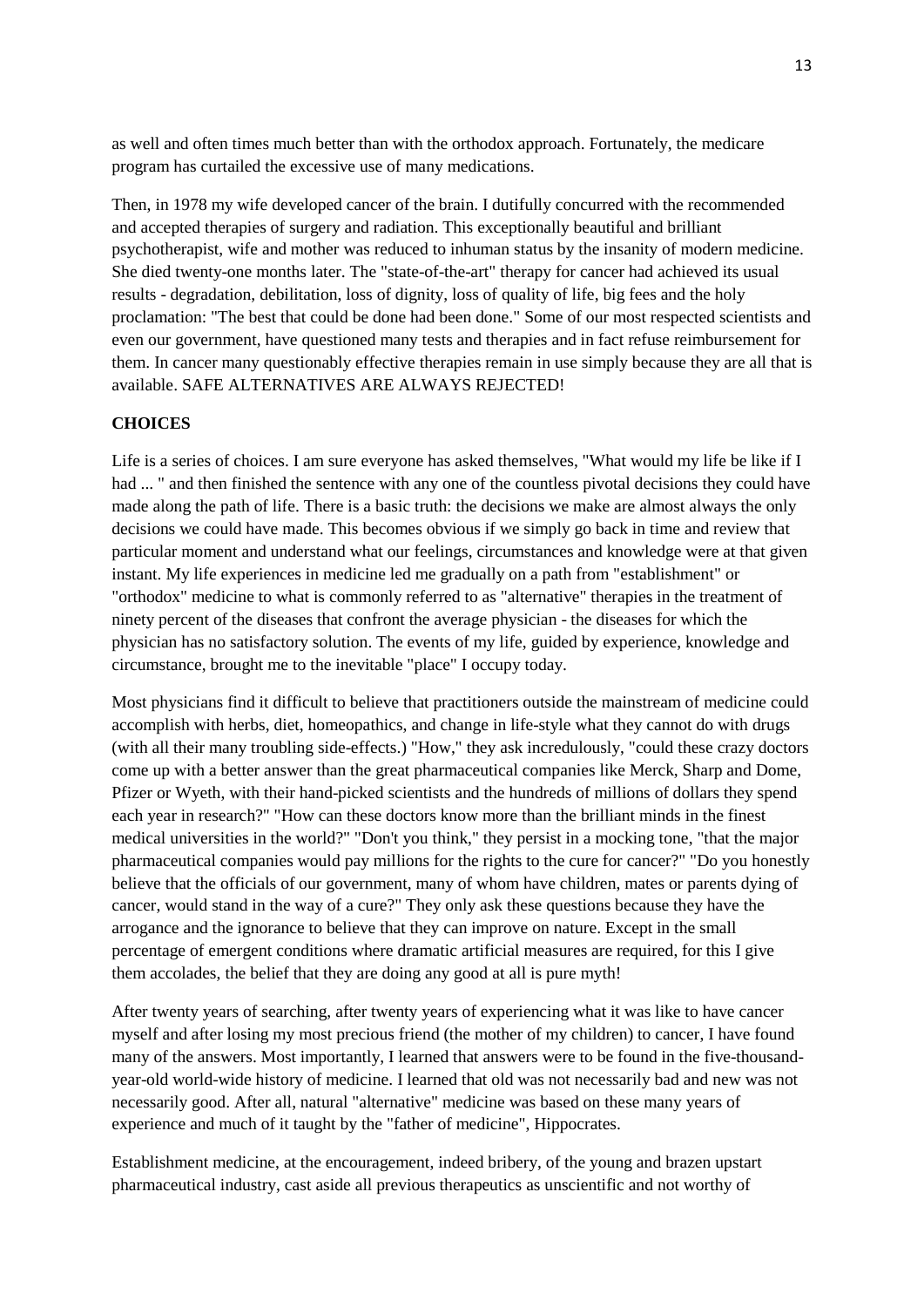as well and often times much better than with the orthodox approach. Fortunately, the medicare program has curtailed the excessive use of many medications.

Then, in 1978 my wife developed cancer of the brain. I dutifully concurred with the recommended and accepted therapies of surgery and radiation. This exceptionally beautiful and brilliant psychotherapist, wife and mother was reduced to inhuman status by the insanity of modern medicine. She died twenty-one months later. The "state-of-the-art" therapy for cancer had achieved its usual results - degradation, debilitation, loss of dignity, loss of quality of life, big fees and the holy proclamation: "The best that could be done had been done." Some of our most respected scientists and even our government, have questioned many tests and therapies and in fact refuse reimbursement for them. In cancer many questionably effective therapies remain in use simply because they are all that is available. SAFE ALTERNATIVES ARE ALWAYS REJECTED!

#### **CHOICES**

Life is a series of choices. I am sure everyone has asked themselves, "What would my life be like if I had ... " and then finished the sentence with any one of the countless pivotal decisions they could have made along the path of life. There is a basic truth: the decisions we make are almost always the only decisions we could have made. This becomes obvious if we simply go back in time and review that particular moment and understand what our feelings, circumstances and knowledge were at that given instant. My life experiences in medicine led me gradually on a path from "establishment" or "orthodox" medicine to what is commonly referred to as "alternative" therapies in the treatment of ninety percent of the diseases that confront the average physician - the diseases for which the physician has no satisfactory solution. The events of my life, guided by experience, knowledge and circumstance, brought me to the inevitable "place" I occupy today.

Most physicians find it difficult to believe that practitioners outside the mainstream of medicine could accomplish with herbs, diet, homeopathics, and change in life-style what they cannot do with drugs (with all their many troubling side-effects.) "How," they ask incredulously, "could these crazy doctors come up with a better answer than the great pharmaceutical companies like Merck, Sharp and Dome, Pfizer or Wyeth, with their hand-picked scientists and the hundreds of millions of dollars they spend each year in research?" "How can these doctors know more than the brilliant minds in the finest medical universities in the world?" "Don't you think," they persist in a mocking tone, "that the major pharmaceutical companies would pay millions for the rights to the cure for cancer?" "Do you honestly believe that the officials of our government, many of whom have children, mates or parents dying of cancer, would stand in the way of a cure?" They only ask these questions because they have the arrogance and the ignorance to believe that they can improve on nature. Except in the small percentage of emergent conditions where dramatic artificial measures are required, for this I give them accolades, the belief that they are doing any good at all is pure myth!

After twenty years of searching, after twenty years of experiencing what it was like to have cancer myself and after losing my most precious friend (the mother of my children) to cancer, I have found many of the answers. Most importantly, I learned that answers were to be found in the five-thousandyear-old world-wide history of medicine. I learned that old was not necessarily bad and new was not necessarily good. After all, natural "alternative" medicine was based on these many years of experience and much of it taught by the "father of medicine", Hippocrates.

Establishment medicine, at the encouragement, indeed bribery, of the young and brazen upstart pharmaceutical industry, cast aside all previous therapeutics as unscientific and not worthy of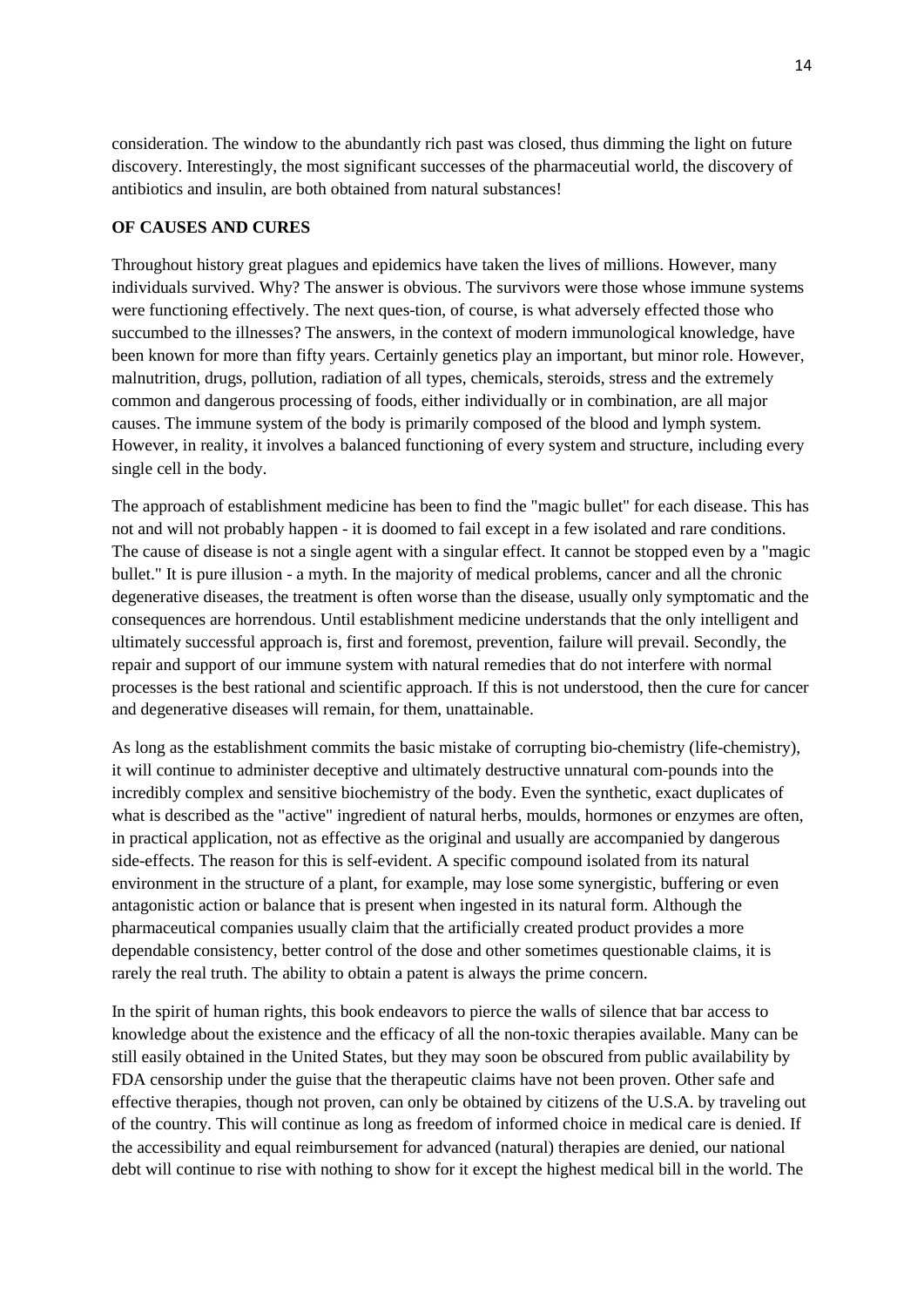consideration. The window to the abundantly rich past was closed, thus dimming the light on future discovery. Interestingly, the most significant successes of the pharmaceutial world, the discovery of antibiotics and insulin, are both obtained from natural substances!

#### **OF CAUSES AND CURES**

Throughout history great plagues and epidemics have taken the lives of millions. However, many individuals survived. Why? The answer is obvious. The survivors were those whose immune systems were functioning effectively. The next ques-tion, of course, is what adversely effected those who succumbed to the illnesses? The answers, in the context of modern immunological knowledge, have been known for more than fifty years. Certainly genetics play an important, but minor role. However, malnutrition, drugs, pollution, radiation of all types, chemicals, steroids, stress and the extremely common and dangerous processing of foods, either individually or in combination, are all major causes. The immune system of the body is primarily composed of the blood and lymph system. However, in reality, it involves a balanced functioning of every system and structure, including every single cell in the body.

The approach of establishment medicine has been to find the "magic bullet" for each disease. This has not and will not probably happen - it is doomed to fail except in a few isolated and rare conditions. The cause of disease is not a single agent with a singular effect. It cannot be stopped even by a "magic bullet." It is pure illusion - a myth. In the majority of medical problems, cancer and all the chronic degenerative diseases, the treatment is often worse than the disease, usually only symptomatic and the consequences are horrendous. Until establishment medicine understands that the only intelligent and ultimately successful approach is, first and foremost, prevention, failure will prevail. Secondly, the repair and support of our immune system with natural remedies that do not interfere with normal processes is the best rational and scientific approach. If this is not understood, then the cure for cancer and degenerative diseases will remain, for them, unattainable.

As long as the establishment commits the basic mistake of corrupting bio-chemistry (life-chemistry), it will continue to administer deceptive and ultimately destructive unnatural com-pounds into the incredibly complex and sensitive biochemistry of the body. Even the synthetic, exact duplicates of what is described as the "active" ingredient of natural herbs, moulds, hormones or enzymes are often, in practical application, not as effective as the original and usually are accompanied by dangerous side-effects. The reason for this is self-evident. A specific compound isolated from its natural environment in the structure of a plant, for example, may lose some synergistic, buffering or even antagonistic action or balance that is present when ingested in its natural form. Although the pharmaceutical companies usually claim that the artificially created product provides a more dependable consistency, better control of the dose and other sometimes questionable claims, it is rarely the real truth. The ability to obtain a patent is always the prime concern.

In the spirit of human rights, this book endeavors to pierce the walls of silence that bar access to knowledge about the existence and the efficacy of all the non-toxic therapies available. Many can be still easily obtained in the United States, but they may soon be obscured from public availability by FDA censorship under the guise that the therapeutic claims have not been proven. Other safe and effective therapies, though not proven, can only be obtained by citizens of the U.S.A. by traveling out of the country. This will continue as long as freedom of informed choice in medical care is denied. If the accessibility and equal reimbursement for advanced (natural) therapies are denied, our national debt will continue to rise with nothing to show for it except the highest medical bill in the world. The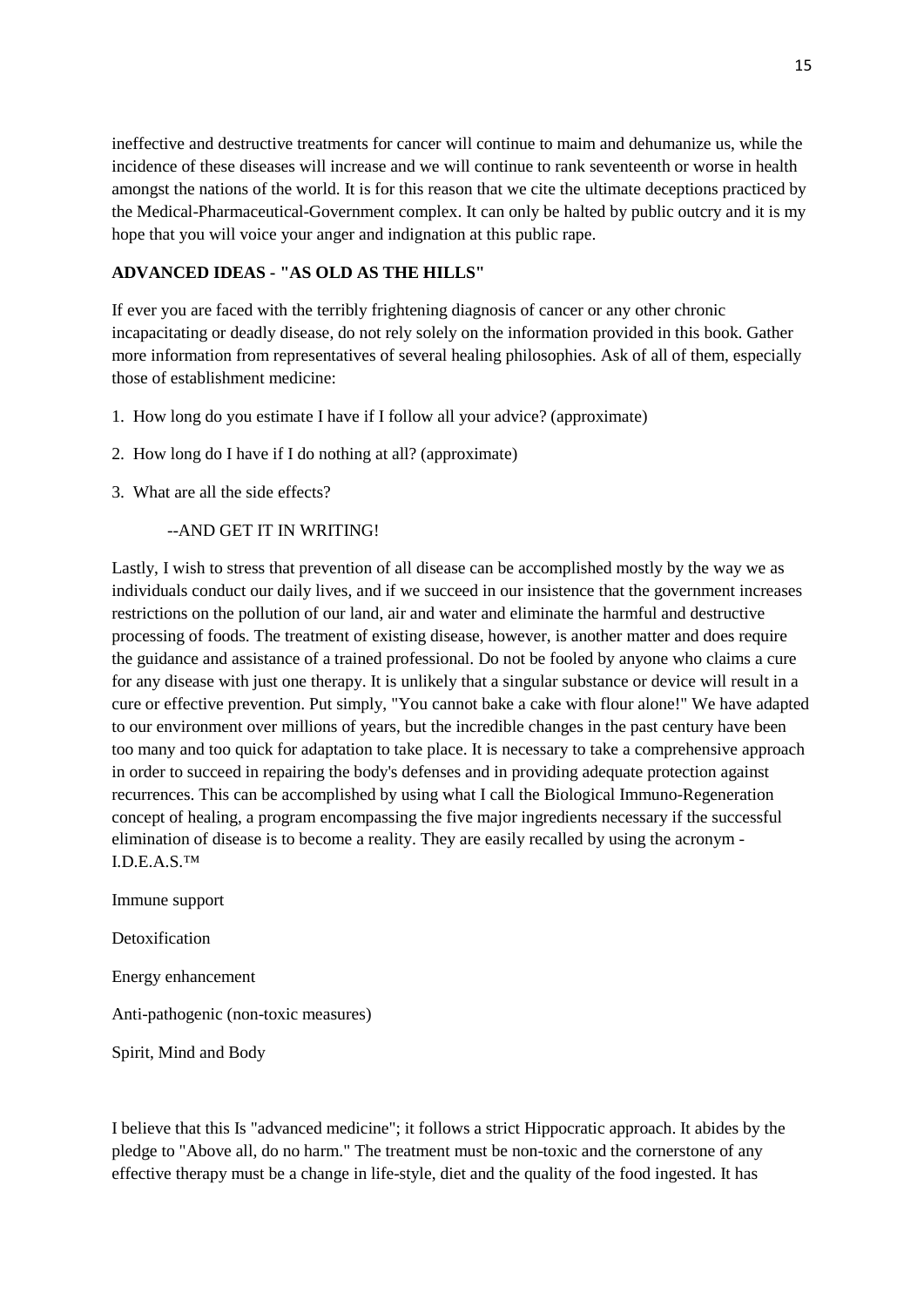ineffective and destructive treatments for cancer will continue to maim and dehumanize us, while the incidence of these diseases will increase and we will continue to rank seventeenth or worse in health amongst the nations of the world. It is for this reason that we cite the ultimate deceptions practiced by the Medical-Pharmaceutical-Government complex. It can only be halted by public outcry and it is my hope that you will voice your anger and indignation at this public rape.

#### **ADVANCED IDEAS - "AS OLD AS THE HILLS"**

If ever you are faced with the terribly frightening diagnosis of cancer or any other chronic incapacitating or deadly disease, do not rely solely on the information provided in this book. Gather more information from representatives of several healing philosophies. Ask of all of them, especially those of establishment medicine:

- 1. How long do you estimate I have if I follow all your advice? (approximate)
- 2. How long do I have if I do nothing at all? (approximate)
- 3. What are all the side effects?

#### --AND GET IT IN WRITING!

Lastly, I wish to stress that prevention of all disease can be accomplished mostly by the way we as individuals conduct our daily lives, and if we succeed in our insistence that the government increases restrictions on the pollution of our land, air and water and eliminate the harmful and destructive processing of foods. The treatment of existing disease, however, is another matter and does require the guidance and assistance of a trained professional. Do not be fooled by anyone who claims a cure for any disease with just one therapy. It is unlikely that a singular substance or device will result in a cure or effective prevention. Put simply, "You cannot bake a cake with flour alone!" We have adapted to our environment over millions of years, but the incredible changes in the past century have been too many and too quick for adaptation to take place. It is necessary to take a comprehensive approach in order to succeed in repairing the body's defenses and in providing adequate protection against recurrences. This can be accomplished by using what I call the Biological Immuno-Regeneration concept of healing, a program encompassing the five major ingredients necessary if the successful elimination of disease is to become a reality. They are easily recalled by using the acronym - I.D.E.A.S.™

Immune support Detoxification Energy enhancement Anti-pathogenic (non-toxic measures) Spirit, Mind and Body

I believe that this Is "advanced medicine"; it follows a strict Hippocratic approach. It abides by the pledge to "Above all, do no harm." The treatment must be non-toxic and the cornerstone of any effective therapy must be a change in life-style, diet and the quality of the food ingested. It has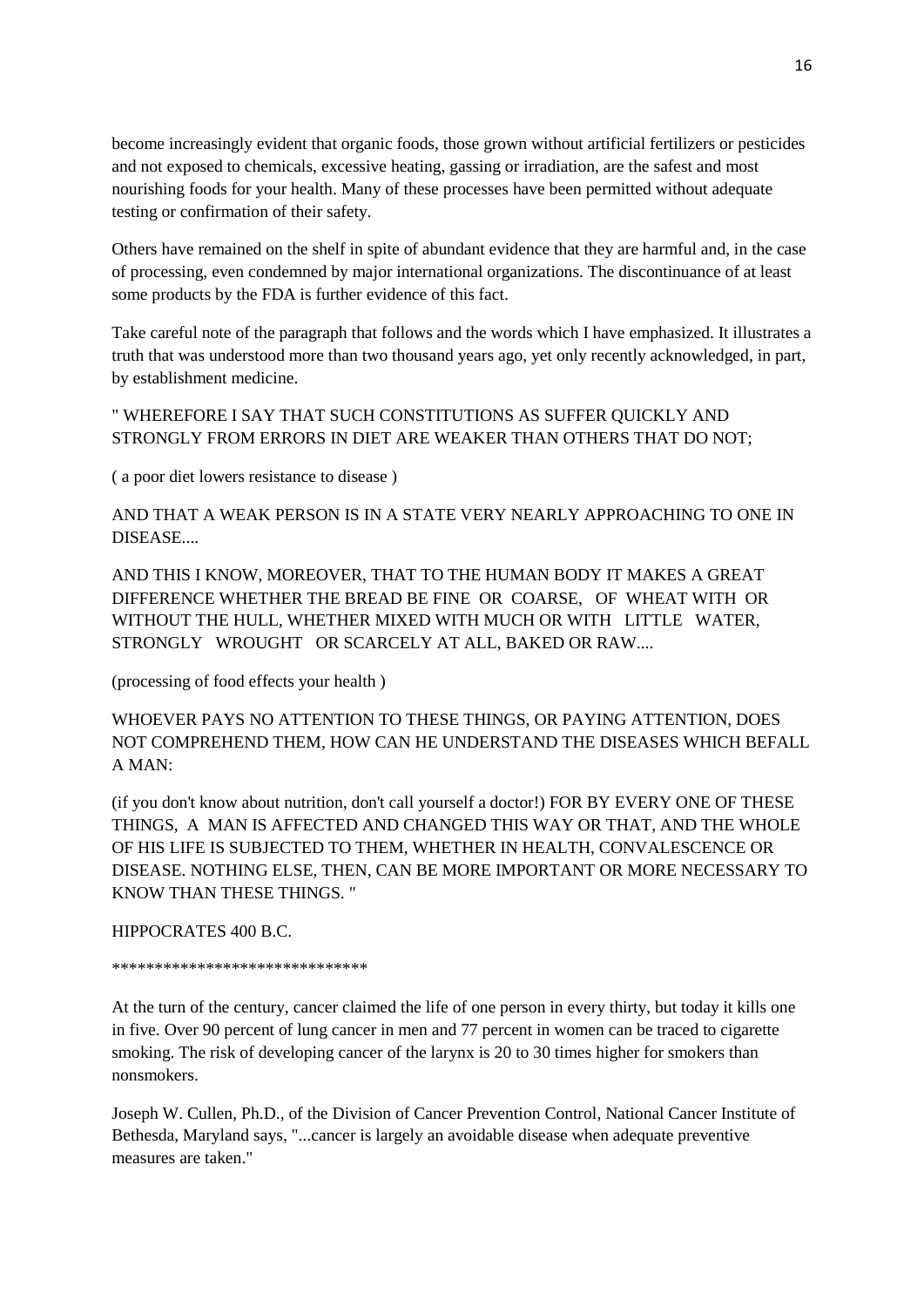become increasingly evident that organic foods, those grown without artificial fertilizers or pesticides and not exposed to chemicals, excessive heating, gassing or irradiation, are the safest and most nourishing foods for your health. Many of these processes have been permitted without adequate testing or confirmation of their safety.

Others have remained on the shelf in spite of abundant evidence that they are harmful and, in the case of processing, even condemned by major international organizations. The discontinuance of at least some products by the FDA is further evidence of this fact.

Take careful note of the paragraph that follows and the words which I have emphasized. It illustrates a truth that was understood more than two thousand years ago, yet only recently acknowledged, in part, by establishment medicine.

" WHEREFORE I SAY THAT SUCH CONSTITUTIONS AS SUFFER QUICKLY AND STRONGLY FROM ERRORS IN DIET ARE WEAKER THAN OTHERS THAT DO NOT;

( a poor diet lowers resistance to disease )

AND THAT A WEAK PERSON IS IN A STATE VERY NEARLY APPROACHING TO ONE IN DISEASE....

AND THIS I KNOW, MOREOVER, THAT TO THE HUMAN BODY IT MAKES A GREAT DIFFERENCE WHETHER THE BREAD BE FINE OR COARSE, OF WHEAT WITH OR WITHOUT THE HULL, WHETHER MIXED WITH MUCH OR WITH LITTLE WATER, STRONGLY WROUGHT OR SCARCELY AT ALL, BAKED OR RAW....

(processing of food effects your health )

WHOEVER PAYS NO ATTENTION TO THESE THINGS, OR PAYING ATTENTION, DOES NOT COMPREHEND THEM, HOW CAN HE UNDERSTAND THE DISEASES WHICH BEFALL A MAN:

(if you don't know about nutrition, don't call yourself a doctor!) FOR BY EVERY ONE OF THESE THINGS, A MAN IS AFFECTED AND CHANGED THIS WAY OR THAT, AND THE WHOLE OF HIS LIFE IS SUBJECTED TO THEM, WHETHER IN HEALTH, CONVALESCENCE OR DISEASE. NOTHING ELSE, THEN, CAN BE MORE IMPORTANT OR MORE NECESSARY TO KNOW THAN THESE THINGS. "

HIPPOCRATES 400 B.C.

\*\*\*\*\*\*\*\*\*\*\*\*\*\*\*\*\*\*\*\*\*\*\*\*\*\*\*\*\*\*

At the turn of the century, cancer claimed the life of one person in every thirty, but today it kills one in five. Over 90 percent of lung cancer in men and 77 percent in women can be traced to cigarette smoking. The risk of developing cancer of the larynx is 20 to 30 times higher for smokers than nonsmokers.

Joseph W. Cullen, Ph.D., of the Division of Cancer Prevention Control, National Cancer Institute of Bethesda, Maryland says, "...cancer is largely an avoidable disease when adequate preventive measures are taken."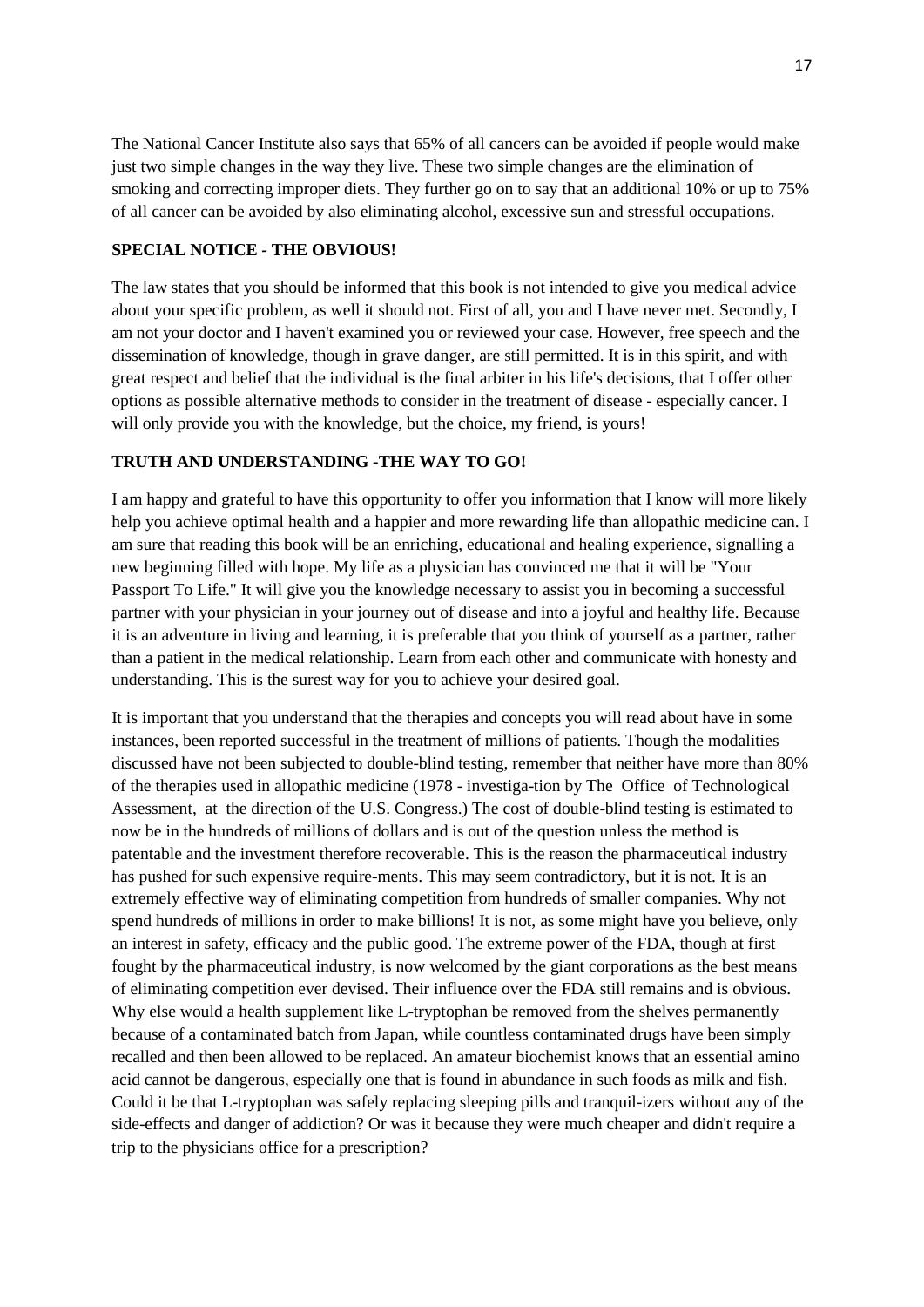The National Cancer Institute also says that 65% of all cancers can be avoided if people would make just two simple changes in the way they live. These two simple changes are the elimination of smoking and correcting improper diets. They further go on to say that an additional 10% or up to 75% of all cancer can be avoided by also eliminating alcohol, excessive sun and stressful occupations.

#### **SPECIAL NOTICE - THE OBVIOUS!**

The law states that you should be informed that this book is not intended to give you medical advice about your specific problem, as well it should not. First of all, you and I have never met. Secondly, I am not your doctor and I haven't examined you or reviewed your case. However, free speech and the dissemination of knowledge, though in grave danger, are still permitted. It is in this spirit, and with great respect and belief that the individual is the final arbiter in his life's decisions, that I offer other options as possible alternative methods to consider in the treatment of disease - especially cancer. I will only provide you with the knowledge, but the choice, my friend, is yours!

#### **TRUTH AND UNDERSTANDING -THE WAY TO GO!**

I am happy and grateful to have this opportunity to offer you information that I know will more likely help you achieve optimal health and a happier and more rewarding life than allopathic medicine can. I am sure that reading this book will be an enriching, educational and healing experience, signalling a new beginning filled with hope. My life as a physician has convinced me that it will be "Your Passport To Life." It will give you the knowledge necessary to assist you in becoming a successful partner with your physician in your journey out of disease and into a joyful and healthy life. Because it is an adventure in living and learning, it is preferable that you think of yourself as a partner, rather than a patient in the medical relationship. Learn from each other and communicate with honesty and understanding. This is the surest way for you to achieve your desired goal.

It is important that you understand that the therapies and concepts you will read about have in some instances, been reported successful in the treatment of millions of patients. Though the modalities discussed have not been subjected to double-blind testing, remember that neither have more than 80% of the therapies used in allopathic medicine (1978 - investiga-tion by The Office of Technological Assessment, at the direction of the U.S. Congress.) The cost of double-blind testing is estimated to now be in the hundreds of millions of dollars and is out of the question unless the method is patentable and the investment therefore recoverable. This is the reason the pharmaceutical industry has pushed for such expensive require-ments. This may seem contradictory, but it is not. It is an extremely effective way of eliminating competition from hundreds of smaller companies. Why not spend hundreds of millions in order to make billions! It is not, as some might have you believe, only an interest in safety, efficacy and the public good. The extreme power of the FDA, though at first fought by the pharmaceutical industry, is now welcomed by the giant corporations as the best means of eliminating competition ever devised. Their influence over the FDA still remains and is obvious. Why else would a health supplement like L-tryptophan be removed from the shelves permanently because of a contaminated batch from Japan, while countless contaminated drugs have been simply recalled and then been allowed to be replaced. An amateur biochemist knows that an essential amino acid cannot be dangerous, especially one that is found in abundance in such foods as milk and fish. Could it be that L-tryptophan was safely replacing sleeping pills and tranquil-izers without any of the side-effects and danger of addiction? Or was it because they were much cheaper and didn't require a trip to the physicians office for a prescription?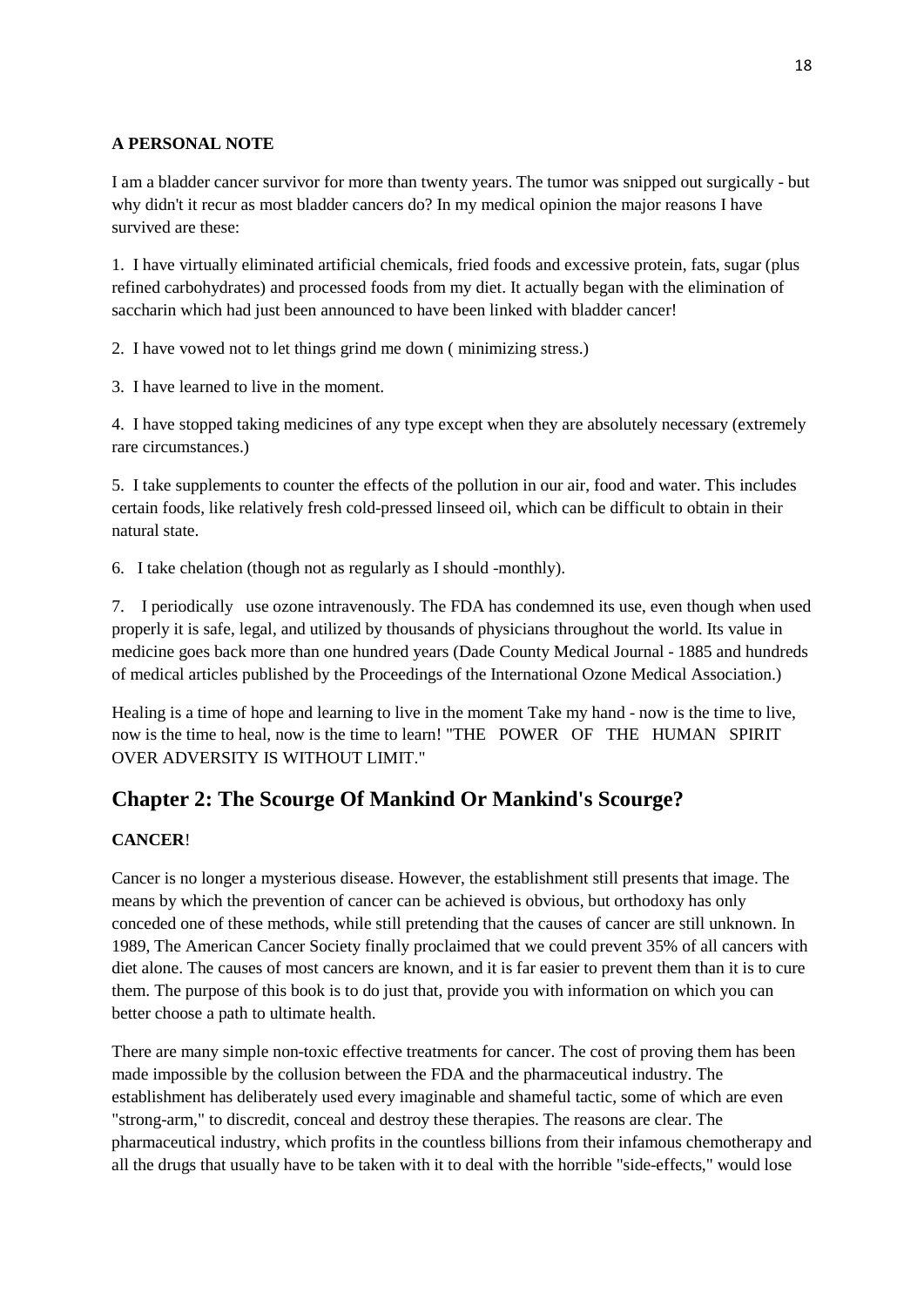#### **A PERSONAL NOTE**

I am a bladder cancer survivor for more than twenty years. The tumor was snipped out surgically - but why didn't it recur as most bladder cancers do? In my medical opinion the major reasons I have survived are these:

1. I have virtually eliminated artificial chemicals, fried foods and excessive protein, fats, sugar (plus refined carbohydrates) and processed foods from my diet. It actually began with the elimination of saccharin which had just been announced to have been linked with bladder cancer!

2. I have vowed not to let things grind me down ( minimizing stress.)

3. I have learned to live in the moment.

4. I have stopped taking medicines of any type except when they are absolutely necessary (extremely rare circumstances.)

5. I take supplements to counter the effects of the pollution in our air, food and water. This includes certain foods, like relatively fresh cold-pressed linseed oil, which can be difficult to obtain in their natural state.

6. I take chelation (though not as regularly as I should -monthly).

7. I periodically use ozone intravenously. The FDA has condemned its use, even though when used properly it is safe, legal, and utilized by thousands of physicians throughout the world. Its value in medicine goes back more than one hundred years (Dade County Medical Journal - 1885 and hundreds of medical articles published by the Proceedings of the International Ozone Medical Association.)

Healing is a time of hope and learning to live in the moment Take my hand - now is the time to live, now is the time to heal, now is the time to learn! "THE POWER OF THE HUMAN SPIRIT OVER ADVERSITY IS WITHOUT LIMIT."

# **Chapter 2: The Scourge Of Mankind Or Mankind's Scourge?**

#### **CANCER**!

Cancer is no longer a mysterious disease. However, the establishment still presents that image. The means by which the prevention of cancer can be achieved is obvious, but orthodoxy has only conceded one of these methods, while still pretending that the causes of cancer are still unknown. In 1989, The American Cancer Society finally proclaimed that we could prevent 35% of all cancers with diet alone. The causes of most cancers are known, and it is far easier to prevent them than it is to cure them. The purpose of this book is to do just that, provide you with information on which you can better choose a path to ultimate health.

There are many simple non-toxic effective treatments for cancer. The cost of proving them has been made impossible by the collusion between the FDA and the pharmaceutical industry. The establishment has deliberately used every imaginable and shameful tactic, some of which are even "strong-arm," to discredit, conceal and destroy these therapies. The reasons are clear. The pharmaceutical industry, which profits in the countless billions from their infamous chemotherapy and all the drugs that usually have to be taken with it to deal with the horrible "side-effects," would lose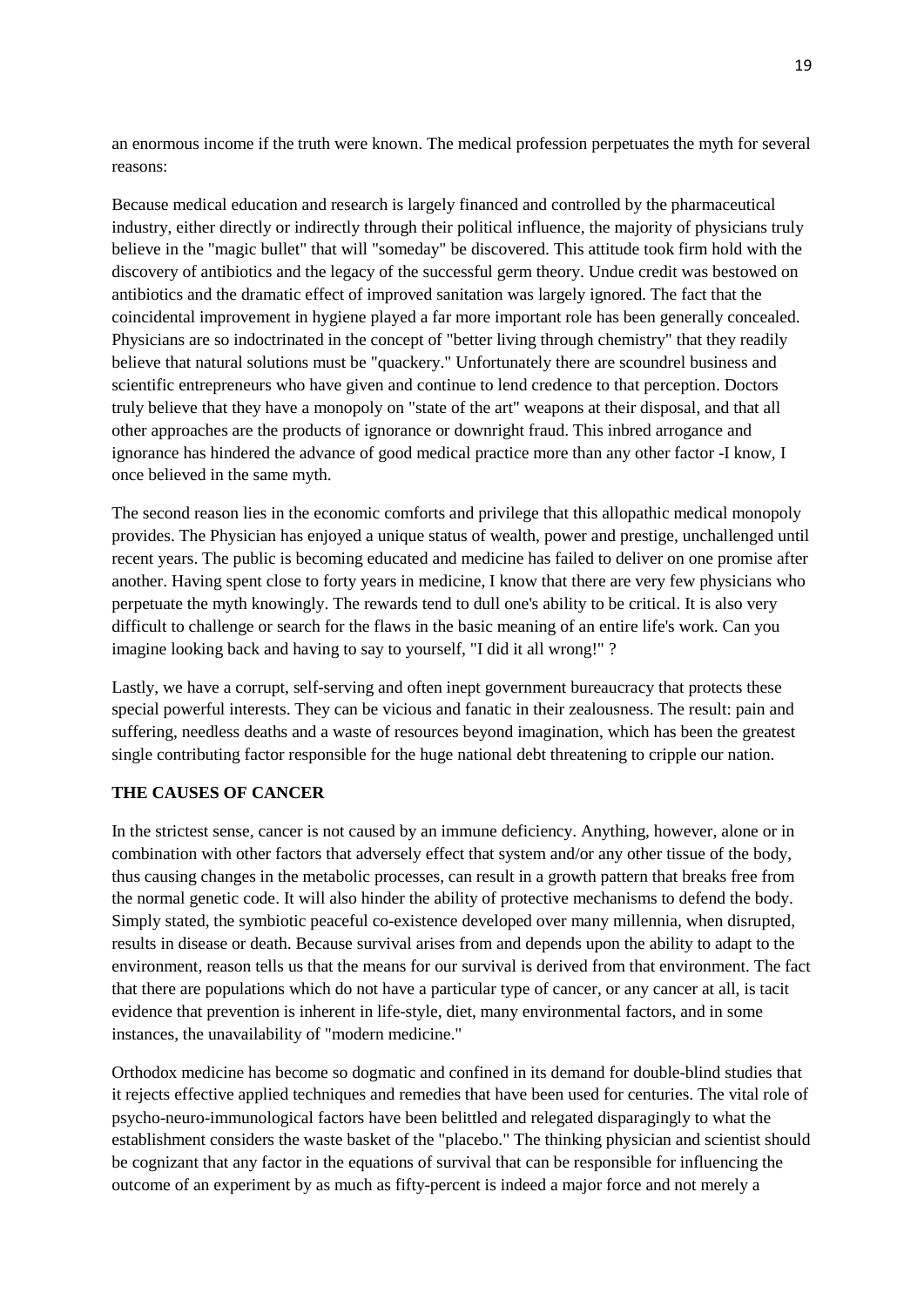an enormous income if the truth were known. The medical profession perpetuates the myth for several reasons:

Because medical education and research is largely financed and controlled by the pharmaceutical industry, either directly or indirectly through their political influence, the majority of physicians truly believe in the "magic bullet" that will "someday" be discovered. This attitude took firm hold with the discovery of antibiotics and the legacy of the successful germ theory. Undue credit was bestowed on antibiotics and the dramatic effect of improved sanitation was largely ignored. The fact that the coincidental improvement in hygiene played a far more important role has been generally concealed. Physicians are so indoctrinated in the concept of "better living through chemistry" that they readily believe that natural solutions must be "quackery." Unfortunately there are scoundrel business and scientific entrepreneurs who have given and continue to lend credence to that perception. Doctors truly believe that they have a monopoly on "state of the art" weapons at their disposal, and that all other approaches are the products of ignorance or downright fraud. This inbred arrogance and ignorance has hindered the advance of good medical practice more than any other factor -I know, I once believed in the same myth.

The second reason lies in the economic comforts and privilege that this allopathic medical monopoly provides. The Physician has enjoyed a unique status of wealth, power and prestige, unchallenged until recent years. The public is becoming educated and medicine has failed to deliver on one promise after another. Having spent close to forty years in medicine, I know that there are very few physicians who perpetuate the myth knowingly. The rewards tend to dull one's ability to be critical. It is also very difficult to challenge or search for the flaws in the basic meaning of an entire life's work. Can you imagine looking back and having to say to yourself, "I did it all wrong!" ?

Lastly, we have a corrupt, self-serving and often inept government bureaucracy that protects these special powerful interests. They can be vicious and fanatic in their zealousness. The result: pain and suffering, needless deaths and a waste of resources beyond imagination, which has been the greatest single contributing factor responsible for the huge national debt threatening to cripple our nation.

#### **THE CAUSES OF CANCER**

In the strictest sense, cancer is not caused by an immune deficiency. Anything, however, alone or in combination with other factors that adversely effect that system and/or any other tissue of the body, thus causing changes in the metabolic processes, can result in a growth pattern that breaks free from the normal genetic code. It will also hinder the ability of protective mechanisms to defend the body. Simply stated, the symbiotic peaceful co-existence developed over many millennia, when disrupted, results in disease or death. Because survival arises from and depends upon the ability to adapt to the environment, reason tells us that the means for our survival is derived from that environment. The fact that there are populations which do not have a particular type of cancer, or any cancer at all, is tacit evidence that prevention is inherent in life-style, diet, many environmental factors, and in some instances, the unavailability of "modern medicine."

Orthodox medicine has become so dogmatic and confined in its demand for double-blind studies that it rejects effective applied techniques and remedies that have been used for centuries. The vital role of psycho-neuro-immunological factors have been belittled and relegated disparagingly to what the establishment considers the waste basket of the "placebo." The thinking physician and scientist should be cognizant that any factor in the equations of survival that can be responsible for influencing the outcome of an experiment by as much as fifty-percent is indeed a major force and not merely a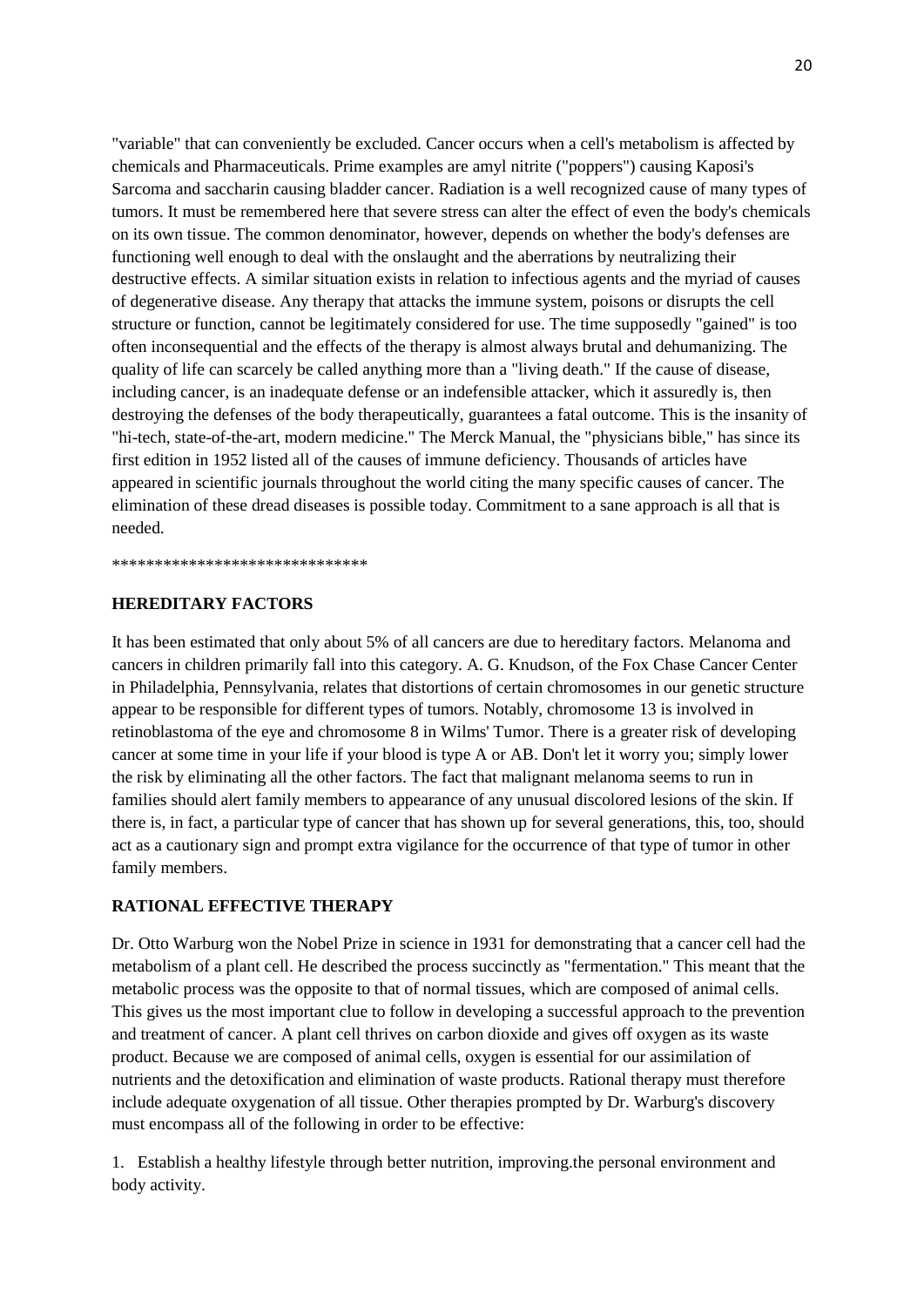"variable" that can conveniently be excluded. Cancer occurs when a cell's metabolism is affected by chemicals and Pharmaceuticals. Prime examples are amyl nitrite ("poppers") causing Kaposi's Sarcoma and saccharin causing bladder cancer. Radiation is a well recognized cause of many types of tumors. It must be remembered here that severe stress can alter the effect of even the body's chemicals on its own tissue. The common denominator, however, depends on whether the body's defenses are functioning well enough to deal with the onslaught and the aberrations by neutralizing their destructive effects. A similar situation exists in relation to infectious agents and the myriad of causes of degenerative disease. Any therapy that attacks the immune system, poisons or disrupts the cell structure or function, cannot be legitimately considered for use. The time supposedly "gained" is too often inconsequential and the effects of the therapy is almost always brutal and dehumanizing. The quality of life can scarcely be called anything more than a "living death." If the cause of disease, including cancer, is an inadequate defense or an indefensible attacker, which it assuredly is, then destroying the defenses of the body therapeutically, guarantees a fatal outcome. This is the insanity of "hi-tech, state-of-the-art, modern medicine." The Merck Manual, the "physicians bible," has since its first edition in 1952 listed all of the causes of immune deficiency. Thousands of articles have appeared in scientific journals throughout the world citing the many specific causes of cancer. The elimination of these dread diseases is possible today. Commitment to a sane approach is all that is needed.

\*\*\*\*\*\*\*\*\*\*\*\*\*\*\*\*\*\*\*\*\*\*\*\*\*\*\*\*\*\*

**HEREDITARY FACTORS**

It has been estimated that only about 5% of all cancers are due to hereditary factors. Melanoma and cancers in children primarily fall into this category. A. G. Knudson, of the Fox Chase Cancer Center in Philadelphia, Pennsylvania, relates that distortions of certain chromosomes in our genetic structure appear to be responsible for different types of tumors. Notably, chromosome 13 is involved in retinoblastoma of the eye and chromosome 8 in Wilms' Tumor. There is a greater risk of developing cancer at some time in your life if your blood is type A or AB. Don't let it worry you; simply lower the risk by eliminating all the other factors. The fact that malignant melanoma seems to run in families should alert family members to appearance of any unusual discolored lesions of the skin. If there is, in fact, a particular type of cancer that has shown up for several generations, this, too, should act as a cautionary sign and prompt extra vigilance for the occurrence of that type of tumor in other family members.

#### **RATIONAL EFFECTIVE THERAPY**

Dr. Otto Warburg won the Nobel Prize in science in 1931 for demonstrating that a cancer cell had the metabolism of a plant cell. He described the process succinctly as "fermentation." This meant that the metabolic process was the opposite to that of normal tissues, which are composed of animal cells. This gives us the most important clue to follow in developing a successful approach to the prevention and treatment of cancer. A plant cell thrives on carbon dioxide and gives off oxygen as its waste product. Because we are composed of animal cells, oxygen is essential for our assimilation of nutrients and the detoxification and elimination of waste products. Rational therapy must therefore include adequate oxygenation of all tissue. Other therapies prompted by Dr. Warburg's discovery must encompass all of the following in order to be effective:

1. Establish a healthy lifestyle through better nutrition, improving.the personal environment and body activity.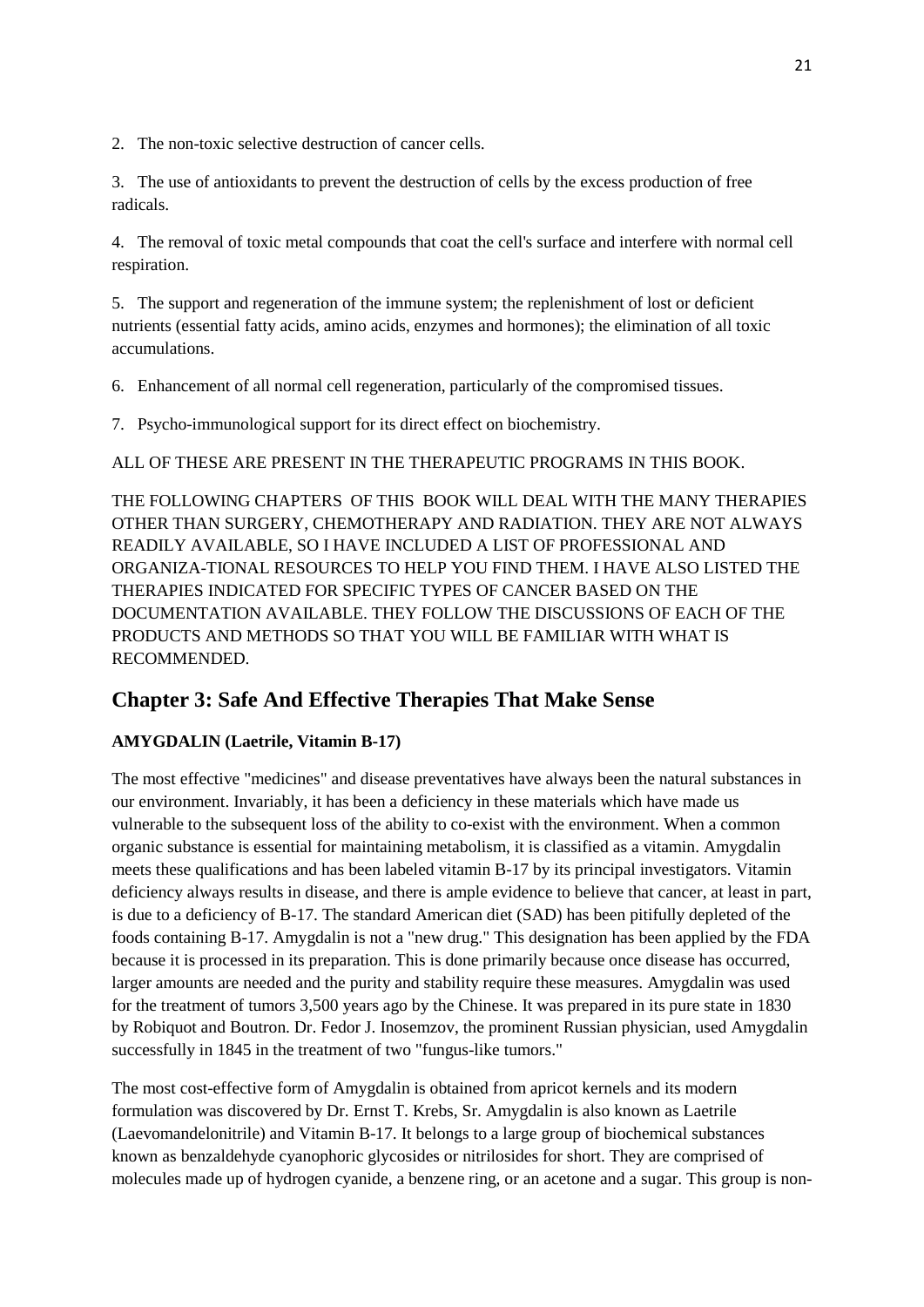2. The non-toxic selective destruction of cancer cells.

3. The use of antioxidants to prevent the destruction of cells by the excess production of free radicals.

4. The removal of toxic metal compounds that coat the cell's surface and interfere with normal cell respiration.

5. The support and regeneration of the immune system; the replenishment of lost or deficient nutrients (essential fatty acids, amino acids, enzymes and hormones); the elimination of all toxic accumulations.

6. Enhancement of all normal cell regeneration, particularly of the compromised tissues.

7. Psycho-immunological support for its direct effect on biochemistry.

ALL OF THESE ARE PRESENT IN THE THERAPEUTIC PROGRAMS IN THIS BOOK.

THE FOLLOWING CHAPTERS OF THIS BOOK WILL DEAL WITH THE MANY THERAPIES OTHER THAN SURGERY, CHEMOTHERAPY AND RADIATION. THEY ARE NOT ALWAYS READILY AVAILABLE, SO I HAVE INCLUDED A LIST OF PROFESSIONAL AND ORGANIZA-TIONAL RESOURCES TO HELP YOU FIND THEM. I HAVE ALSO LISTED THE THERAPIES INDICATED FOR SPECIFIC TYPES OF CANCER BASED ON THE DOCUMENTATION AVAILABLE. THEY FOLLOW THE DISCUSSIONS OF EACH OF THE PRODUCTS AND METHODS SO THAT YOU WILL BE FAMILIAR WITH WHAT IS RECOMMENDED.

# **Chapter 3: Safe And Effective Therapies That Make Sense**

#### **AMYGDALIN (Laetrile, Vitamin B-17)**

The most effective "medicines" and disease preventatives have always been the natural substances in our environment. Invariably, it has been a deficiency in these materials which have made us vulnerable to the subsequent loss of the ability to co-exist with the environment. When a common organic substance is essential for maintaining metabolism, it is classified as a vitamin. Amygdalin meets these qualifications and has been labeled vitamin B-17 by its principal investigators. Vitamin deficiency always results in disease, and there is ample evidence to believe that cancer, at least in part, is due to a deficiency of B-17. The standard American diet (SAD) has been pitifully depleted of the foods containing B-17. Amygdalin is not a "new drug." This designation has been applied by the FDA because it is processed in its preparation. This is done primarily because once disease has occurred, larger amounts are needed and the purity and stability require these measures. Amygdalin was used for the treatment of tumors 3,500 years ago by the Chinese. It was prepared in its pure state in 1830 by Robiquot and Boutron. Dr. Fedor J. Inosemzov, the prominent Russian physician, used Amygdalin successfully in 1845 in the treatment of two "fungus-like tumors."

The most cost-effective form of Amygdalin is obtained from apricot kernels and its modern formulation was discovered by Dr. Ernst T. Krebs, Sr. Amygdalin is also known as Laetrile (Laevomandelonitrile) and Vitamin B-17. It belongs to a large group of biochemical substances known as benzaldehyde cyanophoric glycosides or nitrilosides for short. They are comprised of molecules made up of hydrogen cyanide, a benzene ring, or an acetone and a sugar. This group is non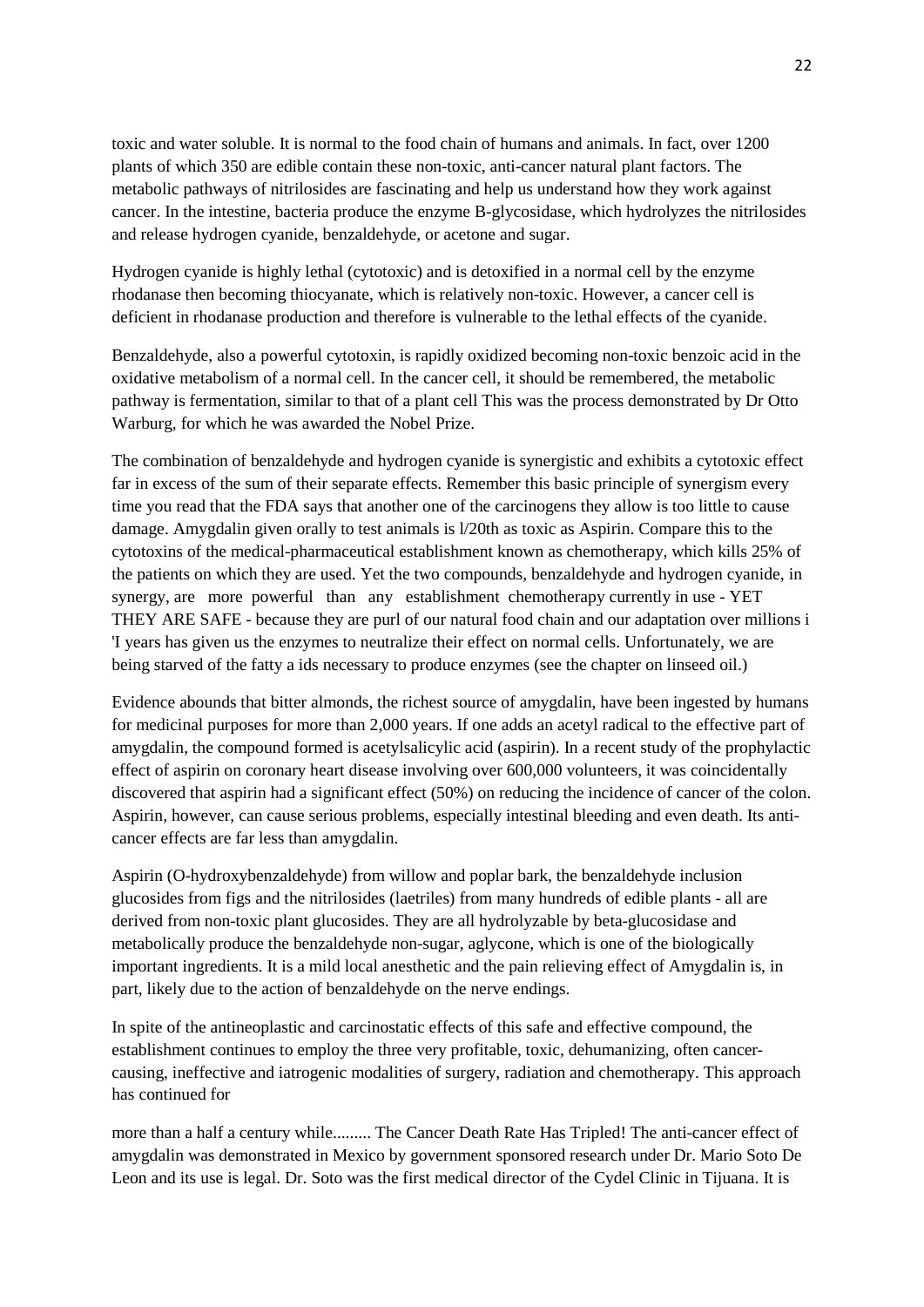toxic and water soluble. It is normal to the food chain of humans and animals. In fact, over 1200 plants of which 350 are edible contain these non-toxic, anti-cancer natural plant factors. The metabolic pathways of nitrilosides are fascinating and help us understand how they work against cancer. In the intestine, bacteria produce the enzyme B-glycosidase, which hydrolyzes the nitrilosides and release hydrogen cyanide, benzaldehyde, or acetone and sugar.

Hydrogen cyanide is highly lethal (cytotoxic) and is detoxified in a normal cell by the enzyme rhodanase then becoming thiocyanate, which is relatively non-toxic. However, a cancer cell is deficient in rhodanase production and therefore is vulnerable to the lethal effects of the cyanide.

Benzaldehyde, also a powerful cytotoxin, is rapidly oxidized becoming non-toxic benzoic acid in the oxidative metabolism of a normal cell. In the cancer cell, it should be remembered, the metabolic pathway is fermentation, similar to that of a plant cell This was the process demonstrated by Dr Otto Warburg, for which he was awarded the Nobel Prize.

The combination of benzaldehyde and hydrogen cyanide is synergistic and exhibits a cytotoxic effect far in excess of the sum of their separate effects. Remember this basic principle of synergism every time you read that the FDA says that another one of the carcinogens they allow is too little to cause damage. Amygdalin given orally to test animals is l/20th as toxic as Aspirin. Compare this to the cytotoxins of the medical-pharmaceutical establishment known as chemotherapy, which kills 25% of the patients on which they are used. Yet the two compounds, benzaldehyde and hydrogen cyanide, in synergy, are more powerful than any establishment chemotherapy currently in use - YET THEY ARE SAFE - because they are purl of our natural food chain and our adaptation over millions i 'I years has given us the enzymes to neutralize their effect on normal cells. Unfortunately, we are being starved of the fatty a ids necessary to produce enzymes (see the chapter on linseed oil.)

Evidence abounds that bitter almonds, the richest source of amygdalin, have been ingested by humans for medicinal purposes for more than 2,000 years. If one adds an acetyl radical to the effective part of amygdalin, the compound formed is acetylsalicylic acid (aspirin). In a recent study of the prophylactic effect of aspirin on coronary heart disease involving over 600,000 volunteers, it was coincidentally discovered that aspirin had a significant effect (50%) on reducing the incidence of cancer of the colon. Aspirin, however, can cause serious problems, especially intestinal bleeding and even death. Its anticancer effects are far less than amygdalin.

Aspirin (O-hydroxybenzaldehyde) from willow and poplar bark, the benzaldehyde inclusion glucosides from figs and the nitrilosides (laetriles) from many hundreds of edible plants - all are derived from non-toxic plant glucosides. They are all hydrolyzable by beta-glucosidase and metabolically produce the benzaldehyde non-sugar, aglycone, which is one of the biologically important ingredients. It is a mild local anesthetic and the pain relieving effect of Amygdalin is, in part, likely due to the action of benzaldehyde on the nerve endings.

In spite of the antineoplastic and carcinostatic effects of this safe and effective compound, the establishment continues to employ the three very profitable, toxic, dehumanizing, often cancercausing, ineffective and iatrogenic modalities of surgery, radiation and chemotherapy. This approach has continued for

more than a half a century while......... The Cancer Death Rate Has Tripled! The anti-cancer effect of amygdalin was demonstrated in Mexico by government sponsored research under Dr. Mario Soto De Leon and its use is legal. Dr. Soto was the first medical director of the Cydel Clinic in Tijuana. It is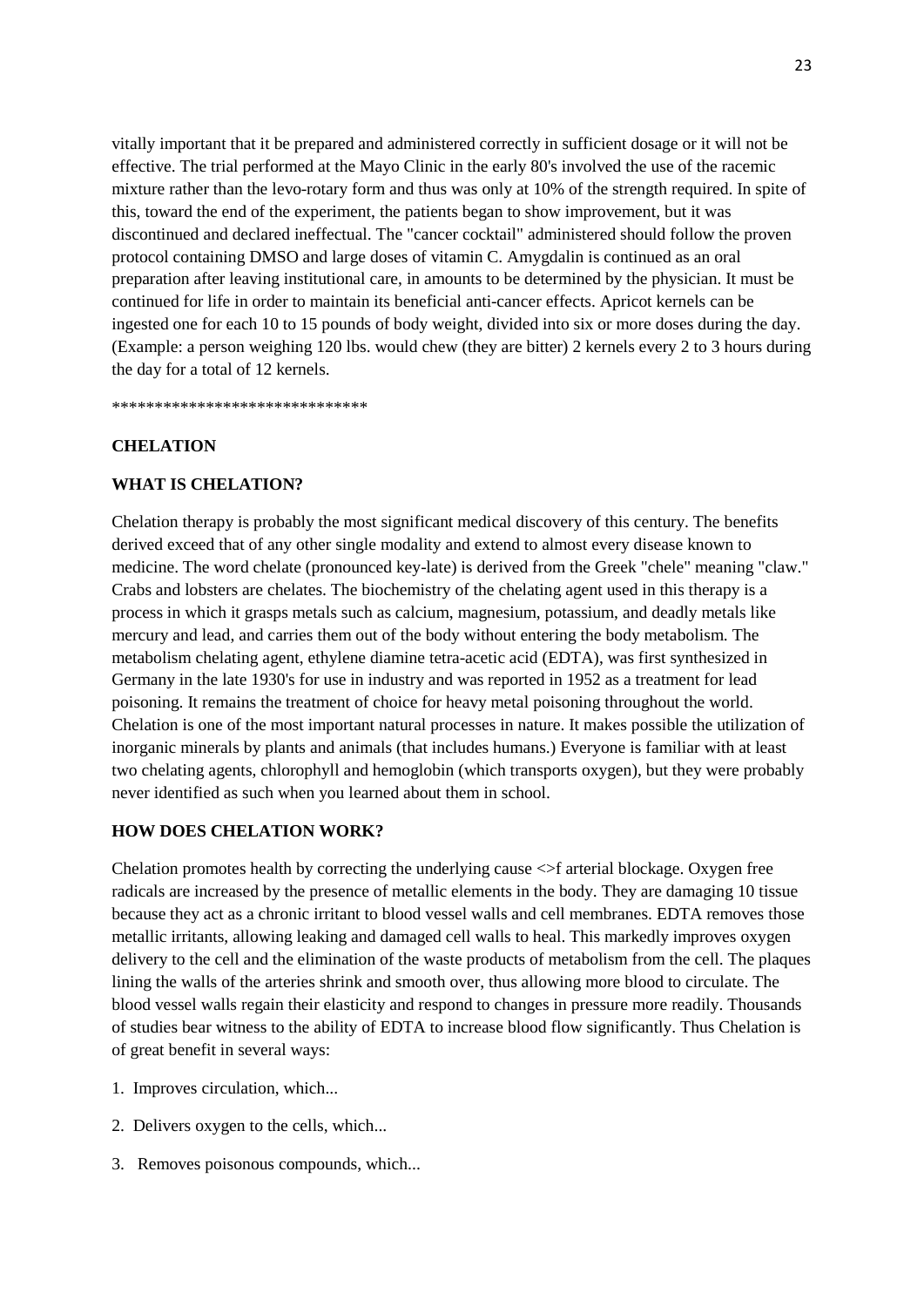vitally important that it be prepared and administered correctly in sufficient dosage or it will not be effective. The trial performed at the Mayo Clinic in the early 80's involved the use of the racemic mixture rather than the levo-rotary form and thus was only at 10% of the strength required. In spite of this, toward the end of the experiment, the patients began to show improvement, but it was discontinued and declared ineffectual. The "cancer cocktail" administered should follow the proven protocol containing DMSO and large doses of vitamin C. Amygdalin is continued as an oral preparation after leaving institutional care, in amounts to be determined by the physician. It must be continued for life in order to maintain its beneficial anti-cancer effects. Apricot kernels can be ingested one for each 10 to 15 pounds of body weight, divided into six or more doses during the day. (Example: a person weighing 120 lbs. would chew (they are bitter) 2 kernels every 2 to 3 hours during the day for a total of 12 kernels.

#### \*\*\*\*\*\*\*\*\*\*\*\*\*\*\*\*\*\*\*\*\*\*\*\*\*\*\*\*\*\*

#### **CHELATION**

#### **WHAT IS CHELATION?**

Chelation therapy is probably the most significant medical discovery of this century. The benefits derived exceed that of any other single modality and extend to almost every disease known to medicine. The word chelate (pronounced key-late) is derived from the Greek "chele" meaning "claw." Crabs and lobsters are chelates. The biochemistry of the chelating agent used in this therapy is a process in which it grasps metals such as calcium, magnesium, potassium, and deadly metals like mercury and lead, and carries them out of the body without entering the body metabolism. The metabolism chelating agent, ethylene diamine tetra-acetic acid (EDTA), was first synthesized in Germany in the late 1930's for use in industry and was reported in 1952 as a treatment for lead poisoning. It remains the treatment of choice for heavy metal poisoning throughout the world. Chelation is one of the most important natural processes in nature. It makes possible the utilization of inorganic minerals by plants and animals (that includes humans.) Everyone is familiar with at least two chelating agents, chlorophyll and hemoglobin (which transports oxygen), but they were probably never identified as such when you learned about them in school.

#### **HOW DOES CHELATION WORK?**

Chelation promotes health by correcting the underlying cause <>f arterial blockage. Oxygen free radicals are increased by the presence of metallic elements in the body. They are damaging 10 tissue because they act as a chronic irritant to blood vessel walls and cell membranes. EDTA removes those metallic irritants, allowing leaking and damaged cell walls to heal. This markedly improves oxygen delivery to the cell and the elimination of the waste products of metabolism from the cell. The plaques lining the walls of the arteries shrink and smooth over, thus allowing more blood to circulate. The blood vessel walls regain their elasticity and respond to changes in pressure more readily. Thousands of studies bear witness to the ability of EDTA to increase blood flow significantly. Thus Chelation is of great benefit in several ways:

- 1. Improves circulation, which...
- 2. Delivers oxygen to the cells, which...
- 3. Removes poisonous compounds, which...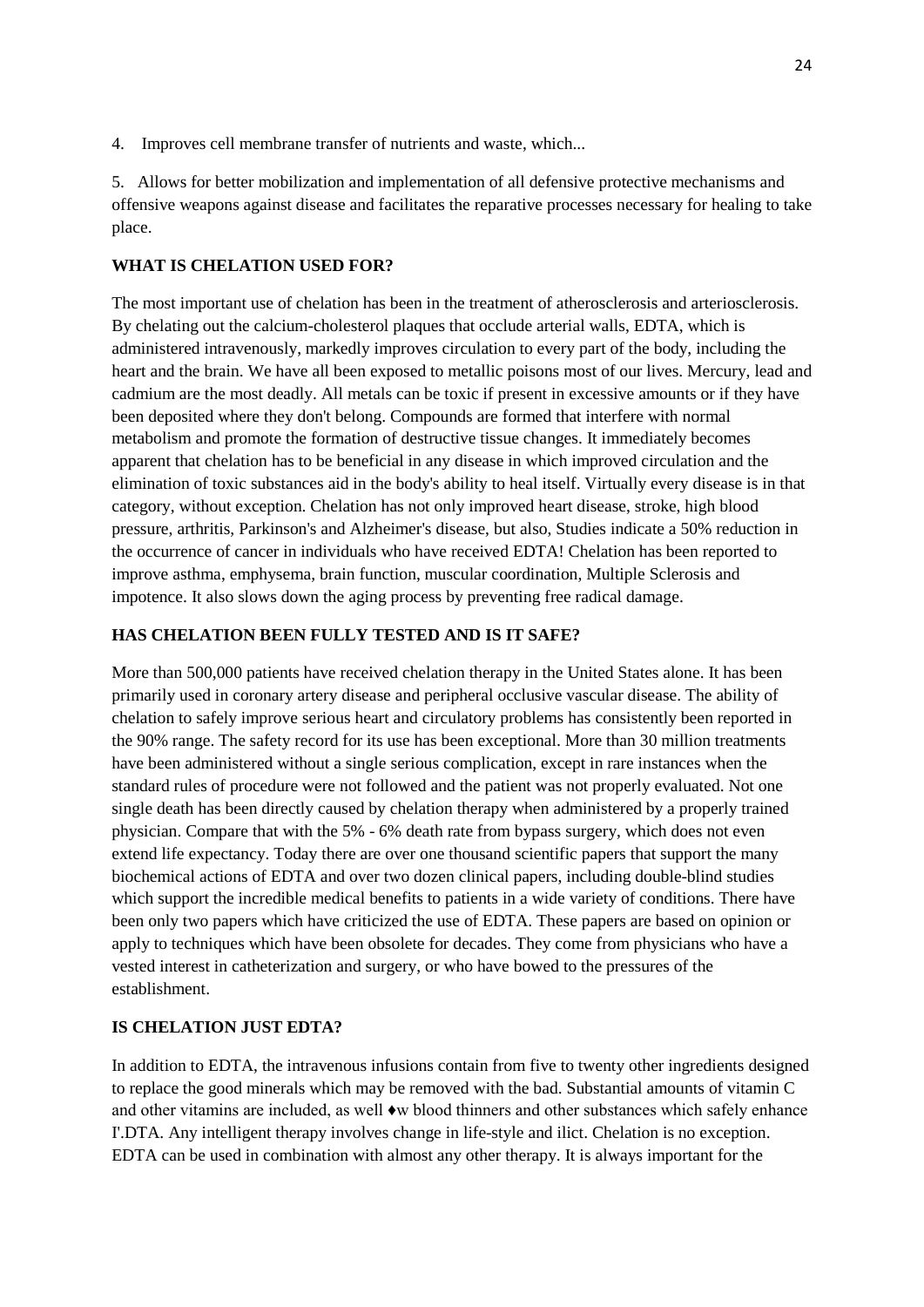4. Improves cell membrane transfer of nutrients and waste, which...

5. Allows for better mobilization and implementation of all defensive protective mechanisms and offensive weapons against disease and facilitates the reparative processes necessary for healing to take place.

### **WHAT IS CHELATION USED FOR?**

The most important use of chelation has been in the treatment of atherosclerosis and arteriosclerosis. By chelating out the calcium-cholesterol plaques that occlude arterial walls, EDTA, which is administered intravenously, markedly improves circulation to every part of the body, including the heart and the brain. We have all been exposed to metallic poisons most of our lives. Mercury, lead and cadmium are the most deadly. All metals can be toxic if present in excessive amounts or if they have been deposited where they don't belong. Compounds are formed that interfere with normal metabolism and promote the formation of destructive tissue changes. It immediately becomes apparent that chelation has to be beneficial in any disease in which improved circulation and the elimination of toxic substances aid in the body's ability to heal itself. Virtually every disease is in that category, without exception. Chelation has not only improved heart disease, stroke, high blood pressure, arthritis, Parkinson's and Alzheimer's disease, but also, Studies indicate a 50% reduction in the occurrence of cancer in individuals who have received EDTA! Chelation has been reported to improve asthma, emphysema, brain function, muscular coordination, Multiple Sclerosis and impotence. It also slows down the aging process by preventing free radical damage.

#### **HAS CHELATION BEEN FULLY TESTED AND IS IT SAFE?**

More than 500,000 patients have received chelation therapy in the United States alone. It has been primarily used in coronary artery disease and peripheral occlusive vascular disease. The ability of chelation to safely improve serious heart and circulatory problems has consistently been reported in the 90% range. The safety record for its use has been exceptional. More than 30 million treatments have been administered without a single serious complication, except in rare instances when the standard rules of procedure were not followed and the patient was not properly evaluated. Not one single death has been directly caused by chelation therapy when administered by a properly trained physician. Compare that with the 5% - 6% death rate from bypass surgery, which does not even extend life expectancy. Today there are over one thousand scientific papers that support the many biochemical actions of EDTA and over two dozen clinical papers, including double-blind studies which support the incredible medical benefits to patients in a wide variety of conditions. There have been only two papers which have criticized the use of EDTA. These papers are based on opinion or apply to techniques which have been obsolete for decades. They come from physicians who have a vested interest in catheterization and surgery, or who have bowed to the pressures of the establishment.

# **IS CHELATION JUST EDTA?**

In addition to EDTA, the intravenous infusions contain from five to twenty other ingredients designed to replace the good minerals which may be removed with the bad. Substantial amounts of vitamin C and other vitamins are included, as well  $\bullet$ w blood thinners and other substances which safely enhance I'.DTA. Any intelligent therapy involves change in life-style and ilict. Chelation is no exception. EDTA can be used in combination with almost any other therapy. It is always important for the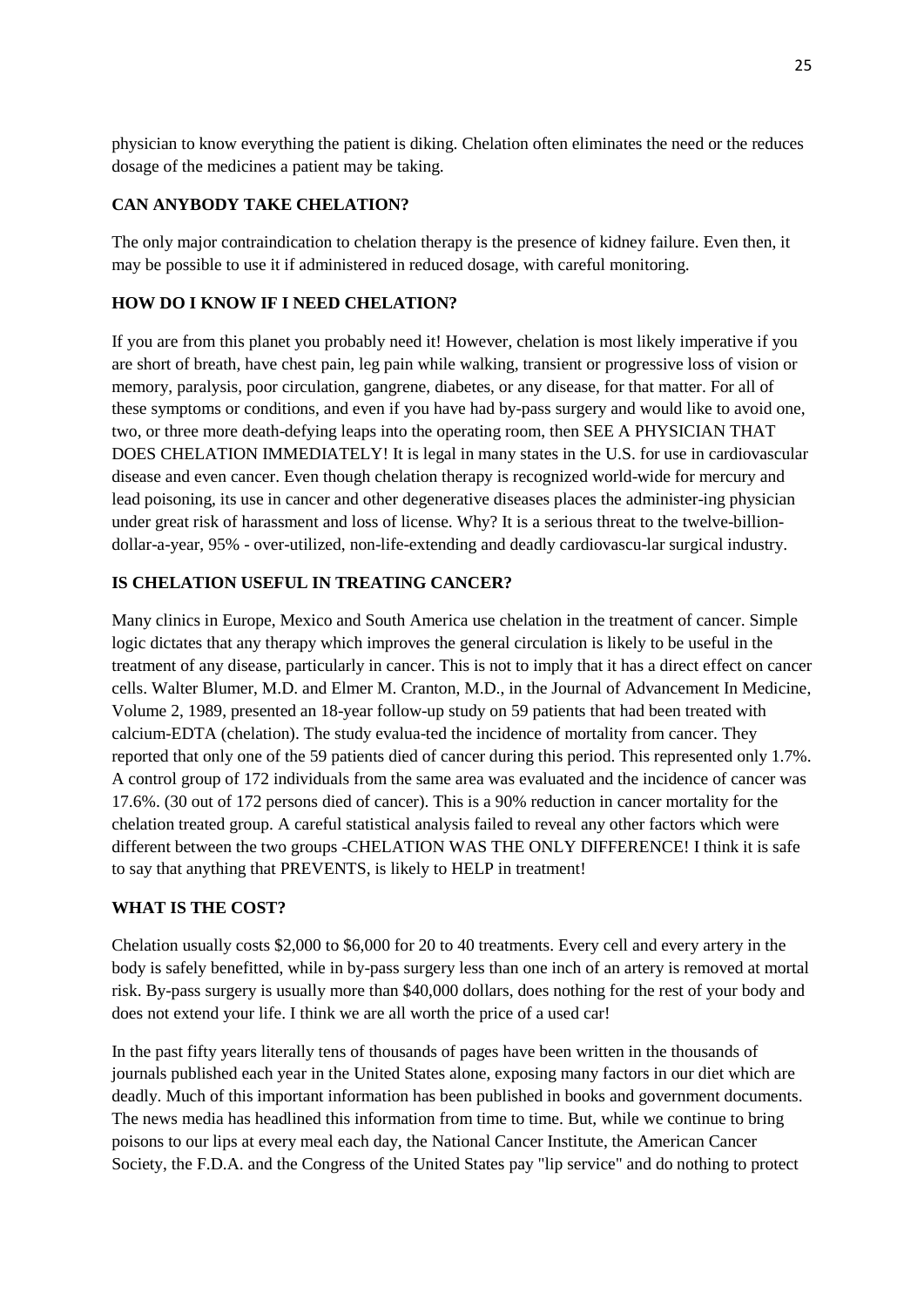physician to know everything the patient is diking. Chelation often eliminates the need or the reduces dosage of the medicines a patient may be taking.

### **CAN ANYBODY TAKE CHELATION?**

The only major contraindication to chelation therapy is the presence of kidney failure. Even then, it may be possible to use it if administered in reduced dosage, with careful monitoring.

### **HOW DO I KNOW IF I NEED CHELATION?**

If you are from this planet you probably need it! However, chelation is most likely imperative if you are short of breath, have chest pain, leg pain while walking, transient or progressive loss of vision or memory, paralysis, poor circulation, gangrene, diabetes, or any disease, for that matter. For all of these symptoms or conditions, and even if you have had by-pass surgery and would like to avoid one, two, or three more death-defying leaps into the operating room, then SEE A PHYSICIAN THAT DOES CHELATION IMMEDIATELY! It is legal in many states in the U.S. for use in cardiovascular disease and even cancer. Even though chelation therapy is recognized world-wide for mercury and lead poisoning, its use in cancer and other degenerative diseases places the administer-ing physician under great risk of harassment and loss of license. Why? It is a serious threat to the twelve-billiondollar-a-year, 95% - over-utilized, non-life-extending and deadly cardiovascu-lar surgical industry.

# **IS CHELATION USEFUL IN TREATING CANCER?**

Many clinics in Europe, Mexico and South America use chelation in the treatment of cancer. Simple logic dictates that any therapy which improves the general circulation is likely to be useful in the treatment of any disease, particularly in cancer. This is not to imply that it has a direct effect on cancer cells. Walter Blumer, M.D. and Elmer M. Cranton, M.D., in the Journal of Advancement In Medicine, Volume 2, 1989, presented an 18-year follow-up study on 59 patients that had been treated with calcium-EDTA (chelation). The study evalua-ted the incidence of mortality from cancer. They reported that only one of the 59 patients died of cancer during this period. This represented only 1.7%. A control group of 172 individuals from the same area was evaluated and the incidence of cancer was 17.6%. (30 out of 172 persons died of cancer). This is a 90% reduction in cancer mortality for the chelation treated group. A careful statistical analysis failed to reveal any other factors which were different between the two groups -CHELATION WAS THE ONLY DIFFERENCE! I think it is safe to say that anything that PREVENTS, is likely to HELP in treatment!

#### **WHAT IS THE COST?**

Chelation usually costs \$2,000 to \$6,000 for 20 to 40 treatments. Every cell and every artery in the body is safely benefitted, while in by-pass surgery less than one inch of an artery is removed at mortal risk. By-pass surgery is usually more than \$40,000 dollars, does nothing for the rest of your body and does not extend your life. I think we are all worth the price of a used car!

In the past fifty years literally tens of thousands of pages have been written in the thousands of journals published each year in the United States alone, exposing many factors in our diet which are deadly. Much of this important information has been published in books and government documents. The news media has headlined this information from time to time. But, while we continue to bring poisons to our lips at every meal each day, the National Cancer Institute, the American Cancer Society, the F.D.A. and the Congress of the United States pay "lip service" and do nothing to protect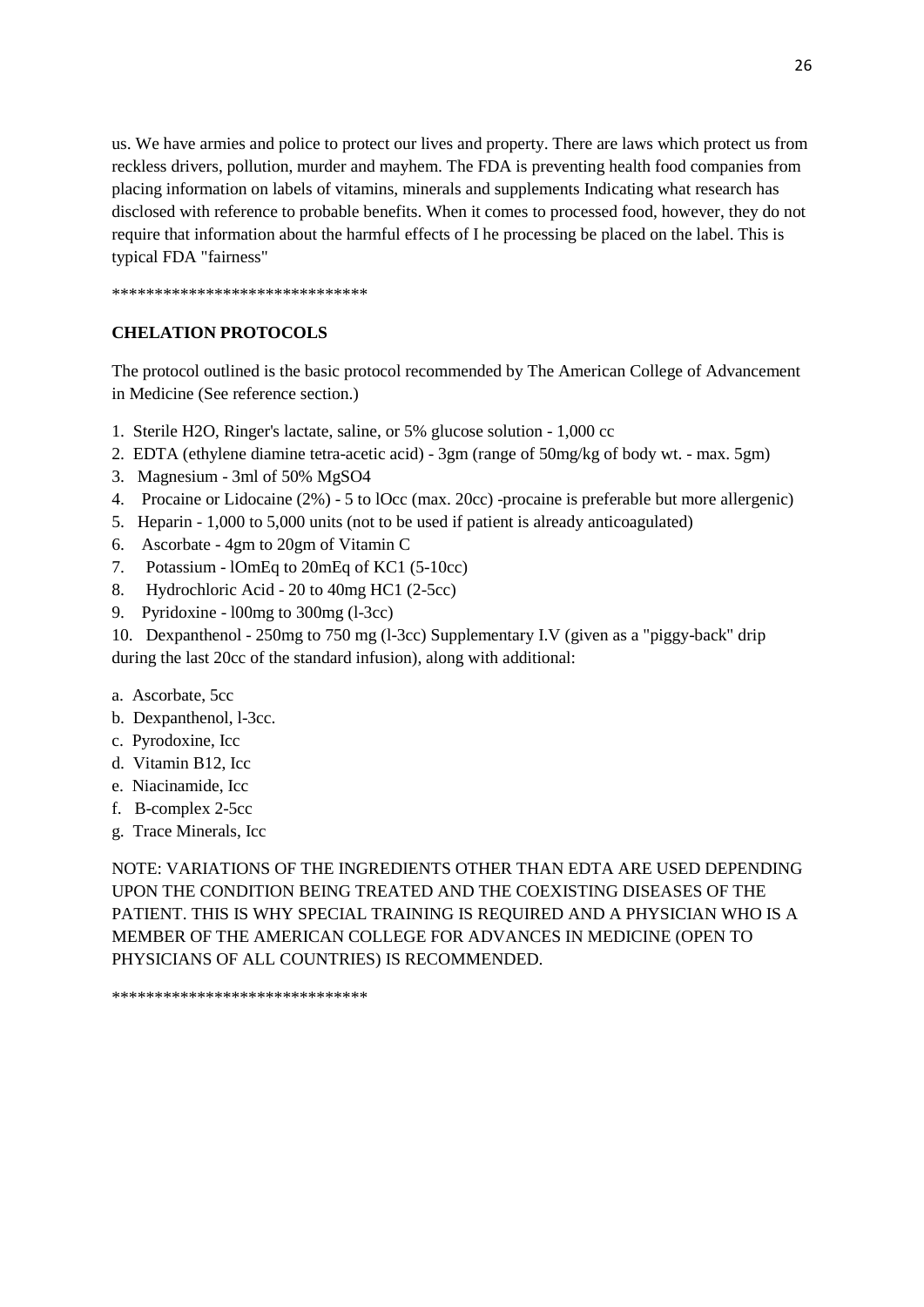us. We have armies and police to protect our lives and property. There are laws which protect us from reckless drivers, pollution, murder and mayhem. The FDA is preventing health food companies from placing information on labels of vitamins, minerals and supplements Indicating what research has disclosed with reference to probable benefits. When it comes to processed food, however, they do not require that information about the harmful effects of I he processing be placed on the label. This is typical FDA "fairness"

#### \*\*\*\*\*\*\*\*\*\*\*\*\*\*\*\*\*\*\*\*\*\*\*\*\*\*\*\*\*\*

#### **CHELATION PROTOCOLS**

The protocol outlined is the basic protocol recommended by The American College of Advancement in Medicine (See reference section.)

- 1. Sterile H2O, Ringer's lactate, saline, or 5% glucose solution 1,000 cc
- 2. EDTA (ethylene diamine tetra-acetic acid) 3gm (range of 50mg/kg of body wt. max. 5gm)
- 3. Magnesium 3ml of 50% MgSO4
- 4. Procaine or Lidocaine (2%) 5 to lOcc (max. 20cc) -procaine is preferable but more allergenic)
- 5. Heparin 1,000 to 5,000 units (not to be used if patient is already anticoagulated)
- 6. Ascorbate 4gm to 20gm of Vitamin C
- 7. Potassium lOmEq to 20mEq of KC1 (5-10cc)
- 8. Hydrochloric Acid 20 to 40mg HC1 (2-5cc)
- 9. Pyridoxine l00mg to 300mg (l-3cc)

10. Dexpanthenol - 250mg to 750 mg (l-3cc) Supplementary I.V (given as a "piggy-back" drip during the last 20cc of the standard infusion), along with additional:

- a. Ascorbate, 5cc
- b. Dexpanthenol, l-3cc.
- c. Pyrodoxine, Icc
- d. Vitamin B12, Icc
- e. Niacinamide, Icc
- f. B-complex 2-5cc
- g. Trace Minerals, Icc

NOTE: VARIATIONS OF THE INGREDIENTS OTHER THAN EDTA ARE USED DEPENDING UPON THE CONDITION BEING TREATED AND THE COEXISTING DISEASES OF THE PATIENT. THIS IS WHY SPECIAL TRAINING IS REQUIRED AND A PHYSICIAN WHO IS A MEMBER OF THE AMERICAN COLLEGE FOR ADVANCES IN MEDICINE (OPEN TO PHYSICIANS OF ALL COUNTRIES) IS RECOMMENDED.

\*\*\*\*\*\*\*\*\*\*\*\*\*\*\*\*\*\*\*\*\*\*\*\*\*\*\*\*\*\*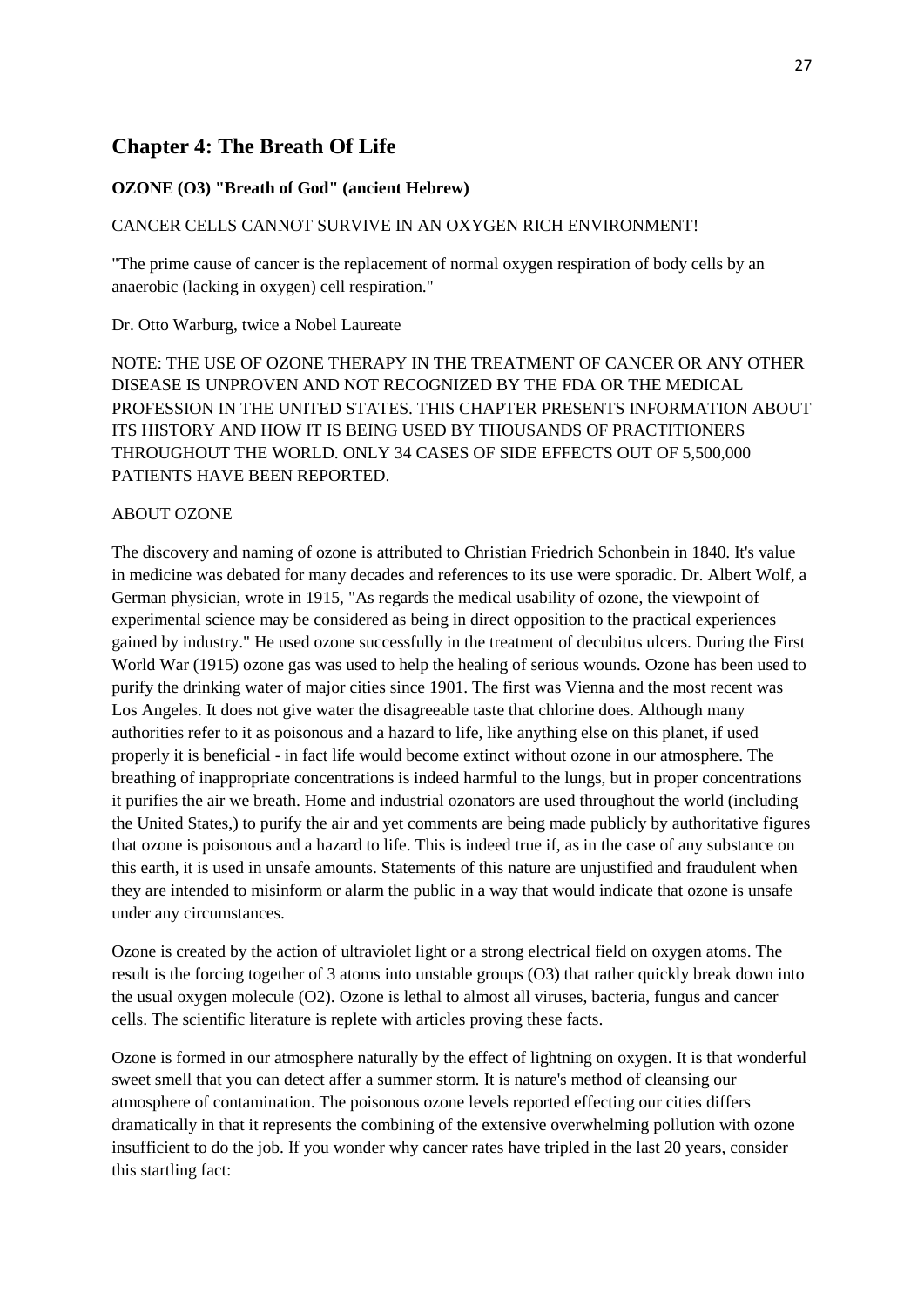# **Chapter 4: The Breath Of Life**

#### **OZONE (O3) "Breath of God" (ancient Hebrew)**

#### CANCER CELLS CANNOT SURVIVE IN AN OXYGEN RICH ENVIRONMENT!

"The prime cause of cancer is the replacement of normal oxygen respiration of body cells by an anaerobic (lacking in oxygen) cell respiration."

Dr. Otto Warburg, twice a Nobel Laureate

NOTE: THE USE OF OZONE THERAPY IN THE TREATMENT OF CANCER OR ANY OTHER DISEASE IS UNPROVEN AND NOT RECOGNIZED BY THE FDA OR THE MEDICAL PROFESSION IN THE UNITED STATES. THIS CHAPTER PRESENTS INFORMATION ABOUT ITS HISTORY AND HOW IT IS BEING USED BY THOUSANDS OF PRACTITIONERS THROUGHOUT THE WORLD. ONLY 34 CASES OF SIDE EFFECTS OUT OF 5,500,000 PATIENTS HAVE BEEN REPORTED.

#### ABOUT OZONE

The discovery and naming of ozone is attributed to Christian Friedrich Schonbein in 1840. It's value in medicine was debated for many decades and references to its use were sporadic. Dr. Albert Wolf, a German physician, wrote in 1915, "As regards the medical usability of ozone, the viewpoint of experimental science may be considered as being in direct opposition to the practical experiences gained by industry." He used ozone successfully in the treatment of decubitus ulcers. During the First World War (1915) ozone gas was used to help the healing of serious wounds. Ozone has been used to purify the drinking water of major cities since 1901. The first was Vienna and the most recent was Los Angeles. It does not give water the disagreeable taste that chlorine does. Although many authorities refer to it as poisonous and a hazard to life, like anything else on this planet, if used properly it is beneficial - in fact life would become extinct without ozone in our atmosphere. The breathing of inappropriate concentrations is indeed harmful to the lungs, but in proper concentrations it purifies the air we breath. Home and industrial ozonators are used throughout the world (including the United States,) to purify the air and yet comments are being made publicly by authoritative figures that ozone is poisonous and a hazard to life. This is indeed true if, as in the case of any substance on this earth, it is used in unsafe amounts. Statements of this nature are unjustified and fraudulent when they are intended to misinform or alarm the public in a way that would indicate that ozone is unsafe under any circumstances.

Ozone is created by the action of ultraviolet light or a strong electrical field on oxygen atoms. The result is the forcing together of 3 atoms into unstable groups (O3) that rather quickly break down into the usual oxygen molecule (O2). Ozone is lethal to almost all viruses, bacteria, fungus and cancer cells. The scientific literature is replete with articles proving these facts.

Ozone is formed in our atmosphere naturally by the effect of lightning on oxygen. It is that wonderful sweet smell that you can detect affer a summer storm. It is nature's method of cleansing our atmosphere of contamination. The poisonous ozone levels reported effecting our cities differs dramatically in that it represents the combining of the extensive overwhelming pollution with ozone insufficient to do the job. If you wonder why cancer rates have tripled in the last 20 years, consider this startling fact: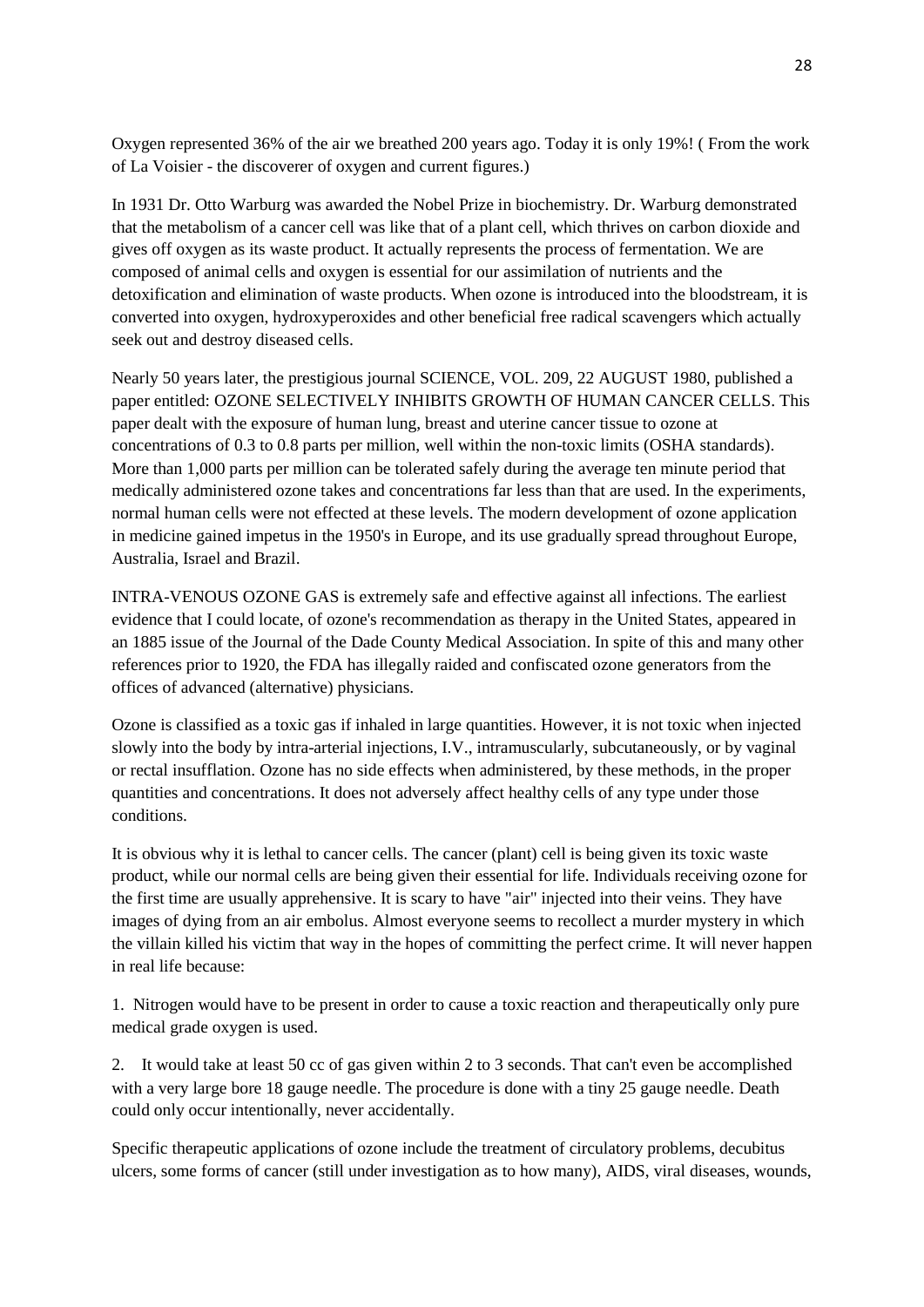Oxygen represented 36% of the air we breathed 200 years ago. Today it is only 19%! ( From the work of La Voisier - the discoverer of oxygen and current figures.)

In 1931 Dr. Otto Warburg was awarded the Nobel Prize in biochemistry. Dr. Warburg demonstrated that the metabolism of a cancer cell was like that of a plant cell, which thrives on carbon dioxide and gives off oxygen as its waste product. It actually represents the process of fermentation. We are composed of animal cells and oxygen is essential for our assimilation of nutrients and the detoxification and elimination of waste products. When ozone is introduced into the bloodstream, it is converted into oxygen, hydroxyperoxides and other beneficial free radical scavengers which actually seek out and destroy diseased cells.

Nearly 50 years later, the prestigious journal SCIENCE, VOL. 209, 22 AUGUST 1980, published a paper entitled: OZONE SELECTIVELY INHIBITS GROWTH OF HUMAN CANCER CELLS. This paper dealt with the exposure of human lung, breast and uterine cancer tissue to ozone at concentrations of 0.3 to 0.8 parts per million, well within the non-toxic limits (OSHA standards). More than 1,000 parts per million can be tolerated safely during the average ten minute period that medically administered ozone takes and concentrations far less than that are used. In the experiments, normal human cells were not effected at these levels. The modern development of ozone application in medicine gained impetus in the 1950's in Europe, and its use gradually spread throughout Europe, Australia, Israel and Brazil.

INTRA-VENOUS OZONE GAS is extremely safe and effective against all infections. The earliest evidence that I could locate, of ozone's recommendation as therapy in the United States, appeared in an 1885 issue of the Journal of the Dade County Medical Association. In spite of this and many other references prior to 1920, the FDA has illegally raided and confiscated ozone generators from the offices of advanced (alternative) physicians.

Ozone is classified as a toxic gas if inhaled in large quantities. However, it is not toxic when injected slowly into the body by intra-arterial injections, I.V., intramuscularly, subcutaneously, or by vaginal or rectal insufflation. Ozone has no side effects when administered, by these methods, in the proper quantities and concentrations. It does not adversely affect healthy cells of any type under those conditions.

It is obvious why it is lethal to cancer cells. The cancer (plant) cell is being given its toxic waste product, while our normal cells are being given their essential for life. Individuals receiving ozone for the first time are usually apprehensive. It is scary to have "air" injected into their veins. They have images of dying from an air embolus. Almost everyone seems to recollect a murder mystery in which the villain killed his victim that way in the hopes of committing the perfect crime. It will never happen in real life because:

1. Nitrogen would have to be present in order to cause a toxic reaction and therapeutically only pure medical grade oxygen is used.

2. It would take at least 50 cc of gas given within 2 to 3 seconds. That can't even be accomplished with a very large bore 18 gauge needle. The procedure is done with a tiny 25 gauge needle. Death could only occur intentionally, never accidentally.

Specific therapeutic applications of ozone include the treatment of circulatory problems, decubitus ulcers, some forms of cancer (still under investigation as to how many), AIDS, viral diseases, wounds,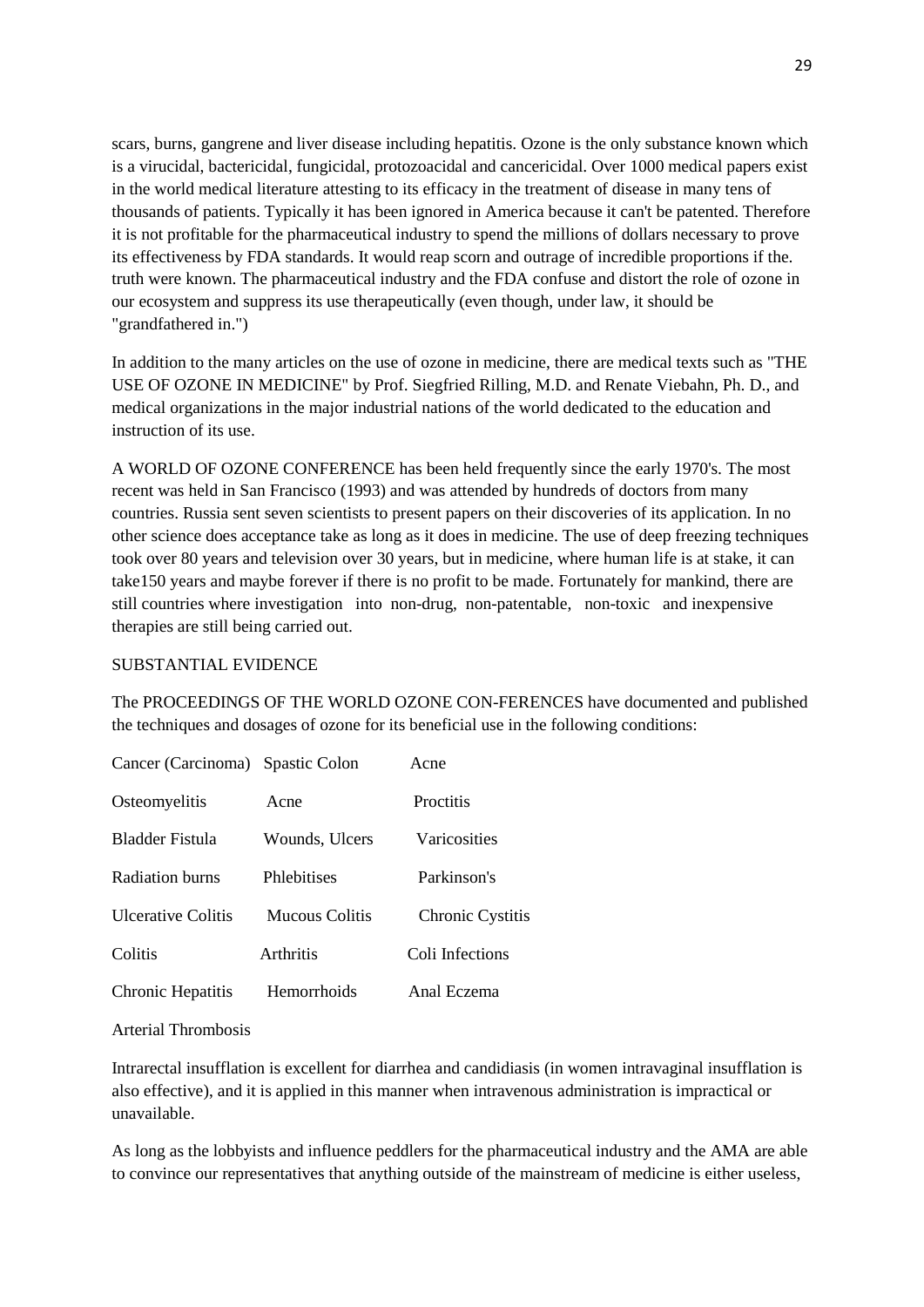scars, burns, gangrene and liver disease including hepatitis. Ozone is the only substance known which is a virucidal, bactericidal, fungicidal, protozoacidal and cancericidal. Over 1000 medical papers exist in the world medical literature attesting to its efficacy in the treatment of disease in many tens of thousands of patients. Typically it has been ignored in America because it can't be patented. Therefore it is not profitable for the pharmaceutical industry to spend the millions of dollars necessary to prove its effectiveness by FDA standards. It would reap scorn and outrage of incredible proportions if the. truth were known. The pharmaceutical industry and the FDA confuse and distort the role of ozone in our ecosystem and suppress its use therapeutically (even though, under law, it should be "grandfathered in.")

In addition to the many articles on the use of ozone in medicine, there are medical texts such as "THE USE OF OZONE IN MEDICINE" by Prof. Siegfried Rilling, M.D. and Renate Viebahn, Ph. D., and medical organizations in the major industrial nations of the world dedicated to the education and instruction of its use.

A WORLD OF OZONE CONFERENCE has been held frequently since the early 1970's. The most recent was held in San Francisco (1993) and was attended by hundreds of doctors from many countries. Russia sent seven scientists to present papers on their discoveries of its application. In no other science does acceptance take as long as it does in medicine. The use of deep freezing techniques took over 80 years and television over 30 years, but in medicine, where human life is at stake, it can take150 years and maybe forever if there is no profit to be made. Fortunately for mankind, there are still countries where investigation into non-drug, non-patentable, non-toxic and inexpensive therapies are still being carried out.

#### SUBSTANTIAL EVIDENCE

The PROCEEDINGS OF THE WORLD OZONE CON-FERENCES have documented and published the techniques and dosages of ozone for its beneficial use in the following conditions:

| Cancer (Carcinoma) Spastic Colon |                       | Acne             |
|----------------------------------|-----------------------|------------------|
| Osteomyelitis                    | Acne                  | <b>Proctitis</b> |
| <b>Bladder Fistula</b>           | Wounds, Ulcers        | Varicosities     |
| Radiation burns                  | <b>Phlebitises</b>    | Parkinson's      |
| <b>Ulcerative Colitis</b>        | <b>Mucous Colitis</b> | Chronic Cystitis |
| Colitis                          | Arthritis             | Coli Infections  |
| Chronic Hepatitis                | Hemorrhoids           | Anal Eczema      |

Arterial Thrombosis

Intrarectal insufflation is excellent for diarrhea and candidiasis (in women intravaginal insufflation is also effective), and it is applied in this manner when intravenous administration is impractical or unavailable.

As long as the lobbyists and influence peddlers for the pharmaceutical industry and the AMA are able to convince our representatives that anything outside of the mainstream of medicine is either useless,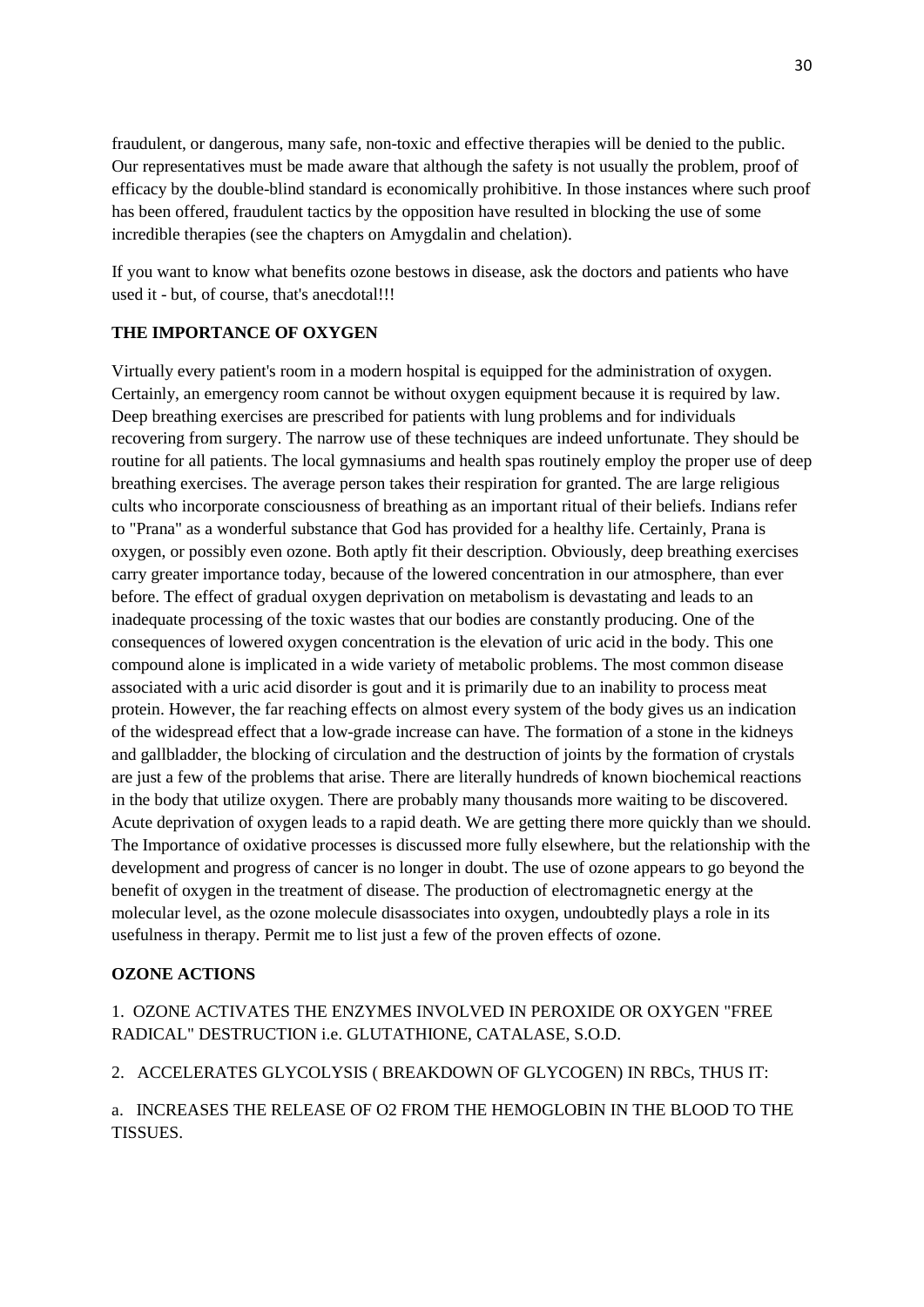fraudulent, or dangerous, many safe, non-toxic and effective therapies will be denied to the public. Our representatives must be made aware that although the safety is not usually the problem, proof of efficacy by the double-blind standard is economically prohibitive. In those instances where such proof has been offered, fraudulent tactics by the opposition have resulted in blocking the use of some incredible therapies (see the chapters on Amygdalin and chelation).

If you want to know what benefits ozone bestows in disease, ask the doctors and patients who have used it - but, of course, that's anecdotal!!!

#### **THE IMPORTANCE OF OXYGEN**

Virtually every patient's room in a modern hospital is equipped for the administration of oxygen. Certainly, an emergency room cannot be without oxygen equipment because it is required by law. Deep breathing exercises are prescribed for patients with lung problems and for individuals recovering from surgery. The narrow use of these techniques are indeed unfortunate. They should be routine for all patients. The local gymnasiums and health spas routinely employ the proper use of deep breathing exercises. The average person takes their respiration for granted. The are large religious cults who incorporate consciousness of breathing as an important ritual of their beliefs. Indians refer to "Prana" as a wonderful substance that God has provided for a healthy life. Certainly, Prana is oxygen, or possibly even ozone. Both aptly fit their description. Obviously, deep breathing exercises carry greater importance today, because of the lowered concentration in our atmosphere, than ever before. The effect of gradual oxygen deprivation on metabolism is devastating and leads to an inadequate processing of the toxic wastes that our bodies are constantly producing. One of the consequences of lowered oxygen concentration is the elevation of uric acid in the body. This one compound alone is implicated in a wide variety of metabolic problems. The most common disease associated with a uric acid disorder is gout and it is primarily due to an inability to process meat protein. However, the far reaching effects on almost every system of the body gives us an indication of the widespread effect that a low-grade increase can have. The formation of a stone in the kidneys and gallbladder, the blocking of circulation and the destruction of joints by the formation of crystals are just a few of the problems that arise. There are literally hundreds of known biochemical reactions in the body that utilize oxygen. There are probably many thousands more waiting to be discovered. Acute deprivation of oxygen leads to a rapid death. We are getting there more quickly than we should. The Importance of oxidative processes is discussed more fully elsewhere, but the relationship with the development and progress of cancer is no longer in doubt. The use of ozone appears to go beyond the benefit of oxygen in the treatment of disease. The production of electromagnetic energy at the molecular level, as the ozone molecule disassociates into oxygen, undoubtedly plays a role in its usefulness in therapy. Permit me to list just a few of the proven effects of ozone.

#### **OZONE ACTIONS**

1. OZONE ACTIVATES THE ENZYMES INVOLVED IN PEROXIDE OR OXYGEN "FREE RADICAL" DESTRUCTION i.e. GLUTATHIONE, CATALASE, S.O.D.

2. ACCELERATES GLYCOLYSIS ( BREAKDOWN OF GLYCOGEN) IN RBCs, THUS IT:

a. INCREASES THE RELEASE OF O2 FROM THE HEMOGLOBIN IN THE BLOOD TO THE TISSUES.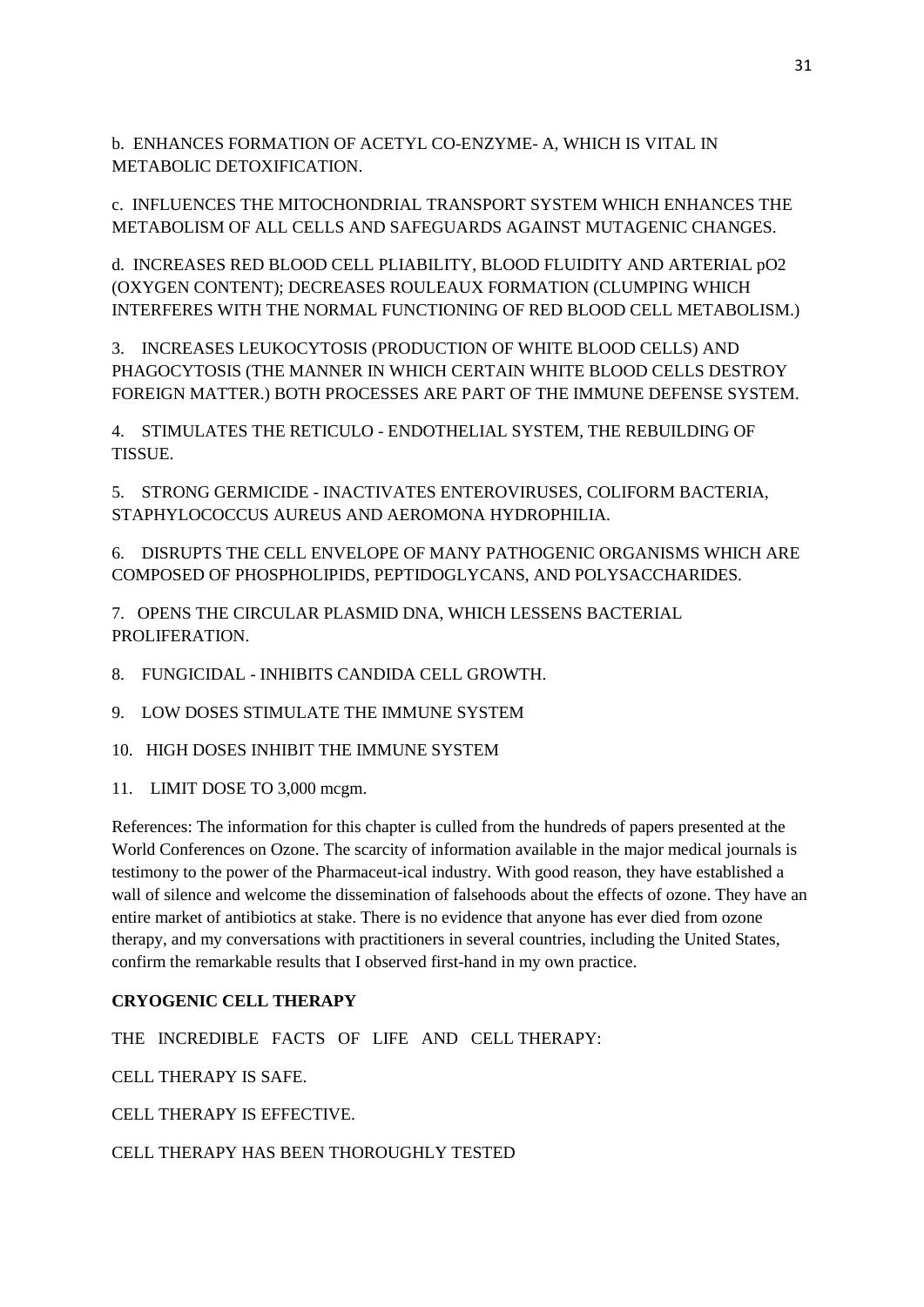b. ENHANCES FORMATION OF ACETYL CO-ENZYME- A, WHICH IS VITAL IN METABOLIC DETOXIFICATION.

c. INFLUENCES THE MITOCHONDRIAL TRANSPORT SYSTEM WHICH ENHANCES THE METABOLISM OF ALL CELLS AND SAFEGUARDS AGAINST MUTAGENIC CHANGES.

d. INCREASES RED BLOOD CELL PLIABILITY, BLOOD FLUIDITY AND ARTERIAL pO2 (OXYGEN CONTENT); DECREASES ROULEAUX FORMATION (CLUMPING WHICH INTERFERES WITH THE NORMAL FUNCTIONING OF RED BLOOD CELL METABOLISM.)

3. INCREASES LEUKOCYTOSIS (PRODUCTION OF WHITE BLOOD CELLS) AND PHAGOCYTOSIS (THE MANNER IN WHICH CERTAIN WHITE BLOOD CELLS DESTROY FOREIGN MATTER.) BOTH PROCESSES ARE PART OF THE IMMUNE DEFENSE SYSTEM.

4. STIMULATES THE RETICULO - ENDOTHELIAL SYSTEM, THE REBUILDING OF TISSUE.

5. STRONG GERMICIDE - INACTIVATES ENTEROVIRUSES, COLIFORM BACTERIA, STAPHYLOCOCCUS AUREUS AND AEROMONA HYDROPHILIA.

6. DISRUPTS THE CELL ENVELOPE OF MANY PATHOGENIC ORGANISMS WHICH ARE COMPOSED OF PHOSPHOLIPIDS, PEPTIDOGLYCANS, AND POLYSACCHARIDES.

7. OPENS THE CIRCULAR PLASMID DNA, WHICH LESSENS BACTERIAL PROLIFERATION.

8. FUNGICIDAL - INHIBITS CANDIDA CELL GROWTH.

9. LOW DOSES STIMULATE THE IMMUNE SYSTEM

10. HIGH DOSES INHIBIT THE IMMUNE SYSTEM

11. LIMIT DOSE TO 3,000 mcgm.

References: The information for this chapter is culled from the hundreds of papers presented at the World Conferences on Ozone. The scarcity of information available in the major medical journals is testimony to the power of the Pharmaceut-ical industry. With good reason, they have established a wall of silence and welcome the dissemination of falsehoods about the effects of ozone. They have an entire market of antibiotics at stake. There is no evidence that anyone has ever died from ozone therapy, and my conversations with practitioners in several countries, including the United States, confirm the remarkable results that I observed first-hand in my own practice.

#### **CRYOGENIC CELL THERAPY**

THE INCREDIBLE FACTS OF LIFE AND CELL THERAPY:

CELL THERAPY IS SAFE.

CELL THERAPY IS EFFECTIVE.

CELL THERAPY HAS BEEN THOROUGHLY TESTED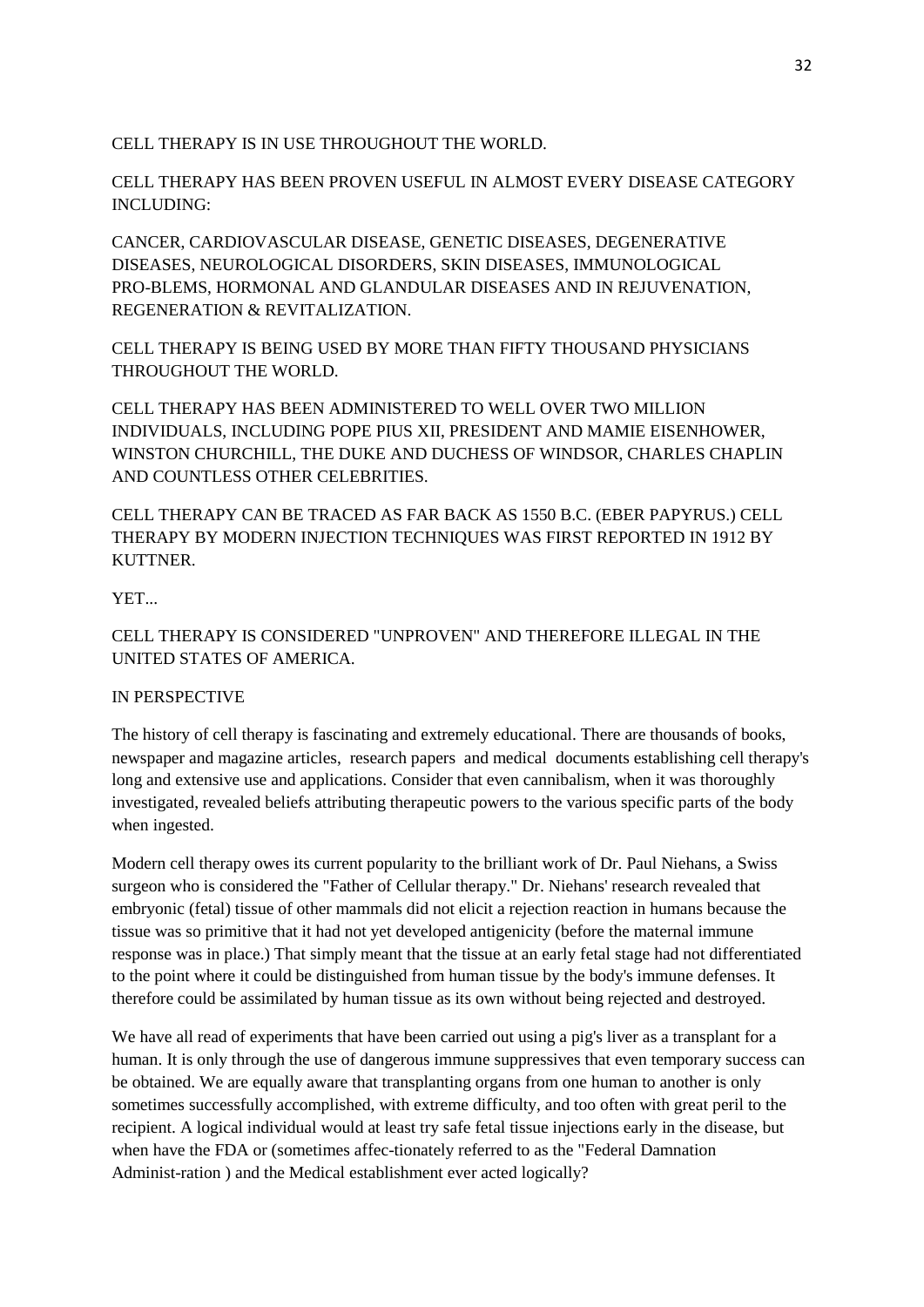CELL THERAPY IS IN USE THROUGHOUT THE WORLD.

CELL THERAPY HAS BEEN PROVEN USEFUL IN ALMOST EVERY DISEASE CATEGORY INCLUDING:

CANCER, CARDIOVASCULAR DISEASE, GENETIC DISEASES, DEGENERATIVE DISEASES, NEUROLOGICAL DISORDERS, SKIN DISEASES, IMMUNOLOGICAL PRO-BLEMS, HORMONAL AND GLANDULAR DISEASES AND IN REJUVENATION, REGENERATION & REVITALIZATION.

CELL THERAPY IS BEING USED BY MORE THAN FIFTY THOUSAND PHYSICIANS THROUGHOUT THE WORLD.

CELL THERAPY HAS BEEN ADMINISTERED TO WELL OVER TWO MILLION INDIVIDUALS, INCLUDING POPE PIUS XII, PRESIDENT AND MAMIE EISENHOWER, WINSTON CHURCHILL, THE DUKE AND DUCHESS OF WINDSOR, CHARLES CHAPLIN AND COUNTLESS OTHER CELEBRITIES.

CELL THERAPY CAN BE TRACED AS FAR BACK AS 1550 B.C. (EBER PAPYRUS.) CELL THERAPY BY MODERN INJECTION TECHNIQUES WAS FIRST REPORTED IN 1912 BY **KUTTNER** 

YET...

# CELL THERAPY IS CONSIDERED "UNPROVEN" AND THEREFORE ILLEGAL IN THE UNITED STATES OF AMERICA.

#### IN PERSPECTIVE

The history of cell therapy is fascinating and extremely educational. There are thousands of books, newspaper and magazine articles, research papers and medical documents establishing cell therapy's long and extensive use and applications. Consider that even cannibalism, when it was thoroughly investigated, revealed beliefs attributing therapeutic powers to the various specific parts of the body when ingested.

Modern cell therapy owes its current popularity to the brilliant work of Dr. Paul Niehans, a Swiss surgeon who is considered the "Father of Cellular therapy." Dr. Niehans' research revealed that embryonic (fetal) tissue of other mammals did not elicit a rejection reaction in humans because the tissue was so primitive that it had not yet developed antigenicity (before the maternal immune response was in place.) That simply meant that the tissue at an early fetal stage had not differentiated to the point where it could be distinguished from human tissue by the body's immune defenses. It therefore could be assimilated by human tissue as its own without being rejected and destroyed.

We have all read of experiments that have been carried out using a pig's liver as a transplant for a human. It is only through the use of dangerous immune suppressives that even temporary success can be obtained. We are equally aware that transplanting organs from one human to another is only sometimes successfully accomplished, with extreme difficulty, and too often with great peril to the recipient. A logical individual would at least try safe fetal tissue injections early in the disease, but when have the FDA or (sometimes affec-tionately referred to as the "Federal Damnation Administ-ration ) and the Medical establishment ever acted logically?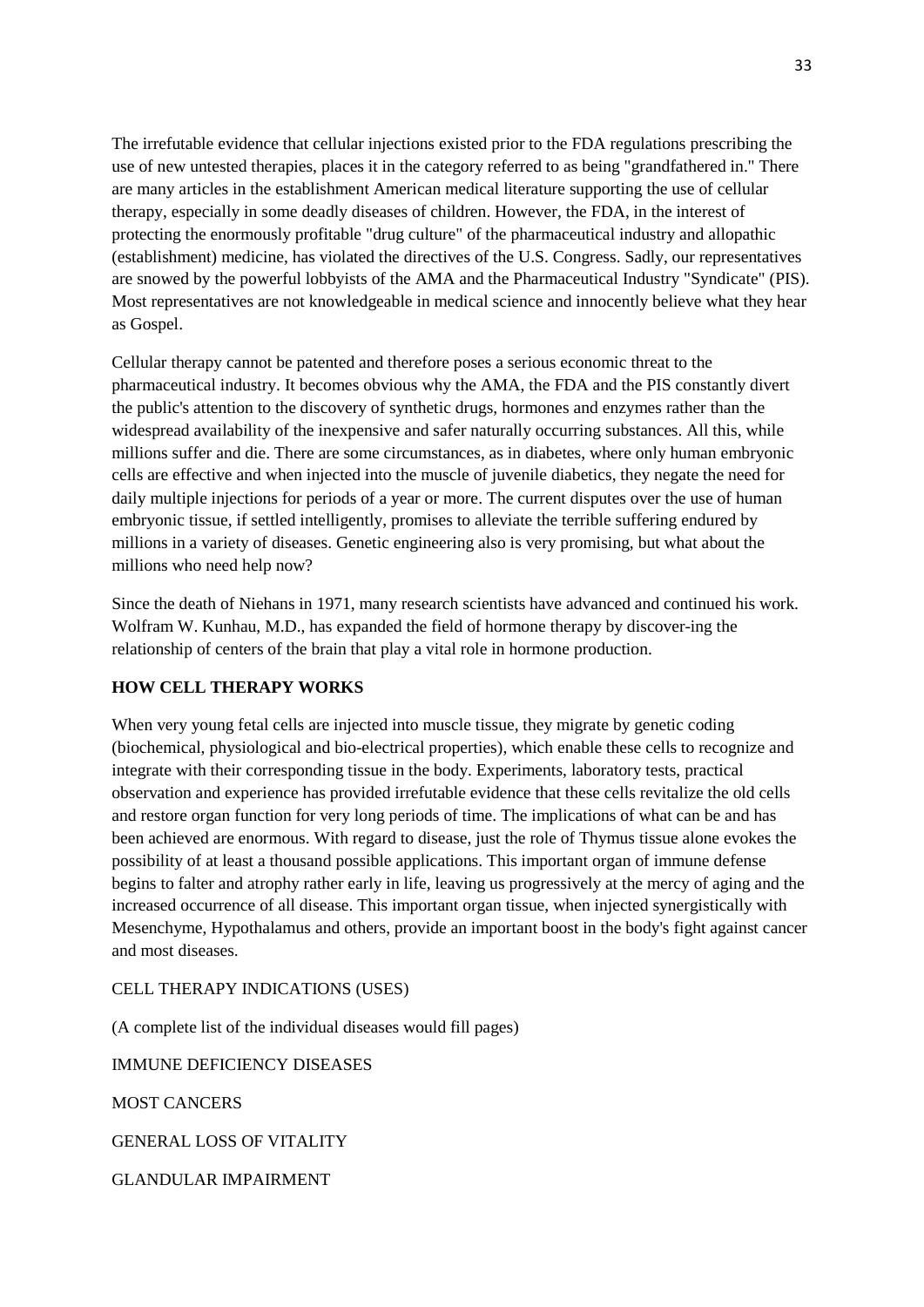The irrefutable evidence that cellular injections existed prior to the FDA regulations prescribing the use of new untested therapies, places it in the category referred to as being "grandfathered in." There are many articles in the establishment American medical literature supporting the use of cellular therapy, especially in some deadly diseases of children. However, the FDA, in the interest of protecting the enormously profitable "drug culture" of the pharmaceutical industry and allopathic (establishment) medicine, has violated the directives of the U.S. Congress. Sadly, our representatives are snowed by the powerful lobbyists of the AMA and the Pharmaceutical Industry "Syndicate" (PIS). Most representatives are not knowledgeable in medical science and innocently believe what they hear as Gospel.

Cellular therapy cannot be patented and therefore poses a serious economic threat to the pharmaceutical industry. It becomes obvious why the AMA, the FDA and the PIS constantly divert the public's attention to the discovery of synthetic drugs, hormones and enzymes rather than the widespread availability of the inexpensive and safer naturally occurring substances. All this, while millions suffer and die. There are some circumstances, as in diabetes, where only human embryonic cells are effective and when injected into the muscle of juvenile diabetics, they negate the need for daily multiple injections for periods of a year or more. The current disputes over the use of human embryonic tissue, if settled intelligently, promises to alleviate the terrible suffering endured by millions in a variety of diseases. Genetic engineering also is very promising, but what about the millions who need help now?

Since the death of Niehans in 1971, many research scientists have advanced and continued his work. Wolfram W. Kunhau, M.D., has expanded the field of hormone therapy by discover-ing the relationship of centers of the brain that play a vital role in hormone production.

#### **HOW CELL THERAPY WORKS**

When very young fetal cells are injected into muscle tissue, they migrate by genetic coding (biochemical, physiological and bio-electrical properties), which enable these cells to recognize and integrate with their corresponding tissue in the body. Experiments, laboratory tests, practical observation and experience has provided irrefutable evidence that these cells revitalize the old cells and restore organ function for very long periods of time. The implications of what can be and has been achieved are enormous. With regard to disease, just the role of Thymus tissue alone evokes the possibility of at least a thousand possible applications. This important organ of immune defense begins to falter and atrophy rather early in life, leaving us progressively at the mercy of aging and the increased occurrence of all disease. This important organ tissue, when injected synergistically with Mesenchyme, Hypothalamus and others, provide an important boost in the body's fight against cancer and most diseases.

CELL THERAPY INDICATIONS (USES)

(A complete list of the individual diseases would fill pages)

IMMUNE DEFICIENCY DISEASES

MOST CANCERS

GENERAL LOSS OF VITALITY

GLANDULAR IMPAIRMENT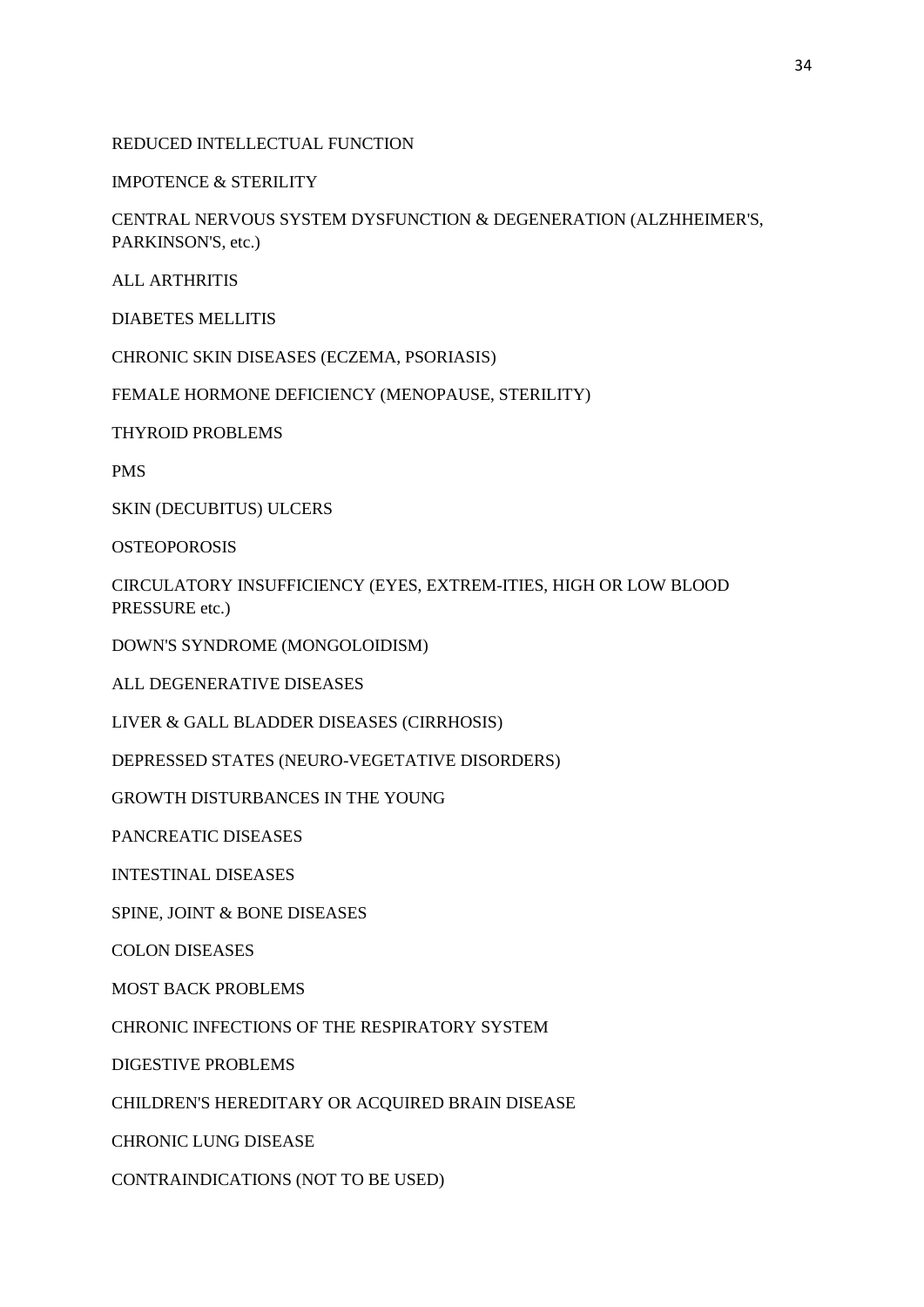#### REDUCED INTELLECTUAL FUNCTION

IMPOTENCE & STERILITY

CENTRAL NERVOUS SYSTEM DYSFUNCTION & DEGENERATION (ALZHHEIMER'S, PARKINSON'S, etc.)

ALL ARTHRITIS

DIABETES MELLITIS

CHRONIC SKIN DISEASES (ECZEMA, PSORIASIS)

FEMALE HORMONE DEFICIENCY (MENOPAUSE, STERILITY)

THYROID PROBLEMS

PMS

SKIN (DECUBITUS) ULCERS

**OSTEOPOROSIS** 

CIRCULATORY INSUFFICIENCY (EYES, EXTREM-ITIES, HIGH OR LOW BLOOD PRESSURE etc.)

DOWN'S SYNDROME (MONGOLOIDISM)

ALL DEGENERATIVE DISEASES

LIVER & GALL BLADDER DISEASES (CIRRHOSIS)

DEPRESSED STATES (NEURO-VEGETATIVE DISORDERS)

GROWTH DISTURBANCES IN THE YOUNG

PANCREATIC DISEASES

INTESTINAL DISEASES

SPINE, JOINT & BONE DISEASES

COLON DISEASES

MOST BACK PROBLEMS

CHRONIC INFECTIONS OF THE RESPIRATORY SYSTEM

DIGESTIVE PROBLEMS

CHILDREN'S HEREDITARY OR ACQUIRED BRAIN DISEASE

CHRONIC LUNG DISEASE

CONTRAINDICATIONS (NOT TO BE USED)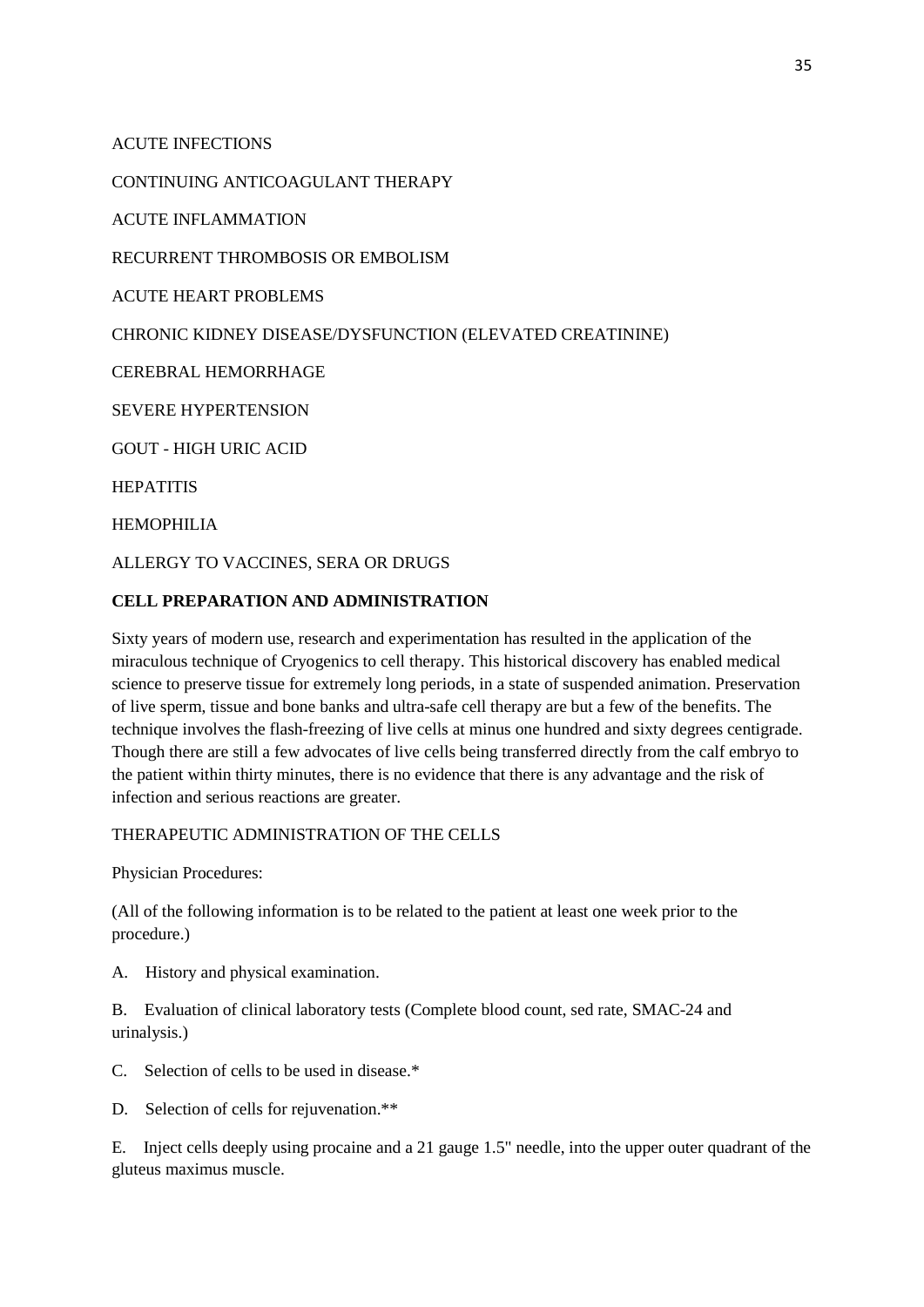ACUTE INFECTIONS

CONTINUING ANTICOAGULANT THERAPY

ACUTE INFLAMMATION

RECURRENT THROMBOSIS OR EMBOLISM

ACUTE HEART PROBLEMS

CHRONIC KIDNEY DISEASE/DYSFUNCTION (ELEVATED CREATININE)

CEREBRAL HEMORRHAGE

SEVERE HYPERTENSION

GOUT - HIGH URIC ACID

**HEPATITIS** 

HEMOPHILIA

ALLERGY TO VACCINES, SERA OR DRUGS

#### **CELL PREPARATION AND ADMINISTRATION**

Sixty years of modern use, research and experimentation has resulted in the application of the miraculous technique of Cryogenics to cell therapy. This historical discovery has enabled medical science to preserve tissue for extremely long periods, in a state of suspended animation. Preservation of live sperm, tissue and bone banks and ultra-safe cell therapy are but a few of the benefits. The technique involves the flash-freezing of live cells at minus one hundred and sixty degrees centigrade. Though there are still a few advocates of live cells being transferred directly from the calf embryo to the patient within thirty minutes, there is no evidence that there is any advantage and the risk of infection and serious reactions are greater.

#### THERAPEUTIC ADMINISTRATION OF THE CELLS

Physician Procedures:

(All of the following information is to be related to the patient at least one week prior to the procedure.)

A. History and physical examination.

B. Evaluation of clinical laboratory tests (Complete blood count, sed rate, SMAC-24 and urinalysis.)

C. Selection of cells to be used in disease.\*

D. Selection of cells for rejuvenation.\*\*

E. Inject cells deeply using procaine and a 21 gauge 1.5" needle, into the upper outer quadrant of the gluteus maximus muscle.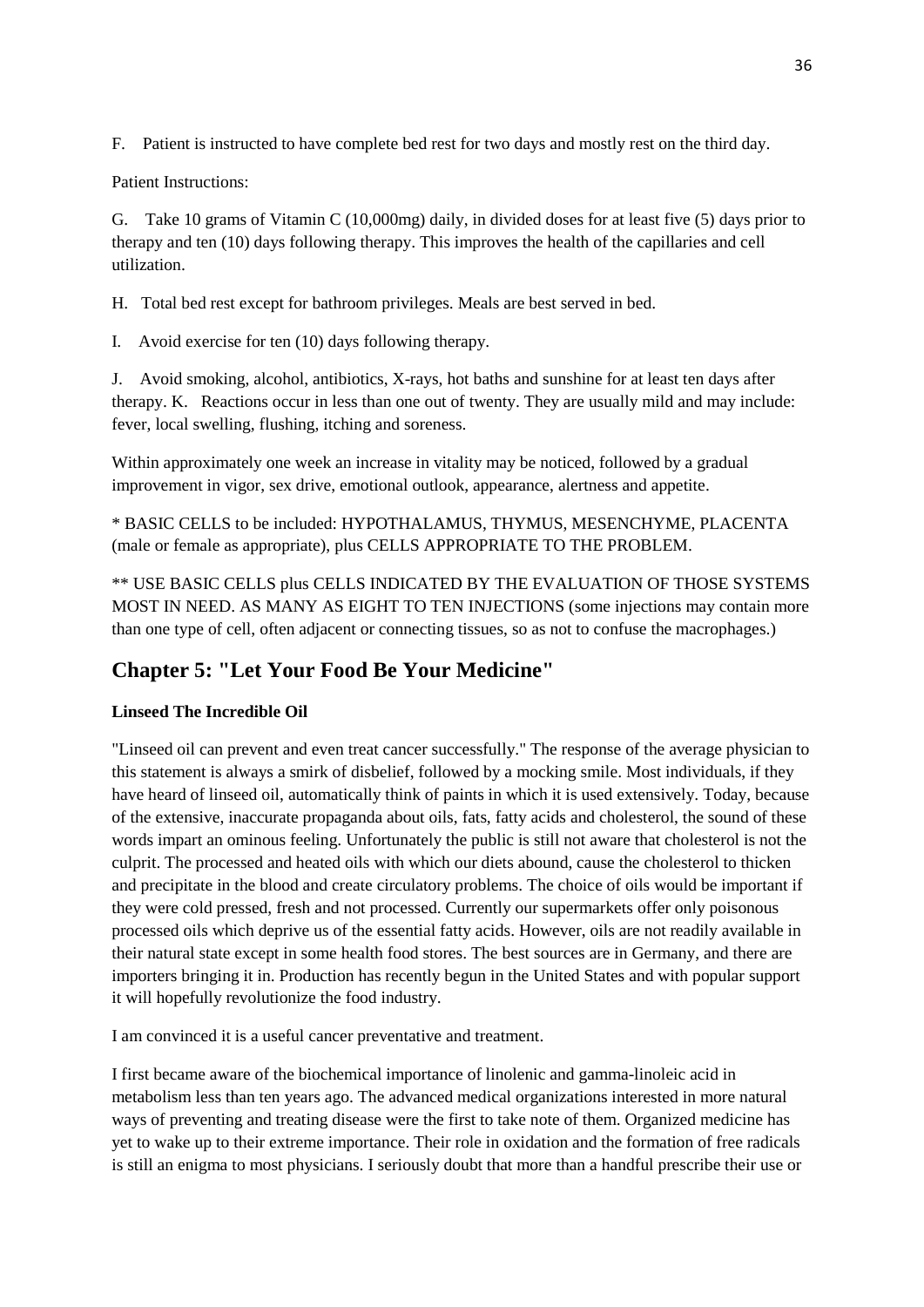F. Patient is instructed to have complete bed rest for two days and mostly rest on the third day.

Patient Instructions:

G. Take 10 grams of Vitamin C (10,000mg) daily, in divided doses for at least five (5) days prior to therapy and ten (10) days following therapy. This improves the health of the capillaries and cell utilization.

H. Total bed rest except for bathroom privileges. Meals are best served in bed.

I. Avoid exercise for ten (10) days following therapy.

J. Avoid smoking, alcohol, antibiotics, X-rays, hot baths and sunshine for at least ten days after therapy. K. Reactions occur in less than one out of twenty. They are usually mild and may include: fever, local swelling, flushing, itching and soreness.

Within approximately one week an increase in vitality may be noticed, followed by a gradual improvement in vigor, sex drive, emotional outlook, appearance, alertness and appetite.

\* BASIC CELLS to be included: HYPOTHALAMUS, THYMUS, MESENCHYME, PLACENTA (male or female as appropriate), plus CELLS APPROPRIATE TO THE PROBLEM.

\*\* USE BASIC CELLS plus CELLS INDICATED BY THE EVALUATION OF THOSE SYSTEMS MOST IN NEED. AS MANY AS EIGHT TO TEN INJECTIONS (some injections may contain more than one type of cell, often adjacent or connecting tissues, so as not to confuse the macrophages.)

# **Chapter 5: "Let Your Food Be Your Medicine"**

# **Linseed The Incredible Oil**

"Linseed oil can prevent and even treat cancer successfully." The response of the average physician to this statement is always a smirk of disbelief, followed by a mocking smile. Most individuals, if they have heard of linseed oil, automatically think of paints in which it is used extensively. Today, because of the extensive, inaccurate propaganda about oils, fats, fatty acids and cholesterol, the sound of these words impart an ominous feeling. Unfortunately the public is still not aware that cholesterol is not the culprit. The processed and heated oils with which our diets abound, cause the cholesterol to thicken and precipitate in the blood and create circulatory problems. The choice of oils would be important if they were cold pressed, fresh and not processed. Currently our supermarkets offer only poisonous processed oils which deprive us of the essential fatty acids. However, oils are not readily available in their natural state except in some health food stores. The best sources are in Germany, and there are importers bringing it in. Production has recently begun in the United States and with popular support it will hopefully revolutionize the food industry.

I am convinced it is a useful cancer preventative and treatment.

I first became aware of the biochemical importance of linolenic and gamma-linoleic acid in metabolism less than ten years ago. The advanced medical organizations interested in more natural ways of preventing and treating disease were the first to take note of them. Organized medicine has yet to wake up to their extreme importance. Their role in oxidation and the formation of free radicals is still an enigma to most physicians. I seriously doubt that more than a handful prescribe their use or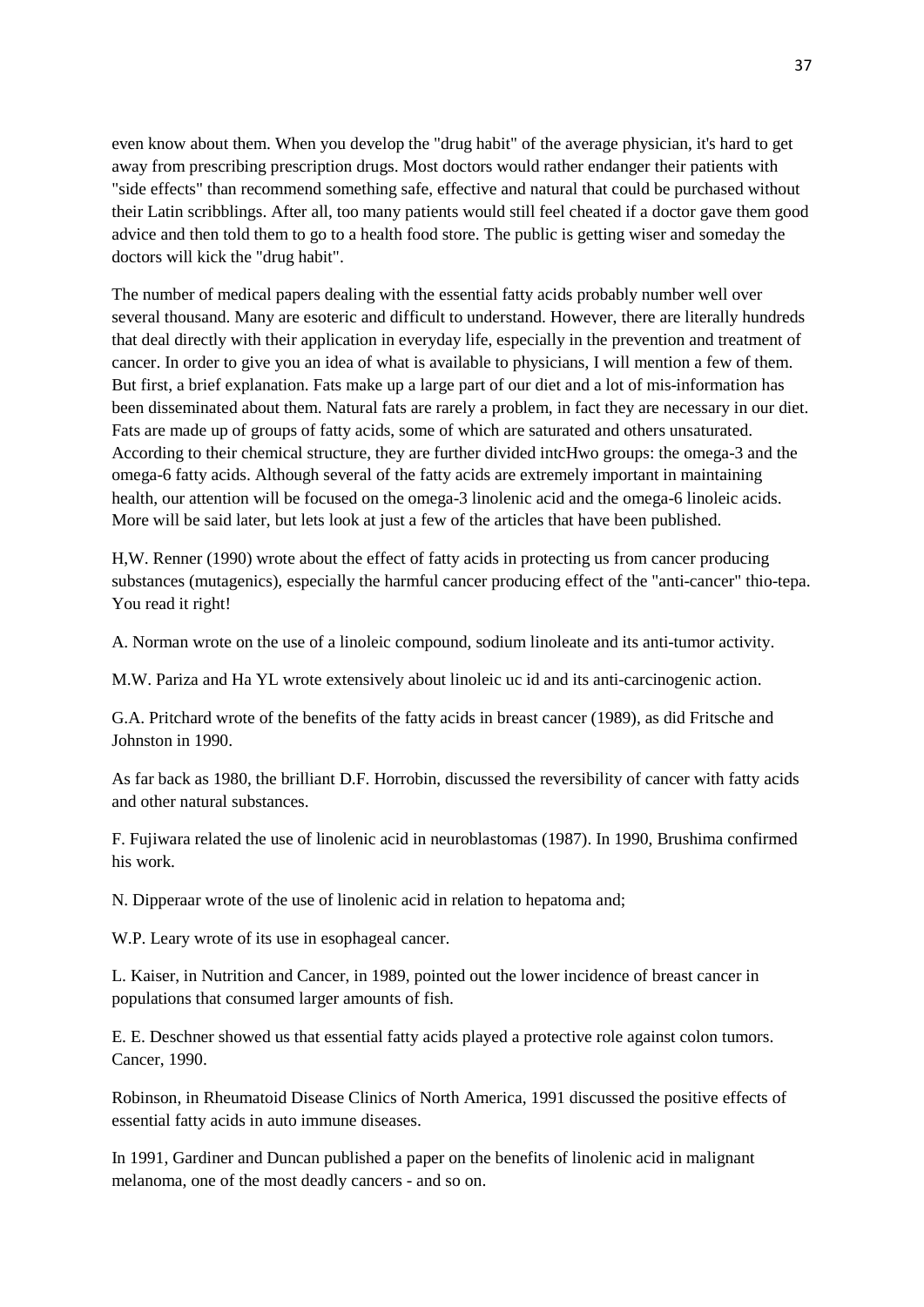even know about them. When you develop the "drug habit" of the average physician, it's hard to get away from prescribing prescription drugs. Most doctors would rather endanger their patients with "side effects" than recommend something safe, effective and natural that could be purchased without their Latin scribblings. After all, too many patients would still feel cheated if a doctor gave them good advice and then told them to go to a health food store. The public is getting wiser and someday the doctors will kick the "drug habit".

The number of medical papers dealing with the essential fatty acids probably number well over several thousand. Many are esoteric and difficult to understand. However, there are literally hundreds that deal directly with their application in everyday life, especially in the prevention and treatment of cancer. In order to give you an idea of what is available to physicians, I will mention a few of them. But first, a brief explanation. Fats make up a large part of our diet and a lot of mis-information has been disseminated about them. Natural fats are rarely a problem, in fact they are necessary in our diet. Fats are made up of groups of fatty acids, some of which are saturated and others unsaturated. According to their chemical structure, they are further divided intcHwo groups: the omega-3 and the omega-6 fatty acids. Although several of the fatty acids are extremely important in maintaining health, our attention will be focused on the omega-3 linolenic acid and the omega-6 linoleic acids. More will be said later, but lets look at just a few of the articles that have been published.

H,W. Renner (1990) wrote about the effect of fatty acids in protecting us from cancer producing substances (mutagenics), especially the harmful cancer producing effect of the "anti-cancer" thio-tepa. You read it right!

A. Norman wrote on the use of a linoleic compound, sodium linoleate and its anti-tumor activity.

M.W. Pariza and Ha YL wrote extensively about linoleic uc id and its anti-carcinogenic action.

G.A. Pritchard wrote of the benefits of the fatty acids in breast cancer (1989), as did Fritsche and Johnston in 1990.

As far back as 1980, the brilliant D.F. Horrobin, discussed the reversibility of cancer with fatty acids and other natural substances.

F. Fujiwara related the use of linolenic acid in neuroblastomas (1987). In 1990, Brushima confirmed his work.

N. Dipperaar wrote of the use of linolenic acid in relation to hepatoma and;

W.P. Leary wrote of its use in esophageal cancer.

L. Kaiser, in Nutrition and Cancer, in 1989, pointed out the lower incidence of breast cancer in populations that consumed larger amounts of fish.

E. E. Deschner showed us that essential fatty acids played a protective role against colon tumors. Cancer, 1990.

Robinson, in Rheumatoid Disease Clinics of North America, 1991 discussed the positive effects of essential fatty acids in auto immune diseases.

In 1991, Gardiner and Duncan published a paper on the benefits of linolenic acid in malignant melanoma, one of the most deadly cancers - and so on.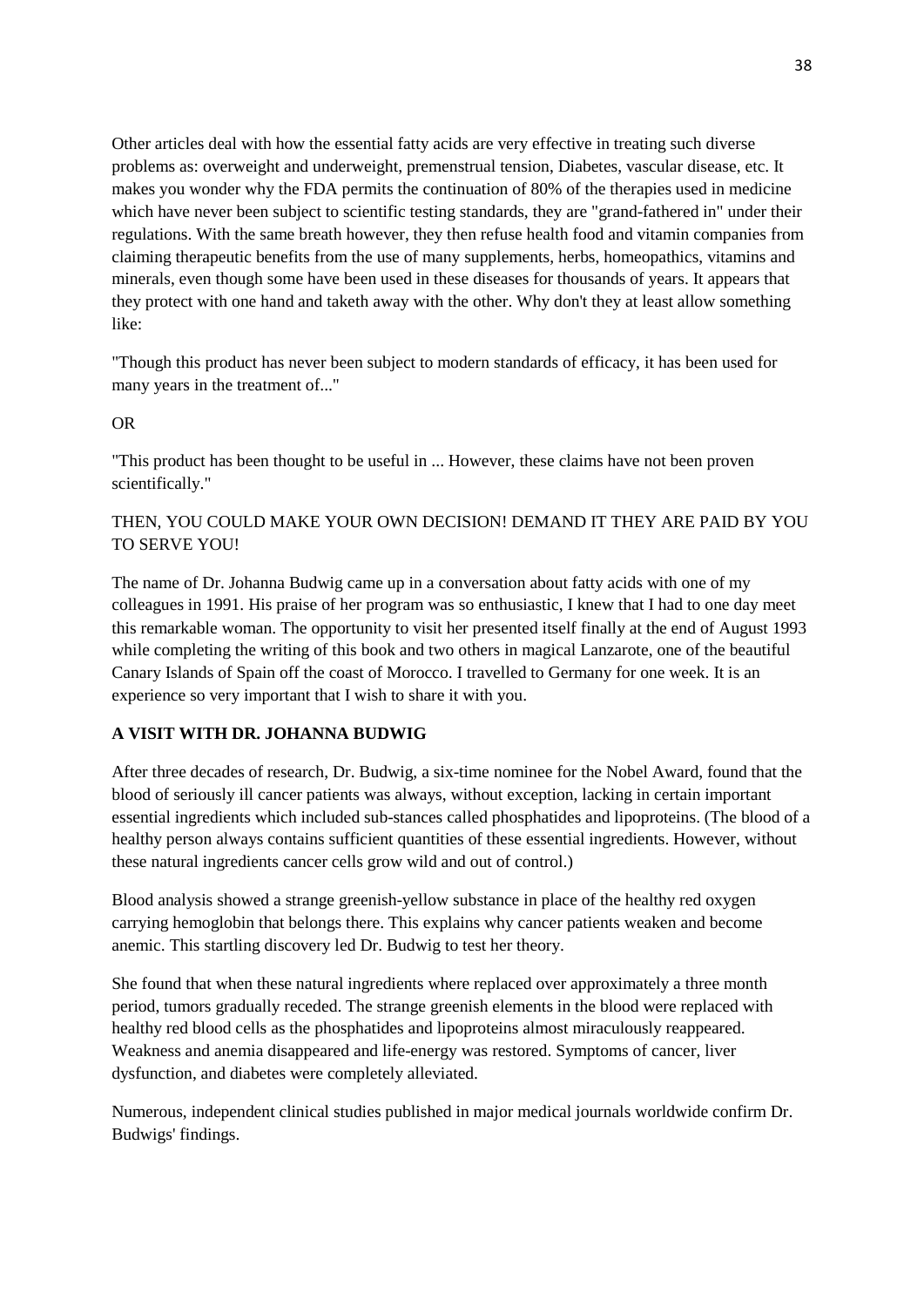Other articles deal with how the essential fatty acids are very effective in treating such diverse problems as: overweight and underweight, premenstrual tension, Diabetes, vascular disease, etc. It makes you wonder why the FDA permits the continuation of 80% of the therapies used in medicine which have never been subject to scientific testing standards, they are "grand-fathered in" under their regulations. With the same breath however, they then refuse health food and vitamin companies from claiming therapeutic benefits from the use of many supplements, herbs, homeopathics, vitamins and minerals, even though some have been used in these diseases for thousands of years. It appears that they protect with one hand and taketh away with the other. Why don't they at least allow something like:

"Though this product has never been subject to modern standards of efficacy, it has been used for many years in the treatment of..."

### OR

"This product has been thought to be useful in ... However, these claims have not been proven scientifically."

# THEN, YOU COULD MAKE YOUR OWN DECISION! DEMAND IT THEY ARE PAID BY YOU TO SERVE YOU!

The name of Dr. Johanna Budwig came up in a conversation about fatty acids with one of my colleagues in 1991. His praise of her program was so enthusiastic, I knew that I had to one day meet this remarkable woman. The opportunity to visit her presented itself finally at the end of August 1993 while completing the writing of this book and two others in magical Lanzarote, one of the beautiful Canary Islands of Spain off the coast of Morocco. I travelled to Germany for one week. It is an experience so very important that I wish to share it with you.

# **A VISIT WITH DR. JOHANNA BUDWIG**

After three decades of research, Dr. Budwig, a six-time nominee for the Nobel Award, found that the blood of seriously ill cancer patients was always, without exception, lacking in certain important essential ingredients which included sub-stances called phosphatides and lipoproteins. (The blood of a healthy person always contains sufficient quantities of these essential ingredients. However, without these natural ingredients cancer cells grow wild and out of control.)

Blood analysis showed a strange greenish-yellow substance in place of the healthy red oxygen carrying hemoglobin that belongs there. This explains why cancer patients weaken and become anemic. This startling discovery led Dr. Budwig to test her theory.

She found that when these natural ingredients where replaced over approximately a three month period, tumors gradually receded. The strange greenish elements in the blood were replaced with healthy red blood cells as the phosphatides and lipoproteins almost miraculously reappeared. Weakness and anemia disappeared and life-energy was restored. Symptoms of cancer, liver dysfunction, and diabetes were completely alleviated.

Numerous, independent clinical studies published in major medical journals worldwide confirm Dr. Budwigs' findings.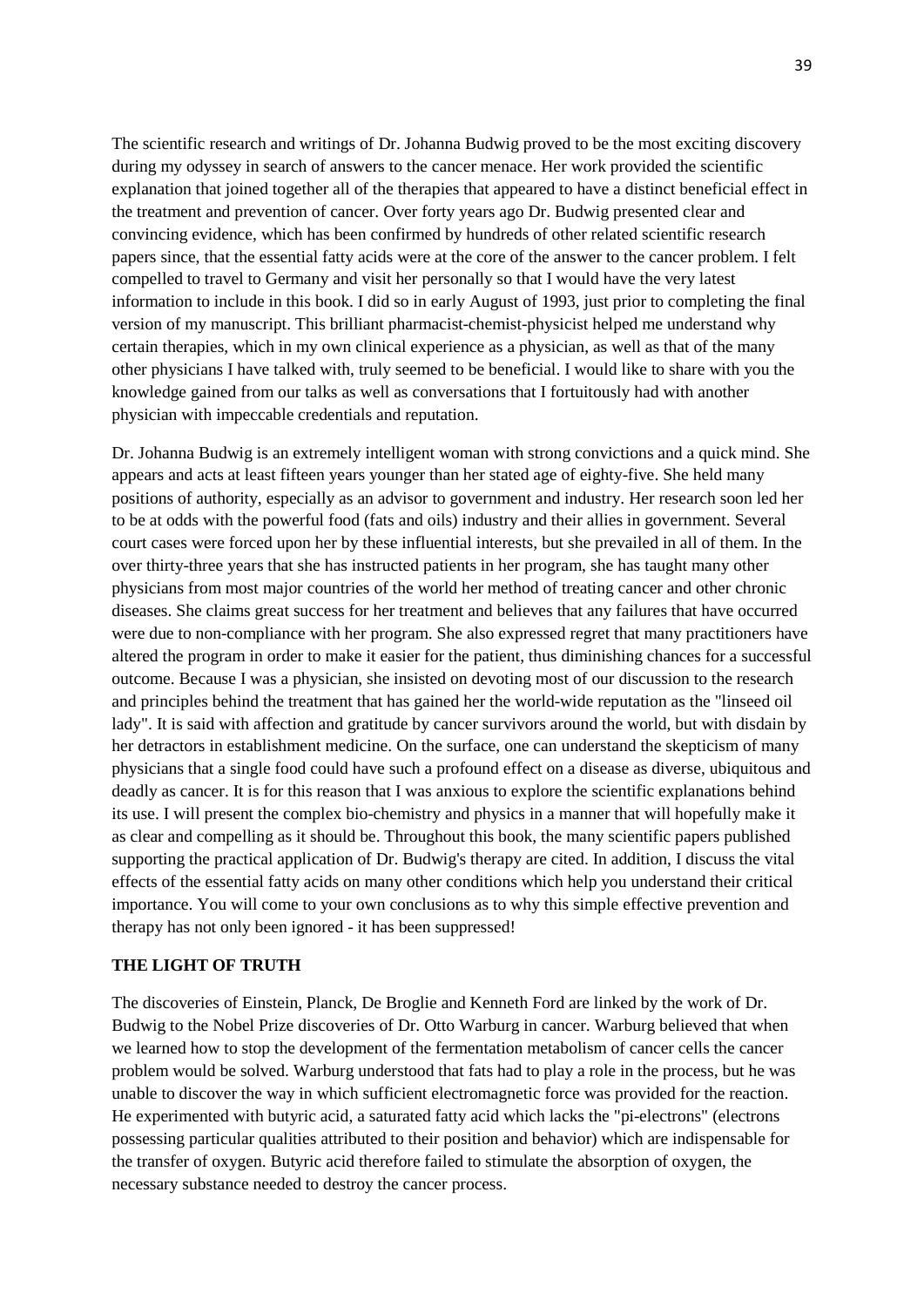The scientific research and writings of Dr. Johanna Budwig proved to be the most exciting discovery during my odyssey in search of answers to the cancer menace. Her work provided the scientific explanation that joined together all of the therapies that appeared to have a distinct beneficial effect in the treatment and prevention of cancer. Over forty years ago Dr. Budwig presented clear and convincing evidence, which has been confirmed by hundreds of other related scientific research papers since, that the essential fatty acids were at the core of the answer to the cancer problem. I felt compelled to travel to Germany and visit her personally so that I would have the very latest information to include in this book. I did so in early August of 1993, just prior to completing the final version of my manuscript. This brilliant pharmacist-chemist-physicist helped me understand why certain therapies, which in my own clinical experience as a physician, as well as that of the many other physicians I have talked with, truly seemed to be beneficial. I would like to share with you the knowledge gained from our talks as well as conversations that I fortuitously had with another physician with impeccable credentials and reputation.

Dr. Johanna Budwig is an extremely intelligent woman with strong convictions and a quick mind. She appears and acts at least fifteen years younger than her stated age of eighty-five. She held many positions of authority, especially as an advisor to government and industry. Her research soon led her to be at odds with the powerful food (fats and oils) industry and their allies in government. Several court cases were forced upon her by these influential interests, but she prevailed in all of them. In the over thirty-three years that she has instructed patients in her program, she has taught many other physicians from most major countries of the world her method of treating cancer and other chronic diseases. She claims great success for her treatment and believes that any failures that have occurred were due to non-compliance with her program. She also expressed regret that many practitioners have altered the program in order to make it easier for the patient, thus diminishing chances for a successful outcome. Because I was a physician, she insisted on devoting most of our discussion to the research and principles behind the treatment that has gained her the world-wide reputation as the "linseed oil lady". It is said with affection and gratitude by cancer survivors around the world, but with disdain by her detractors in establishment medicine. On the surface, one can understand the skepticism of many physicians that a single food could have such a profound effect on a disease as diverse, ubiquitous and deadly as cancer. It is for this reason that I was anxious to explore the scientific explanations behind its use. I will present the complex bio-chemistry and physics in a manner that will hopefully make it as clear and compelling as it should be. Throughout this book, the many scientific papers published supporting the practical application of Dr. Budwig's therapy are cited. In addition, I discuss the vital effects of the essential fatty acids on many other conditions which help you understand their critical importance. You will come to your own conclusions as to why this simple effective prevention and therapy has not only been ignored - it has been suppressed!

#### **THE LIGHT OF TRUTH**

The discoveries of Einstein, Planck, De Broglie and Kenneth Ford are linked by the work of Dr. Budwig to the Nobel Prize discoveries of Dr. Otto Warburg in cancer. Warburg believed that when we learned how to stop the development of the fermentation metabolism of cancer cells the cancer problem would be solved. Warburg understood that fats had to play a role in the process, but he was unable to discover the way in which sufficient electromagnetic force was provided for the reaction. He experimented with butyric acid, a saturated fatty acid which lacks the "pi-electrons" (electrons possessing particular qualities attributed to their position and behavior) which are indispensable for the transfer of oxygen. Butyric acid therefore failed to stimulate the absorption of oxygen, the necessary substance needed to destroy the cancer process.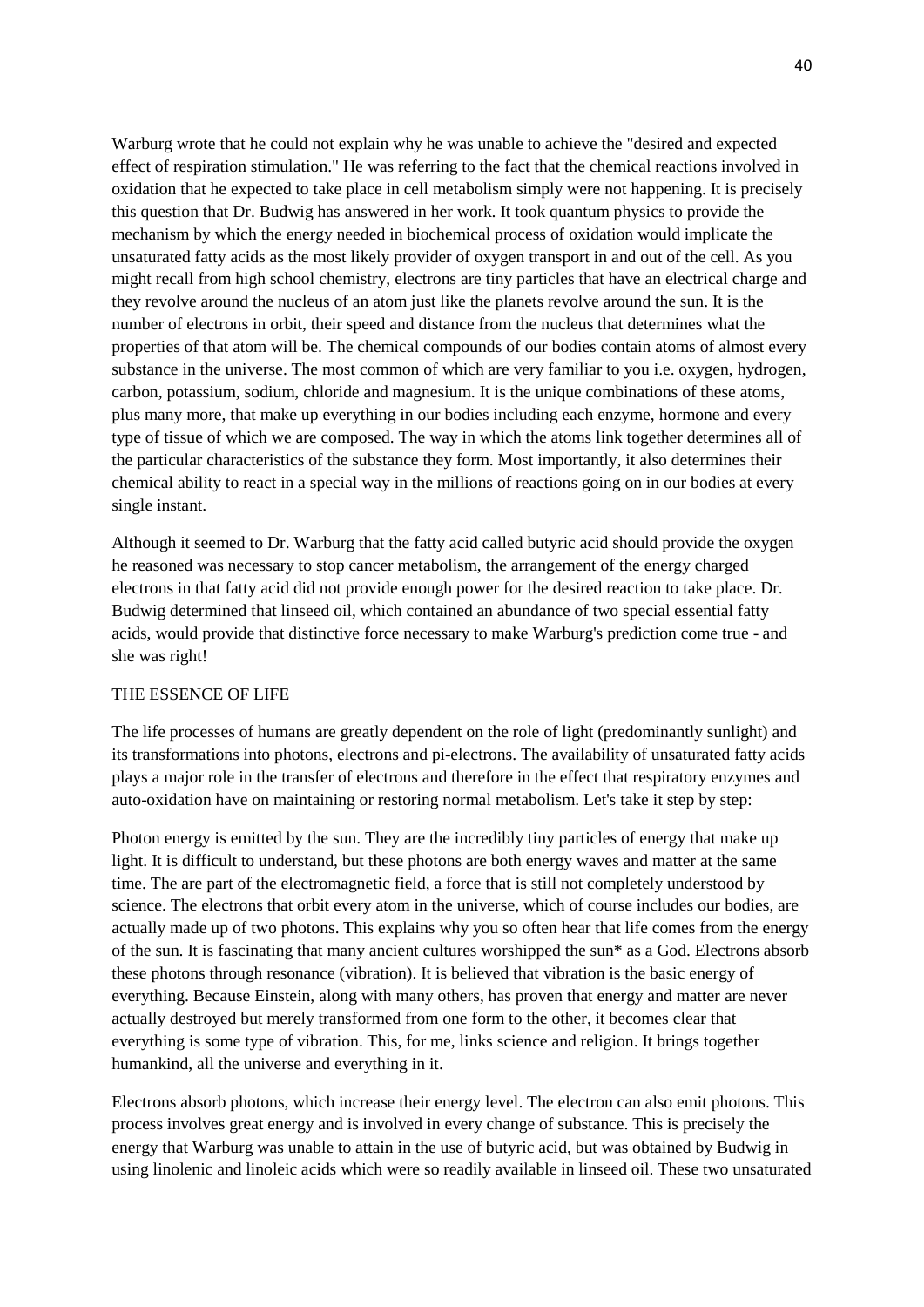Warburg wrote that he could not explain why he was unable to achieve the "desired and expected effect of respiration stimulation." He was referring to the fact that the chemical reactions involved in oxidation that he expected to take place in cell metabolism simply were not happening. It is precisely this question that Dr. Budwig has answered in her work. It took quantum physics to provide the mechanism by which the energy needed in biochemical process of oxidation would implicate the unsaturated fatty acids as the most likely provider of oxygen transport in and out of the cell. As you might recall from high school chemistry, electrons are tiny particles that have an electrical charge and they revolve around the nucleus of an atom just like the planets revolve around the sun. It is the number of electrons in orbit, their speed and distance from the nucleus that determines what the properties of that atom will be. The chemical compounds of our bodies contain atoms of almost every substance in the universe. The most common of which are very familiar to you i.e. oxygen, hydrogen, carbon, potassium, sodium, chloride and magnesium. It is the unique combinations of these atoms, plus many more, that make up everything in our bodies including each enzyme, hormone and every type of tissue of which we are composed. The way in which the atoms link together determines all of the particular characteristics of the substance they form. Most importantly, it also determines their chemical ability to react in a special way in the millions of reactions going on in our bodies at every single instant.

Although it seemed to Dr. Warburg that the fatty acid called butyric acid should provide the oxygen he reasoned was necessary to stop cancer metabolism, the arrangement of the energy charged electrons in that fatty acid did not provide enough power for the desired reaction to take place. Dr. Budwig determined that linseed oil, which contained an abundance of two special essential fatty acids, would provide that distinctive force necessary to make Warburg's prediction come true - and she was right!

### THE ESSENCE OF LIFE

The life processes of humans are greatly dependent on the role of light (predominantly sunlight) and its transformations into photons, electrons and pi-electrons. The availability of unsaturated fatty acids plays a major role in the transfer of electrons and therefore in the effect that respiratory enzymes and auto-oxidation have on maintaining or restoring normal metabolism. Let's take it step by step:

Photon energy is emitted by the sun. They are the incredibly tiny particles of energy that make up light. It is difficult to understand, but these photons are both energy waves and matter at the same time. The are part of the electromagnetic field, a force that is still not completely understood by science. The electrons that orbit every atom in the universe, which of course includes our bodies, are actually made up of two photons. This explains why you so often hear that life comes from the energy of the sun. It is fascinating that many ancient cultures worshipped the sun\* as a God. Electrons absorb these photons through resonance (vibration). It is believed that vibration is the basic energy of everything. Because Einstein, along with many others, has proven that energy and matter are never actually destroyed but merely transformed from one form to the other, it becomes clear that everything is some type of vibration. This, for me, links science and religion. It brings together humankind, all the universe and everything in it.

Electrons absorb photons, which increase their energy level. The electron can also emit photons. This process involves great energy and is involved in every change of substance. This is precisely the energy that Warburg was unable to attain in the use of butyric acid, but was obtained by Budwig in using linolenic and linoleic acids which were so readily available in linseed oil. These two unsaturated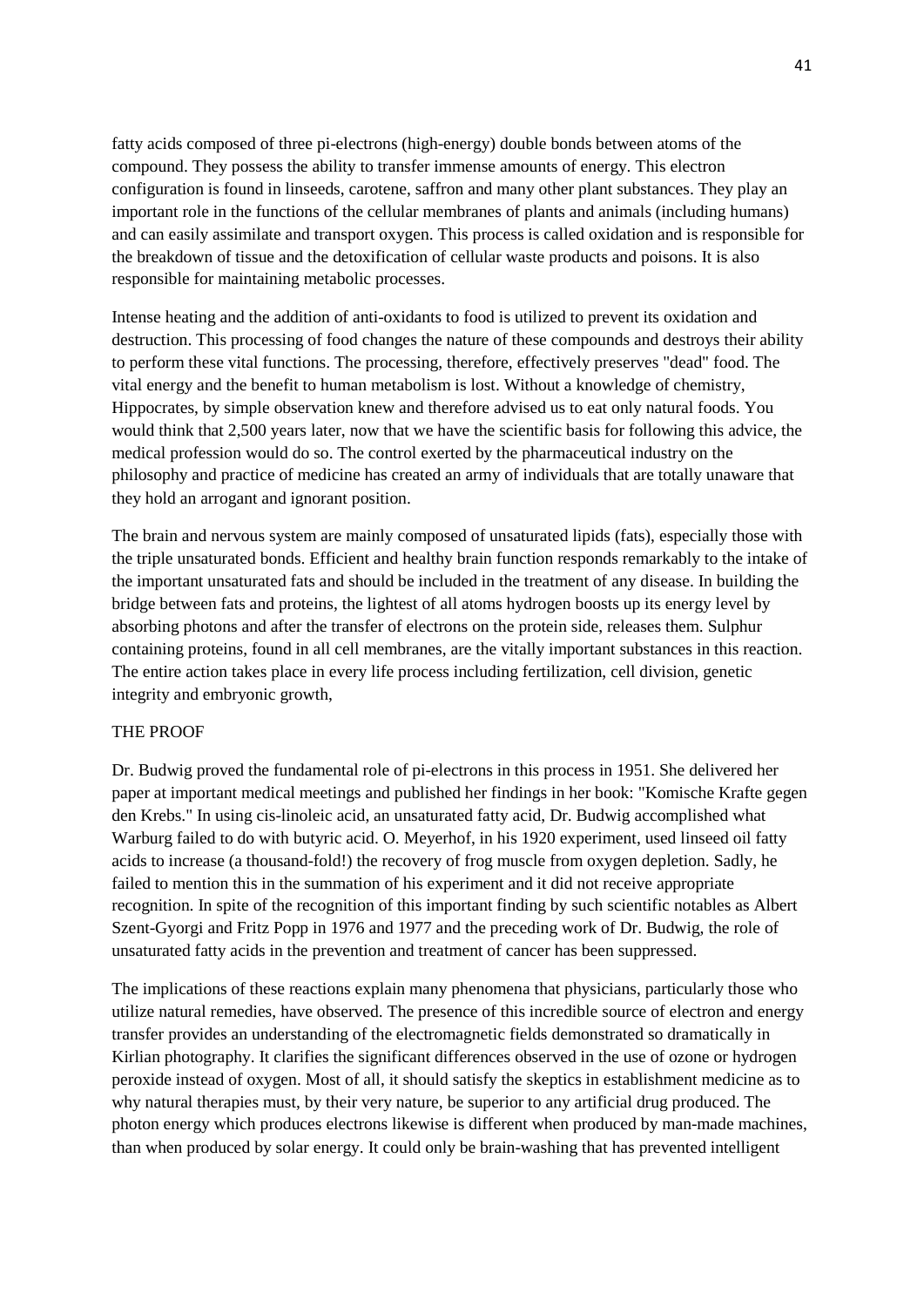fatty acids composed of three pi-electrons (high-energy) double bonds between atoms of the compound. They possess the ability to transfer immense amounts of energy. This electron configuration is found in linseeds, carotene, saffron and many other plant substances. They play an important role in the functions of the cellular membranes of plants and animals (including humans) and can easily assimilate and transport oxygen. This process is called oxidation and is responsible for the breakdown of tissue and the detoxification of cellular waste products and poisons. It is also responsible for maintaining metabolic processes.

Intense heating and the addition of anti-oxidants to food is utilized to prevent its oxidation and destruction. This processing of food changes the nature of these compounds and destroys their ability to perform these vital functions. The processing, therefore, effectively preserves "dead" food. The vital energy and the benefit to human metabolism is lost. Without a knowledge of chemistry, Hippocrates, by simple observation knew and therefore advised us to eat only natural foods. You would think that 2,500 years later, now that we have the scientific basis for following this advice, the medical profession would do so. The control exerted by the pharmaceutical industry on the philosophy and practice of medicine has created an army of individuals that are totally unaware that they hold an arrogant and ignorant position.

The brain and nervous system are mainly composed of unsaturated lipids (fats), especially those with the triple unsaturated bonds. Efficient and healthy brain function responds remarkably to the intake of the important unsaturated fats and should be included in the treatment of any disease. In building the bridge between fats and proteins, the lightest of all atoms hydrogen boosts up its energy level by absorbing photons and after the transfer of electrons on the protein side, releases them. Sulphur containing proteins, found in all cell membranes, are the vitally important substances in this reaction. The entire action takes place in every life process including fertilization, cell division, genetic integrity and embryonic growth,

#### THE PROOF

Dr. Budwig proved the fundamental role of pi-electrons in this process in 1951. She delivered her paper at important medical meetings and published her findings in her book: "Komische Krafte gegen den Krebs." In using cis-linoleic acid, an unsaturated fatty acid, Dr. Budwig accomplished what Warburg failed to do with butyric acid. O. Meyerhof, in his 1920 experiment, used linseed oil fatty acids to increase (a thousand-fold!) the recovery of frog muscle from oxygen depletion. Sadly, he failed to mention this in the summation of his experiment and it did not receive appropriate recognition. In spite of the recognition of this important finding by such scientific notables as Albert Szent-Gyorgi and Fritz Popp in 1976 and 1977 and the preceding work of Dr. Budwig, the role of unsaturated fatty acids in the prevention and treatment of cancer has been suppressed.

The implications of these reactions explain many phenomena that physicians, particularly those who utilize natural remedies, have observed. The presence of this incredible source of electron and energy transfer provides an understanding of the electromagnetic fields demonstrated so dramatically in Kirlian photography. It clarifies the significant differences observed in the use of ozone or hydrogen peroxide instead of oxygen. Most of all, it should satisfy the skeptics in establishment medicine as to why natural therapies must, by their very nature, be superior to any artificial drug produced. The photon energy which produces electrons likewise is different when produced by man-made machines, than when produced by solar energy. It could only be brain-washing that has prevented intelligent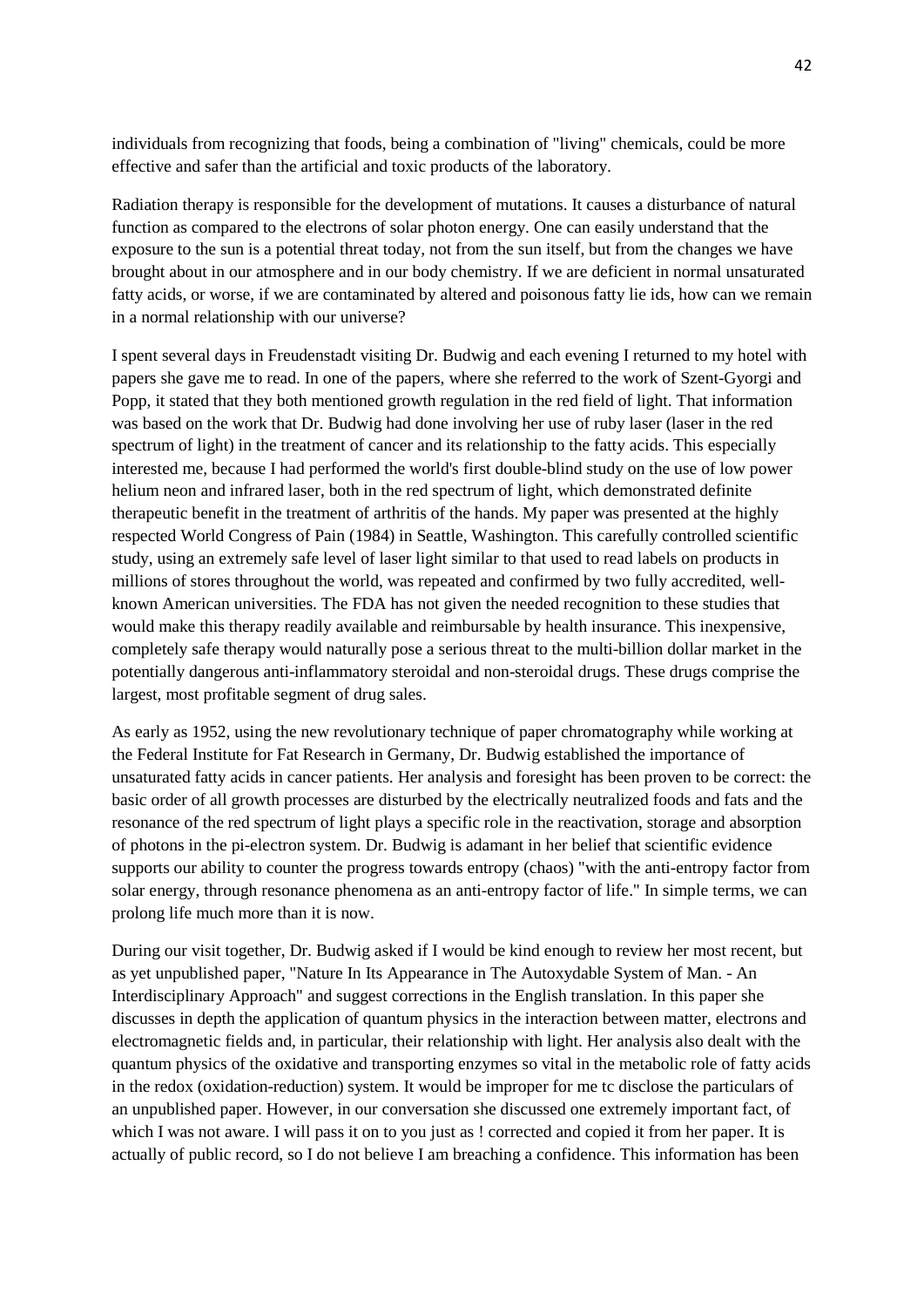individuals from recognizing that foods, being a combination of "living" chemicals, could be more effective and safer than the artificial and toxic products of the laboratory.

Radiation therapy is responsible for the development of mutations. It causes a disturbance of natural function as compared to the electrons of solar photon energy. One can easily understand that the exposure to the sun is a potential threat today, not from the sun itself, but from the changes we have brought about in our atmosphere and in our body chemistry. If we are deficient in normal unsaturated fatty acids, or worse, if we are contaminated by altered and poisonous fatty lie ids, how can we remain in a normal relationship with our universe?

I spent several days in Freudenstadt visiting Dr. Budwig and each evening I returned to my hotel with papers she gave me to read. In one of the papers, where she referred to the work of Szent-Gyorgi and Popp, it stated that they both mentioned growth regulation in the red field of light. That information was based on the work that Dr. Budwig had done involving her use of ruby laser (laser in the red spectrum of light) in the treatment of cancer and its relationship to the fatty acids. This especially interested me, because I had performed the world's first double-blind study on the use of low power helium neon and infrared laser, both in the red spectrum of light, which demonstrated definite therapeutic benefit in the treatment of arthritis of the hands. My paper was presented at the highly respected World Congress of Pain (1984) in Seattle, Washington. This carefully controlled scientific study, using an extremely safe level of laser light similar to that used to read labels on products in millions of stores throughout the world, was repeated and confirmed by two fully accredited, wellknown American universities. The FDA has not given the needed recognition to these studies that would make this therapy readily available and reimbursable by health insurance. This inexpensive, completely safe therapy would naturally pose a serious threat to the multi-billion dollar market in the potentially dangerous anti-inflammatory steroidal and non-steroidal drugs. These drugs comprise the largest, most profitable segment of drug sales.

As early as 1952, using the new revolutionary technique of paper chromatography while working at the Federal Institute for Fat Research in Germany, Dr. Budwig established the importance of unsaturated fatty acids in cancer patients. Her analysis and foresight has been proven to be correct: the basic order of all growth processes are disturbed by the electrically neutralized foods and fats and the resonance of the red spectrum of light plays a specific role in the reactivation, storage and absorption of photons in the pi-electron system. Dr. Budwig is adamant in her belief that scientific evidence supports our ability to counter the progress towards entropy (chaos) "with the anti-entropy factor from solar energy, through resonance phenomena as an anti-entropy factor of life." In simple terms, we can prolong life much more than it is now.

During our visit together, Dr. Budwig asked if I would be kind enough to review her most recent, but as yet unpublished paper, "Nature In Its Appearance in The Autoxydable System of Man. - An Interdisciplinary Approach" and suggest corrections in the English translation. In this paper she discusses in depth the application of quantum physics in the interaction between matter, electrons and electromagnetic fields and, in particular, their relationship with light. Her analysis also dealt with the quantum physics of the oxidative and transporting enzymes so vital in the metabolic role of fatty acids in the redox (oxidation-reduction) system. It would be improper for me tc disclose the particulars of an unpublished paper. However, in our conversation she discussed one extremely important fact, of which I was not aware. I will pass it on to you just as ! corrected and copied it from her paper. It is actually of public record, so I do not believe I am breaching a confidence. This information has been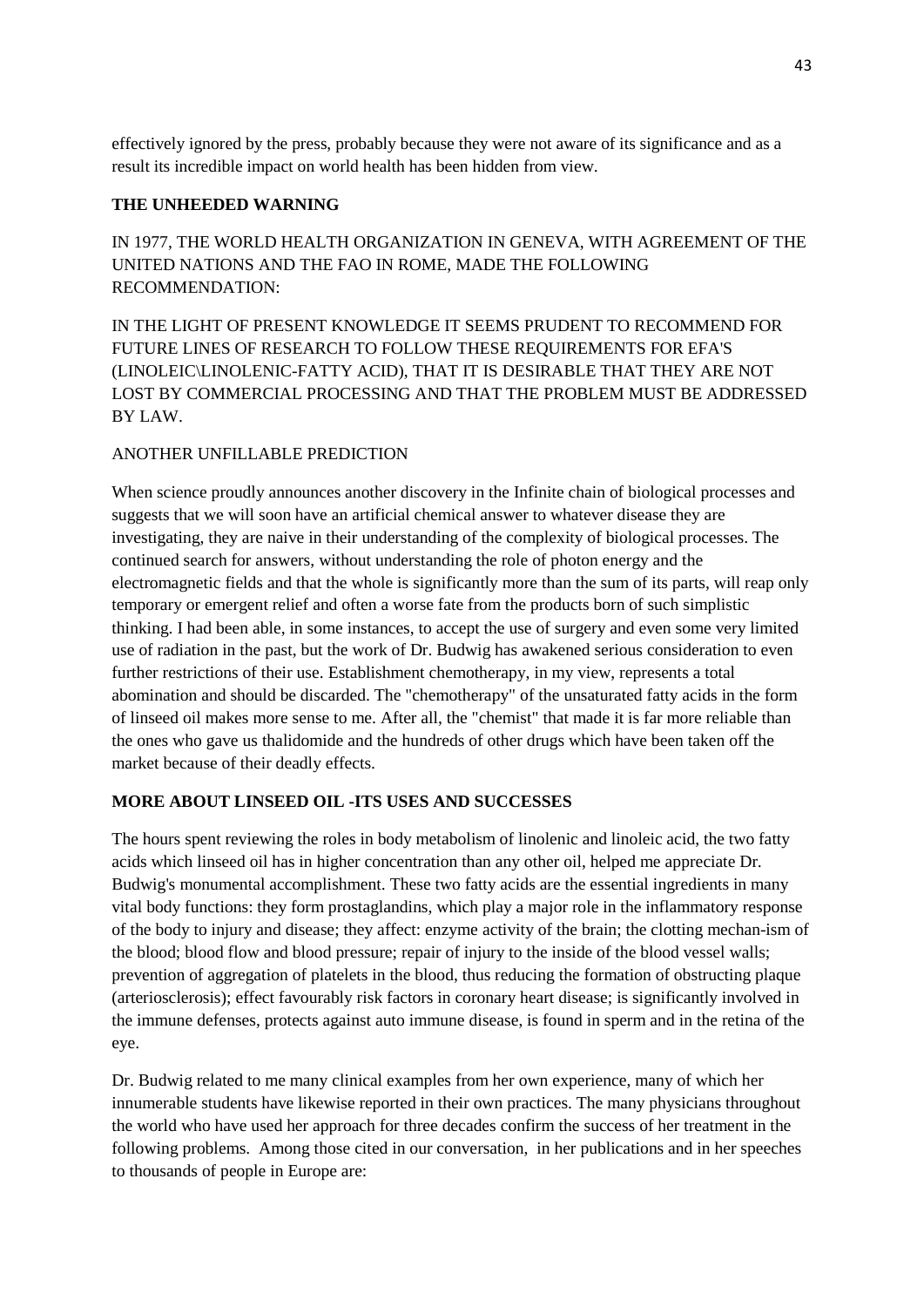effectively ignored by the press, probably because they were not aware of its significance and as a result its incredible impact on world health has been hidden from view.

## **THE UNHEEDED WARNING**

IN 1977, THE WORLD HEALTH ORGANIZATION IN GENEVA, WITH AGREEMENT OF THE UNITED NATIONS AND THE FAO IN ROME, MADE THE FOLLOWING RECOMMENDATION:

IN THE LIGHT OF PRESENT KNOWLEDGE IT SEEMS PRUDENT TO RECOMMEND FOR FUTURE LINES OF RESEARCH TO FOLLOW THESE REQUIREMENTS FOR EFA'S (LINOLEIC\LINOLENIC-FATTY ACID), THAT IT IS DESIRABLE THAT THEY ARE NOT LOST BY COMMERCIAL PROCESSING AND THAT THE PROBLEM MUST BE ADDRESSED BY LAW.

# ANOTHER UNFILLABLE PREDICTION

When science proudly announces another discovery in the Infinite chain of biological processes and suggests that we will soon have an artificial chemical answer to whatever disease they are investigating, they are naive in their understanding of the complexity of biological processes. The continued search for answers, without understanding the role of photon energy and the electromagnetic fields and that the whole is significantly more than the sum of its parts, will reap only temporary or emergent relief and often a worse fate from the products born of such simplistic thinking. I had been able, in some instances, to accept the use of surgery and even some very limited use of radiation in the past, but the work of Dr. Budwig has awakened serious consideration to even further restrictions of their use. Establishment chemotherapy, in my view, represents a total abomination and should be discarded. The "chemotherapy" of the unsaturated fatty acids in the form of linseed oil makes more sense to me. After all, the "chemist" that made it is far more reliable than the ones who gave us thalidomide and the hundreds of other drugs which have been taken off the market because of their deadly effects.

### **MORE ABOUT LINSEED OIL -ITS USES AND SUCCESSES**

The hours spent reviewing the roles in body metabolism of linolenic and linoleic acid, the two fatty acids which linseed oil has in higher concentration than any other oil, helped me appreciate Dr. Budwig's monumental accomplishment. These two fatty acids are the essential ingredients in many vital body functions: they form prostaglandins, which play a major role in the inflammatory response of the body to injury and disease; they affect: enzyme activity of the brain; the clotting mechan-ism of the blood; blood flow and blood pressure; repair of injury to the inside of the blood vessel walls; prevention of aggregation of platelets in the blood, thus reducing the formation of obstructing plaque (arteriosclerosis); effect favourably risk factors in coronary heart disease; is significantly involved in the immune defenses, protects against auto immune disease, is found in sperm and in the retina of the eye.

Dr. Budwig related to me many clinical examples from her own experience, many of which her innumerable students have likewise reported in their own practices. The many physicians throughout the world who have used her approach for three decades confirm the success of her treatment in the following problems. Among those cited in our conversation, in her publications and in her speeches to thousands of people in Europe are: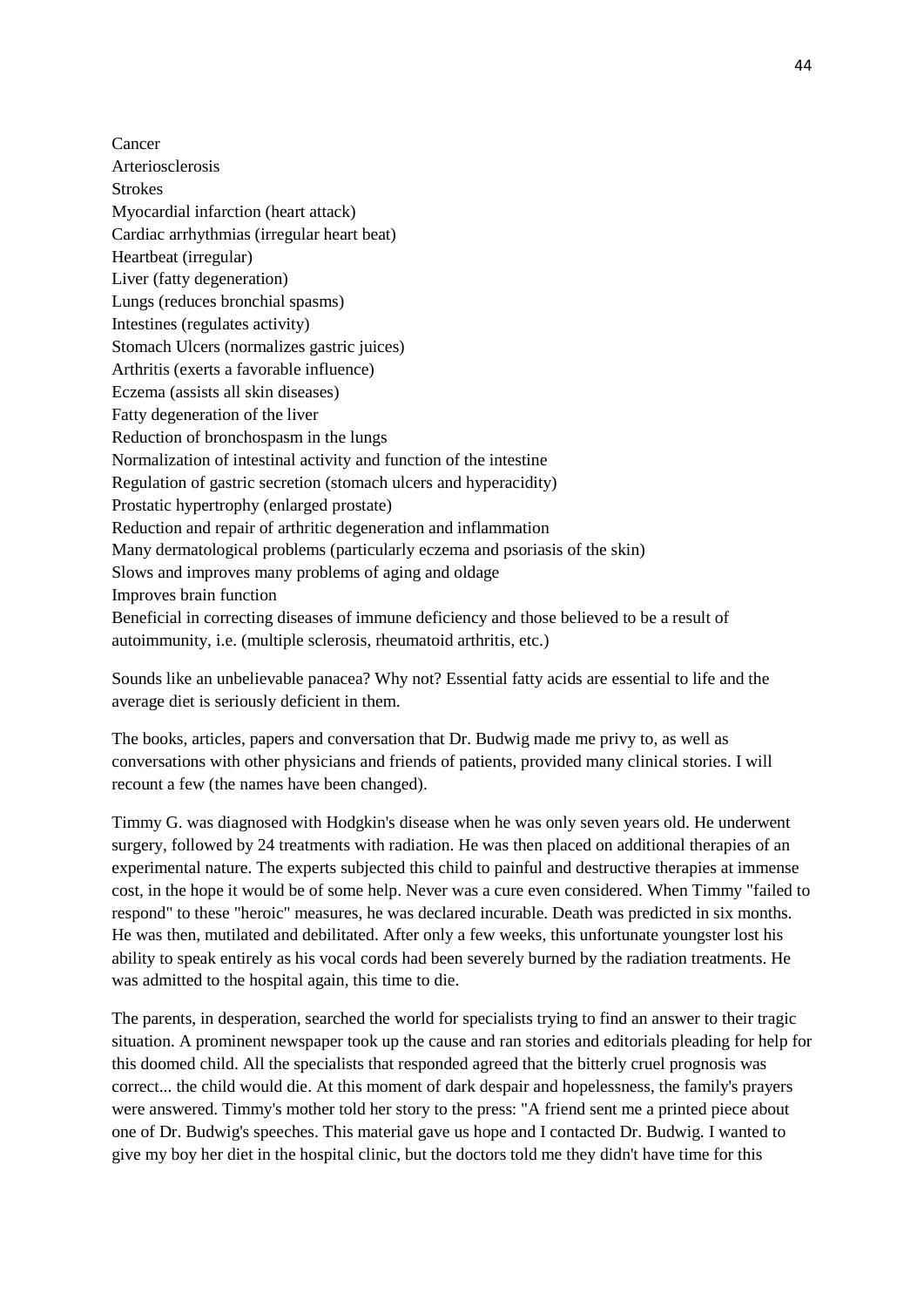Cancer Arteriosclerosis **Strokes** Myocardial infarction (heart attack) Cardiac arrhythmias (irregular heart beat) Heartbeat (irregular) Liver (fatty degeneration) Lungs (reduces bronchial spasms) Intestines (regulates activity) Stomach Ulcers (normalizes gastric juices) Arthritis (exerts a favorable influence) Eczema (assists all skin diseases) Fatty degeneration of the liver Reduction of bronchospasm in the lungs Normalization of intestinal activity and function of the intestine Regulation of gastric secretion (stomach ulcers and hyperacidity) Prostatic hypertrophy (enlarged prostate) Reduction and repair of arthritic degeneration and inflammation Many dermatological problems (particularly eczema and psoriasis of the skin) Slows and improves many problems of aging and oldage Improves brain function Beneficial in correcting diseases of immune deficiency and those believed to be a result of autoimmunity, i.e. (multiple sclerosis, rheumatoid arthritis, etc.)

Sounds like an unbelievable panacea? Why not? Essential fatty acids are essential to life and the average diet is seriously deficient in them.

The books, articles, papers and conversation that Dr. Budwig made me privy to, as well as conversations with other physicians and friends of patients, provided many clinical stories. I will recount a few (the names have been changed).

Timmy G. was diagnosed with Hodgkin's disease when he was only seven years old. He underwent surgery, followed by 24 treatments with radiation. He was then placed on additional therapies of an experimental nature. The experts subjected this child to painful and destructive therapies at immense cost, in the hope it would be of some help. Never was a cure even considered. When Timmy "failed to respond" to these "heroic" measures, he was declared incurable. Death was predicted in six months. He was then, mutilated and debilitated. After only a few weeks, this unfortunate youngster lost his ability to speak entirely as his vocal cords had been severely burned by the radiation treatments. He was admitted to the hospital again, this time to die.

The parents, in desperation, searched the world for specialists trying to find an answer to their tragic situation. A prominent newspaper took up the cause and ran stories and editorials pleading for help for this doomed child. All the specialists that responded agreed that the bitterly cruel prognosis was correct... the child would die. At this moment of dark despair and hopelessness, the family's prayers were answered. Timmy's mother told her story to the press: "A friend sent me a printed piece about one of Dr. Budwig's speeches. This material gave us hope and I contacted Dr. Budwig. I wanted to give my boy her diet in the hospital clinic, but the doctors told me they didn't have time for this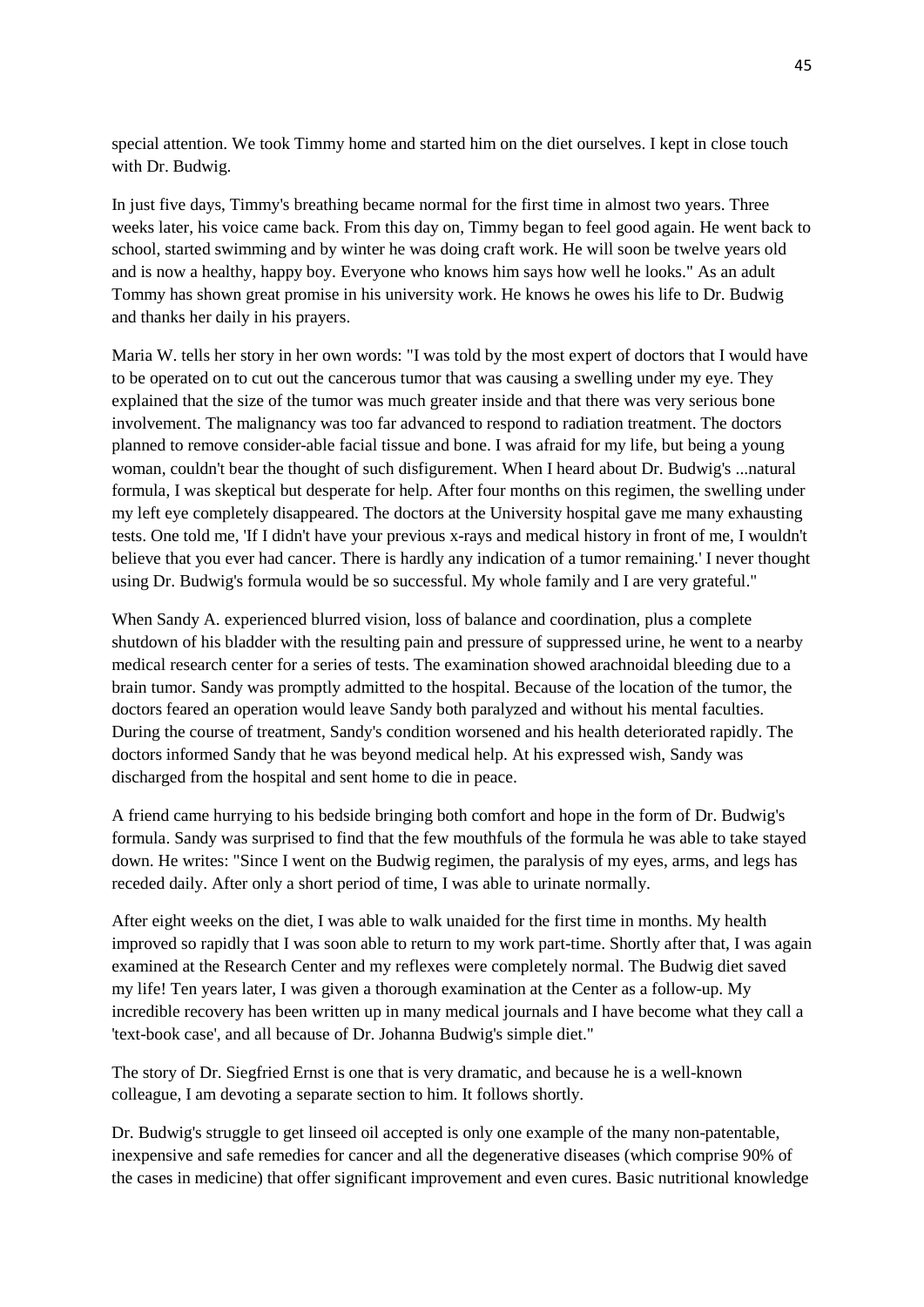special attention. We took Timmy home and started him on the diet ourselves. I kept in close touch with Dr. Budwig.

In just five days, Timmy's breathing became normal for the first time in almost two years. Three weeks later, his voice came back. From this day on, Timmy began to feel good again. He went back to school, started swimming and by winter he was doing craft work. He will soon be twelve years old and is now a healthy, happy boy. Everyone who knows him says how well he looks." As an adult Tommy has shown great promise in his university work. He knows he owes his life to Dr. Budwig and thanks her daily in his prayers.

Maria W. tells her story in her own words: "I was told by the most expert of doctors that I would have to be operated on to cut out the cancerous tumor that was causing a swelling under my eye. They explained that the size of the tumor was much greater inside and that there was very serious bone involvement. The malignancy was too far advanced to respond to radiation treatment. The doctors planned to remove consider-able facial tissue and bone. I was afraid for my life, but being a young woman, couldn't bear the thought of such disfigurement. When I heard about Dr. Budwig's ...natural formula, I was skeptical but desperate for help. After four months on this regimen, the swelling under my left eye completely disappeared. The doctors at the University hospital gave me many exhausting tests. One told me, 'If I didn't have your previous x-rays and medical history in front of me, I wouldn't believe that you ever had cancer. There is hardly any indication of a tumor remaining.' I never thought using Dr. Budwig's formula would be so successful. My whole family and I are very grateful."

When Sandy A. experienced blurred vision, loss of balance and coordination, plus a complete shutdown of his bladder with the resulting pain and pressure of suppressed urine, he went to a nearby medical research center for a series of tests. The examination showed arachnoidal bleeding due to a brain tumor. Sandy was promptly admitted to the hospital. Because of the location of the tumor, the doctors feared an operation would leave Sandy both paralyzed and without his mental faculties. During the course of treatment, Sandy's condition worsened and his health deteriorated rapidly. The doctors informed Sandy that he was beyond medical help. At his expressed wish, Sandy was discharged from the hospital and sent home to die in peace.

A friend came hurrying to his bedside bringing both comfort and hope in the form of Dr. Budwig's formula. Sandy was surprised to find that the few mouthfuls of the formula he was able to take stayed down. He writes: "Since I went on the Budwig regimen, the paralysis of my eyes, arms, and legs has receded daily. After only a short period of time, I was able to urinate normally.

After eight weeks on the diet, I was able to walk unaided for the first time in months. My health improved so rapidly that I was soon able to return to my work part-time. Shortly after that, I was again examined at the Research Center and my reflexes were completely normal. The Budwig diet saved my life! Ten years later, I was given a thorough examination at the Center as a follow-up. My incredible recovery has been written up in many medical journals and I have become what they call a 'text-book case', and all because of Dr. Johanna Budwig's simple diet."

The story of Dr. Siegfried Ernst is one that is very dramatic, and because he is a well-known colleague, I am devoting a separate section to him. It follows shortly.

Dr. Budwig's struggle to get linseed oil accepted is only one example of the many non-patentable, inexpensive and safe remedies for cancer and all the degenerative diseases (which comprise 90% of the cases in medicine) that offer significant improvement and even cures. Basic nutritional knowledge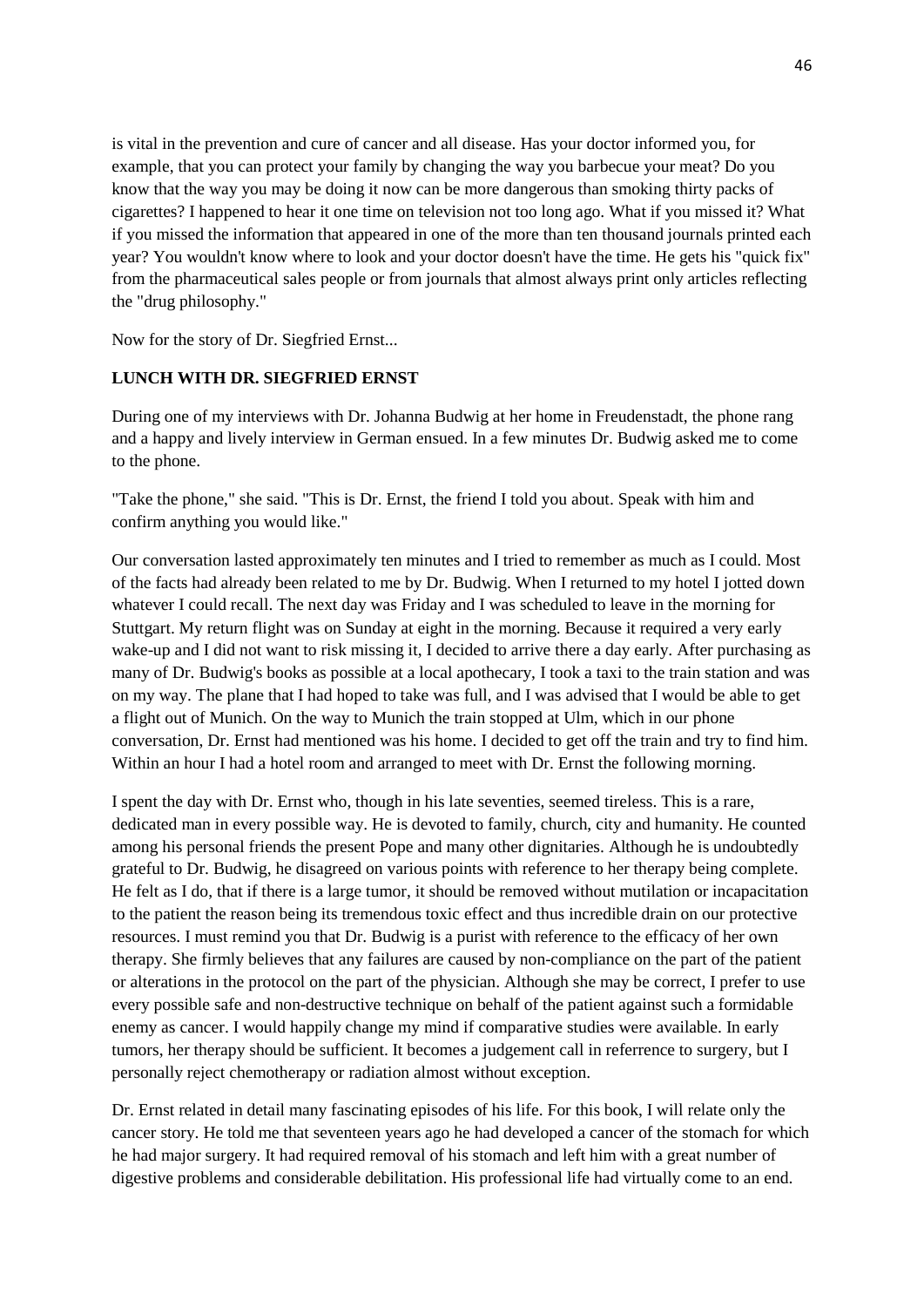is vital in the prevention and cure of cancer and all disease. Has your doctor informed you, for example, that you can protect your family by changing the way you barbecue your meat? Do you know that the way you may be doing it now can be more dangerous than smoking thirty packs of cigarettes? I happened to hear it one time on television not too long ago. What if you missed it? What if you missed the information that appeared in one of the more than ten thousand journals printed each year? You wouldn't know where to look and your doctor doesn't have the time. He gets his "quick fix" from the pharmaceutical sales people or from journals that almost always print only articles reflecting the "drug philosophy."

Now for the story of Dr. Siegfried Ernst...

#### **LUNCH WITH DR. SIEGFRIED ERNST**

During one of my interviews with Dr. Johanna Budwig at her home in Freudenstadt, the phone rang and a happy and lively interview in German ensued. In a few minutes Dr. Budwig asked me to come to the phone.

"Take the phone," she said. "This is Dr. Ernst, the friend I told you about. Speak with him and confirm anything you would like."

Our conversation lasted approximately ten minutes and I tried to remember as much as I could. Most of the facts had already been related to me by Dr. Budwig. When I returned to my hotel I jotted down whatever I could recall. The next day was Friday and I was scheduled to leave in the morning for Stuttgart. My return flight was on Sunday at eight in the morning. Because it required a very early wake-up and I did not want to risk missing it, I decided to arrive there a day early. After purchasing as many of Dr. Budwig's books as possible at a local apothecary, I took a taxi to the train station and was on my way. The plane that I had hoped to take was full, and I was advised that I would be able to get a flight out of Munich. On the way to Munich the train stopped at Ulm, which in our phone conversation, Dr. Ernst had mentioned was his home. I decided to get off the train and try to find him. Within an hour I had a hotel room and arranged to meet with Dr. Ernst the following morning.

I spent the day with Dr. Ernst who, though in his late seventies, seemed tireless. This is a rare, dedicated man in every possible way. He is devoted to family, church, city and humanity. He counted among his personal friends the present Pope and many other dignitaries. Although he is undoubtedly grateful to Dr. Budwig, he disagreed on various points with reference to her therapy being complete. He felt as I do, that if there is a large tumor, it should be removed without mutilation or incapacitation to the patient the reason being its tremendous toxic effect and thus incredible drain on our protective resources. I must remind you that Dr. Budwig is a purist with reference to the efficacy of her own therapy. She firmly believes that any failures are caused by non-compliance on the part of the patient or alterations in the protocol on the part of the physician. Although she may be correct, I prefer to use every possible safe and non-destructive technique on behalf of the patient against such a formidable enemy as cancer. I would happily change my mind if comparative studies were available. In early tumors, her therapy should be sufficient. It becomes a judgement call in referrence to surgery, but I personally reject chemotherapy or radiation almost without exception.

Dr. Ernst related in detail many fascinating episodes of his life. For this book, I will relate only the cancer story. He told me that seventeen years ago he had developed a cancer of the stomach for which he had major surgery. It had required removal of his stomach and left him with a great number of digestive problems and considerable debilitation. His professional life had virtually come to an end.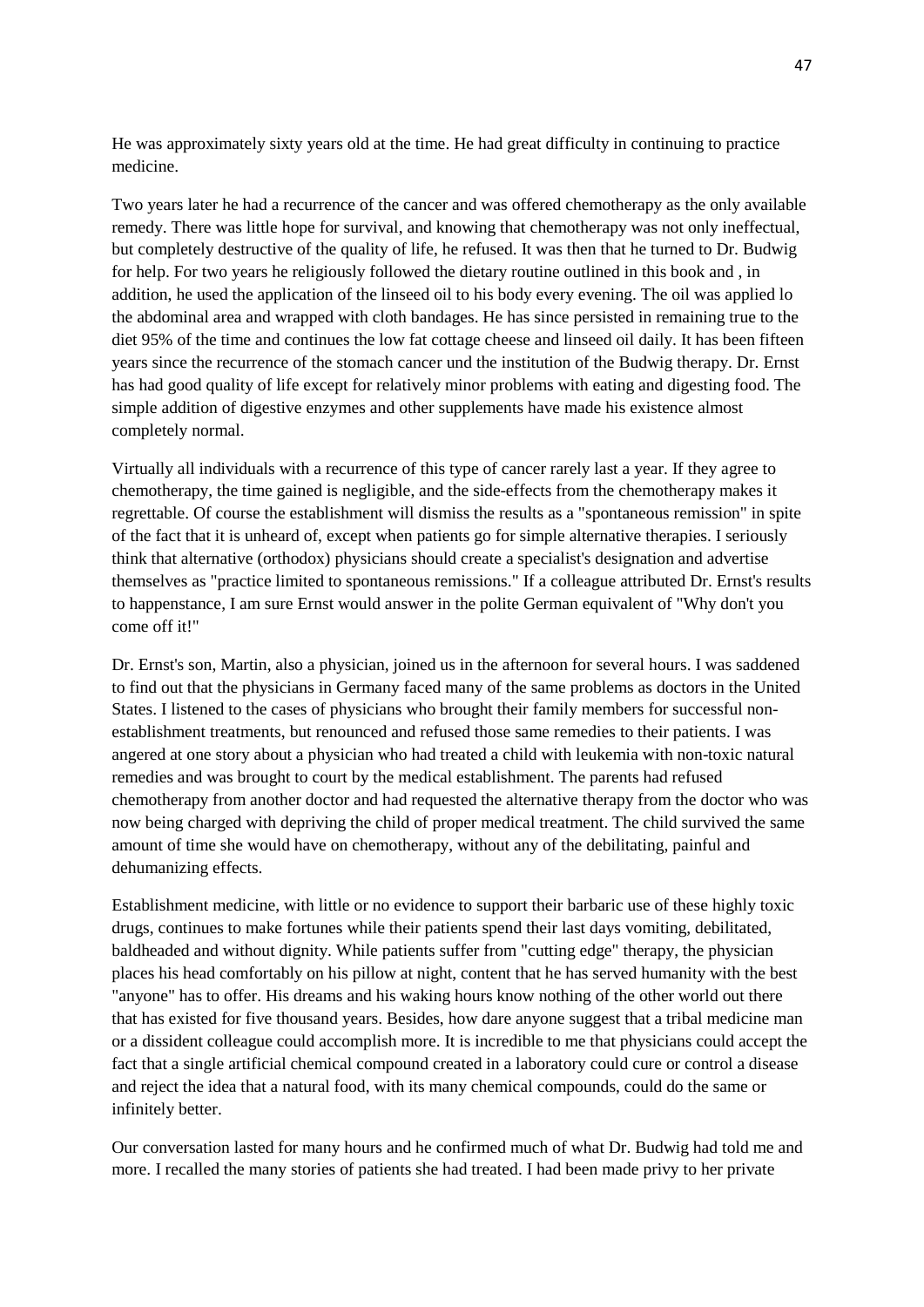He was approximately sixty years old at the time. He had great difficulty in continuing to practice medicine.

Two years later he had a recurrence of the cancer and was offered chemotherapy as the only available remedy. There was little hope for survival, and knowing that chemotherapy was not only ineffectual, but completely destructive of the quality of life, he refused. It was then that he turned to Dr. Budwig for help. For two years he religiously followed the dietary routine outlined in this book and , in addition, he used the application of the linseed oil to his body every evening. The oil was applied lo the abdominal area and wrapped with cloth bandages. He has since persisted in remaining true to the diet 95% of the time and continues the low fat cottage cheese and linseed oil daily. It has been fifteen years since the recurrence of the stomach cancer und the institution of the Budwig therapy. Dr. Ernst has had good quality of life except for relatively minor problems with eating and digesting food. The simple addition of digestive enzymes and other supplements have made his existence almost completely normal.

Virtually all individuals with a recurrence of this type of cancer rarely last a year. If they agree to chemotherapy, the time gained is negligible, and the side-effects from the chemotherapy makes it regrettable. Of course the establishment will dismiss the results as a "spontaneous remission" in spite of the fact that it is unheard of, except when patients go for simple alternative therapies. I seriously think that alternative (orthodox) physicians should create a specialist's designation and advertise themselves as "practice limited to spontaneous remissions." If a colleague attributed Dr. Ernst's results to happenstance, I am sure Ernst would answer in the polite German equivalent of "Why don't you come off it!"

Dr. Ernst's son, Martin, also a physician, joined us in the afternoon for several hours. I was saddened to find out that the physicians in Germany faced many of the same problems as doctors in the United States. I listened to the cases of physicians who brought their family members for successful nonestablishment treatments, but renounced and refused those same remedies to their patients. I was angered at one story about a physician who had treated a child with leukemia with non-toxic natural remedies and was brought to court by the medical establishment. The parents had refused chemotherapy from another doctor and had requested the alternative therapy from the doctor who was now being charged with depriving the child of proper medical treatment. The child survived the same amount of time she would have on chemotherapy, without any of the debilitating, painful and dehumanizing effects.

Establishment medicine, with little or no evidence to support their barbaric use of these highly toxic drugs, continues to make fortunes while their patients spend their last days vomiting, debilitated, baldheaded and without dignity. While patients suffer from "cutting edge" therapy, the physician places his head comfortably on his pillow at night, content that he has served humanity with the best "anyone" has to offer. His dreams and his waking hours know nothing of the other world out there that has existed for five thousand years. Besides, how dare anyone suggest that a tribal medicine man or a dissident colleague could accomplish more. It is incredible to me that physicians could accept the fact that a single artificial chemical compound created in a laboratory could cure or control a disease and reject the idea that a natural food, with its many chemical compounds, could do the same or infinitely better.

Our conversation lasted for many hours and he confirmed much of what Dr. Budwig had told me and more. I recalled the many stories of patients she had treated. I had been made privy to her private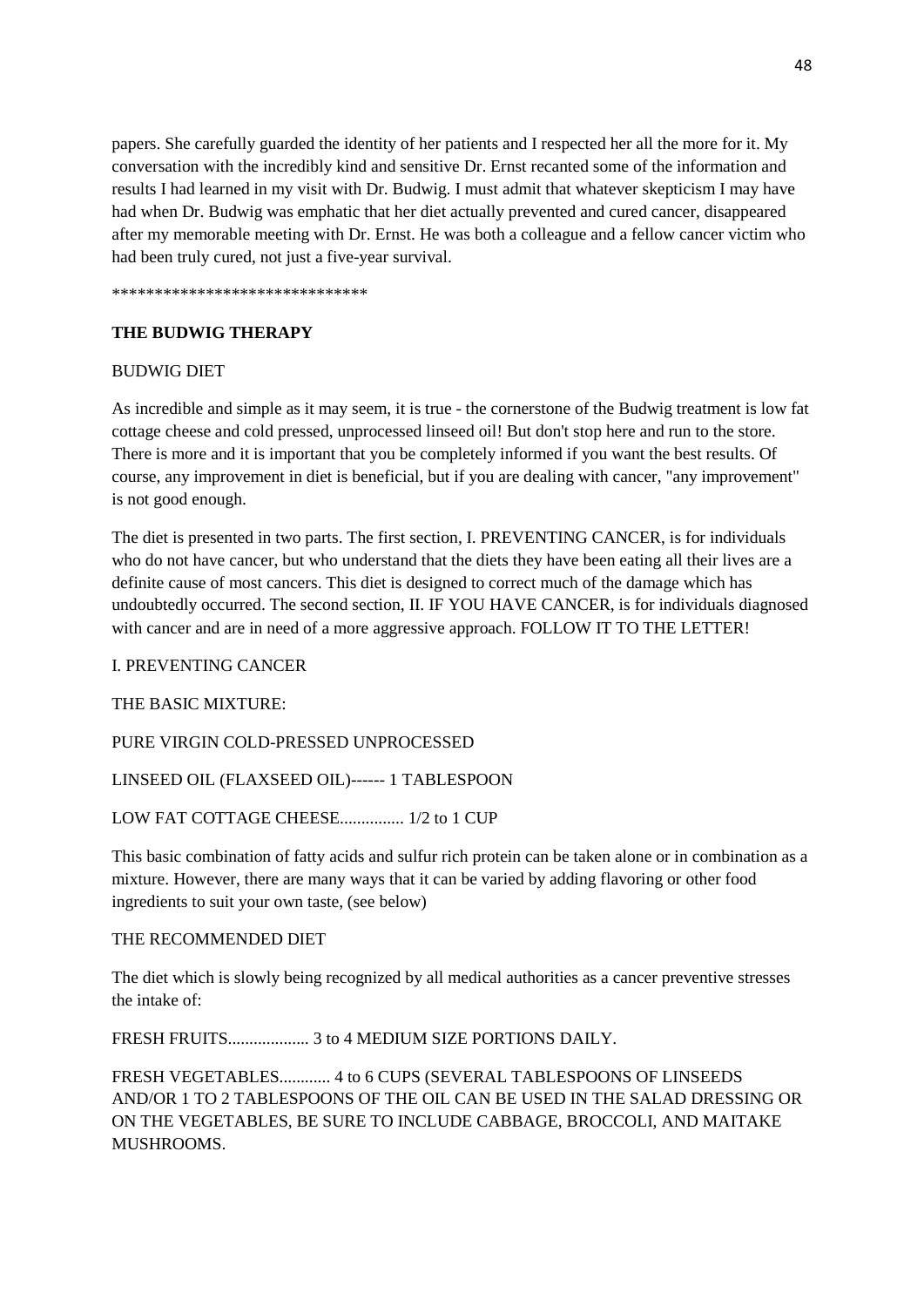papers. She carefully guarded the identity of her patients and I respected her all the more for it. My conversation with the incredibly kind and sensitive Dr. Ernst recanted some of the information and results I had learned in my visit with Dr. Budwig. I must admit that whatever skepticism I may have had when Dr. Budwig was emphatic that her diet actually prevented and cured cancer, disappeared after my memorable meeting with Dr. Ernst. He was both a colleague and a fellow cancer victim who had been truly cured, not just a five-year survival.

\*\*\*\*\*\*\*\*\*\*\*\*\*\*\*\*\*\*\*\*\*\*\*\*\*\*\*\*\*\*

# **THE BUDWIG THERAPY**

### BUDWIG DIET

As incredible and simple as it may seem, it is true - the cornerstone of the Budwig treatment is low fat cottage cheese and cold pressed, unprocessed linseed oil! But don't stop here and run to the store. There is more and it is important that you be completely informed if you want the best results. Of course, any improvement in diet is beneficial, but if you are dealing with cancer, "any improvement" is not good enough.

The diet is presented in two parts. The first section, I. PREVENTING CANCER, is for individuals who do not have cancer, but who understand that the diets they have been eating all their lives are a definite cause of most cancers. This diet is designed to correct much of the damage which has undoubtedly occurred. The second section, II. IF YOU HAVE CANCER, is for individuals diagnosed with cancer and are in need of a more aggressive approach. FOLLOW IT TO THE LETTER!

### I. PREVENTING CANCER

THE BASIC MIXTURE:

PURE VIRGIN COLD-PRESSED UNPROCESSED

LINSEED OIL (FLAXSEED OIL)------ 1 TABLESPOON

LOW FAT COTTAGE CHEESE............... 1/2 to 1 CUP

This basic combination of fatty acids and sulfur rich protein can be taken alone or in combination as a mixture. However, there are many ways that it can be varied by adding flavoring or other food ingredients to suit your own taste, (see below)

### THE RECOMMENDED DIET

The diet which is slowly being recognized by all medical authorities as a cancer preventive stresses the intake of:

FRESH FRUITS................... 3 to 4 MEDIUM SIZE PORTIONS DAILY.

FRESH VEGETABLES............ 4 to 6 CUPS (SEVERAL TABLESPOONS OF LINSEEDS AND/OR 1 TO 2 TABLESPOONS OF THE OIL CAN BE USED IN THE SALAD DRESSING OR ON THE VEGETABLES, BE SURE TO INCLUDE CABBAGE, BROCCOLI, AND MAITAKE MUSHROOMS.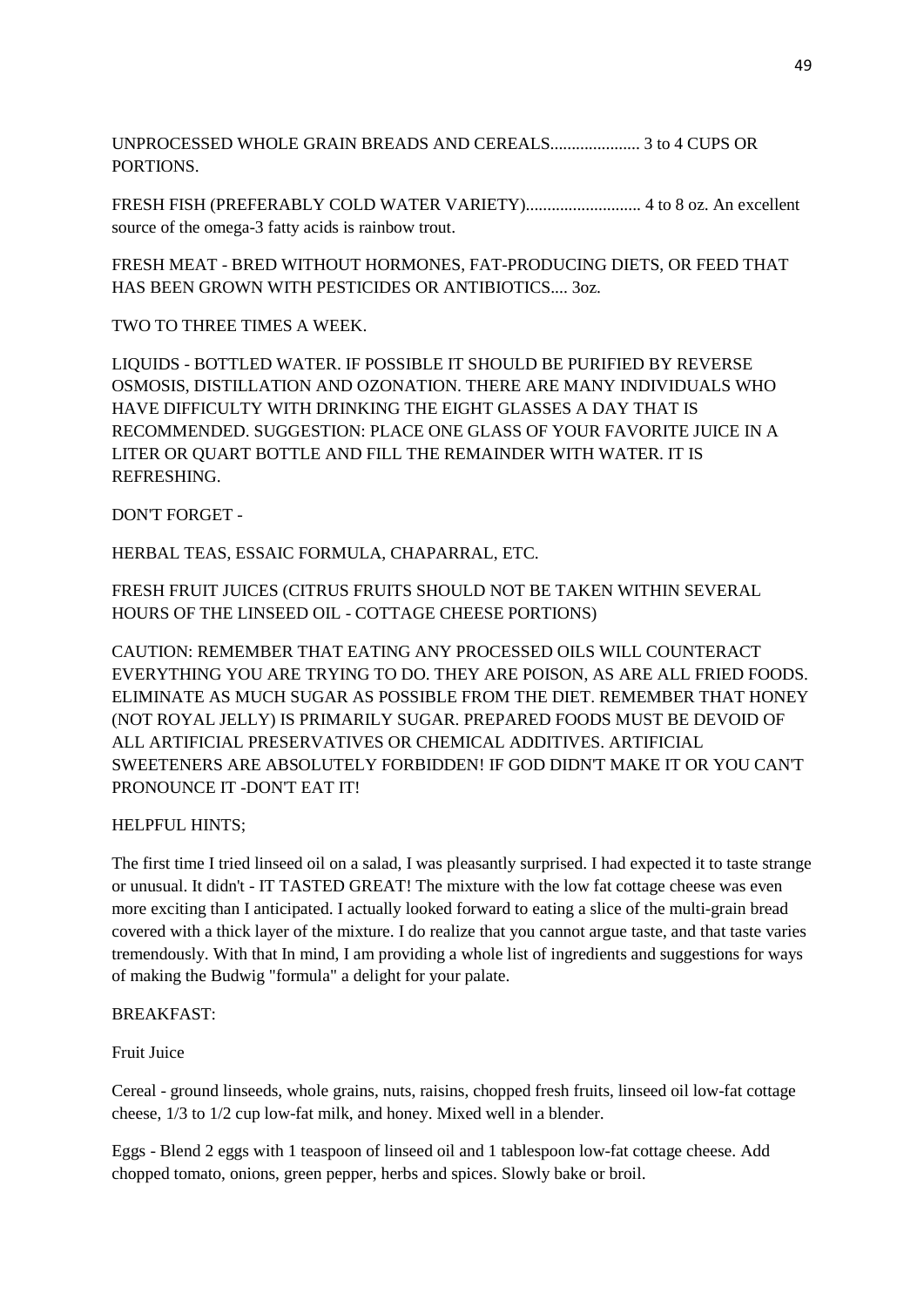UNPROCESSED WHOLE GRAIN BREADS AND CEREALS..................... 3 to 4 CUPS OR PORTIONS.

FRESH FISH (PREFERABLY COLD WATER VARIETY)........................... 4 to 8 oz. An excellent source of the omega-3 fatty acids is rainbow trout.

FRESH MEAT - BRED WITHOUT HORMONES, FAT-PRODUCING DIETS, OR FEED THAT HAS BEEN GROWN WITH PESTICIDES OR ANTIBIOTICS.... 3oz.

# TWO TO THREE TIMES A WEEK.

LIQUIDS - BOTTLED WATER. IF POSSIBLE IT SHOULD BE PURIFIED BY REVERSE OSMOSIS, DISTILLATION AND OZONATION. THERE ARE MANY INDIVIDUALS WHO HAVE DIFFICULTY WITH DRINKING THE EIGHT GLASSES A DAY THAT IS RECOMMENDED. SUGGESTION: PLACE ONE GLASS OF YOUR FAVORITE JUICE IN A LITER OR QUART BOTTLE AND FILL THE REMAINDER WITH WATER. IT IS REFRESHING.

# DON'T FORGET -

HERBAL TEAS, ESSAIC FORMULA, CHAPARRAL, ETC.

FRESH FRUIT JUICES (CITRUS FRUITS SHOULD NOT BE TAKEN WITHIN SEVERAL HOURS OF THE LINSEED OIL - COTTAGE CHEESE PORTIONS)

CAUTION: REMEMBER THAT EATING ANY PROCESSED OILS WILL COUNTERACT EVERYTHING YOU ARE TRYING TO DO. THEY ARE POISON, AS ARE ALL FRIED FOODS. ELIMINATE AS MUCH SUGAR AS POSSIBLE FROM THE DIET. REMEMBER THAT HONEY (NOT ROYAL JELLY) IS PRIMARILY SUGAR. PREPARED FOODS MUST BE DEVOID OF ALL ARTIFICIAL PRESERVATIVES OR CHEMICAL ADDITIVES. ARTIFICIAL SWEETENERS ARE ABSOLUTELY FORBIDDEN! IF GOD DIDN'T MAKE IT OR YOU CAN'T PRONOUNCE IT -DON'T EAT IT!

### HELPFUL HINTS;

The first time I tried linseed oil on a salad, I was pleasantly surprised. I had expected it to taste strange or unusual. It didn't - IT TASTED GREAT! The mixture with the low fat cottage cheese was even more exciting than I anticipated. I actually looked forward to eating a slice of the multi-grain bread covered with a thick layer of the mixture. I do realize that you cannot argue taste, and that taste varies tremendously. With that In mind, I am providing a whole list of ingredients and suggestions for ways of making the Budwig "formula" a delight for your palate.

### BREAKFAST:

### Fruit Juice

Cereal - ground linseeds, whole grains, nuts, raisins, chopped fresh fruits, linseed oil low-fat cottage cheese, 1/3 to 1/2 cup low-fat milk, and honey. Mixed well in a blender.

Eggs - Blend 2 eggs with 1 teaspoon of linseed oil and 1 tablespoon low-fat cottage cheese. Add chopped tomato, onions, green pepper, herbs and spices. Slowly bake or broil.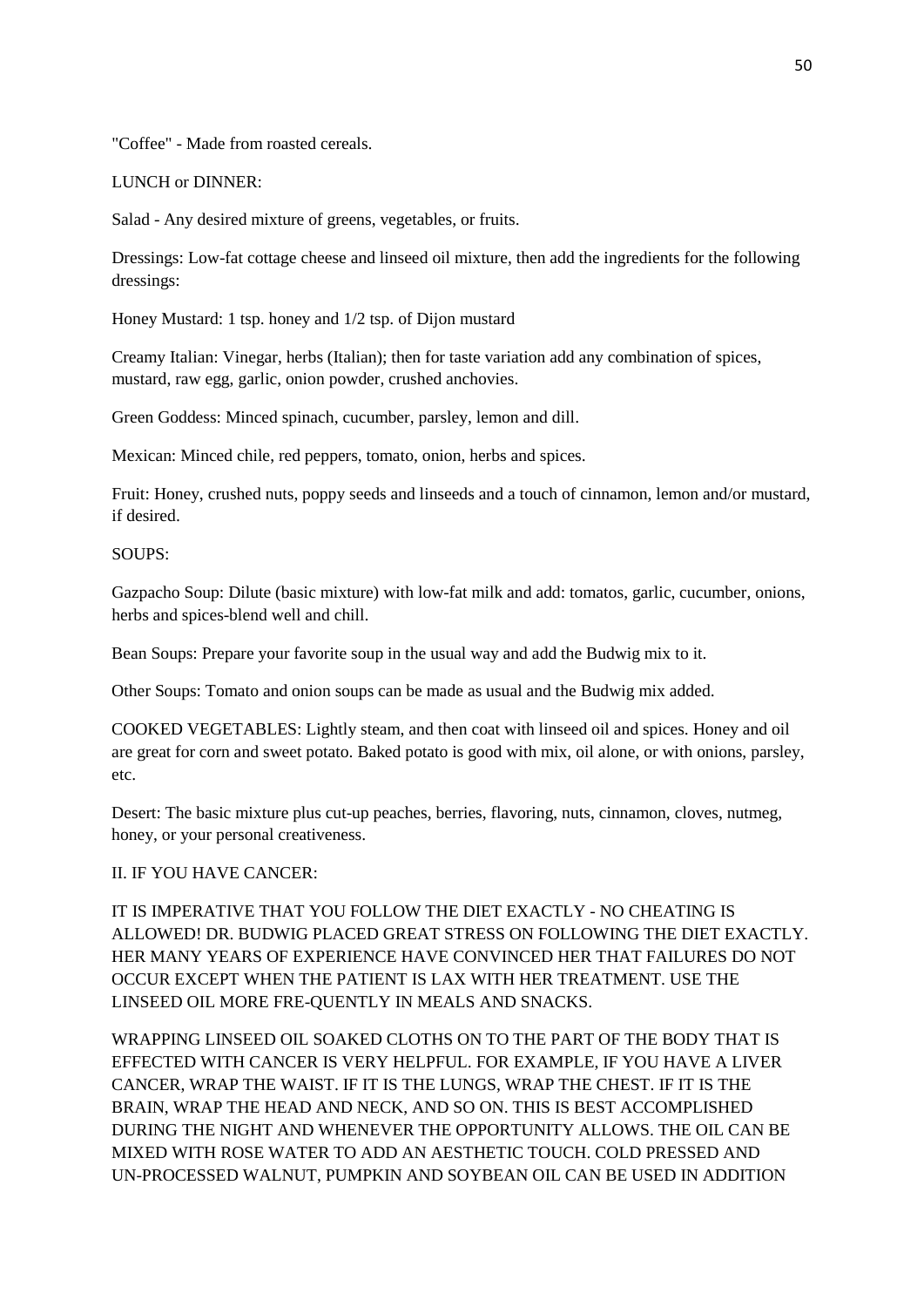"Coffee" - Made from roasted cereals.

# LUNCH or DINNER:

Salad - Any desired mixture of greens, vegetables, or fruits.

Dressings: Low-fat cottage cheese and linseed oil mixture, then add the ingredients for the following dressings:

Honey Mustard: 1 tsp. honey and 1/2 tsp. of Dijon mustard

Creamy Italian: Vinegar, herbs (Italian); then for taste variation add any combination of spices, mustard, raw egg, garlic, onion powder, crushed anchovies.

Green Goddess: Minced spinach, cucumber, parsley, lemon and dill.

Mexican: Minced chile, red peppers, tomato, onion, herbs and spices.

Fruit: Honey, crushed nuts, poppy seeds and linseeds and a touch of cinnamon, lemon and/or mustard, if desired.

# SOUPS:

Gazpacho Soup: Dilute (basic mixture) with low-fat milk and add: tomatos, garlic, cucumber, onions, herbs and spices-blend well and chill.

Bean Soups: Prepare your favorite soup in the usual way and add the Budwig mix to it.

Other Soups: Tomato and onion soups can be made as usual and the Budwig mix added.

COOKED VEGETABLES: Lightly steam, and then coat with linseed oil and spices. Honey and oil are great for corn and sweet potato. Baked potato is good with mix, oil alone, or with onions, parsley, etc.

Desert: The basic mixture plus cut-up peaches, berries, flavoring, nuts, cinnamon, cloves, nutmeg, honey, or your personal creativeness.

# II. IF YOU HAVE CANCER:

IT IS IMPERATIVE THAT YOU FOLLOW THE DIET EXACTLY - NO CHEATING IS ALLOWED! DR. BUDWIG PLACED GREAT STRESS ON FOLLOWING THE DIET EXACTLY. HER MANY YEARS OF EXPERIENCE HAVE CONVINCED HER THAT FAILURES DO NOT OCCUR EXCEPT WHEN THE PATIENT IS LAX WITH HER TREATMENT. USE THE LINSEED OIL MORE FRE-QUENTLY IN MEALS AND SNACKS.

WRAPPING LINSEED OIL SOAKED CLOTHS ON TO THE PART OF THE BODY THAT IS EFFECTED WITH CANCER IS VERY HELPFUL. FOR EXAMPLE, IF YOU HAVE A LIVER CANCER, WRAP THE WAIST. IF IT IS THE LUNGS, WRAP THE CHEST. IF IT IS THE BRAIN, WRAP THE HEAD AND NECK, AND SO ON. THIS IS BEST ACCOMPLISHED DURING THE NIGHT AND WHENEVER THE OPPORTUNITY ALLOWS. THE OIL CAN BE MIXED WITH ROSE WATER TO ADD AN AESTHETIC TOUCH. COLD PRESSED AND UN-PROCESSED WALNUT, PUMPKIN AND SOYBEAN OIL CAN BE USED IN ADDITION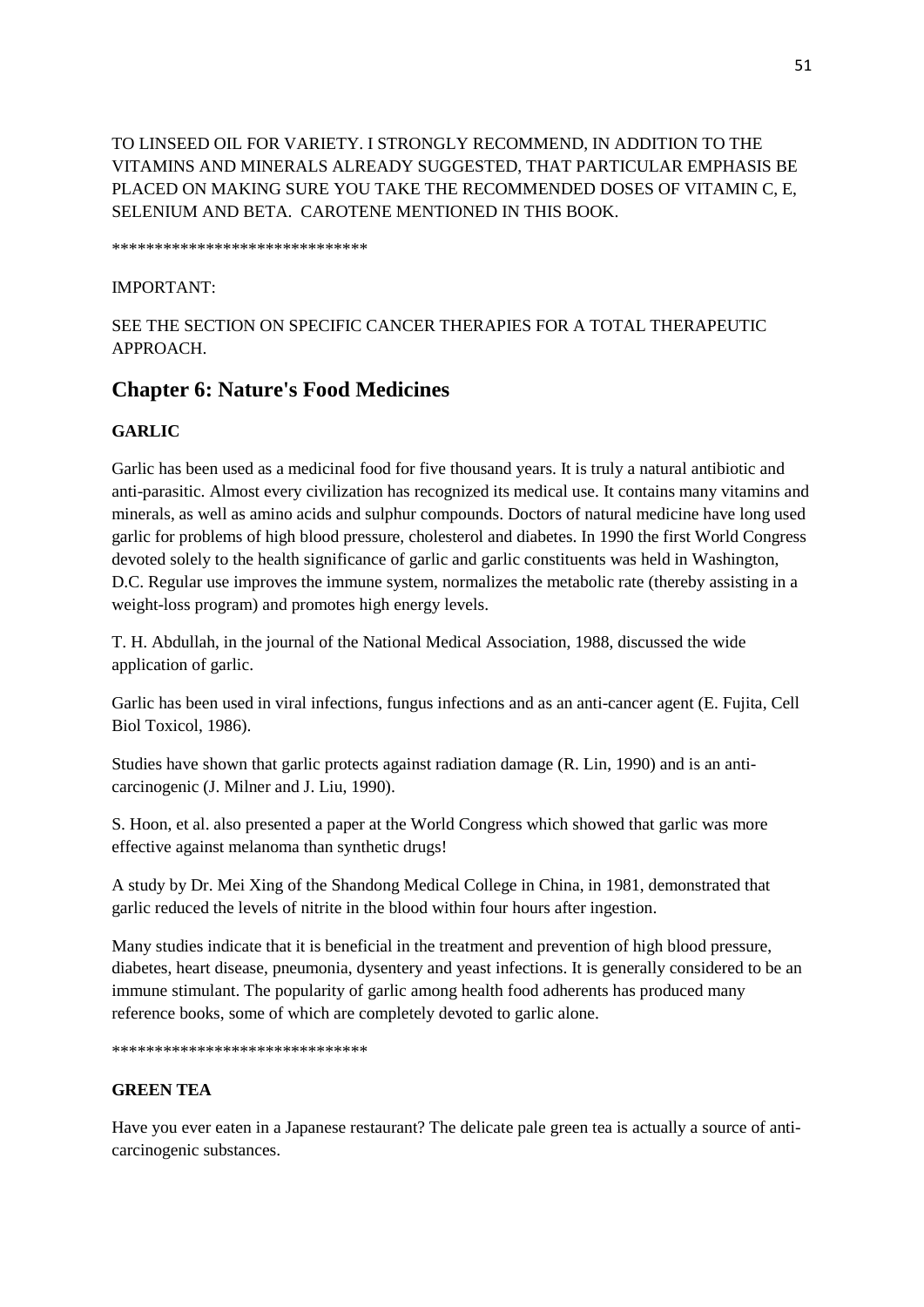# TO LINSEED OIL FOR VARIETY. I STRONGLY RECOMMEND, IN ADDITION TO THE VITAMINS AND MINERALS ALREADY SUGGESTED, THAT PARTICULAR EMPHASIS BE PLACED ON MAKING SURE YOU TAKE THE RECOMMENDED DOSES OF VITAMIN C, E, SELENIUM AND BETA. CAROTENE MENTIONED IN THIS BOOK.

#### \*\*\*\*\*\*\*\*\*\*\*\*\*\*\*\*\*\*\*\*\*\*\*\*\*\*\*\*\*\*

# IMPORTANT:

# SEE THE SECTION ON SPECIFIC CANCER THERAPIES FOR A TOTAL THERAPEUTIC APPROACH.

# **Chapter 6: Nature's Food Medicines**

# **GARLIC**

Garlic has been used as a medicinal food for five thousand years. It is truly a natural antibiotic and anti-parasitic. Almost every civilization has recognized its medical use. It contains many vitamins and minerals, as well as amino acids and sulphur compounds. Doctors of natural medicine have long used garlic for problems of high blood pressure, cholesterol and diabetes. In 1990 the first World Congress devoted solely to the health significance of garlic and garlic constituents was held in Washington, D.C. Regular use improves the immune system, normalizes the metabolic rate (thereby assisting in a weight-loss program) and promotes high energy levels.

T. H. Abdullah, in the journal of the National Medical Association, 1988, discussed the wide application of garlic.

Garlic has been used in viral infections, fungus infections and as an anti-cancer agent (E. Fujita, Cell Biol Toxicol, 1986).

Studies have shown that garlic protects against radiation damage (R. Lin, 1990) and is an anticarcinogenic (J. Milner and J. Liu, 1990).

S. Hoon, et al. also presented a paper at the World Congress which showed that garlic was more effective against melanoma than synthetic drugs!

A study by Dr. Mei Xing of the Shandong Medical College in China, in 1981, demonstrated that garlic reduced the levels of nitrite in the blood within four hours after ingestion.

Many studies indicate that it is beneficial in the treatment and prevention of high blood pressure, diabetes, heart disease, pneumonia, dysentery and yeast infections. It is generally considered to be an immune stimulant. The popularity of garlic among health food adherents has produced many reference books, some of which are completely devoted to garlic alone.

\*\*\*\*\*\*\*\*\*\*\*\*\*\*\*\*\*\*\*\*\*\*\*\*\*\*\*\*\*\*

### **GREEN TEA**

Have you ever eaten in a Japanese restaurant? The delicate pale green tea is actually a source of anticarcinogenic substances.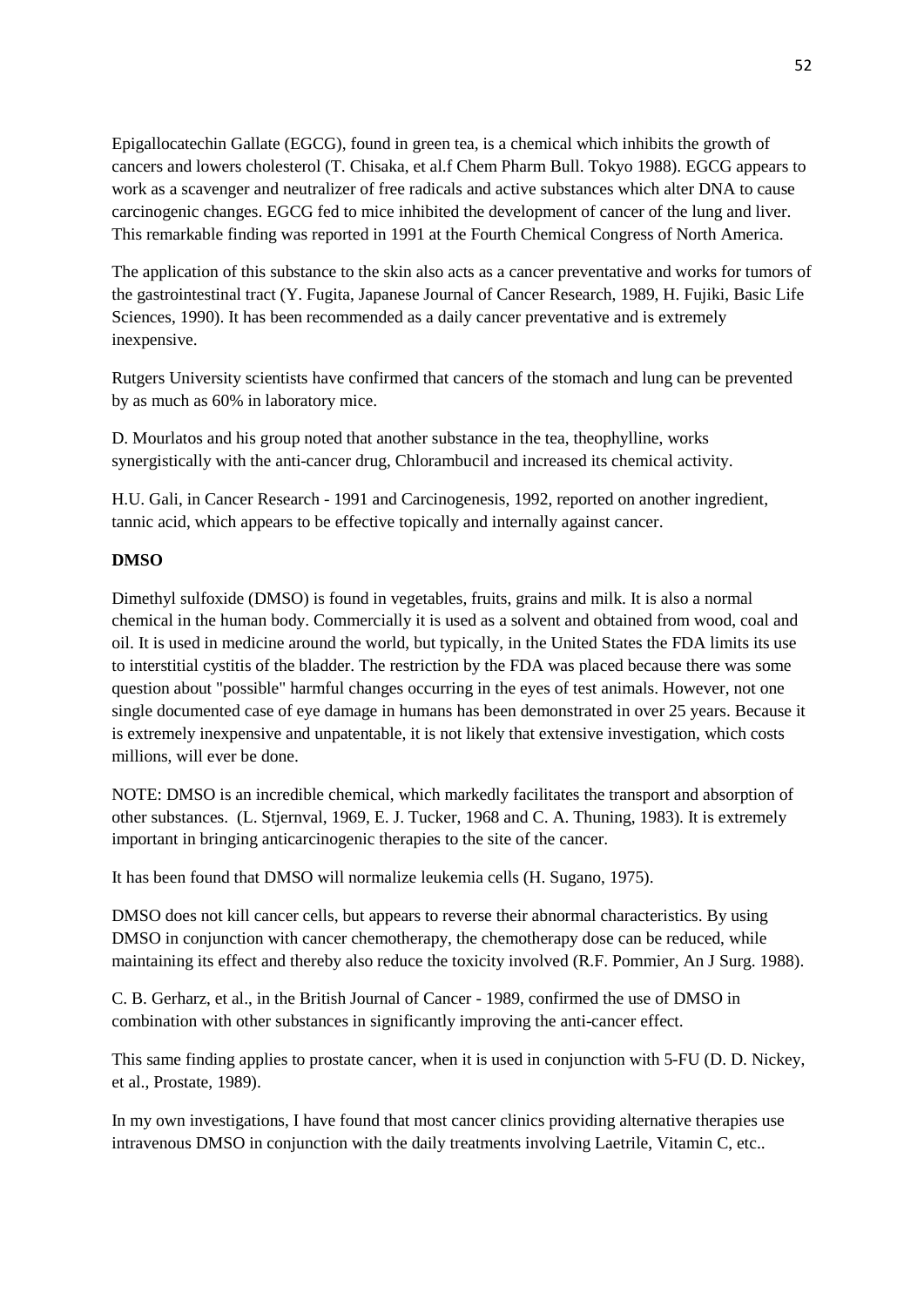Epigallocatechin Gallate (EGCG), found in green tea, is a chemical which inhibits the growth of cancers and lowers cholesterol (T. Chisaka, et al.f Chem Pharm Bull. Tokyo 1988). EGCG appears to work as a scavenger and neutralizer of free radicals and active substances which alter DNA to cause carcinogenic changes. EGCG fed to mice inhibited the development of cancer of the lung and liver. This remarkable finding was reported in 1991 at the Fourth Chemical Congress of North America.

The application of this substance to the skin also acts as a cancer preventative and works for tumors of the gastrointestinal tract (Y. Fugita, Japanese Journal of Cancer Research, 1989, H. Fujiki, Basic Life Sciences, 1990). It has been recommended as a daily cancer preventative and is extremely inexpensive.

Rutgers University scientists have confirmed that cancers of the stomach and lung can be prevented by as much as 60% in laboratory mice.

D. Mourlatos and his group noted that another substance in the tea, theophylline, works synergistically with the anti-cancer drug, Chlorambucil and increased its chemical activity.

H.U. Gali, in Cancer Research - 1991 and Carcinogenesis, 1992, reported on another ingredient, tannic acid, which appears to be effective topically and internally against cancer.

#### **DMSO**

Dimethyl sulfoxide (DMSO) is found in vegetables, fruits, grains and milk. It is also a normal chemical in the human body. Commercially it is used as a solvent and obtained from wood, coal and oil. It is used in medicine around the world, but typically, in the United States the FDA limits its use to interstitial cystitis of the bladder. The restriction by the FDA was placed because there was some question about "possible" harmful changes occurring in the eyes of test animals. However, not one single documented case of eye damage in humans has been demonstrated in over 25 years. Because it is extremely inexpensive and unpatentable, it is not likely that extensive investigation, which costs millions, will ever be done.

NOTE: DMSO is an incredible chemical, which markedly facilitates the transport and absorption of other substances. (L. Stjernval, 1969, E. J. Tucker, 1968 and C. A. Thuning, 1983). It is extremely important in bringing anticarcinogenic therapies to the site of the cancer.

It has been found that DMSO will normalize leukemia cells (H. Sugano, 1975).

DMSO does not kill cancer cells, but appears to reverse their abnormal characteristics. By using DMSO in conjunction with cancer chemotherapy, the chemotherapy dose can be reduced, while maintaining its effect and thereby also reduce the toxicity involved (R.F. Pommier, An J Surg. 1988).

C. B. Gerharz, et al., in the British Journal of Cancer - 1989, confirmed the use of DMSO in combination with other substances in significantly improving the anti-cancer effect.

This same finding applies to prostate cancer, when it is used in conjunction with 5-FU (D. D. Nickey, et al., Prostate, 1989).

In my own investigations, I have found that most cancer clinics providing alternative therapies use intravenous DMSO in conjunction with the daily treatments involving Laetrile, Vitamin C, etc..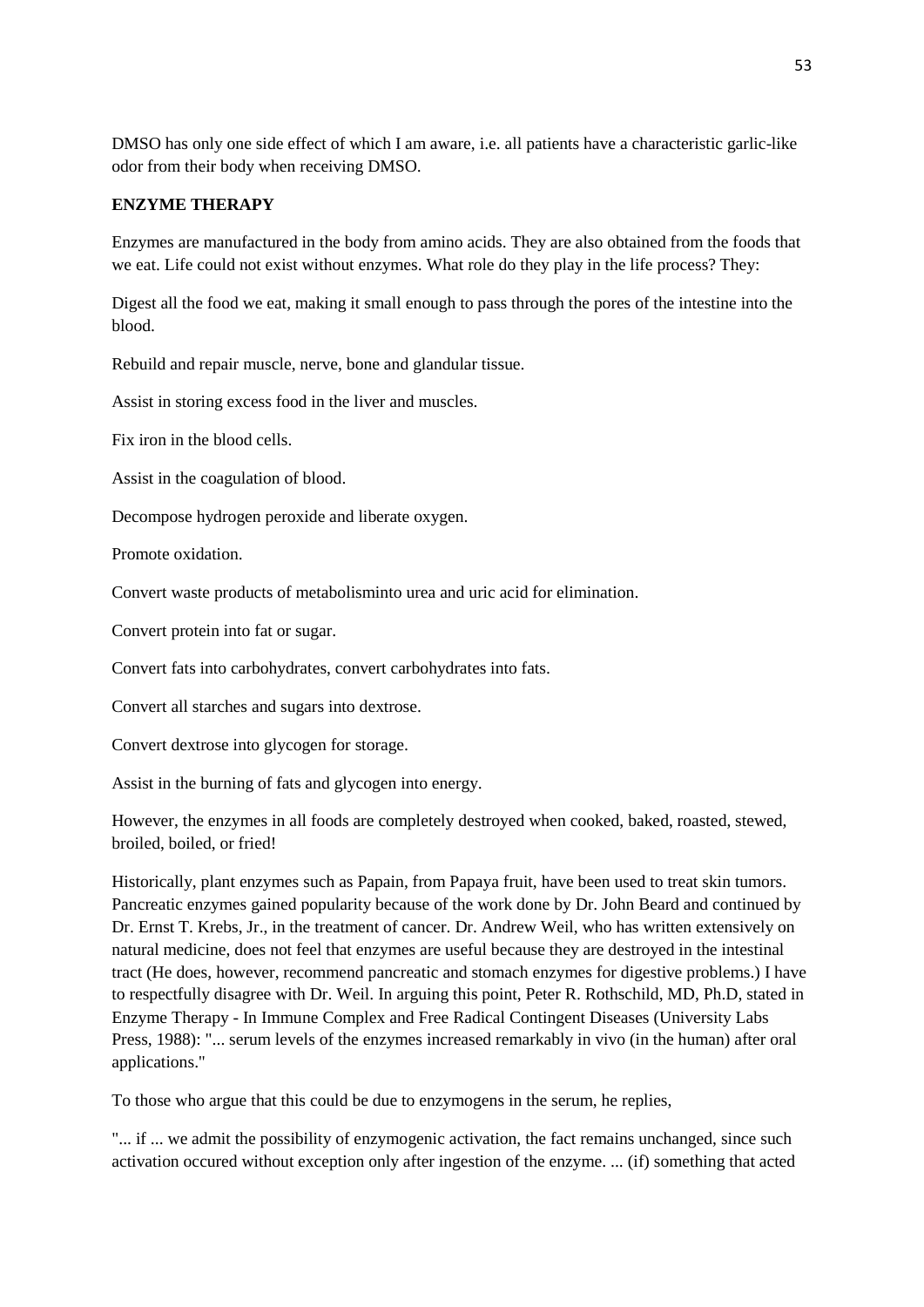DMSO has only one side effect of which I am aware, i.e. all patients have a characteristic garlic-like odor from their body when receiving DMSO.

# **ENZYME THERAPY**

Enzymes are manufactured in the body from amino acids. They are also obtained from the foods that we eat. Life could not exist without enzymes. What role do they play in the life process? They:

Digest all the food we eat, making it small enough to pass through the pores of the intestine into the blood.

Rebuild and repair muscle, nerve, bone and glandular tissue.

Assist in storing excess food in the liver and muscles.

Fix iron in the blood cells.

Assist in the coagulation of blood.

Decompose hydrogen peroxide and liberate oxygen.

Promote oxidation.

Convert waste products of metabolisminto urea and uric acid for elimination.

Convert protein into fat or sugar.

Convert fats into carbohydrates, convert carbohydrates into fats.

Convert all starches and sugars into dextrose.

Convert dextrose into glycogen for storage.

Assist in the burning of fats and glycogen into energy.

However, the enzymes in all foods are completely destroyed when cooked, baked, roasted, stewed, broiled, boiled, or fried!

Historically, plant enzymes such as Papain, from Papaya fruit, have been used to treat skin tumors. Pancreatic enzymes gained popularity because of the work done by Dr. John Beard and continued by Dr. Ernst T. Krebs, Jr., in the treatment of cancer. Dr. Andrew Weil, who has written extensively on natural medicine, does not feel that enzymes are useful because they are destroyed in the intestinal tract (He does, however, recommend pancreatic and stomach enzymes for digestive problems.) I have to respectfully disagree with Dr. Weil. In arguing this point, Peter R. Rothschild, MD, Ph.D, stated in Enzyme Therapy - In Immune Complex and Free Radical Contingent Diseases (University Labs Press, 1988): "... serum levels of the enzymes increased remarkably in vivo (in the human) after oral applications."

To those who argue that this could be due to enzymogens in the serum, he replies,

"... if ... we admit the possibility of enzymogenic activation, the fact remains unchanged, since such activation occured without exception only after ingestion of the enzyme. ... (if) something that acted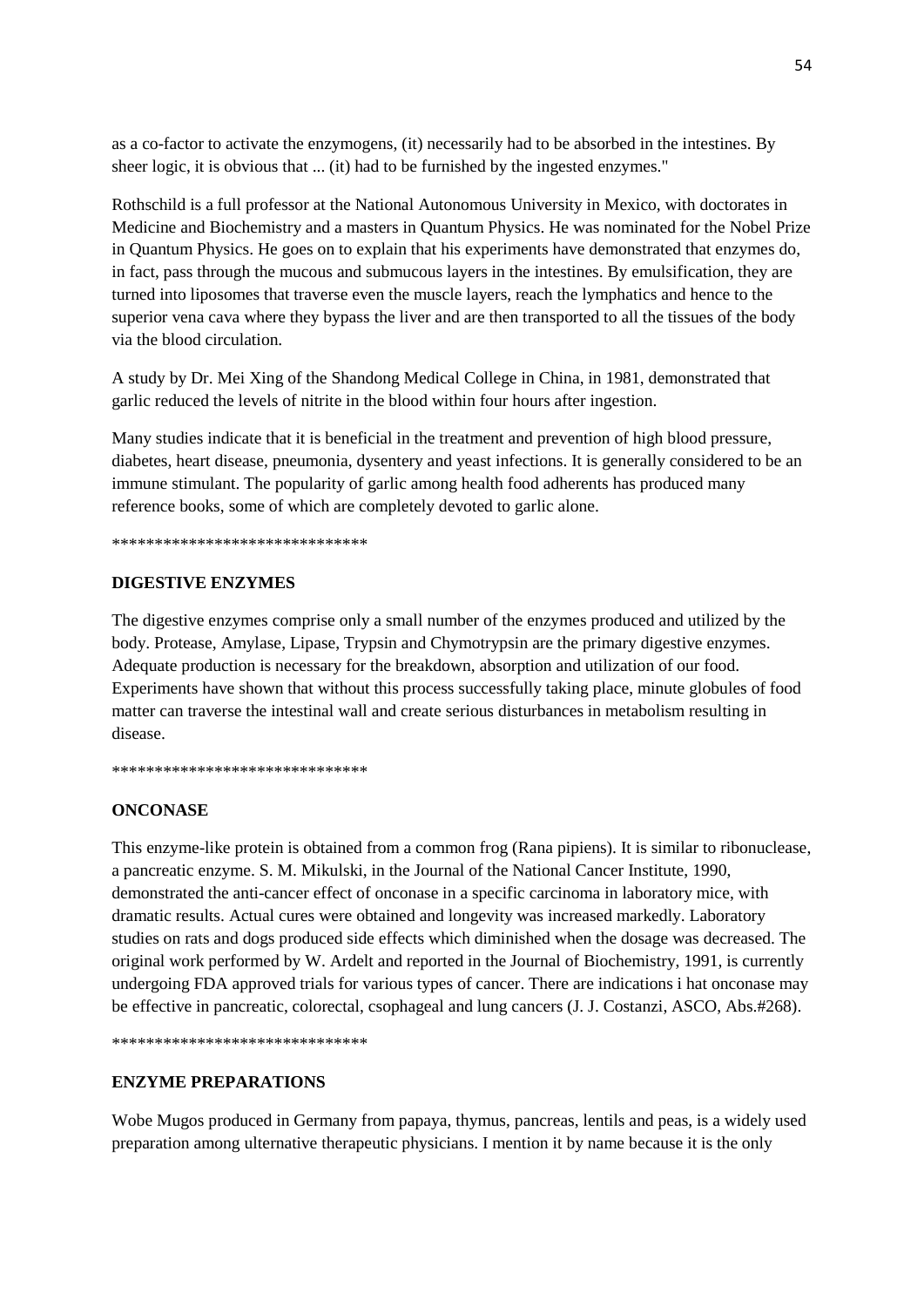as a co-factor to activate the enzymogens, (it) necessarily had to be absorbed in the intestines. By sheer logic, it is obvious that ... (it) had to be furnished by the ingested enzymes."

Rothschild is a full professor at the National Autonomous University in Mexico, with doctorates in Medicine and Biochemistry and a masters in Quantum Physics. He was nominated for the Nobel Prize in Quantum Physics. He goes on to explain that his experiments have demonstrated that enzymes do, in fact, pass through the mucous and submucous layers in the intestines. By emulsification, they are turned into liposomes that traverse even the muscle layers, reach the lymphatics and hence to the superior vena cava where they bypass the liver and are then transported to all the tissues of the body via the blood circulation.

A study by Dr. Mei Xing of the Shandong Medical College in China, in 1981, demonstrated that garlic reduced the levels of nitrite in the blood within four hours after ingestion.

Many studies indicate that it is beneficial in the treatment and prevention of high blood pressure, diabetes, heart disease, pneumonia, dysentery and yeast infections. It is generally considered to be an immune stimulant. The popularity of garlic among health food adherents has produced many reference books, some of which are completely devoted to garlic alone.

\*\*\*\*\*\*\*\*\*\*\*\*\*\*\*\*\*\*\*\*\*\*\*\*\*\*\*\*\*\*

#### **DIGESTIVE ENZYMES**

The digestive enzymes comprise only a small number of the enzymes produced and utilized by the body. Protease, Amylase, Lipase, Trypsin and Chymotrypsin are the primary digestive enzymes. Adequate production is necessary for the breakdown, absorption and utilization of our food. Experiments have shown that without this process successfully taking place, minute globules of food matter can traverse the intestinal wall and create serious disturbances in metabolism resulting in disease.

\*\*\*\*\*\*\*\*\*\*\*\*\*\*\*\*\*\*\*\*\*\*\*\*\*\*\*

#### **ONCONASE**

This enzyme-like protein is obtained from a common frog (Rana pipiens). It is similar to ribonuclease, a pancreatic enzyme. S. M. Mikulski, in the Journal of the National Cancer Institute, 1990, demonstrated the anti-cancer effect of onconase in a specific carcinoma in laboratory mice, with dramatic results. Actual cures were obtained and longevity was increased markedly. Laboratory studies on rats and dogs produced side effects which diminished when the dosage was decreased. The original work performed by W. Ardelt and reported in the Journal of Biochemistry, 1991, is currently undergoing FDA approved trials for various types of cancer. There are indications i hat onconase may be effective in pancreatic, colorectal, csophageal and lung cancers (J. J. Costanzi, ASCO, Abs.#268).

\*\*\*\*\*\*\*\*\*\*\*\*\*\*\*\*\*\*\*\*\*\*\*\*\*\*\*\*\*\*

#### **ENZYME PREPARATIONS**

Wobe Mugos produced in Germany from papaya, thymus, pancreas, lentils and peas, is a widely used preparation among ulternative therapeutic physicians. I mention it by name because it is the only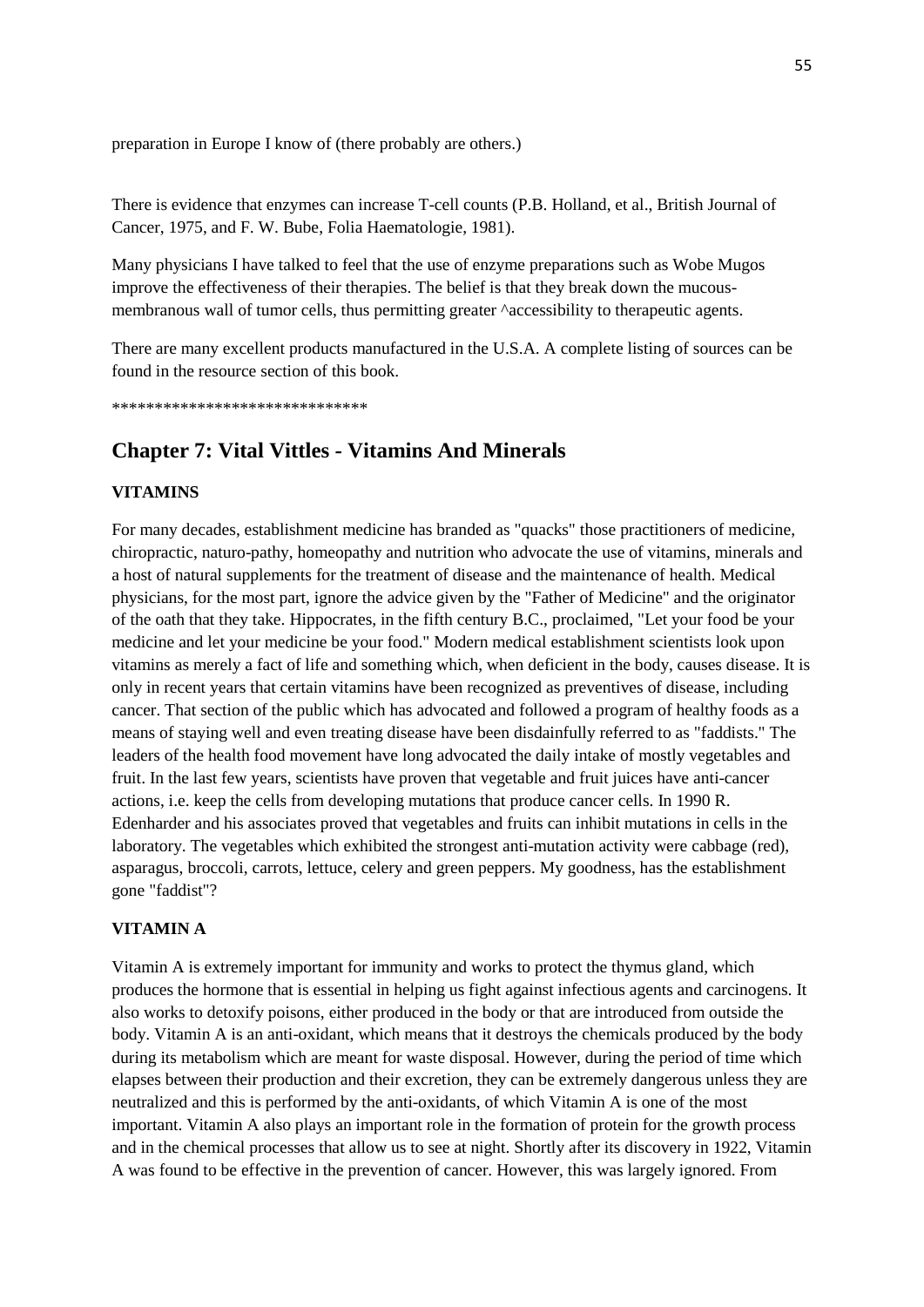preparation in Europe I know of (there probably are others.)

There is evidence that enzymes can increase T-cell counts (P.B. Holland, et al., British Journal of Cancer, 1975, and F. W. Bube, Folia Haematologie, 1981).

Many physicians I have talked to feel that the use of enzyme preparations such as Wobe Mugos improve the effectiveness of their therapies. The belief is that they break down the mucousmembranous wall of tumor cells, thus permitting greater ^accessibility to therapeutic agents.

There are many excellent products manufactured in the U.S.A. A complete listing of sources can be found in the resource section of this book.

\*\*\*\*\*\*\*\*\*\*\*\*\*\*\*\*\*\*\*\*\*\*\*\*\*\*\*\*\*\*

# **Chapter 7: Vital Vittles - Vitamins And Minerals**

#### **VITAMINS**

For many decades, establishment medicine has branded as "quacks" those practitioners of medicine, chiropractic, naturo-pathy, homeopathy and nutrition who advocate the use of vitamins, minerals and a host of natural supplements for the treatment of disease and the maintenance of health. Medical physicians, for the most part, ignore the advice given by the "Father of Medicine" and the originator of the oath that they take. Hippocrates, in the fifth century B.C., proclaimed, "Let your food be your medicine and let your medicine be your food." Modern medical establishment scientists look upon vitamins as merely a fact of life and something which, when deficient in the body, causes disease. It is only in recent years that certain vitamins have been recognized as preventives of disease, including cancer. That section of the public which has advocated and followed a program of healthy foods as a means of staying well and even treating disease have been disdainfully referred to as "faddists." The leaders of the health food movement have long advocated the daily intake of mostly vegetables and fruit. In the last few years, scientists have proven that vegetable and fruit juices have anti-cancer actions, i.e. keep the cells from developing mutations that produce cancer cells. In 1990 R. Edenharder and his associates proved that vegetables and fruits can inhibit mutations in cells in the laboratory. The vegetables which exhibited the strongest anti-mutation activity were cabbage (red), asparagus, broccoli, carrots, lettuce, celery and green peppers. My goodness, has the establishment gone "faddist"?

## **VITAMIN A**

Vitamin A is extremely important for immunity and works to protect the thymus gland, which produces the hormone that is essential in helping us fight against infectious agents and carcinogens. It also works to detoxify poisons, either produced in the body or that are introduced from outside the body. Vitamin A is an anti-oxidant, which means that it destroys the chemicals produced by the body during its metabolism which are meant for waste disposal. However, during the period of time which elapses between their production and their excretion, they can be extremely dangerous unless they are neutralized and this is performed by the anti-oxidants, of which Vitamin A is one of the most important. Vitamin A also plays an important role in the formation of protein for the growth process and in the chemical processes that allow us to see at night. Shortly after its discovery in 1922, Vitamin A was found to be effective in the prevention of cancer. However, this was largely ignored. From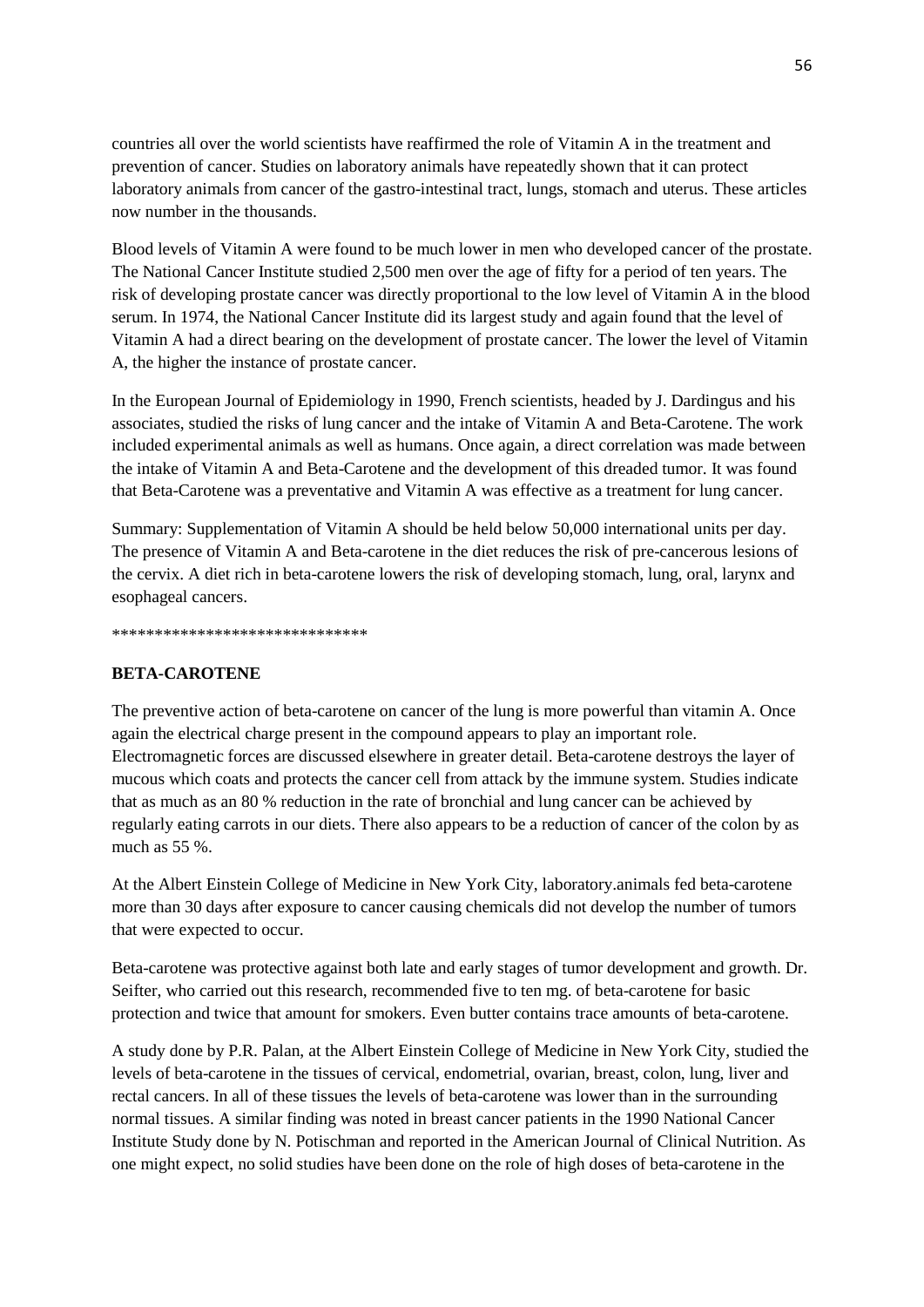countries all over the world scientists have reaffirmed the role of Vitamin A in the treatment and prevention of cancer. Studies on laboratory animals have repeatedly shown that it can protect laboratory animals from cancer of the gastro-intestinal tract, lungs, stomach and uterus. These articles now number in the thousands.

Blood levels of Vitamin A were found to be much lower in men who developed cancer of the prostate. The National Cancer Institute studied 2,500 men over the age of fifty for a period of ten years. The risk of developing prostate cancer was directly proportional to the low level of Vitamin A in the blood serum. In 1974, the National Cancer Institute did its largest study and again found that the level of Vitamin A had a direct bearing on the development of prostate cancer. The lower the level of Vitamin A, the higher the instance of prostate cancer.

In the European Journal of Epidemiology in 1990, French scientists, headed by J. Dardingus and his associates, studied the risks of lung cancer and the intake of Vitamin A and Beta-Carotene. The work included experimental animals as well as humans. Once again, a direct correlation was made between the intake of Vitamin A and Beta-Carotene and the development of this dreaded tumor. It was found that Beta-Carotene was a preventative and Vitamin A was effective as a treatment for lung cancer.

Summary: Supplementation of Vitamin A should be held below 50,000 international units per day. The presence of Vitamin A and Beta-carotene in the diet reduces the risk of pre-cancerous lesions of the cervix. A diet rich in beta-carotene lowers the risk of developing stomach, lung, oral, larynx and esophageal cancers.

\*\*\*\*\*\*\*\*\*\*\*\*\*\*\*\*\*\*\*\*\*\*\*\*\*\*\*\*\*\*

## **BETA-CAROTENE**

The preventive action of beta-carotene on cancer of the lung is more powerful than vitamin A. Once again the electrical charge present in the compound appears to play an important role. Electromagnetic forces are discussed elsewhere in greater detail. Beta-carotene destroys the layer of mucous which coats and protects the cancer cell from attack by the immune system. Studies indicate that as much as an 80 % reduction in the rate of bronchial and lung cancer can be achieved by regularly eating carrots in our diets. There also appears to be a reduction of cancer of the colon by as much as 55 %.

At the Albert Einstein College of Medicine in New York City, laboratory.animals fed beta-carotene more than 30 days after exposure to cancer causing chemicals did not develop the number of tumors that were expected to occur.

Beta-carotene was protective against both late and early stages of tumor development and growth. Dr. Seifter, who carried out this research, recommended five to ten mg. of beta-carotene for basic protection and twice that amount for smokers. Even butter contains trace amounts of beta-carotene.

A study done by P.R. Palan, at the Albert Einstein College of Medicine in New York City, studied the levels of beta-carotene in the tissues of cervical, endometrial, ovarian, breast, colon, lung, liver and rectal cancers. In all of these tissues the levels of beta-carotene was lower than in the surrounding normal tissues. A similar finding was noted in breast cancer patients in the 1990 National Cancer Institute Study done by N. Potischman and reported in the American Journal of Clinical Nutrition. As one might expect, no solid studies have been done on the role of high doses of beta-carotene in the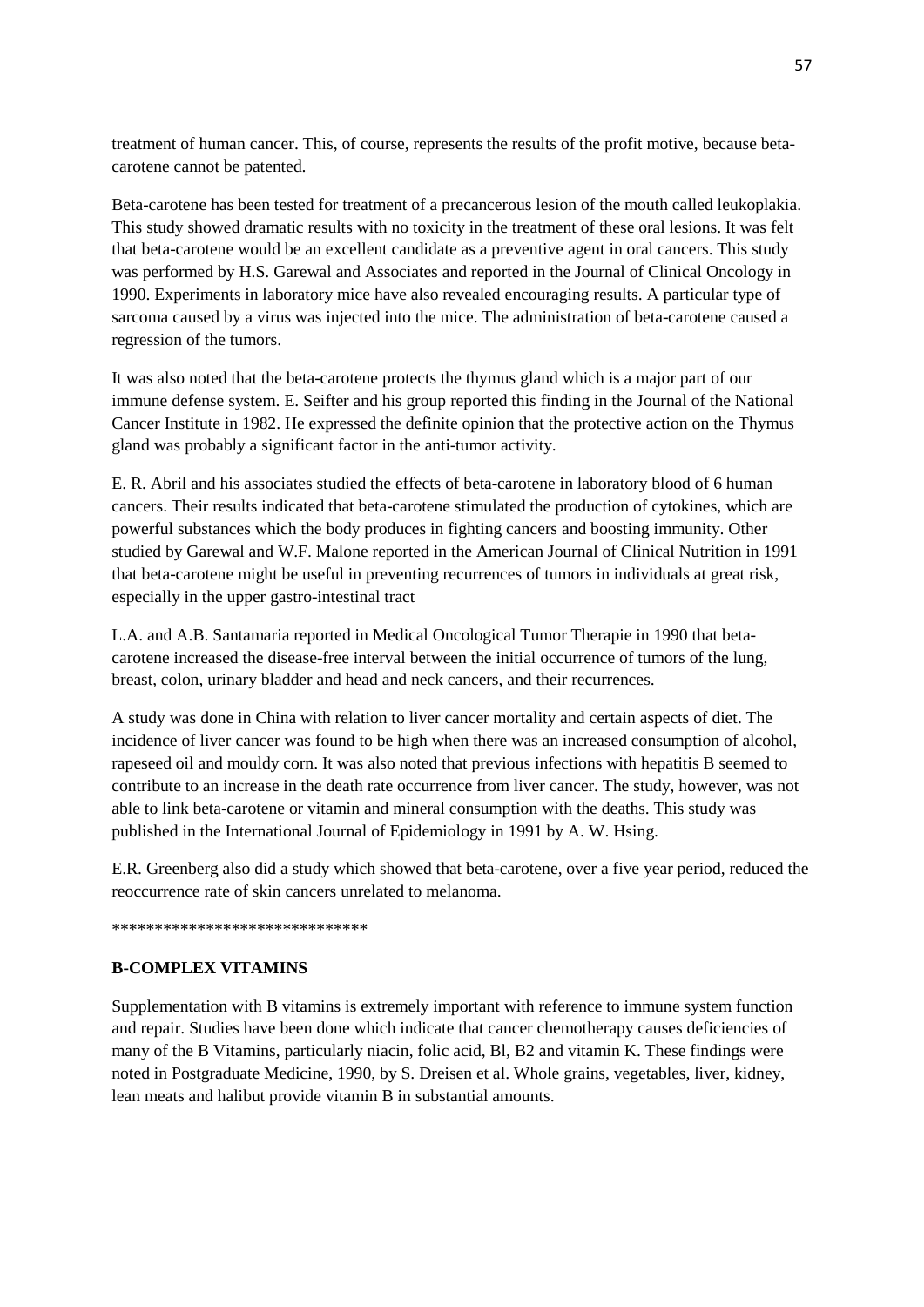treatment of human cancer. This, of course, represents the results of the profit motive, because betacarotene cannot be patented.

Beta-carotene has been tested for treatment of a precancerous lesion of the mouth called leukoplakia. This study showed dramatic results with no toxicity in the treatment of these oral lesions. It was felt that beta-carotene would be an excellent candidate as a preventive agent in oral cancers. This study was performed by H.S. Garewal and Associates and reported in the Journal of Clinical Oncology in 1990. Experiments in laboratory mice have also revealed encouraging results. A particular type of sarcoma caused by a virus was injected into the mice. The administration of beta-carotene caused a regression of the tumors.

It was also noted that the beta-carotene protects the thymus gland which is a major part of our immune defense system. E. Seifter and his group reported this finding in the Journal of the National Cancer Institute in 1982. He expressed the definite opinion that the protective action on the Thymus gland was probably a significant factor in the anti-tumor activity.

E. R. Abril and his associates studied the effects of beta-carotene in laboratory blood of 6 human cancers. Their results indicated that beta-carotene stimulated the production of cytokines, which are powerful substances which the body produces in fighting cancers and boosting immunity. Other studied by Garewal and W.F. Malone reported in the American Journal of Clinical Nutrition in 1991 that beta-carotene might be useful in preventing recurrences of tumors in individuals at great risk, especially in the upper gastro-intestinal tract

L.A. and A.B. Santamaria reported in Medical Oncological Tumor Therapie in 1990 that betacarotene increased the disease-free interval between the initial occurrence of tumors of the lung, breast, colon, urinary bladder and head and neck cancers, and their recurrences.

A study was done in China with relation to liver cancer mortality and certain aspects of diet. The incidence of liver cancer was found to be high when there was an increased consumption of alcohol, rapeseed oil and mouldy corn. It was also noted that previous infections with hepatitis B seemed to contribute to an increase in the death rate occurrence from liver cancer. The study, however, was not able to link beta-carotene or vitamin and mineral consumption with the deaths. This study was published in the International Journal of Epidemiology in 1991 by A. W. Hsing.

E.R. Greenberg also did a study which showed that beta-carotene, over a five year period, reduced the reoccurrence rate of skin cancers unrelated to melanoma.

\*\*\*\*\*\*\*\*\*\*\*\*\*\*\*\*\*\*\*\*\*\*\*\*\*\*\*\*\*\*

### **B-COMPLEX VITAMINS**

Supplementation with B vitamins is extremely important with reference to immune system function and repair. Studies have been done which indicate that cancer chemotherapy causes deficiencies of many of the B Vitamins, particularly niacin, folic acid, Bl, B2 and vitamin K. These findings were noted in Postgraduate Medicine, 1990, by S. Dreisen et al. Whole grains, vegetables, liver, kidney, lean meats and halibut provide vitamin B in substantial amounts.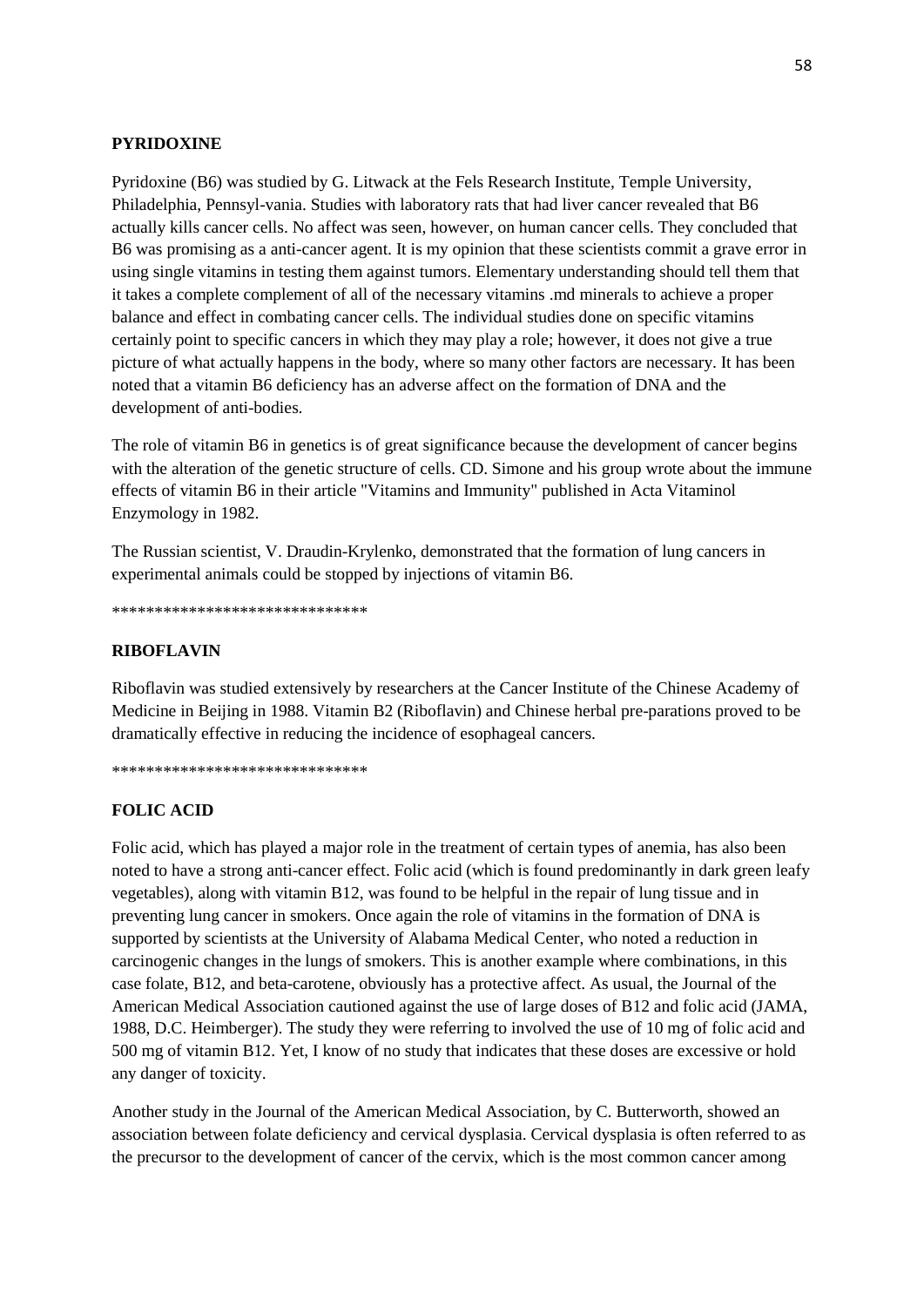#### **PYRIDOXINE**

Pyridoxine (B6) was studied by G. Litwack at the Fels Research Institute, Temple University, Philadelphia, Pennsyl-vania. Studies with laboratory rats that had liver cancer revealed that B6 actually kills cancer cells. No affect was seen, however, on human cancer cells. They concluded that B6 was promising as a anti-cancer agent. It is my opinion that these scientists commit a grave error in using single vitamins in testing them against tumors. Elementary understanding should tell them that it takes a complete complement of all of the necessary vitamins .md minerals to achieve a proper balance and effect in combating cancer cells. The individual studies done on specific vitamins certainly point to specific cancers in which they may play a role; however, it does not give a true picture of what actually happens in the body, where so many other factors are necessary. It has been noted that a vitamin B6 deficiency has an adverse affect on the formation of DNA and the development of anti-bodies.

The role of vitamin B6 in genetics is of great significance because the development of cancer begins with the alteration of the genetic structure of cells. CD. Simone and his group wrote about the immune effects of vitamin B6 in their article "Vitamins and Immunity" published in Acta Vitaminol Enzymology in 1982.

The Russian scientist, V. Draudin-Krylenko, demonstrated that the formation of lung cancers in experimental animals could be stopped by injections of vitamin B6.

\*\*\*\*\*\*\*\*\*\*\*\*\*\*\*\*\*\*\*\*\*\*\*\*\*\*\*\*\*\*

#### **RIBOFLAVIN**

Riboflavin was studied extensively by researchers at the Cancer Institute of the Chinese Academy of Medicine in Beijing in 1988. Vitamin B2 (Riboflavin) and Chinese herbal pre-parations proved to be dramatically effective in reducing the incidence of esophageal cancers.

\*\*\*\*\*\*\*\*\*\*\*\*\*\*\*\*\*\*\*\*\*\*\*\*\*\*\*

#### **FOLIC ACID**

Folic acid, which has played a major role in the treatment of certain types of anemia, has also been noted to have a strong anti-cancer effect. Folic acid (which is found predominantly in dark green leafy vegetables), along with vitamin B12, was found to be helpful in the repair of lung tissue and in preventing lung cancer in smokers. Once again the role of vitamins in the formation of DNA is supported by scientists at the University of Alabama Medical Center, who noted a reduction in carcinogenic changes in the lungs of smokers. This is another example where combinations, in this case folate, B12, and beta-carotene, obviously has a protective affect. As usual, the Journal of the American Medical Association cautioned against the use of large doses of B12 and folic acid (JAMA, 1988, D.C. Heimberger). The study they were referring to involved the use of 10 mg of folic acid and 500 mg of vitamin B12. Yet, I know of no study that indicates that these doses are excessive or hold any danger of toxicity.

Another study in the Journal of the American Medical Association, by C. Butterworth, showed an association between folate deficiency and cervical dysplasia. Cervical dysplasia is often referred to as the precursor to the development of cancer of the cervix, which is the most common cancer among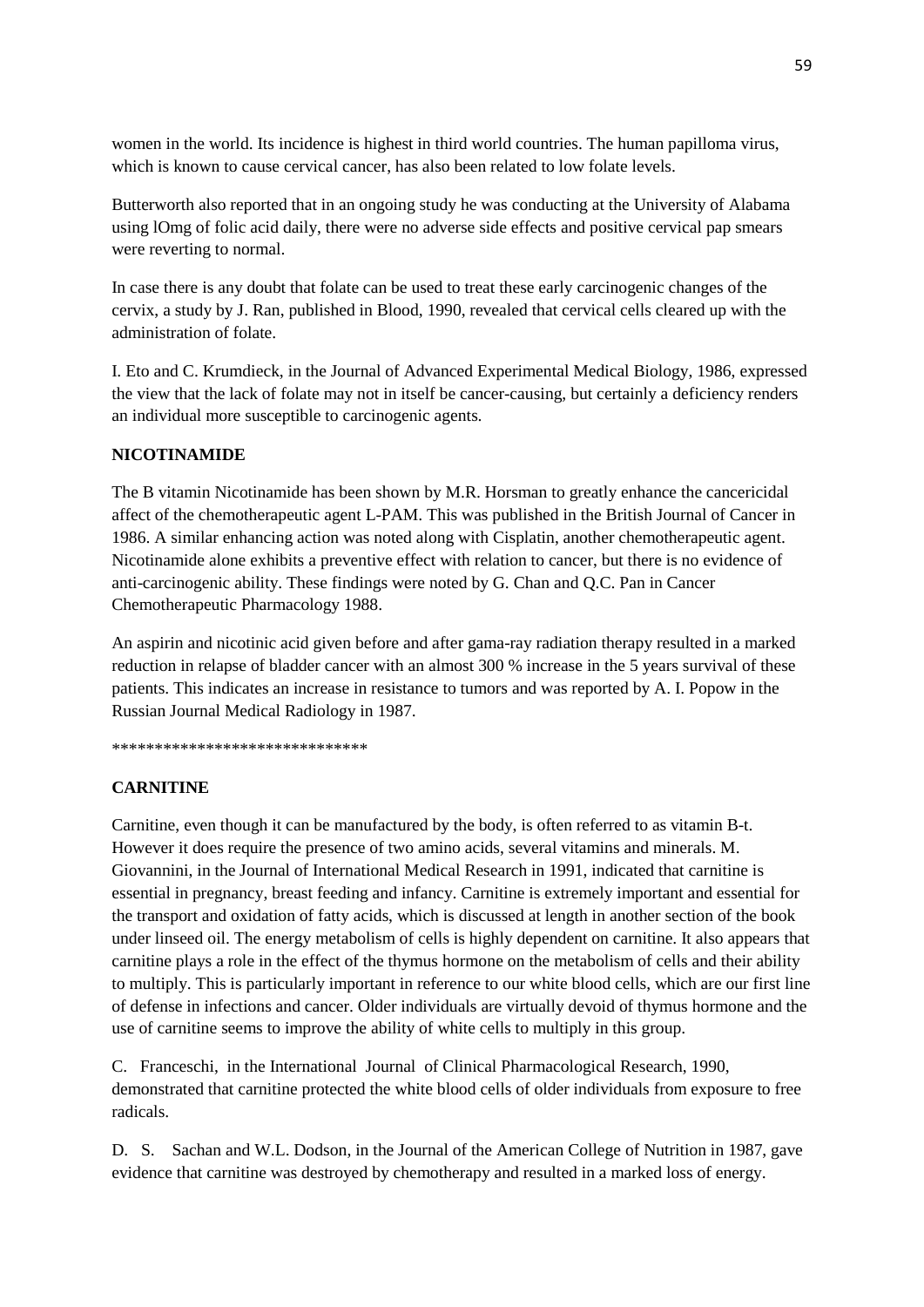women in the world. Its incidence is highest in third world countries. The human papilloma virus, which is known to cause cervical cancer, has also been related to low folate levels.

Butterworth also reported that in an ongoing study he was conducting at the University of Alabama using lOmg of folic acid daily, there were no adverse side effects and positive cervical pap smears were reverting to normal.

In case there is any doubt that folate can be used to treat these early carcinogenic changes of the cervix, a study by J. Ran, published in Blood, 1990, revealed that cervical cells cleared up with the administration of folate.

I. Eto and C. Krumdieck, in the Journal of Advanced Experimental Medical Biology, 1986, expressed the view that the lack of folate may not in itself be cancer-causing, but certainly a deficiency renders an individual more susceptible to carcinogenic agents.

### **NICOTINAMIDE**

The B vitamin Nicotinamide has been shown by M.R. Horsman to greatly enhance the cancericidal affect of the chemotherapeutic agent L-PAM. This was published in the British Journal of Cancer in 1986. A similar enhancing action was noted along with Cisplatin, another chemotherapeutic agent. Nicotinamide alone exhibits a preventive effect with relation to cancer, but there is no evidence of anti-carcinogenic ability. These findings were noted by G. Chan and Q.C. Pan in Cancer Chemotherapeutic Pharmacology 1988.

An aspirin and nicotinic acid given before and after gama-ray radiation therapy resulted in a marked reduction in relapse of bladder cancer with an almost 300 % increase in the 5 years survival of these patients. This indicates an increase in resistance to tumors and was reported by A. I. Popow in the Russian Journal Medical Radiology in 1987.

\*\*\*\*\*\*\*\*\*\*\*\*\*\*\*\*\*\*\*\*\*\*\*\*\*\*\*\*\*\*

### **CARNITINE**

Carnitine, even though it can be manufactured by the body, is often referred to as vitamin B-t. However it does require the presence of two amino acids, several vitamins and minerals. M. Giovannini, in the Journal of International Medical Research in 1991, indicated that carnitine is essential in pregnancy, breast feeding and infancy. Carnitine is extremely important and essential for the transport and oxidation of fatty acids, which is discussed at length in another section of the book under linseed oil. The energy metabolism of cells is highly dependent on carnitine. It also appears that carnitine plays a role in the effect of the thymus hormone on the metabolism of cells and their ability to multiply. This is particularly important in reference to our white blood cells, which are our first line of defense in infections and cancer. Older individuals are virtually devoid of thymus hormone and the use of carnitine seems to improve the ability of white cells to multiply in this group.

C. Franceschi, in the International Journal of Clinical Pharmacological Research, 1990, demonstrated that carnitine protected the white blood cells of older individuals from exposure to free radicals.

D. S. Sachan and W.L. Dodson, in the Journal of the American College of Nutrition in 1987, gave evidence that carnitine was destroyed by chemotherapy and resulted in a marked loss of energy.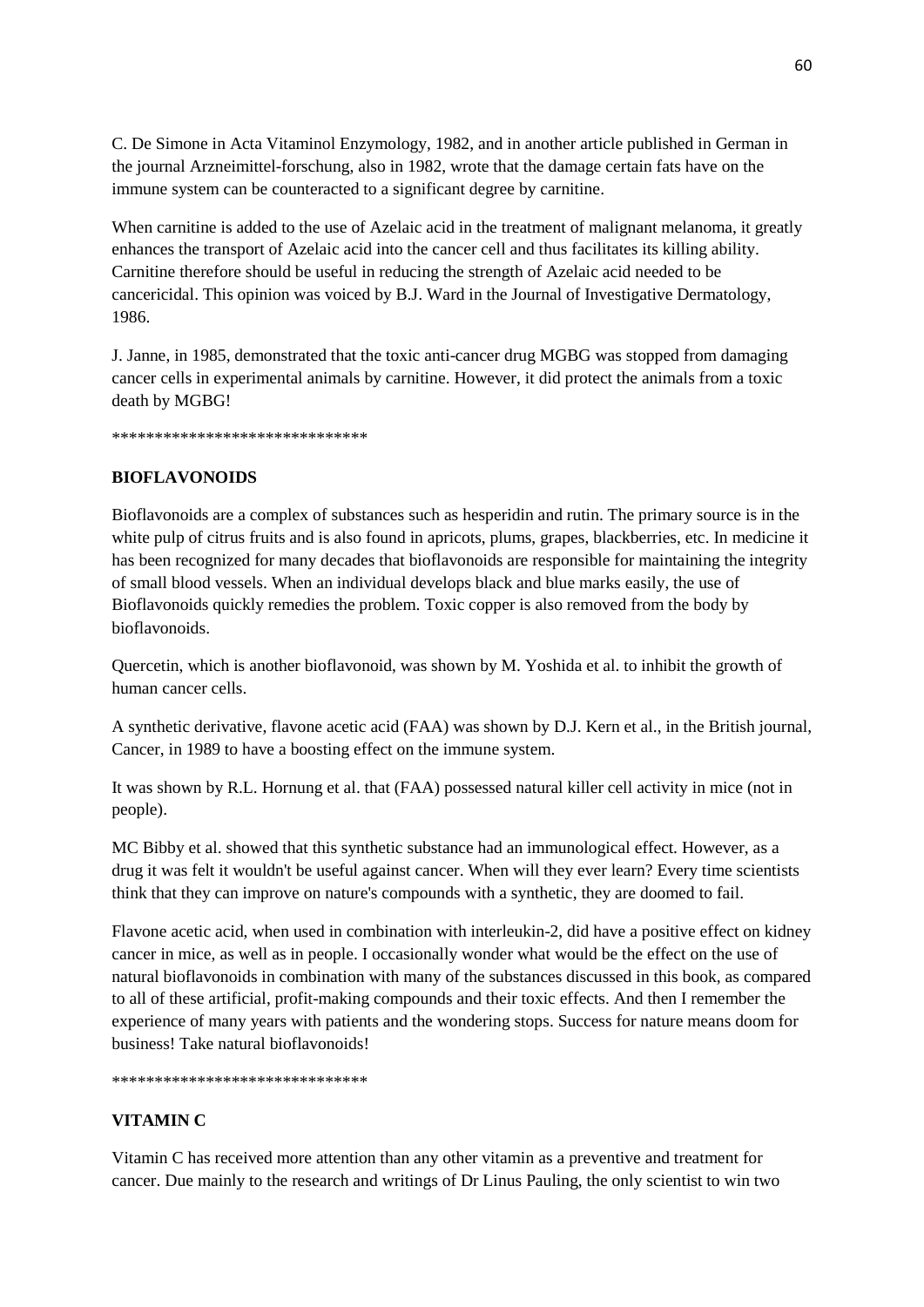C. De Simone in Acta Vitaminol Enzymology, 1982, and in another article published in German in the journal Arzneimittel-forschung, also in 1982, wrote that the damage certain fats have on the immune system can be counteracted to a significant degree by carnitine.

When carnitine is added to the use of Azelaic acid in the treatment of malignant melanoma, it greatly enhances the transport of Azelaic acid into the cancer cell and thus facilitates its killing ability. Carnitine therefore should be useful in reducing the strength of Azelaic acid needed to be cancericidal. This opinion was voiced by B.J. Ward in the Journal of Investigative Dermatology, 1986.

J. Janne, in 1985, demonstrated that the toxic anti-cancer drug MGBG was stopped from damaging cancer cells in experimental animals by carnitine. However, it did protect the animals from a toxic death by MGBG!

\*\*\*\*\*\*\*\*\*\*\*\*\*\*\*\*\*\*\*\*\*\*\*\*\*\*\*\*\*\*

### **BIOFLAVONOIDS**

Bioflavonoids are a complex of substances such as hesperidin and rutin. The primary source is in the white pulp of citrus fruits and is also found in apricots, plums, grapes, blackberries, etc. In medicine it has been recognized for many decades that bioflavonoids are responsible for maintaining the integrity of small blood vessels. When an individual develops black and blue marks easily, the use of Bioflavonoids quickly remedies the problem. Toxic copper is also removed from the body by bioflavonoids.

Quercetin, which is another bioflavonoid, was shown by M. Yoshida et al. to inhibit the growth of human cancer cells.

A synthetic derivative, flavone acetic acid (FAA) was shown by D.J. Kern et al., in the British journal, Cancer, in 1989 to have a boosting effect on the immune system.

It was shown by R.L. Hornung et al. that (FAA) possessed natural killer cell activity in mice (not in people).

MC Bibby et al. showed that this synthetic substance had an immunological effect. However, as a drug it was felt it wouldn't be useful against cancer. When will they ever learn? Every time scientists think that they can improve on nature's compounds with a synthetic, they are doomed to fail.

Flavone acetic acid, when used in combination with interleukin-2, did have a positive effect on kidney cancer in mice, as well as in people. I occasionally wonder what would be the effect on the use of natural bioflavonoids in combination with many of the substances discussed in this book, as compared to all of these artificial, profit-making compounds and their toxic effects. And then I remember the experience of many years with patients and the wondering stops. Success for nature means doom for business! Take natural bioflavonoids!

\*\*\*\*\*\*\*\*\*\*\*\*\*\*\*\*\*\*\*\*\*\*\*\*\*\*\*\*\*\*

# **VITAMIN C**

Vitamin C has received more attention than any other vitamin as a preventive and treatment for cancer. Due mainly to the research and writings of Dr Linus Pauling, the only scientist to win two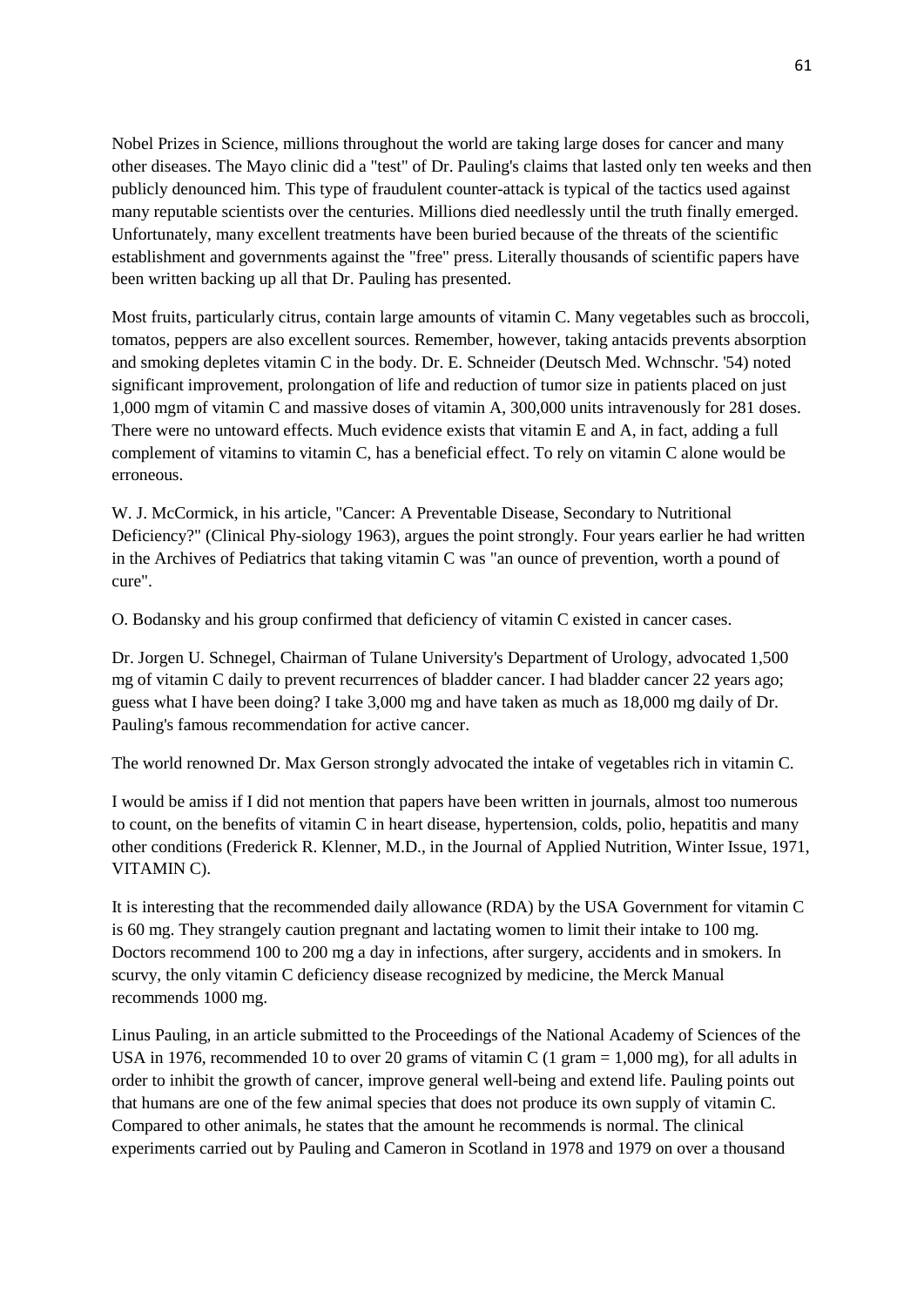Nobel Prizes in Science, millions throughout the world are taking large doses for cancer and many other diseases. The Mayo clinic did a "test" of Dr. Pauling's claims that lasted only ten weeks and then publicly denounced him. This type of fraudulent counter-attack is typical of the tactics used against many reputable scientists over the centuries. Millions died needlessly until the truth finally emerged. Unfortunately, many excellent treatments have been buried because of the threats of the scientific establishment and governments against the "free" press. Literally thousands of scientific papers have been written backing up all that Dr. Pauling has presented.

Most fruits, particularly citrus, contain large amounts of vitamin C. Many vegetables such as broccoli, tomatos, peppers are also excellent sources. Remember, however, taking antacids prevents absorption and smoking depletes vitamin C in the body. Dr. E. Schneider (Deutsch Med. Wchnschr. '54) noted significant improvement, prolongation of life and reduction of tumor size in patients placed on just 1,000 mgm of vitamin C and massive doses of vitamin A, 300,000 units intravenously for 281 doses. There were no untoward effects. Much evidence exists that vitamin E and A, in fact, adding a full complement of vitamins to vitamin C, has a beneficial effect. To rely on vitamin C alone would be erroneous.

W. J. McCormick, in his article, "Cancer: A Preventable Disease, Secondary to Nutritional Deficiency?" (Clinical Phy-siology 1963), argues the point strongly. Four years earlier he had written in the Archives of Pediatrics that taking vitamin C was "an ounce of prevention, worth a pound of cure".

O. Bodansky and his group confirmed that deficiency of vitamin C existed in cancer cases.

Dr. Jorgen U. Schnegel, Chairman of Tulane University's Department of Urology, advocated 1,500 mg of vitamin C daily to prevent recurrences of bladder cancer. I had bladder cancer 22 years ago; guess what I have been doing? I take 3,000 mg and have taken as much as 18,000 mg daily of Dr. Pauling's famous recommendation for active cancer.

The world renowned Dr. Max Gerson strongly advocated the intake of vegetables rich in vitamin C.

I would be amiss if I did not mention that papers have been written in journals, almost too numerous to count, on the benefits of vitamin C in heart disease, hypertension, colds, polio, hepatitis and many other conditions (Frederick R. Klenner, M.D., in the Journal of Applied Nutrition, Winter Issue, 1971, VITAMIN C).

It is interesting that the recommended daily allowance (RDA) by the USA Government for vitamin C is 60 mg. They strangely caution pregnant and lactating women to limit their intake to 100 mg. Doctors recommend 100 to 200 mg a day in infections, after surgery, accidents and in smokers. In scurvy, the only vitamin C deficiency disease recognized by medicine, the Merck Manual recommends 1000 mg.

Linus Pauling, in an article submitted to the Proceedings of the National Academy of Sciences of the USA in 1976, recommended 10 to over 20 grams of vitamin C (1 gram  $= 1,000$  mg), for all adults in order to inhibit the growth of cancer, improve general well-being and extend life. Pauling points out that humans are one of the few animal species that does not produce its own supply of vitamin C. Compared to other animals, he states that the amount he recommends is normal. The clinical experiments carried out by Pauling and Cameron in Scotland in 1978 and 1979 on over a thousand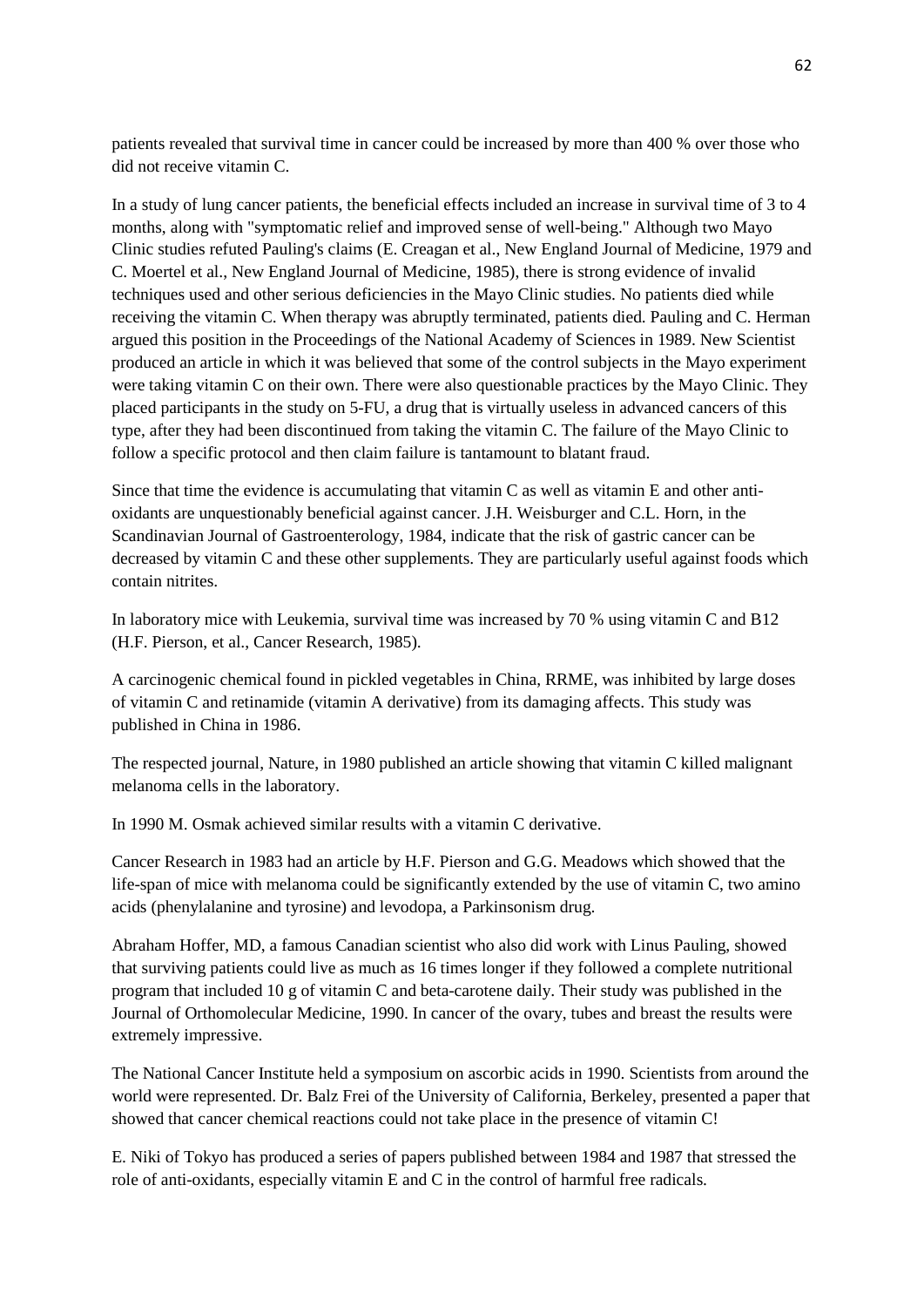patients revealed that survival time in cancer could be increased by more than 400 % over those who did not receive vitamin C.

In a study of lung cancer patients, the beneficial effects included an increase in survival time of 3 to 4 months, along with "symptomatic relief and improved sense of well-being." Although two Mayo Clinic studies refuted Pauling's claims (E. Creagan et al., New England Journal of Medicine, 1979 and C. Moertel et al., New England Journal of Medicine, 1985), there is strong evidence of invalid techniques used and other serious deficiencies in the Mayo Clinic studies. No patients died while receiving the vitamin C. When therapy was abruptly terminated, patients died. Pauling and C. Herman argued this position in the Proceedings of the National Academy of Sciences in 1989. New Scientist produced an article in which it was believed that some of the control subjects in the Mayo experiment were taking vitamin C on their own. There were also questionable practices by the Mayo Clinic. They placed participants in the study on 5-FU, a drug that is virtually useless in advanced cancers of this type, after they had been discontinued from taking the vitamin C. The failure of the Mayo Clinic to follow a specific protocol and then claim failure is tantamount to blatant fraud.

Since that time the evidence is accumulating that vitamin C as well as vitamin E and other antioxidants are unquestionably beneficial against cancer. J.H. Weisburger and C.L. Horn, in the Scandinavian Journal of Gastroenterology, 1984, indicate that the risk of gastric cancer can be decreased by vitamin C and these other supplements. They are particularly useful against foods which contain nitrites.

In laboratory mice with Leukemia, survival time was increased by 70 % using vitamin C and B12 (H.F. Pierson, et al., Cancer Research, 1985).

A carcinogenic chemical found in pickled vegetables in China, RRME, was inhibited by large doses of vitamin C and retinamide (vitamin A derivative) from its damaging affects. This study was published in China in 1986.

The respected journal, Nature, in 1980 published an article showing that vitamin C killed malignant melanoma cells in the laboratory.

In 1990 M. Osmak achieved similar results with a vitamin C derivative.

Cancer Research in 1983 had an article by H.F. Pierson and G.G. Meadows which showed that the life-span of mice with melanoma could be significantly extended by the use of vitamin C, two amino acids (phenylalanine and tyrosine) and levodopa, a Parkinsonism drug.

Abraham Hoffer, MD, a famous Canadian scientist who also did work with Linus Pauling, showed that surviving patients could live as much as 16 times longer if they followed a complete nutritional program that included 10 g of vitamin C and beta-carotene daily. Their study was published in the Journal of Orthomolecular Medicine, 1990. In cancer of the ovary, tubes and breast the results were extremely impressive.

The National Cancer Institute held a symposium on ascorbic acids in 1990. Scientists from around the world were represented. Dr. Balz Frei of the University of California, Berkeley, presented a paper that showed that cancer chemical reactions could not take place in the presence of vitamin C!

E. Niki of Tokyo has produced a series of papers published between 1984 and 1987 that stressed the role of anti-oxidants, especially vitamin E and C in the control of harmful free radicals.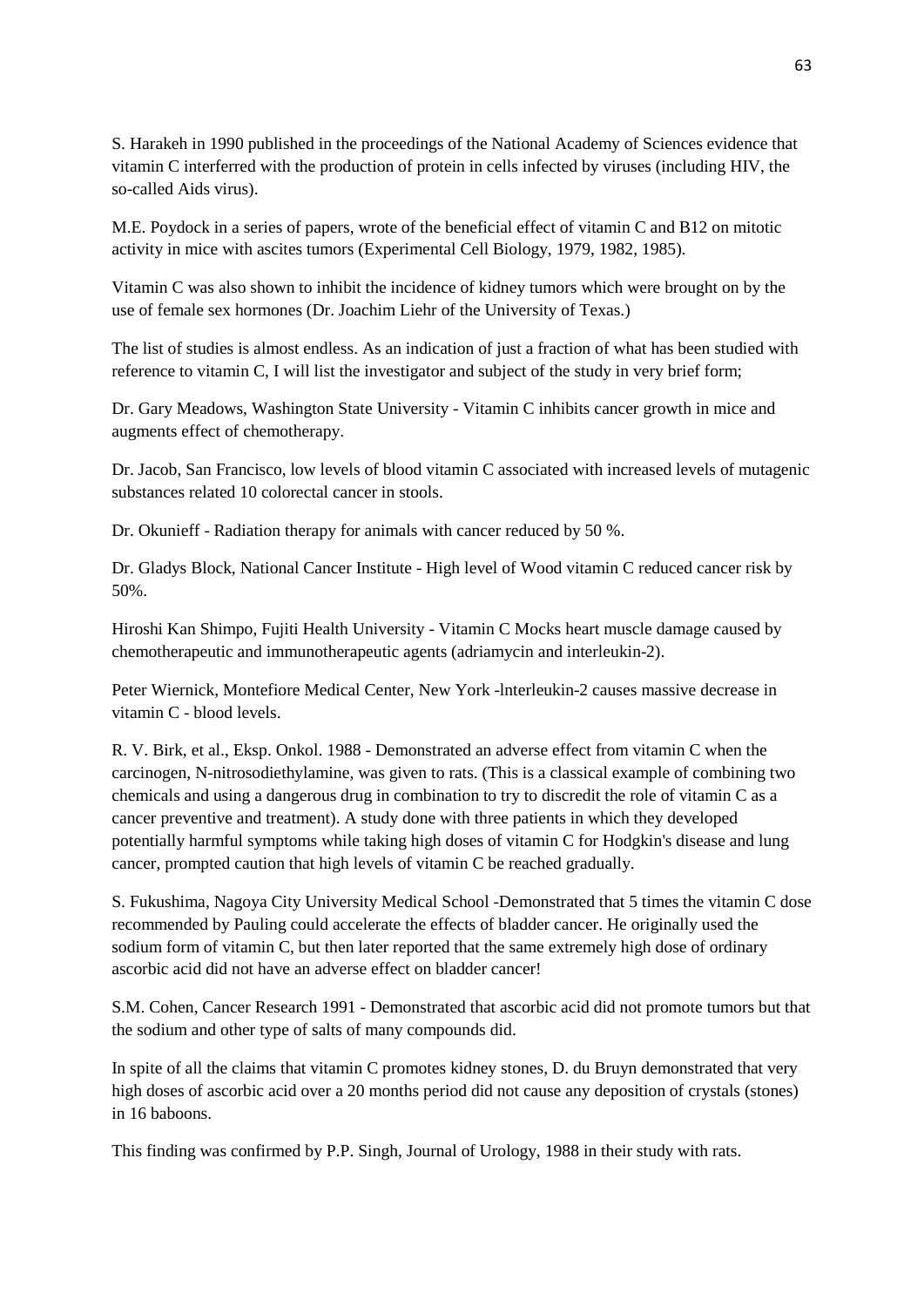S. Harakeh in 1990 published in the proceedings of the National Academy of Sciences evidence that vitamin C interferred with the production of protein in cells infected by viruses (including HIV, the so-called Aids virus).

M.E. Poydock in a series of papers, wrote of the beneficial effect of vitamin C and B12 on mitotic activity in mice with ascites tumors (Experimental Cell Biology, 1979, 1982, 1985).

Vitamin C was also shown to inhibit the incidence of kidney tumors which were brought on by the use of female sex hormones (Dr. Joachim Liehr of the University of Texas.)

The list of studies is almost endless. As an indication of just a fraction of what has been studied with reference to vitamin C, I will list the investigator and subject of the study in very brief form;

Dr. Gary Meadows, Washington State University - Vitamin C inhibits cancer growth in mice and augments effect of chemotherapy.

Dr. Jacob, San Francisco, low levels of blood vitamin C associated with increased levels of mutagenic substances related 10 colorectal cancer in stools.

Dr. Okunieff - Radiation therapy for animals with cancer reduced by 50 %.

Dr. Gladys Block, National Cancer Institute - High level of Wood vitamin C reduced cancer risk by 50%.

Hiroshi Kan Shimpo, Fujiti Health University - Vitamin C Mocks heart muscle damage caused by chemotherapeutic and immunotherapeutic agents (adriamycin and interleukin-2).

Peter Wiernick, Montefiore Medical Center, New York -lnterleukin-2 causes massive decrease in vitamin C - blood levels.

R. V. Birk, et al., Eksp. Onkol. 1988 - Demonstrated an adverse effect from vitamin C when the carcinogen, N-nitrosodiethylamine, was given to rats. (This is a classical example of combining two chemicals and using a dangerous drug in combination to try to discredit the role of vitamin C as a cancer preventive and treatment). A study done with three patients in which they developed potentially harmful symptoms while taking high doses of vitamin C for Hodgkin's disease and lung cancer, prompted caution that high levels of vitamin C be reached gradually.

S. Fukushima, Nagoya City University Medical School -Demonstrated that 5 times the vitamin C dose recommended by Pauling could accelerate the effects of bladder cancer. He originally used the sodium form of vitamin C, but then later reported that the same extremely high dose of ordinary ascorbic acid did not have an adverse effect on bladder cancer!

S.M. Cohen, Cancer Research 1991 - Demonstrated that ascorbic acid did not promote tumors but that the sodium and other type of salts of many compounds did.

In spite of all the claims that vitamin C promotes kidney stones, D. du Bruyn demonstrated that very high doses of ascorbic acid over a 20 months period did not cause any deposition of crystals (stones) in 16 baboons.

This finding was confirmed by P.P. Singh, Journal of Urology, 1988 in their study with rats.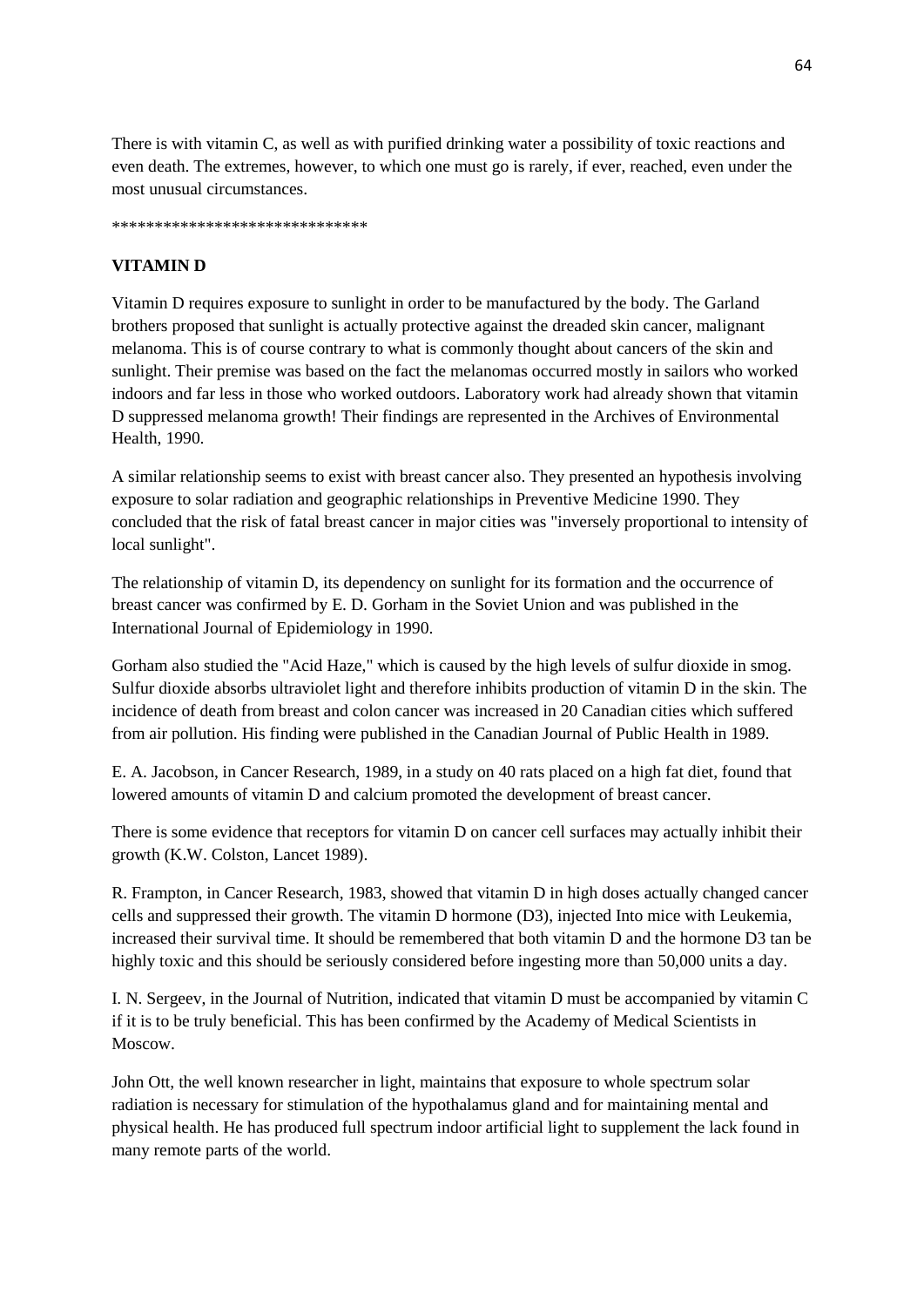There is with vitamin C, as well as with purified drinking water a possibility of toxic reactions and even death. The extremes, however, to which one must go is rarely, if ever, reached, even under the most unusual circumstances.

#### \*\*\*\*\*\*\*\*\*\*\*\*\*\*\*\*\*\*\*\*\*\*\*\*\*\*\*\*\*\*

# **VITAMIN D**

Vitamin D requires exposure to sunlight in order to be manufactured by the body. The Garland brothers proposed that sunlight is actually protective against the dreaded skin cancer, malignant melanoma. This is of course contrary to what is commonly thought about cancers of the skin and sunlight. Their premise was based on the fact the melanomas occurred mostly in sailors who worked indoors and far less in those who worked outdoors. Laboratory work had already shown that vitamin D suppressed melanoma growth! Their findings are represented in the Archives of Environmental Health, 1990.

A similar relationship seems to exist with breast cancer also. They presented an hypothesis involving exposure to solar radiation and geographic relationships in Preventive Medicine 1990. They concluded that the risk of fatal breast cancer in major cities was "inversely proportional to intensity of local sunlight".

The relationship of vitamin D, its dependency on sunlight for its formation and the occurrence of breast cancer was confirmed by E. D. Gorham in the Soviet Union and was published in the International Journal of Epidemiology in 1990.

Gorham also studied the "Acid Haze," which is caused by the high levels of sulfur dioxide in smog. Sulfur dioxide absorbs ultraviolet light and therefore inhibits production of vitamin D in the skin. The incidence of death from breast and colon cancer was increased in 20 Canadian cities which suffered from air pollution. His finding were published in the Canadian Journal of Public Health in 1989.

E. A. Jacobson, in Cancer Research, 1989, in a study on 40 rats placed on a high fat diet, found that lowered amounts of vitamin D and calcium promoted the development of breast cancer.

There is some evidence that receptors for vitamin D on cancer cell surfaces may actually inhibit their growth (K.W. Colston, Lancet 1989).

R. Frampton, in Cancer Research, 1983, showed that vitamin D in high doses actually changed cancer cells and suppressed their growth. The vitamin D hormone (D3), injected Into mice with Leukemia, increased their survival time. It should be remembered that both vitamin D and the hormone D3 tan be highly toxic and this should be seriously considered before ingesting more than 50,000 units a day.

I. N. Sergeev, in the Journal of Nutrition, indicated that vitamin D must be accompanied by vitamin C if it is to be truly beneficial. This has been confirmed by the Academy of Medical Scientists in Moscow.

John Ott, the well known researcher in light, maintains that exposure to whole spectrum solar radiation is necessary for stimulation of the hypothalamus gland and for maintaining mental and physical health. He has produced full spectrum indoor artificial light to supplement the lack found in many remote parts of the world.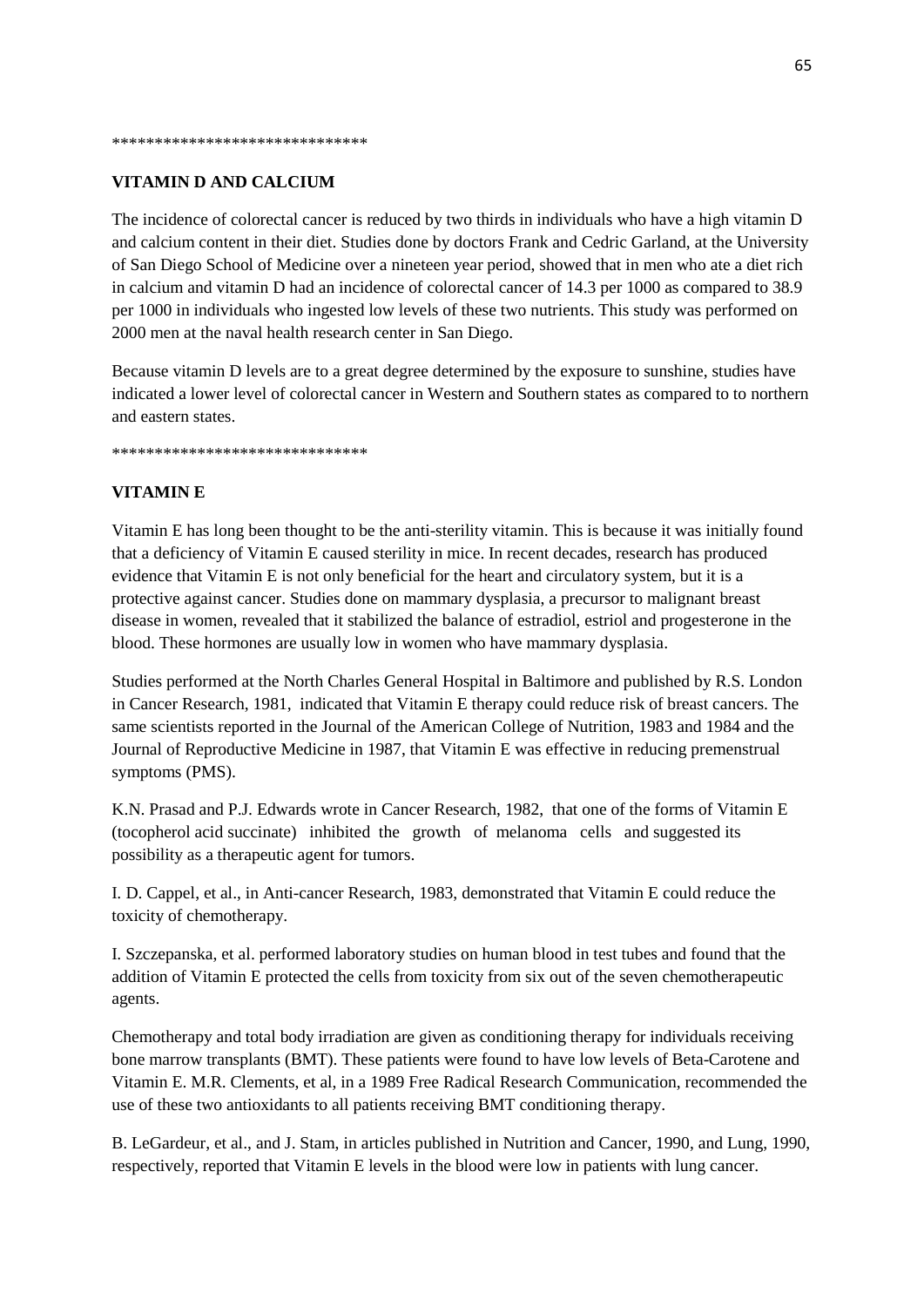#### \*\*\*\*\*\*\*\*\*\*\*\*\*\*\*\*\*\*\*\*\*\*\*\*\*\*\*\*\*\*

#### **VITAMIN D AND CALCIUM**

The incidence of colorectal cancer is reduced by two thirds in individuals who have a high vitamin D and calcium content in their diet. Studies done by doctors Frank and Cedric Garland, at the University of San Diego School of Medicine over a nineteen year period, showed that in men who ate a diet rich in calcium and vitamin D had an incidence of colorectal cancer of 14.3 per 1000 as compared to 38.9 per 1000 in individuals who ingested low levels of these two nutrients. This study was performed on 2000 men at the naval health research center in San Diego.

Because vitamin D levels are to a great degree determined by the exposure to sunshine, studies have indicated a lower level of colorectal cancer in Western and Southern states as compared to to northern and eastern states.

\*\*\*\*\*\*\*\*\*\*\*\*\*\*\*\*\*\*\*\*\*\*\*\*\*\*\*\*\*\*

### **VITAMIN E**

Vitamin E has long been thought to be the anti-sterility vitamin. This is because it was initially found that a deficiency of Vitamin E caused sterility in mice. In recent decades, research has produced evidence that Vitamin E is not only beneficial for the heart and circulatory system, but it is a protective against cancer. Studies done on mammary dysplasia, a precursor to malignant breast disease in women, revealed that it stabilized the balance of estradiol, estriol and progesterone in the blood. These hormones are usually low in women who have mammary dysplasia.

Studies performed at the North Charles General Hospital in Baltimore and published by R.S. London in Cancer Research, 1981, indicated that Vitamin E therapy could reduce risk of breast cancers. The same scientists reported in the Journal of the American College of Nutrition, 1983 and 1984 and the Journal of Reproductive Medicine in 1987, that Vitamin E was effective in reducing premenstrual symptoms (PMS).

K.N. Prasad and P.J. Edwards wrote in Cancer Research, 1982, that one of the forms of Vitamin E (tocopherol acid succinate) inhibited the growth of melanoma cells and suggested its possibility as a therapeutic agent for tumors.

I. D. Cappel, et al., in Anti-cancer Research, 1983, demonstrated that Vitamin E could reduce the toxicity of chemotherapy.

I. Szczepanska, et al. performed laboratory studies on human blood in test tubes and found that the addition of Vitamin E protected the cells from toxicity from six out of the seven chemotherapeutic agents.

Chemotherapy and total body irradiation are given as conditioning therapy for individuals receiving bone marrow transplants (BMT). These patients were found to have low levels of Beta-Carotene and Vitamin E. M.R. Clements, et al, in a 1989 Free Radical Research Communication, recommended the use of these two antioxidants to all patients receiving BMT conditioning therapy.

B. LeGardeur, et al., and J. Stam, in articles published in Nutrition and Cancer, 1990, and Lung, 1990, respectively, reported that Vitamin E levels in the blood were low in patients with lung cancer.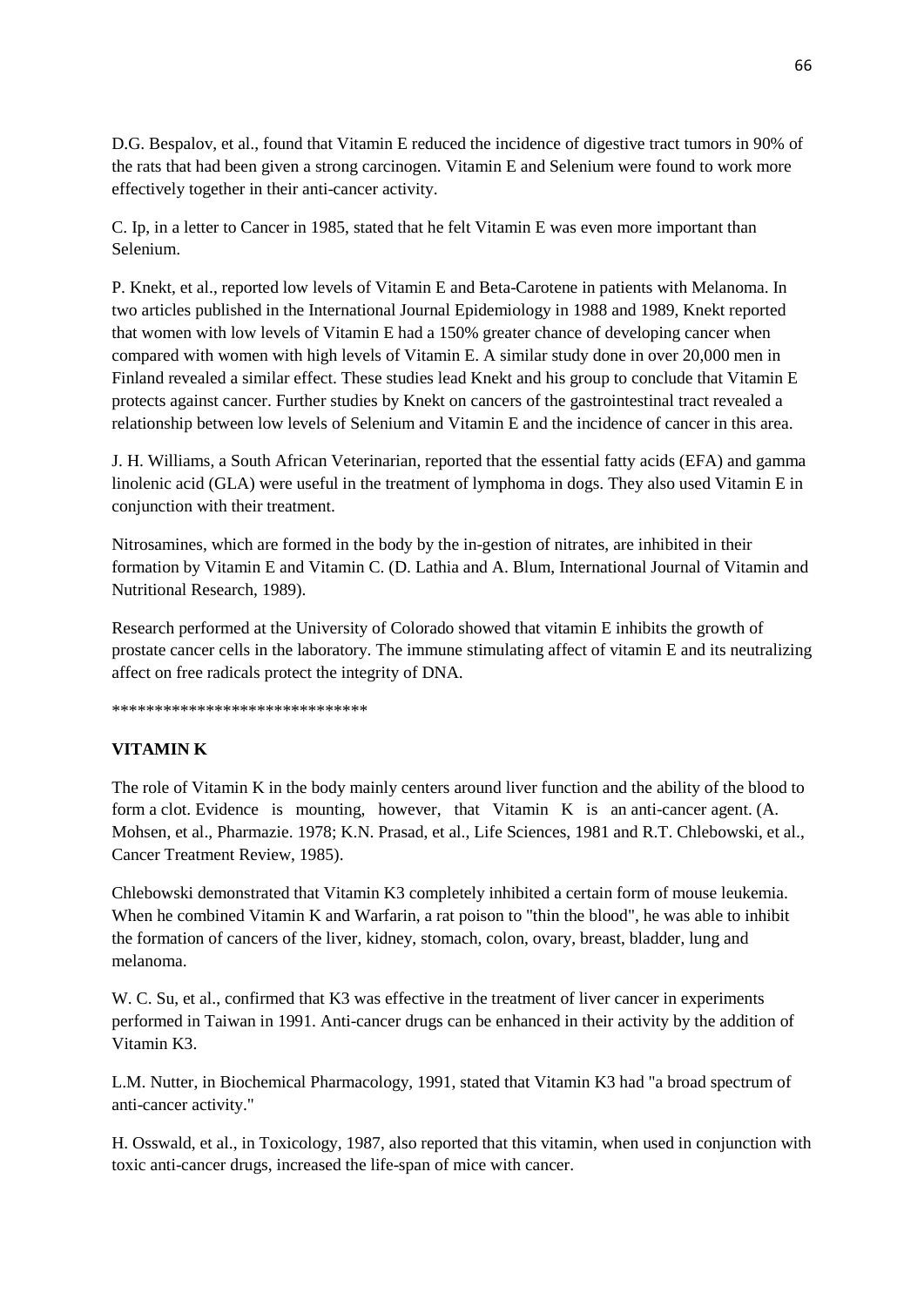D.G. Bespalov, et al., found that Vitamin E reduced the incidence of digestive tract tumors in 90% of the rats that had been given a strong carcinogen. Vitamin E and Selenium were found to work more effectively together in their anti-cancer activity.

C. Ip, in a letter to Cancer in 1985, stated that he felt Vitamin E was even more important than Selenium.

P. Knekt, et al., reported low levels of Vitamin E and Beta-Carotene in patients with Melanoma. In two articles published in the International Journal Epidemiology in 1988 and 1989, Knekt reported that women with low levels of Vitamin E had a 150% greater chance of developing cancer when compared with women with high levels of Vitamin E. A similar study done in over 20,000 men in Finland revealed a similar effect. These studies lead Knekt and his group to conclude that Vitamin E protects against cancer. Further studies by Knekt on cancers of the gastrointestinal tract revealed a relationship between low levels of Selenium and Vitamin E and the incidence of cancer in this area.

J. H. Williams, a South African Veterinarian, reported that the essential fatty acids (EFA) and gamma linolenic acid (GLA) were useful in the treatment of lymphoma in dogs. They also used Vitamin E in conjunction with their treatment.

Nitrosamines, which are formed in the body by the in-gestion of nitrates, are inhibited in their formation by Vitamin E and Vitamin C. (D. Lathia and A. Blum, International Journal of Vitamin and Nutritional Research, 1989).

Research performed at the University of Colorado showed that vitamin E inhibits the growth of prostate cancer cells in the laboratory. The immune stimulating affect of vitamin E and its neutralizing affect on free radicals protect the integrity of DNA.

\*\*\*\*\*\*\*\*\*\*\*\*\*\*\*\*\*\*\*\*\*\*\*\*\*\*\*\*\*\*

### **VITAMIN K**

The role of Vitamin K in the body mainly centers around liver function and the ability of the blood to form a clot. Evidence is mounting, however, that Vitamin K is an anti-cancer agent. (A. Mohsen, et al., Pharmazie. 1978; K.N. Prasad, et al., Life Sciences, 1981 and R.T. Chlebowski, et al., Cancer Treatment Review, 1985).

Chlebowski demonstrated that Vitamin K3 completely inhibited a certain form of mouse leukemia. When he combined Vitamin K and Warfarin, a rat poison to "thin the blood", he was able to inhibit the formation of cancers of the liver, kidney, stomach, colon, ovary, breast, bladder, lung and melanoma.

W. C. Su, et al., confirmed that K3 was effective in the treatment of liver cancer in experiments performed in Taiwan in 1991. Anti-cancer drugs can be enhanced in their activity by the addition of Vitamin K3.

L.M. Nutter, in Biochemical Pharmacology, 1991, stated that Vitamin K3 had "a broad spectrum of anti-cancer activity."

H. Osswald, et al., in Toxicology, 1987, also reported that this vitamin, when used in conjunction with toxic anti-cancer drugs, increased the life-span of mice with cancer.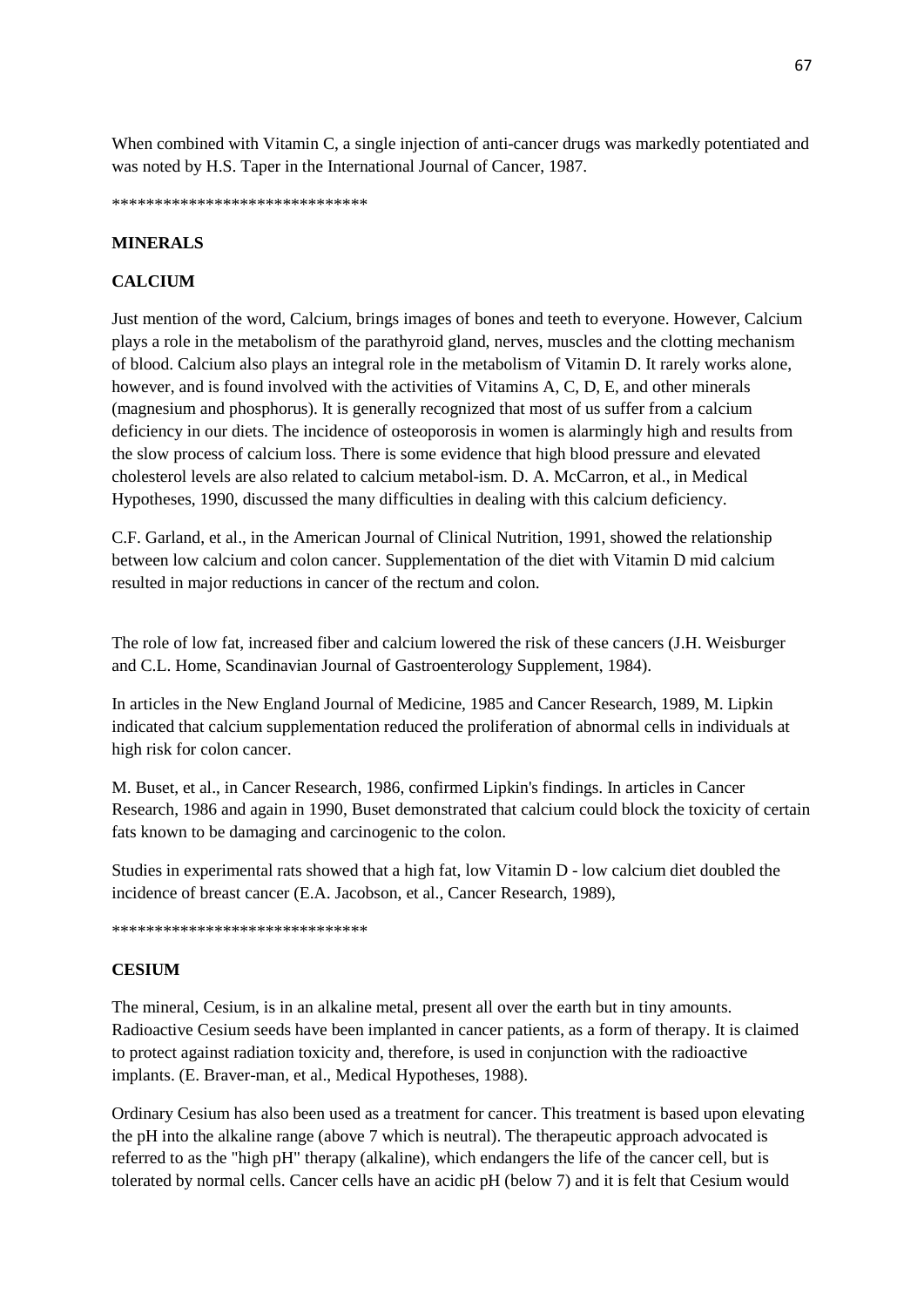When combined with Vitamin C, a single injection of anti-cancer drugs was markedly potentiated and was noted by H.S. Taper in the International Journal of Cancer, 1987.

\*\*\*\*\*\*\*\*\*\*\*\*\*\*\*\*\*\*\*\*\*\*\*\*\*\*\*\*\*\*

#### **MINERALS**

# **CALCIUM**

Just mention of the word, Calcium, brings images of bones and teeth to everyone. However, Calcium plays a role in the metabolism of the parathyroid gland, nerves, muscles and the clotting mechanism of blood. Calcium also plays an integral role in the metabolism of Vitamin D. It rarely works alone, however, and is found involved with the activities of Vitamins A, C, D, E, and other minerals (magnesium and phosphorus). It is generally recognized that most of us suffer from a calcium deficiency in our diets. The incidence of osteoporosis in women is alarmingly high and results from the slow process of calcium loss. There is some evidence that high blood pressure and elevated cholesterol levels are also related to calcium metabol-ism. D. A. McCarron, et al., in Medical Hypotheses, 1990, discussed the many difficulties in dealing with this calcium deficiency.

C.F. Garland, et al., in the American Journal of Clinical Nutrition, 1991, showed the relationship between low calcium and colon cancer. Supplementation of the diet with Vitamin D mid calcium resulted in major reductions in cancer of the rectum and colon.

The role of low fat, increased fiber and calcium lowered the risk of these cancers (J.H. Weisburger and C.L. Home, Scandinavian Journal of Gastroenterology Supplement, 1984).

In articles in the New England Journal of Medicine, 1985 and Cancer Research, 1989, M. Lipkin indicated that calcium supplementation reduced the proliferation of abnormal cells in individuals at high risk for colon cancer.

M. Buset, et al., in Cancer Research, 1986, confirmed Lipkin's findings. In articles in Cancer Research, 1986 and again in 1990, Buset demonstrated that calcium could block the toxicity of certain fats known to be damaging and carcinogenic to the colon.

Studies in experimental rats showed that a high fat, low Vitamin D - low calcium diet doubled the incidence of breast cancer (E.A. Jacobson, et al., Cancer Research, 1989),

\*\*\*\*\*\*\*\*\*\*\*\*\*\*\*\*\*\*\*\*\*\*\*\*\*\*\*\*\*\*

#### **CESIUM**

The mineral, Cesium, is in an alkaline metal, present all over the earth but in tiny amounts. Radioactive Cesium seeds have been implanted in cancer patients, as a form of therapy. It is claimed to protect against radiation toxicity and, therefore, is used in conjunction with the radioactive implants. (E. Braver-man, et al., Medical Hypotheses, 1988).

Ordinary Cesium has also been used as a treatment for cancer. This treatment is based upon elevating the pH into the alkaline range (above 7 which is neutral). The therapeutic approach advocated is referred to as the "high pH" therapy (alkaline), which endangers the life of the cancer cell, but is tolerated by normal cells. Cancer cells have an acidic pH (below 7) and it is felt that Cesium would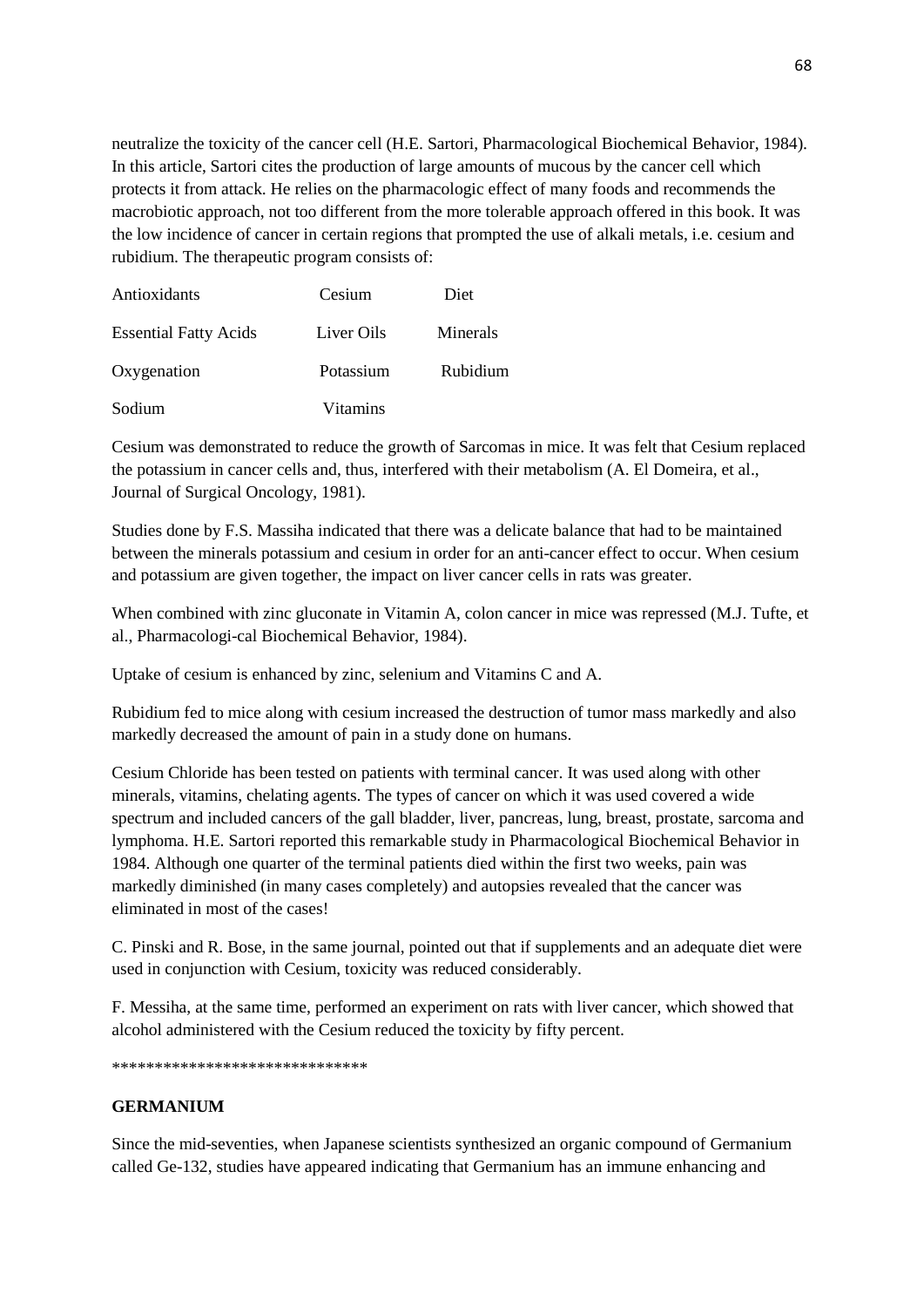neutralize the toxicity of the cancer cell (H.E. Sartori, Pharmacological Biochemical Behavior, 1984). In this article, Sartori cites the production of large amounts of mucous by the cancer cell which protects it from attack. He relies on the pharmacologic effect of many foods and recommends the macrobiotic approach, not too different from the more tolerable approach offered in this book. It was the low incidence of cancer in certain regions that prompted the use of alkali metals, i.e. cesium and rubidium. The therapeutic program consists of:

| Antioxidants                 | Cesium          | Diet     |
|------------------------------|-----------------|----------|
| <b>Essential Fatty Acids</b> | Liver Oils      | Minerals |
| Oxygenation                  | Potassium       | Rubidium |
| Sodium                       | <b>Vitamins</b> |          |

Cesium was demonstrated to reduce the growth of Sarcomas in mice. It was felt that Cesium replaced the potassium in cancer cells and, thus, interfered with their metabolism (A. El Domeira, et al., Journal of Surgical Oncology, 1981).

Studies done by F.S. Massiha indicated that there was a delicate balance that had to be maintained between the minerals potassium and cesium in order for an anti-cancer effect to occur. When cesium and potassium are given together, the impact on liver cancer cells in rats was greater.

When combined with zinc gluconate in Vitamin A, colon cancer in mice was repressed (M.J. Tufte, et al., Pharmacologi-cal Biochemical Behavior, 1984).

Uptake of cesium is enhanced by zinc, selenium and Vitamins C and A.

Rubidium fed to mice along with cesium increased the destruction of tumor mass markedly and also markedly decreased the amount of pain in a study done on humans.

Cesium Chloride has been tested on patients with terminal cancer. It was used along with other minerals, vitamins, chelating agents. The types of cancer on which it was used covered a wide spectrum and included cancers of the gall bladder, liver, pancreas, lung, breast, prostate, sarcoma and lymphoma. H.E. Sartori reported this remarkable study in Pharmacological Biochemical Behavior in 1984. Although one quarter of the terminal patients died within the first two weeks, pain was markedly diminished (in many cases completely) and autopsies revealed that the cancer was eliminated in most of the cases!

C. Pinski and R. Bose, in the same journal, pointed out that if supplements and an adequate diet were used in conjunction with Cesium, toxicity was reduced considerably.

F. Messiha, at the same time, performed an experiment on rats with liver cancer, which showed that alcohol administered with the Cesium reduced the toxicity by fifty percent.

\*\*\*\*\*\*\*\*\*\*\*\*\*\*\*\*\*\*\*\*\*\*\*\*\*\*\*\*\*\*

#### **GERMANIUM**

Since the mid-seventies, when Japanese scientists synthesized an organic compound of Germanium called Ge-132, studies have appeared indicating that Germanium has an immune enhancing and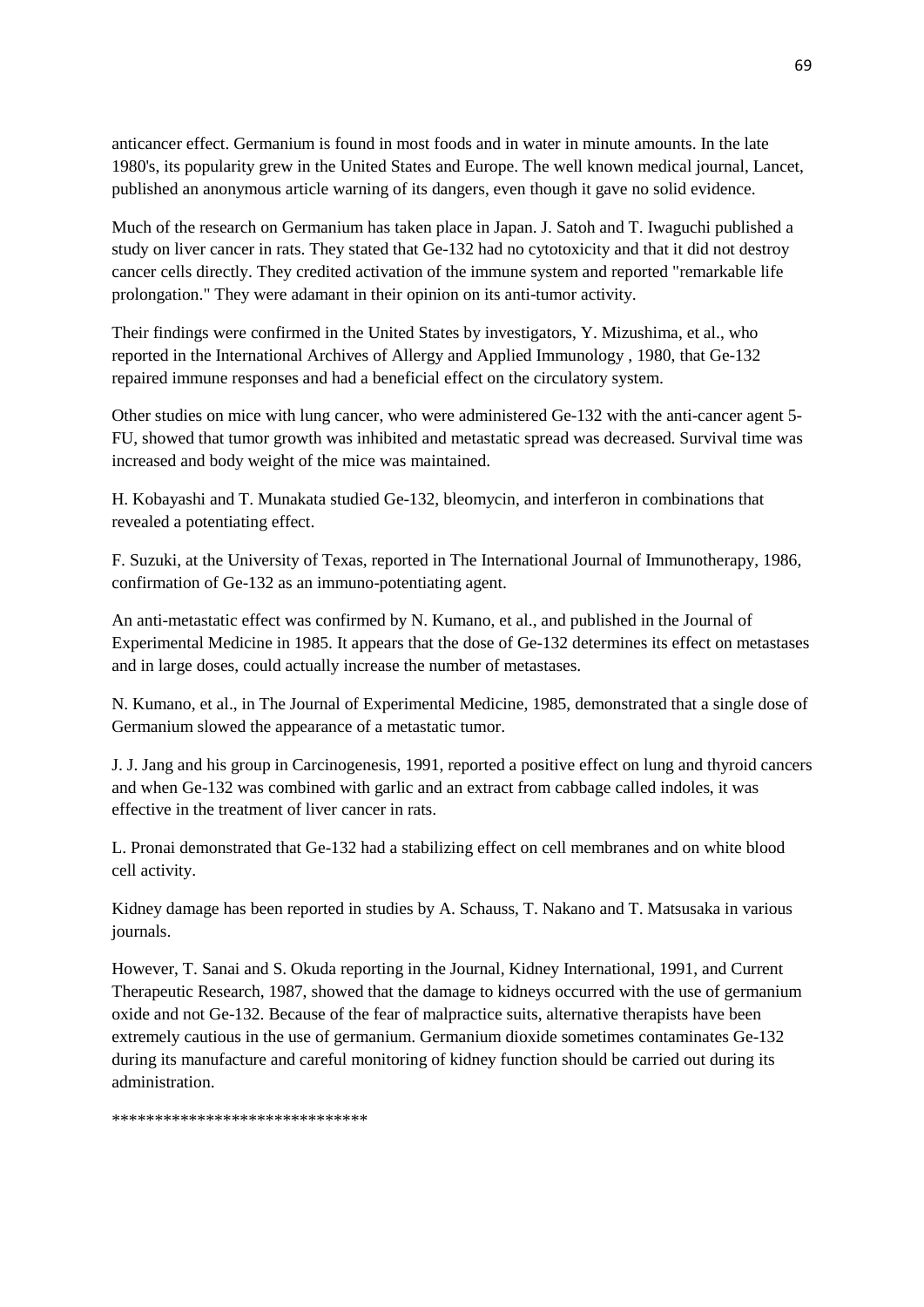anticancer effect. Germanium is found in most foods and in water in minute amounts. In the late 1980's, its popularity grew in the United States and Europe. The well known medical journal, Lancet, published an anonymous article warning of its dangers, even though it gave no solid evidence.

Much of the research on Germanium has taken place in Japan. J. Satoh and T. Iwaguchi published a study on liver cancer in rats. They stated that Ge-132 had no cytotoxicity and that it did not destroy cancer cells directly. They credited activation of the immune system and reported "remarkable life prolongation." They were adamant in their opinion on its anti-tumor activity.

Their findings were confirmed in the United States by investigators, Y. Mizushima, et al., who reported in the International Archives of Allergy and Applied Immunology , 1980, that Ge-132 repaired immune responses and had a beneficial effect on the circulatory system.

Other studies on mice with lung cancer, who were administered Ge-132 with the anti-cancer agent 5- FU, showed that tumor growth was inhibited and metastatic spread was decreased. Survival time was increased and body weight of the mice was maintained.

H. Kobayashi and T. Munakata studied Ge-132, bleomycin, and interferon in combinations that revealed a potentiating effect.

F. Suzuki, at the University of Texas, reported in The International Journal of Immunotherapy, 1986, confirmation of Ge-132 as an immuno-potentiating agent.

An anti-metastatic effect was confirmed by N. Kumano, et al., and published in the Journal of Experimental Medicine in 1985. It appears that the dose of Ge-132 determines its effect on metastases and in large doses, could actually increase the number of metastases.

N. Kumano, et al., in The Journal of Experimental Medicine, 1985, demonstrated that a single dose of Germanium slowed the appearance of a metastatic tumor.

J. J. Jang and his group in Carcinogenesis, 1991, reported a positive effect on lung and thyroid cancers and when Ge-132 was combined with garlic and an extract from cabbage called indoles, it was effective in the treatment of liver cancer in rats.

L. Pronai demonstrated that Ge-132 had a stabilizing effect on cell membranes and on white blood cell activity.

Kidney damage has been reported in studies by A. Schauss, T. Nakano and T. Matsusaka in various journals.

However, T. Sanai and S. Okuda reporting in the Journal, Kidney International, 1991, and Current Therapeutic Research, 1987, showed that the damage to kidneys occurred with the use of germanium oxide and not Ge-132. Because of the fear of malpractice suits, alternative therapists have been extremely cautious in the use of germanium. Germanium dioxide sometimes contaminates Ge-132 during its manufacture and careful monitoring of kidney function should be carried out during its administration.

\*\*\*\*\*\*\*\*\*\*\*\*\*\*\*\*\*\*\*\*\*\*\*\*\*\*\*\*\*\*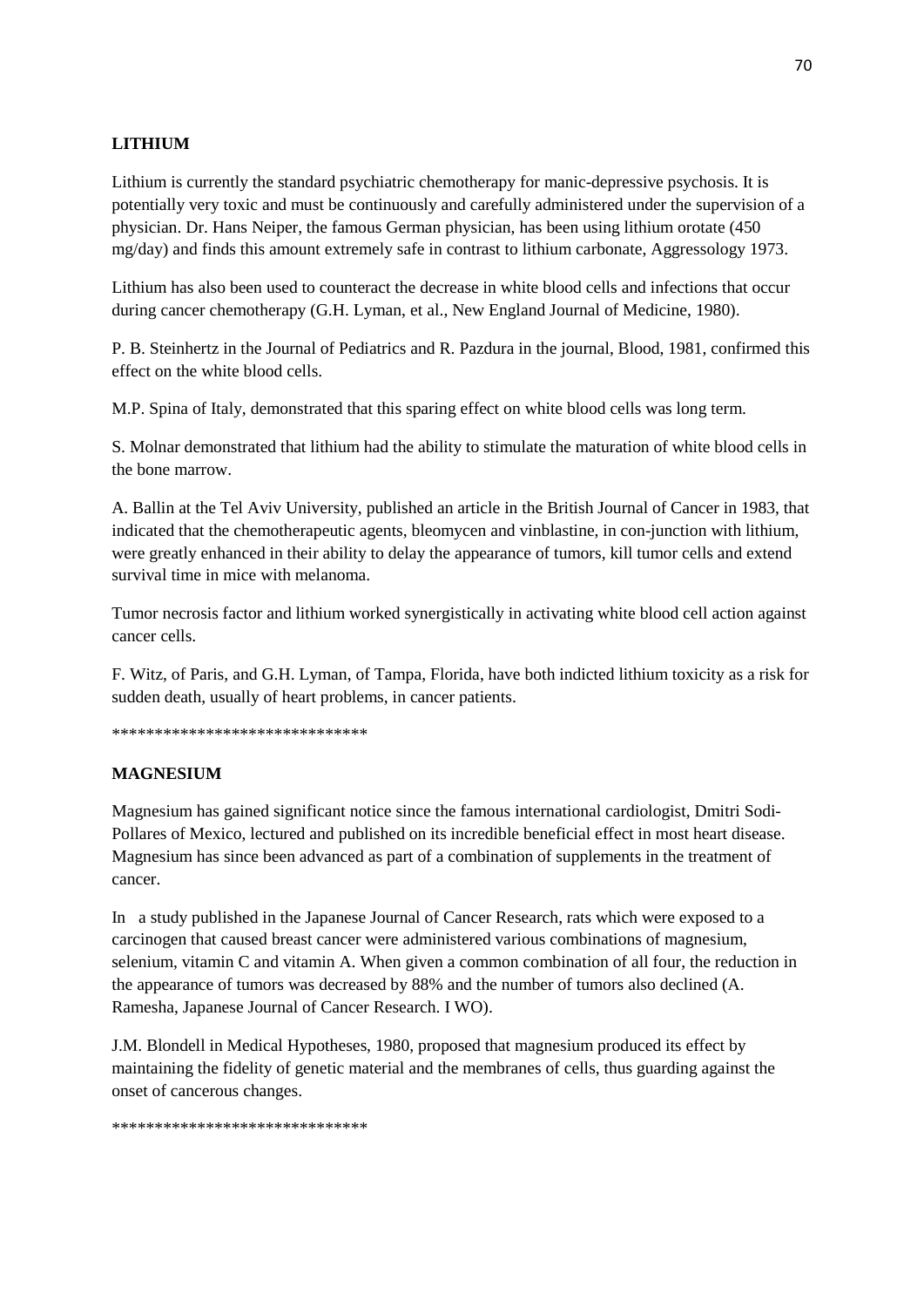# **LITHIUM**

Lithium is currently the standard psychiatric chemotherapy for manic-depressive psychosis. It is potentially very toxic and must be continuously and carefully administered under the supervision of a physician. Dr. Hans Neiper, the famous German physician, has been using lithium orotate (450 mg/day) and finds this amount extremely safe in contrast to lithium carbonate, Aggressology 1973.

Lithium has also been used to counteract the decrease in white blood cells and infections that occur during cancer chemotherapy (G.H. Lyman, et al., New England Journal of Medicine, 1980).

P. B. Steinhertz in the Journal of Pediatrics and R. Pazdura in the journal, Blood, 1981, confirmed this effect on the white blood cells.

M.P. Spina of Italy, demonstrated that this sparing effect on white blood cells was long term.

S. Molnar demonstrated that lithium had the ability to stimulate the maturation of white blood cells in the bone marrow.

A. Ballin at the Tel Aviv University, published an article in the British Journal of Cancer in 1983, that indicated that the chemotherapeutic agents, bleomycen and vinblastine, in con-junction with lithium, were greatly enhanced in their ability to delay the appearance of tumors, kill tumor cells and extend survival time in mice with melanoma.

Tumor necrosis factor and lithium worked synergistically in activating white blood cell action against cancer cells.

F. Witz, of Paris, and G.H. Lyman, of Tampa, Florida, have both indicted lithium toxicity as a risk for sudden death, usually of heart problems, in cancer patients.

\*\*\*\*\*\*\*\*\*\*\*\*\*\*\*\*\*\*\*\*\*\*\*\*\*\*\*\*\*\*

#### **MAGNESIUM**

Magnesium has gained significant notice since the famous international cardiologist, Dmitri Sodi-Pollares of Mexico, lectured and published on its incredible beneficial effect in most heart disease. Magnesium has since been advanced as part of a combination of supplements in the treatment of cancer.

In a study published in the Japanese Journal of Cancer Research, rats which were exposed to a carcinogen that caused breast cancer were administered various combinations of magnesium, selenium, vitamin C and vitamin A. When given a common combination of all four, the reduction in the appearance of tumors was decreased by 88% and the number of tumors also declined (A. Ramesha, Japanese Journal of Cancer Research. I WO).

J.M. Blondell in Medical Hypotheses, 1980, proposed that magnesium produced its effect by maintaining the fidelity of genetic material and the membranes of cells, thus guarding against the onset of cancerous changes.

\*\*\*\*\*\*\*\*\*\*\*\*\*\*\*\*\*\*\*\*\*\*\*\*\*\*\*\*\*\*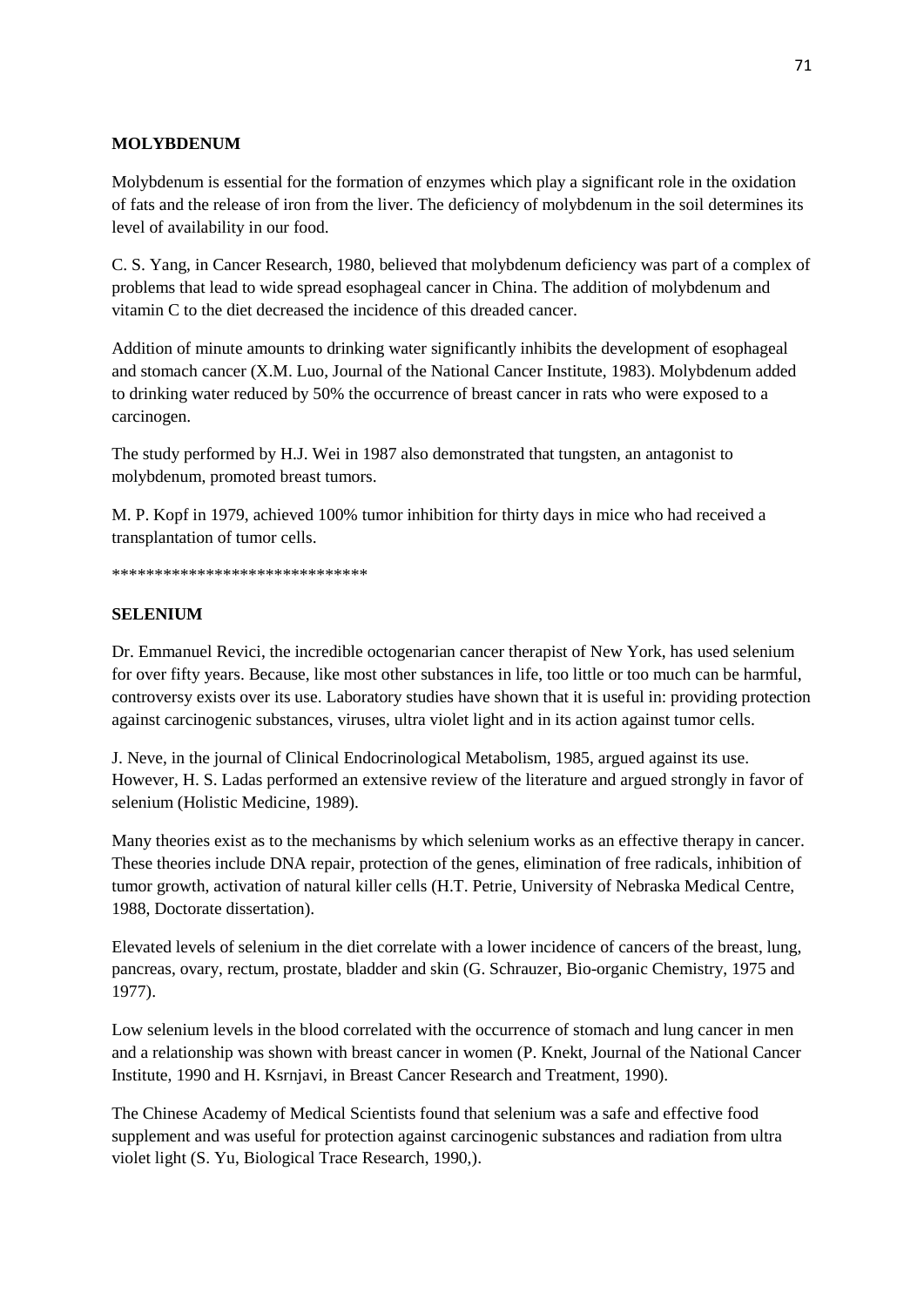#### **MOLYBDENUM**

Molybdenum is essential for the formation of enzymes which play a significant role in the oxidation of fats and the release of iron from the liver. The deficiency of molybdenum in the soil determines its level of availability in our food.

C. S. Yang, in Cancer Research, 1980, believed that molybdenum deficiency was part of a complex of problems that lead to wide spread esophageal cancer in China. The addition of molybdenum and vitamin C to the diet decreased the incidence of this dreaded cancer.

Addition of minute amounts to drinking water significantly inhibits the development of esophageal and stomach cancer (X.M. Luo, Journal of the National Cancer Institute, 1983). Molybdenum added to drinking water reduced by 50% the occurrence of breast cancer in rats who were exposed to a carcinogen.

The study performed by H.J. Wei in 1987 also demonstrated that tungsten, an antagonist to molybdenum, promoted breast tumors.

M. P. Kopf in 1979, achieved 100% tumor inhibition for thirty days in mice who had received a transplantation of tumor cells.

\*\*\*\*\*\*\*\*\*\*\*\*\*\*\*\*\*\*\*\*\*\*\*\*\*\*\*\*\*\*

#### **SELENIUM**

Dr. Emmanuel Revici, the incredible octogenarian cancer therapist of New York, has used selenium for over fifty years. Because, like most other substances in life, too little or too much can be harmful, controversy exists over its use. Laboratory studies have shown that it is useful in: providing protection against carcinogenic substances, viruses, ultra violet light and in its action against tumor cells.

J. Neve, in the journal of Clinical Endocrinological Metabolism, 1985, argued against its use. However, H. S. Ladas performed an extensive review of the literature and argued strongly in favor of selenium (Holistic Medicine, 1989).

Many theories exist as to the mechanisms by which selenium works as an effective therapy in cancer. These theories include DNA repair, protection of the genes, elimination of free radicals, inhibition of tumor growth, activation of natural killer cells (H.T. Petrie, University of Nebraska Medical Centre, 1988, Doctorate dissertation).

Elevated levels of selenium in the diet correlate with a lower incidence of cancers of the breast, lung, pancreas, ovary, rectum, prostate, bladder and skin (G. Schrauzer, Bio-organic Chemistry, 1975 and 1977).

Low selenium levels in the blood correlated with the occurrence of stomach and lung cancer in men and a relationship was shown with breast cancer in women (P. Knekt, Journal of the National Cancer Institute, 1990 and H. Ksrnjavi, in Breast Cancer Research and Treatment, 1990).

The Chinese Academy of Medical Scientists found that selenium was a safe and effective food supplement and was useful for protection against carcinogenic substances and radiation from ultra violet light (S. Yu, Biological Trace Research, 1990,).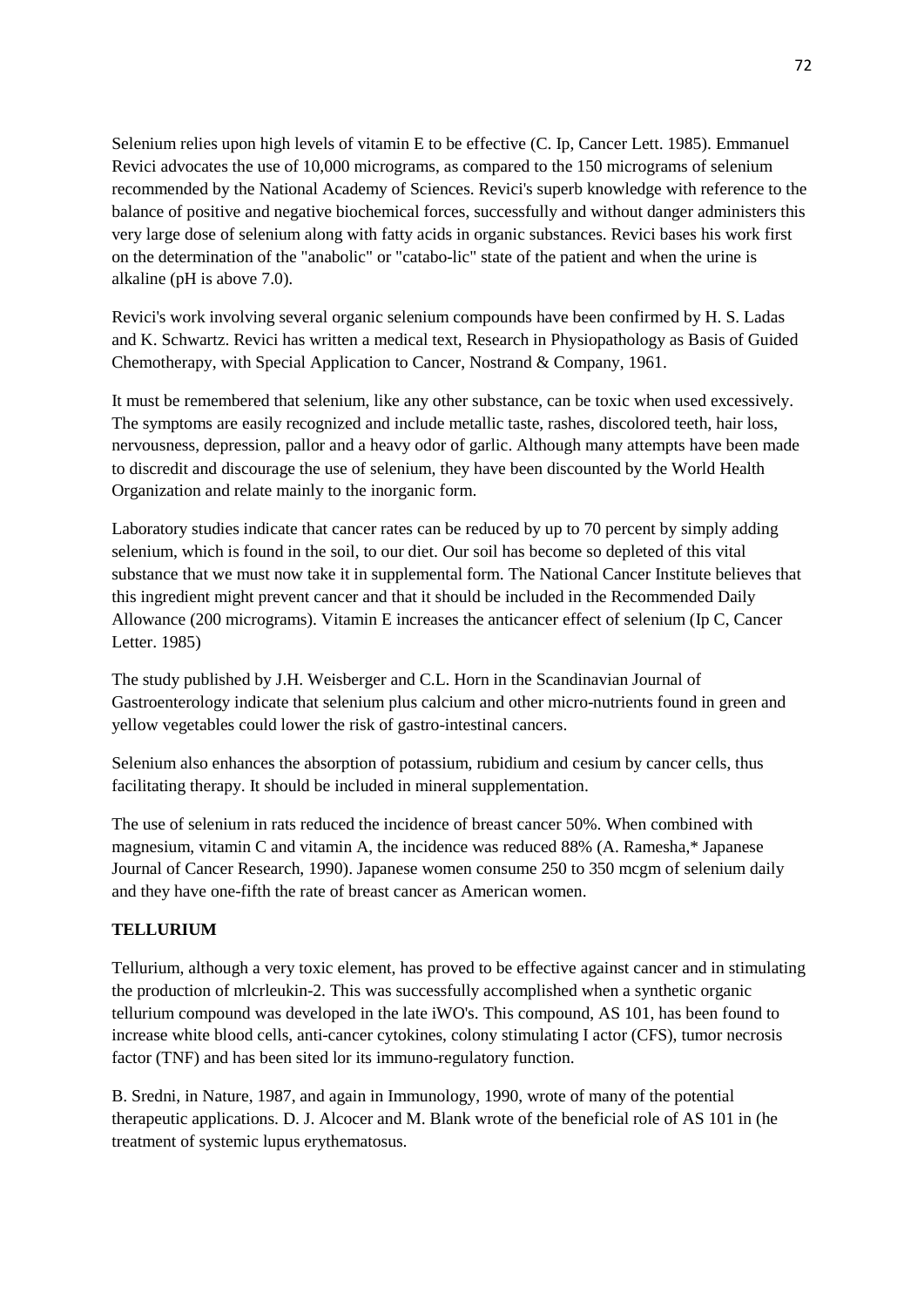Selenium relies upon high levels of vitamin E to be effective (C. Ip, Cancer Lett. 1985). Emmanuel Revici advocates the use of 10,000 micrograms, as compared to the 150 micrograms of selenium recommended by the National Academy of Sciences. Revici's superb knowledge with reference to the balance of positive and negative biochemical forces, successfully and without danger administers this very large dose of selenium along with fatty acids in organic substances. Revici bases his work first on the determination of the "anabolic" or "catabo-lic" state of the patient and when the urine is alkaline (pH is above 7.0).

Revici's work involving several organic selenium compounds have been confirmed by H. S. Ladas and K. Schwartz. Revici has written a medical text, Research in Physiopathology as Basis of Guided Chemotherapy, with Special Application to Cancer, Nostrand & Company, 1961.

It must be remembered that selenium, like any other substance, can be toxic when used excessively. The symptoms are easily recognized and include metallic taste, rashes, discolored teeth, hair loss, nervousness, depression, pallor and a heavy odor of garlic. Although many attempts have been made to discredit and discourage the use of selenium, they have been discounted by the World Health Organization and relate mainly to the inorganic form.

Laboratory studies indicate that cancer rates can be reduced by up to 70 percent by simply adding selenium, which is found in the soil, to our diet. Our soil has become so depleted of this vital substance that we must now take it in supplemental form. The National Cancer Institute believes that this ingredient might prevent cancer and that it should be included in the Recommended Daily Allowance (200 micrograms). Vitamin E increases the anticancer effect of selenium (Ip C, Cancer Letter. 1985)

The study published by J.H. Weisberger and C.L. Horn in the Scandinavian Journal of Gastroenterology indicate that selenium plus calcium and other micro-nutrients found in green and yellow vegetables could lower the risk of gastro-intestinal cancers.

Selenium also enhances the absorption of potassium, rubidium and cesium by cancer cells, thus facilitating therapy. It should be included in mineral supplementation.

The use of selenium in rats reduced the incidence of breast cancer 50%. When combined with magnesium, vitamin C and vitamin A, the incidence was reduced 88% (A. Ramesha,\* Japanese Journal of Cancer Research, 1990). Japanese women consume 250 to 350 mcgm of selenium daily and they have one-fifth the rate of breast cancer as American women.

### **TELLURIUM**

Tellurium, although a very toxic element, has proved to be effective against cancer and in stimulating the production of mlcrleukin-2. This was successfully accomplished when a synthetic organic tellurium compound was developed in the late iWO's. This compound, AS 101, has been found to increase white blood cells, anti-cancer cytokines, colony stimulating I actor (CFS), tumor necrosis factor (TNF) and has been sited lor its immuno-regulatory function.

B. Sredni, in Nature, 1987, and again in Immunology, 1990, wrote of many of the potential therapeutic applications. D. J. Alcocer and M. Blank wrote of the beneficial role of AS 101 in (he treatment of systemic lupus erythematosus.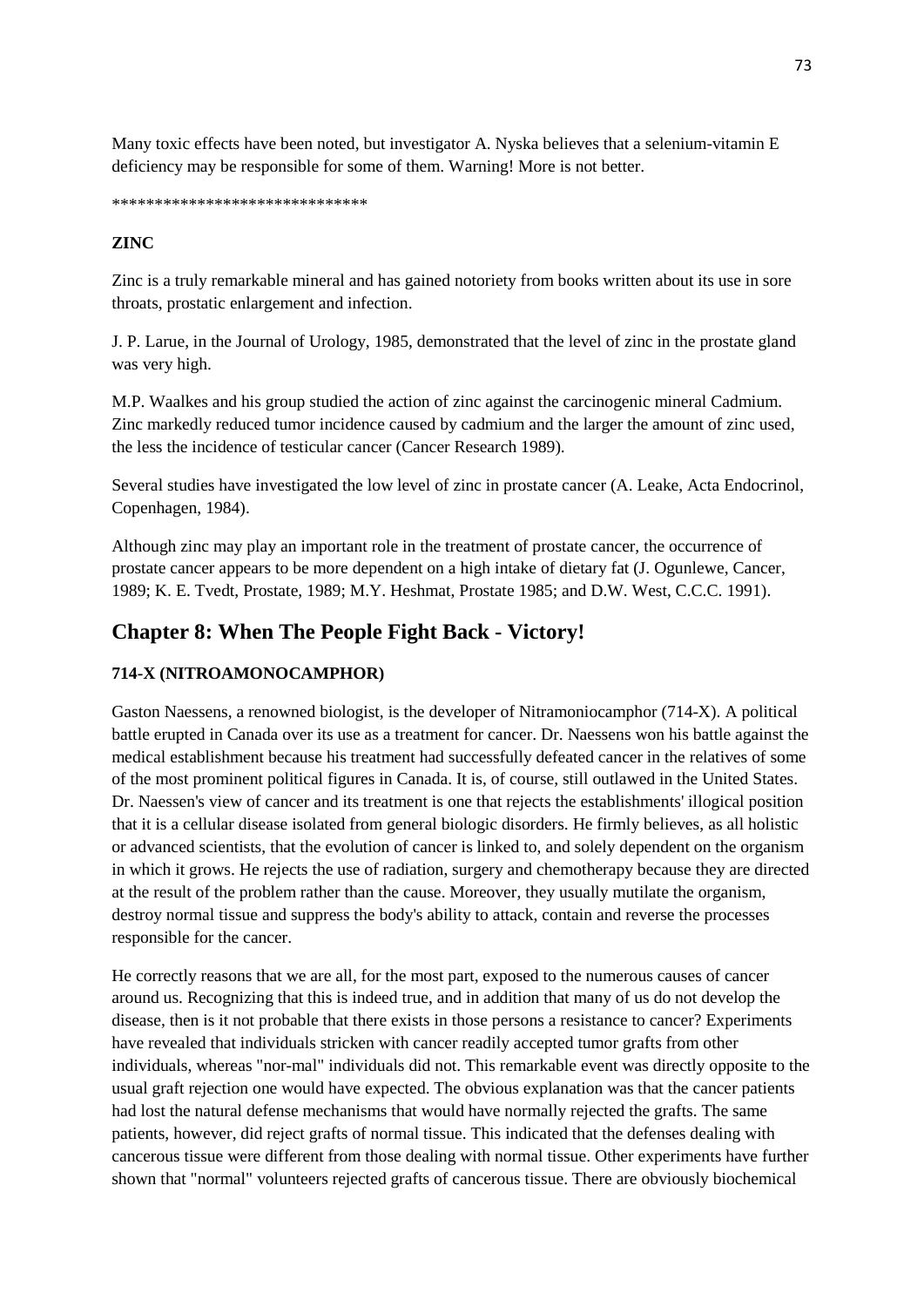Many toxic effects have been noted, but investigator A. Nyska believes that a selenium-vitamin E deficiency may be responsible for some of them. Warning! More is not better.

\*\*\*\*\*\*\*\*\*\*\*\*\*\*\*\*\*\*\*\*\*\*\*\*\*\*\*\*\*\*

## **ZINC**

Zinc is a truly remarkable mineral and has gained notoriety from books written about its use in sore throats, prostatic enlargement and infection.

J. P. Larue, in the Journal of Urology, 1985, demonstrated that the level of zinc in the prostate gland was very high.

M.P. Waalkes and his group studied the action of zinc against the carcinogenic mineral Cadmium. Zinc markedly reduced tumor incidence caused by cadmium and the larger the amount of zinc used, the less the incidence of testicular cancer (Cancer Research 1989).

Several studies have investigated the low level of zinc in prostate cancer (A. Leake, Acta Endocrinol, Copenhagen, 1984).

Although zinc may play an important role in the treatment of prostate cancer, the occurrence of prostate cancer appears to be more dependent on a high intake of dietary fat (J. Ogunlewe, Cancer, 1989; K. E. Tvedt, Prostate, 1989; M.Y. Heshmat, Prostate 1985; and D.W. West, C.C.C. 1991).

# **Chapter 8: When The People Fight Back - Victory!**

## **714-X (NITROAMONOCAMPHOR)**

Gaston Naessens, a renowned biologist, is the developer of Nitramoniocamphor (714-X). A political battle erupted in Canada over its use as a treatment for cancer. Dr. Naessens won his battle against the medical establishment because his treatment had successfully defeated cancer in the relatives of some of the most prominent political figures in Canada. It is, of course, still outlawed in the United States. Dr. Naessen's view of cancer and its treatment is one that rejects the establishments' illogical position that it is a cellular disease isolated from general biologic disorders. He firmly believes, as all holistic or advanced scientists, that the evolution of cancer is linked to, and solely dependent on the organism in which it grows. He rejects the use of radiation, surgery and chemotherapy because they are directed at the result of the problem rather than the cause. Moreover, they usually mutilate the organism, destroy normal tissue and suppress the body's ability to attack, contain and reverse the processes responsible for the cancer.

He correctly reasons that we are all, for the most part, exposed to the numerous causes of cancer around us. Recognizing that this is indeed true, and in addition that many of us do not develop the disease, then is it not probable that there exists in those persons a resistance to cancer? Experiments have revealed that individuals stricken with cancer readily accepted tumor grafts from other individuals, whereas "nor-mal" individuals did not. This remarkable event was directly opposite to the usual graft rejection one would have expected. The obvious explanation was that the cancer patients had lost the natural defense mechanisms that would have normally rejected the grafts. The same patients, however, did reject grafts of normal tissue. This indicated that the defenses dealing with cancerous tissue were different from those dealing with normal tissue. Other experiments have further shown that "normal" volunteers rejected grafts of cancerous tissue. There are obviously biochemical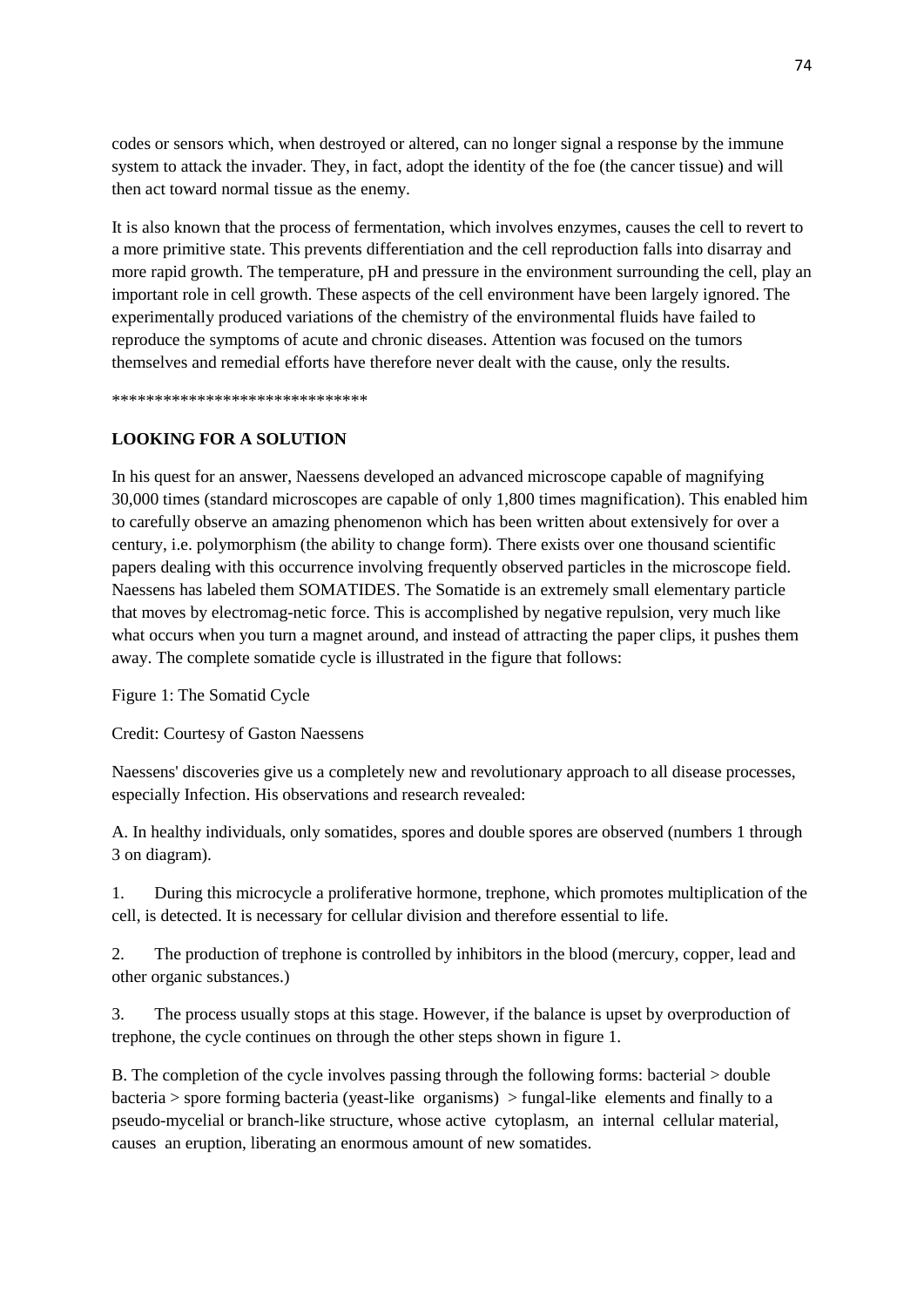codes or sensors which, when destroyed or altered, can no longer signal a response by the immune system to attack the invader. They, in fact, adopt the identity of the foe (the cancer tissue) and will then act toward normal tissue as the enemy.

It is also known that the process of fermentation, which involves enzymes, causes the cell to revert to a more primitive state. This prevents differentiation and the cell reproduction falls into disarray and more rapid growth. The temperature, pH and pressure in the environment surrounding the cell, play an important role in cell growth. These aspects of the cell environment have been largely ignored. The experimentally produced variations of the chemistry of the environmental fluids have failed to reproduce the symptoms of acute and chronic diseases. Attention was focused on the tumors themselves and remedial efforts have therefore never dealt with the cause, only the results.

\*\*\*\*\*\*\*\*\*\*\*\*\*\*\*\*\*\*\*\*\*\*\*\*\*\*\*\*\*\*

#### **LOOKING FOR A SOLUTION**

In his quest for an answer, Naessens developed an advanced microscope capable of magnifying 30,000 times (standard microscopes are capable of only 1,800 times magnification). This enabled him to carefully observe an amazing phenomenon which has been written about extensively for over a century, i.e. polymorphism (the ability to change form). There exists over one thousand scientific papers dealing with this occurrence involving frequently observed particles in the microscope field. Naessens has labeled them SOMATIDES. The Somatide is an extremely small elementary particle that moves by electromag-netic force. This is accomplished by negative repulsion, very much like what occurs when you turn a magnet around, and instead of attracting the paper clips, it pushes them away. The complete somatide cycle is illustrated in the figure that follows:

Figure 1: The Somatid Cycle

Credit: Courtesy of Gaston Naessens

Naessens' discoveries give us a completely new and revolutionary approach to all disease processes, especially Infection. His observations and research revealed:

A. In healthy individuals, only somatides, spores and double spores are observed (numbers 1 through 3 on diagram).

1. During this microcycle a proliferative hormone, trephone, which promotes multiplication of the cell, is detected. It is necessary for cellular division and therefore essential to life.

2. The production of trephone is controlled by inhibitors in the blood (mercury, copper, lead and other organic substances.)

3. The process usually stops at this stage. However, if the balance is upset by overproduction of trephone, the cycle continues on through the other steps shown in figure 1.

B. The completion of the cycle involves passing through the following forms: bacterial > double bacteria > spore forming bacteria (yeast-like organisms) > fungal-like elements and finally to a pseudo-mycelial or branch-like structure, whose active cytoplasm, an internal cellular material, causes an eruption, liberating an enormous amount of new somatides.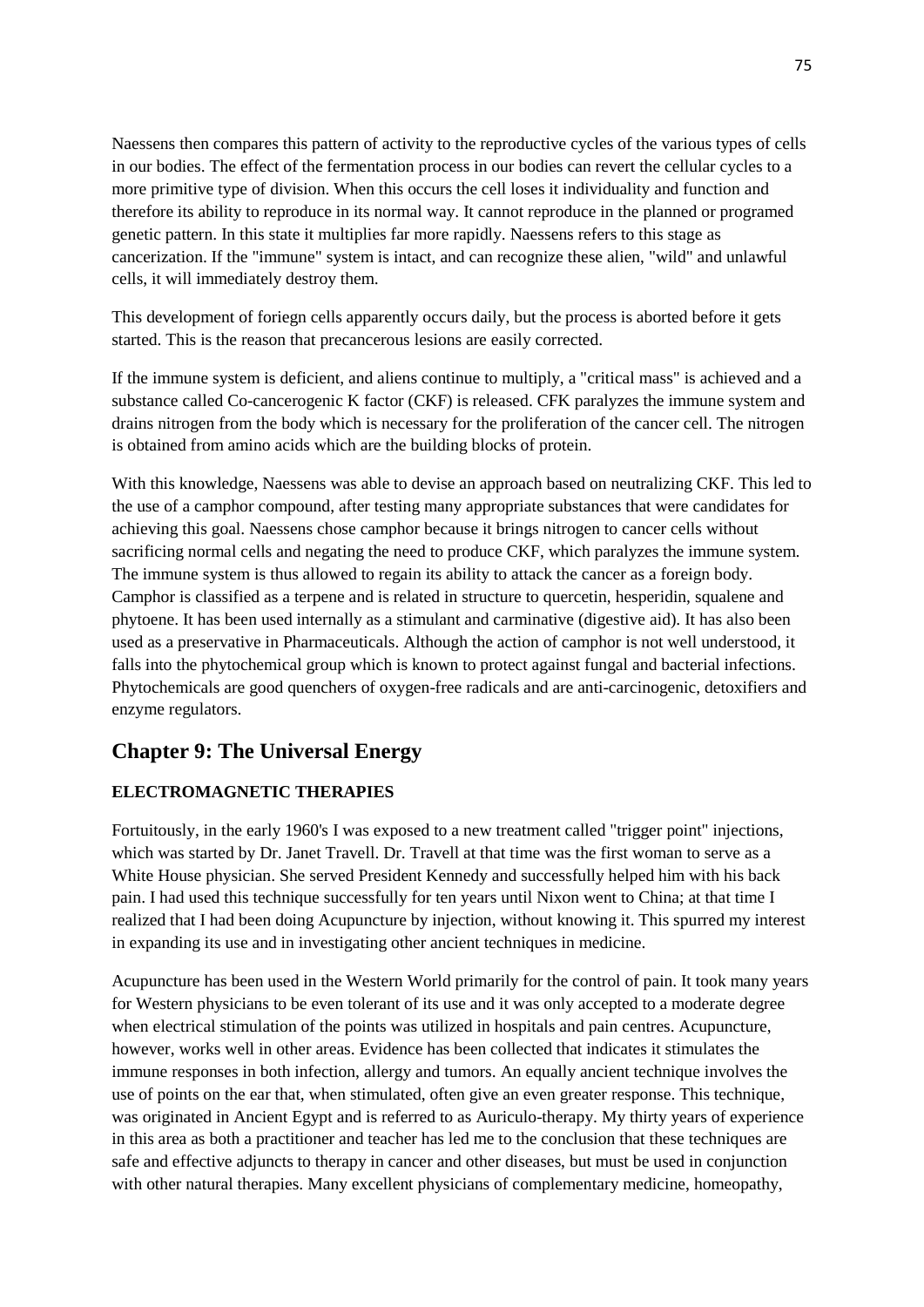Naessens then compares this pattern of activity to the reproductive cycles of the various types of cells in our bodies. The effect of the fermentation process in our bodies can revert the cellular cycles to a more primitive type of division. When this occurs the cell loses it individuality and function and therefore its ability to reproduce in its normal way. It cannot reproduce in the planned or programed genetic pattern. In this state it multiplies far more rapidly. Naessens refers to this stage as cancerization. If the "immune" system is intact, and can recognize these alien, "wild" and unlawful cells, it will immediately destroy them.

This development of foriegn cells apparently occurs daily, but the process is aborted before it gets started. This is the reason that precancerous lesions are easily corrected.

If the immune system is deficient, and aliens continue to multiply, a "critical mass" is achieved and a substance called Co-cancerogenic K factor (CKF) is released. CFK paralyzes the immune system and drains nitrogen from the body which is necessary for the proliferation of the cancer cell. The nitrogen is obtained from amino acids which are the building blocks of protein.

With this knowledge, Naessens was able to devise an approach based on neutralizing CKF. This led to the use of a camphor compound, after testing many appropriate substances that were candidates for achieving this goal. Naessens chose camphor because it brings nitrogen to cancer cells without sacrificing normal cells and negating the need to produce CKF, which paralyzes the immune system. The immune system is thus allowed to regain its ability to attack the cancer as a foreign body. Camphor is classified as a terpene and is related in structure to quercetin, hesperidin, squalene and phytoene. It has been used internally as a stimulant and carminative (digestive aid). It has also been used as a preservative in Pharmaceuticals. Although the action of camphor is not well understood, it falls into the phytochemical group which is known to protect against fungal and bacterial infections. Phytochemicals are good quenchers of oxygen-free radicals and are anti-carcinogenic, detoxifiers and enzyme regulators.

## **Chapter 9: The Universal Energy**

## **ELECTROMAGNETIC THERAPIES**

Fortuitously, in the early 1960's I was exposed to a new treatment called "trigger point" injections, which was started by Dr. Janet Travell. Dr. Travell at that time was the first woman to serve as a White House physician. She served President Kennedy and successfully helped him with his back pain. I had used this technique successfully for ten years until Nixon went to China; at that time I realized that I had been doing Acupuncture by injection, without knowing it. This spurred my interest in expanding its use and in investigating other ancient techniques in medicine.

Acupuncture has been used in the Western World primarily for the control of pain. It took many years for Western physicians to be even tolerant of its use and it was only accepted to a moderate degree when electrical stimulation of the points was utilized in hospitals and pain centres. Acupuncture, however, works well in other areas. Evidence has been collected that indicates it stimulates the immune responses in both infection, allergy and tumors. An equally ancient technique involves the use of points on the ear that, when stimulated, often give an even greater response. This technique, was originated in Ancient Egypt and is referred to as Auriculo-therapy. My thirty years of experience in this area as both a practitioner and teacher has led me to the conclusion that these techniques are safe and effective adjuncts to therapy in cancer and other diseases, but must be used in conjunction with other natural therapies. Many excellent physicians of complementary medicine, homeopathy,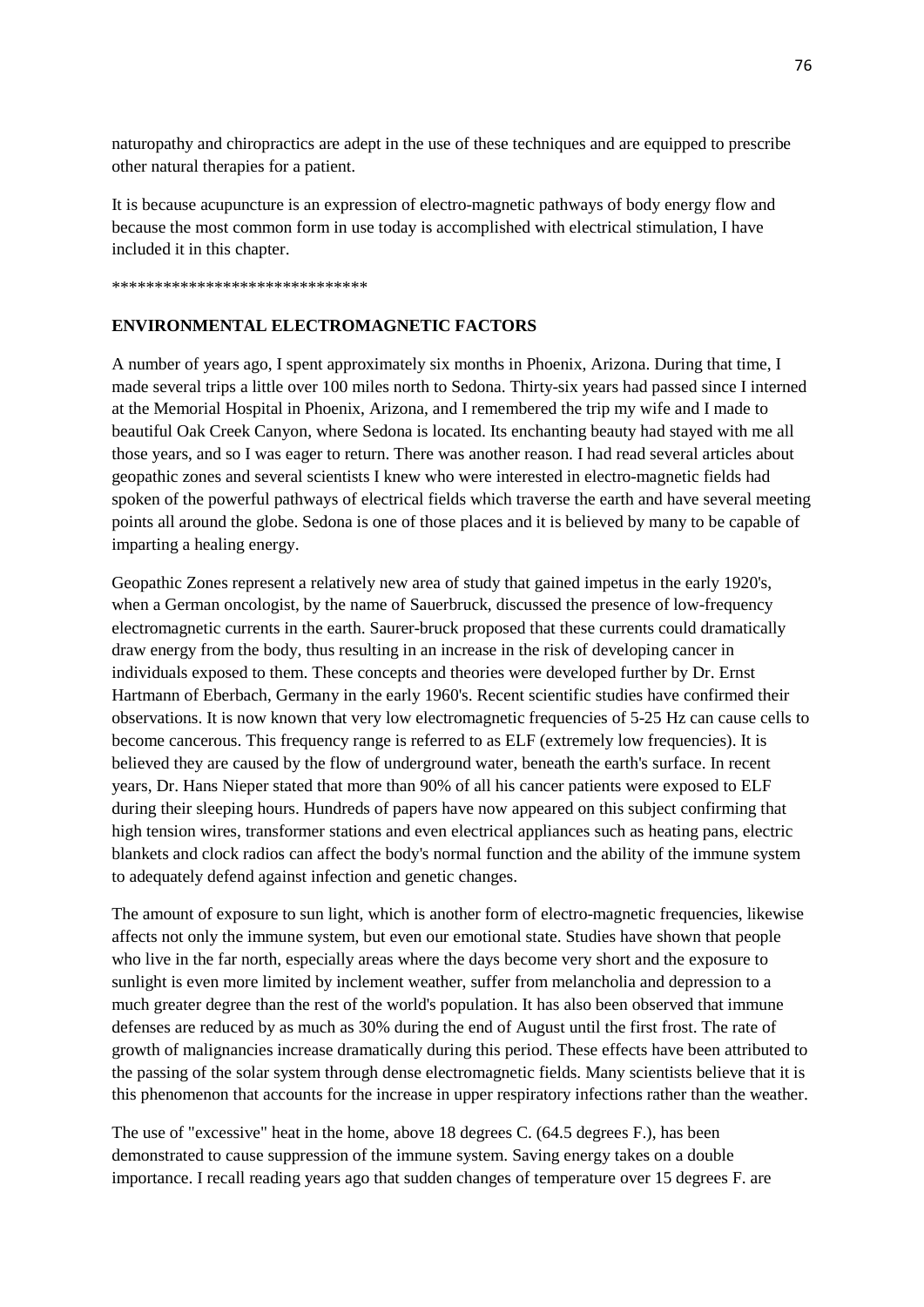naturopathy and chiropractics are adept in the use of these techniques and are equipped to prescribe other natural therapies for a patient.

It is because acupuncture is an expression of electro-magnetic pathways of body energy flow and because the most common form in use today is accomplished with electrical stimulation, I have included it in this chapter.

\*\*\*\*\*\*\*\*\*\*\*\*\*\*\*\*\*\*\*\*\*\*\*\*\*\*\*\*\*\*

## **ENVIRONMENTAL ELECTROMAGNETIC FACTORS**

A number of years ago, I spent approximately six months in Phoenix, Arizona. During that time, I made several trips a little over 100 miles north to Sedona. Thirty-six years had passed since I interned at the Memorial Hospital in Phoenix, Arizona, and I remembered the trip my wife and I made to beautiful Oak Creek Canyon, where Sedona is located. Its enchanting beauty had stayed with me all those years, and so I was eager to return. There was another reason. I had read several articles about geopathic zones and several scientists I knew who were interested in electro-magnetic fields had spoken of the powerful pathways of electrical fields which traverse the earth and have several meeting points all around the globe. Sedona is one of those places and it is believed by many to be capable of imparting a healing energy.

Geopathic Zones represent a relatively new area of study that gained impetus in the early 1920's, when a German oncologist, by the name of Sauerbruck, discussed the presence of low-frequency electromagnetic currents in the earth. Saurer-bruck proposed that these currents could dramatically draw energy from the body, thus resulting in an increase in the risk of developing cancer in individuals exposed to them. These concepts and theories were developed further by Dr. Ernst Hartmann of Eberbach, Germany in the early 1960's. Recent scientific studies have confirmed their observations. It is now known that very low electromagnetic frequencies of 5-25 Hz can cause cells to become cancerous. This frequency range is referred to as ELF (extremely low frequencies). It is believed they are caused by the flow of underground water, beneath the earth's surface. In recent years, Dr. Hans Nieper stated that more than 90% of all his cancer patients were exposed to ELF during their sleeping hours. Hundreds of papers have now appeared on this subject confirming that high tension wires, transformer stations and even electrical appliances such as heating pans, electric blankets and clock radios can affect the body's normal function and the ability of the immune system to adequately defend against infection and genetic changes.

The amount of exposure to sun light, which is another form of electro-magnetic frequencies, likewise affects not only the immune system, but even our emotional state. Studies have shown that people who live in the far north, especially areas where the days become very short and the exposure to sunlight is even more limited by inclement weather, suffer from melancholia and depression to a much greater degree than the rest of the world's population. It has also been observed that immune defenses are reduced by as much as 30% during the end of August until the first frost. The rate of growth of malignancies increase dramatically during this period. These effects have been attributed to the passing of the solar system through dense electromagnetic fields. Many scientists believe that it is this phenomenon that accounts for the increase in upper respiratory infections rather than the weather.

The use of "excessive" heat in the home, above 18 degrees C. (64.5 degrees F.), has been demonstrated to cause suppression of the immune system. Saving energy takes on a double importance. I recall reading years ago that sudden changes of temperature over 15 degrees F. are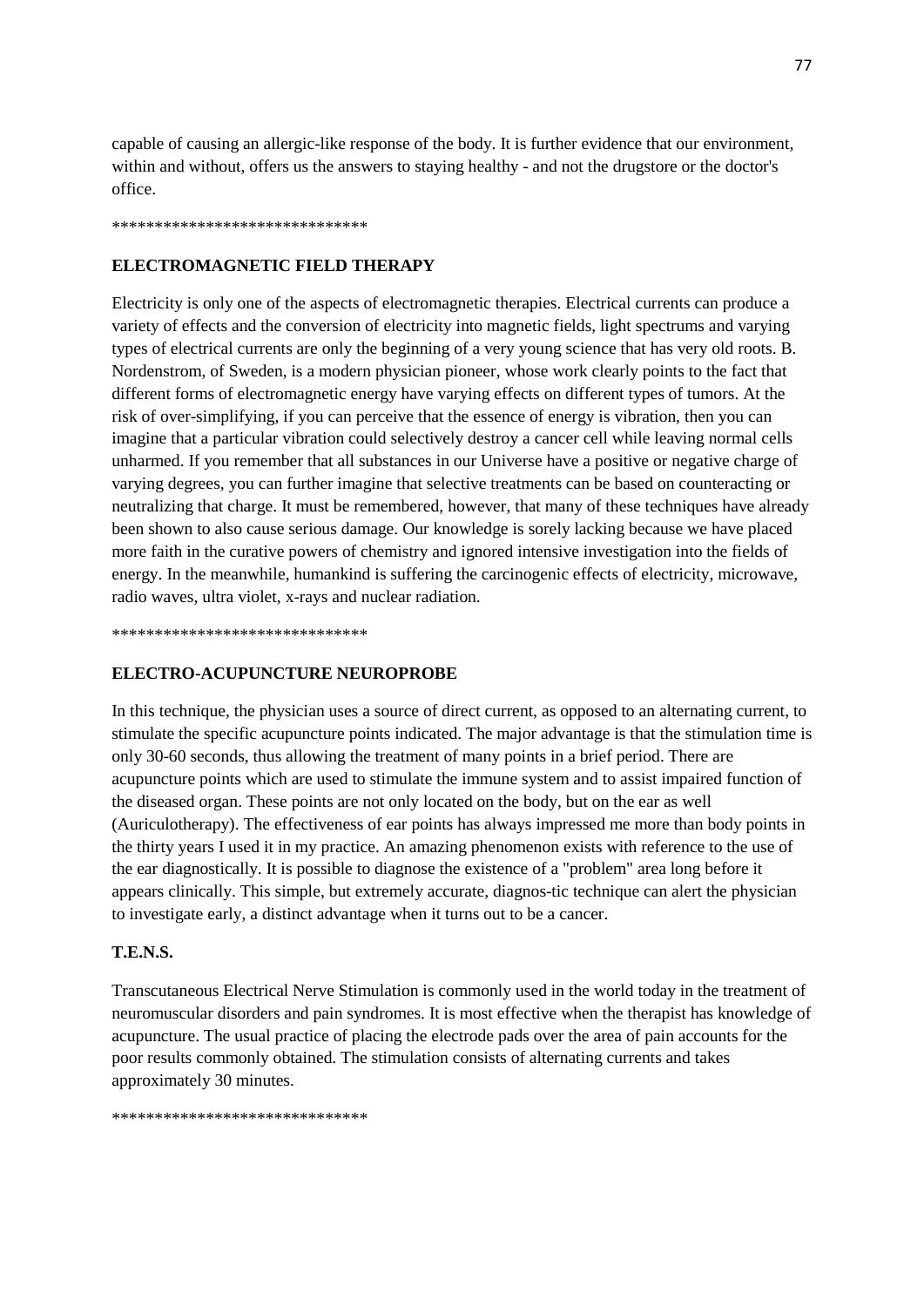capable of causing an allergic-like response of the body. It is further evidence that our environment, within and without, offers us the answers to staying healthy - and not the drugstore or the doctor's office.

#### \*\*\*\*\*\*\*\*\*\*\*\*\*\*\*\*\*\*\*\*\*\*\*\*\*\*\*\*\*\*

#### **ELECTROMAGNETIC FIELD THERAPY**

Electricity is only one of the aspects of electromagnetic therapies. Electrical currents can produce a variety of effects and the conversion of electricity into magnetic fields, light spectrums and varying types of electrical currents are only the beginning of a very young science that has very old roots. B. Nordenstrom, of Sweden, is a modern physician pioneer, whose work clearly points to the fact that different forms of electromagnetic energy have varying effects on different types of tumors. At the risk of over-simplifying, if you can perceive that the essence of energy is vibration, then you can imagine that a particular vibration could selectively destroy a cancer cell while leaving normal cells unharmed. If you remember that all substances in our Universe have a positive or negative charge of varying degrees, you can further imagine that selective treatments can be based on counteracting or neutralizing that charge. It must be remembered, however, that many of these techniques have already been shown to also cause serious damage. Our knowledge is sorely lacking because we have placed more faith in the curative powers of chemistry and ignored intensive investigation into the fields of energy. In the meanwhile, humankind is suffering the carcinogenic effects of electricity, microwave, radio waves, ultra violet, x-rays and nuclear radiation.

\*\*\*\*\*\*\*\*\*\*\*\*\*\*\*\*\*\*\*\*\*\*\*\*\*\*\*\*\*\*

#### **ELECTRO-ACUPUNCTURE NEUROPROBE**

In this technique, the physician uses a source of direct current, as opposed to an alternating current, to stimulate the specific acupuncture points indicated. The major advantage is that the stimulation time is only 30-60 seconds, thus allowing the treatment of many points in a brief period. There are acupuncture points which are used to stimulate the immune system and to assist impaired function of the diseased organ. These points are not only located on the body, but on the ear as well (Auriculotherapy). The effectiveness of ear points has always impressed me more than body points in the thirty years I used it in my practice. An amazing phenomenon exists with reference to the use of the ear diagnostically. It is possible to diagnose the existence of a "problem" area long before it appears clinically. This simple, but extremely accurate, diagnos-tic technique can alert the physician to investigate early, a distinct advantage when it turns out to be a cancer.

### **T.E.N.S.**

Transcutaneous Electrical Nerve Stimulation is commonly used in the world today in the treatment of neuromuscular disorders and pain syndromes. It is most effective when the therapist has knowledge of acupuncture. The usual practice of placing the electrode pads over the area of pain accounts for the poor results commonly obtained. The stimulation consists of alternating currents and takes approximately 30 minutes.

\*\*\*\*\*\*\*\*\*\*\*\*\*\*\*\*\*\*\*\*\*\*\*\*\*\*\*\*\*\*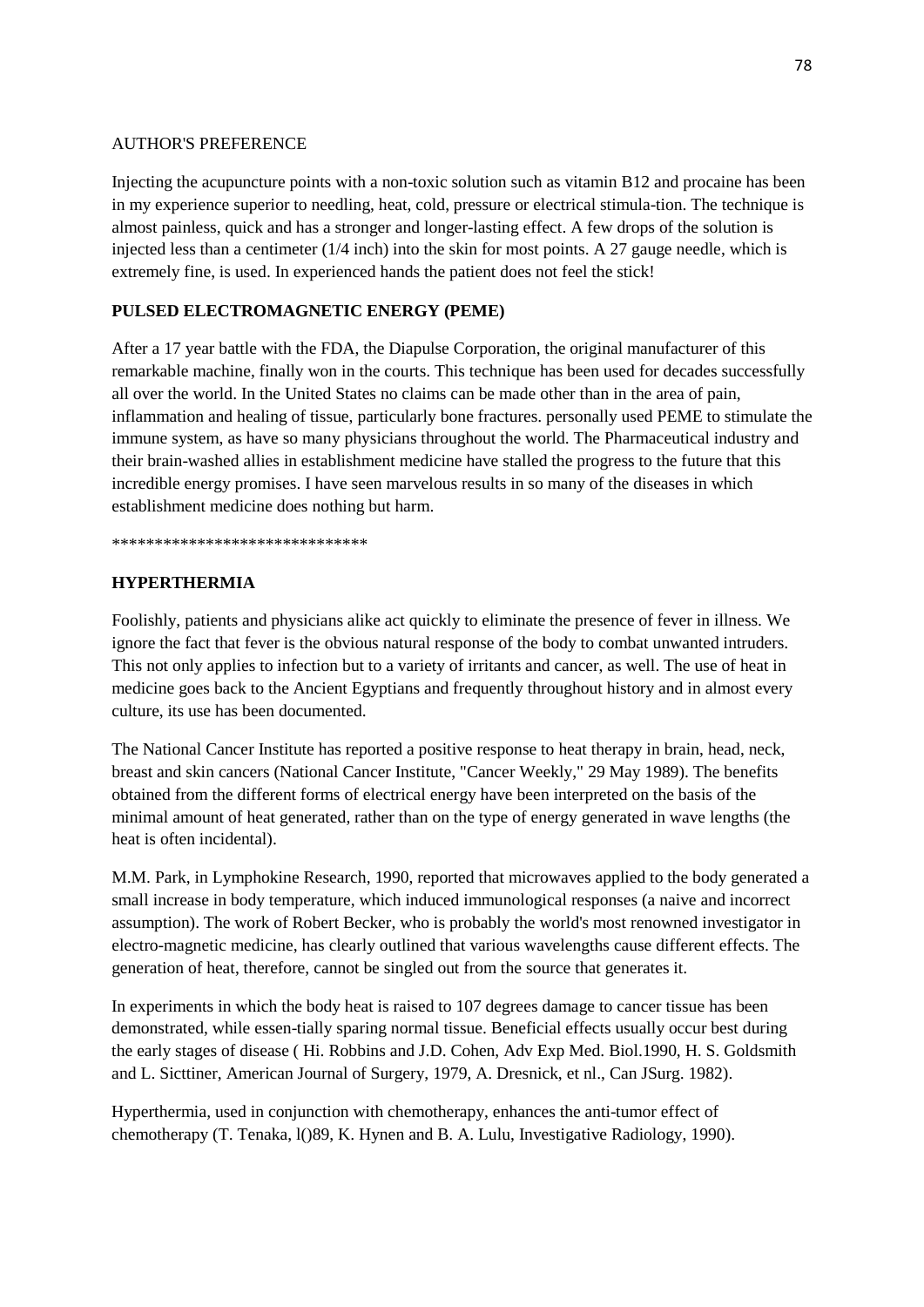#### AUTHOR'S PREFERENCE

Injecting the acupuncture points with a non-toxic solution such as vitamin B12 and procaine has been in my experience superior to needling, heat, cold, pressure or electrical stimula-tion. The technique is almost painless, quick and has a stronger and longer-lasting effect. A few drops of the solution is injected less than a centimeter (1/4 inch) into the skin for most points. A 27 gauge needle, which is extremely fine, is used. In experienced hands the patient does not feel the stick!

#### **PULSED ELECTROMAGNETIC ENERGY (PEME)**

After a 17 year battle with the FDA, the Diapulse Corporation, the original manufacturer of this remarkable machine, finally won in the courts. This technique has been used for decades successfully all over the world. In the United States no claims can be made other than in the area of pain, inflammation and healing of tissue, particularly bone fractures. personally used PEME to stimulate the immune system, as have so many physicians throughout the world. The Pharmaceutical industry and their brain-washed allies in establishment medicine have stalled the progress to the future that this incredible energy promises. I have seen marvelous results in so many of the diseases in which establishment medicine does nothing but harm.

\*\*\*\*\*\*\*\*\*\*\*\*\*\*\*\*\*\*\*\*\*\*\*\*\*\*\*\*\*\*

#### **HYPERTHERMIA**

Foolishly, patients and physicians alike act quickly to eliminate the presence of fever in illness. We ignore the fact that fever is the obvious natural response of the body to combat unwanted intruders. This not only applies to infection but to a variety of irritants and cancer, as well. The use of heat in medicine goes back to the Ancient Egyptians and frequently throughout history and in almost every culture, its use has been documented.

The National Cancer Institute has reported a positive response to heat therapy in brain, head, neck, breast and skin cancers (National Cancer Institute, "Cancer Weekly," 29 May 1989). The benefits obtained from the different forms of electrical energy have been interpreted on the basis of the minimal amount of heat generated, rather than on the type of energy generated in wave lengths (the heat is often incidental).

M.M. Park, in Lymphokine Research, 1990, reported that microwaves applied to the body generated a small increase in body temperature, which induced immunological responses (a naive and incorrect assumption). The work of Robert Becker, who is probably the world's most renowned investigator in electro-magnetic medicine, has clearly outlined that various wavelengths cause different effects. The generation of heat, therefore, cannot be singled out from the source that generates it.

In experiments in which the body heat is raised to 107 degrees damage to cancer tissue has been demonstrated, while essen-tially sparing normal tissue. Beneficial effects usually occur best during the early stages of disease ( Hi. Robbins and J.D. Cohen, Adv Exp Med. Biol.1990, H. S. Goldsmith and L. Sicttiner, American Journal of Surgery, 1979, A. Dresnick, et nl., Can JSurg. 1982).

Hyperthermia, used in conjunction with chemotherapy, enhances the anti-tumor effect of chemotherapy (T. Tenaka, l()89, K. Hynen and B. A. Lulu, Investigative Radiology, 1990).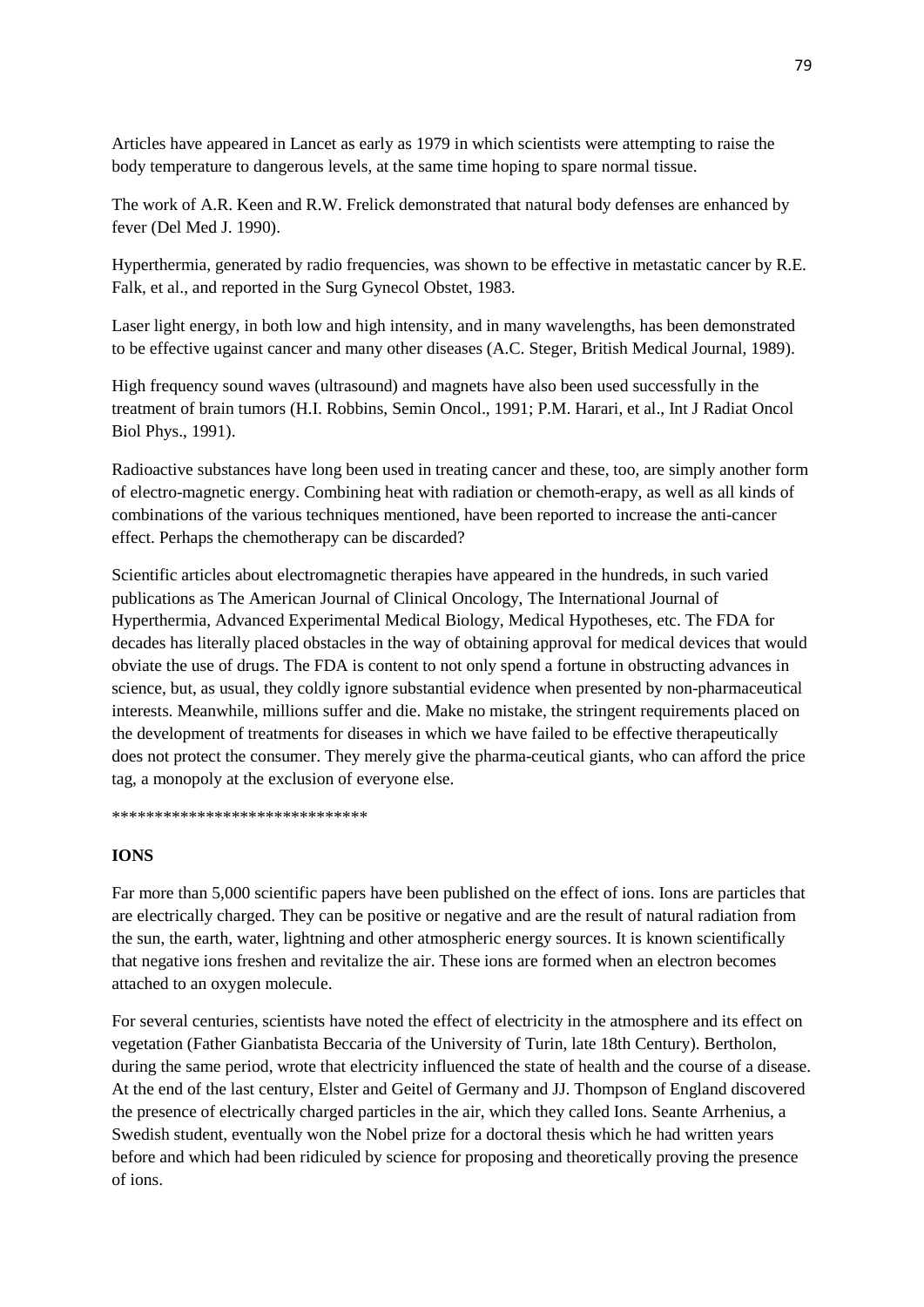Articles have appeared in Lancet as early as 1979 in which scientists were attempting to raise the body temperature to dangerous levels, at the same time hoping to spare normal tissue.

The work of A.R. Keen and R.W. Frelick demonstrated that natural body defenses are enhanced by fever (Del Med J. 1990).

Hyperthermia, generated by radio frequencies, was shown to be effective in metastatic cancer by R.E. Falk, et al., and reported in the Surg Gynecol Obstet, 1983.

Laser light energy, in both low and high intensity, and in many wavelengths, has been demonstrated to be effective ugainst cancer and many other diseases (A.C. Steger, British Medical Journal, 1989).

High frequency sound waves (ultrasound) and magnets have also been used successfully in the treatment of brain tumors (H.I. Robbins, Semin Oncol., 1991; P.M. Harari, et al., Int J Radiat Oncol Biol Phys., 1991).

Radioactive substances have long been used in treating cancer and these, too, are simply another form of electro-magnetic energy. Combining heat with radiation or chemoth-erapy, as well as all kinds of combinations of the various techniques mentioned, have been reported to increase the anti-cancer effect. Perhaps the chemotherapy can be discarded?

Scientific articles about electromagnetic therapies have appeared in the hundreds, in such varied publications as The American Journal of Clinical Oncology, The International Journal of Hyperthermia, Advanced Experimental Medical Biology, Medical Hypotheses, etc. The FDA for decades has literally placed obstacles in the way of obtaining approval for medical devices that would obviate the use of drugs. The FDA is content to not only spend a fortune in obstructing advances in science, but, as usual, they coldly ignore substantial evidence when presented by non-pharmaceutical interests. Meanwhile, millions suffer and die. Make no mistake, the stringent requirements placed on the development of treatments for diseases in which we have failed to be effective therapeutically does not protect the consumer. They merely give the pharma-ceutical giants, who can afford the price tag, a monopoly at the exclusion of everyone else.

\*\*\*\*\*\*\*\*\*\*\*\*\*\*\*\*\*\*\*\*\*\*\*\*\*\*\*\*\*\*

#### **IONS**

Far more than 5,000 scientific papers have been published on the effect of ions. Ions are particles that are electrically charged. They can be positive or negative and are the result of natural radiation from the sun, the earth, water, lightning and other atmospheric energy sources. It is known scientifically that negative ions freshen and revitalize the air. These ions are formed when an electron becomes attached to an oxygen molecule.

For several centuries, scientists have noted the effect of electricity in the atmosphere and its effect on vegetation (Father Gianbatista Beccaria of the University of Turin, late 18th Century). Bertholon, during the same period, wrote that electricity influenced the state of health and the course of a disease. At the end of the last century, Elster and Geitel of Germany and JJ. Thompson of England discovered the presence of electrically charged particles in the air, which they called Ions. Seante Arrhenius, a Swedish student, eventually won the Nobel prize for a doctoral thesis which he had written years before and which had been ridiculed by science for proposing and theoretically proving the presence of ions.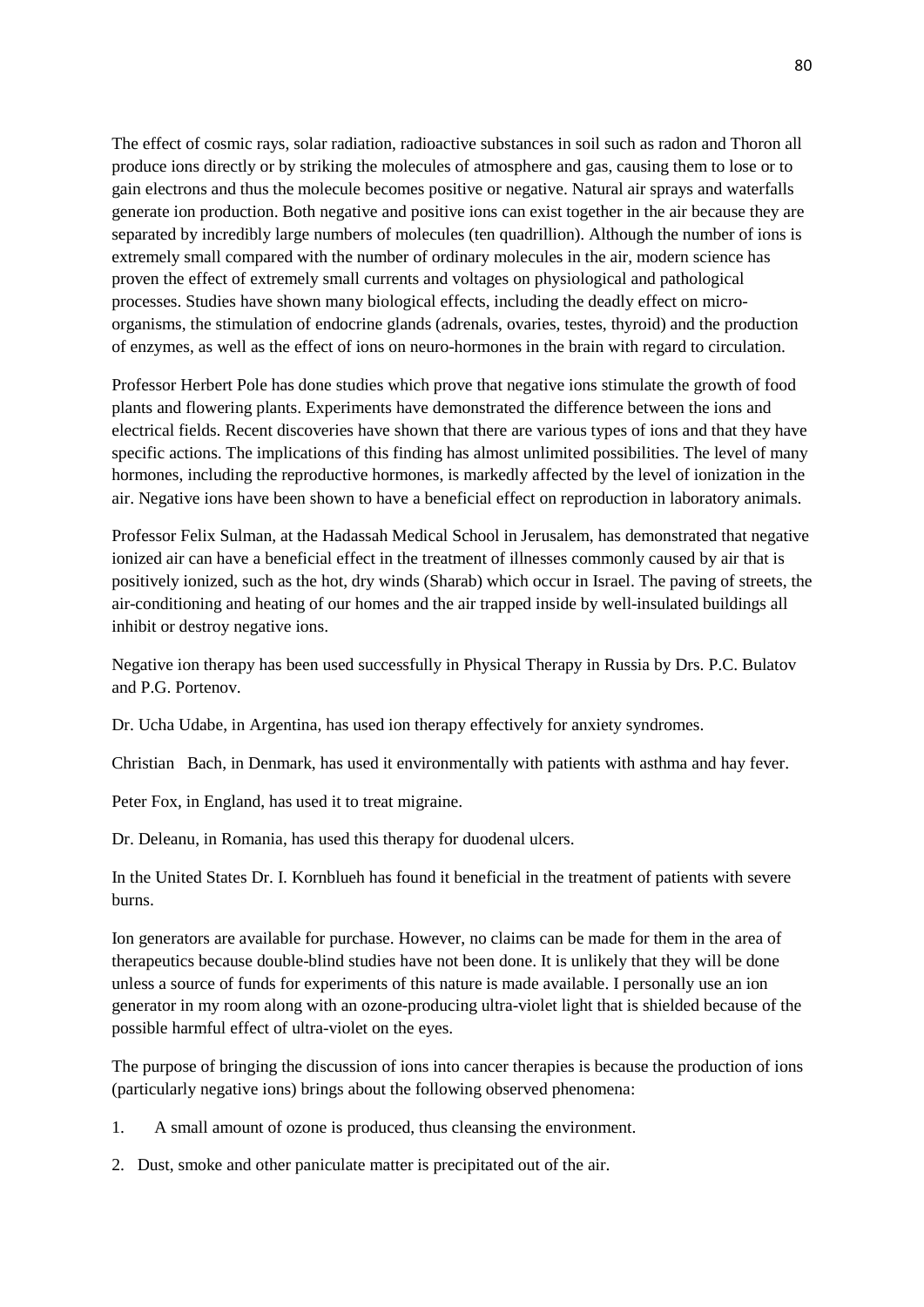The effect of cosmic rays, solar radiation, radioactive substances in soil such as radon and Thoron all produce ions directly or by striking the molecules of atmosphere and gas, causing them to lose or to gain electrons and thus the molecule becomes positive or negative. Natural air sprays and waterfalls generate ion production. Both negative and positive ions can exist together in the air because they are separated by incredibly large numbers of molecules (ten quadrillion). Although the number of ions is extremely small compared with the number of ordinary molecules in the air, modern science has proven the effect of extremely small currents and voltages on physiological and pathological processes. Studies have shown many biological effects, including the deadly effect on microorganisms, the stimulation of endocrine glands (adrenals, ovaries, testes, thyroid) and the production of enzymes, as well as the effect of ions on neuro-hormones in the brain with regard to circulation.

Professor Herbert Pole has done studies which prove that negative ions stimulate the growth of food plants and flowering plants. Experiments have demonstrated the difference between the ions and electrical fields. Recent discoveries have shown that there are various types of ions and that they have specific actions. The implications of this finding has almost unlimited possibilities. The level of many hormones, including the reproductive hormones, is markedly affected by the level of ionization in the air. Negative ions have been shown to have a beneficial effect on reproduction in laboratory animals.

Professor Felix Sulman, at the Hadassah Medical School in Jerusalem, has demonstrated that negative ionized air can have a beneficial effect in the treatment of illnesses commonly caused by air that is positively ionized, such as the hot, dry winds (Sharab) which occur in Israel. The paving of streets, the air-conditioning and heating of our homes and the air trapped inside by well-insulated buildings all inhibit or destroy negative ions.

Negative ion therapy has been used successfully in Physical Therapy in Russia by Drs. P.C. Bulatov and P.G. Portenov.

Dr. Ucha Udabe, in Argentina, has used ion therapy effectively for anxiety syndromes.

Christian Bach, in Denmark, has used it environmentally with patients with asthma and hay fever.

Peter Fox, in England, has used it to treat migraine.

Dr. Deleanu, in Romania, has used this therapy for duodenal ulcers.

In the United States Dr. I. Kornblueh has found it beneficial in the treatment of patients with severe burns.

Ion generators are available for purchase. However, no claims can be made for them in the area of therapeutics because double-blind studies have not been done. It is unlikely that they will be done unless a source of funds for experiments of this nature is made available. I personally use an ion generator in my room along with an ozone-producing ultra-violet light that is shielded because of the possible harmful effect of ultra-violet on the eyes.

The purpose of bringing the discussion of ions into cancer therapies is because the production of ions (particularly negative ions) brings about the following observed phenomena:

1. A small amount of ozone is produced, thus cleansing the environment.

2. Dust, smoke and other paniculate matter is precipitated out of the air.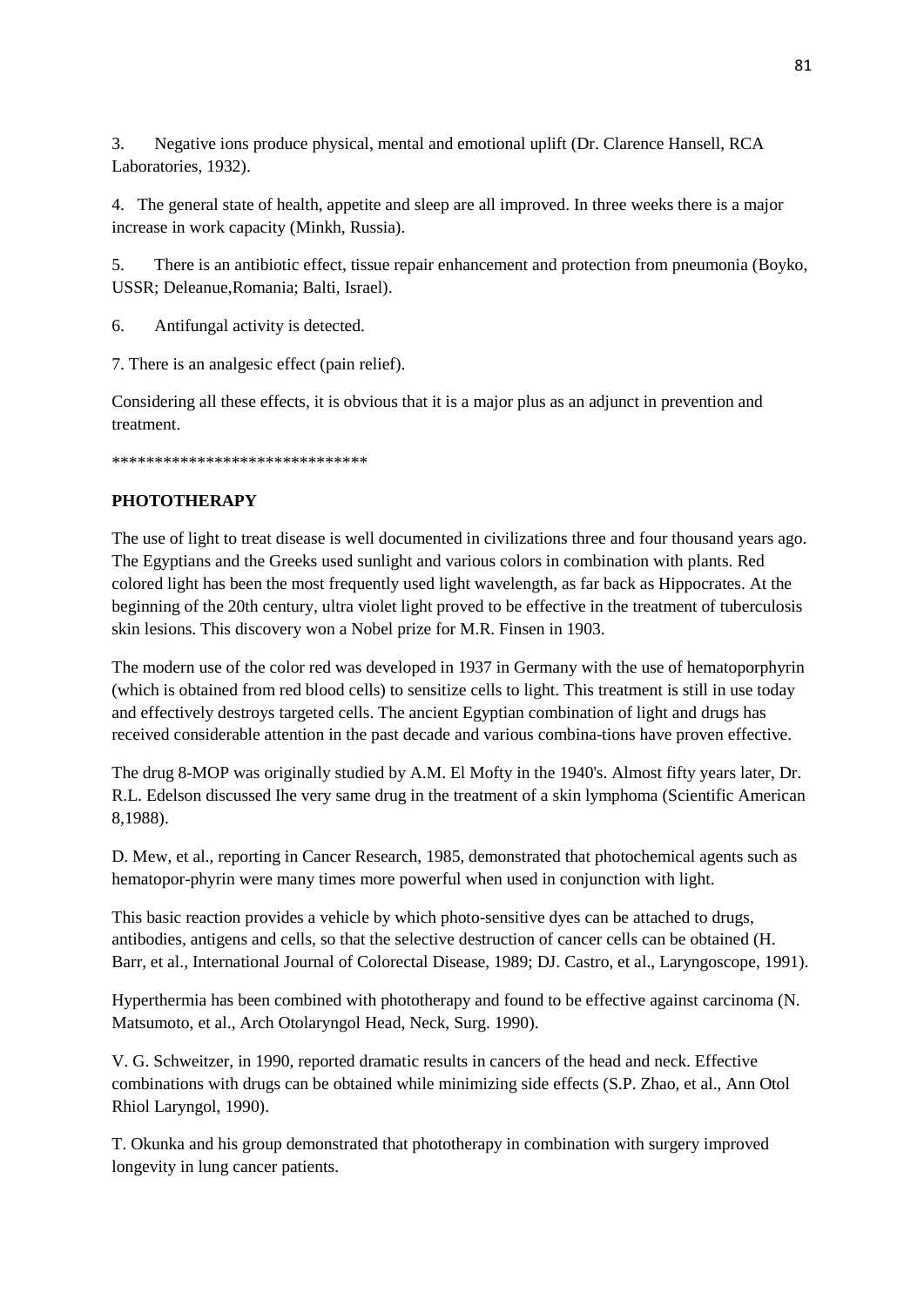3. Negative ions produce physical, mental and emotional uplift (Dr. Clarence Hansell, RCA Laboratories, 1932).

4. The general state of health, appetite and sleep are all improved. In three weeks there is a major increase in work capacity (Minkh, Russia).

5. There is an antibiotic effect, tissue repair enhancement and protection from pneumonia (Boyko, USSR; Deleanue,Romania; Balti, Israel).

6. Antifungal activity is detected.

7. There is an analgesic effect (pain relief).

Considering all these effects, it is obvious that it is a major plus as an adjunct in prevention and treatment.

\*\*\*\*\*\*\*\*\*\*\*\*\*\*\*\*\*\*\*\*\*\*\*\*\*\*\*\*\*\*

## **PHOTOTHERAPY**

The use of light to treat disease is well documented in civilizations three and four thousand years ago. The Egyptians and the Greeks used sunlight and various colors in combination with plants. Red colored light has been the most frequently used light wavelength, as far back as Hippocrates. At the beginning of the 20th century, ultra violet light proved to be effective in the treatment of tuberculosis skin lesions. This discovery won a Nobel prize for M.R. Finsen in 1903.

The modern use of the color red was developed in 1937 in Germany with the use of hematoporphyrin (which is obtained from red blood cells) to sensitize cells to light. This treatment is still in use today and effectively destroys targeted cells. The ancient Egyptian combination of light and drugs has received considerable attention in the past decade and various combina-tions have proven effective.

The drug 8-MOP was originally studied by A.M. El Mofty in the 1940's. Almost fifty years later, Dr. R.L. Edelson discussed Ihe very same drug in the treatment of a skin lymphoma (Scientific American 8,1988).

D. Mew, et al., reporting in Cancer Research, 1985, demonstrated that photochemical agents such as hematopor-phyrin were many times more powerful when used in conjunction with light.

This basic reaction provides a vehicle by which photo-sensitive dyes can be attached to drugs, antibodies, antigens and cells, so that the selective destruction of cancer cells can be obtained (H. Barr, et al., International Journal of Colorectal Disease, 1989; DJ. Castro, et al., Laryngoscope, 1991).

Hyperthermia has been combined with phototherapy and found to be effective against carcinoma (N. Matsumoto, et al., Arch Otolaryngol Head, Neck, Surg. 1990).

V. G. Schweitzer, in 1990, reported dramatic results in cancers of the head and neck. Effective combinations with drugs can be obtained while minimizing side effects (S.P. Zhao, et al., Ann Otol Rhiol Laryngol, 1990).

T. Okunka and his group demonstrated that phototherapy in combination with surgery improved longevity in lung cancer patients.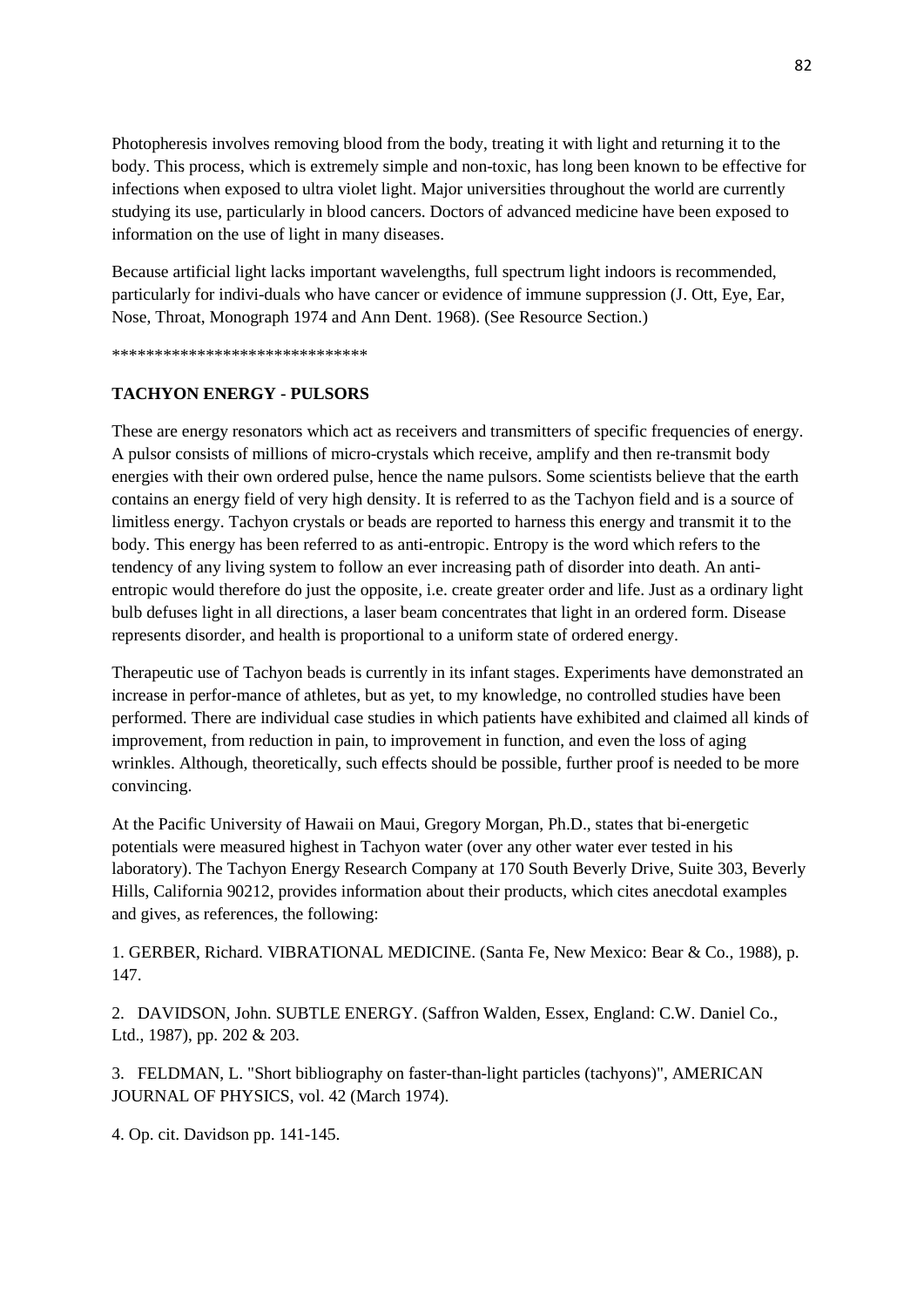Photopheresis involves removing blood from the body, treating it with light and returning it to the body. This process, which is extremely simple and non-toxic, has long been known to be effective for infections when exposed to ultra violet light. Major universities throughout the world are currently studying its use, particularly in blood cancers. Doctors of advanced medicine have been exposed to information on the use of light in many diseases.

Because artificial light lacks important wavelengths, full spectrum light indoors is recommended, particularly for indivi-duals who have cancer or evidence of immune suppression (J. Ott, Eye, Ear, Nose, Throat, Monograph 1974 and Ann Dent. 1968). (See Resource Section.)

\*\*\*\*\*\*\*\*\*\*\*\*\*\*\*\*\*\*\*\*\*\*\*\*\*\*\*\*\*\*

#### **TACHYON ENERGY - PULSORS**

These are energy resonators which act as receivers and transmitters of specific frequencies of energy. A pulsor consists of millions of micro-crystals which receive, amplify and then re-transmit body energies with their own ordered pulse, hence the name pulsors. Some scientists believe that the earth contains an energy field of very high density. It is referred to as the Tachyon field and is a source of limitless energy. Tachyon crystals or beads are reported to harness this energy and transmit it to the body. This energy has been referred to as anti-entropic. Entropy is the word which refers to the tendency of any living system to follow an ever increasing path of disorder into death. An antientropic would therefore do just the opposite, i.e. create greater order and life. Just as a ordinary light bulb defuses light in all directions, a laser beam concentrates that light in an ordered form. Disease represents disorder, and health is proportional to a uniform state of ordered energy.

Therapeutic use of Tachyon beads is currently in its infant stages. Experiments have demonstrated an increase in perfor-mance of athletes, but as yet, to my knowledge, no controlled studies have been performed. There are individual case studies in which patients have exhibited and claimed all kinds of improvement, from reduction in pain, to improvement in function, and even the loss of aging wrinkles. Although, theoretically, such effects should be possible, further proof is needed to be more convincing.

At the Pacific University of Hawaii on Maui, Gregory Morgan, Ph.D., states that bi-energetic potentials were measured highest in Tachyon water (over any other water ever tested in his laboratory). The Tachyon Energy Research Company at 170 South Beverly Drive, Suite 303, Beverly Hills, California 90212, provides information about their products, which cites anecdotal examples and gives, as references, the following:

1. GERBER, Richard. VIBRATIONAL MEDICINE. (Santa Fe, New Mexico: Bear & Co., 1988), p. 147.

2. DAVIDSON, John. SUBTLE ENERGY. (Saffron Walden, Essex, England: C.W. Daniel Co., Ltd., 1987), pp. 202 & 203.

3. FELDMAN, L. "Short bibliography on faster-than-light particles (tachyons)", AMERICAN JOURNAL OF PHYSICS, vol. 42 (March 1974).

4. Op. cit. Davidson pp. 141-145.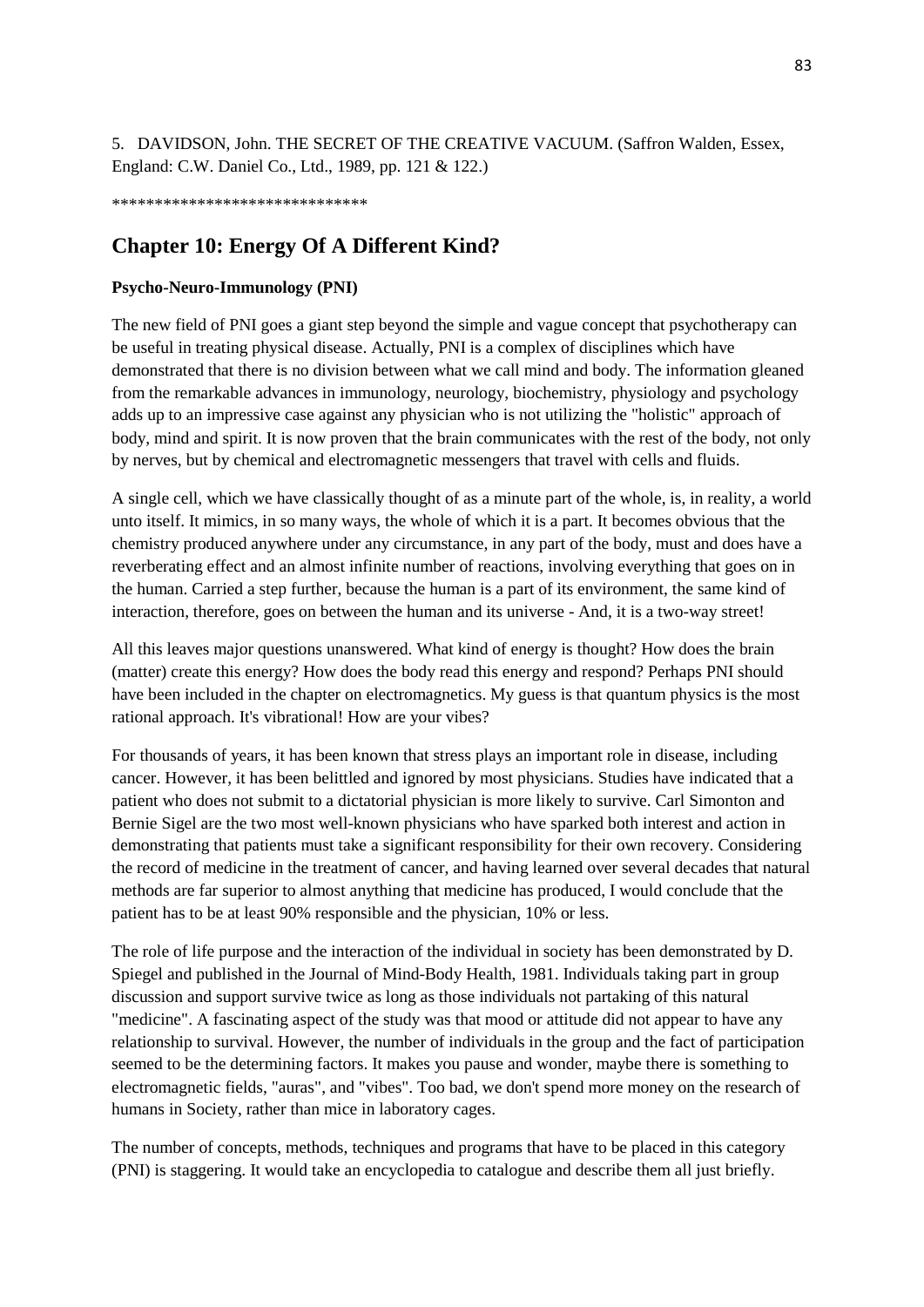5. DAVIDSON, John. THE SECRET OF THE CREATIVE VACUUM. (Saffron Walden, Essex, England: C.W. Daniel Co., Ltd., 1989, pp. 121 & 122.)

\*\*\*\*\*\*\*\*\*\*\*\*\*\*\*\*\*\*\*\*\*\*\*\*\*\*\*\*\*\*

## **Chapter 10: Energy Of A Different Kind?**

#### **Psycho-Neuro-Immunology (PNI)**

The new field of PNI goes a giant step beyond the simple and vague concept that psychotherapy can be useful in treating physical disease. Actually, PNI is a complex of disciplines which have demonstrated that there is no division between what we call mind and body. The information gleaned from the remarkable advances in immunology, neurology, biochemistry, physiology and psychology adds up to an impressive case against any physician who is not utilizing the "holistic" approach of body, mind and spirit. It is now proven that the brain communicates with the rest of the body, not only by nerves, but by chemical and electromagnetic messengers that travel with cells and fluids.

A single cell, which we have classically thought of as a minute part of the whole, is, in reality, a world unto itself. It mimics, in so many ways, the whole of which it is a part. It becomes obvious that the chemistry produced anywhere under any circumstance, in any part of the body, must and does have a reverberating effect and an almost infinite number of reactions, involving everything that goes on in the human. Carried a step further, because the human is a part of its environment, the same kind of interaction, therefore, goes on between the human and its universe - And, it is a two-way street!

All this leaves major questions unanswered. What kind of energy is thought? How does the brain (matter) create this energy? How does the body read this energy and respond? Perhaps PNI should have been included in the chapter on electromagnetics. My guess is that quantum physics is the most rational approach. It's vibrational! How are your vibes?

For thousands of years, it has been known that stress plays an important role in disease, including cancer. However, it has been belittled and ignored by most physicians. Studies have indicated that a patient who does not submit to a dictatorial physician is more likely to survive. Carl Simonton and Bernie Sigel are the two most well-known physicians who have sparked both interest and action in demonstrating that patients must take a significant responsibility for their own recovery. Considering the record of medicine in the treatment of cancer, and having learned over several decades that natural methods are far superior to almost anything that medicine has produced, I would conclude that the patient has to be at least 90% responsible and the physician, 10% or less.

The role of life purpose and the interaction of the individual in society has been demonstrated by D. Spiegel and published in the Journal of Mind-Body Health, 1981. Individuals taking part in group discussion and support survive twice as long as those individuals not partaking of this natural "medicine". A fascinating aspect of the study was that mood or attitude did not appear to have any relationship to survival. However, the number of individuals in the group and the fact of participation seemed to be the determining factors. It makes you pause and wonder, maybe there is something to electromagnetic fields, "auras", and "vibes". Too bad, we don't spend more money on the research of humans in Society, rather than mice in laboratory cages.

The number of concepts, methods, techniques and programs that have to be placed in this category (PNI) is staggering. It would take an encyclopedia to catalogue and describe them all just briefly.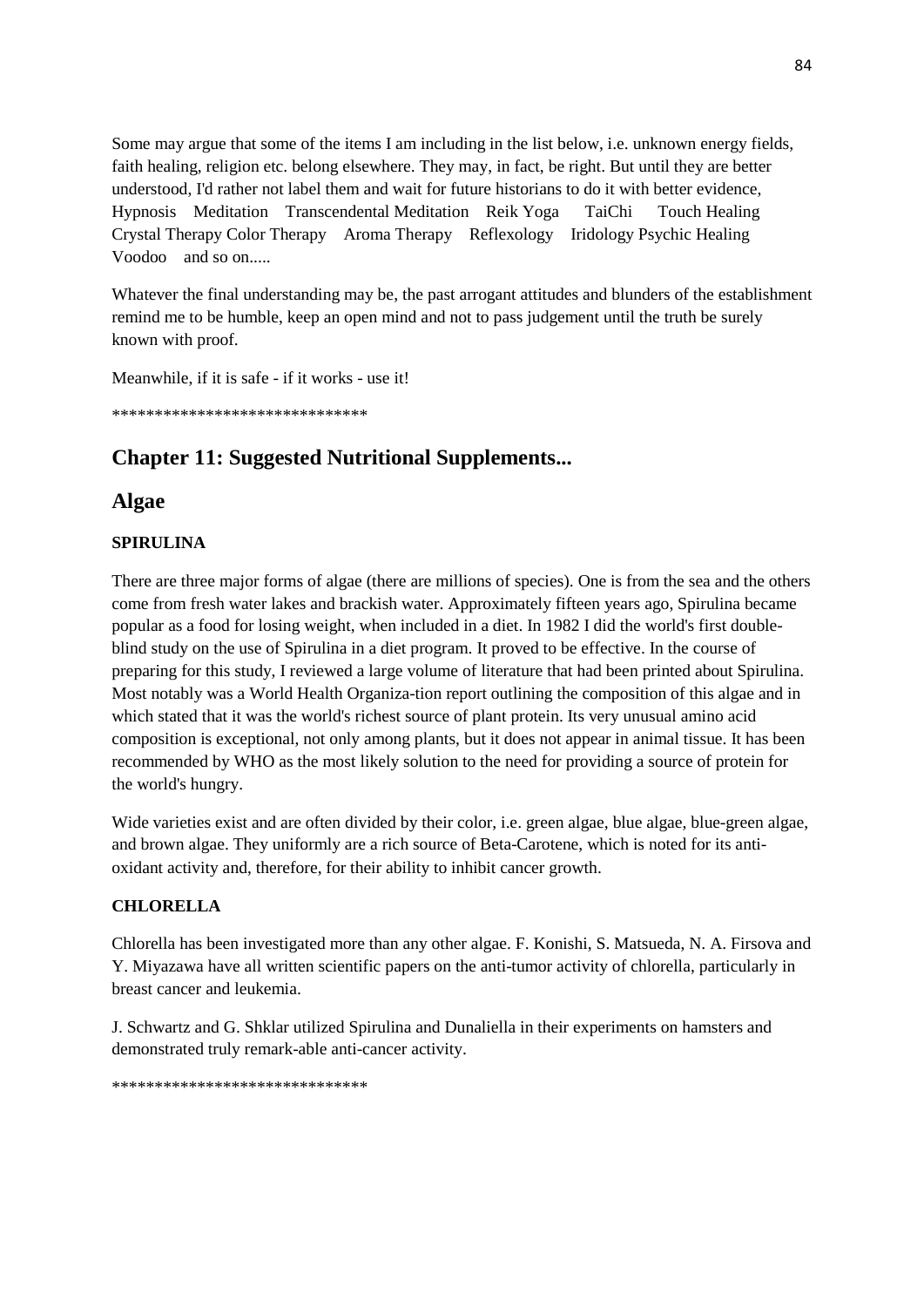Some may argue that some of the items I am including in the list below, i.e. unknown energy fields, faith healing, religion etc. belong elsewhere. They may, in fact, be right. But until they are better understood, I'd rather not label them and wait for future historians to do it with better evidence, Hypnosis Meditation Transcendental Meditation Reik Yoga TaiChi Touch Healing Crystal Therapy Color Therapy Aroma Therapy Reflexology Iridology Psychic Healing Voodoo and so on.....

Whatever the final understanding may be, the past arrogant attitudes and blunders of the establishment remind me to be humble, keep an open mind and not to pass judgement until the truth be surely known with proof.

Meanwhile, if it is safe - if it works - use it!

\*\*\*\*\*\*\*\*\*\*\*\*\*\*\*\*\*\*\*\*\*\*\*\*\*\*\*\*\*\*

# **Chapter 11: Suggested Nutritional Supplements...**

## **Algae**

## **SPIRULINA**

There are three major forms of algae (there are millions of species). One is from the sea and the others come from fresh water lakes and brackish water. Approximately fifteen years ago, Spirulina became popular as a food for losing weight, when included in a diet. In 1982 I did the world's first doubleblind study on the use of Spirulina in a diet program. It proved to be effective. In the course of preparing for this study, I reviewed a large volume of literature that had been printed about Spirulina. Most notably was a World Health Organiza-tion report outlining the composition of this algae and in which stated that it was the world's richest source of plant protein. Its very unusual amino acid composition is exceptional, not only among plants, but it does not appear in animal tissue. It has been recommended by WHO as the most likely solution to the need for providing a source of protein for the world's hungry.

Wide varieties exist and are often divided by their color, i.e. green algae, blue algae, blue-green algae, and brown algae. They uniformly are a rich source of Beta-Carotene, which is noted for its antioxidant activity and, therefore, for their ability to inhibit cancer growth.

## **CHLORELLA**

Chlorella has been investigated more than any other algae. F. Konishi, S. Matsueda, N. A. Firsova and Y. Miyazawa have all written scientific papers on the anti-tumor activity of chlorella, particularly in breast cancer and leukemia.

J. Schwartz and G. Shklar utilized Spirulina and Dunaliella in their experiments on hamsters and demonstrated truly remark-able anti-cancer activity.

\*\*\*\*\*\*\*\*\*\*\*\*\*\*\*\*\*\*\*\*\*\*\*\*\*\*\*\*\*\*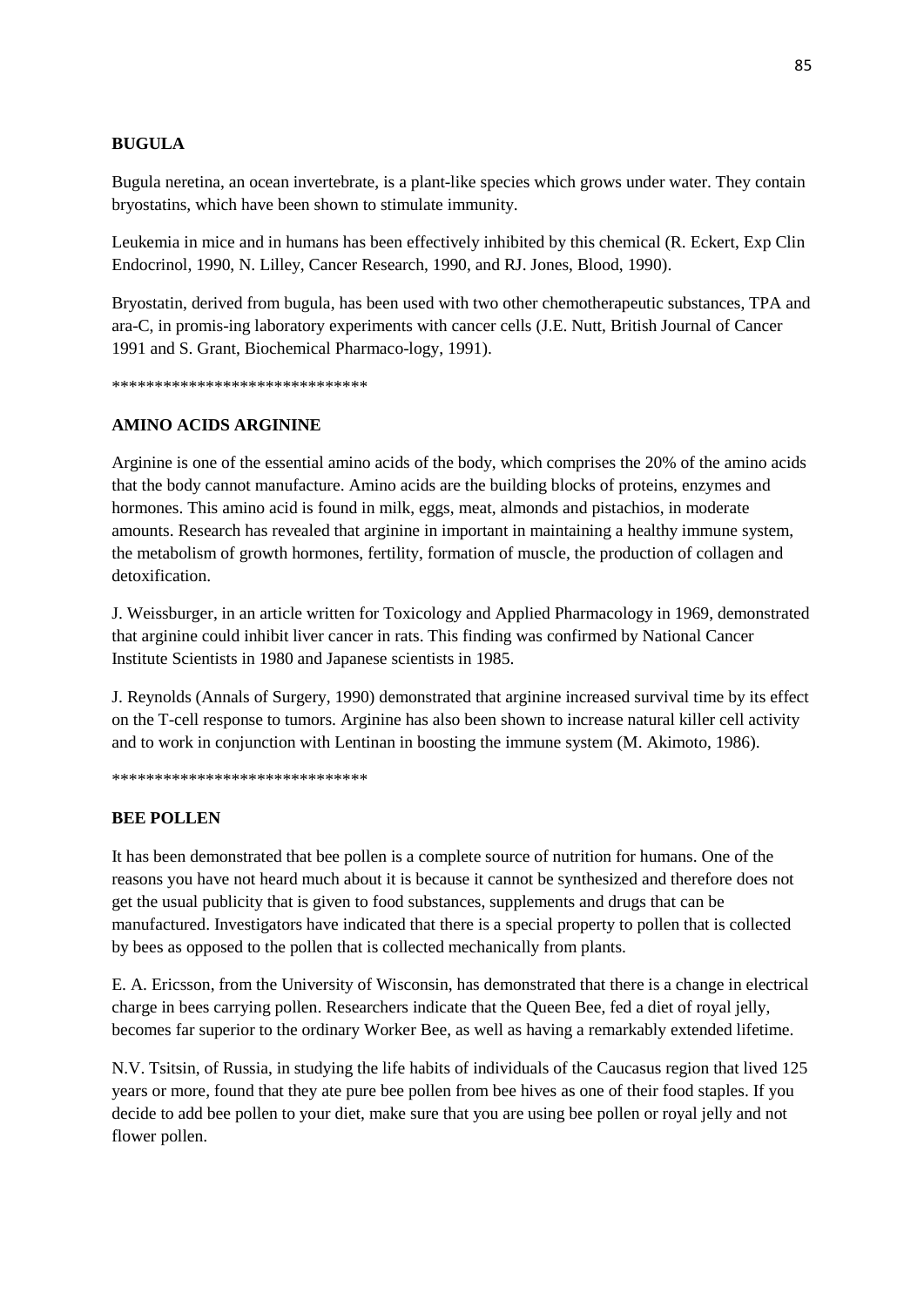### **BUGULA**

Bugula neretina, an ocean invertebrate, is a plant-like species which grows under water. They contain bryostatins, which have been shown to stimulate immunity.

Leukemia in mice and in humans has been effectively inhibited by this chemical (R. Eckert, Exp Clin Endocrinol, 1990, N. Lilley, Cancer Research, 1990, and RJ. Jones, Blood, 1990).

Bryostatin, derived from bugula, has been used with two other chemotherapeutic substances, TPA and ara-C, in promis-ing laboratory experiments with cancer cells (J.E. Nutt, British Journal of Cancer 1991 and S. Grant, Biochemical Pharmaco-logy, 1991).

\*\*\*\*\*\*\*\*\*\*\*\*\*\*\*\*\*\*\*\*\*\*\*\*\*\*\*\*\*\*

### **AMINO ACIDS ARGININE**

Arginine is one of the essential amino acids of the body, which comprises the 20% of the amino acids that the body cannot manufacture. Amino acids are the building blocks of proteins, enzymes and hormones. This amino acid is found in milk, eggs, meat, almonds and pistachios, in moderate amounts. Research has revealed that arginine in important in maintaining a healthy immune system, the metabolism of growth hormones, fertility, formation of muscle, the production of collagen and detoxification.

J. Weissburger, in an article written for Toxicology and Applied Pharmacology in 1969, demonstrated that arginine could inhibit liver cancer in rats. This finding was confirmed by National Cancer Institute Scientists in 1980 and Japanese scientists in 1985.

J. Reynolds (Annals of Surgery, 1990) demonstrated that arginine increased survival time by its effect on the T-cell response to tumors. Arginine has also been shown to increase natural killer cell activity and to work in conjunction with Lentinan in boosting the immune system (M. Akimoto, 1986).

\*\*\*\*\*\*\*\*\*\*\*\*\*\*\*\*\*\*\*\*\*\*\*\*\*\*\*\*\*\*

#### **BEE POLLEN**

It has been demonstrated that bee pollen is a complete source of nutrition for humans. One of the reasons you have not heard much about it is because it cannot be synthesized and therefore does not get the usual publicity that is given to food substances, supplements and drugs that can be manufactured. Investigators have indicated that there is a special property to pollen that is collected by bees as opposed to the pollen that is collected mechanically from plants.

E. A. Ericsson, from the University of Wisconsin, has demonstrated that there is a change in electrical charge in bees carrying pollen. Researchers indicate that the Queen Bee, fed a diet of royal jelly, becomes far superior to the ordinary Worker Bee, as well as having a remarkably extended lifetime.

N.V. Tsitsin, of Russia, in studying the life habits of individuals of the Caucasus region that lived 125 years or more, found that they ate pure bee pollen from bee hives as one of their food staples. If you decide to add bee pollen to your diet, make sure that you are using bee pollen or royal jelly and not flower pollen.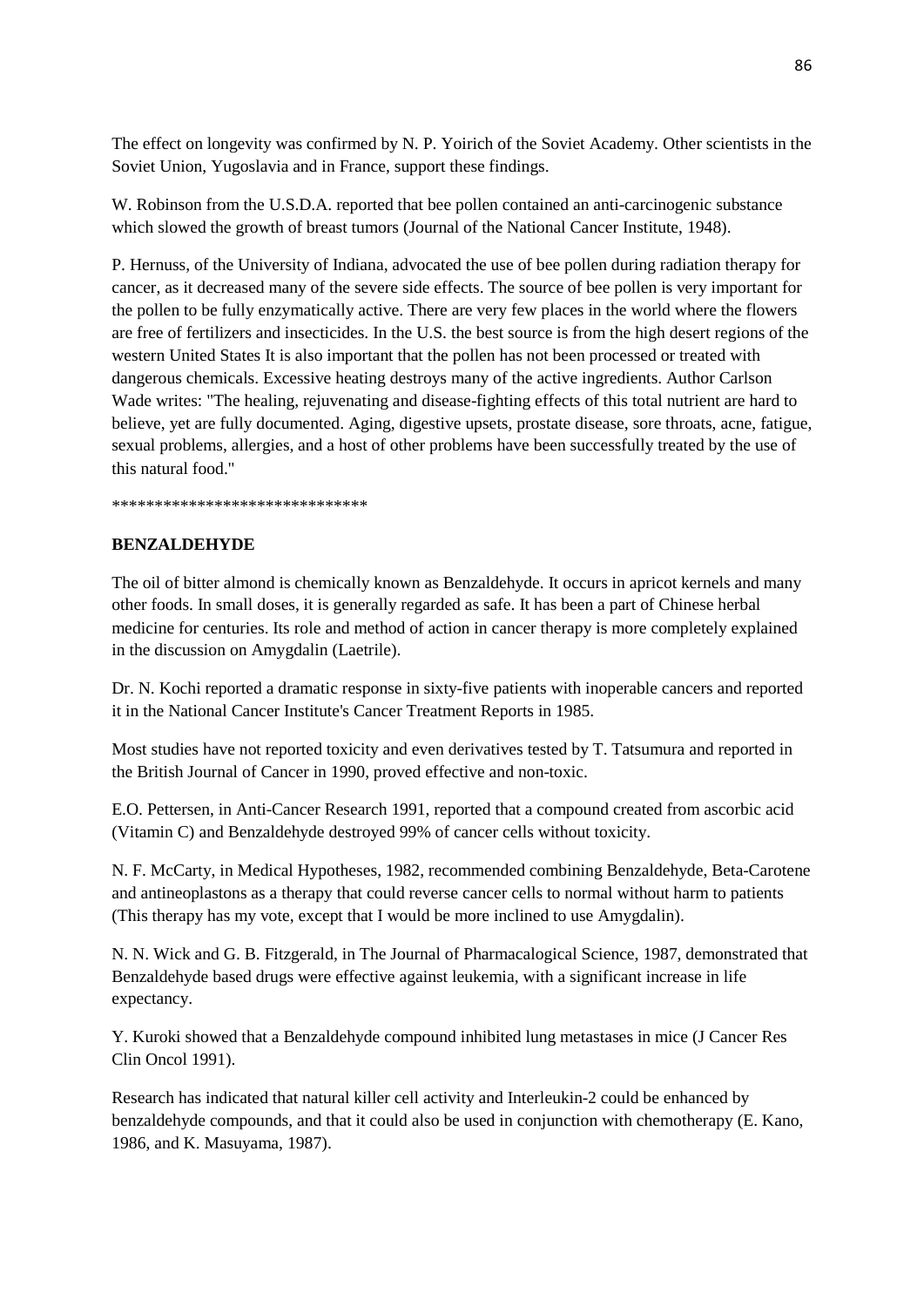The effect on longevity was confirmed by N. P. Yoirich of the Soviet Academy. Other scientists in the Soviet Union, Yugoslavia and in France, support these findings.

W. Robinson from the U.S.D.A. reported that bee pollen contained an anti-carcinogenic substance which slowed the growth of breast tumors (Journal of the National Cancer Institute, 1948).

P. Hernuss, of the University of Indiana, advocated the use of bee pollen during radiation therapy for cancer, as it decreased many of the severe side effects. The source of bee pollen is very important for the pollen to be fully enzymatically active. There are very few places in the world where the flowers are free of fertilizers and insecticides. In the U.S. the best source is from the high desert regions of the western United States It is also important that the pollen has not been processed or treated with dangerous chemicals. Excessive heating destroys many of the active ingredients. Author Carlson Wade writes: "The healing, rejuvenating and disease-fighting effects of this total nutrient are hard to believe, yet are fully documented. Aging, digestive upsets, prostate disease, sore throats, acne, fatigue, sexual problems, allergies, and a host of other problems have been successfully treated by the use of this natural food."

#### \*\*\*\*\*\*\*\*\*\*\*\*\*\*\*\*\*\*\*\*\*\*\*\*\*\*\*\*

#### **BENZALDEHYDE**

The oil of bitter almond is chemically known as Benzaldehyde. It occurs in apricot kernels and many other foods. In small doses, it is generally regarded as safe. It has been a part of Chinese herbal medicine for centuries. Its role and method of action in cancer therapy is more completely explained in the discussion on Amygdalin (Laetrile).

Dr. N. Kochi reported a dramatic response in sixty-five patients with inoperable cancers and reported it in the National Cancer Institute's Cancer Treatment Reports in 1985.

Most studies have not reported toxicity and even derivatives tested by T. Tatsumura and reported in the British Journal of Cancer in 1990, proved effective and non-toxic.

E.O. Pettersen, in Anti-Cancer Research 1991, reported that a compound created from ascorbic acid (Vitamin C) and Benzaldehyde destroyed 99% of cancer cells without toxicity.

N. F. McCarty, in Medical Hypotheses, 1982, recommended combining Benzaldehyde, Beta-Carotene and antineoplastons as a therapy that could reverse cancer cells to normal without harm to patients (This therapy has my vote, except that I would be more inclined to use Amygdalin).

N. N. Wick and G. B. Fitzgerald, in The Journal of Pharmacalogical Science, 1987, demonstrated that Benzaldehyde based drugs were effective against leukemia, with a significant increase in life expectancy.

Y. Kuroki showed that a Benzaldehyde compound inhibited lung metastases in mice (J Cancer Res Clin Oncol 1991).

Research has indicated that natural killer cell activity and Interleukin-2 could be enhanced by benzaldehyde compounds, and that it could also be used in conjunction with chemotherapy (E. Kano, 1986, and K. Masuyama, 1987).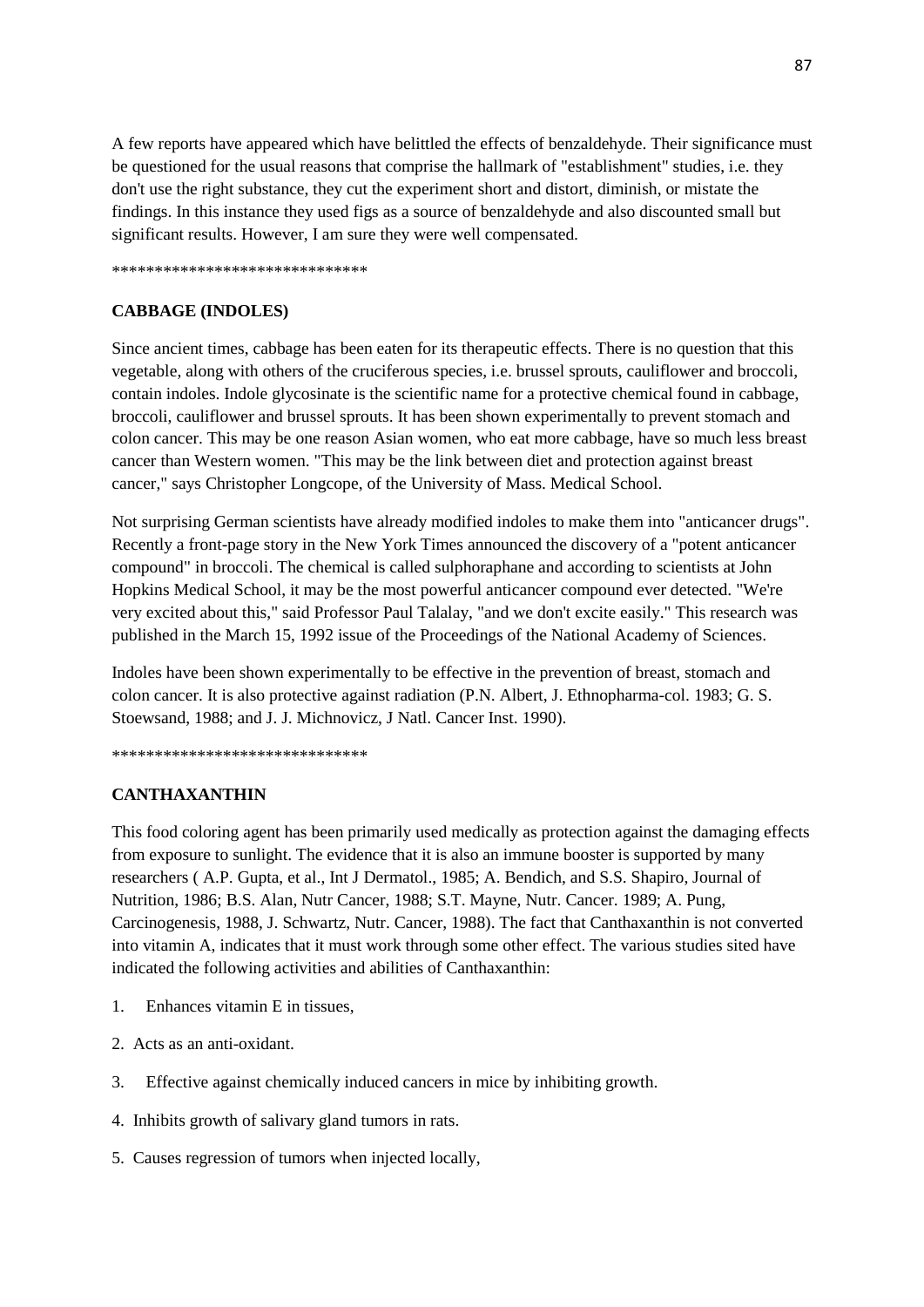A few reports have appeared which have belittled the effects of benzaldehyde. Their significance must be questioned for the usual reasons that comprise the hallmark of "establishment" studies, i.e. they don't use the right substance, they cut the experiment short and distort, diminish, or mistate the findings. In this instance they used figs as a source of benzaldehyde and also discounted small but significant results. However, I am sure they were well compensated.

#### \*\*\*\*\*\*\*\*\*\*\*\*\*\*\*\*\*\*\*\*\*\*\*\*\*\*\*\*\*\*

#### **CABBAGE (INDOLES)**

Since ancient times, cabbage has been eaten for its therapeutic effects. There is no question that this vegetable, along with others of the cruciferous species, i.e. brussel sprouts, cauliflower and broccoli, contain indoles. Indole glycosinate is the scientific name for a protective chemical found in cabbage, broccoli, cauliflower and brussel sprouts. It has been shown experimentally to prevent stomach and colon cancer. This may be one reason Asian women, who eat more cabbage, have so much less breast cancer than Western women. "This may be the link between diet and protection against breast cancer," says Christopher Longcope, of the University of Mass. Medical School.

Not surprising German scientists have already modified indoles to make them into "anticancer drugs". Recently a front-page story in the New York Times announced the discovery of a "potent anticancer compound" in broccoli. The chemical is called sulphoraphane and according to scientists at John Hopkins Medical School, it may be the most powerful anticancer compound ever detected. "We're very excited about this," said Professor Paul Talalay, "and we don't excite easily." This research was published in the March 15, 1992 issue of the Proceedings of the National Academy of Sciences.

Indoles have been shown experimentally to be effective in the prevention of breast, stomach and colon cancer. It is also protective against radiation (P.N. Albert, J. Ethnopharma-col. 1983; G. S. Stoewsand, 1988; and J. J. Michnovicz, J Natl. Cancer Inst. 1990).

\*\*\*\*\*\*\*\*\*\*\*\*\*\*\*\*\*\*\*\*\*\*\*\*\*\*\*\*\*\*

### **CANTHAXANTHIN**

This food coloring agent has been primarily used medically as protection against the damaging effects from exposure to sunlight. The evidence that it is also an immune booster is supported by many researchers ( A.P. Gupta, et al., Int J Dermatol., 1985; A. Bendich, and S.S. Shapiro, Journal of Nutrition, 1986; B.S. Alan, Nutr Cancer, 1988; S.T. Mayne, Nutr. Cancer. 1989; A. Pung, Carcinogenesis, 1988, J. Schwartz, Nutr. Cancer, 1988). The fact that Canthaxanthin is not converted into vitamin A, indicates that it must work through some other effect. The various studies sited have indicated the following activities and abilities of Canthaxanthin:

- 1. Enhances vitamin E in tissues,
- 2. Acts as an anti-oxidant.
- 3. Effective against chemically induced cancers in mice by inhibiting growth.
- 4. Inhibits growth of salivary gland tumors in rats.
- 5. Causes regression of tumors when injected locally,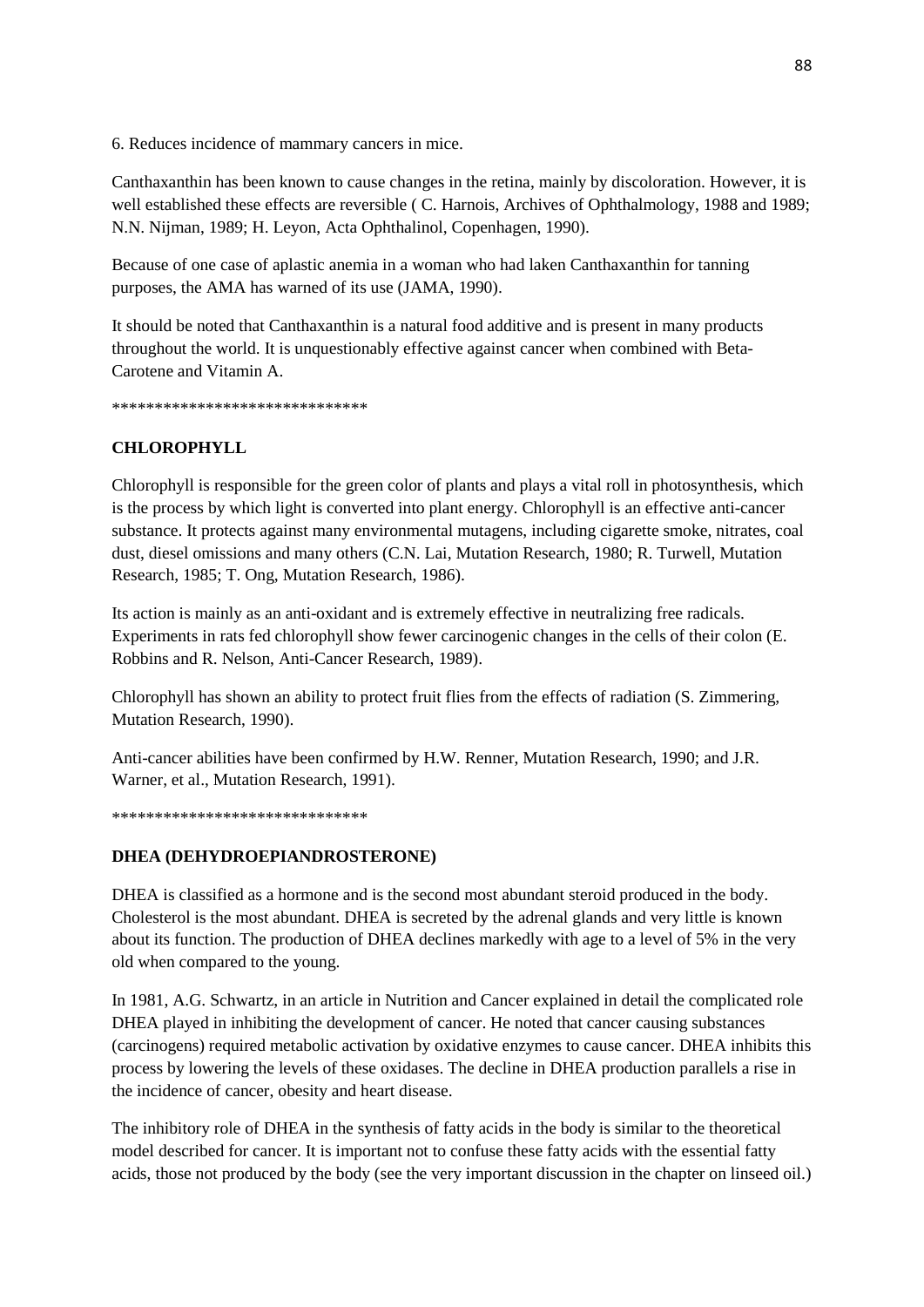6. Reduces incidence of mammary cancers in mice.

Canthaxanthin has been known to cause changes in the retina, mainly by discoloration. However, it is well established these effects are reversible ( C. Harnois, Archives of Ophthalmology, 1988 and 1989; N.N. Nijman, 1989; H. Leyon, Acta Ophthalinol, Copenhagen, 1990).

Because of one case of aplastic anemia in a woman who had laken Canthaxanthin for tanning purposes, the AMA has warned of its use (JAMA, 1990).

It should be noted that Canthaxanthin is a natural food additive and is present in many products throughout the world. It is unquestionably effective against cancer when combined with Beta-Carotene and Vitamin A.

\*\*\*\*\*\*\*\*\*\*\*\*\*\*\*\*\*\*\*\*\*\*\*\*\*\*\*\*\*\*

### **CHLOROPHYLL**

Chlorophyll is responsible for the green color of plants and plays a vital roll in photosynthesis, which is the process by which light is converted into plant energy. Chlorophyll is an effective anti-cancer substance. It protects against many environmental mutagens, including cigarette smoke, nitrates, coal dust, diesel omissions and many others (C.N. Lai, Mutation Research, 1980; R. Turwell, Mutation Research, 1985; T. Ong, Mutation Research, 1986).

Its action is mainly as an anti-oxidant and is extremely effective in neutralizing free radicals. Experiments in rats fed chlorophyll show fewer carcinogenic changes in the cells of their colon (E. Robbins and R. Nelson, Anti-Cancer Research, 1989).

Chlorophyll has shown an ability to protect fruit flies from the effects of radiation (S. Zimmering, Mutation Research, 1990).

Anti-cancer abilities have been confirmed by H.W. Renner, Mutation Research, 1990; and J.R. Warner, et al., Mutation Research, 1991).

\*\*\*\*\*\*\*\*\*\*\*\*\*\*\*\*\*\*\*\*\*\*\*\*\*\*\*\*\*\*

### **DHEA (DEHYDROEPIANDROSTERONE)**

DHEA is classified as a hormone and is the second most abundant steroid produced in the body. Cholesterol is the most abundant. DHEA is secreted by the adrenal glands and very little is known about its function. The production of DHEA declines markedly with age to a level of 5% in the very old when compared to the young.

In 1981, A.G. Schwartz, in an article in Nutrition and Cancer explained in detail the complicated role DHEA played in inhibiting the development of cancer. He noted that cancer causing substances (carcinogens) required metabolic activation by oxidative enzymes to cause cancer. DHEA inhibits this process by lowering the levels of these oxidases. The decline in DHEA production parallels a rise in the incidence of cancer, obesity and heart disease.

The inhibitory role of DHEA in the synthesis of fatty acids in the body is similar to the theoretical model described for cancer. It is important not to confuse these fatty acids with the essential fatty acids, those not produced by the body (see the very important discussion in the chapter on linseed oil.)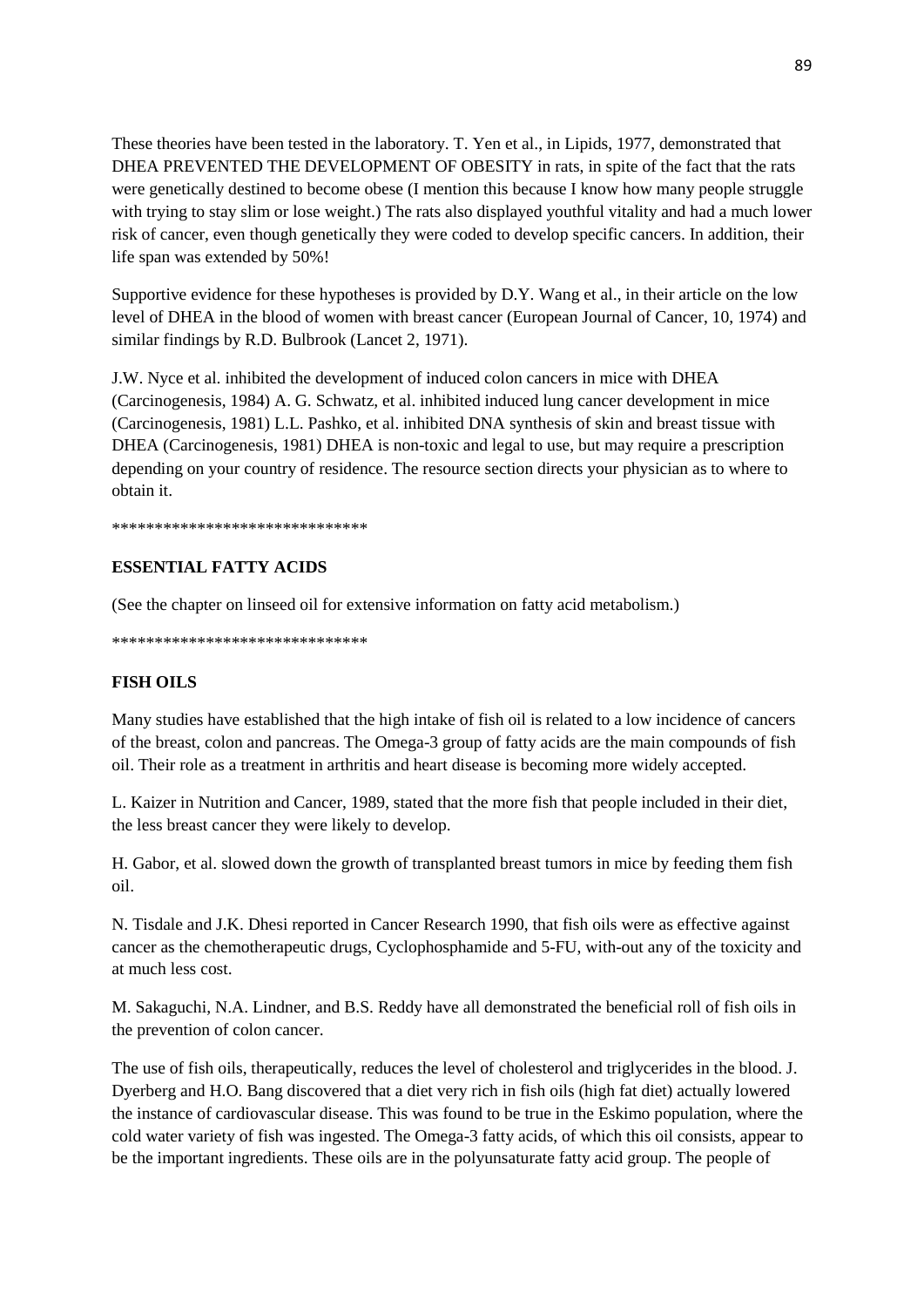These theories have been tested in the laboratory. T. Yen et al., in Lipids, 1977, demonstrated that DHEA PREVENTED THE DEVELOPMENT OF OBESITY in rats, in spite of the fact that the rats were genetically destined to become obese (I mention this because I know how many people struggle with trying to stay slim or lose weight.) The rats also displayed youthful vitality and had a much lower risk of cancer, even though genetically they were coded to develop specific cancers. In addition, their life span was extended by 50%!

Supportive evidence for these hypotheses is provided by D.Y. Wang et al., in their article on the low level of DHEA in the blood of women with breast cancer (European Journal of Cancer, 10, 1974) and similar findings by R.D. Bulbrook (Lancet 2, 1971).

J.W. Nyce et al. inhibited the development of induced colon cancers in mice with DHEA (Carcinogenesis, 1984) A. G. Schwatz, et al. inhibited induced lung cancer development in mice (Carcinogenesis, 1981) L.L. Pashko, et al. inhibited DNA synthesis of skin and breast tissue with DHEA (Carcinogenesis, 1981) DHEA is non-toxic and legal to use, but may require a prescription depending on your country of residence. The resource section directs your physician as to where to obtain it.

\*\*\*\*\*\*\*\*\*\*\*\*\*\*\*\*\*\*\*\*\*\*\*\*\*\*\*\*\*\*

### **ESSENTIAL FATTY ACIDS**

(See the chapter on linseed oil for extensive information on fatty acid metabolism.)

\*\*\*\*\*\*\*\*\*\*\*\*\*\*\*\*\*\*\*\*\*\*\*\*\*\*\*\*\*\*

### **FISH OILS**

Many studies have established that the high intake of fish oil is related to a low incidence of cancers of the breast, colon and pancreas. The Omega-3 group of fatty acids are the main compounds of fish oil. Their role as a treatment in arthritis and heart disease is becoming more widely accepted.

L. Kaizer in Nutrition and Cancer, 1989, stated that the more fish that people included in their diet, the less breast cancer they were likely to develop.

H. Gabor, et al. slowed down the growth of transplanted breast tumors in mice by feeding them fish oil.

N. Tisdale and J.K. Dhesi reported in Cancer Research 1990, that fish oils were as effective against cancer as the chemotherapeutic drugs, Cyclophosphamide and 5-FU, with-out any of the toxicity and at much less cost.

M. Sakaguchi, N.A. Lindner, and B.S. Reddy have all demonstrated the beneficial roll of fish oils in the prevention of colon cancer.

The use of fish oils, therapeutically, reduces the level of cholesterol and triglycerides in the blood. J. Dyerberg and H.O. Bang discovered that a diet very rich in fish oils (high fat diet) actually lowered the instance of cardiovascular disease. This was found to be true in the Eskimo population, where the cold water variety of fish was ingested. The Omega-3 fatty acids, of which this oil consists, appear to be the important ingredients. These oils are in the polyunsaturate fatty acid group. The people of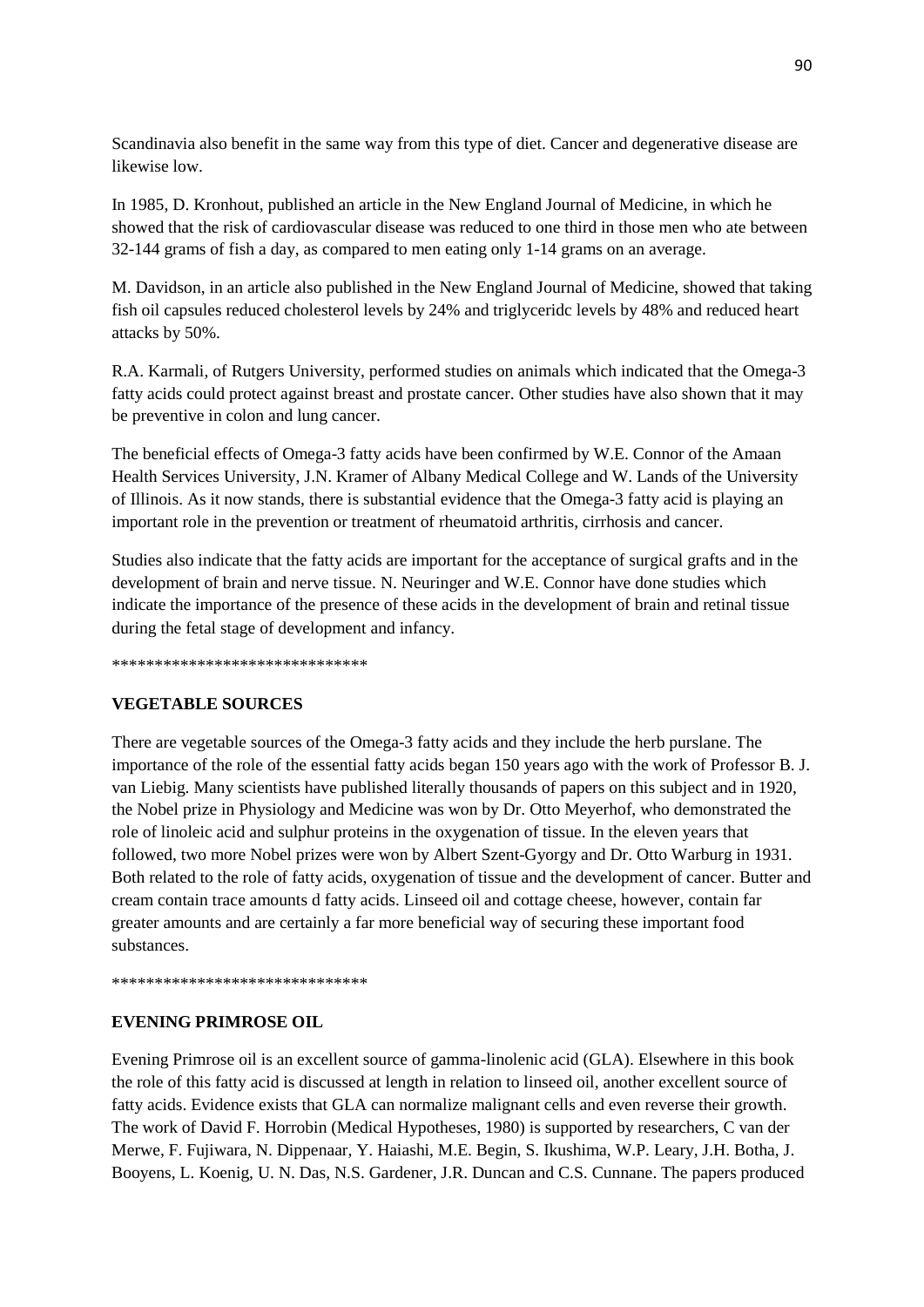Scandinavia also benefit in the same way from this type of diet. Cancer and degenerative disease are likewise low.

In 1985, D. Kronhout, published an article in the New England Journal of Medicine, in which he showed that the risk of cardiovascular disease was reduced to one third in those men who ate between 32-144 grams of fish a day, as compared to men eating only 1-14 grams on an average.

M. Davidson, in an article also published in the New England Journal of Medicine, showed that taking fish oil capsules reduced cholesterol levels by 24% and triglyceridc levels by 48% and reduced heart attacks by 50%.

R.A. Karmali, of Rutgers University, performed studies on animals which indicated that the Omega-3 fatty acids could protect against breast and prostate cancer. Other studies have also shown that it may be preventive in colon and lung cancer.

The beneficial effects of Omega-3 fatty acids have been confirmed by W.E. Connor of the Amaan Health Services University, J.N. Kramer of Albany Medical College and W. Lands of the University of Illinois. As it now stands, there is substantial evidence that the Omega-3 fatty acid is playing an important role in the prevention or treatment of rheumatoid arthritis, cirrhosis and cancer.

Studies also indicate that the fatty acids are important for the acceptance of surgical grafts and in the development of brain and nerve tissue. N. Neuringer and W.E. Connor have done studies which indicate the importance of the presence of these acids in the development of brain and retinal tissue during the fetal stage of development and infancy.

\*\*\*\*\*\*\*\*\*\*\*\*\*\*\*\*\*\*\*\*\*\*\*\*\*\*\*\*\*\*

### **VEGETABLE SOURCES**

There are vegetable sources of the Omega-3 fatty acids and they include the herb purslane. The importance of the role of the essential fatty acids began 150 years ago with the work of Professor B. J. van Liebig. Many scientists have published literally thousands of papers on this subject and in 1920, the Nobel prize in Physiology and Medicine was won by Dr. Otto Meyerhof, who demonstrated the role of linoleic acid and sulphur proteins in the oxygenation of tissue. In the eleven years that followed, two more Nobel prizes were won by Albert Szent-Gyorgy and Dr. Otto Warburg in 1931. Both related to the role of fatty acids, oxygenation of tissue and the development of cancer. Butter and cream contain trace amounts d fatty acids. Linseed oil and cottage cheese, however, contain far greater amounts and are certainly a far more beneficial way of securing these important food substances.

\*\*\*\*\*\*\*\*\*\*\*\*\*\*\*\*\*\*\*\*\*\*\*\*\*\*\*\*\*\*

#### **EVENING PRIMROSE OIL**

Evening Primrose oil is an excellent source of gamma-linolenic acid (GLA). Elsewhere in this book the role of this fatty acid is discussed at length in relation to linseed oil, another excellent source of fatty acids. Evidence exists that GLA can normalize malignant cells and even reverse their growth. The work of David F. Horrobin (Medical Hypotheses, 1980) is supported by researchers, C van der Merwe, F. Fujiwara, N. Dippenaar, Y. Haiashi, M.E. Begin, S. Ikushima, W.P. Leary, J.H. Botha, J. Booyens, L. Koenig, U. N. Das, N.S. Gardener, J.R. Duncan and C.S. Cunnane. The papers produced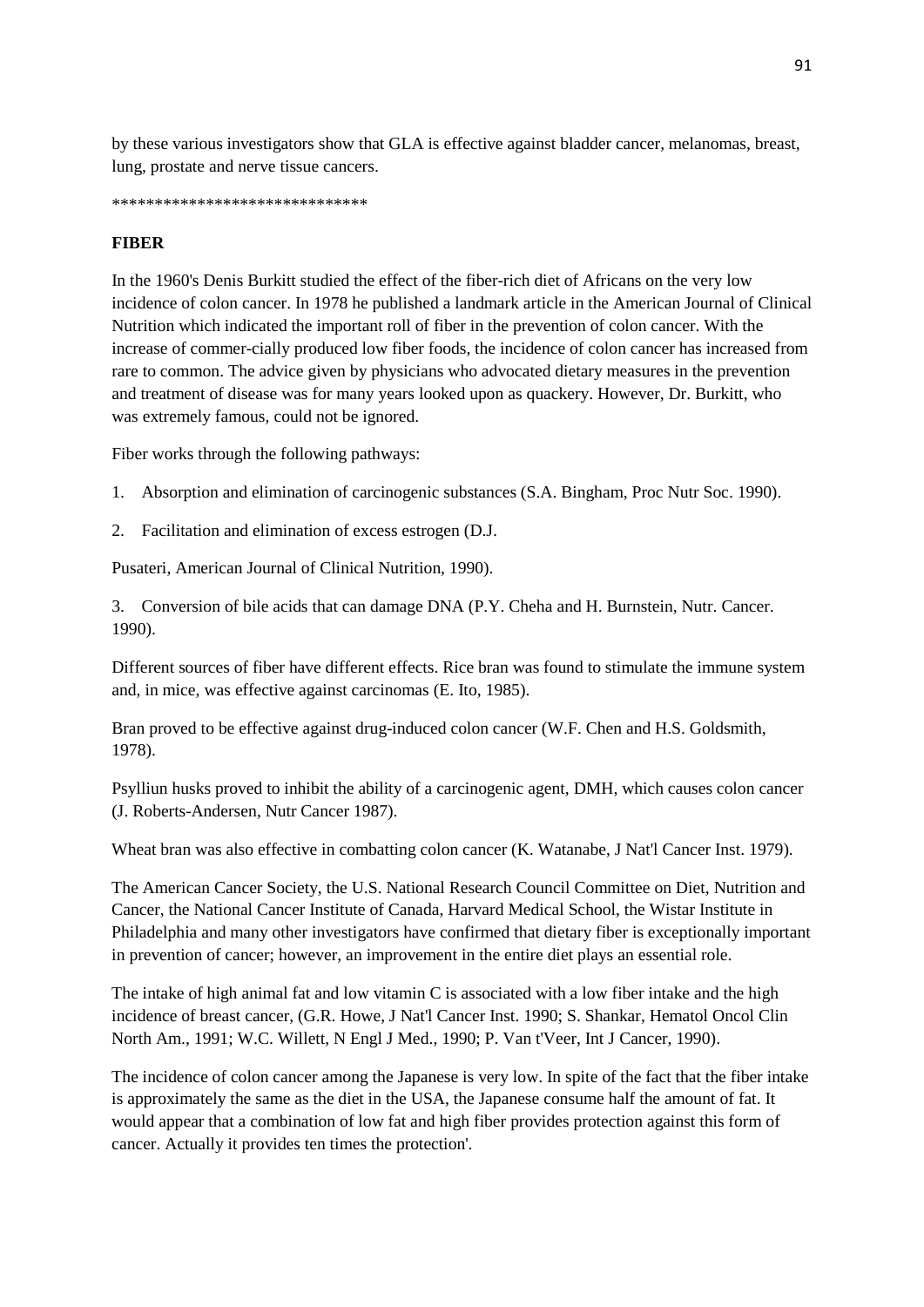by these various investigators show that GLA is effective against bladder cancer, melanomas, breast, lung, prostate and nerve tissue cancers.

\*\*\*\*\*\*\*\*\*\*\*\*\*\*\*\*\*\*\*\*\*\*\*\*\*\*\*\*\*\*

#### **FIBER**

In the 1960's Denis Burkitt studied the effect of the fiber-rich diet of Africans on the very low incidence of colon cancer. In 1978 he published a landmark article in the American Journal of Clinical Nutrition which indicated the important roll of fiber in the prevention of colon cancer. With the increase of commer-cially produced low fiber foods, the incidence of colon cancer has increased from rare to common. The advice given by physicians who advocated dietary measures in the prevention and treatment of disease was for many years looked upon as quackery. However, Dr. Burkitt, who was extremely famous, could not be ignored.

Fiber works through the following pathways:

- 1. Absorption and elimination of carcinogenic substances (S.A. Bingham, Proc Nutr Soc. 1990).
- 2. Facilitation and elimination of excess estrogen (D.J.

Pusateri, American Journal of Clinical Nutrition, 1990).

3. Conversion of bile acids that can damage DNA (P.Y. Cheha and H. Burnstein, Nutr. Cancer. 1990).

Different sources of fiber have different effects. Rice bran was found to stimulate the immune system and, in mice, was effective against carcinomas (E. Ito, 1985).

Bran proved to be effective against drug-induced colon cancer (W.F. Chen and H.S. Goldsmith, 1978).

Psylliun husks proved to inhibit the ability of a carcinogenic agent, DMH, which causes colon cancer (J. Roberts-Andersen, Nutr Cancer 1987).

Wheat bran was also effective in combatting colon cancer (K. Watanabe, J Nat'l Cancer Inst. 1979).

The American Cancer Society, the U.S. National Research Council Committee on Diet, Nutrition and Cancer, the National Cancer Institute of Canada, Harvard Medical School, the Wistar Institute in Philadelphia and many other investigators have confirmed that dietary fiber is exceptionally important in prevention of cancer; however, an improvement in the entire diet plays an essential role.

The intake of high animal fat and low vitamin C is associated with a low fiber intake and the high incidence of breast cancer, (G.R. Howe, J Nat'l Cancer Inst. 1990; S. Shankar, Hematol Oncol Clin North Am., 1991; W.C. Willett, N Engl J Med., 1990; P. Van t'Veer, Int J Cancer, 1990).

The incidence of colon cancer among the Japanese is very low. In spite of the fact that the fiber intake is approximately the same as the diet in the USA, the Japanese consume half the amount of fat. It would appear that a combination of low fat and high fiber provides protection against this form of cancer. Actually it provides ten times the protection'.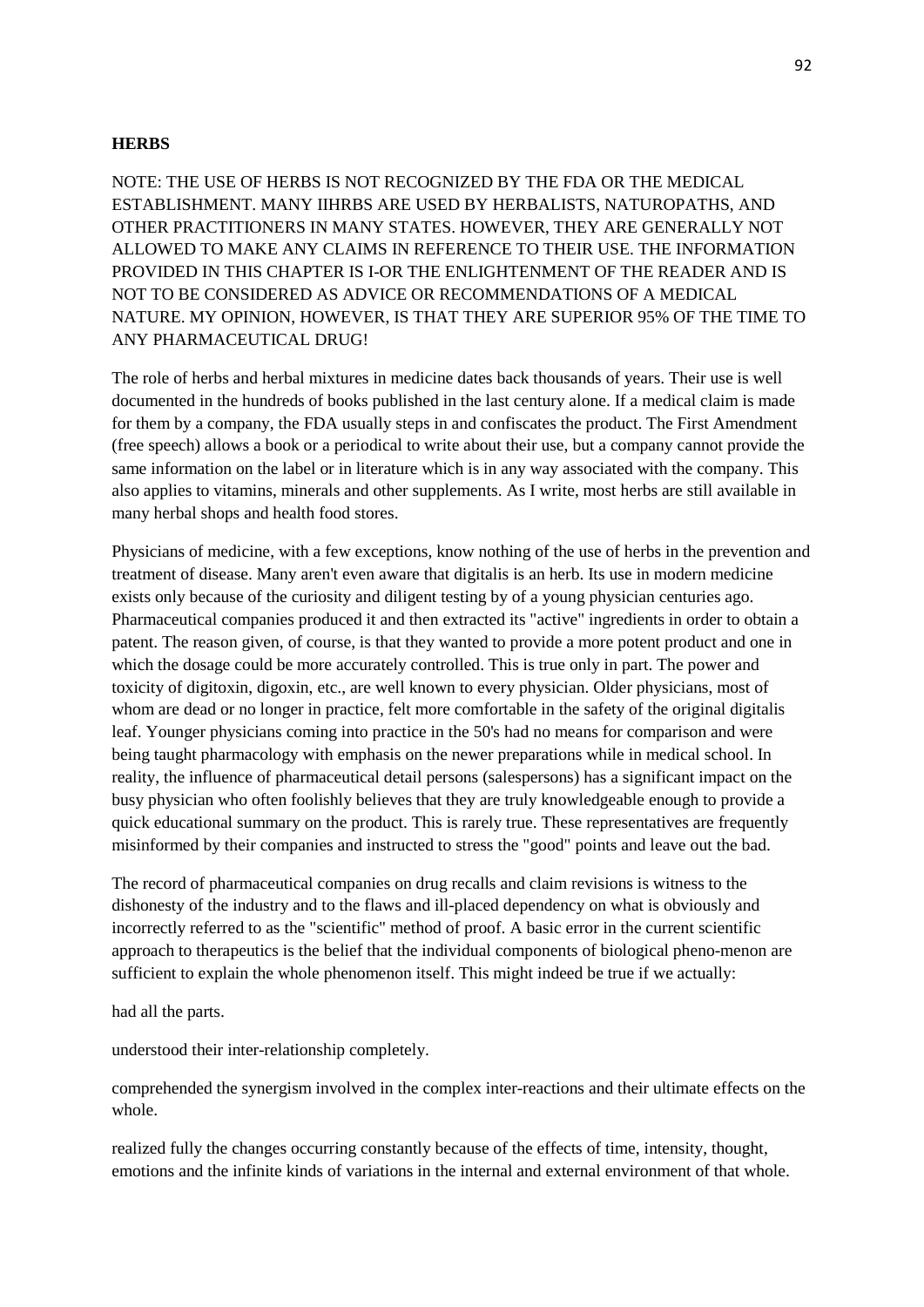#### **HERBS**

NOTE: THE USE OF HERBS IS NOT RECOGNIZED BY THE FDA OR THE MEDICAL ESTABLISHMENT. MANY IIHRBS ARE USED BY HERBALISTS, NATUROPATHS, AND OTHER PRACTITIONERS IN MANY STATES. HOWEVER, THEY ARE GENERALLY NOT ALLOWED TO MAKE ANY CLAIMS IN REFERENCE TO THEIR USE. THE INFORMATION PROVIDED IN THIS CHAPTER IS I-OR THE ENLIGHTENMENT OF THE READER AND IS NOT TO BE CONSIDERED AS ADVICE OR RECOMMENDATIONS OF A MEDICAL NATURE. MY OPINION, HOWEVER, IS THAT THEY ARE SUPERIOR 95% OF THE TIME TO ANY PHARMACEUTICAL DRUG!

The role of herbs and herbal mixtures in medicine dates back thousands of years. Their use is well documented in the hundreds of books published in the last century alone. If a medical claim is made for them by a company, the FDA usually steps in and confiscates the product. The First Amendment (free speech) allows a book or a periodical to write about their use, but a company cannot provide the same information on the label or in literature which is in any way associated with the company. This also applies to vitamins, minerals and other supplements. As I write, most herbs are still available in many herbal shops and health food stores.

Physicians of medicine, with a few exceptions, know nothing of the use of herbs in the prevention and treatment of disease. Many aren't even aware that digitalis is an herb. Its use in modern medicine exists only because of the curiosity and diligent testing by of a young physician centuries ago. Pharmaceutical companies produced it and then extracted its "active" ingredients in order to obtain a patent. The reason given, of course, is that they wanted to provide a more potent product and one in which the dosage could be more accurately controlled. This is true only in part. The power and toxicity of digitoxin, digoxin, etc., are well known to every physician. Older physicians, most of whom are dead or no longer in practice, felt more comfortable in the safety of the original digitalis leaf. Younger physicians coming into practice in the 50's had no means for comparison and were being taught pharmacology with emphasis on the newer preparations while in medical school. In reality, the influence of pharmaceutical detail persons (salespersons) has a significant impact on the busy physician who often foolishly believes that they are truly knowledgeable enough to provide a quick educational summary on the product. This is rarely true. These representatives are frequently misinformed by their companies and instructed to stress the "good" points and leave out the bad.

The record of pharmaceutical companies on drug recalls and claim revisions is witness to the dishonesty of the industry and to the flaws and ill-placed dependency on what is obviously and incorrectly referred to as the "scientific" method of proof. A basic error in the current scientific approach to therapeutics is the belief that the individual components of biological pheno-menon are sufficient to explain the whole phenomenon itself. This might indeed be true if we actually:

had all the parts.

understood their inter-relationship completely.

## comprehended the synergism involved in the complex inter-reactions and their ultimate effects on the whole.

realized fully the changes occurring constantly because of the effects of time, intensity, thought, emotions and the infinite kinds of variations in the internal and external environment of that whole.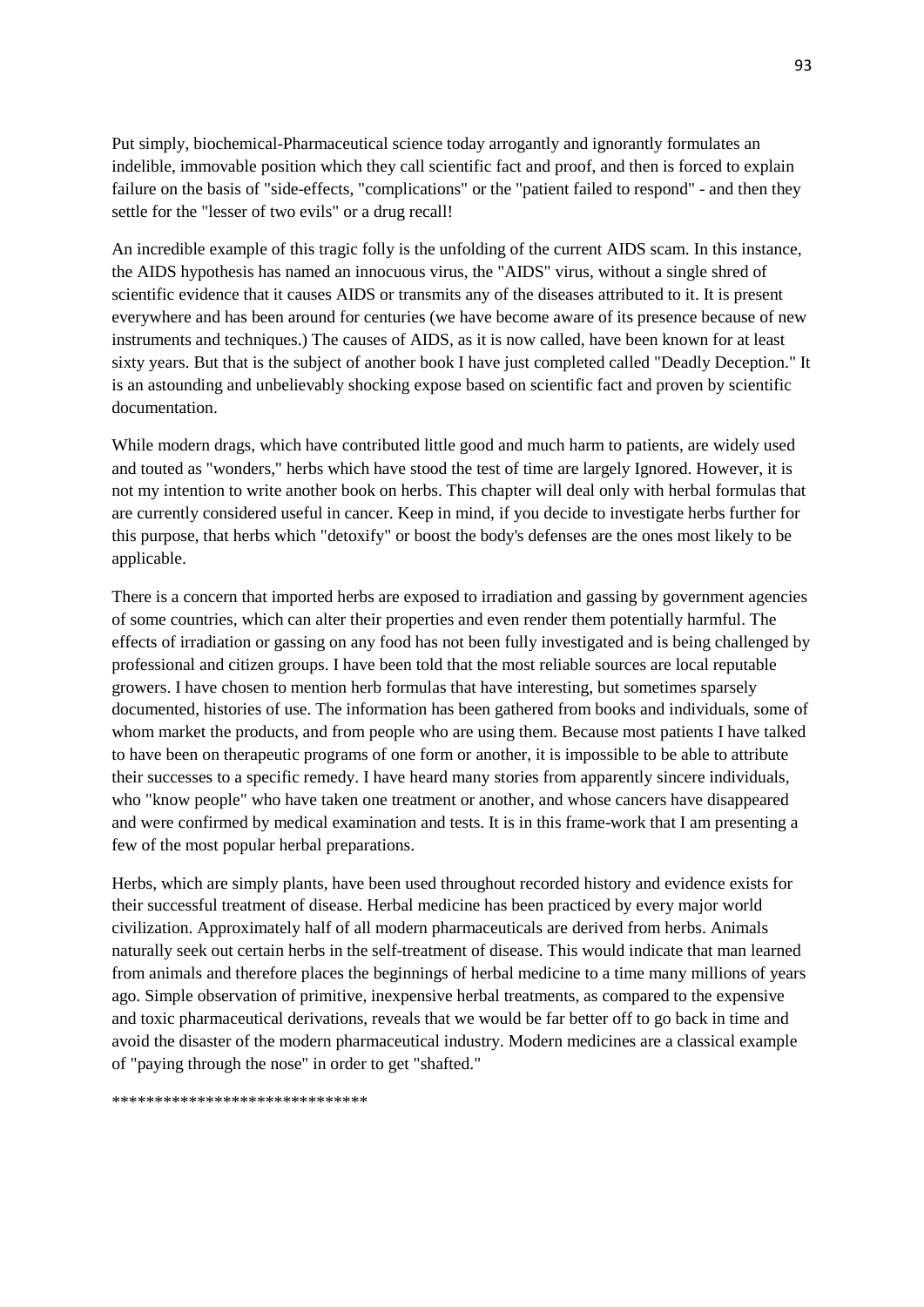Put simply, biochemical-Pharmaceutical science today arrogantly and ignorantly formulates an indelible, immovable position which they call scientific fact and proof, and then is forced to explain failure on the basis of "side-effects, "complications" or the "patient failed to respond" - and then they settle for the "lesser of two evils" or a drug recall!

An incredible example of this tragic folly is the unfolding of the current AIDS scam. In this instance, the AIDS hypothesis has named an innocuous virus, the "AIDS" virus, without a single shred of scientific evidence that it causes AIDS or transmits any of the diseases attributed to it. It is present everywhere and has been around for centuries (we have become aware of its presence because of new instruments and techniques.) The causes of AIDS, as it is now called, have been known for at least sixty years. But that is the subject of another book I have just completed called "Deadly Deception." It is an astounding and unbelievably shocking expose based on scientific fact and proven by scientific documentation.

While modern drags, which have contributed little good and much harm to patients, are widely used and touted as "wonders," herbs which have stood the test of time are largely Ignored. However, it is not my intention to write another book on herbs. This chapter will deal only with herbal formulas that are currently considered useful in cancer. Keep in mind, if you decide to investigate herbs further for this purpose, that herbs which "detoxify" or boost the body's defenses are the ones most likely to be applicable.

There is a concern that imported herbs are exposed to irradiation and gassing by government agencies of some countries, which can alter their properties and even render them potentially harmful. The effects of irradiation or gassing on any food has not been fully investigated and is being challenged by professional and citizen groups. I have been told that the most reliable sources are local reputable growers. I have chosen to mention herb formulas that have interesting, but sometimes sparsely documented, histories of use. The information has been gathered from books and individuals, some of whom market the products, and from people who are using them. Because most patients I have talked to have been on therapeutic programs of one form or another, it is impossible to be able to attribute their successes to a specific remedy. I have heard many stories from apparently sincere individuals, who "know people" who have taken one treatment or another, and whose cancers have disappeared and were confirmed by medical examination and tests. It is in this frame-work that I am presenting a few of the most popular herbal preparations.

Herbs, which are simply plants, have been used throughout recorded history and evidence exists for their successful treatment of disease. Herbal medicine has been practiced by every major world civilization. Approximately half of all modern pharmaceuticals are derived from herbs. Animals naturally seek out certain herbs in the self-treatment of disease. This would indicate that man learned from animals and therefore places the beginnings of herbal medicine to a time many millions of years ago. Simple observation of primitive, inexpensive herbal treatments, as compared to the expensive and toxic pharmaceutical derivations, reveals that we would be far better off to go back in time and avoid the disaster of the modern pharmaceutical industry. Modern medicines are a classical example of "paying through the nose" in order to get "shafted."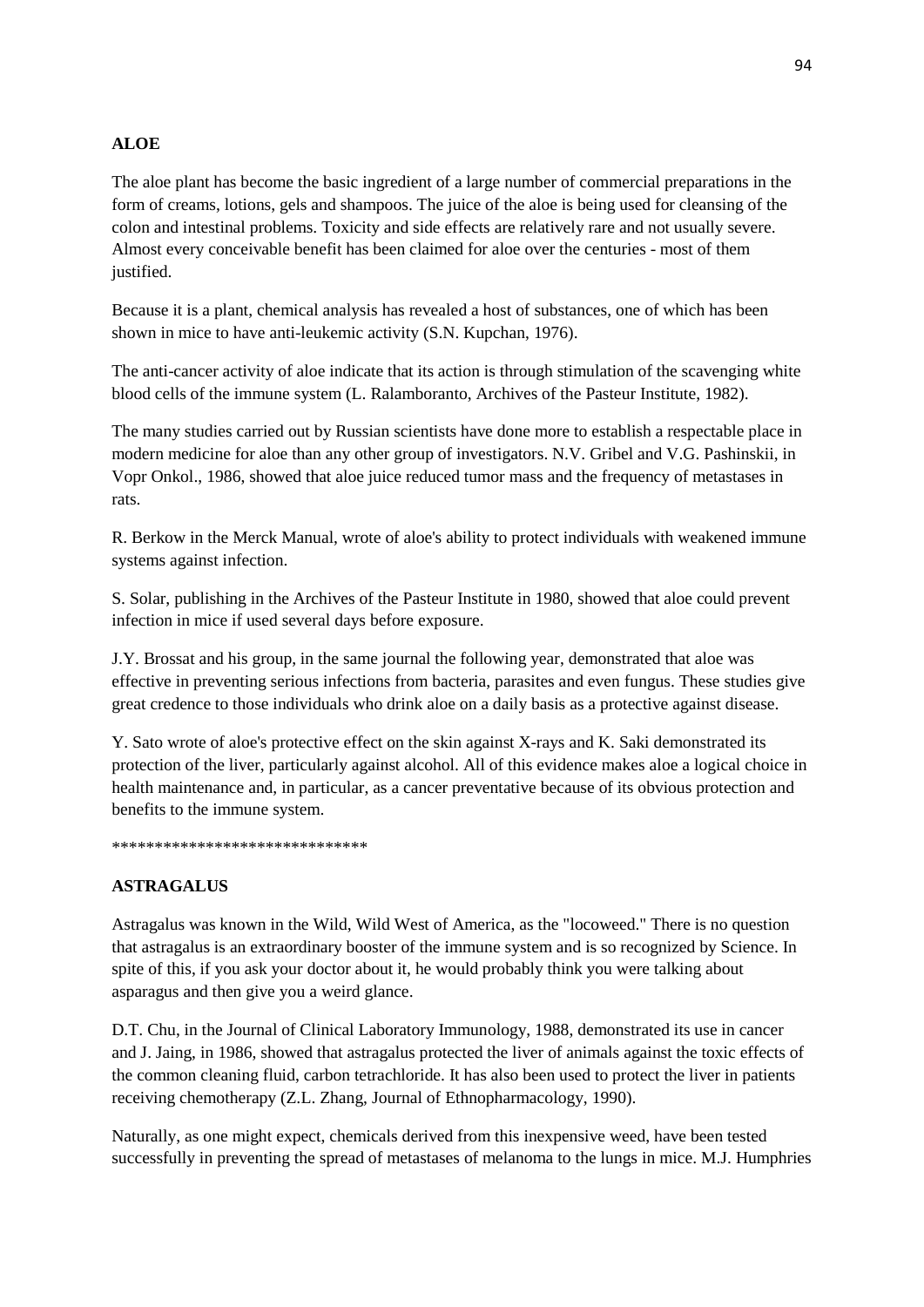## **ALOE**

The aloe plant has become the basic ingredient of a large number of commercial preparations in the form of creams, lotions, gels and shampoos. The juice of the aloe is being used for cleansing of the colon and intestinal problems. Toxicity and side effects are relatively rare and not usually severe. Almost every conceivable benefit has been claimed for aloe over the centuries - most of them justified.

Because it is a plant, chemical analysis has revealed a host of substances, one of which has been shown in mice to have anti-leukemic activity (S.N. Kupchan, 1976).

The anti-cancer activity of aloe indicate that its action is through stimulation of the scavenging white blood cells of the immune system (L. Ralamboranto, Archives of the Pasteur Institute, 1982).

The many studies carried out by Russian scientists have done more to establish a respectable place in modern medicine for aloe than any other group of investigators. N.V. Gribel and V.G. Pashinskii, in Vopr Onkol., 1986, showed that aloe juice reduced tumor mass and the frequency of metastases in rats.

R. Berkow in the Merck Manual, wrote of aloe's ability to protect individuals with weakened immune systems against infection.

S. Solar, publishing in the Archives of the Pasteur Institute in 1980, showed that aloe could prevent infection in mice if used several days before exposure.

J.Y. Brossat and his group, in the same journal the following year, demonstrated that aloe was effective in preventing serious infections from bacteria, parasites and even fungus. These studies give great credence to those individuals who drink aloe on a daily basis as a protective against disease.

Y. Sato wrote of aloe's protective effect on the skin against X-rays and K. Saki demonstrated its protection of the liver, particularly against alcohol. All of this evidence makes aloe a logical choice in health maintenance and, in particular, as a cancer preventative because of its obvious protection and benefits to the immune system.

\*\*\*\*\*\*\*\*\*\*\*\*\*\*\*\*\*\*\*\*\*\*\*\*\*\*\*\*\*\*

#### **ASTRAGALUS**

Astragalus was known in the Wild, Wild West of America, as the "locoweed." There is no question that astragalus is an extraordinary booster of the immune system and is so recognized by Science. In spite of this, if you ask your doctor about it, he would probably think you were talking about asparagus and then give you a weird glance.

D.T. Chu, in the Journal of Clinical Laboratory Immunology, 1988, demonstrated its use in cancer and J. Jaing, in 1986, showed that astragalus protected the liver of animals against the toxic effects of the common cleaning fluid, carbon tetrachloride. It has also been used to protect the liver in patients receiving chemotherapy (Z.L. Zhang, Journal of Ethnopharmacology, 1990).

Naturally, as one might expect, chemicals derived from this inexpensive weed, have been tested successfully in preventing the spread of metastases of melanoma to the lungs in mice. M.J. Humphries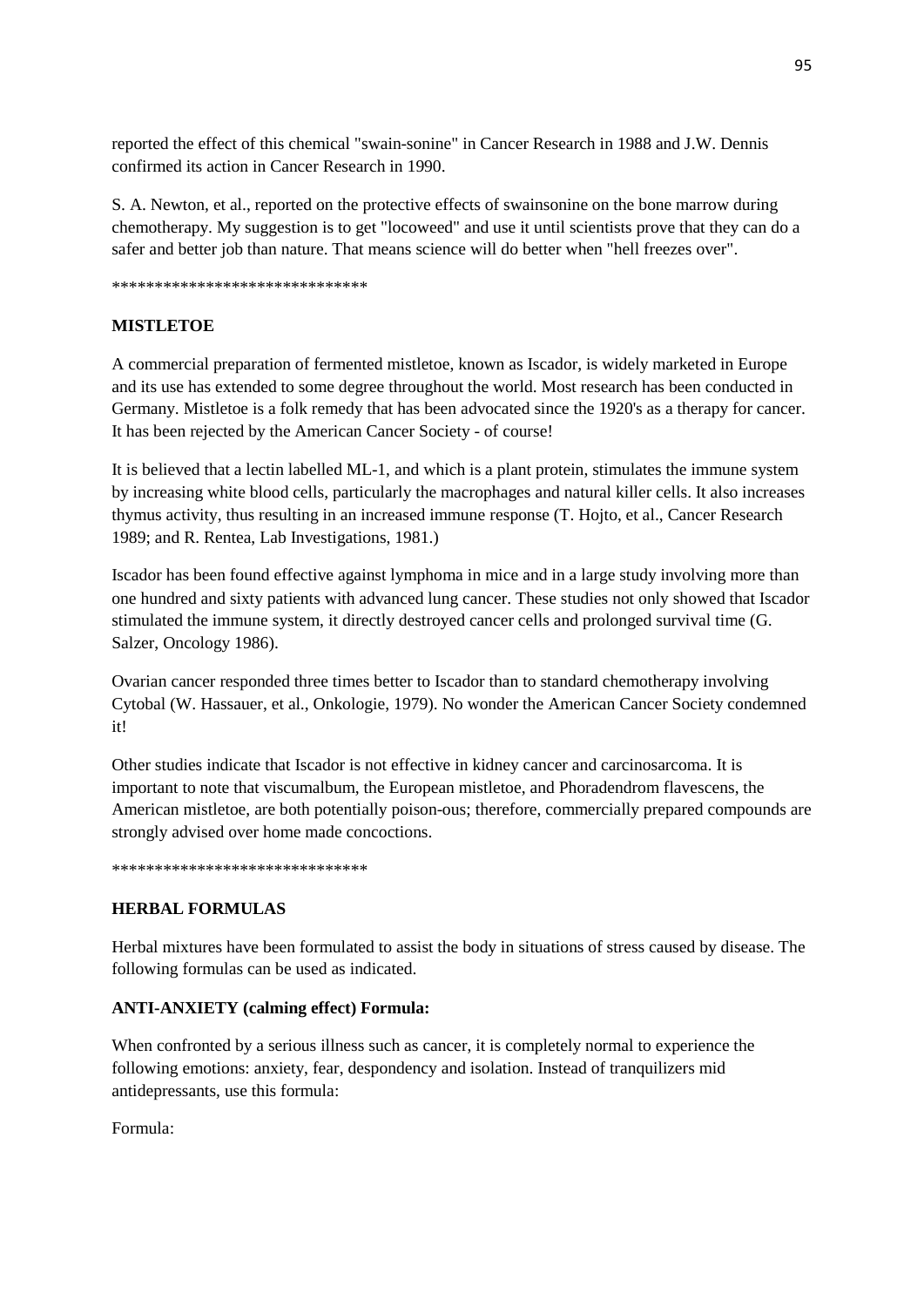reported the effect of this chemical "swain-sonine" in Cancer Research in 1988 and J.W. Dennis confirmed its action in Cancer Research in 1990.

S. A. Newton, et al., reported on the protective effects of swainsonine on the bone marrow during chemotherapy. My suggestion is to get "locoweed" and use it until scientists prove that they can do a safer and better job than nature. That means science will do better when "hell freezes over".

\*\*\*\*\*\*\*\*\*\*\*\*\*\*\*\*\*\*\*\*\*\*\*\*\*\*\*\*\*\*

## **MISTLETOE**

A commercial preparation of fermented mistletoe, known as Iscador, is widely marketed in Europe and its use has extended to some degree throughout the world. Most research has been conducted in Germany. Mistletoe is a folk remedy that has been advocated since the 1920's as a therapy for cancer. It has been rejected by the American Cancer Society - of course!

It is believed that a lectin labelled ML-1, and which is a plant protein, stimulates the immune system by increasing white blood cells, particularly the macrophages and natural killer cells. It also increases thymus activity, thus resulting in an increased immune response (T. Hojto, et al., Cancer Research 1989; and R. Rentea, Lab Investigations, 1981.)

Iscador has been found effective against lymphoma in mice and in a large study involving more than one hundred and sixty patients with advanced lung cancer. These studies not only showed that Iscador stimulated the immune system, it directly destroyed cancer cells and prolonged survival time (G. Salzer, Oncology 1986).

Ovarian cancer responded three times better to Iscador than to standard chemotherapy involving Cytobal (W. Hassauer, et al., Onkologie, 1979). No wonder the American Cancer Society condemned it!

Other studies indicate that Iscador is not effective in kidney cancer and carcinosarcoma. It is important to note that viscumalbum, the European mistletoe, and Phoradendrom flavescens, the American mistletoe, are both potentially poison-ous; therefore, commercially prepared compounds are strongly advised over home made concoctions.

\*\*\*\*\*\*\*\*\*\*\*\*\*\*\*\*\*\*\*\*\*\*\*\*\*\*\*\*\*\*

### **HERBAL FORMULAS**

Herbal mixtures have been formulated to assist the body in situations of stress caused by disease. The following formulas can be used as indicated.

## **ANTI-ANXIETY (calming effect) Formula:**

When confronted by a serious illness such as cancer, it is completely normal to experience the following emotions: anxiety, fear, despondency and isolation. Instead of tranquilizers mid antidepressants, use this formula:

Formula: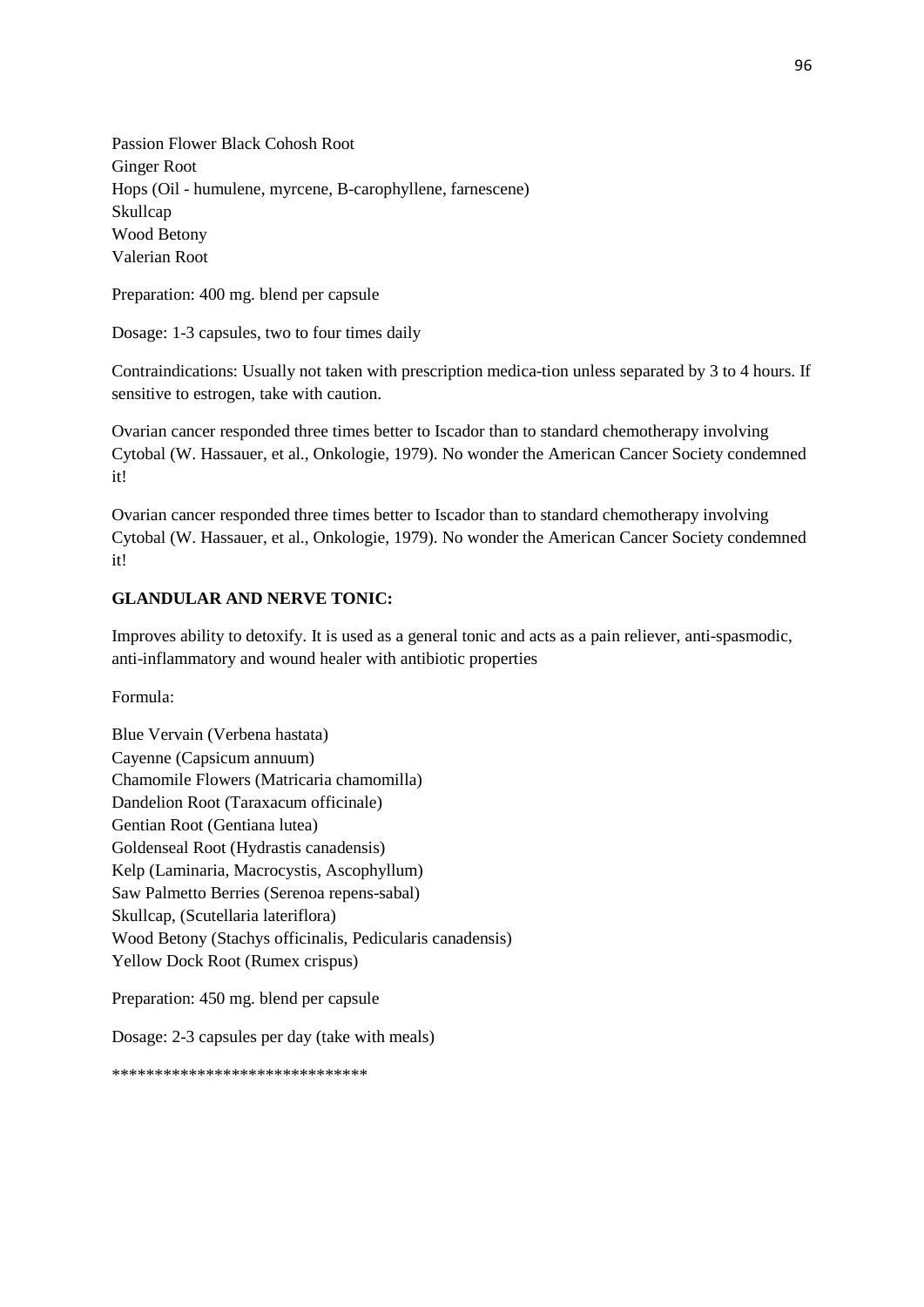Passion Flower Black Cohosh Root Ginger Root Hops (Oil - humulene, myrcene, B-carophyllene, farnescene) Skullcap Wood Betony Valerian Root

Preparation: 400 mg. blend per capsule

Dosage: 1-3 capsules, two to four times daily

Contraindications: Usually not taken with prescription medica-tion unless separated by 3 to 4 hours. If sensitive to estrogen, take with caution.

Ovarian cancer responded three times better to Iscador than to standard chemotherapy involving Cytobal (W. Hassauer, et al., Onkologie, 1979). No wonder the American Cancer Society condemned it!

Ovarian cancer responded three times better to Iscador than to standard chemotherapy involving Cytobal (W. Hassauer, et al., Onkologie, 1979). No wonder the American Cancer Society condemned it!

## **GLANDULAR AND NERVE TONIC:**

Improves ability to detoxify. It is used as a general tonic and acts as a pain reliever, anti-spasmodic, anti-inflammatory and wound healer with antibiotic properties

Formula:

Blue Vervain (Verbena hastata) Cayenne (Capsicum annuum) Chamomile Flowers (Matricaria chamomilla) Dandelion Root (Taraxacum officinale) Gentian Root (Gentiana lutea) Goldenseal Root (Hydrastis canadensis) Kelp (Laminaria, Macrocystis, Ascophyllum) Saw Palmetto Berries (Serenoa repens-sabal) Skullcap, (Scutellaria lateriflora) Wood Betony (Stachys officinalis, Pedicularis canadensis) Yellow Dock Root (Rumex crispus)

Preparation: 450 mg. blend per capsule

Dosage: 2-3 capsules per day (take with meals)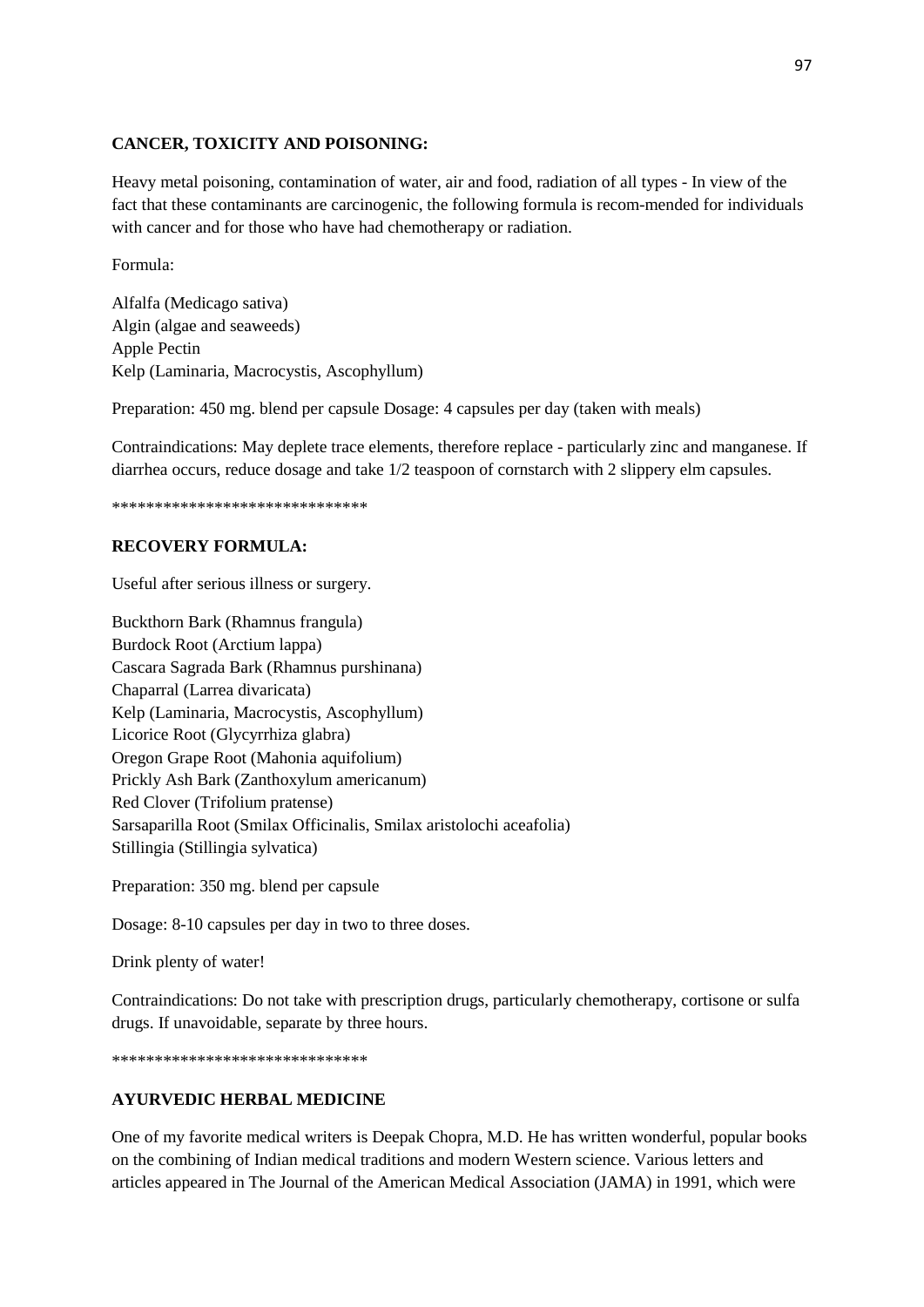### **CANCER, TOXICITY AND POISONING:**

Heavy metal poisoning, contamination of water, air and food, radiation of all types - In view of the fact that these contaminants are carcinogenic, the following formula is recom-mended for individuals with cancer and for those who have had chemotherapy or radiation.

Formula:

Alfalfa (Medicago sativa) Algin (algae and seaweeds) Apple Pectin Kelp (Laminaria, Macrocystis, Ascophyllum)

Preparation: 450 mg. blend per capsule Dosage: 4 capsules per day (taken with meals)

Contraindications: May deplete trace elements, therefore replace - particularly zinc and manganese. If diarrhea occurs, reduce dosage and take 1/2 teaspoon of cornstarch with 2 slippery elm capsules.

#### \*\*\*\*\*\*\*\*\*\*\*\*\*\*\*\*\*\*\*\*\*\*\*\*\*\*\*\*\*\*

## **RECOVERY FORMULA:**

Useful after serious illness or surgery.

Buckthorn Bark (Rhamnus frangula) Burdock Root (Arctium lappa) Cascara Sagrada Bark (Rhamnus purshinana) Chaparral (Larrea divaricata) Kelp (Laminaria, Macrocystis, Ascophyllum) Licorice Root (Glycyrrhiza glabra) Oregon Grape Root (Mahonia aquifolium) Prickly Ash Bark (Zanthoxylum americanum) Red Clover (Trifolium pratense) Sarsaparilla Root (Smilax Officinalis, Smilax aristolochi aceafolia) Stillingia (Stillingia sylvatica)

Preparation: 350 mg. blend per capsule

Dosage: 8-10 capsules per day in two to three doses.

Drink plenty of water!

Contraindications: Do not take with prescription drugs, particularly chemotherapy, cortisone or sulfa drugs. If unavoidable, separate by three hours.

\*\*\*\*\*\*\*\*\*\*\*\*\*\*\*\*\*\*\*\*\*\*\*\*\*\*\*\*\*\*

### **AYURVEDIC HERBAL MEDICINE**

One of my favorite medical writers is Deepak Chopra, M.D. He has written wonderful, popular books on the combining of Indian medical traditions and modern Western science. Various letters and articles appeared in The Journal of the American Medical Association (JAMA) in 1991, which were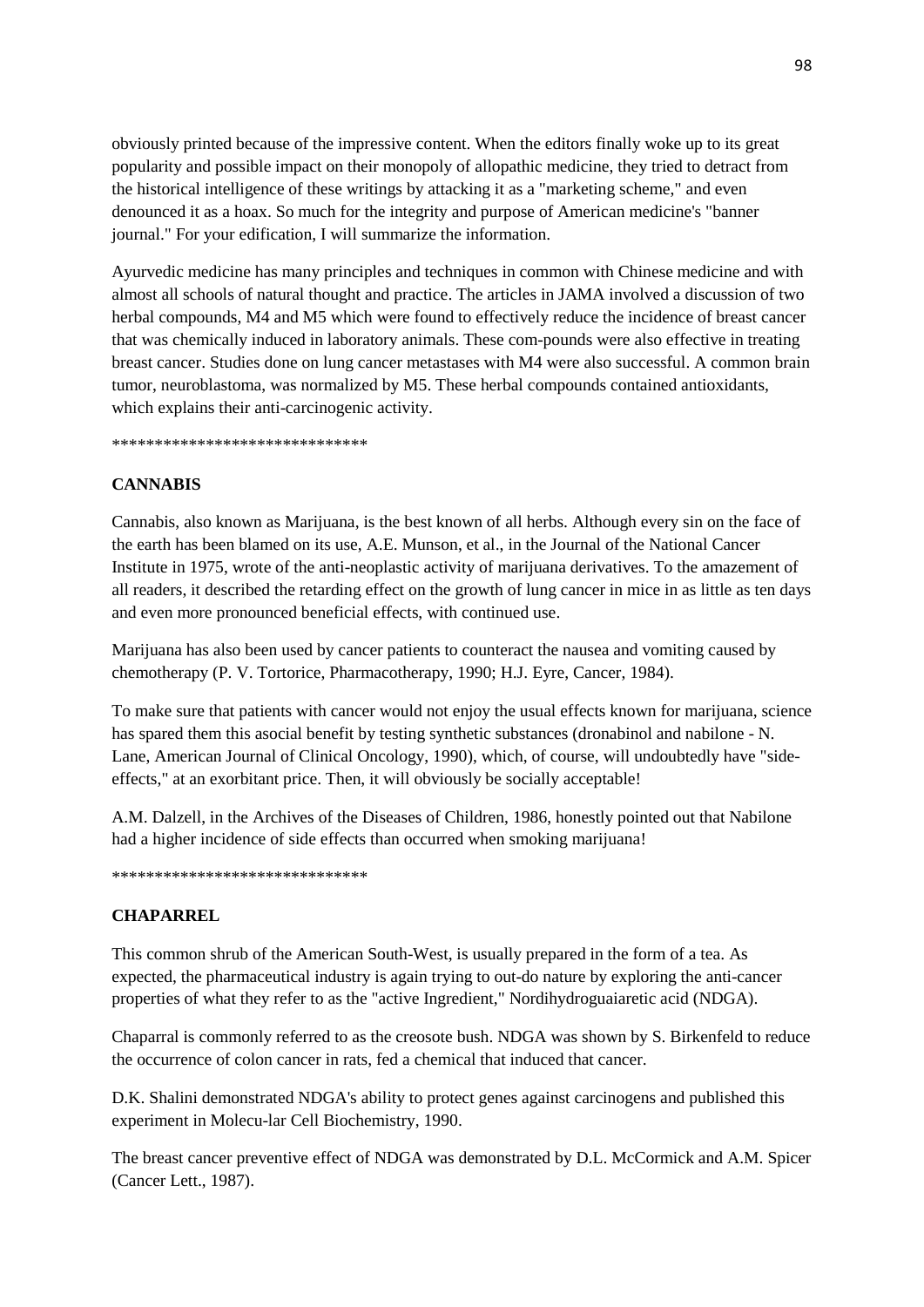obviously printed because of the impressive content. When the editors finally woke up to its great popularity and possible impact on their monopoly of allopathic medicine, they tried to detract from the historical intelligence of these writings by attacking it as a "marketing scheme," and even denounced it as a hoax. So much for the integrity and purpose of American medicine's "banner journal." For your edification, I will summarize the information.

Ayurvedic medicine has many principles and techniques in common with Chinese medicine and with almost all schools of natural thought and practice. The articles in JAMA involved a discussion of two herbal compounds, M4 and M5 which were found to effectively reduce the incidence of breast cancer that was chemically induced in laboratory animals. These com-pounds were also effective in treating breast cancer. Studies done on lung cancer metastases with M4 were also successful. A common brain tumor, neuroblastoma, was normalized by M5. These herbal compounds contained antioxidants, which explains their anti-carcinogenic activity.

\*\*\*\*\*\*\*\*\*\*\*\*\*\*\*\*\*\*\*\*\*\*\*\*\*\*\*\*\*\*

#### **CANNABIS**

Cannabis, also known as Marijuana, is the best known of all herbs. Although every sin on the face of the earth has been blamed on its use, A.E. Munson, et al., in the Journal of the National Cancer Institute in 1975, wrote of the anti-neoplastic activity of marijuana derivatives. To the amazement of all readers, it described the retarding effect on the growth of lung cancer in mice in as little as ten days and even more pronounced beneficial effects, with continued use.

Marijuana has also been used by cancer patients to counteract the nausea and vomiting caused by chemotherapy (P. V. Tortorice, Pharmacotherapy, 1990; H.J. Eyre, Cancer, 1984).

To make sure that patients with cancer would not enjoy the usual effects known for marijuana, science has spared them this asocial benefit by testing synthetic substances (dronabinol and nabilone - N. Lane, American Journal of Clinical Oncology, 1990), which, of course, will undoubtedly have "sideeffects," at an exorbitant price. Then, it will obviously be socially acceptable!

A.M. Dalzell, in the Archives of the Diseases of Children, 1986, honestly pointed out that Nabilone had a higher incidence of side effects than occurred when smoking marijuana!

\*\*\*\*\*\*\*\*\*\*\*\*\*\*\*\*\*\*\*\*\*\*\*\*\*\*\*\*\*\*

### **CHAPARREL**

This common shrub of the American South-West, is usually prepared in the form of a tea. As expected, the pharmaceutical industry is again trying to out-do nature by exploring the anti-cancer properties of what they refer to as the "active Ingredient," Nordihydroguaiaretic acid (NDGA).

Chaparral is commonly referred to as the creosote bush. NDGA was shown by S. Birkenfeld to reduce the occurrence of colon cancer in rats, fed a chemical that induced that cancer.

D.K. Shalini demonstrated NDGA's ability to protect genes against carcinogens and published this experiment in Molecu-lar Cell Biochemistry, 1990.

The breast cancer preventive effect of NDGA was demonstrated by D.L. McCormick and A.M. Spicer (Cancer Lett., 1987).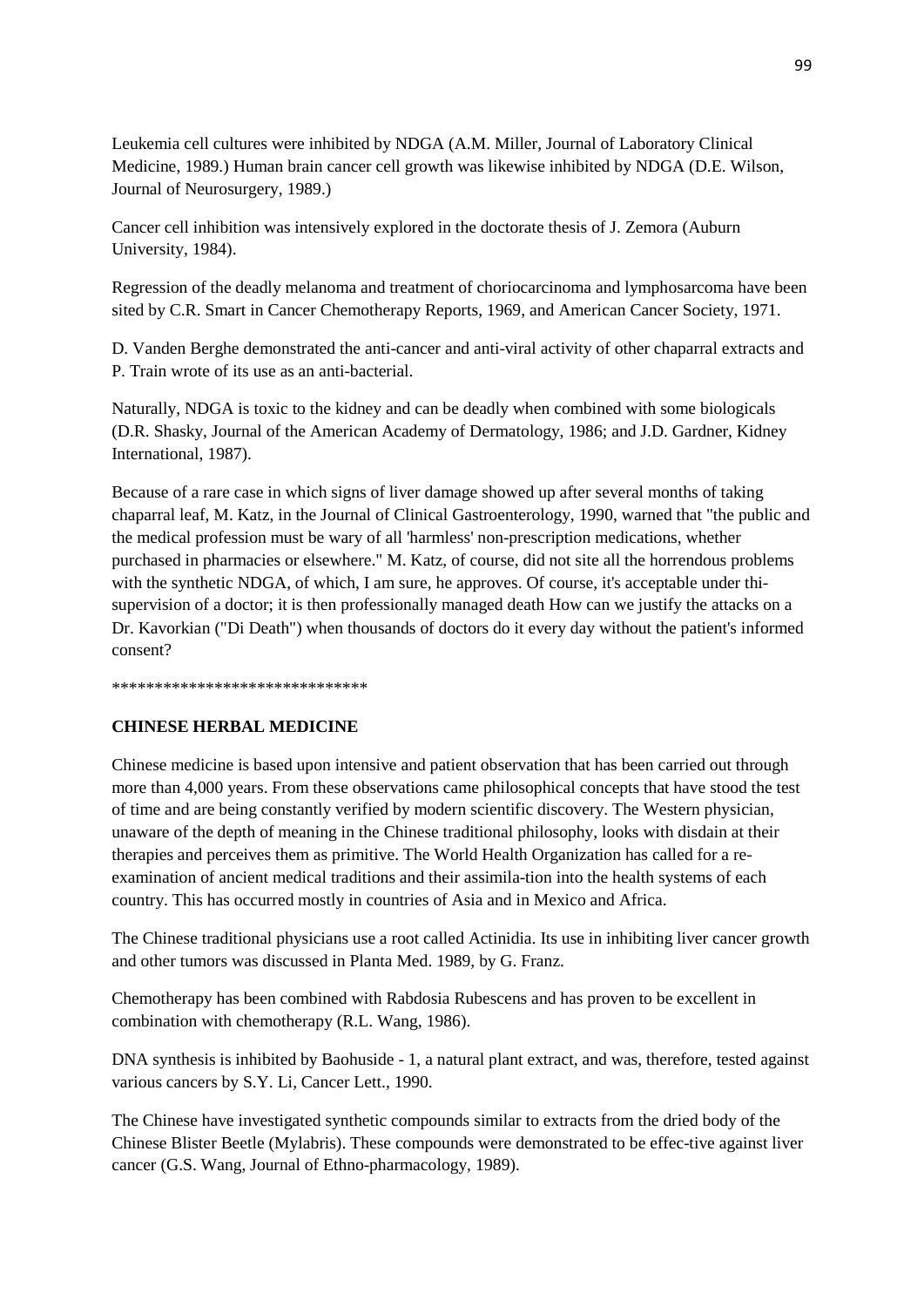Leukemia cell cultures were inhibited by NDGA (A.M. Miller, Journal of Laboratory Clinical Medicine, 1989.) Human brain cancer cell growth was likewise inhibited by NDGA (D.E. Wilson, Journal of Neurosurgery, 1989.)

Cancer cell inhibition was intensively explored in the doctorate thesis of J. Zemora (Auburn University, 1984).

Regression of the deadly melanoma and treatment of choriocarcinoma and lymphosarcoma have been sited by C.R. Smart in Cancer Chemotherapy Reports, 1969, and American Cancer Society, 1971.

D. Vanden Berghe demonstrated the anti-cancer and anti-viral activity of other chaparral extracts and P. Train wrote of its use as an anti-bacterial.

Naturally, NDGA is toxic to the kidney and can be deadly when combined with some biologicals (D.R. Shasky, Journal of the American Academy of Dermatology, 1986; and J.D. Gardner, Kidney International, 1987).

Because of a rare case in which signs of liver damage showed up after several months of taking chaparral leaf, M. Katz, in the Journal of Clinical Gastroenterology, 1990, warned that "the public and the medical profession must be wary of all 'harmless' non-prescription medications, whether purchased in pharmacies or elsewhere." M. Katz, of course, did not site all the horrendous problems with the synthetic NDGA, of which, I am sure, he approves. Of course, it's acceptable under thisupervision of a doctor; it is then professionally managed death How can we justify the attacks on a Dr. Kavorkian ("Di Death") when thousands of doctors do it every day without the patient's informed consent?

\*\*\*\*\*\*\*\*\*\*\*\*\*\*\*\*\*\*\*\*\*\*\*\*\*\*\*\*\*\*

#### **CHINESE HERBAL MEDICINE**

Chinese medicine is based upon intensive and patient observation that has been carried out through more than 4,000 years. From these observations came philosophical concepts that have stood the test of time and are being constantly verified by modern scientific discovery. The Western physician, unaware of the depth of meaning in the Chinese traditional philosophy, looks with disdain at their therapies and perceives them as primitive. The World Health Organization has called for a reexamination of ancient medical traditions and their assimila-tion into the health systems of each country. This has occurred mostly in countries of Asia and in Mexico and Africa.

The Chinese traditional physicians use a root called Actinidia. Its use in inhibiting liver cancer growth and other tumors was discussed in Planta Med. 1989, by G. Franz.

Chemotherapy has been combined with Rabdosia Rubescens and has proven to be excellent in combination with chemotherapy (R.L. Wang, 1986).

DNA synthesis is inhibited by Baohuside - 1, a natural plant extract, and was, therefore, tested against various cancers by S.Y. Li, Cancer Lett., 1990.

The Chinese have investigated synthetic compounds similar to extracts from the dried body of the Chinese Blister Beetle (Mylabris). These compounds were demonstrated to be effec-tive against liver cancer (G.S. Wang, Journal of Ethno-pharmacology, 1989).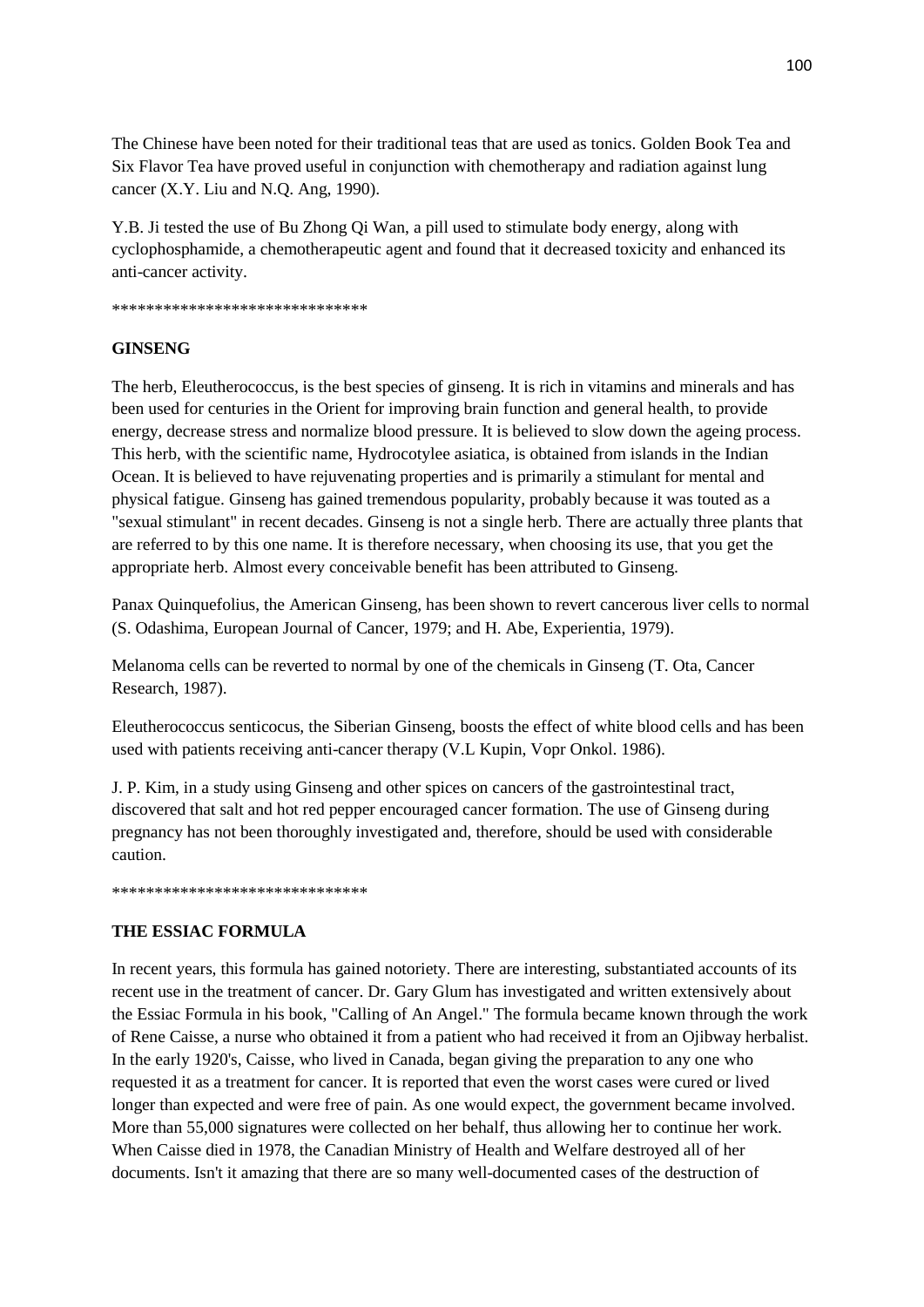The Chinese have been noted for their traditional teas that are used as tonics. Golden Book Tea and Six Flavor Tea have proved useful in conjunction with chemotherapy and radiation against lung cancer  $(X.Y.$  Liu and N.Q. Ang, 1990).

Y.B. Ji tested the use of Bu Zhong Qi Wan, a pill used to stimulate body energy, along with cyclophosphamide, a chemotherapeutic agent and found that it decreased toxicity and enhanced its anti-cancer activity.

\*\*\*\*\*\*\*\*\*\*\*\*\*\*\*\*\*\*\*\*\*\*\*\*\*\*\*\*

## **GINSENG**

The herb, Eleutherococcus, is the best species of ginseng. It is rich in vitamins and minerals and has been used for centuries in the Orient for improving brain function and general health, to provide energy, decrease stress and normalize blood pressure. It is believed to slow down the ageing process. This herb, with the scientific name, Hydrocotylee asiatica, is obtained from islands in the Indian Ocean. It is believed to have rejuvenating properties and is primarily a stimulant for mental and physical fatigue. Ginseng has gained tremendous popularity, probably because it was touted as a "sexual stimulant" in recent decades. Ginseng is not a single herb. There are actually three plants that are referred to by this one name. It is therefore necessary, when choosing its use, that you get the appropriate herb. Almost every conceivable benefit has been attributed to Ginseng.

Panax Quinquefolius, the American Ginseng, has been shown to revert cancerous liver cells to normal (S. Odashima, European Journal of Cancer, 1979; and H. Abe, Experientia, 1979).

Melanoma cells can be reverted to normal by one of the chemicals in Ginseng (T. Ota, Cancer Research, 1987).

Eleutherococcus senticocus, the Siberian Ginseng, boosts the effect of white blood cells and has been used with patients receiving anti-cancer therapy (V.L Kupin, Vopr Onkol. 1986).

J. P. Kim, in a study using Ginseng and other spices on cancers of the gastrointestinal tract, discovered that salt and hot red pepper encouraged cancer formation. The use of Ginseng during pregnancy has not been thoroughly investigated and, therefore, should be used with considerable caution.

\*\*\*\*\*\*\*\*\*\*\*\*\*\*\*\*\*\*\*\*\*\*\*\*\*\*\*\*\*\*

## **THE ESSIAC FORMULA**

In recent years, this formula has gained notoriety. There are interesting, substantiated accounts of its recent use in the treatment of cancer. Dr. Gary Glum has investigated and written extensively about the Essiac Formula in his book, "Calling of An Angel." The formula became known through the work of Rene Caisse, a nurse who obtained it from a patient who had received it from an Ojibway herbalist. In the early 1920's, Caisse, who lived in Canada, began giving the preparation to any one who requested it as a treatment for cancer. It is reported that even the worst cases were cured or lived longer than expected and were free of pain. As one would expect, the government became involved. More than 55,000 signatures were collected on her behalf, thus allowing her to continue her work. When Caisse died in 1978, the Canadian Ministry of Health and Welfare destroyed all of her documents. Isn't it amazing that there are so many well-documented cases of the destruction of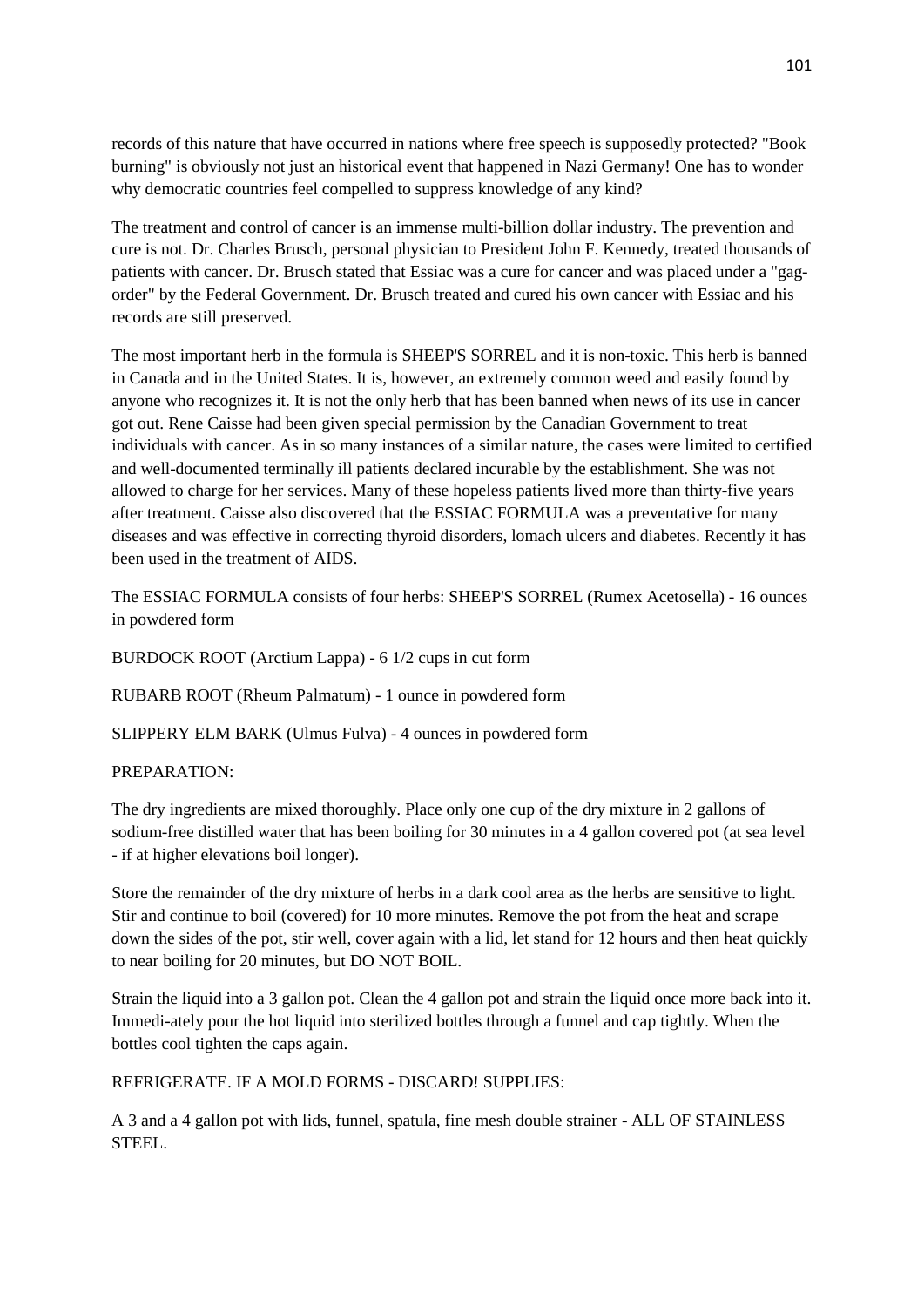records of this nature that have occurred in nations where free speech is supposedly protected? "Book burning" is obviously not just an historical event that happened in Nazi Germany! One has to wonder why democratic countries feel compelled to suppress knowledge of any kind?

The treatment and control of cancer is an immense multi-billion dollar industry. The prevention and cure is not. Dr. Charles Brusch, personal physician to President John F. Kennedy, treated thousands of patients with cancer. Dr. Brusch stated that Essiac was a cure for cancer and was placed under a "gagorder" by the Federal Government. Dr. Brusch treated and cured his own cancer with Essiac and his records are still preserved.

The most important herb in the formula is SHEEP'S SORREL and it is non-toxic. This herb is banned in Canada and in the United States. It is, however, an extremely common weed and easily found by anyone who recognizes it. It is not the only herb that has been banned when news of its use in cancer got out. Rene Caisse had been given special permission by the Canadian Government to treat individuals with cancer. As in so many instances of a similar nature, the cases were limited to certified and well-documented terminally ill patients declared incurable by the establishment. She was not allowed to charge for her services. Many of these hopeless patients lived more than thirty-five years after treatment. Caisse also discovered that the ESSIAC FORMULA was a preventative for many diseases and was effective in correcting thyroid disorders, lomach ulcers and diabetes. Recently it has been used in the treatment of AIDS.

The ESSIAC FORMULA consists of four herbs: SHEEP'S SORREL (Rumex Acetosella) - 16 ounces in powdered form

BURDOCK ROOT (Arctium Lappa) - 6 1/2 cups in cut form

RUBARB ROOT (Rheum Palmatum) - 1 ounce in powdered form

SLIPPERY ELM BARK (Ulmus Fulva) - 4 ounces in powdered form

### PREPARATION:

The dry ingredients are mixed thoroughly. Place only one cup of the dry mixture in 2 gallons of sodium-free distilled water that has been boiling for 30 minutes in a 4 gallon covered pot (at sea level - if at higher elevations boil longer).

Store the remainder of the dry mixture of herbs in a dark cool area as the herbs are sensitive to light. Stir and continue to boil (covered) for 10 more minutes. Remove the pot from the heat and scrape down the sides of the pot, stir well, cover again with a lid, let stand for 12 hours and then heat quickly to near boiling for 20 minutes, but DO NOT BOIL.

Strain the liquid into a 3 gallon pot. Clean the 4 gallon pot and strain the liquid once more back into it. Immedi-ately pour the hot liquid into sterilized bottles through a funnel and cap tightly. When the bottles cool tighten the caps again.

REFRIGERATE. IF A MOLD FORMS - DISCARD! SUPPLIES:

A 3 and a 4 gallon pot with lids, funnel, spatula, fine mesh double strainer - ALL OF STAINLESS STEEL.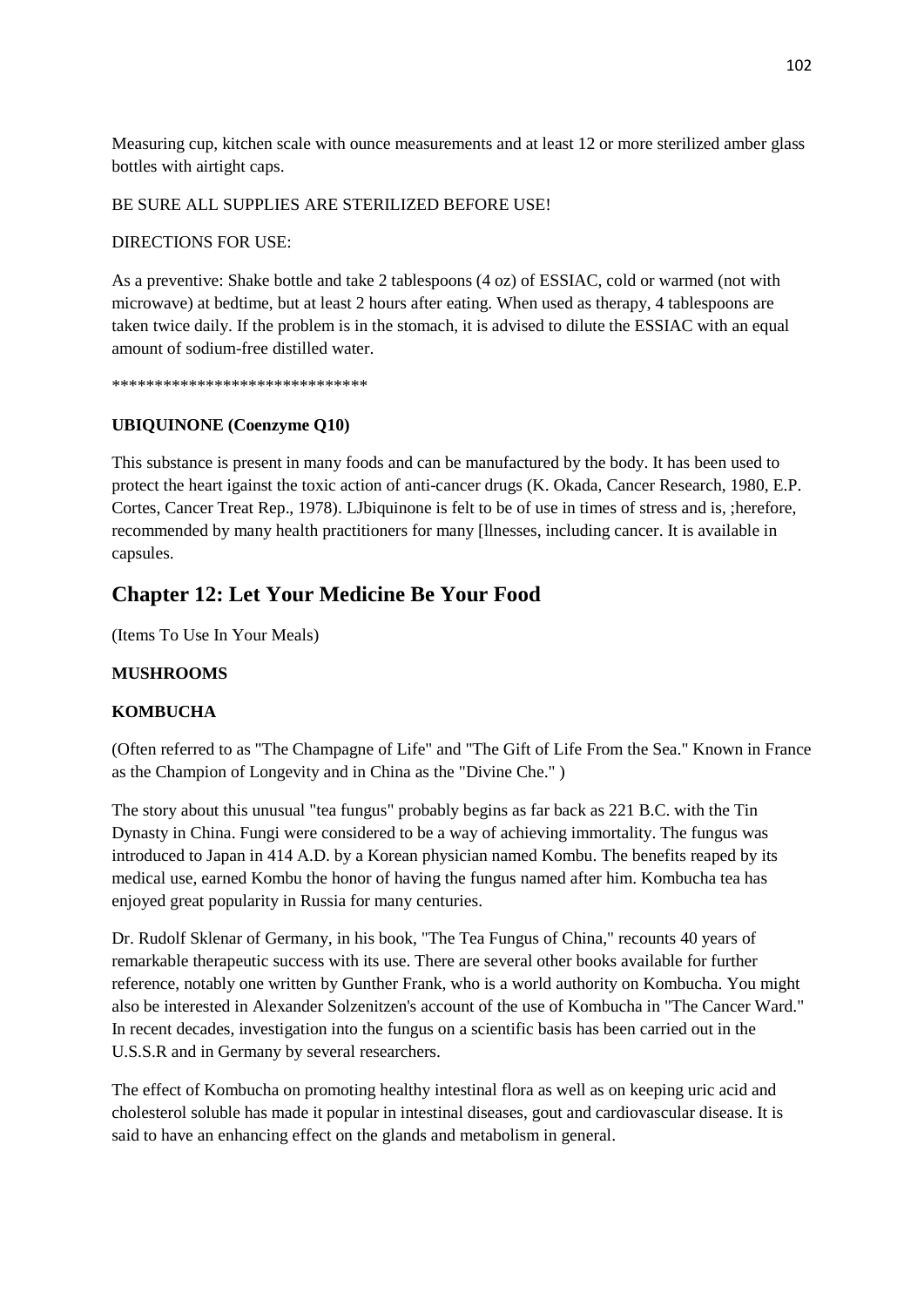Measuring cup, kitchen scale with ounce measurements and at least 12 or more sterilized amber glass bottles with airtight caps.

BE SURE ALL SUPPLIES ARE STERILIZED BEFORE USE!

## DIRECTIONS FOR USE:

As a preventive: Shake bottle and take 2 tablespoons (4 oz) of ESSIAC, cold or warmed (not with microwave) at bedtime, but at least 2 hours after eating. When used as therapy, 4 tablespoons are taken twice daily. If the problem is in the stomach, it is advised to dilute the ESSIAC with an equal amount of sodium-free distilled water.

\*\*\*\*\*\*\*\*\*\*\*\*\*\*\*\*\*\*\*\*\*\*\*\*\*\*\*\*\*\*

## **UBIQUINONE (Coenzyme Q10)**

This substance is present in many foods and can be manufactured by the body. It has been used to protect the heart igainst the toxic action of anti-cancer drugs (K. Okada, Cancer Research, 1980, E.P. Cortes, Cancer Treat Rep., 1978). LJbiquinone is felt to be of use in times of stress and is, ;herefore, recommended by many health practitioners for many [llnesses, including cancer. It is available in capsules.

# **Chapter 12: Let Your Medicine Be Your Food**

(Items To Use In Your Meals)

## **MUSHROOMS**

## **KOMBUCHA**

(Often referred to as "The Champagne of Life" and "The Gift of Life From the Sea." Known in France as the Champion of Longevity and in China as the "Divine Che." )

The story about this unusual "tea fungus" probably begins as far back as 221 B.C. with the Tin Dynasty in China. Fungi were considered to be a way of achieving immortality. The fungus was introduced to Japan in 414 A.D. by a Korean physician named Kombu. The benefits reaped by its medical use, earned Kombu the honor of having the fungus named after him. Kombucha tea has enjoyed great popularity in Russia for many centuries.

Dr. Rudolf Sklenar of Germany, in his book, "The Tea Fungus of China," recounts 40 years of remarkable therapeutic success with its use. There are several other books available for further reference, notably one written by Gunther Frank, who is a world authority on Kombucha. You might also be interested in Alexander Solzenitzen's account of the use of Kombucha in "The Cancer Ward." In recent decades, investigation into the fungus on a scientific basis has been carried out in the U.S.S.R and in Germany by several researchers.

The effect of Kombucha on promoting healthy intestinal flora as well as on keeping uric acid and cholesterol soluble has made it popular in intestinal diseases, gout and cardiovascular disease. It is said to have an enhancing effect on the glands and metabolism in general.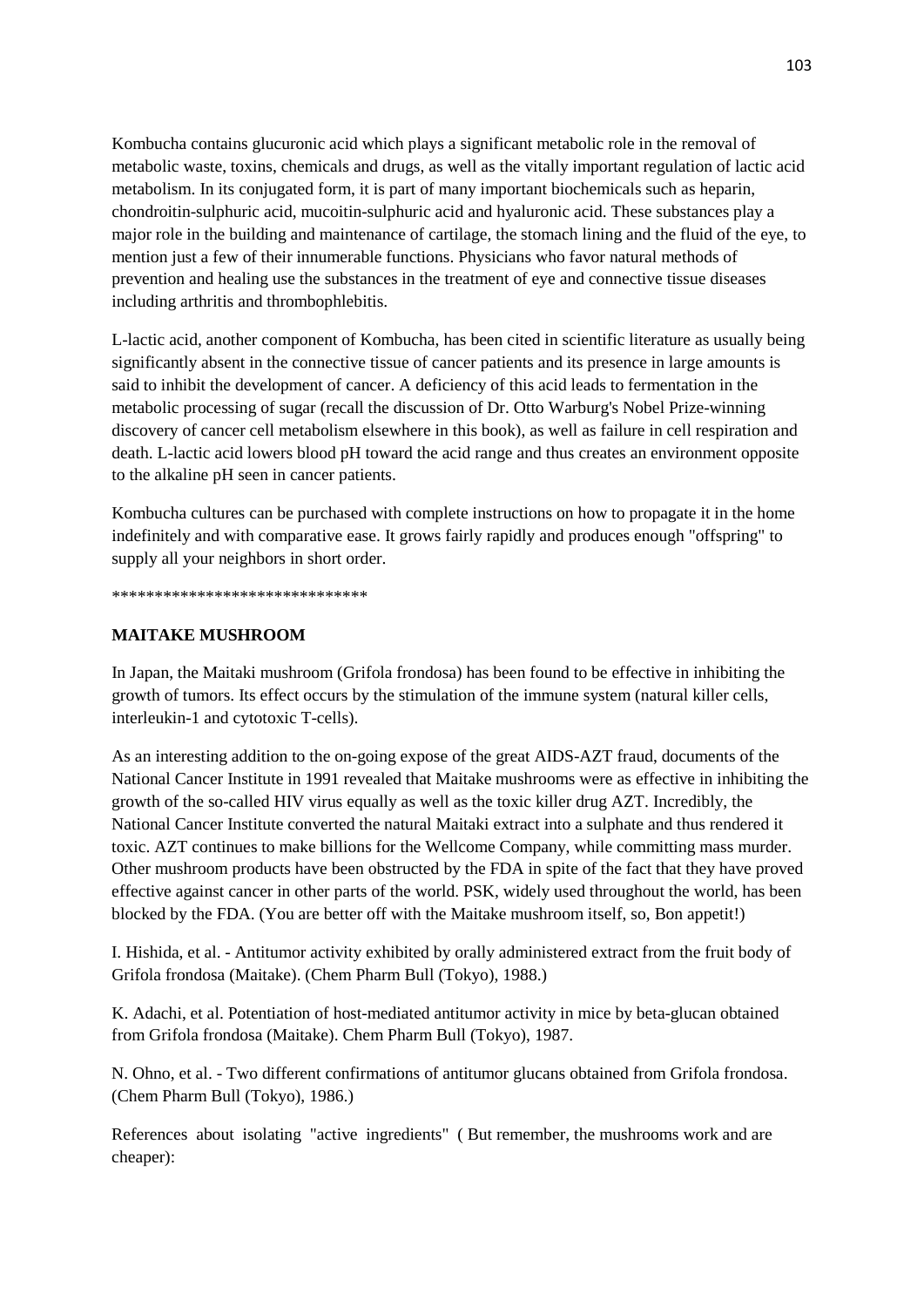Kombucha contains glucuronic acid which plays a significant metabolic role in the removal of metabolic waste, toxins, chemicals and drugs, as well as the vitally important regulation of lactic acid metabolism. In its conjugated form, it is part of many important biochemicals such as heparin, chondroitin-sulphuric acid, mucoitin-sulphuric acid and hyaluronic acid. These substances play a major role in the building and maintenance of cartilage, the stomach lining and the fluid of the eye, to mention just a few of their innumerable functions. Physicians who favor natural methods of prevention and healing use the substances in the treatment of eye and connective tissue diseases including arthritis and thrombophlebitis.

L-lactic acid, another component of Kombucha, has been cited in scientific literature as usually being significantly absent in the connective tissue of cancer patients and its presence in large amounts is said to inhibit the development of cancer. A deficiency of this acid leads to fermentation in the metabolic processing of sugar (recall the discussion of Dr. Otto Warburg's Nobel Prize-winning discovery of cancer cell metabolism elsewhere in this book), as well as failure in cell respiration and death. L-lactic acid lowers blood pH toward the acid range and thus creates an environment opposite to the alkaline pH seen in cancer patients.

Kombucha cultures can be purchased with complete instructions on how to propagate it in the home indefinitely and with comparative ease. It grows fairly rapidly and produces enough "offspring" to supply all your neighbors in short order.

\*\*\*\*\*\*\*\*\*\*\*\*\*\*\*\*\*\*\*\*\*\*\*\*\*\*\*\*\*\*

#### **MAITAKE MUSHROOM**

In Japan, the Maitaki mushroom (Grifola frondosa) has been found to be effective in inhibiting the growth of tumors. Its effect occurs by the stimulation of the immune system (natural killer cells, interleukin-1 and cytotoxic T-cells).

As an interesting addition to the on-going expose of the great AIDS-AZT fraud, documents of the National Cancer Institute in 1991 revealed that Maitake mushrooms were as effective in inhibiting the growth of the so-called HIV virus equally as well as the toxic killer drug AZT. Incredibly, the National Cancer Institute converted the natural Maitaki extract into a sulphate and thus rendered it toxic. AZT continues to make billions for the Wellcome Company, while committing mass murder. Other mushroom products have been obstructed by the FDA in spite of the fact that they have proved effective against cancer in other parts of the world. PSK, widely used throughout the world, has been blocked by the FDA. (You are better off with the Maitake mushroom itself, so, Bon appetit!)

I. Hishida, et al. - Antitumor activity exhibited by orally administered extract from the fruit body of Grifola frondosa (Maitake). (Chem Pharm Bull (Tokyo), 1988.)

K. Adachi, et al. Potentiation of host-mediated antitumor activity in mice by beta-glucan obtained from Grifola frondosa (Maitake). Chem Pharm Bull (Tokyo), 1987.

N. Ohno, et al. - Two different confirmations of antitumor glucans obtained from Grifola frondosa. (Chem Pharm Bull (Tokyo), 1986.)

References about isolating "active ingredients" ( But remember, the mushrooms work and are cheaper):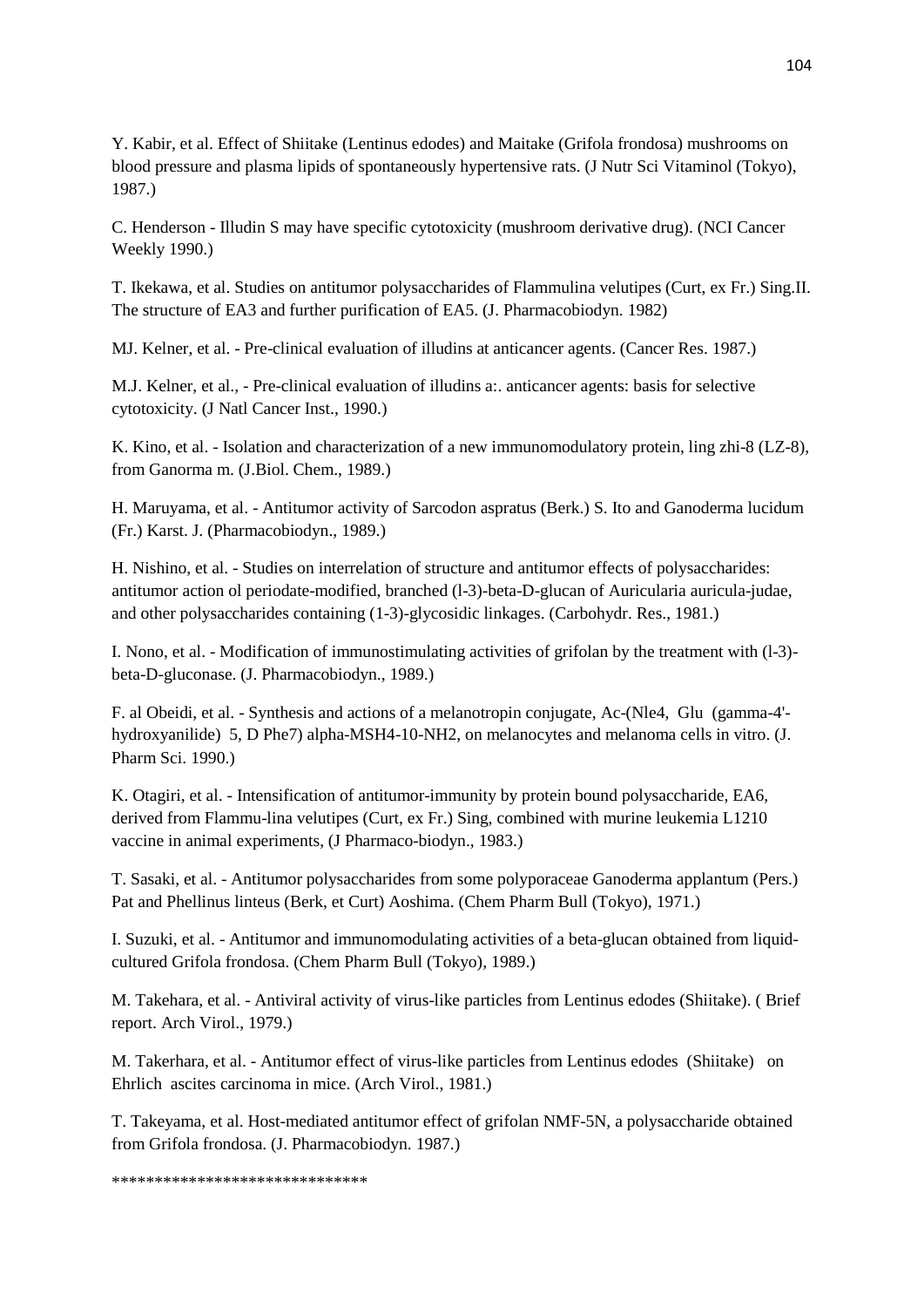Y. Kabir, et al. Effect of Shiitake (Lentinus edodes) and Maitake (Grifola frondosa) mushrooms on blood pressure and plasma lipids of spontaneously hypertensive rats. (J Nutr Sci Vitaminol (Tokyo), 1987.)

C. Henderson - Illudin S may have specific cytotoxicity (mushroom derivative drug). (NCI Cancer Weekly 1990.)

T. Ikekawa, et al. Studies on antitumor polysaccharides of Flammulina velutipes (Curt, ex Fr.) Sing.II. The structure of EA3 and further purification of EA5. (J. Pharmacobiodyn. 1982)

MJ. Kelner, et al. - Pre-clinical evaluation of illudins at anticancer agents. (Cancer Res. 1987.)

M.J. Kelner, et al., - Pre-clinical evaluation of illudins a:. anticancer agents: basis for selective cytotoxicity. (J Natl Cancer Inst., 1990.)

K. Kino, et al. - Isolation and characterization of a new immunomodulatory protein, ling zhi-8 (LZ-8), from Ganorma m. (J.Biol. Chem., 1989.)

H. Maruyama, et al. - Antitumor activity of Sarcodon aspratus (Berk.) S. Ito and Ganoderma lucidum (Fr.) Karst. J. (Pharmacobiodyn., 1989.)

H. Nishino, et al. - Studies on interrelation of structure and antitumor effects of polysaccharides: antitumor action ol periodate-modified, branched (l-3)-beta-D-glucan of Auricularia auricula-judae, and other polysaccharides containing (1-3)-glycosidic linkages. (Carbohydr. Res., 1981.)

I. Nono, et al. - Modification of immunostimulating activities of grifolan by the treatment with (l-3) beta-D-gluconase. (J. Pharmacobiodyn., 1989.)

F. al Obeidi, et al. - Synthesis and actions of a melanotropin conjugate, Ac-(Nle4, Glu (gamma-4' hydroxyanilide) 5, D Phe7) alpha-MSH4-10-NH2, on melanocytes and melanoma cells in vitro. (J. Pharm Sci. 1990.)

K. Otagiri, et al. - Intensification of antitumor-immunity by protein bound polysaccharide, EA6, derived from Flammu-lina velutipes (Curt, ex Fr.) Sing, combined with murine leukemia L1210 vaccine in animal experiments, (J Pharmaco-biodyn., 1983.)

T. Sasaki, et al. - Antitumor polysaccharides from some polyporaceae Ganoderma applantum (Pers.) Pat and Phellinus linteus (Berk, et Curt) Aoshima. (Chem Pharm Bull (Tokyo), 1971.)

I. Suzuki, et al. - Antitumor and immunomodulating activities of a beta-glucan obtained from liquidcultured Grifola frondosa. (Chem Pharm Bull (Tokyo), 1989.)

M. Takehara, et al. - Antiviral activity of virus-like particles from Lentinus edodes (Shiitake). ( Brief report. Arch Virol., 1979.)

M. Takerhara, et al. - Antitumor effect of virus-like particles from Lentinus edodes (Shiitake) on Ehrlich ascites carcinoma in mice. (Arch Virol., 1981.)

T. Takeyama, et al. Host-mediated antitumor effect of grifolan NMF-5N, a polysaccharide obtained from Grifola frondosa. (J. Pharmacobiodyn. 1987.)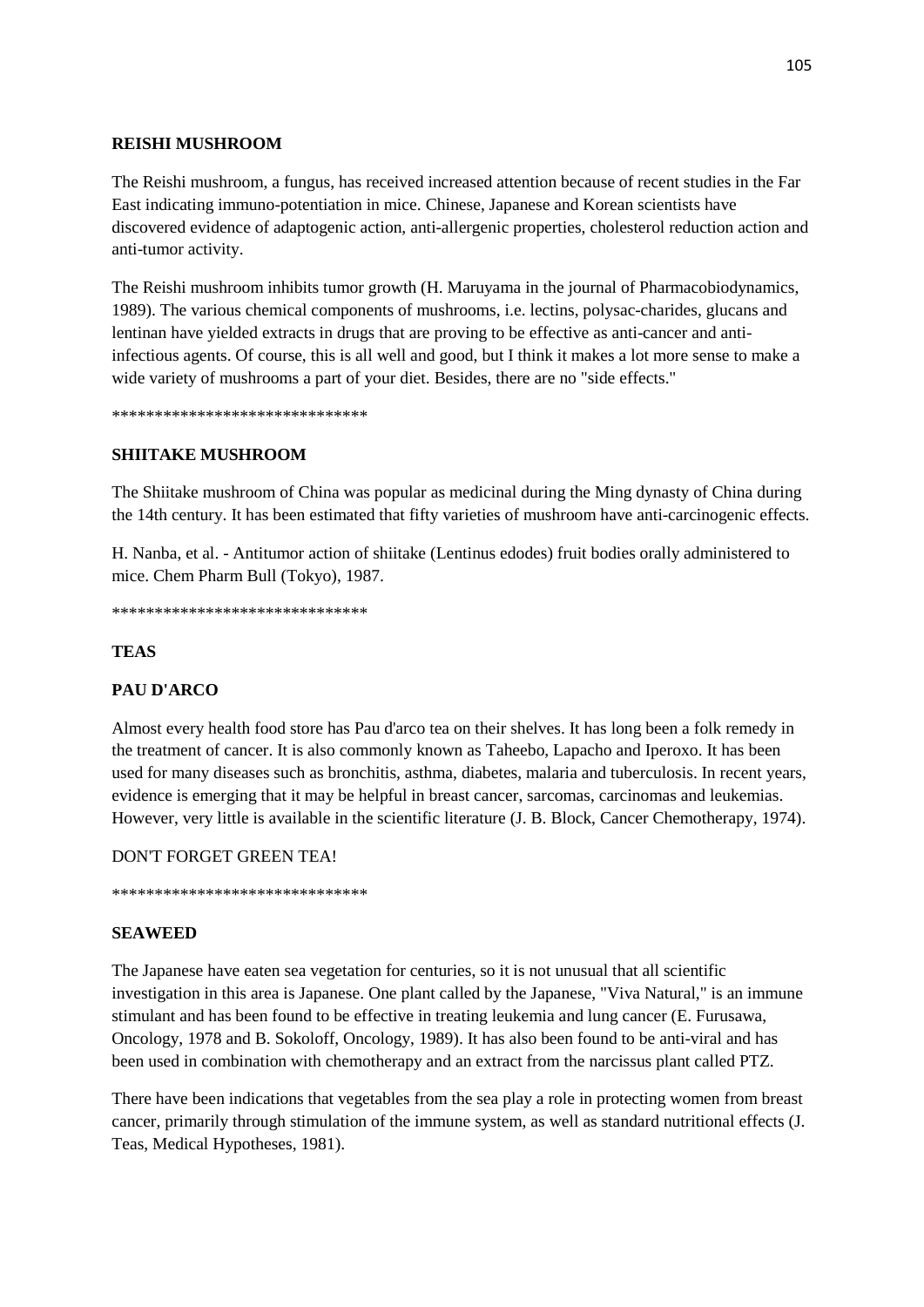### **REISHI MUSHROOM**

The Reishi mushroom, a fungus, has received increased attention because of recent studies in the Far East indicating immuno-potentiation in mice. Chinese, Japanese and Korean scientists have discovered evidence of adaptogenic action, anti-allergenic properties, cholesterol reduction action and anti-tumor activity.

The Reishi mushroom inhibits tumor growth (H. Maruyama in the journal of Pharmacobiodynamics, 1989). The various chemical components of mushrooms, i.e. lectins, polysac-charides, glucans and lentinan have yielded extracts in drugs that are proving to be effective as anti-cancer and antiinfectious agents. Of course, this is all well and good, but I think it makes a lot more sense to make a wide variety of mushrooms a part of your diet. Besides, there are no "side effects."

\*\*\*\*\*\*\*\*\*\*\*\*\*\*\*\*\*\*\*\*\*\*\*\*\*\*\*\*\*\*

#### **SHIITAKE MUSHROOM**

The Shiitake mushroom of China was popular as medicinal during the Ming dynasty of China during the 14th century. It has been estimated that fifty varieties of mushroom have anti-carcinogenic effects.

H. Nanba, et al. - Antitumor action of shiitake (Lentinus edodes) fruit bodies orally administered to mice. Chem Pharm Bull (Tokyo), 1987.

\*\*\*\*\*\*\*\*\*\*\*\*\*\*\*\*\*\*\*\*\*\*\*\*\*\*\*\*\*\*

#### **TEAS**

#### **PAU D'ARCO**

Almost every health food store has Pau d'arco tea on their shelves. It has long been a folk remedy in the treatment of cancer. It is also commonly known as Taheebo, Lapacho and Iperoxo. It has been used for many diseases such as bronchitis, asthma, diabetes, malaria and tuberculosis. In recent years, evidence is emerging that it may be helpful in breast cancer, sarcomas, carcinomas and leukemias. However, very little is available in the scientific literature (J. B. Block, Cancer Chemotherapy, 1974).

#### DON'T FORGET GREEN TEA!

\*\*\*\*\*\*\*\*\*\*\*\*\*\*\*\*\*\*\*\*\*\*\*\*\*\*\*\*\*\*

#### **SEAWEED**

The Japanese have eaten sea vegetation for centuries, so it is not unusual that all scientific investigation in this area is Japanese. One plant called by the Japanese, "Viva Natural," is an immune stimulant and has been found to be effective in treating leukemia and lung cancer (E. Furusawa, Oncology, 1978 and B. Sokoloff, Oncology, 1989). It has also been found to be anti-viral and has been used in combination with chemotherapy and an extract from the narcissus plant called PTZ.

There have been indications that vegetables from the sea play a role in protecting women from breast cancer, primarily through stimulation of the immune system, as well as standard nutritional effects (J. Teas, Medical Hypotheses, 1981).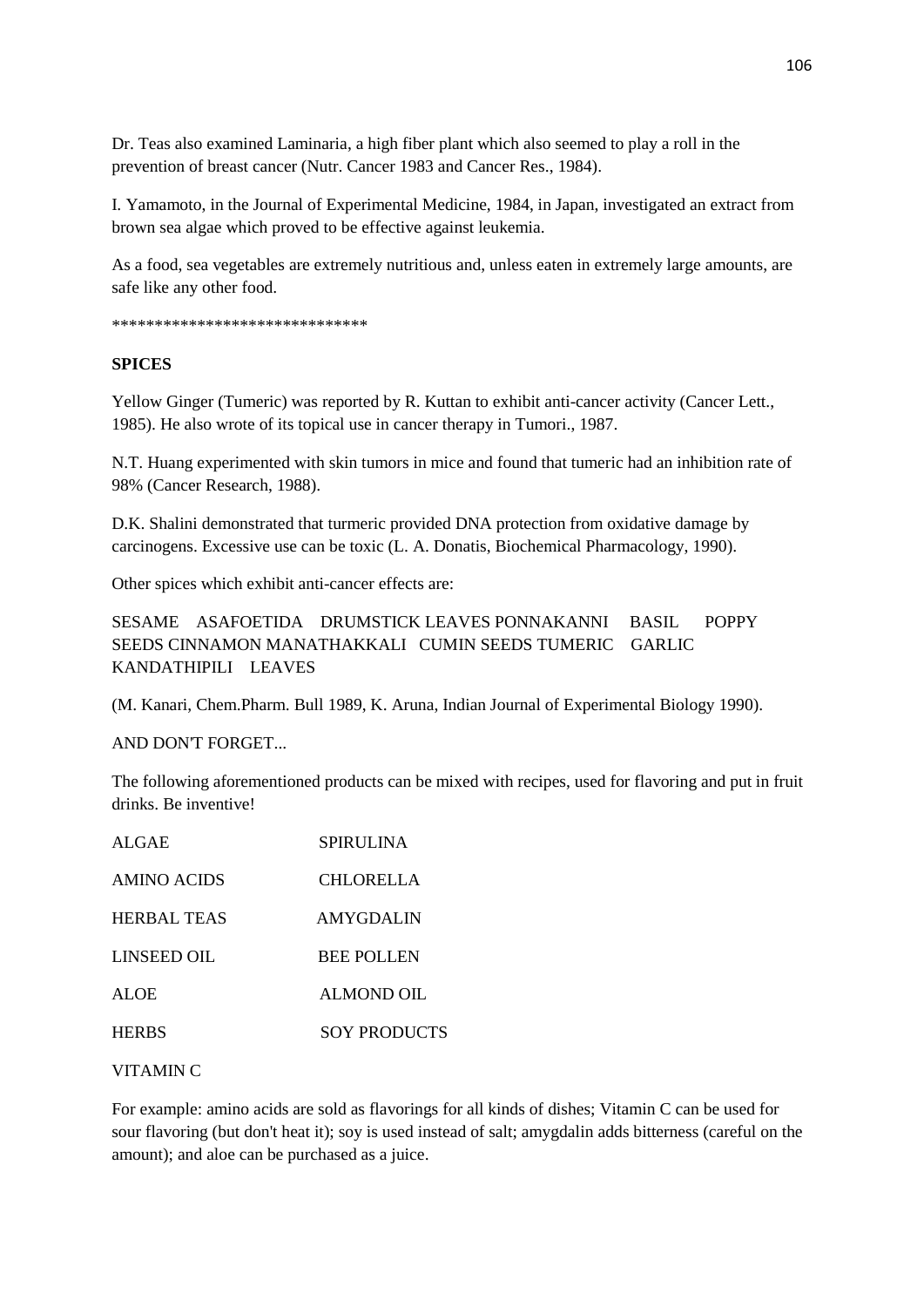Dr. Teas also examined Laminaria, a high fiber plant which also seemed to play a roll in the prevention of breast cancer (Nutr. Cancer 1983 and Cancer Res., 1984).

I. Yamamoto, in the Journal of Experimental Medicine, 1984, in Japan, investigated an extract from brown sea algae which proved to be effective against leukemia.

As a food, sea vegetables are extremely nutritious and, unless eaten in extremely large amounts, are safe like any other food.

\*\*\*\*\*\*\*\*\*\*\*\*\*\*\*\*\*\*\*\*\*\*\*\*\*\*\*\*\*\*

### **SPICES**

Yellow Ginger (Tumeric) was reported by R. Kuttan to exhibit anti-cancer activity (Cancer Lett., 1985). He also wrote of its topical use in cancer therapy in Tumori., 1987.

N.T. Huang experimented with skin tumors in mice and found that tumeric had an inhibition rate of 98% (Cancer Research, 1988).

D.K. Shalini demonstrated that turmeric provided DNA protection from oxidative damage by carcinogens. Excessive use can be toxic (L. A. Donatis, Biochemical Pharmacology, 1990).

Other spices which exhibit anti-cancer effects are:

SESAME ASAFOETIDA DRUMSTICK LEAVES PONNAKANNI BASIL POPPY SEEDS CINNAMON MANATHAKKALI CUMIN SEEDS TUMERIC GARLIC KANDATHIPILI LEAVES

(M. Kanari, Chem.Pharm. Bull 1989, K. Aruna, Indian Journal of Experimental Biology 1990).

### AND DON'T FORGET...

The following aforementioned products can be mixed with recipes, used for flavoring and put in fruit drinks. Be inventive!

| ALGAE        | <b>SPIRULINA</b>    |
|--------------|---------------------|
| AMINO ACIDS  | CHLORELLA           |
| HERBAL TEAS  | AMYGDALIN           |
| LINSEED OIL  | <b>BEE POLLEN</b>   |
| <b>ALOE</b>  | ALMOND OIL          |
| <b>HERBS</b> | <b>SOY PRODUCTS</b> |

### VITAMIN C

For example: amino acids are sold as flavorings for all kinds of dishes; Vitamin C can be used for sour flavoring (but don't heat it); soy is used instead of salt; amygdalin adds bitterness (careful on the amount); and aloe can be purchased as a juice.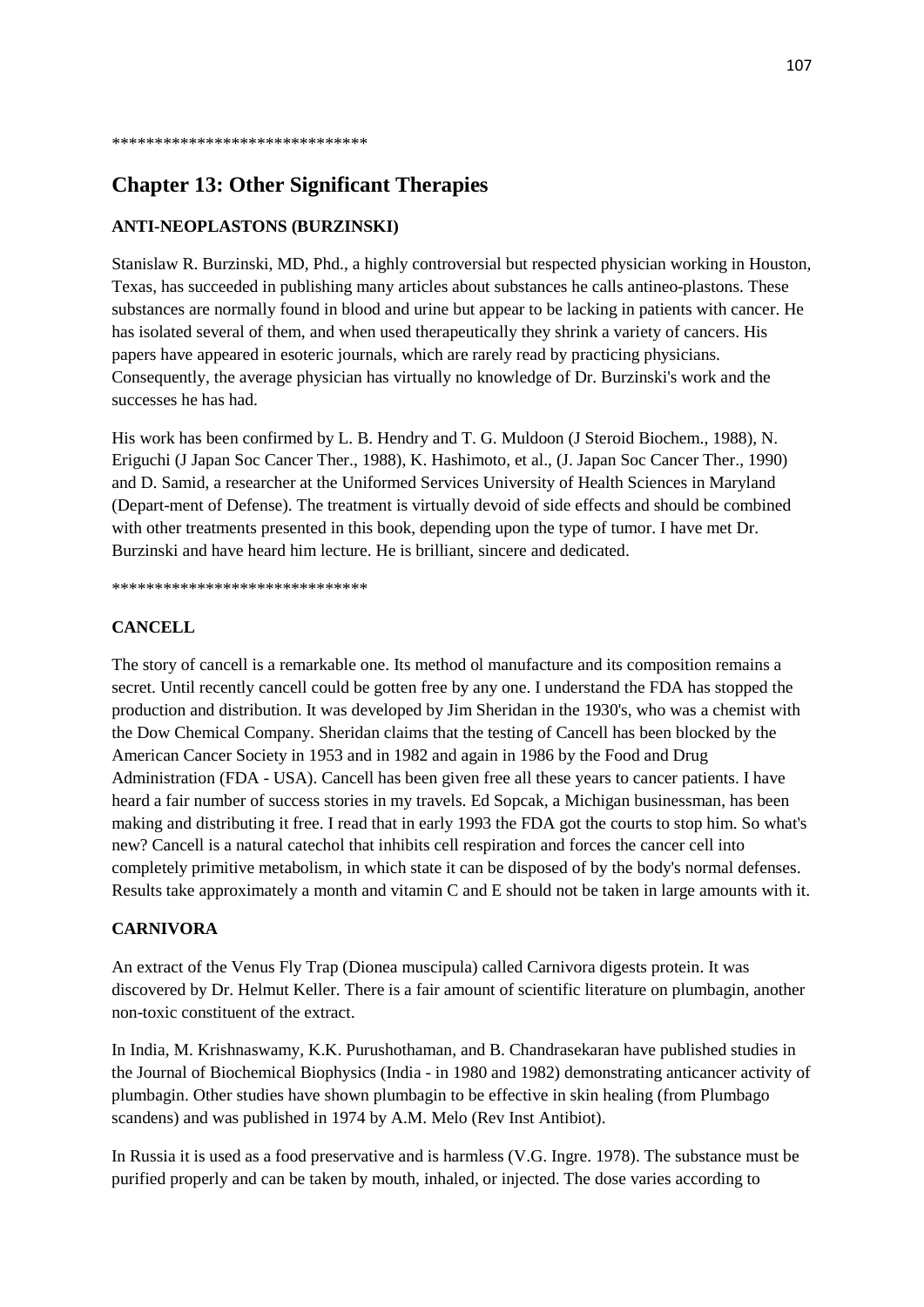## **Chapter 13: Other Significant Therapies**

#### **ANTI-NEOPLASTONS (BURZINSKI)**

Stanislaw R. Burzinski, MD, Phd., a highly controversial but respected physician working in Houston, Texas, has succeeded in publishing many articles about substances he calls antineo-plastons. These substances are normally found in blood and urine but appear to be lacking in patients with cancer. He has isolated several of them, and when used therapeutically they shrink a variety of cancers. His papers have appeared in esoteric journals, which are rarely read by practicing physicians. Consequently, the average physician has virtually no knowledge of Dr. Burzinski's work and the successes he has had.

His work has been confirmed by L. B. Hendry and T. G. Muldoon (J Steroid Biochem., 1988), N. Eriguchi (J Japan Soc Cancer Ther., 1988), K. Hashimoto, et al., (J. Japan Soc Cancer Ther., 1990) and D. Samid, a researcher at the Uniformed Services University of Health Sciences in Maryland (Depart-ment of Defense). The treatment is virtually devoid of side effects and should be combined with other treatments presented in this book, depending upon the type of tumor. I have met Dr. Burzinski and have heard him lecture. He is brilliant, sincere and dedicated.

\*\*\*\*\*\*\*\*\*\*\*\*\*\*\*\*\*\*\*\*\*\*\*\*\*\*\*\*\*\*

#### **CANCELL**

The story of cancell is a remarkable one. Its method ol manufacture and its composition remains a secret. Until recently cancell could be gotten free by any one. I understand the FDA has stopped the production and distribution. It was developed by Jim Sheridan in the 1930's, who was a chemist with the Dow Chemical Company. Sheridan claims that the testing of Cancell has been blocked by the American Cancer Society in 1953 and in 1982 and again in 1986 by the Food and Drug Administration (FDA - USA). Cancell has been given free all these years to cancer patients. I have heard a fair number of success stories in my travels. Ed Sopcak, a Michigan businessman, has been making and distributing it free. I read that in early 1993 the FDA got the courts to stop him. So what's new? Cancell is a natural catechol that inhibits cell respiration and forces the cancer cell into completely primitive metabolism, in which state it can be disposed of by the body's normal defenses. Results take approximately a month and vitamin C and E should not be taken in large amounts with it.

#### **CARNIVORA**

An extract of the Venus Fly Trap (Dionea muscipula) called Carnivora digests protein. It was discovered by Dr. Helmut Keller. There is a fair amount of scientific literature on plumbagin, another non-toxic constituent of the extract.

In India, M. Krishnaswamy, K.K. Purushothaman, and B. Chandrasekaran have published studies in the Journal of Biochemical Biophysics (India - in 1980 and 1982) demonstrating anticancer activity of plumbagin. Other studies have shown plumbagin to be effective in skin healing (from Plumbago scandens) and was published in 1974 by A.M. Melo (Rev Inst Antibiot).

In Russia it is used as a food preservative and is harmless (V.G. Ingre. 1978). The substance must be purified properly and can be taken by mouth, inhaled, or injected. The dose varies according to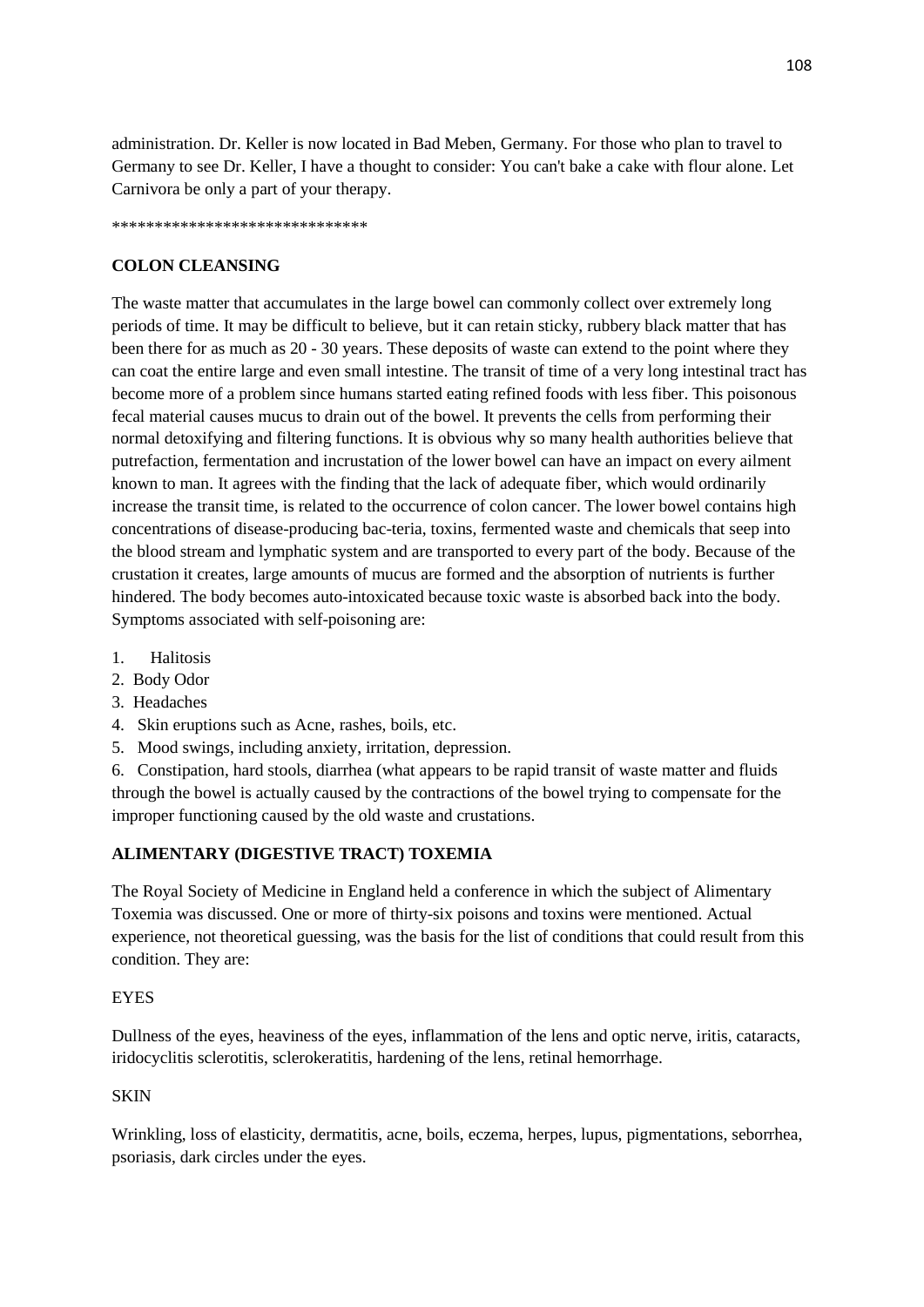administration. Dr. Keller is now located in Bad Meben, Germany. For those who plan to travel to Germany to see Dr. Keller, I have a thought to consider: You can't bake a cake with flour alone. Let Carnivora be only a part of your therapy.

\*\*\*\*\*\*\*\*\*\*\*\*\*\*\*\*\*\*\*\*\*\*\*\*\*\*\*\*\*\*

## **COLON CLEANSING**

The waste matter that accumulates in the large bowel can commonly collect over extremely long periods of time. It may be difficult to believe, but it can retain sticky, rubbery black matter that has been there for as much as 20 - 30 years. These deposits of waste can extend to the point where they can coat the entire large and even small intestine. The transit of time of a very long intestinal tract has become more of a problem since humans started eating refined foods with less fiber. This poisonous fecal material causes mucus to drain out of the bowel. It prevents the cells from performing their normal detoxifying and filtering functions. It is obvious why so many health authorities believe that putrefaction, fermentation and incrustation of the lower bowel can have an impact on every ailment known to man. It agrees with the finding that the lack of adequate fiber, which would ordinarily increase the transit time, is related to the occurrence of colon cancer. The lower bowel contains high concentrations of disease-producing bac-teria, toxins, fermented waste and chemicals that seep into the blood stream and lymphatic system and are transported to every part of the body. Because of the crustation it creates, large amounts of mucus are formed and the absorption of nutrients is further hindered. The body becomes auto-intoxicated because toxic waste is absorbed back into the body. Symptoms associated with self-poisoning are:

- 1. Halitosis
- 2. Body Odor
- 3. Headaches
- 4. Skin eruptions such as Acne, rashes, boils, etc.
- 5. Mood swings, including anxiety, irritation, depression.

6. Constipation, hard stools, diarrhea (what appears to be rapid transit of waste matter and fluids through the bowel is actually caused by the contractions of the bowel trying to compensate for the improper functioning caused by the old waste and crustations.

## **ALIMENTARY (DIGESTIVE TRACT) TOXEMIA**

The Royal Society of Medicine in England held a conference in which the subject of Alimentary Toxemia was discussed. One or more of thirty-six poisons and toxins were mentioned. Actual experience, not theoretical guessing, was the basis for the list of conditions that could result from this condition. They are:

### **EYES**

Dullness of the eyes, heaviness of the eyes, inflammation of the lens and optic nerve, iritis, cataracts, iridocyclitis sclerotitis, sclerokeratitis, hardening of the lens, retinal hemorrhage.

### **SKIN**

Wrinkling, loss of elasticity, dermatitis, acne, boils, eczema, herpes, lupus, pigmentations, seborrhea, psoriasis, dark circles under the eyes.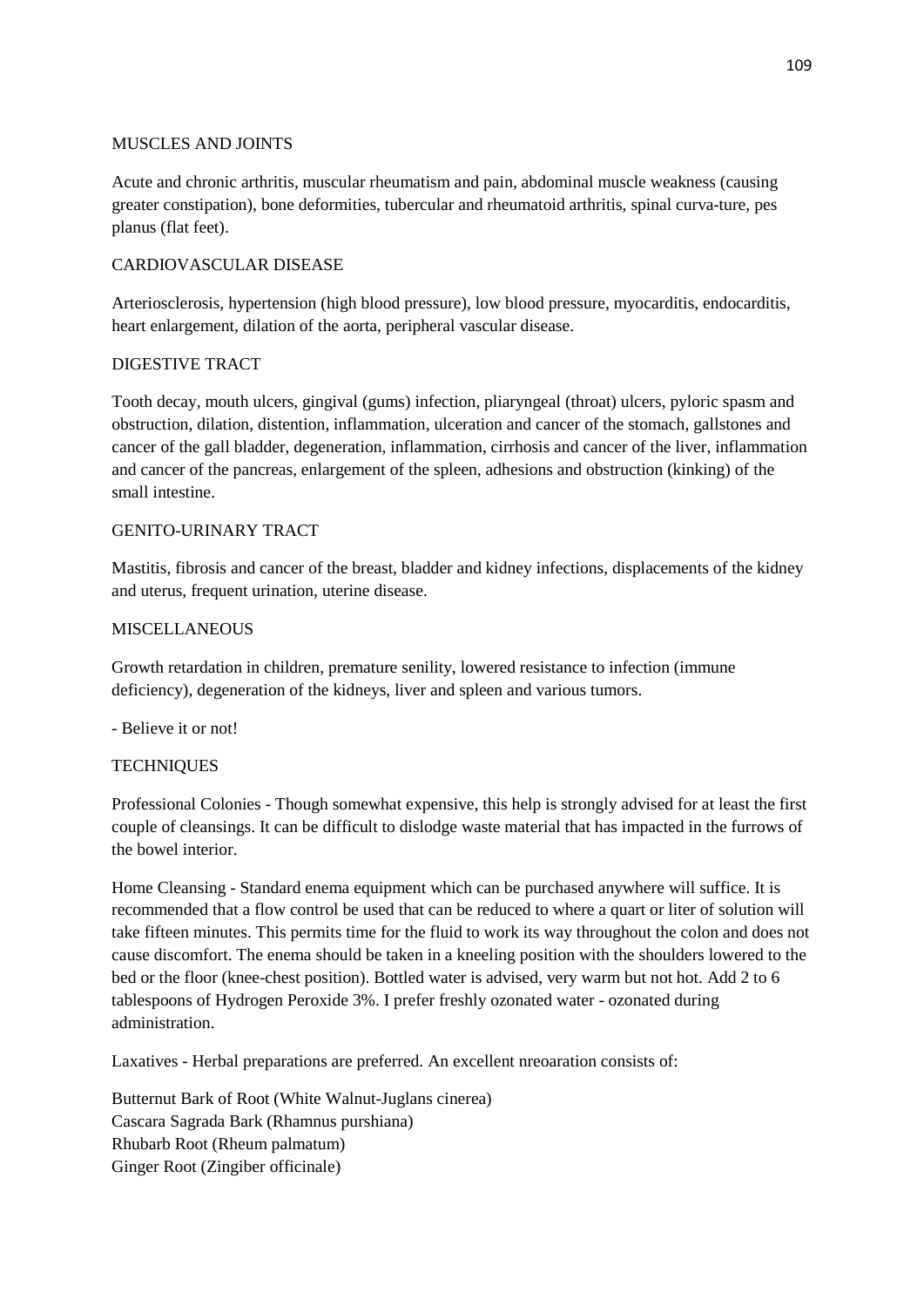## MUSCLES AND JOINTS

Acute and chronic arthritis, muscular rheumatism and pain, abdominal muscle weakness (causing greater constipation), bone deformities, tubercular and rheumatoid arthritis, spinal curva-ture, pes planus (flat feet).

## CARDIOVASCULAR DISEASE

Arteriosclerosis, hypertension (high blood pressure), low blood pressure, myocarditis, endocarditis, heart enlargement, dilation of the aorta, peripheral vascular disease.

## DIGESTIVE TRACT

Tooth decay, mouth ulcers, gingival (gums) infection, pliaryngeal (throat) ulcers, pyloric spasm and obstruction, dilation, distention, inflammation, ulceration and cancer of the stomach, gallstones and cancer of the gall bladder, degeneration, inflammation, cirrhosis and cancer of the liver, inflammation and cancer of the pancreas, enlargement of the spleen, adhesions and obstruction (kinking) of the small intestine.

## GENITO-URINARY TRACT

Mastitis, fibrosis and cancer of the breast, bladder and kidney infections, displacements of the kidney and uterus, frequent urination, uterine disease.

## MISCELL ANEOUS

Growth retardation in children, premature senility, lowered resistance to infection (immune deficiency), degeneration of the kidneys, liver and spleen and various tumors.

- Believe it or not!

## **TECHNIQUES**

Professional Colonies - Though somewhat expensive, this help is strongly advised for at least the first couple of cleansings. It can be difficult to dislodge waste material that has impacted in the furrows of the bowel interior.

Home Cleansing - Standard enema equipment which can be purchased anywhere will suffice. It is recommended that a flow control be used that can be reduced to where a quart or liter of solution will take fifteen minutes. This permits time for the fluid to work its way throughout the colon and does not cause discomfort. The enema should be taken in a kneeling position with the shoulders lowered to the bed or the floor (knee-chest position). Bottled water is advised, very warm but not hot. Add 2 to 6 tablespoons of Hydrogen Peroxide 3%. I prefer freshly ozonated water - ozonated during administration.

Laxatives - Herbal preparations are preferred. An excellent nreoaration consists of:

Butternut Bark of Root (White Walnut-Juglans cinerea) Cascara Sagrada Bark (Rhamnus purshiana) Rhubarb Root (Rheum palmatum) Ginger Root (Zingiber officinale)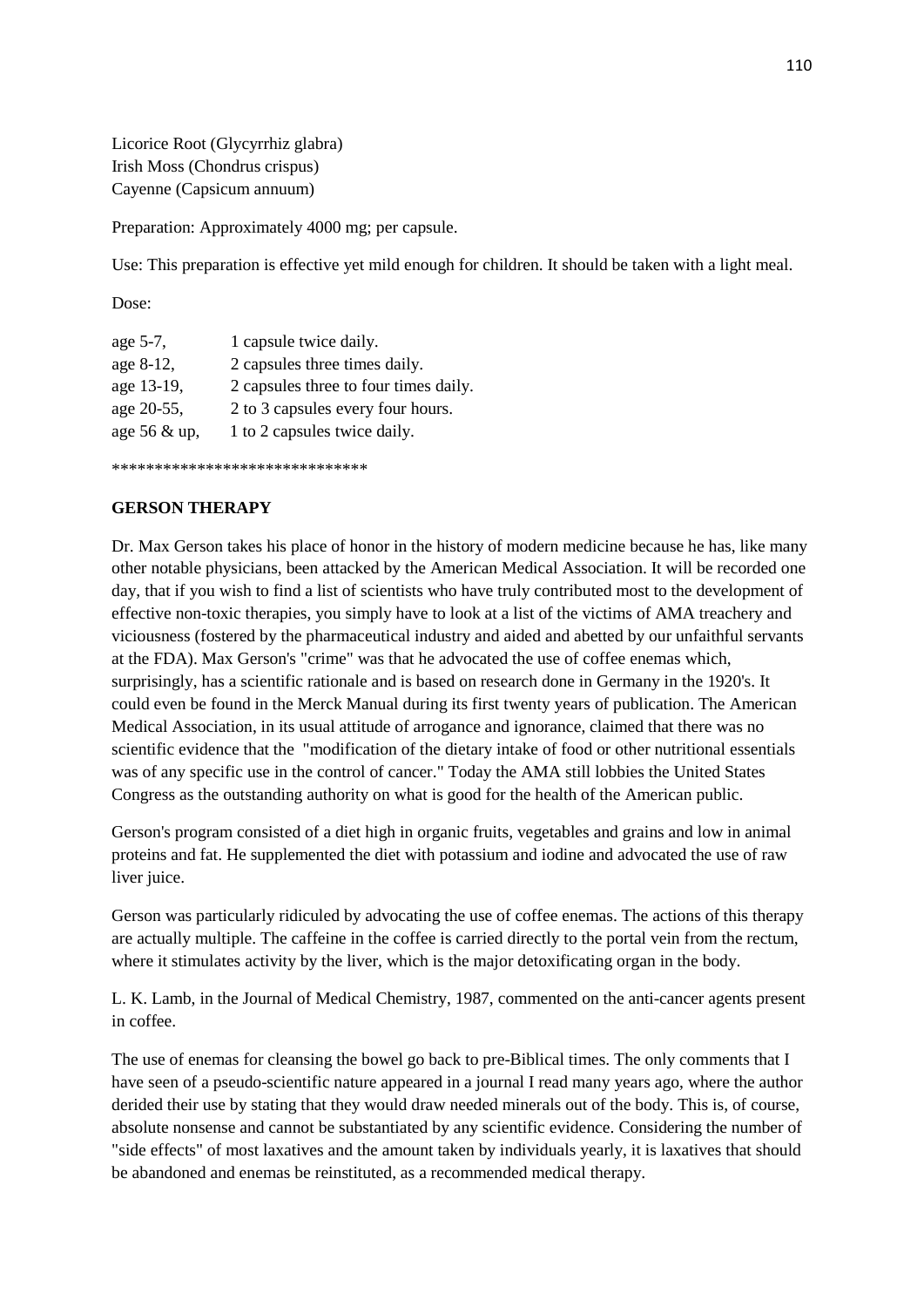Licorice Root (Glycyrrhiz glabra) Irish Moss (Chondrus crispus) Cayenne (Capsicum annuum)

Preparation: Approximately 4000 mg; per capsule.

Use: This preparation is effective yet mild enough for children. It should be taken with a light meal.

Dose:

| age 5-7,         | 1 capsule twice daily.                |
|------------------|---------------------------------------|
| age 8-12,        | 2 capsules three times daily.         |
| age 13-19,       | 2 capsules three to four times daily. |
| age 20-55,       | 2 to 3 capsules every four hours.     |
| age $56 \& up$ , | 1 to 2 capsules twice daily.          |
|                  |                                       |

\*\*\*\*\*\*\*\*\*\*\*\*\*\*\*\*\*\*\*\*\*\*\*\*\*\*\*\*\*\*

## **GERSON THERAPY**

Dr. Max Gerson takes his place of honor in the history of modern medicine because he has, like many other notable physicians, been attacked by the American Medical Association. It will be recorded one day, that if you wish to find a list of scientists who have truly contributed most to the development of effective non-toxic therapies, you simply have to look at a list of the victims of AMA treachery and viciousness (fostered by the pharmaceutical industry and aided and abetted by our unfaithful servants at the FDA). Max Gerson's "crime" was that he advocated the use of coffee enemas which, surprisingly, has a scientific rationale and is based on research done in Germany in the 1920's. It could even be found in the Merck Manual during its first twenty years of publication. The American Medical Association, in its usual attitude of arrogance and ignorance, claimed that there was no scientific evidence that the "modification of the dietary intake of food or other nutritional essentials was of any specific use in the control of cancer." Today the AMA still lobbies the United States Congress as the outstanding authority on what is good for the health of the American public.

Gerson's program consisted of a diet high in organic fruits, vegetables and grains and low in animal proteins and fat. He supplemented the diet with potassium and iodine and advocated the use of raw liver juice.

Gerson was particularly ridiculed by advocating the use of coffee enemas. The actions of this therapy are actually multiple. The caffeine in the coffee is carried directly to the portal vein from the rectum, where it stimulates activity by the liver, which is the major detoxificating organ in the body.

L. K. Lamb, in the Journal of Medical Chemistry, 1987, commented on the anti-cancer agents present in coffee.

The use of enemas for cleansing the bowel go back to pre-Biblical times. The only comments that I have seen of a pseudo-scientific nature appeared in a journal I read many years ago, where the author derided their use by stating that they would draw needed minerals out of the body. This is, of course, absolute nonsense and cannot be substantiated by any scientific evidence. Considering the number of "side effects" of most laxatives and the amount taken by individuals yearly, it is laxatives that should be abandoned and enemas be reinstituted, as a recommended medical therapy.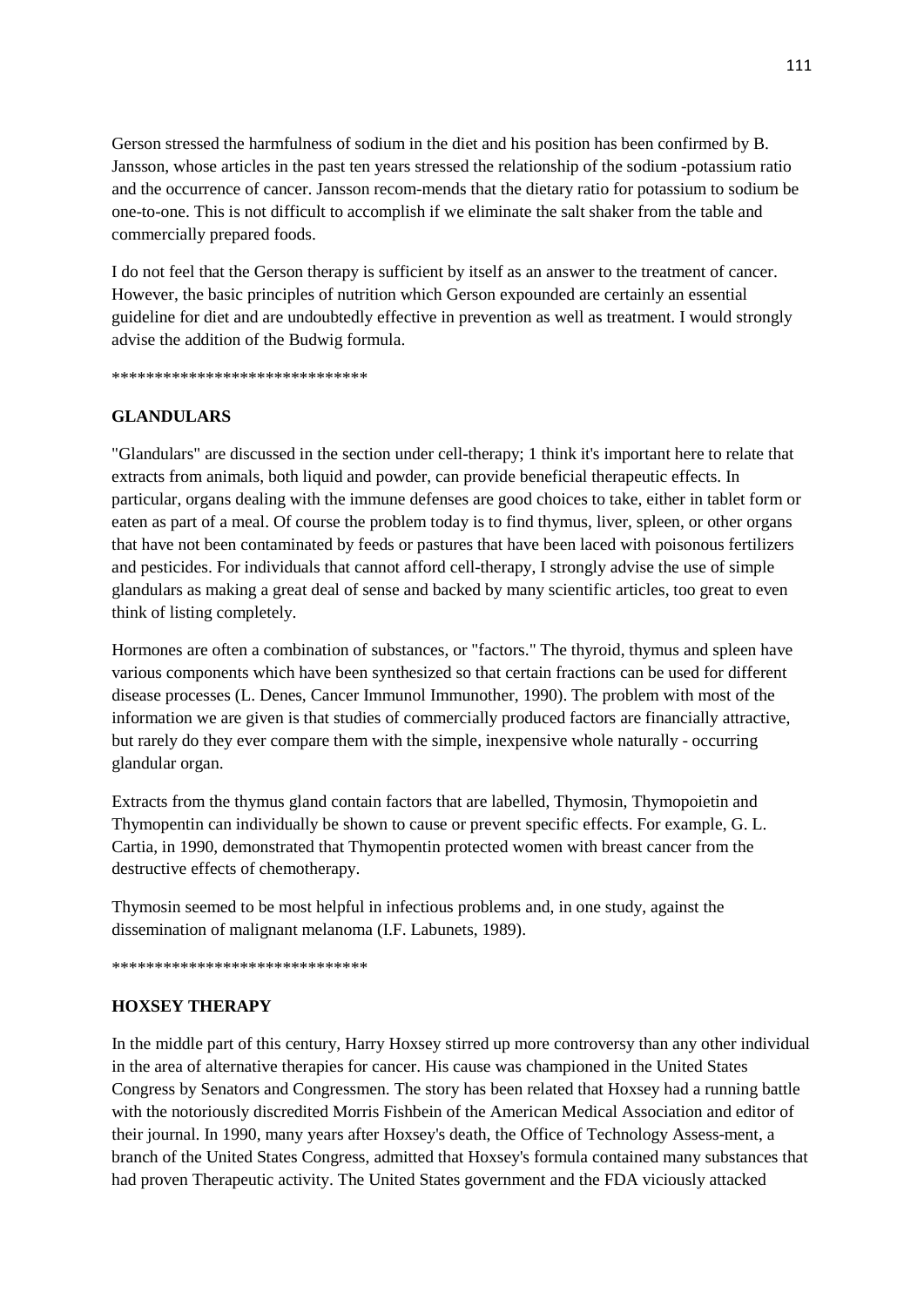Gerson stressed the harmfulness of sodium in the diet and his position has been confirmed by B. Jansson, whose articles in the past ten years stressed the relationship of the sodium -potassium ratio and the occurrence of cancer. Jansson recom-mends that the dietary ratio for potassium to sodium be one-to-one. This is not difficult to accomplish if we eliminate the salt shaker from the table and commercially prepared foods.

I do not feel that the Gerson therapy is sufficient by itself as an answer to the treatment of cancer. However, the basic principles of nutrition which Gerson expounded are certainly an essential guideline for diet and are undoubtedly effective in prevention as well as treatment. I would strongly advise the addition of the Budwig formula.

\*\*\*\*\*\*\*\*\*\*\*\*\*\*\*\*\*\*\*\*\*\*\*\*\*\*\*\*\*\*

## **GLANDULARS**

"Glandulars" are discussed in the section under cell-therapy; 1 think it's important here to relate that extracts from animals, both liquid and powder, can provide beneficial therapeutic effects. In particular, organs dealing with the immune defenses are good choices to take, either in tablet form or eaten as part of a meal. Of course the problem today is to find thymus, liver, spleen, or other organs that have not been contaminated by feeds or pastures that have been laced with poisonous fertilizers and pesticides. For individuals that cannot afford cell-therapy, I strongly advise the use of simple glandulars as making a great deal of sense and backed by many scientific articles, too great to even think of listing completely.

Hormones are often a combination of substances, or "factors." The thyroid, thymus and spleen have various components which have been synthesized so that certain fractions can be used for different disease processes (L. Denes, Cancer Immunol Immunother, 1990). The problem with most of the information we are given is that studies of commercially produced factors are financially attractive, but rarely do they ever compare them with the simple, inexpensive whole naturally - occurring glandular organ.

Extracts from the thymus gland contain factors that are labelled, Thymosin, Thymopoietin and Thymopentin can individually be shown to cause or prevent specific effects. For example, G. L. Cartia, in 1990, demonstrated that Thymopentin protected women with breast cancer from the destructive effects of chemotherapy.

Thymosin seemed to be most helpful in infectious problems and, in one study, against the dissemination of malignant melanoma (I.F. Labunets, 1989).

\*\*\*\*\*\*\*\*\*\*\*\*\*\*\*\*\*\*\*\*\*\*\*\*\*\*\*\*\*\*

#### **HOXSEY THERAPY**

In the middle part of this century, Harry Hoxsey stirred up more controversy than any other individual in the area of alternative therapies for cancer. His cause was championed in the United States Congress by Senators and Congressmen. The story has been related that Hoxsey had a running battle with the notoriously discredited Morris Fishbein of the American Medical Association and editor of their journal. In 1990, many years after Hoxsey's death, the Office of Technology Assess-ment, a branch of the United States Congress, admitted that Hoxsey's formula contained many substances that had proven Therapeutic activity. The United States government and the FDA viciously attacked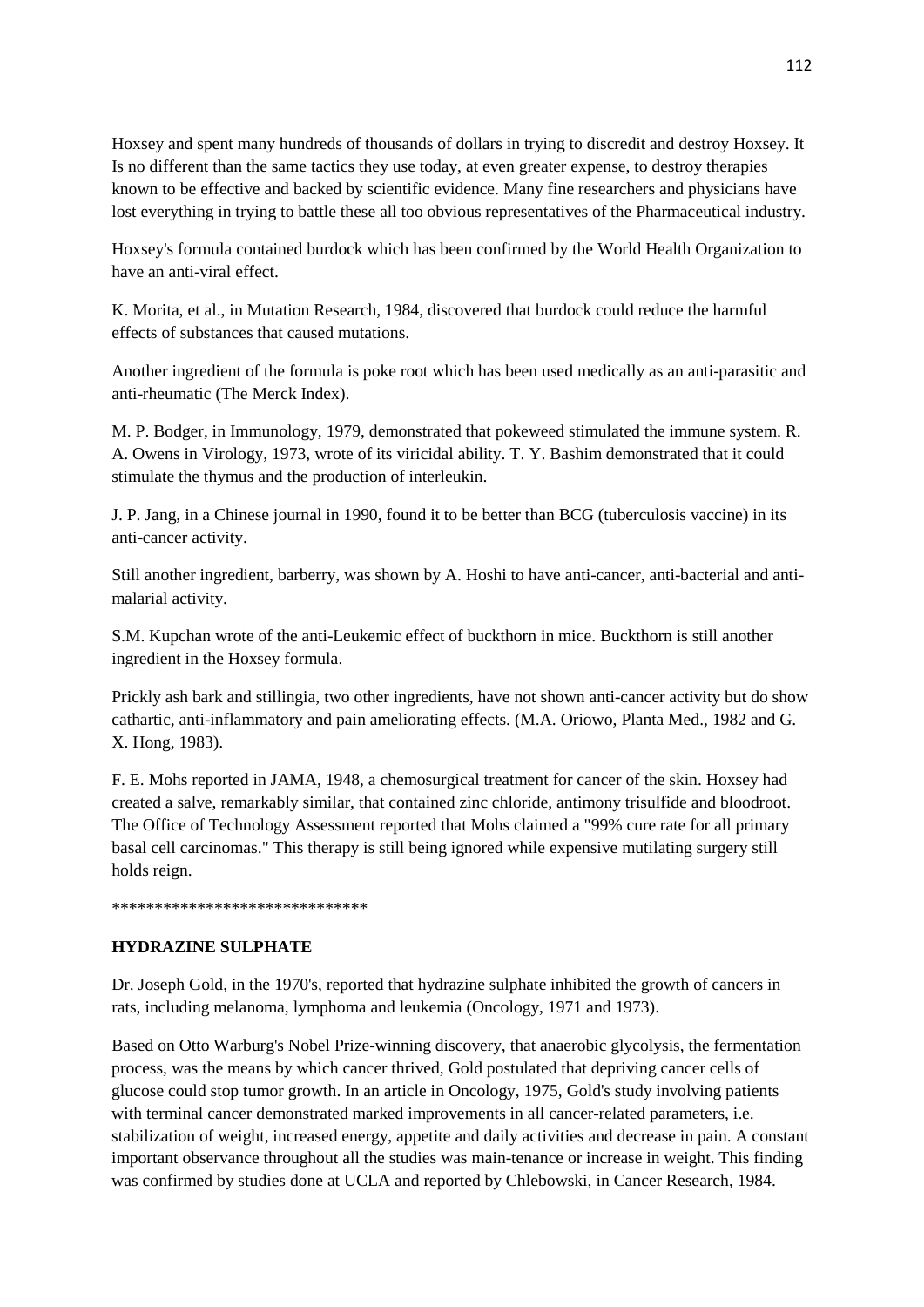Hoxsey and spent many hundreds of thousands of dollars in trying to discredit and destroy Hoxsey. It Is no different than the same tactics they use today, at even greater expense, to destroy therapies known to be effective and backed by scientific evidence. Many fine researchers and physicians have lost everything in trying to battle these all too obvious representatives of the Pharmaceutical industry.

Hoxsey's formula contained burdock which has been confirmed by the World Health Organization to have an anti-viral effect.

K. Morita, et al., in Mutation Research, 1984, discovered that burdock could reduce the harmful effects of substances that caused mutations.

Another ingredient of the formula is poke root which has been used medically as an anti-parasitic and anti-rheumatic (The Merck Index).

M. P. Bodger, in Immunology, 1979, demonstrated that pokeweed stimulated the immune system. R. A. Owens in Virology, 1973, wrote of its viricidal ability. T. Y. Bashim demonstrated that it could stimulate the thymus and the production of interleukin.

J. P. Jang, in a Chinese journal in 1990, found it to be better than BCG (tuberculosis vaccine) in its anti-cancer activity.

Still another ingredient, barberry, was shown by A. Hoshi to have anti-cancer, anti-bacterial and antimalarial activity.

S.M. Kupchan wrote of the anti-Leukemic effect of buckthorn in mice. Buckthorn is still another ingredient in the Hoxsey formula.

Prickly ash bark and stillingia, two other ingredients, have not shown anti-cancer activity but do show cathartic, anti-inflammatory and pain ameliorating effects. (M.A. Oriowo, Planta Med., 1982 and G. X. Hong, 1983).

F. E. Mohs reported in JAMA, 1948, a chemosurgical treatment for cancer of the skin. Hoxsey had created a salve, remarkably similar, that contained zinc chloride, antimony trisulfide and bloodroot. The Office of Technology Assessment reported that Mohs claimed a "99% cure rate for all primary basal cell carcinomas." This therapy is still being ignored while expensive mutilating surgery still holds reign.

\*\*\*\*\*\*\*\*\*\*\*\*\*\*\*\*\*\*\*\*\*\*\*\*\*\*\*

## **HYDRAZINE SULPHATE**

Dr. Joseph Gold, in the 1970's, reported that hydrazine sulphate inhibited the growth of cancers in rats, including melanoma, lymphoma and leukemia (Oncology, 1971 and 1973).

Based on Otto Warburg's Nobel Prize-winning discovery, that anaerobic glycolysis, the fermentation process, was the means by which cancer thrived, Gold postulated that depriving cancer cells of glucose could stop tumor growth. In an article in Oncology, 1975, Gold's study involving patients with terminal cancer demonstrated marked improvements in all cancer-related parameters, i.e. stabilization of weight, increased energy, appetite and daily activities and decrease in pain. A constant important observance throughout all the studies was main-tenance or increase in weight. This finding was confirmed by studies done at UCLA and reported by Chlebowski, in Cancer Research, 1984.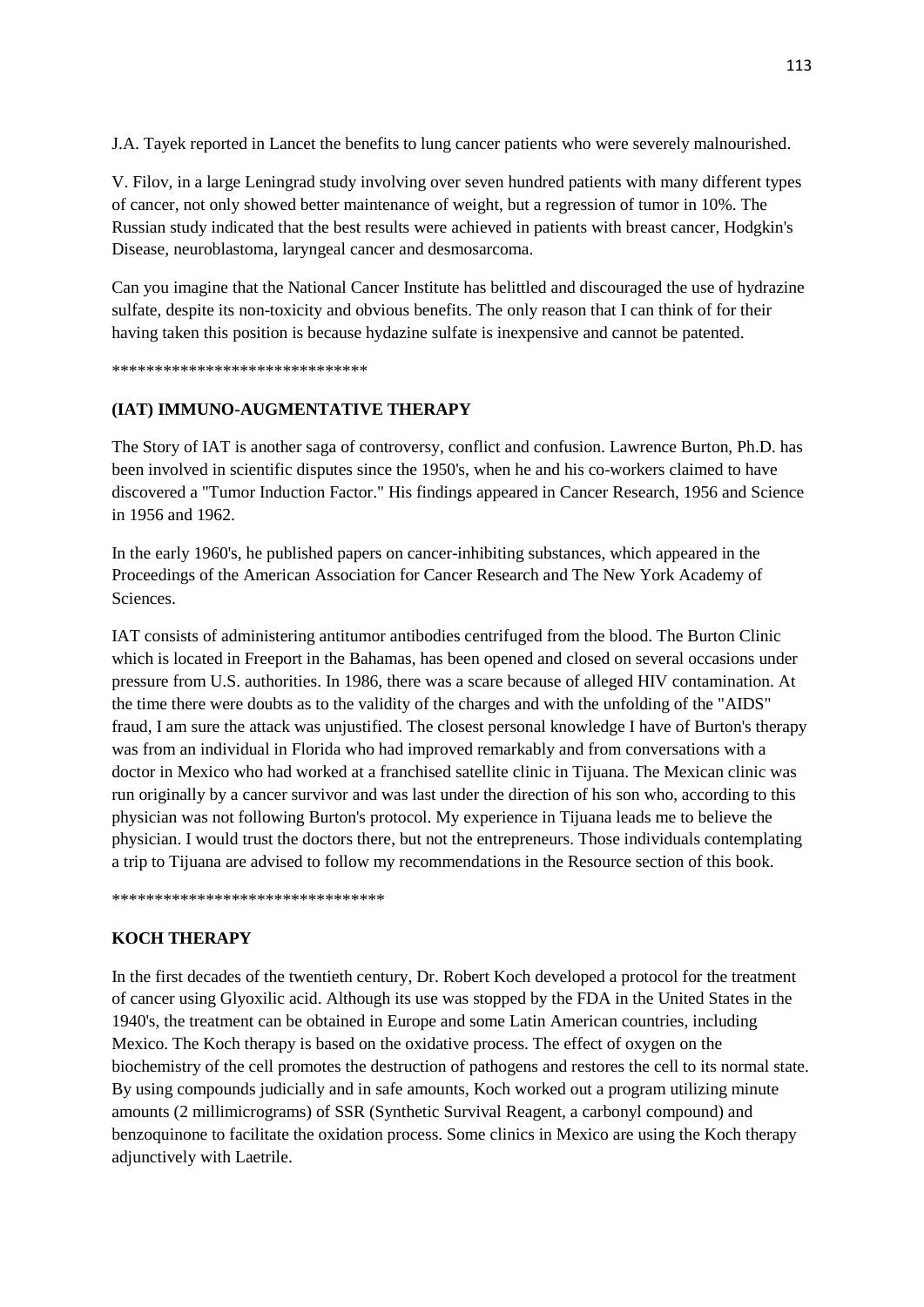J.A. Tayek reported in Lancet the benefits to lung cancer patients who were severely malnourished.

V. Filov, in a large Leningrad study involving over seven hundred patients with many different types of cancer, not only showed better maintenance of weight, but a regression of tumor in 10%. The Russian study indicated that the best results were achieved in patients with breast cancer, Hodgkin's Disease, neuroblastoma, laryngeal cancer and desmosarcoma.

Can you imagine that the National Cancer Institute has belittled and discouraged the use of hydrazine sulfate, despite its non-toxicity and obvious benefits. The only reason that I can think of for their having taken this position is because hydazine sulfate is inexpensive and cannot be patented.

\*\*\*\*\*\*\*\*\*\*\*\*\*\*\*\*\*\*\*\*\*\*\*\*\*\*\*\*\*\*

#### **(IAT) IMMUNO-AUGMENTATIVE THERAPY**

The Story of IAT is another saga of controversy, conflict and confusion. Lawrence Burton, Ph.D. has been involved in scientific disputes since the 1950's, when he and his co-workers claimed to have discovered a "Tumor Induction Factor." His findings appeared in Cancer Research, 1956 and Science in 1956 and 1962.

In the early 1960's, he published papers on cancer-inhibiting substances, which appeared in the Proceedings of the American Association for Cancer Research and The New York Academy of Sciences.

IAT consists of administering antitumor antibodies centrifuged from the blood. The Burton Clinic which is located in Freeport in the Bahamas, has been opened and closed on several occasions under pressure from U.S. authorities. In 1986, there was a scare because of alleged HIV contamination. At the time there were doubts as to the validity of the charges and with the unfolding of the "AIDS" fraud, I am sure the attack was unjustified. The closest personal knowledge I have of Burton's therapy was from an individual in Florida who had improved remarkably and from conversations with a doctor in Mexico who had worked at a franchised satellite clinic in Tijuana. The Mexican clinic was run originally by a cancer survivor and was last under the direction of his son who, according to this physician was not following Burton's protocol. My experience in Tijuana leads me to believe the physician. I would trust the doctors there, but not the entrepreneurs. Those individuals contemplating a trip to Tijuana are advised to follow my recommendations in the Resource section of this book.

\*\*\*\*\*\*\*\*\*\*\*\*\*\*\*\*\*\*\*\*\*\*\*\*\*\*\*\*\*\*\*\*

#### **KOCH THERAPY**

In the first decades of the twentieth century, Dr. Robert Koch developed a protocol for the treatment of cancer using Glyoxilic acid. Although its use was stopped by the FDA in the United States in the 1940's, the treatment can be obtained in Europe and some Latin American countries, including Mexico. The Koch therapy is based on the oxidative process. The effect of oxygen on the biochemistry of the cell promotes the destruction of pathogens and restores the cell to its normal state. By using compounds judicially and in safe amounts, Koch worked out a program utilizing minute amounts (2 millimicrograms) of SSR (Synthetic Survival Reagent, a carbonyl compound) and benzoquinone to facilitate the oxidation process. Some clinics in Mexico are using the Koch therapy adjunctively with Laetrile.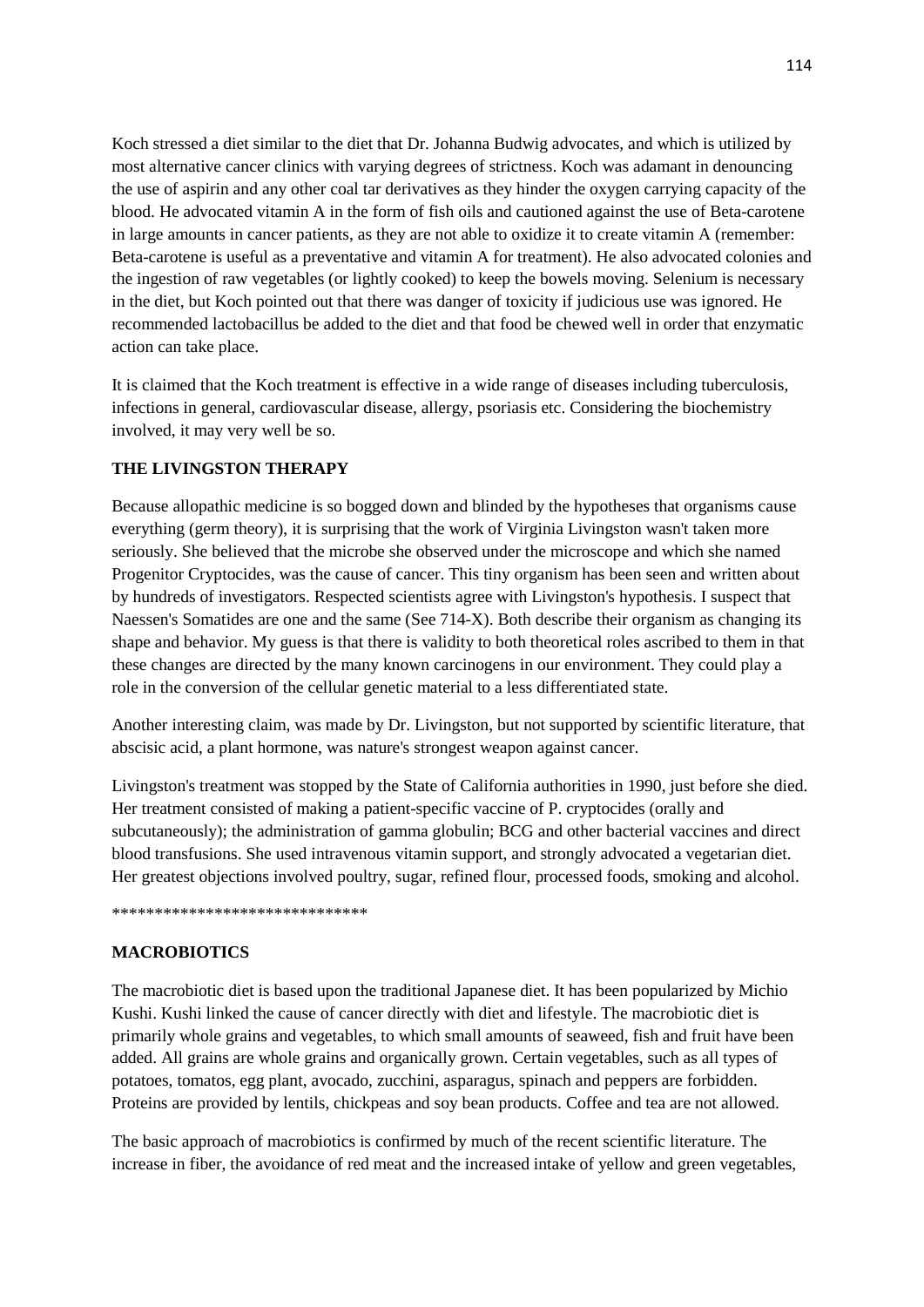Koch stressed a diet similar to the diet that Dr. Johanna Budwig advocates, and which is utilized by most alternative cancer clinics with varying degrees of strictness. Koch was adamant in denouncing the use of aspirin and any other coal tar derivatives as they hinder the oxygen carrying capacity of the blood. He advocated vitamin A in the form of fish oils and cautioned against the use of Beta-carotene in large amounts in cancer patients, as they are not able to oxidize it to create vitamin A (remember: Beta-carotene is useful as a preventative and vitamin A for treatment). He also advocated colonies and the ingestion of raw vegetables (or lightly cooked) to keep the bowels moving. Selenium is necessary in the diet, but Koch pointed out that there was danger of toxicity if judicious use was ignored. He recommended lactobacillus be added to the diet and that food be chewed well in order that enzymatic action can take place.

It is claimed that the Koch treatment is effective in a wide range of diseases including tuberculosis, infections in general, cardiovascular disease, allergy, psoriasis etc. Considering the biochemistry involved, it may very well be so.

#### **THE LIVINGSTON THERAPY**

Because allopathic medicine is so bogged down and blinded by the hypotheses that organisms cause everything (germ theory), it is surprising that the work of Virginia Livingston wasn't taken more seriously. She believed that the microbe she observed under the microscope and which she named Progenitor Cryptocides, was the cause of cancer. This tiny organism has been seen and written about by hundreds of investigators. Respected scientists agree with Livingston's hypothesis. I suspect that Naessen's Somatides are one and the same (See 714-X). Both describe their organism as changing its shape and behavior. My guess is that there is validity to both theoretical roles ascribed to them in that these changes are directed by the many known carcinogens in our environment. They could play a role in the conversion of the cellular genetic material to a less differentiated state.

Another interesting claim, was made by Dr. Livingston, but not supported by scientific literature, that abscisic acid, a plant hormone, was nature's strongest weapon against cancer.

Livingston's treatment was stopped by the State of California authorities in 1990, just before she died. Her treatment consisted of making a patient-specific vaccine of P. cryptocides (orally and subcutaneously); the administration of gamma globulin; BCG and other bacterial vaccines and direct blood transfusions. She used intravenous vitamin support, and strongly advocated a vegetarian diet. Her greatest objections involved poultry, sugar, refined flour, processed foods, smoking and alcohol.

\*\*\*\*\*\*\*\*\*\*\*\*\*\*\*\*\*\*\*\*\*\*\*\*\*\*\*\*\*\*

## **MACROBIOTICS**

The macrobiotic diet is based upon the traditional Japanese diet. It has been popularized by Michio Kushi. Kushi linked the cause of cancer directly with diet and lifestyle. The macrobiotic diet is primarily whole grains and vegetables, to which small amounts of seaweed, fish and fruit have been added. All grains are whole grains and organically grown. Certain vegetables, such as all types of potatoes, tomatos, egg plant, avocado, zucchini, asparagus, spinach and peppers are forbidden. Proteins are provided by lentils, chickpeas and soy bean products. Coffee and tea are not allowed.

The basic approach of macrobiotics is confirmed by much of the recent scientific literature. The increase in fiber, the avoidance of red meat and the increased intake of yellow and green vegetables,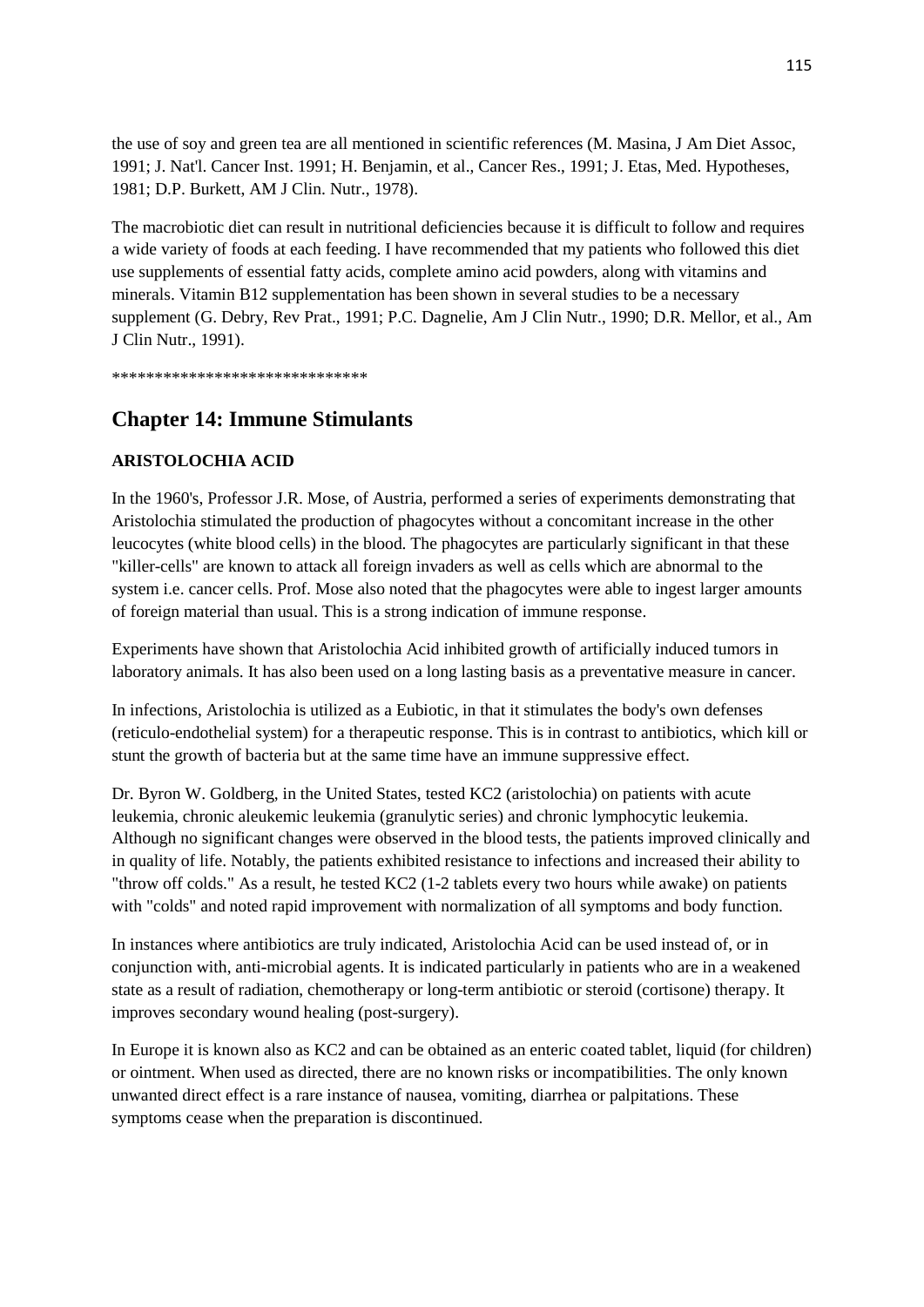the use of soy and green tea are all mentioned in scientific references (M. Masina, J Am Diet Assoc, 1991; J. Nat'l. Cancer Inst. 1991; H. Benjamin, et al., Cancer Res., 1991; J. Etas, Med. Hypotheses, 1981; D.P. Burkett, AM J Clin. Nutr., 1978).

The macrobiotic diet can result in nutritional deficiencies because it is difficult to follow and requires a wide variety of foods at each feeding. I have recommended that my patients who followed this diet use supplements of essential fatty acids, complete amino acid powders, along with vitamins and minerals. Vitamin B12 supplementation has been shown in several studies to be a necessary supplement (G. Debry, Rev Prat., 1991; P.C. Dagnelie, Am J Clin Nutr., 1990; D.R. Mellor, et al., Am J Clin Nutr., 1991).

\*\*\*\*\*\*\*\*\*\*\*\*\*\*\*\*\*\*\*\*\*\*\*\*\*\*\*\*\*\*

# **Chapter 14: Immune Stimulants**

## **ARISTOLOCHIA ACID**

In the 1960's, Professor J.R. Mose, of Austria, performed a series of experiments demonstrating that Aristolochia stimulated the production of phagocytes without a concomitant increase in the other leucocytes (white blood cells) in the blood. The phagocytes are particularly significant in that these "killer-cells" are known to attack all foreign invaders as well as cells which are abnormal to the system i.e. cancer cells. Prof. Mose also noted that the phagocytes were able to ingest larger amounts of foreign material than usual. This is a strong indication of immune response.

Experiments have shown that Aristolochia Acid inhibited growth of artificially induced tumors in laboratory animals. It has also been used on a long lasting basis as a preventative measure in cancer.

In infections, Aristolochia is utilized as a Eubiotic, in that it stimulates the body's own defenses (reticulo-endothelial system) for a therapeutic response. This is in contrast to antibiotics, which kill or stunt the growth of bacteria but at the same time have an immune suppressive effect.

Dr. Byron W. Goldberg, in the United States, tested KC2 (aristolochia) on patients with acute leukemia, chronic aleukemic leukemia (granulytic series) and chronic lymphocytic leukemia. Although no significant changes were observed in the blood tests, the patients improved clinically and in quality of life. Notably, the patients exhibited resistance to infections and increased their ability to "throw off colds." As a result, he tested KC2 (1-2 tablets every two hours while awake) on patients with "colds" and noted rapid improvement with normalization of all symptoms and body function.

In instances where antibiotics are truly indicated, Aristolochia Acid can be used instead of, or in conjunction with, anti-microbial agents. It is indicated particularly in patients who are in a weakened state as a result of radiation, chemotherapy or long-term antibiotic or steroid (cortisone) therapy. It improves secondary wound healing (post-surgery).

In Europe it is known also as KC2 and can be obtained as an enteric coated tablet, liquid (for children) or ointment. When used as directed, there are no known risks or incompatibilities. The only known unwanted direct effect is a rare instance of nausea, vomiting, diarrhea or palpitations. These symptoms cease when the preparation is discontinued.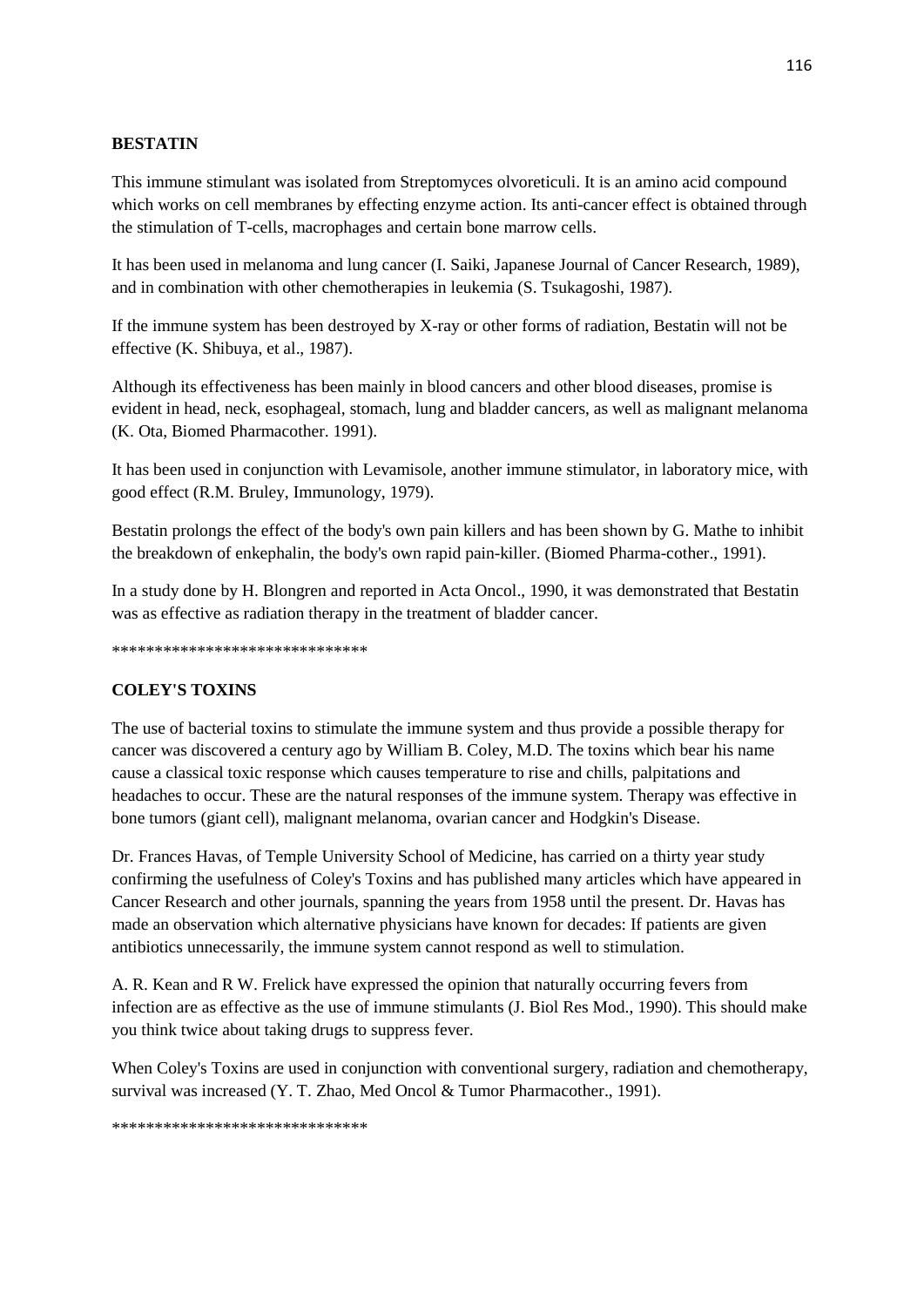## **BESTATIN**

This immune stimulant was isolated from Streptomyces olvoreticuli. It is an amino acid compound which works on cell membranes by effecting enzyme action. Its anti-cancer effect is obtained through the stimulation of T-cells, macrophages and certain bone marrow cells.

It has been used in melanoma and lung cancer (I. Saiki, Japanese Journal of Cancer Research, 1989), and in combination with other chemotherapies in leukemia (S. Tsukagoshi, 1987).

If the immune system has been destroyed by X-ray or other forms of radiation, Bestatin will not be effective (K. Shibuya, et al., 1987).

Although its effectiveness has been mainly in blood cancers and other blood diseases, promise is evident in head, neck, esophageal, stomach, lung and bladder cancers, as well as malignant melanoma (K. Ota, Biomed Pharmacother. 1991).

It has been used in conjunction with Levamisole, another immune stimulator, in laboratory mice, with good effect (R.M. Bruley, Immunology, 1979).

Bestatin prolongs the effect of the body's own pain killers and has been shown by G. Mathe to inhibit the breakdown of enkephalin, the body's own rapid pain-killer. (Biomed Pharma-cother., 1991).

In a study done by H. Blongren and reported in Acta Oncol., 1990, it was demonstrated that Bestatin was as effective as radiation therapy in the treatment of bladder cancer.

\*\*\*\*\*\*\*\*\*\*\*\*\*\*\*\*\*\*\*\*\*\*\*\*\*\*\*\*\*\*

## **COLEY'S TOXINS**

The use of bacterial toxins to stimulate the immune system and thus provide a possible therapy for cancer was discovered a century ago by William B. Coley, M.D. The toxins which bear his name cause a classical toxic response which causes temperature to rise and chills, palpitations and headaches to occur. These are the natural responses of the immune system. Therapy was effective in bone tumors (giant cell), malignant melanoma, ovarian cancer and Hodgkin's Disease.

Dr. Frances Havas, of Temple University School of Medicine, has carried on a thirty year study confirming the usefulness of Coley's Toxins and has published many articles which have appeared in Cancer Research and other journals, spanning the years from 1958 until the present. Dr. Havas has made an observation which alternative physicians have known for decades: If patients are given antibiotics unnecessarily, the immune system cannot respond as well to stimulation.

A. R. Kean and R W. Frelick have expressed the opinion that naturally occurring fevers from infection are as effective as the use of immune stimulants (J. Biol Res Mod., 1990). This should make you think twice about taking drugs to suppress fever.

When Coley's Toxins are used in conjunction with conventional surgery, radiation and chemotherapy, survival was increased (Y. T. Zhao, Med Oncol & Tumor Pharmacother., 1991).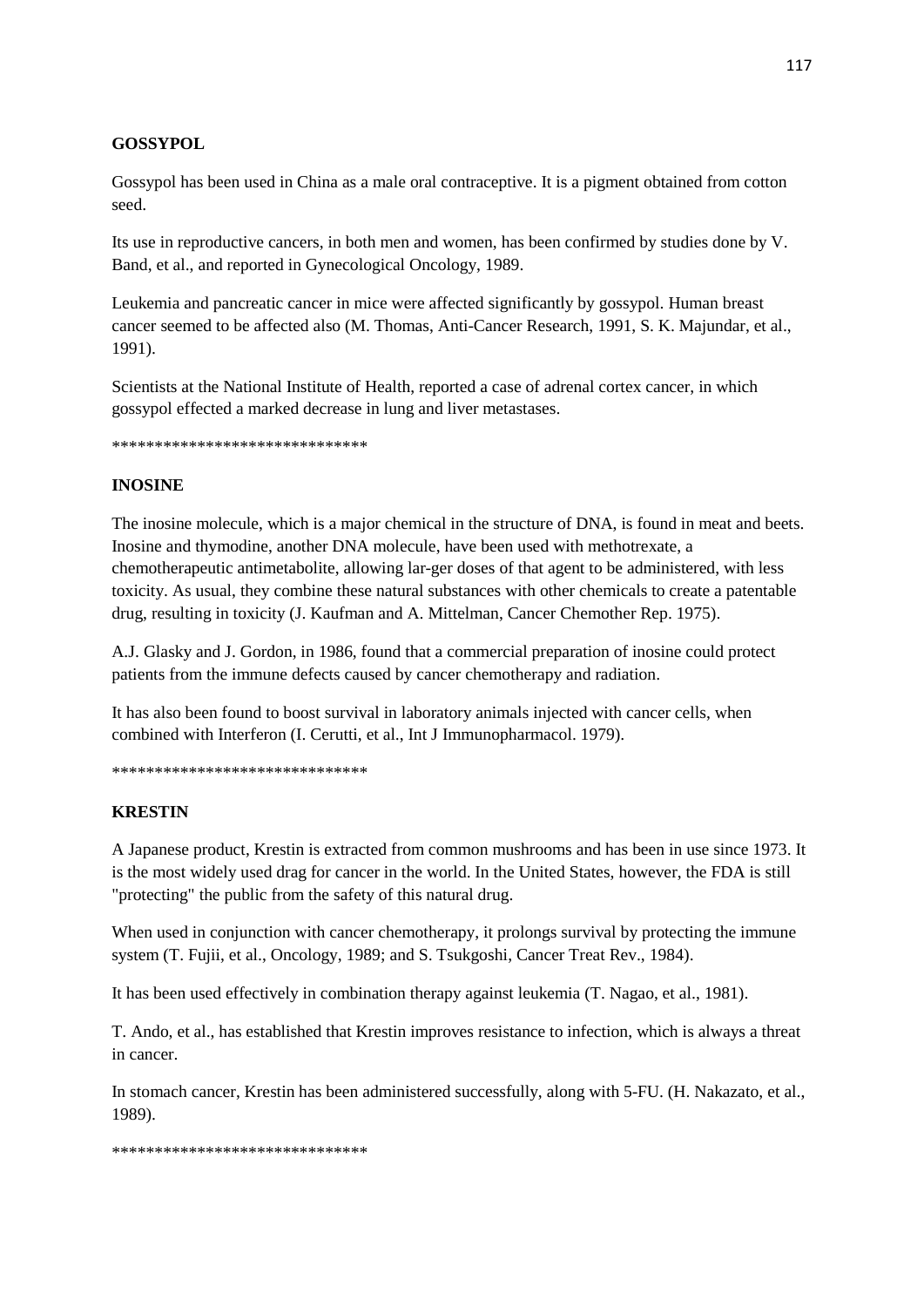## **GOSSYPOL**

Gossypol has been used in China as a male oral contraceptive. It is a pigment obtained from cotton seed.

Its use in reproductive cancers, in both men and women, has been confirmed by studies done by V. Band, et al., and reported in Gynecological Oncology, 1989.

Leukemia and pancreatic cancer in mice were affected significantly by gossypol. Human breast cancer seemed to be affected also (M. Thomas, Anti-Cancer Research, 1991, S. K. Majundar, et al., 1991).

Scientists at the National Institute of Health, reported a case of adrenal cortex cancer, in which gossypol effected a marked decrease in lung and liver metastases.

\*\*\*\*\*\*\*\*\*\*\*\*\*\*\*\*\*\*\*\*\*\*\*\*\*\*\*\*\*\*

## **INOSINE**

The inosine molecule, which is a major chemical in the structure of DNA, is found in meat and beets. Inosine and thymodine, another DNA molecule, have been used with methotrexate, a chemotherapeutic antimetabolite, allowing lar-ger doses of that agent to be administered, with less toxicity. As usual, they combine these natural substances with other chemicals to create a patentable drug, resulting in toxicity (J. Kaufman and A. Mittelman, Cancer Chemother Rep. 1975).

A.J. Glasky and J. Gordon, in 1986, found that a commercial preparation of inosine could protect patients from the immune defects caused by cancer chemotherapy and radiation.

It has also been found to boost survival in laboratory animals injected with cancer cells, when combined with Interferon (I. Cerutti, et al., Int J Immunopharmacol. 1979).

\*\*\*\*\*\*\*\*\*\*\*\*\*\*\*\*\*\*\*\*\*\*\*\*\*\*\*\*\*\*

## **KRESTIN**

A Japanese product, Krestin is extracted from common mushrooms and has been in use since 1973. It is the most widely used drag for cancer in the world. In the United States, however, the FDA is still "protecting" the public from the safety of this natural drug.

When used in conjunction with cancer chemotherapy, it prolongs survival by protecting the immune system (T. Fujii, et al., Oncology, 1989; and S. Tsukgoshi, Cancer Treat Rev., 1984).

It has been used effectively in combination therapy against leukemia (T. Nagao, et al., 1981).

T. Ando, et al., has established that Krestin improves resistance to infection, which is always a threat in cancer.

In stomach cancer, Krestin has been administered successfully, along with 5-FU. (H. Nakazato, et al., 1989).

\*\*\*\*\*\*\*\*\*\*\*\*\*\*\*\*\*\*\*\*\*\*\*\*\*\*\*\*\*\*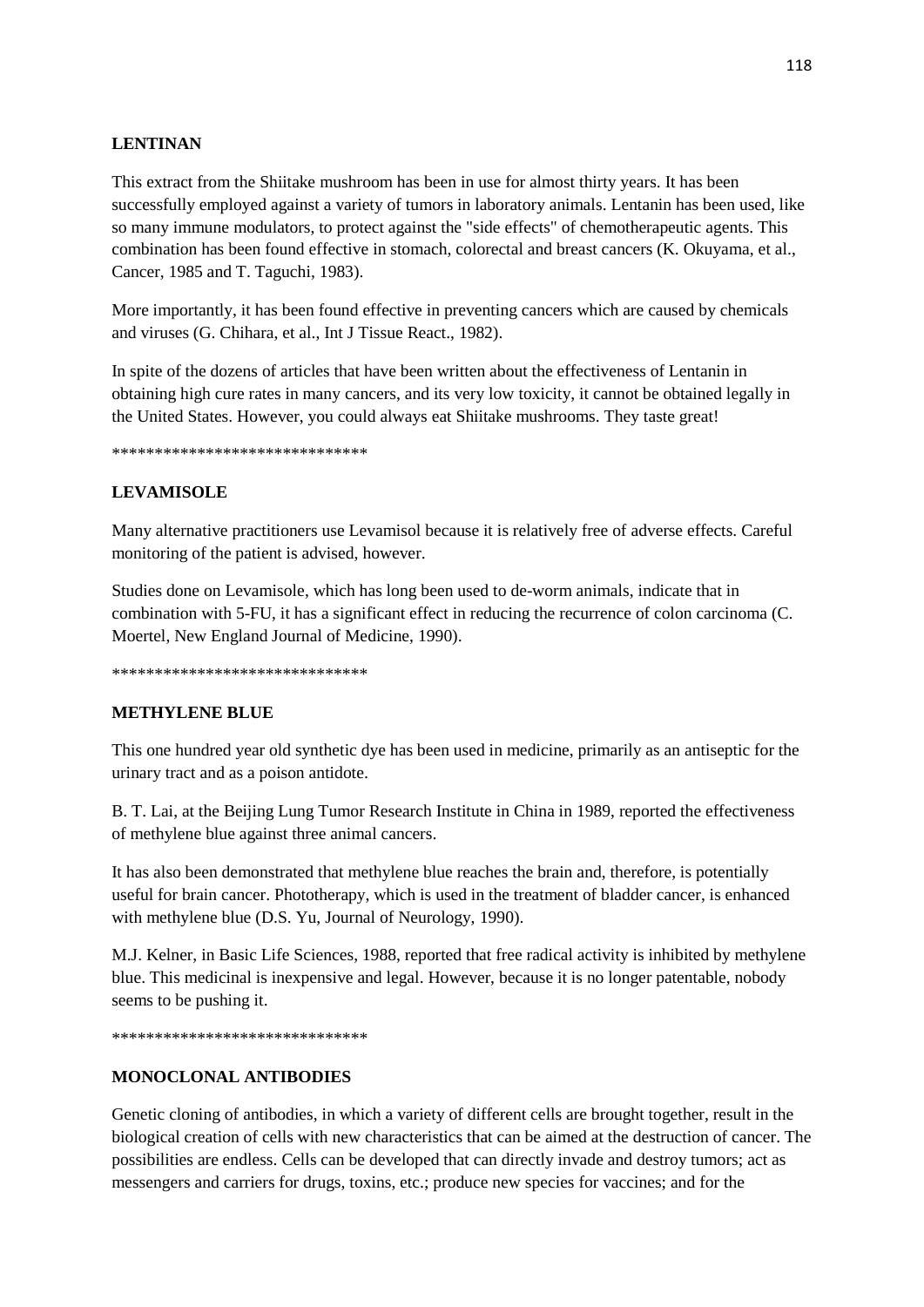## **LENTINAN**

This extract from the Shiitake mushroom has been in use for almost thirty years. It has been successfully employed against a variety of tumors in laboratory animals. Lentanin has been used, like so many immune modulators, to protect against the "side effects" of chemotherapeutic agents. This combination has been found effective in stomach, colorectal and breast cancers (K. Okuyama, et al., Cancer, 1985 and T. Taguchi, 1983).

More importantly, it has been found effective in preventing cancers which are caused by chemicals and viruses (G. Chihara, et al., Int J Tissue React., 1982).

In spite of the dozens of articles that have been written about the effectiveness of Lentanin in obtaining high cure rates in many cancers, and its very low toxicity, it cannot be obtained legally in the United States. However, you could always eat Shiitake mushrooms. They taste great!

\*\*\*\*\*\*\*\*\*\*\*\*\*\*\*\*\*\*\*\*\*\*\*\*\*\*\*\*\*\*

## **LEVAMISOLE**

Many alternative practitioners use Levamisol because it is relatively free of adverse effects. Careful monitoring of the patient is advised, however.

Studies done on Levamisole, which has long been used to de-worm animals, indicate that in combination with 5-FU, it has a significant effect in reducing the recurrence of colon carcinoma (C. Moertel, New England Journal of Medicine, 1990).

\*\*\*\*\*\*\*\*\*\*\*\*\*\*\*\*\*\*\*\*\*\*\*\*\*\*\*\*\*\*

## **METHYLENE BLUE**

This one hundred year old synthetic dye has been used in medicine, primarily as an antiseptic for the urinary tract and as a poison antidote.

B. T. Lai, at the Beijing Lung Tumor Research Institute in China in 1989, reported the effectiveness of methylene blue against three animal cancers.

It has also been demonstrated that methylene blue reaches the brain and, therefore, is potentially useful for brain cancer. Phototherapy, which is used in the treatment of bladder cancer, is enhanced with methylene blue (D.S. Yu, Journal of Neurology, 1990).

M.J. Kelner, in Basic Life Sciences, 1988, reported that free radical activity is inhibited by methylene blue. This medicinal is inexpensive and legal. However, because it is no longer patentable, nobody seems to be pushing it.

\*\*\*\*\*\*\*\*\*\*\*\*\*\*\*\*\*\*\*\*\*\*\*\*\*\*\*\*\*\*

## **MONOCLONAL ANTIBODIES**

Genetic cloning of antibodies, in which a variety of different cells are brought together, result in the biological creation of cells with new characteristics that can be aimed at the destruction of cancer. The possibilities are endless. Cells can be developed that can directly invade and destroy tumors; act as messengers and carriers for drugs, toxins, etc.; produce new species for vaccines; and for the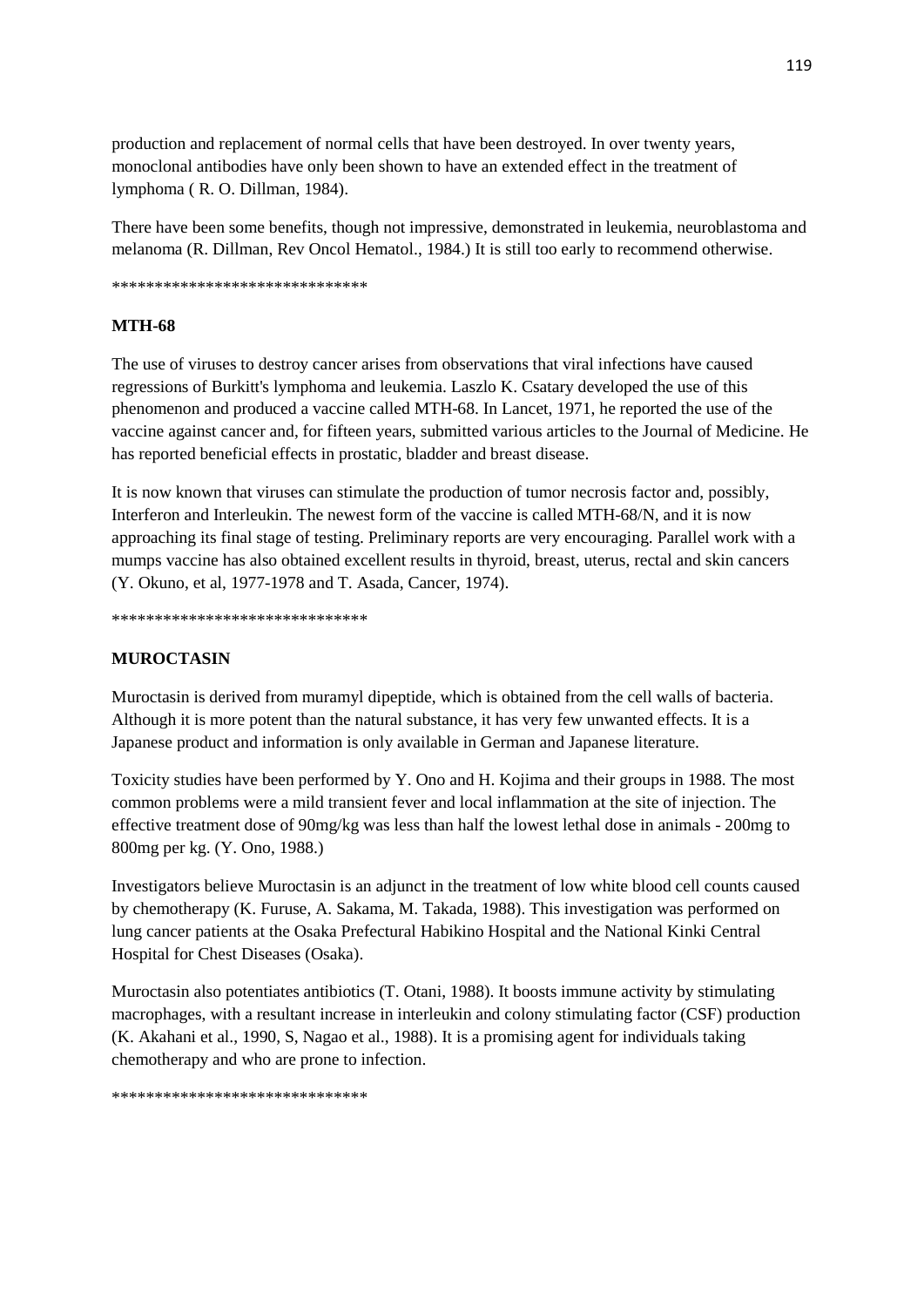production and replacement of normal cells that have been destroyed. In over twenty years, monoclonal antibodies have only been shown to have an extended effect in the treatment of lymphoma ( R. O. Dillman, 1984).

There have been some benefits, though not impressive, demonstrated in leukemia, neuroblastoma and melanoma (R. Dillman, Rev Oncol Hematol., 1984.) It is still too early to recommend otherwise.

\*\*\*\*\*\*\*\*\*\*\*\*\*\*\*\*\*\*\*\*\*\*\*\*\*\*\*\*\*\*

#### **MTH-68**

The use of viruses to destroy cancer arises from observations that viral infections have caused regressions of Burkitt's lymphoma and leukemia. Laszlo K. Csatary developed the use of this phenomenon and produced a vaccine called MTH-68. In Lancet, 1971, he reported the use of the vaccine against cancer and, for fifteen years, submitted various articles to the Journal of Medicine. He has reported beneficial effects in prostatic, bladder and breast disease.

It is now known that viruses can stimulate the production of tumor necrosis factor and, possibly, Interferon and Interleukin. The newest form of the vaccine is called MTH-68/N, and it is now approaching its final stage of testing. Preliminary reports are very encouraging. Parallel work with a mumps vaccine has also obtained excellent results in thyroid, breast, uterus, rectal and skin cancers (Y. Okuno, et al, 1977-1978 and T. Asada, Cancer, 1974).

\*\*\*\*\*\*\*\*\*\*\*\*\*\*\*\*\*\*\*\*\*\*\*\*\*\*\*\*\*\*

#### **MUROCTASIN**

Muroctasin is derived from muramyl dipeptide, which is obtained from the cell walls of bacteria. Although it is more potent than the natural substance, it has very few unwanted effects. It is a Japanese product and information is only available in German and Japanese literature.

Toxicity studies have been performed by Y. Ono and H. Kojima and their groups in 1988. The most common problems were a mild transient fever and local inflammation at the site of injection. The effective treatment dose of 90mg/kg was less than half the lowest lethal dose in animals - 200mg to 800mg per kg. (Y. Ono, 1988.)

Investigators believe Muroctasin is an adjunct in the treatment of low white blood cell counts caused by chemotherapy (K. Furuse, A. Sakama, M. Takada, 1988). This investigation was performed on lung cancer patients at the Osaka Prefectural Habikino Hospital and the National Kinki Central Hospital for Chest Diseases (Osaka).

Muroctasin also potentiates antibiotics (T. Otani, 1988). It boosts immune activity by stimulating macrophages, with a resultant increase in interleukin and colony stimulating factor (CSF) production (K. Akahani et al., 1990, S, Nagao et al., 1988). It is a promising agent for individuals taking chemotherapy and who are prone to infection.

\*\*\*\*\*\*\*\*\*\*\*\*\*\*\*\*\*\*\*\*\*\*\*\*\*\*\*\*\*\*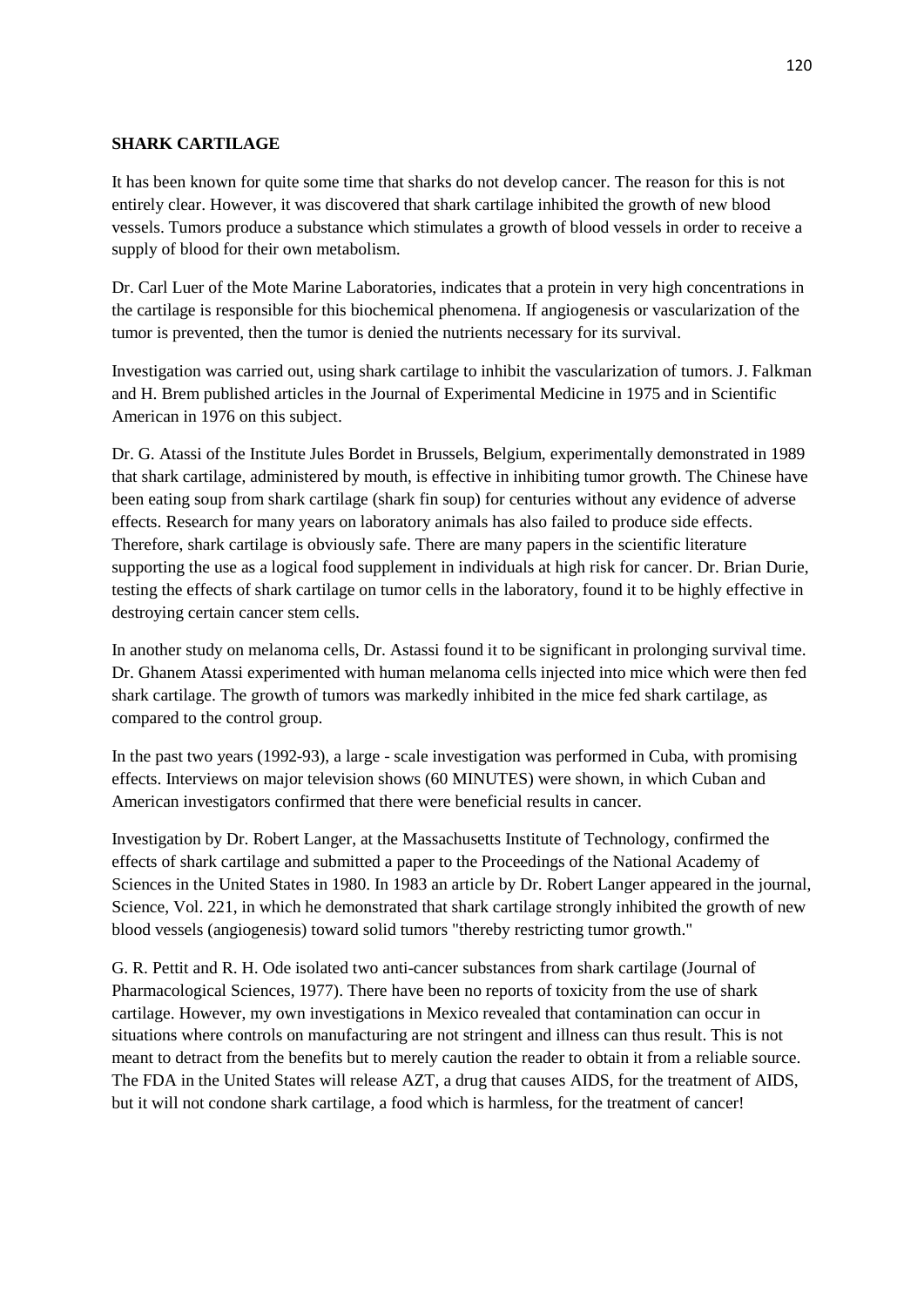## **SHARK CARTILAGE**

It has been known for quite some time that sharks do not develop cancer. The reason for this is not entirely clear. However, it was discovered that shark cartilage inhibited the growth of new blood vessels. Tumors produce a substance which stimulates a growth of blood vessels in order to receive a supply of blood for their own metabolism.

Dr. Carl Luer of the Mote Marine Laboratories, indicates that a protein in very high concentrations in the cartilage is responsible for this biochemical phenomena. If angiogenesis or vascularization of the tumor is prevented, then the tumor is denied the nutrients necessary for its survival.

Investigation was carried out, using shark cartilage to inhibit the vascularization of tumors. J. Falkman and H. Brem published articles in the Journal of Experimental Medicine in 1975 and in Scientific American in 1976 on this subject.

Dr. G. Atassi of the Institute Jules Bordet in Brussels, Belgium, experimentally demonstrated in 1989 that shark cartilage, administered by mouth, is effective in inhibiting tumor growth. The Chinese have been eating soup from shark cartilage (shark fin soup) for centuries without any evidence of adverse effects. Research for many years on laboratory animals has also failed to produce side effects. Therefore, shark cartilage is obviously safe. There are many papers in the scientific literature supporting the use as a logical food supplement in individuals at high risk for cancer. Dr. Brian Durie, testing the effects of shark cartilage on tumor cells in the laboratory, found it to be highly effective in destroying certain cancer stem cells.

In another study on melanoma cells, Dr. Astassi found it to be significant in prolonging survival time. Dr. Ghanem Atassi experimented with human melanoma cells injected into mice which were then fed shark cartilage. The growth of tumors was markedly inhibited in the mice fed shark cartilage, as compared to the control group.

In the past two years (1992-93), a large - scale investigation was performed in Cuba, with promising effects. Interviews on major television shows (60 MINUTES) were shown, in which Cuban and American investigators confirmed that there were beneficial results in cancer.

Investigation by Dr. Robert Langer, at the Massachusetts Institute of Technology, confirmed the effects of shark cartilage and submitted a paper to the Proceedings of the National Academy of Sciences in the United States in 1980. In 1983 an article by Dr. Robert Langer appeared in the journal, Science, Vol. 221, in which he demonstrated that shark cartilage strongly inhibited the growth of new blood vessels (angiogenesis) toward solid tumors "thereby restricting tumor growth."

G. R. Pettit and R. H. Ode isolated two anti-cancer substances from shark cartilage (Journal of Pharmacological Sciences, 1977). There have been no reports of toxicity from the use of shark cartilage. However, my own investigations in Mexico revealed that contamination can occur in situations where controls on manufacturing are not stringent and illness can thus result. This is not meant to detract from the benefits but to merely caution the reader to obtain it from a reliable source. The FDA in the United States will release AZT, a drug that causes AIDS, for the treatment of AIDS, but it will not condone shark cartilage, a food which is harmless, for the treatment of cancer!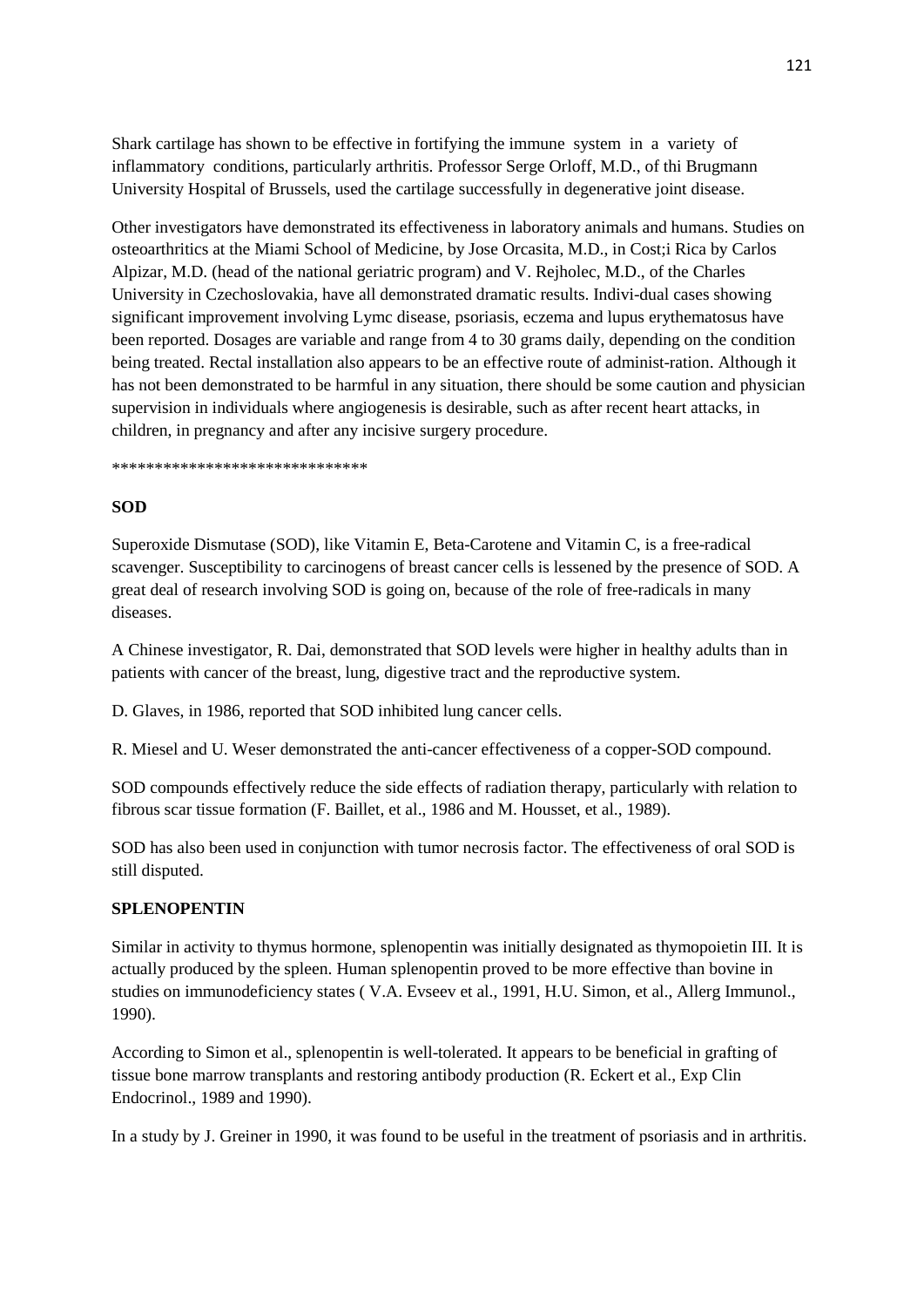Shark cartilage has shown to be effective in fortifying the immune system in a variety of inflammatory conditions, particularly arthritis. Professor Serge Orloff, M.D., of thi Brugmann University Hospital of Brussels, used the cartilage successfully in degenerative joint disease.

Other investigators have demonstrated its effectiveness in laboratory animals and humans. Studies on osteoarthritics at the Miami School of Medicine, by Jose Orcasita, M.D., in Cost;i Rica by Carlos Alpizar, M.D. (head of the national geriatric program) and V. Rejholec, M.D., of the Charles University in Czechoslovakia, have all demonstrated dramatic results. Indivi-dual cases showing significant improvement involving Lymc disease, psoriasis, eczema and lupus erythematosus have been reported. Dosages are variable and range from 4 to 30 grams daily, depending on the condition being treated. Rectal installation also appears to be an effective route of administ-ration. Although it has not been demonstrated to be harmful in any situation, there should be some caution and physician supervision in individuals where angiogenesis is desirable, such as after recent heart attacks, in children, in pregnancy and after any incisive surgery procedure.

\*\*\*\*\*\*\*\*\*\*\*\*\*\*\*\*\*\*\*\*\*\*\*\*\*\*\*\*\*\*

#### **SOD**

Superoxide Dismutase (SOD), like Vitamin E, Beta-Carotene and Vitamin C, is a free-radical scavenger. Susceptibility to carcinogens of breast cancer cells is lessened by the presence of SOD. A great deal of research involving SOD is going on, because of the role of free-radicals in many diseases.

A Chinese investigator, R. Dai, demonstrated that SOD levels were higher in healthy adults than in patients with cancer of the breast, lung, digestive tract and the reproductive system.

D. Glaves, in 1986, reported that SOD inhibited lung cancer cells.

R. Miesel and U. Weser demonstrated the anti-cancer effectiveness of a copper-SOD compound.

SOD compounds effectively reduce the side effects of radiation therapy, particularly with relation to fibrous scar tissue formation (F. Baillet, et al., 1986 and M. Housset, et al., 1989).

SOD has also been used in conjunction with tumor necrosis factor. The effectiveness of oral SOD is still disputed.

#### **SPLENOPENTIN**

Similar in activity to thymus hormone, splenopentin was initially designated as thymopoietin III. It is actually produced by the spleen. Human splenopentin proved to be more effective than bovine in studies on immunodeficiency states ( V.A. Evseev et al., 1991, H.U. Simon, et al., Allerg Immunol., 1990).

According to Simon et al., splenopentin is well-tolerated. It appears to be beneficial in grafting of tissue bone marrow transplants and restoring antibody production (R. Eckert et al., Exp Clin Endocrinol., 1989 and 1990).

In a study by J. Greiner in 1990, it was found to be useful in the treatment of psoriasis and in arthritis.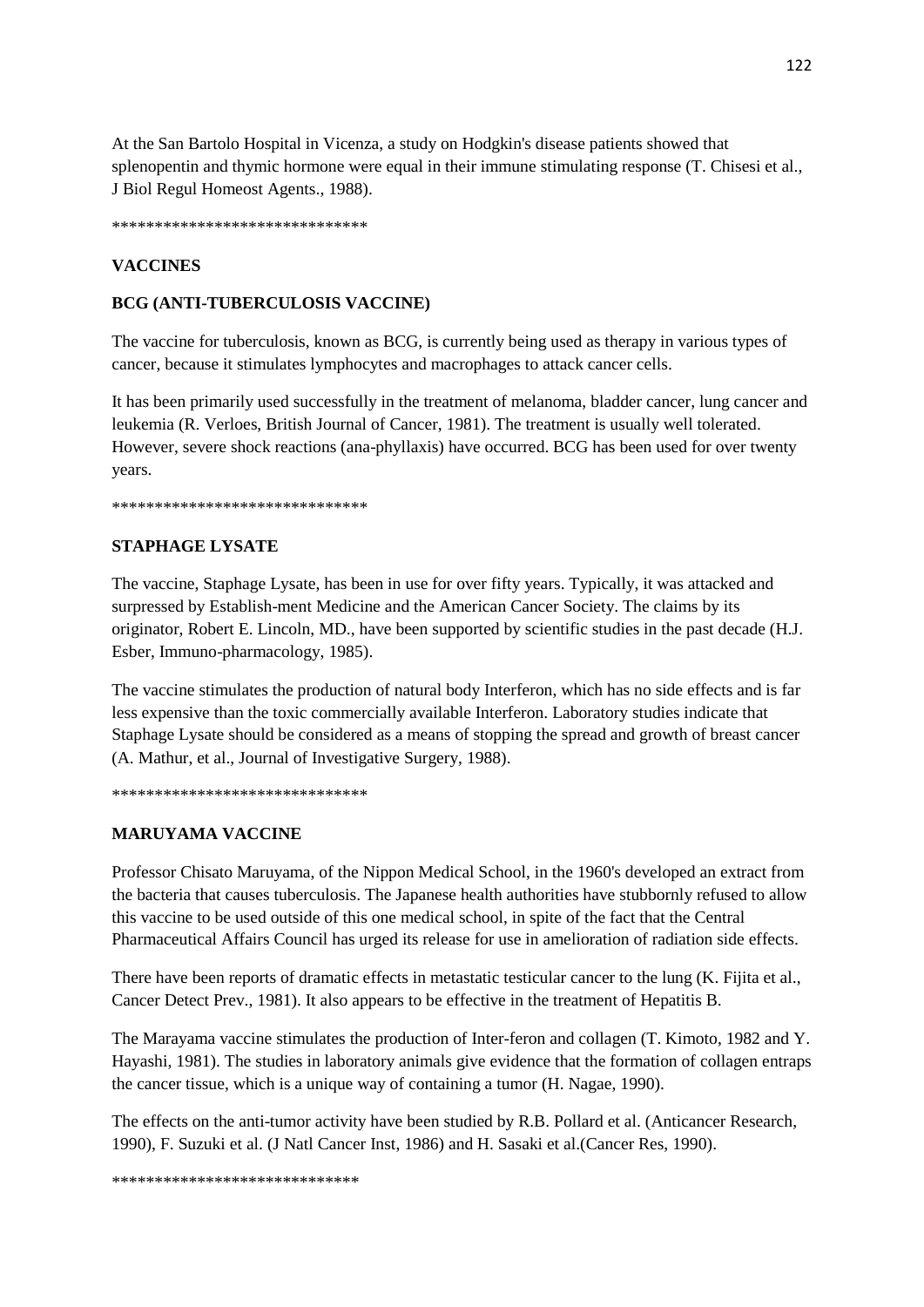At the San Bartolo Hospital in Vicenza, a study on Hodgkin's disease patients showed that splenopentin and thymic hormone were equal in their immune stimulating response (T. Chisesi et al., J Biol Regul Homeost Agents., 1988).

\*\*\*\*\*\*\*\*\*\*\*\*\*\*\*\*\*\*\*\*\*\*\*\*\*\*\*\*\*\*

#### **VACCINES**

#### **BCG (ANTI-TUBERCULOSIS VACCINE)**

The vaccine for tuberculosis, known as BCG, is currently being used as therapy in various types of cancer, because it stimulates lymphocytes and macrophages to attack cancer cells.

It has been primarily used successfully in the treatment of melanoma, bladder cancer, lung cancer and leukemia (R. Verloes, British Journal of Cancer, 1981). The treatment is usually well tolerated. However, severe shock reactions (ana-phyllaxis) have occurred. BCG has been used for over twenty years.

\*\*\*\*\*\*\*\*\*\*\*\*\*\*\*\*\*\*\*\*\*\*\*\*\*\*\*\*\*\*

#### **STAPHAGE LYSATE**

The vaccine, Staphage Lysate, has been in use for over fifty years. Typically, it was attacked and surpressed by Establish-ment Medicine and the American Cancer Society. The claims by its originator, Robert E. Lincoln, MD., have been supported by scientific studies in the past decade (H.J. Esber, Immuno-pharmacology, 1985).

The vaccine stimulates the production of natural body Interferon, which has no side effects and is far less expensive than the toxic commercially available Interferon. Laboratory studies indicate that Staphage Lysate should be considered as a means of stopping the spread and growth of breast cancer (A. Mathur, et al., Journal of Investigative Surgery, 1988).

\*\*\*\*\*\*\*\*\*\*\*\*\*\*\*\*\*\*\*\*\*\*\*\*\*\*\*\*\*\*

#### **MARUYAMA VACCINE**

Professor Chisato Maruyama, of the Nippon Medical School, in the 1960's developed an extract from the bacteria that causes tuberculosis. The Japanese health authorities have stubbornly refused to allow this vaccine to be used outside of this one medical school, in spite of the fact that the Central Pharmaceutical Affairs Council has urged its release for use in amelioration of radiation side effects.

There have been reports of dramatic effects in metastatic testicular cancer to the lung (K. Fijita et al., Cancer Detect Prev., 1981). It also appears to be effective in the treatment of Hepatitis B.

The Marayama vaccine stimulates the production of Inter-feron and collagen (T. Kimoto, 1982 and Y. Hayashi, 1981). The studies in laboratory animals give evidence that the formation of collagen entraps the cancer tissue, which is a unique way of containing a tumor (H. Nagae, 1990).

The effects on the anti-tumor activity have been studied by R.B. Pollard et al. (Anticancer Research, 1990), F. Suzuki et al. (J Natl Cancer Inst, 1986) and H. Sasaki et al.(Cancer Res, 1990).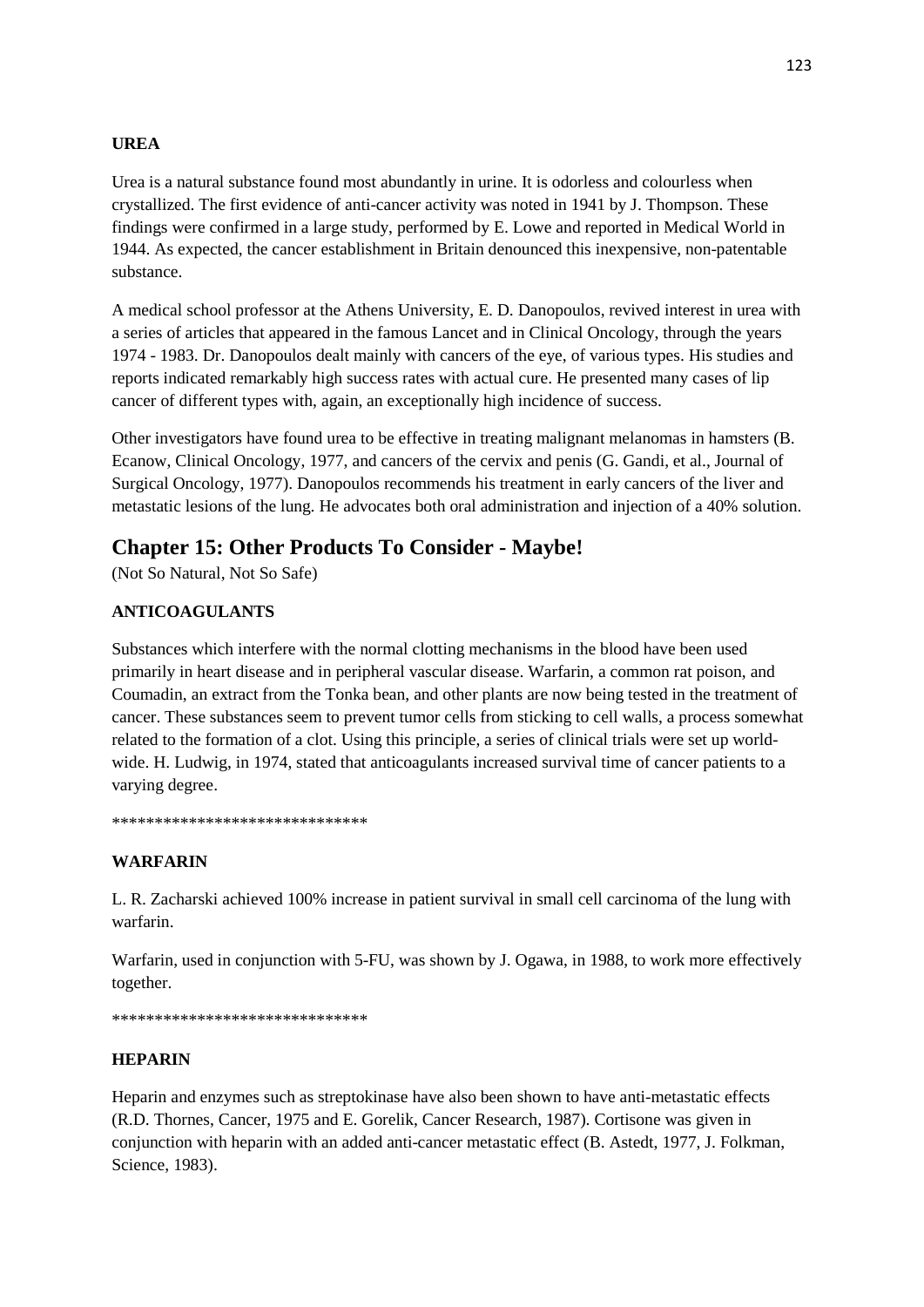## **UREA**

Urea is a natural substance found most abundantly in urine. It is odorless and colourless when crystallized. The first evidence of anti-cancer activity was noted in 1941 by J. Thompson. These findings were confirmed in a large study, performed by E. Lowe and reported in Medical World in 1944. As expected, the cancer establishment in Britain denounced this inexpensive, non-patentable substance.

A medical school professor at the Athens University, E. D. Danopoulos, revived interest in urea with a series of articles that appeared in the famous Lancet and in Clinical Oncology, through the years 1974 - 1983. Dr. Danopoulos dealt mainly with cancers of the eye, of various types. His studies and reports indicated remarkably high success rates with actual cure. He presented many cases of lip cancer of different types with, again, an exceptionally high incidence of success.

Other investigators have found urea to be effective in treating malignant melanomas in hamsters (B. Ecanow, Clinical Oncology, 1977, and cancers of the cervix and penis (G. Gandi, et al., Journal of Surgical Oncology, 1977). Danopoulos recommends his treatment in early cancers of the liver and metastatic lesions of the lung. He advocates both oral administration and injection of a 40% solution.

## **Chapter 15: Other Products To Consider - Maybe!**

(Not So Natural, Not So Safe)

## **ANTICOAGULANTS**

Substances which interfere with the normal clotting mechanisms in the blood have been used primarily in heart disease and in peripheral vascular disease. Warfarin, a common rat poison, and Coumadin, an extract from the Tonka bean, and other plants are now being tested in the treatment of cancer. These substances seem to prevent tumor cells from sticking to cell walls, a process somewhat related to the formation of a clot. Using this principle, a series of clinical trials were set up worldwide. H. Ludwig, in 1974, stated that anticoagulants increased survival time of cancer patients to a varying degree.

\*\*\*\*\*\*\*\*\*\*\*\*\*\*\*\*\*\*\*\*\*\*\*\*\*\*\*\*\*\*

#### **WARFARIN**

L. R. Zacharski achieved 100% increase in patient survival in small cell carcinoma of the lung with warfarin.

Warfarin, used in conjunction with 5-FU, was shown by J. Ogawa, in 1988, to work more effectively together.

\*\*\*\*\*\*\*\*\*\*\*\*\*\*\*\*\*\*\*\*\*\*\*\*\*\*

#### **HEPARIN**

Heparin and enzymes such as streptokinase have also been shown to have anti-metastatic effects (R.D. Thornes, Cancer, 1975 and E. Gorelik, Cancer Research, 1987). Cortisone was given in conjunction with heparin with an added anti-cancer metastatic effect (B. Astedt, 1977, J. Folkman, Science, 1983).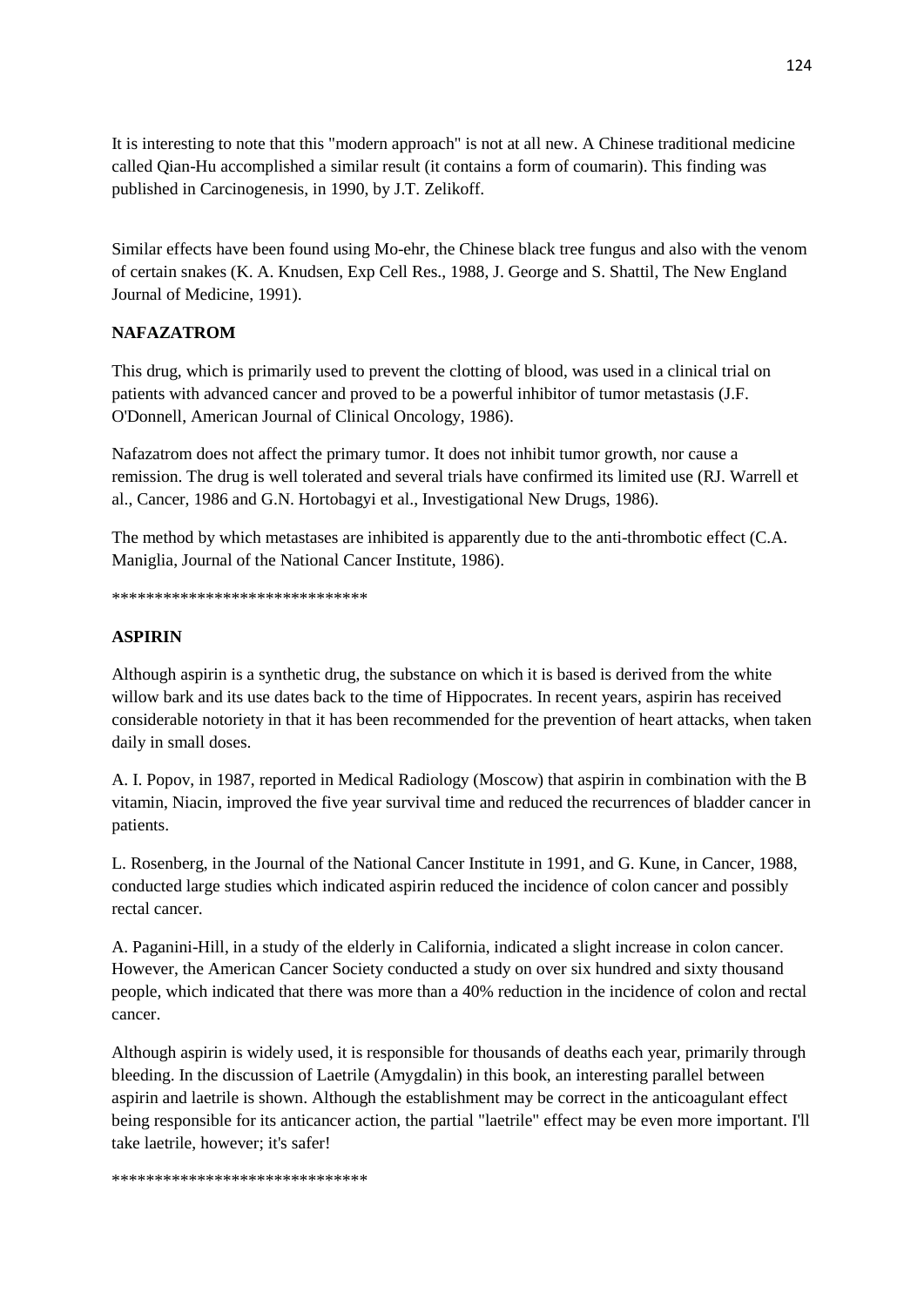It is interesting to note that this "modern approach" is not at all new. A Chinese traditional medicine called Qian-Hu accomplished a similar result (it contains a form of coumarin). This finding was published in Carcinogenesis, in 1990, by J.T. Zelikoff.

Similar effects have been found using Mo-ehr, the Chinese black tree fungus and also with the venom of certain snakes (K. A. Knudsen, Exp Cell Res., 1988, J. George and S. Shattil, The New England Journal of Medicine, 1991).

## **NAFAZATROM**

This drug, which is primarily used to prevent the clotting of blood, was used in a clinical trial on patients with advanced cancer and proved to be a powerful inhibitor of tumor metastasis (J.F. O'Donnell, American Journal of Clinical Oncology, 1986).

Nafazatrom does not affect the primary tumor. It does not inhibit tumor growth, nor cause a remission. The drug is well tolerated and several trials have confirmed its limited use (RJ. Warrell et al., Cancer, 1986 and G.N. Hortobagyi et al., Investigational New Drugs, 1986).

The method by which metastases are inhibited is apparently due to the anti-thrombotic effect (C.A. Maniglia, Journal of the National Cancer Institute, 1986).

#### \*\*\*\*\*\*\*\*\*\*\*\*\*\*\*\*\*\*\*\*\*\*\*\*\*\*\*

## **ASPIRIN**

Although aspirin is a synthetic drug, the substance on which it is based is derived from the white willow bark and its use dates back to the time of Hippocrates. In recent years, aspirin has received considerable notoriety in that it has been recommended for the prevention of heart attacks, when taken daily in small doses.

A. I. Popov, in 1987, reported in Medical Radiology (Moscow) that aspirin in combination with the B vitamin, Niacin, improved the five year survival time and reduced the recurrences of bladder cancer in patients.

L. Rosenberg, in the Journal of the National Cancer Institute in 1991, and G. Kune, in Cancer, 1988, conducted large studies which indicated aspirin reduced the incidence of colon cancer and possibly rectal cancer.

A. Paganini-Hill, in a study of the elderly in California, indicated a slight increase in colon cancer. However, the American Cancer Society conducted a study on over six hundred and sixty thousand people, which indicated that there was more than a 40% reduction in the incidence of colon and rectal cancer.

Although aspirin is widely used, it is responsible for thousands of deaths each year, primarily through bleeding. In the discussion of Laetrile (Amygdalin) in this book, an interesting parallel between aspirin and laetrile is shown. Although the establishment may be correct in the anticoagulant effect being responsible for its anticancer action, the partial "laetrile" effect may be even more important. I'll take laetrile, however; it's safer!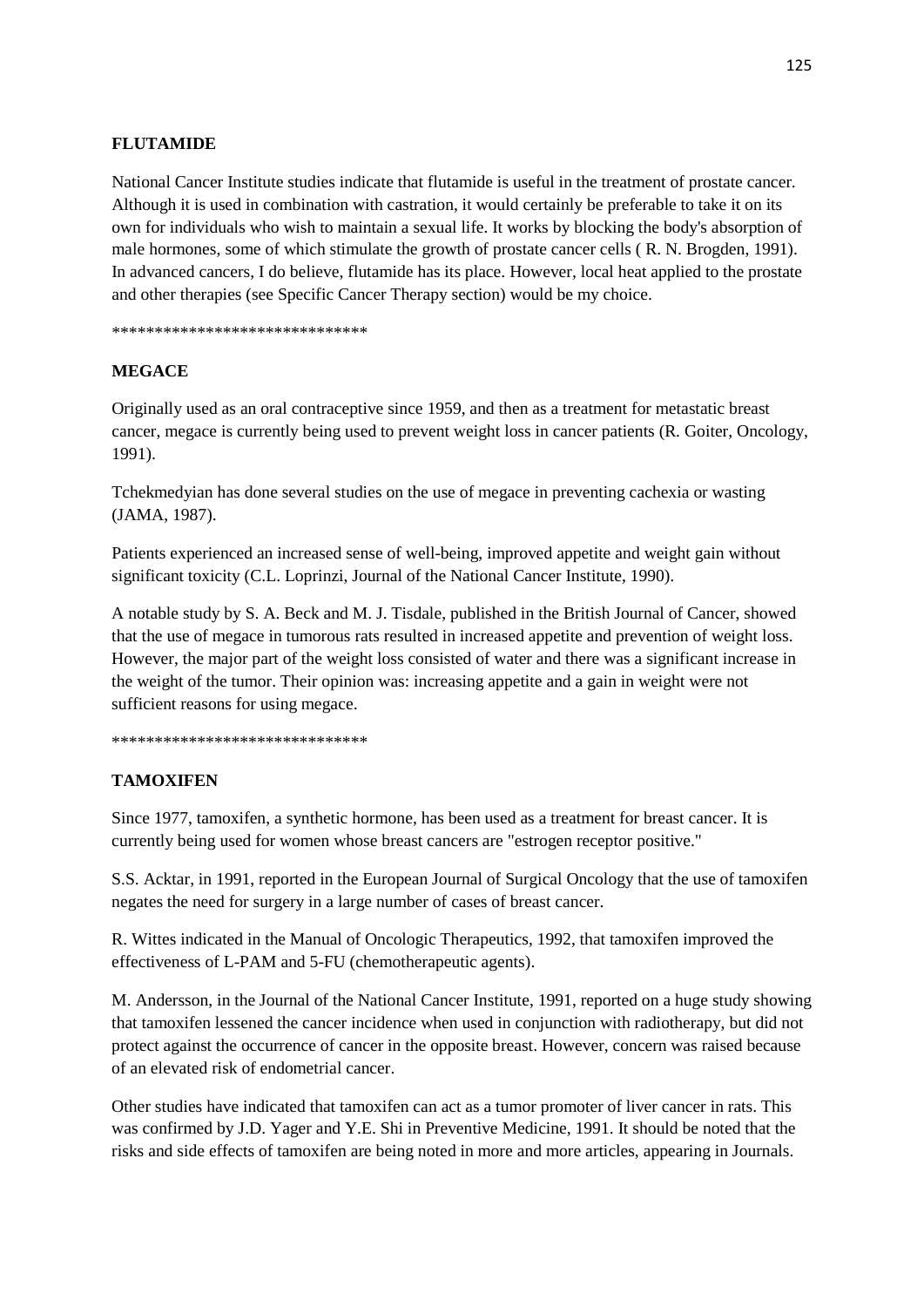## **FLUTAMIDE**

National Cancer Institute studies indicate that flutamide is useful in the treatment of prostate cancer. Although it is used in combination with castration, it would certainly be preferable to take it on its own for individuals who wish to maintain a sexual life. It works by blocking the body's absorption of male hormones, some of which stimulate the growth of prostate cancer cells ( R. N. Brogden, 1991). In advanced cancers, I do believe, flutamide has its place. However, local heat applied to the prostate and other therapies (see Specific Cancer Therapy section) would be my choice.

\*\*\*\*\*\*\*\*\*\*\*\*\*\*\*\*\*\*\*\*\*\*\*\*\*\*\*\*\*\*

## **MEGACE**

Originally used as an oral contraceptive since 1959, and then as a treatment for metastatic breast cancer, megace is currently being used to prevent weight loss in cancer patients (R. Goiter, Oncology, 1991).

Tchekmedyian has done several studies on the use of megace in preventing cachexia or wasting (JAMA, 1987).

Patients experienced an increased sense of well-being, improved appetite and weight gain without significant toxicity (C.L. Loprinzi, Journal of the National Cancer Institute, 1990).

A notable study by S. A. Beck and M. J. Tisdale, published in the British Journal of Cancer, showed that the use of megace in tumorous rats resulted in increased appetite and prevention of weight loss. However, the major part of the weight loss consisted of water and there was a significant increase in the weight of the tumor. Their opinion was: increasing appetite and a gain in weight were not sufficient reasons for using megace.

\*\*\*\*\*\*\*\*\*\*\*\*\*\*\*\*\*\*\*\*\*\*\*\*\*\*\*\*\*\*

## **TAMOXIFEN**

Since 1977, tamoxifen, a synthetic hormone, has been used as a treatment for breast cancer. It is currently being used for women whose breast cancers are "estrogen receptor positive."

S.S. Acktar, in 1991, reported in the European Journal of Surgical Oncology that the use of tamoxifen negates the need for surgery in a large number of cases of breast cancer.

R. Wittes indicated in the Manual of Oncologic Therapeutics, 1992, that tamoxifen improved the effectiveness of L-PAM and 5-FU (chemotherapeutic agents).

M. Andersson, in the Journal of the National Cancer Institute, 1991, reported on a huge study showing that tamoxifen lessened the cancer incidence when used in conjunction with radiotherapy, but did not protect against the occurrence of cancer in the opposite breast. However, concern was raised because of an elevated risk of endometrial cancer.

Other studies have indicated that tamoxifen can act as a tumor promoter of liver cancer in rats. This was confirmed by J.D. Yager and Y.E. Shi in Preventive Medicine, 1991. It should be noted that the risks and side effects of tamoxifen are being noted in more and more articles, appearing in Journals.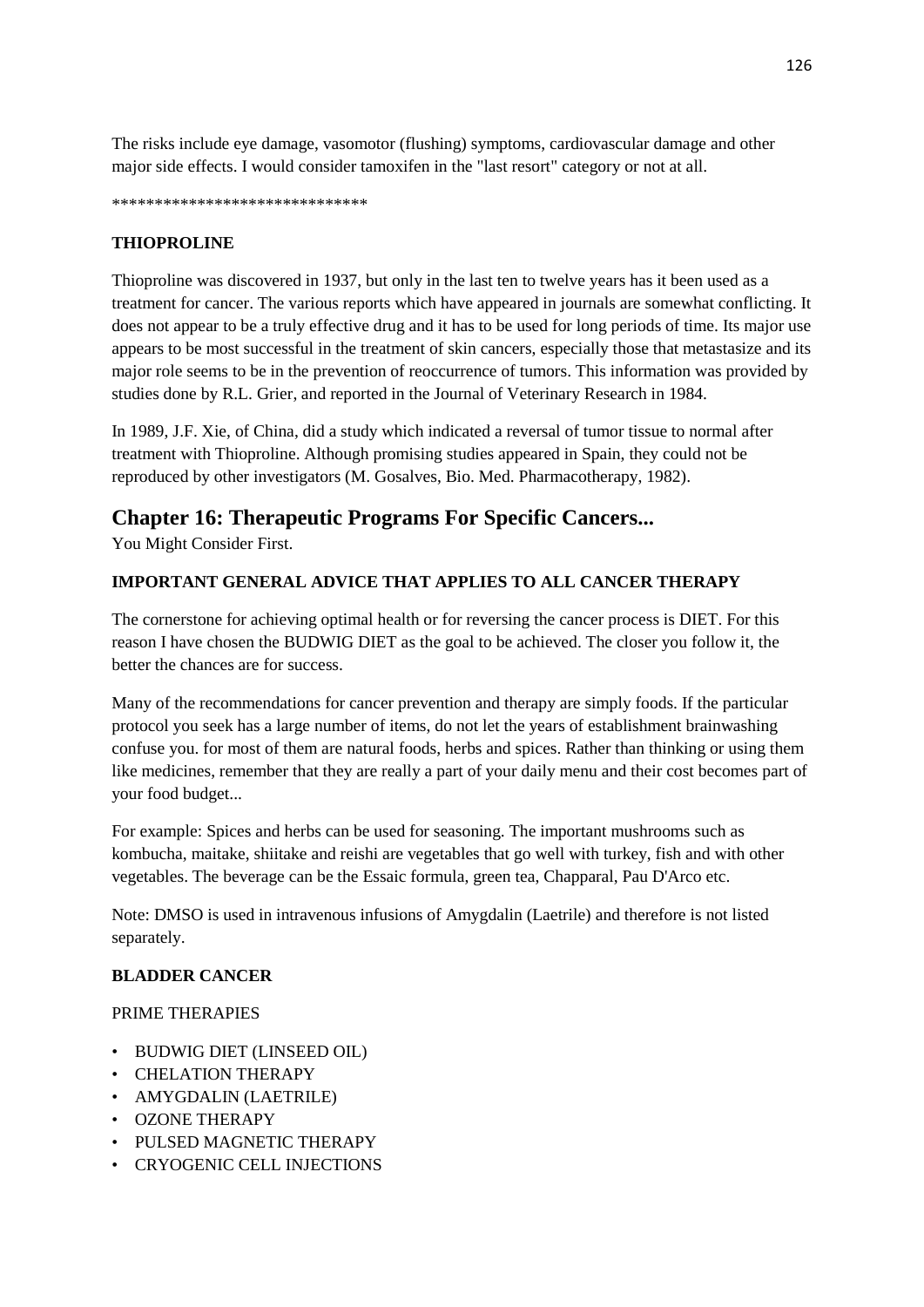The risks include eye damage, vasomotor (flushing) symptoms, cardiovascular damage and other major side effects. I would consider tamoxifen in the "last resort" category or not at all.

\*\*\*\*\*\*\*\*\*\*\*\*\*\*\*\*\*\*\*\*\*\*\*\*\*\*\*\*\*\*

## **THIOPROLINE**

Thioproline was discovered in 1937, but only in the last ten to twelve years has it been used as a treatment for cancer. The various reports which have appeared in journals are somewhat conflicting. It does not appear to be a truly effective drug and it has to be used for long periods of time. Its major use appears to be most successful in the treatment of skin cancers, especially those that metastasize and its major role seems to be in the prevention of reoccurrence of tumors. This information was provided by studies done by R.L. Grier, and reported in the Journal of Veterinary Research in 1984.

In 1989, J.F. Xie, of China, did a study which indicated a reversal of tumor tissue to normal after treatment with Thioproline. Although promising studies appeared in Spain, they could not be reproduced by other investigators (M. Gosalves, Bio. Med. Pharmacotherapy, 1982).

# **Chapter 16: Therapeutic Programs For Specific Cancers...**

You Might Consider First.

## **IMPORTANT GENERAL ADVICE THAT APPLIES TO ALL CANCER THERAPY**

The cornerstone for achieving optimal health or for reversing the cancer process is DIET. For this reason I have chosen the BUDWIG DIET as the goal to be achieved. The closer you follow it, the better the chances are for success.

Many of the recommendations for cancer prevention and therapy are simply foods. If the particular protocol you seek has a large number of items, do not let the years of establishment brainwashing confuse you. for most of them are natural foods, herbs and spices. Rather than thinking or using them like medicines, remember that they are really a part of your daily menu and their cost becomes part of your food budget...

For example: Spices and herbs can be used for seasoning. The important mushrooms such as kombucha, maitake, shiitake and reishi are vegetables that go well with turkey, fish and with other vegetables. The beverage can be the Essaic formula, green tea, Chapparal, Pau D'Arco etc.

Note: DMSO is used in intravenous infusions of Amygdalin (Laetrile) and therefore is not listed separately.

## **BLADDER CANCER**

PRIME THERAPIES

- BUDWIG DIET (LINSEED OIL)
- CHELATION THERAPY
- AMYGDALIN (LAETRILE)
- OZONE THERAPY
- PULSED MAGNETIC THERAPY
- CRYOGENIC CELL INJECTIONS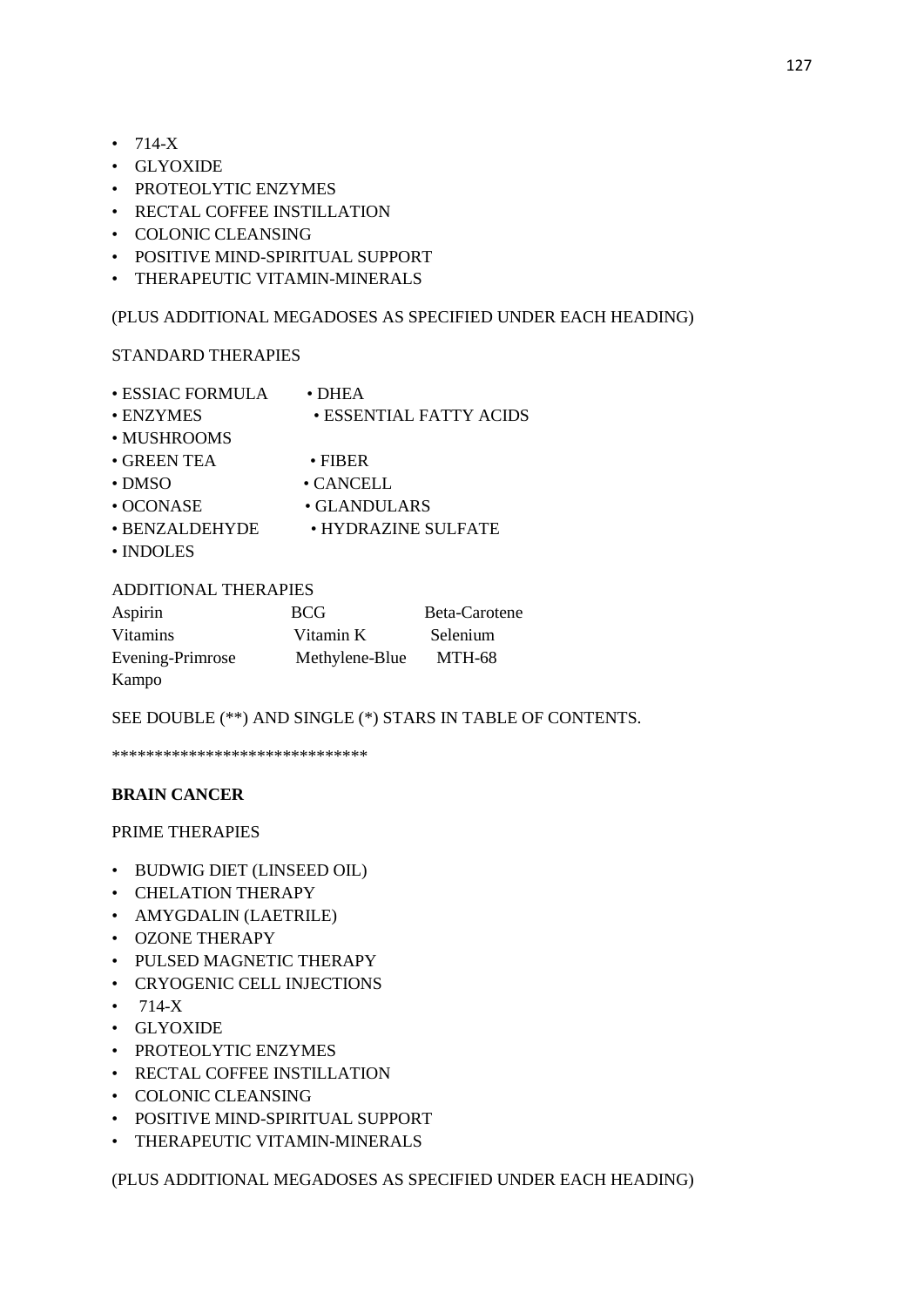- $714-X$
- GLYOXIDE
- PROTEOLYTIC ENZYMES
- RECTAL COFFEE INSTILLATION
- COLONIC CLEANSING
- POSITIVE MIND-SPIRITUAL SUPPORT
- THERAPEUTIC VITAMIN-MINERALS

#### (PLUS ADDITIONAL MEGADOSES AS SPECIFIED UNDER EACH HEADING)

STANDARD THERAPIES

| $\bullet$ ESSIAC FORMULA | $\bullet$ DHEA          |
|--------------------------|-------------------------|
| • ENZYMES                | • ESSENTIAL FATTY ACIDS |
| • MUSHROOMS              |                         |
| $\bullet$ GREEN TEA      | $\bullet$ FIBER         |
| $\cdot$ DMSO             | $\bullet$ CANCELL       |
| $\bullet$ OCONASE        | • GLANDULARS            |

- BENZALDEHYDE HYDRAZINE SULFATE
- INDOLES

#### ADDITIONAL THERAPIES

| Aspirin          | <b>BCG</b>     | Beta-Carotene |
|------------------|----------------|---------------|
| <b>Vitamins</b>  | Vitamin K      | Selenium      |
| Evening-Primrose | Methylene-Blue | MTH-68        |
| Kampo            |                |               |

SEE DOUBLE (\*\*) AND SINGLE (\*) STARS IN TABLE OF CONTENTS.

\*\*\*\*\*\*\*\*\*\*\*\*\*\*\*\*\*\*\*\*\*\*\*\*\*\*\*\*\*\*

## **BRAIN CANCER**

PRIME THERAPIES

- BUDWIG DIET (LINSEED OIL)
- CHELATION THERAPY
- AMYGDALIN (LAETRILE)
- OZONE THERAPY
- PULSED MAGNETIC THERAPY
- CRYOGENIC CELL INJECTIONS
- $714-X$
- GLYOXIDE
- PROTEOLYTIC ENZYMES
- RECTAL COFFEE INSTILLATION
- COLONIC CLEANSING
- POSITIVE MIND-SPIRITUAL SUPPORT
- THERAPEUTIC VITAMIN-MINERALS

(PLUS ADDITIONAL MEGADOSES AS SPECIFIED UNDER EACH HEADING)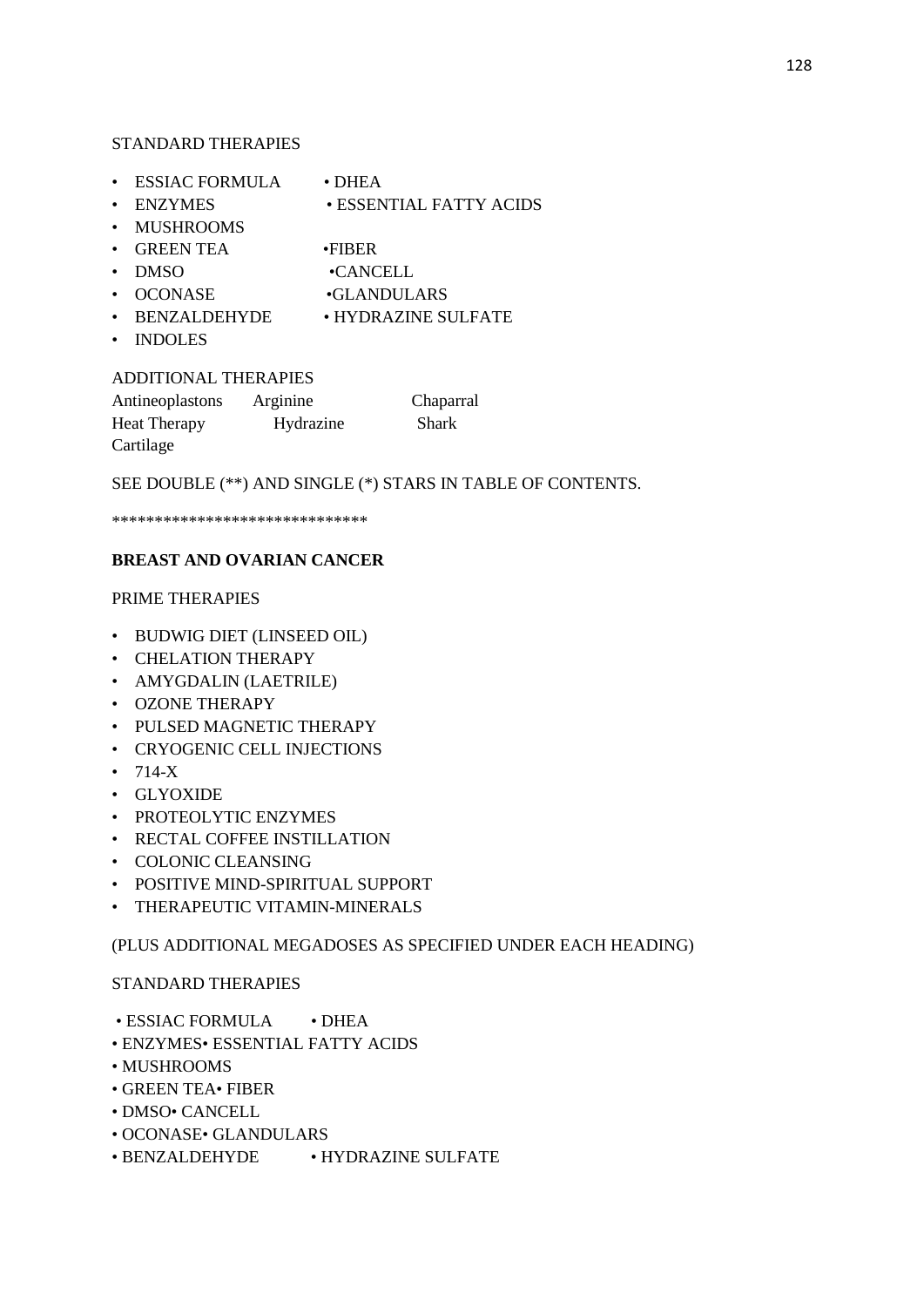## STANDARD THERAPIES

- ESSIAC FORMULA DHEA
- ENZYMES ESSENTIAL FATTY ACIDS
- MUSHROOMS
- GREEN TEA •FIBER
- DMSO •CANCELL
	-
- OCONASE •GLANDULARS
- BENZALDEHYDE HYDRAZINE SULFATE
- INDOLES

## ADDITIONAL THERAPIES

| Antineoplastons     | Arginine  | Chaparral    |
|---------------------|-----------|--------------|
| <b>Heat Therapy</b> | Hydrazine | <b>Shark</b> |
| Cartilage           |           |              |

SEE DOUBLE (\*\*) AND SINGLE (\*) STARS IN TABLE OF CONTENTS.

\*\*\*\*\*\*\*\*\*\*\*\*\*\*\*\*\*\*\*\*\*\*\*\*\*\*\*\*\*\*

## **BREAST AND OVARIAN CANCER**

## PRIME THERAPIES

- BUDWIG DIET (LINSEED OIL)
- CHELATION THERAPY
- AMYGDALIN (LAETRILE)
- OZONE THERAPY
- PULSED MAGNETIC THERAPY
- CRYOGENIC CELL INJECTIONS
- $714-X$
- GLYOXIDE
- PROTEOLYTIC ENZYMES
- RECTAL COFFEE INSTILLATION
- COLONIC CLEANSING
- POSITIVE MIND-SPIRITUAL SUPPORT
- THERAPEUTIC VITAMIN-MINERALS

## (PLUS ADDITIONAL MEGADOSES AS SPECIFIED UNDER EACH HEADING)

## STANDARD THERAPIES

- ESSIAC FORMULA DHEA
- ENZYMES• ESSENTIAL FATTY ACIDS
- MUSHROOMS
- GREEN TEA• FIBER
- DMSO• CANCELL
- OCONASE• GLANDULARS
- BENZALDEHYDE HYDRAZINE SULFATE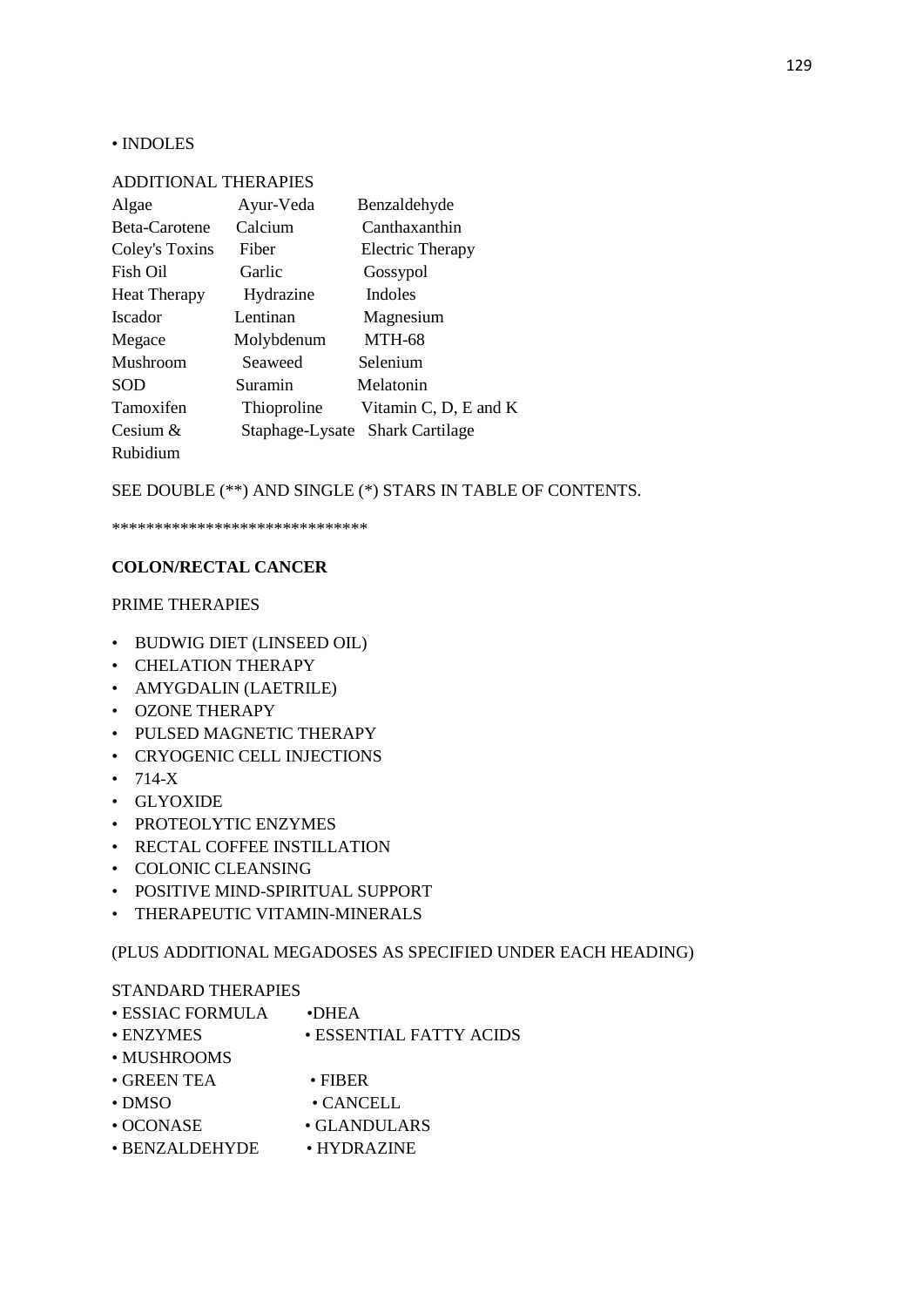• INDOLES

#### ADDITIONAL THERAPIES

| Algae                 | Ayur-Veda   | Benzaldehyde                    |
|-----------------------|-------------|---------------------------------|
| Beta-Carotene         | Calcium     | Canthaxanthin                   |
| <b>Coley's Toxins</b> | Fiber       | Electric Therapy                |
| Fish Oil              | Garlic      | Gossypol                        |
| <b>Heat Therapy</b>   | Hydrazine   | Indoles                         |
| <b>Iscador</b>        | Lentinan    | Magnesium                       |
| Megace                | Molybdenum  | MTH-68                          |
| Mushroom              | Seaweed     | Selenium                        |
| <b>SOD</b>            | Suramin     | Melatonin                       |
| Tamoxifen             | Thioproline | Vitamin C, D, E and K           |
| Cesium $\&$           |             | Staphage-Lysate Shark Cartilage |
| Rubidium              |             |                                 |

## SEE DOUBLE (\*\*) AND SINGLE (\*) STARS IN TABLE OF CONTENTS.

\*\*\*\*\*\*\*\*\*\*\*\*\*\*\*\*\*\*\*\*\*\*\*\*\*\*\*\*\*\*

## **COLON/RECTAL CANCER**

#### PRIME THERAPIES

- BUDWIG DIET (LINSEED OIL)
- CHELATION THERAPY
- AMYGDALIN (LAETRILE)
- OZONE THERAPY
- PULSED MAGNETIC THERAPY
- CRYOGENIC CELL INJECTIONS
- $714-X$
- GLYOXIDE
- PROTEOLYTIC ENZYMES
- RECTAL COFFEE INSTILLATION
- COLONIC CLEANSING
- POSITIVE MIND-SPIRITUAL SUPPORT
- THERAPEUTIC VITAMIN-MINERALS

## (PLUS ADDITIONAL MEGADOSES AS SPECIFIED UNDER EACH HEADING)

#### STANDARD THERAPIES

| $\bullet$ ESSIAC FORMULA | $\bullet$ DHEA                  |
|--------------------------|---------------------------------|
| • ENZYMES                | $\bullet$ ESSENTIAL FATTY ACIDS |
| • MUSHROOMS              |                                 |
| $\bullet$ GREEN TEA      | $\bullet$ FIBER                 |
| $\cdot$ DMSO             | $\bullet$ CANCELL               |
| $\cdot$ OCONASE          | $\bullet$ GLANDULARS            |
| $\bullet$ BENZALDEHYDE   | $\bullet$ HYDRAZINE             |
|                          |                                 |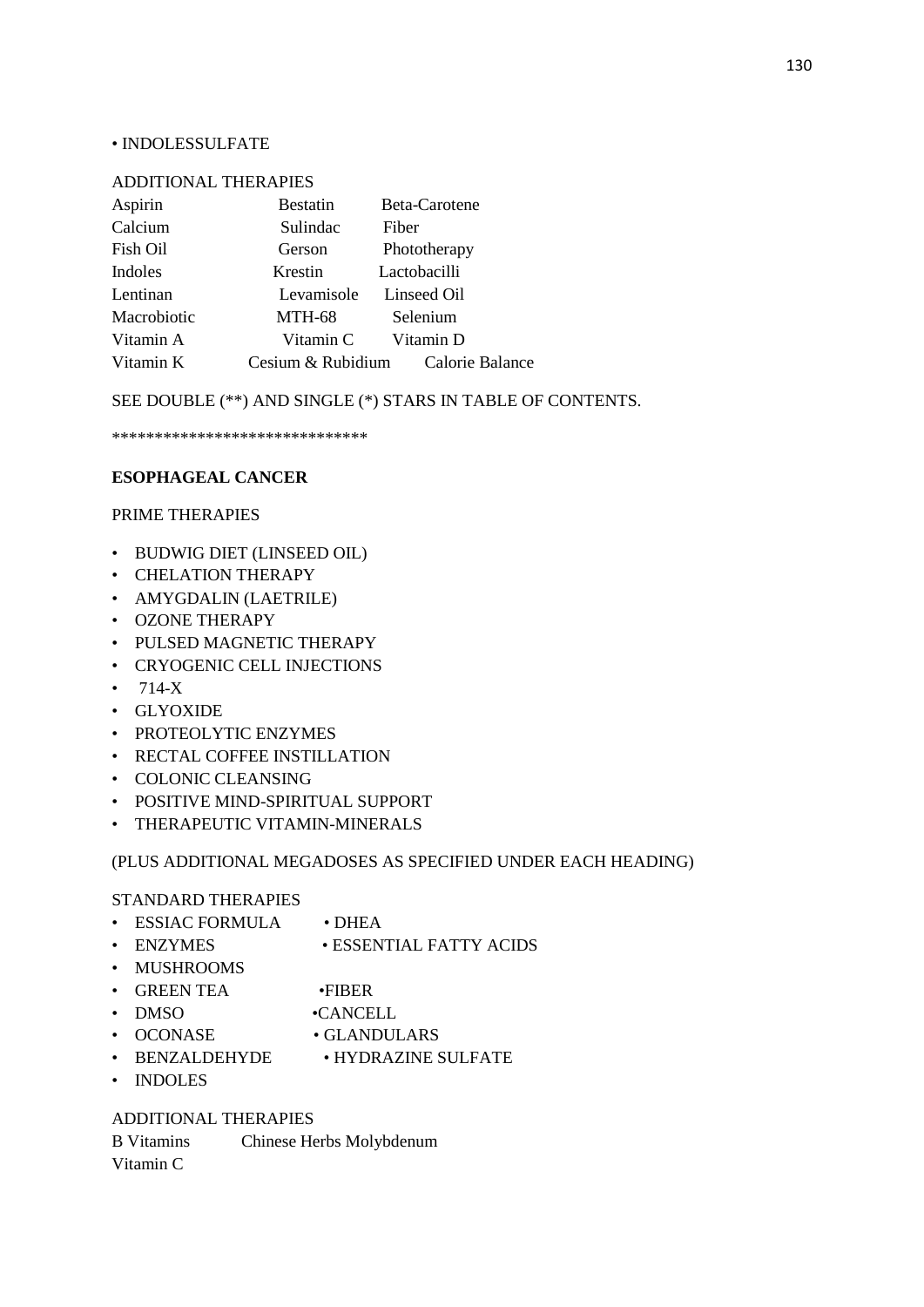## • INDOLESSULFATE

## ADDITIONAL THERAPIES

| Aspirin     | <b>Bestatin</b>   | Beta-Carotene   |
|-------------|-------------------|-----------------|
| Calcium     | Sulindac          | Fiber           |
| Fish Oil    | Gerson            | Phototherapy    |
| Indoles     | Krestin           | Lactobacilli    |
| Lentinan    | Levamisole        | Linseed Oil     |
| Macrobiotic | MTH-68            | Selenium        |
| Vitamin A   | Vitamin C         | Vitamin D       |
| Vitamin K   | Cesium & Rubidium | Calorie Balance |

SEE DOUBLE (\*\*) AND SINGLE (\*) STARS IN TABLE OF CONTENTS.

\*\*\*\*\*\*\*\*\*\*\*\*\*\*\*\*\*\*\*\*\*\*\*\*\*\*\*\*\*\*

## **ESOPHAGEAL CANCER**

#### PRIME THERAPIES

- BUDWIG DIET (LINSEED OIL)
- CHELATION THERAPY
- AMYGDALIN (LAETRILE)
- OZONE THERAPY
- PULSED MAGNETIC THERAPY
- CRYOGENIC CELL INJECTIONS
- $714-X$
- GLYOXIDE
- PROTEOLYTIC ENZYMES
- RECTAL COFFEE INSTILLATION
- COLONIC CLEANSING
- POSITIVE MIND-SPIRITUAL SUPPORT
- THERAPEUTIC VITAMIN-MINERALS

## (PLUS ADDITIONAL MEGADOSES AS SPECIFIED UNDER EACH HEADING)

## STANDARD THERAPIES

- ESSIAC FORMULA DHEA
- ENZYMES ESSENTIAL FATTY ACIDS
- MUSHROOMS
- GREEN TEA •FIBER
- DMSO •CANCELL
- OCONASE GLANDULARS
- BENZALDEHYDE HYDRAZINE SULFATE
- INDOLES

# ADDITIONAL THERAPIES

B Vitamins Chinese Herbs Molybdenum Vitamin C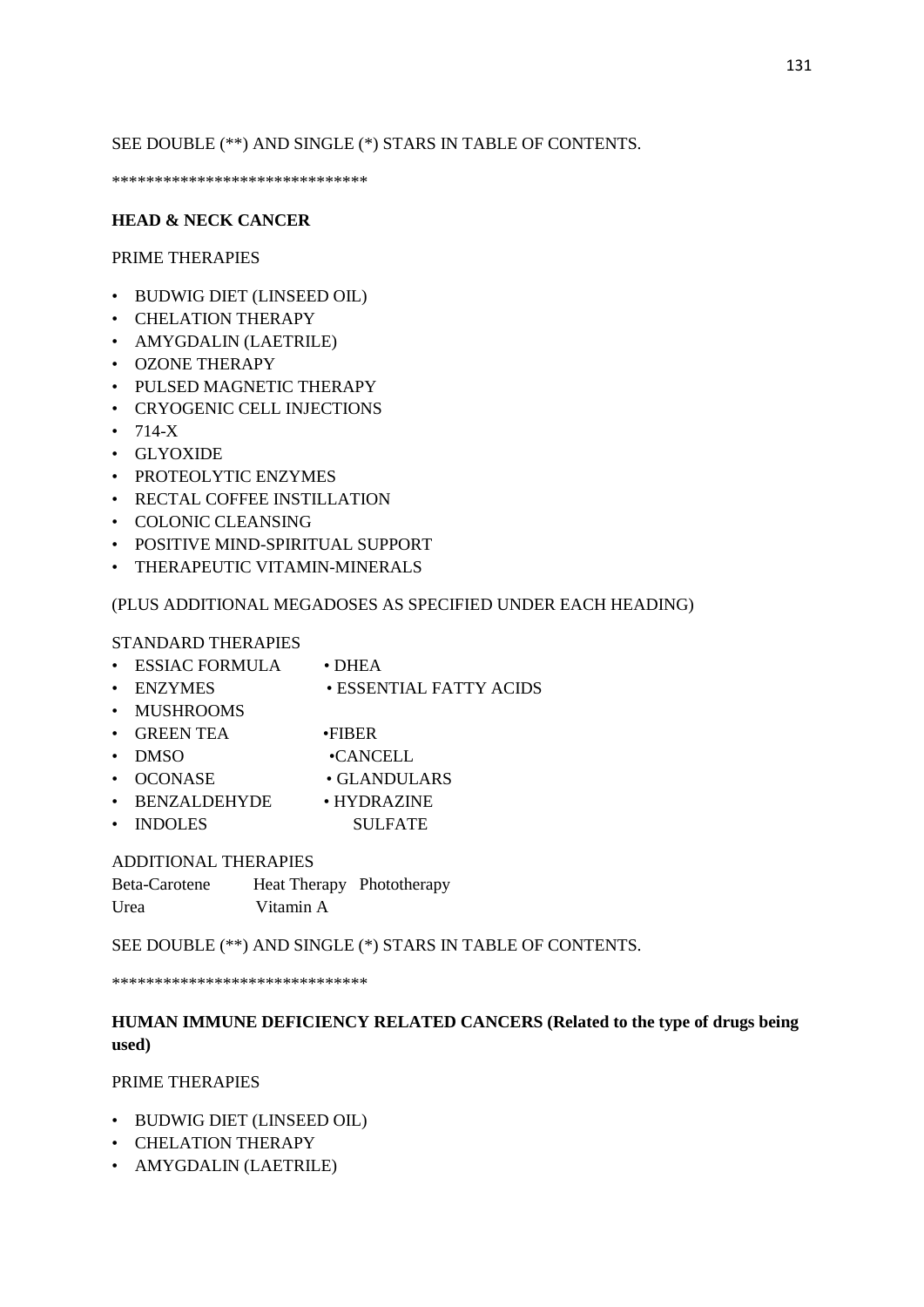SEE DOUBLE (\*\*) AND SINGLE (\*) STARS IN TABLE OF CONTENTS.

\*\*\*\*\*\*\*\*\*\*\*\*\*\*\*\*\*\*\*\*\*\*\*\*\*\*\*\*\*\*

## **HEAD & NECK CANCER**

PRIME THERAPIES

- BUDWIG DIET (LINSEED OIL)
- CHELATION THERAPY
- AMYGDALIN (LAETRILE)
- OZONE THERAPY
- PULSED MAGNETIC THERAPY
- CRYOGENIC CELL INJECTIONS
- $714-X$
- GLYOXIDE
- PROTEOLYTIC ENZYMES
- RECTAL COFFEE INSTILLATION
- COLONIC CLEANSING
- POSITIVE MIND-SPIRITUAL SUPPORT
- THERAPEUTIC VITAMIN-MINERALS

## (PLUS ADDITIONAL MEGADOSES AS SPECIFIED UNDER EACH HEADING)

## STANDARD THERAPIES

- ESSIAC FORMULA DHEA
- ENZYMES ESSENTIAL FATTY ACIDS
- MUSHROOMS
- GREEN TEA •FIBER
- DMSO •CANCELL
- OCONASE GLANDULARS
- BENZALDEHYDE HYDRAZINE
- INDOLES SULFATE

## ADDITIONAL THERAPIES

| Beta-Carotene | Heat Therapy Phototherapy |  |
|---------------|---------------------------|--|
| Urea          | Vitamin A                 |  |

SEE DOUBLE (\*\*) AND SINGLE (\*) STARS IN TABLE OF CONTENTS.

\*\*\*\*\*\*\*\*\*\*\*\*\*\*\*\*\*\*\*\*\*\*\*\*\*\*\*\*\*\*

## **HUMAN IMMUNE DEFICIENCY RELATED CANCERS (Related to the type of drugs being used)**

## PRIME THERAPIES

- BUDWIG DIET (LINSEED OIL)
- CHELATION THERAPY
- AMYGDALIN (LAETRILE)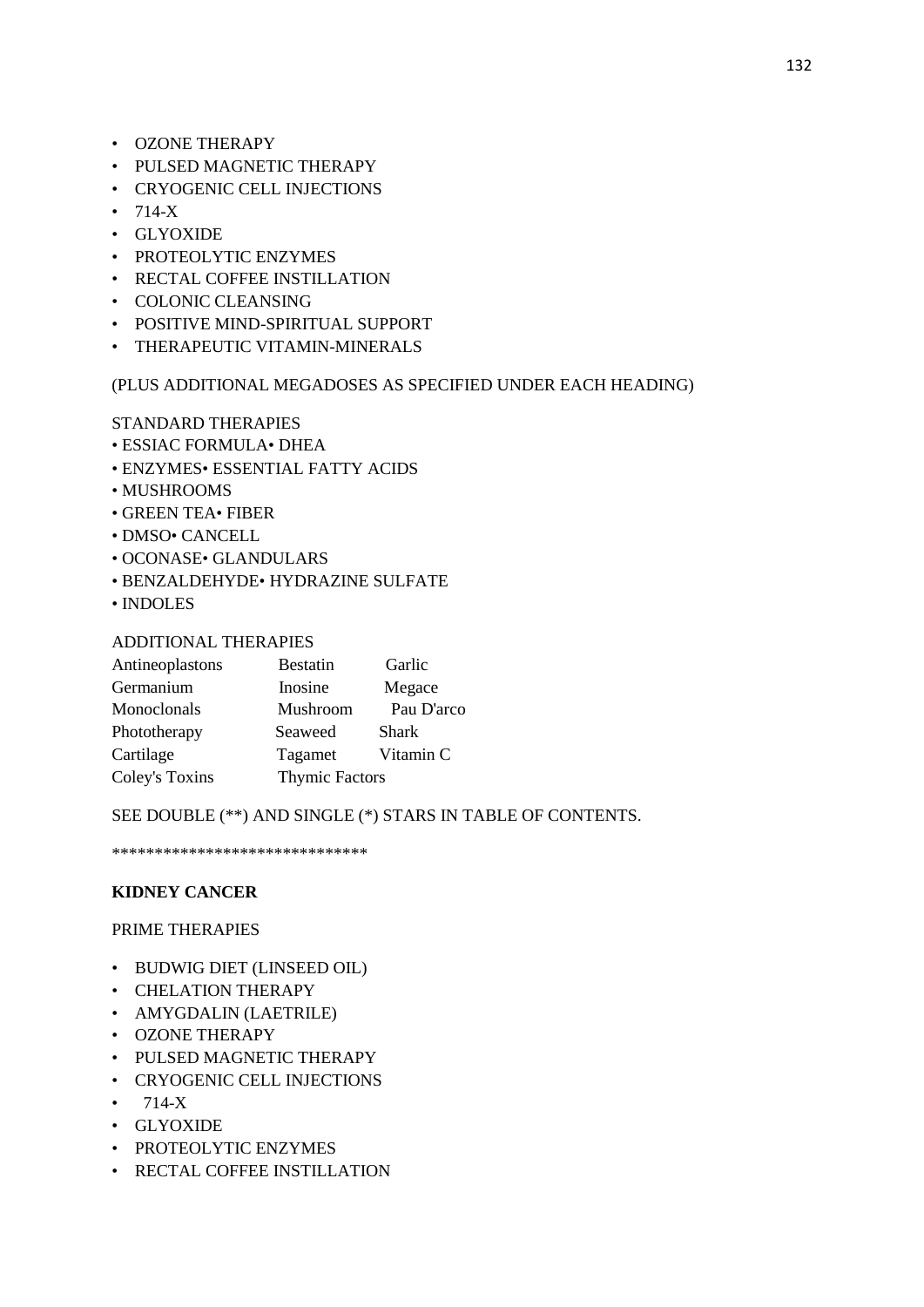- OZONE THERAPY
- PULSED MAGNETIC THERAPY
- CRYOGENIC CELL INJECTIONS
- $714-X$
- GLYOXIDE
- PROTEOLYTIC ENZYMES
- RECTAL COFFEE INSTILLATION
- COLONIC CLEANSING
- POSITIVE MIND-SPIRITUAL SUPPORT
- THERAPEUTIC VITAMIN-MINERALS

## (PLUS ADDITIONAL MEGADOSES AS SPECIFIED UNDER EACH HEADING)

## STANDARD THERAPIES

- ESSIAC FORMULA• DHEA
- ENZYMES• ESSENTIAL FATTY ACIDS
- MUSHROOMS
- GREEN TEA• FIBER
- DMSO• CANCELL
- OCONASE• GLANDULARS
- BENZALDEHYDE• HYDRAZINE SULFATE
- INDOLES

## ADDITIONAL THERAPIES

| Antineoplastons       | <b>Bestatin</b>       | Garlic     |
|-----------------------|-----------------------|------------|
| Germanium             | Inosine               | Megace     |
| Monoclonals           | Mushroom              | Pau D'arco |
| Phototherapy          | Seaweed               | Shark      |
| Cartilage             | Tagamet               | Vitamin C  |
| <b>Coley's Toxins</b> | <b>Thymic Factors</b> |            |

SEE DOUBLE (\*\*) AND SINGLE (\*) STARS IN TABLE OF CONTENTS.

\*\*\*\*\*\*\*\*\*\*\*\*\*\*\*\*\*\*\*\*\*\*\*\*\*\*\*\*\*\*

#### **KIDNEY CANCER**

## PRIME THERAPIES

- BUDWIG DIET (LINSEED OIL)
- CHELATION THERAPY
- AMYGDALIN (LAETRILE)
- OZONE THERAPY
- PULSED MAGNETIC THERAPY
- CRYOGENIC CELL INJECTIONS
- $714-X$
- GLYOXIDE
- PROTEOLYTIC ENZYMES
- RECTAL COFFEE INSTILLATION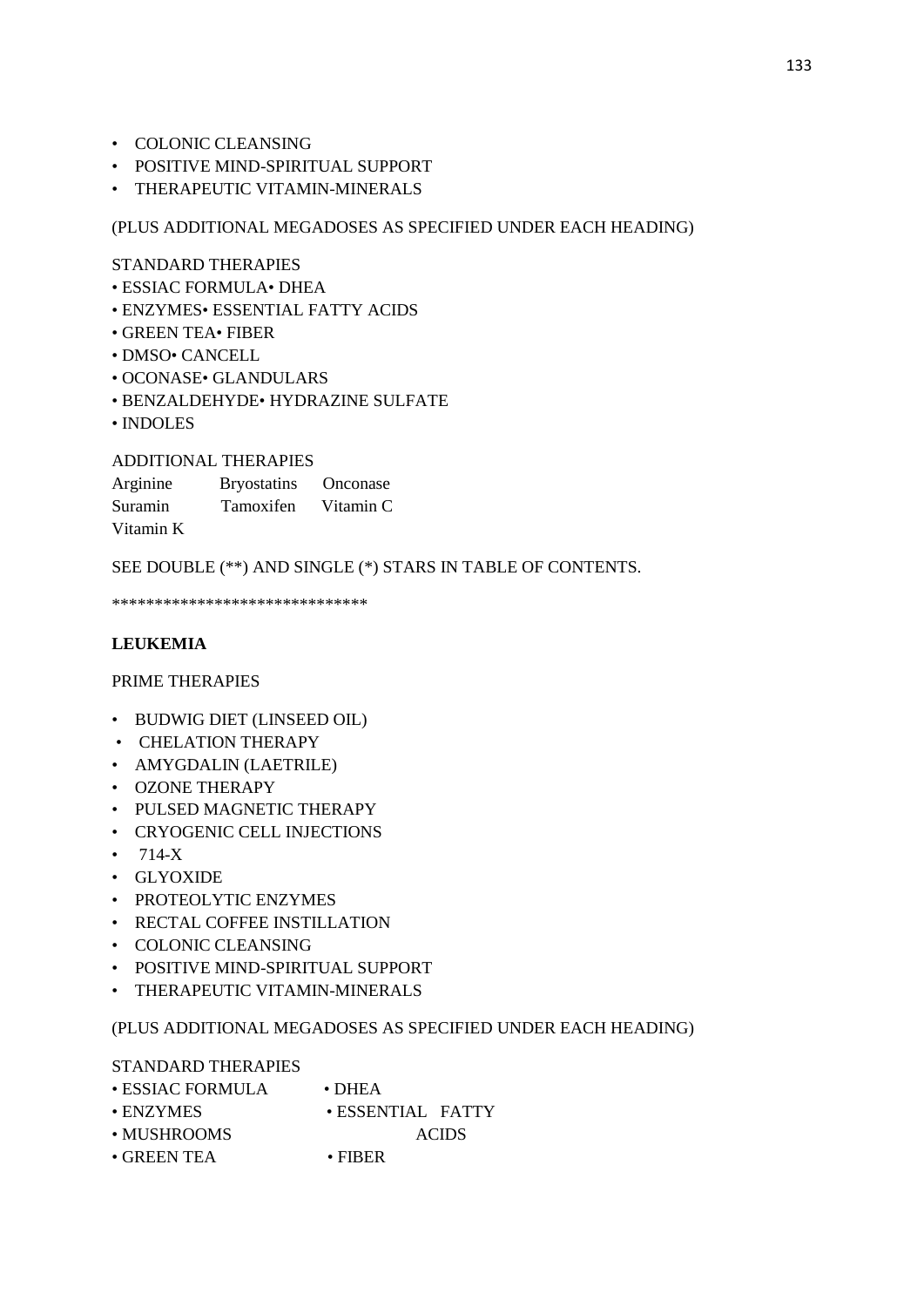- COLONIC CLEANSING
- POSITIVE MIND-SPIRITUAL SUPPORT
- THERAPEUTIC VITAMIN-MINERALS

## (PLUS ADDITIONAL MEGADOSES AS SPECIFIED UNDER EACH HEADING)

STANDARD THERAPIES

- ESSIAC FORMULA• DHEA
- ENZYMES• ESSENTIAL FATTY ACIDS
- GREEN TEA• FIBER
- DMSO• CANCELL
- OCONASE• GLANDULARS
- BENZALDEHYDE• HYDRAZINE SULFATE
- INDOLES

ADDITIONAL THERAPIES

Arginine Bryostatins Onconase Suramin Tamoxifen Vitamin C Vitamin K

SEE DOUBLE (\*\*) AND SINGLE (\*) STARS IN TABLE OF CONTENTS.

\*\*\*\*\*\*\*\*\*\*\*\*\*\*\*\*\*\*\*\*\*\*\*\*\*\*\*\*\*\*

## **LEUKEMIA**

## PRIME THERAPIES

- BUDWIG DIET (LINSEED OIL)
- CHELATION THERAPY
- AMYGDALIN (LAETRILE)
- OZONE THERAPY
- PULSED MAGNETIC THERAPY
- CRYOGENIC CELL INJECTIONS
- $714-X$
- GLYOXIDE
- PROTEOLYTIC ENZYMES
- RECTAL COFFEE INSTILLATION
- COLONIC CLEANSING
- POSITIVE MIND-SPIRITUAL SUPPORT
- THERAPEUTIC VITAMIN-MINERALS

## (PLUS ADDITIONAL MEGADOSES AS SPECIFIED UNDER EACH HEADING)

## STANDARD THERAPIES

| $\bullet$ ESSIAC FORMULA | $\bullet$ DHEA            |
|--------------------------|---------------------------|
| • ENZYMES                | $\bullet$ ESSENTIAL FATTY |
| • MUSHROOMS              | <b>ACIDS</b>              |
| $\bullet$ GREEN TEA      | $\bullet$ FIRER           |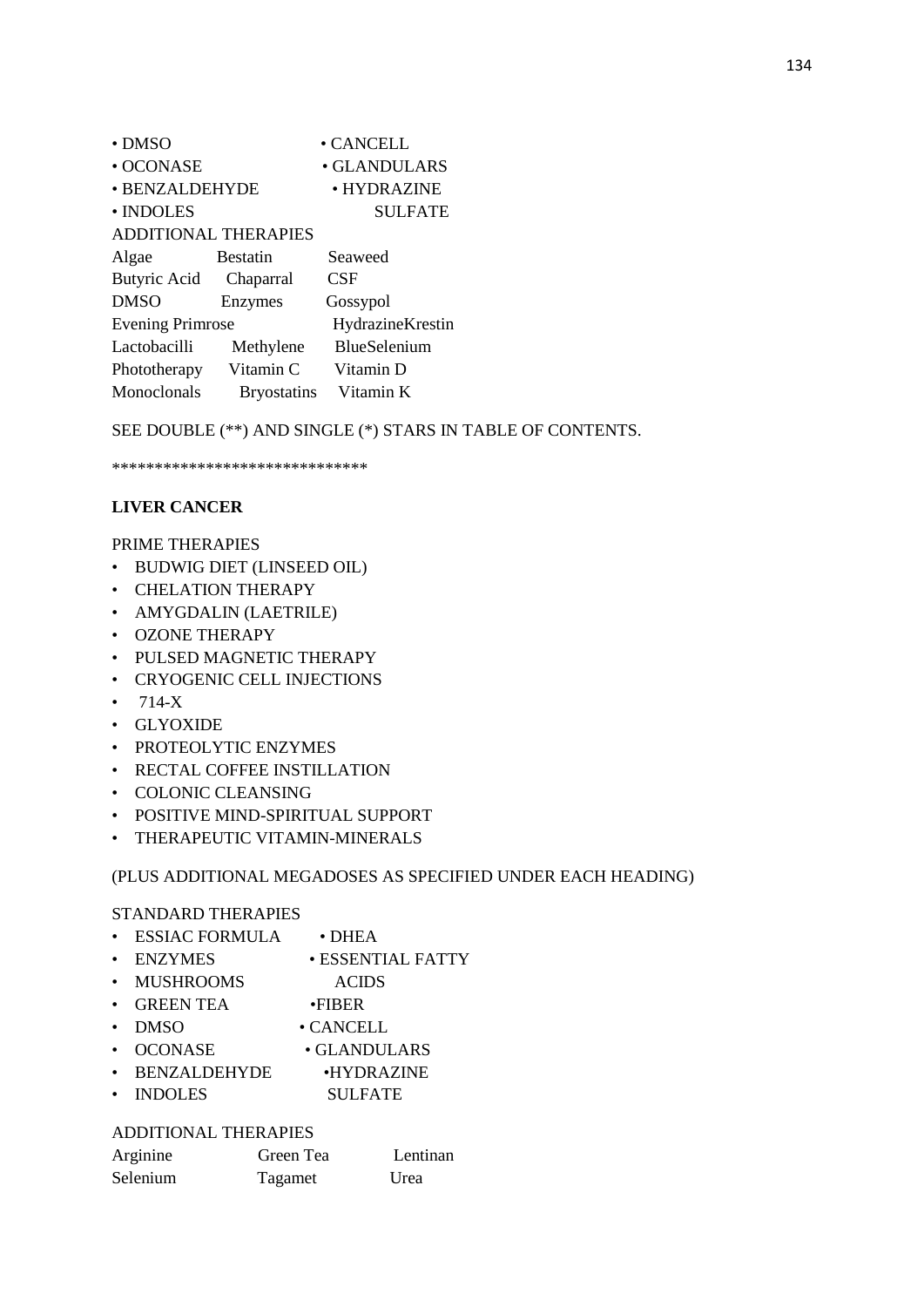| $\cdot$ DMSO            |                             | · CANCELL        |  |
|-------------------------|-----------------------------|------------------|--|
| $\cdot$ OCONASE         |                             | · GLANDULARS     |  |
| • BENZALDEHYDE          |                             | · HYDRAZINE      |  |
| • INDOLES               |                             | <b>SULFATE</b>   |  |
|                         | <b>ADDITIONAL THERAPIES</b> |                  |  |
| Algae                   | <b>Bestatin</b>             | Seaweed          |  |
| Butyric Acid Chaparral  |                             | CSF              |  |
| <b>DMSO</b>             | Enzymes                     | Gossypol         |  |
| <b>Evening Primrose</b> |                             | HydrazineKrestin |  |
| Lactobacilli            | Methylene                   | BlueSelenium     |  |
| Phototherapy Vitamin C  |                             | Vitamin D        |  |
| Monoclonals             | <b>Bryostatins</b>          | Vitamin K        |  |

SEE DOUBLE (\*\*) AND SINGLE (\*) STARS IN TABLE OF CONTENTS.

\*\*\*\*\*\*\*\*\*\*\*\*\*\*\*\*\*\*\*\*\*\*\*\*\*\*\*\*\*\*

## **LIVER CANCER**

## PRIME THERAPIES

- BUDWIG DIET (LINSEED OIL)
- CHELATION THERAPY
- AMYGDALIN (LAETRILE)
- OZONE THERAPY
- PULSED MAGNETIC THERAPY
- CRYOGENIC CELL INJECTIONS
- $714-X$
- GLYOXIDE
- PROTEOLYTIC ENZYMES
- RECTAL COFFEE INSTILLATION
- COLONIC CLEANSING
- POSITIVE MIND-SPIRITUAL SUPPORT
- THERAPEUTIC VITAMIN-MINERALS

## (PLUS ADDITIONAL MEGADOSES AS SPECIFIED UNDER EACH HEADING)

## STANDARD THERAPIES

- ESSIAC FORMULA DHEA
- ENZYMES ESSENTIAL FATTY
- MUSHROOMS ACIDS
- GREEN TEA •FIBER
- DMSO CANCELL
- OCONASE GLANDULARS
- BENZALDEHYDE •HYDRAZINE
- INDOLES SULFATE

## ADDITIONAL THERAPIES

| Arginine | Green Tea | Lentinan |
|----------|-----------|----------|
| Selenium | Tagamet   | Urea     |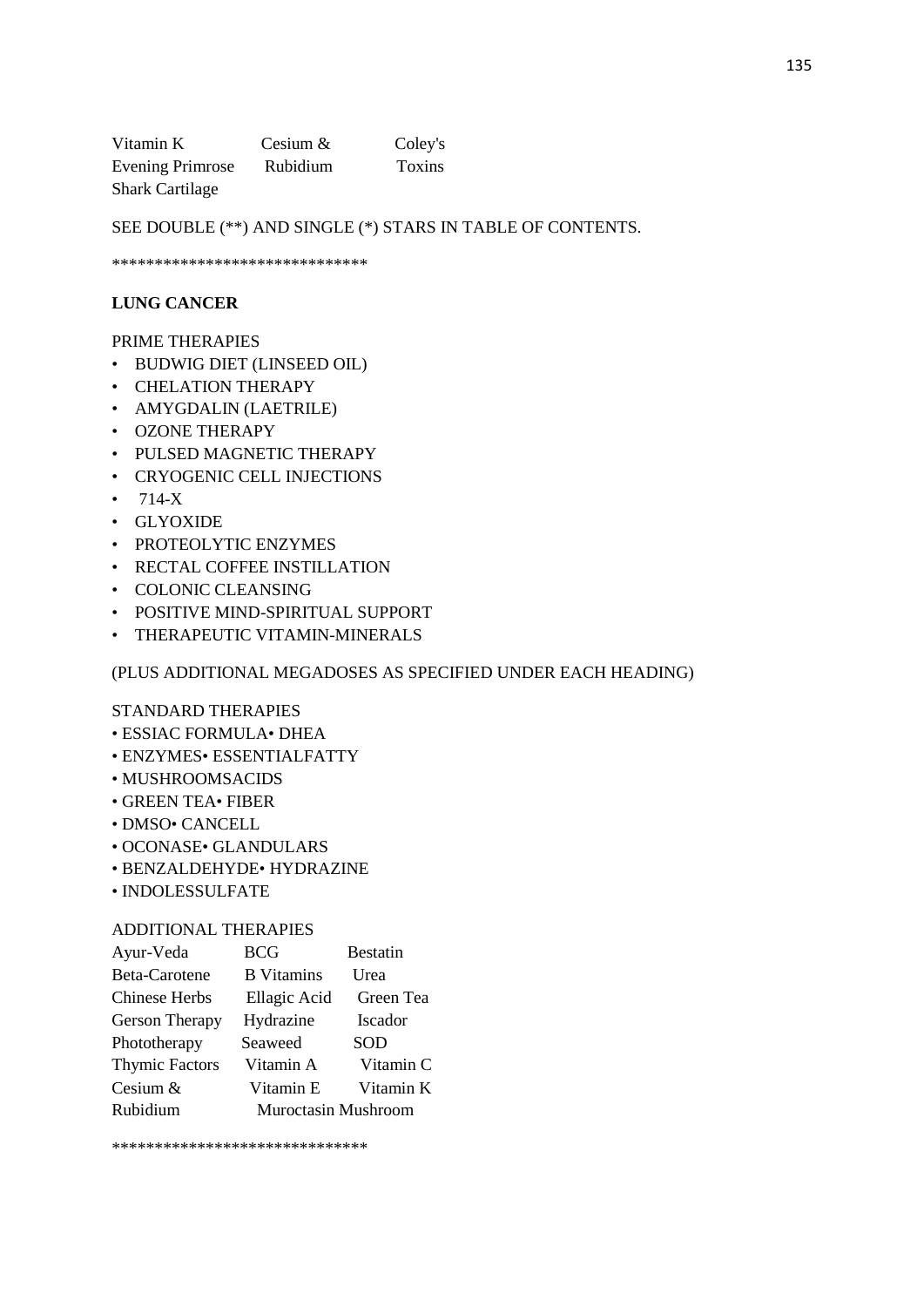| Vitamin K               | Cesium $&$ | Coley's       |
|-------------------------|------------|---------------|
| <b>Evening Primrose</b> | Rubidium   | <b>Toxins</b> |
| <b>Shark Cartilage</b>  |            |               |

SEE DOUBLE (\*\*) AND SINGLE (\*) STARS IN TABLE OF CONTENTS.

\*\*\*\*\*\*\*\*\*\*\*\*\*\*\*\*\*\*\*\*\*\*\*\*\*\*\*\*\*\*

## **LUNG CANCER**

## PRIME THERAPIES

- BUDWIG DIET (LINSEED OIL)
- CHELATION THERAPY
- AMYGDALIN (LAETRILE)
- OZONE THERAPY
- PULSED MAGNETIC THERAPY
- CRYOGENIC CELL INJECTIONS
- $714-X$
- GLYOXIDE
- PROTEOLYTIC ENZYMES
- RECTAL COFFEE INSTILLATION
- COLONIC CLEANSING
- POSITIVE MIND-SPIRITUAL SUPPORT
- THERAPEUTIC VITAMIN-MINERALS

## (PLUS ADDITIONAL MEGADOSES AS SPECIFIED UNDER EACH HEADING)

STANDARD THERAPIES

- ESSIAC FORMULA• DHEA
- ENZYMES• ESSENTIALFATTY
- MUSHROOMSACIDS
- GREEN TEA• FIBER
- DMSO• CANCELL
- OCONASE• GLANDULARS
- BENZALDEHYDE• HYDRAZINE
- INDOLESSULFATE

## ADDITIONAL THERAPIES

| Ayur-Veda             | <b>BCG</b>          | <b>Bestatin</b> |
|-----------------------|---------------------|-----------------|
| Beta-Carotene         | <b>B</b> Vitamins   | Urea            |
| Chinese Herbs         | Ellagic Acid        | Green Tea       |
| Gerson Therapy        | Hydrazine           | <b>Iscador</b>  |
| Phototherapy          | Seaweed             | SOD             |
| <b>Thymic Factors</b> | Vitamin A           | Vitamin C       |
| Cesium $&$            | Vitamin E           | Vitamin K       |
| Rubidium              | Muroctasin Mushroom |                 |
|                       |                     |                 |

\*\*\*\*\*\*\*\*\*\*\*\*\*\*\*\*\*\*\*\*\*\*\*\*\*\*\*\*\*\*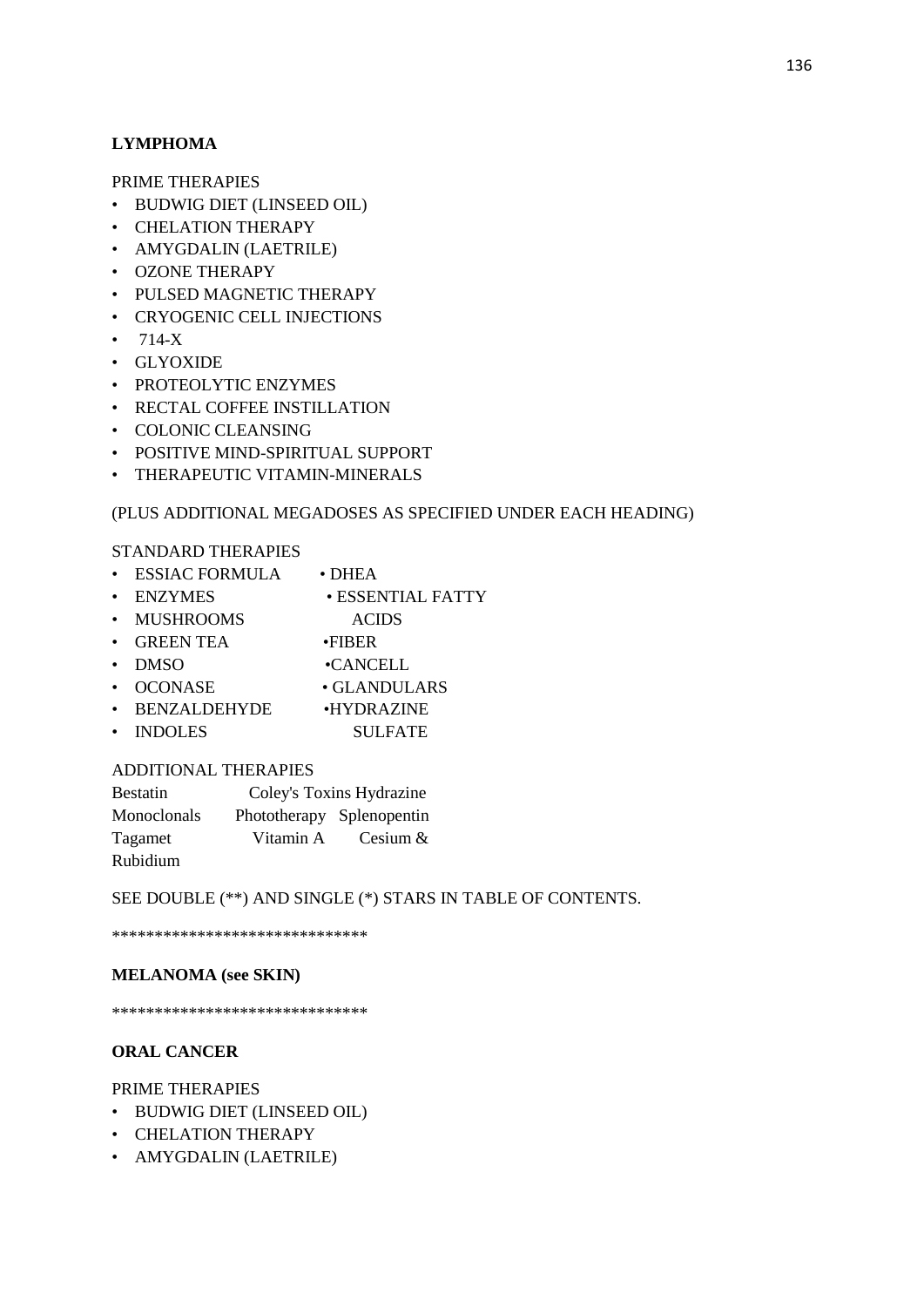## **LYMPHOMA**

PRIME THERAPIES

- BUDWIG DIET (LINSEED OIL)
- CHELATION THERAPY
- AMYGDALIN (LAETRILE)
- OZONE THERAPY
- PULSED MAGNETIC THERAPY
- CRYOGENIC CELL INJECTIONS
- $-714-X$
- GLYOXIDE
- PROTEOLYTIC ENZYMES
- RECTAL COFFEE INSTILLATION
- COLONIC CLEANSING
- POSITIVE MIND-SPIRITUAL SUPPORT
- THERAPEUTIC VITAMIN-MINERALS

## (PLUS ADDITIONAL MEGADOSES AS SPECIFIED UNDER EACH HEADING)

#### STANDARD THERAPIES

- ESSIAC FORMULA DHEA
- ENZYMES ESSENTIAL FATTY
- MUSHROOMS ACIDS
- GREEN TEA •FIBER
- DMSO •CANCELL
- OCONASE GLANDULARS
- BENZALDEHYDE •HYDRAZINE
- INDOLES SULFATE

## ADDITIONAL THERAPIES

| <b>Bestatin</b> | Coley's Toxins Hydrazine  |          |
|-----------------|---------------------------|----------|
| Monoclonals     | Phototherapy Splenopentin |          |
| Tagamet         | Vitamin A                 | Cesium & |
| Rubidium        |                           |          |

SEE DOUBLE (\*\*) AND SINGLE (\*) STARS IN TABLE OF CONTENTS.

\*\*\*\*\*\*\*\*\*\*\*\*\*\*\*\*\*\*\*\*\*\*\*\*\*\*\*\*\*\*

## **MELANOMA (see SKIN)**

\*\*\*\*\*\*\*\*\*\*\*\*\*\*\*\*\*\*\*\*\*\*\*\*\*\*\*\*\*\*

## **ORAL CANCER**

PRIME THERAPIES

- BUDWIG DIET (LINSEED OIL)
- CHELATION THERAPY
- AMYGDALIN (LAETRILE)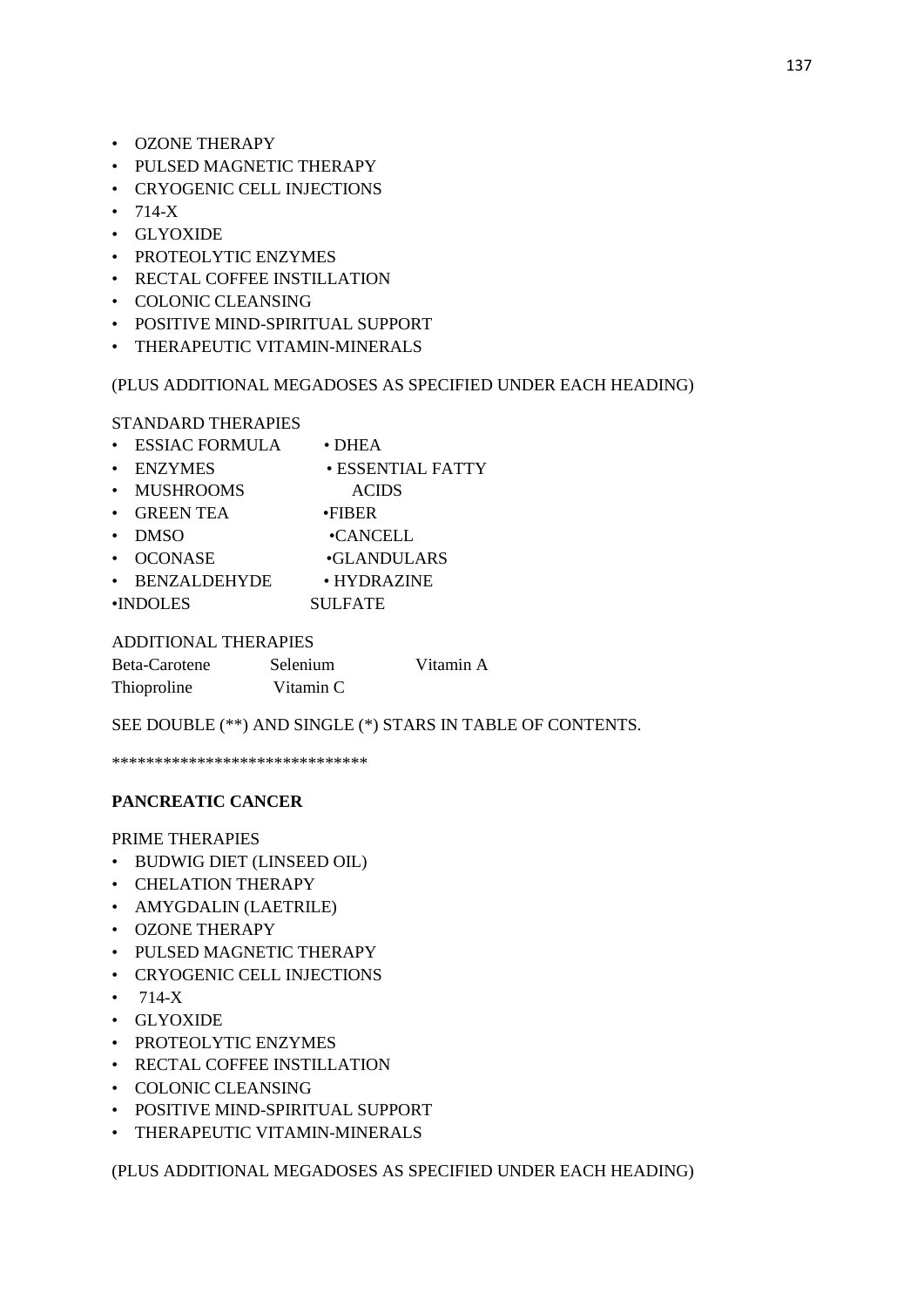- OZONE THERAPY
- PULSED MAGNETIC THERAPY
- CRYOGENIC CELL INJECTIONS
- $714-X$
- GLYOXIDE
- PROTEOLYTIC ENZYMES
- RECTAL COFFEE INSTILLATION
- COLONIC CLEANSING
- POSITIVE MIND-SPIRITUAL SUPPORT
- THERAPEUTIC VITAMIN-MINERALS

## (PLUS ADDITIONAL MEGADOSES AS SPECIFIED UNDER EACH HEADING)

## STANDARD THERAPIES

- ESSIAC FORMULA DHEA
- ENZYMES ESSENTIAL FATTY
- MUSHROOMS ACIDS
- GREEN TEA •FIBER
- DMSO •CANCELL
- OCONASE GLANDULARS
- BENZALDEHYDE HYDRAZINE
- •INDOLES SULFATE

## ADDITIONAL THERAPIES

| Beta-Carotene | Selenium  | Vitamin A |
|---------------|-----------|-----------|
| Thioproline   | Vitamin C |           |

SEE DOUBLE (\*\*) AND SINGLE (\*) STARS IN TABLE OF CONTENTS.

\*\*\*\*\*\*\*\*\*\*\*\*\*\*\*\*\*\*\*\*\*\*\*\*\*\*\*\*\*\*

## **PANCREATIC CANCER**

PRIME THERAPIES

- BUDWIG DIET (LINSEED OIL)
- CHELATION THERAPY
- AMYGDALIN (LAETRILE)
- OZONE THERAPY
- PULSED MAGNETIC THERAPY
- CRYOGENIC CELL INJECTIONS
- $714-X$
- GLYOXIDE
- PROTEOLYTIC ENZYMES
- RECTAL COFFEE INSTILLATION
- COLONIC CLEANSING
- POSITIVE MIND-SPIRITUAL SUPPORT
- THERAPEUTIC VITAMIN-MINERALS

(PLUS ADDITIONAL MEGADOSES AS SPECIFIED UNDER EACH HEADING)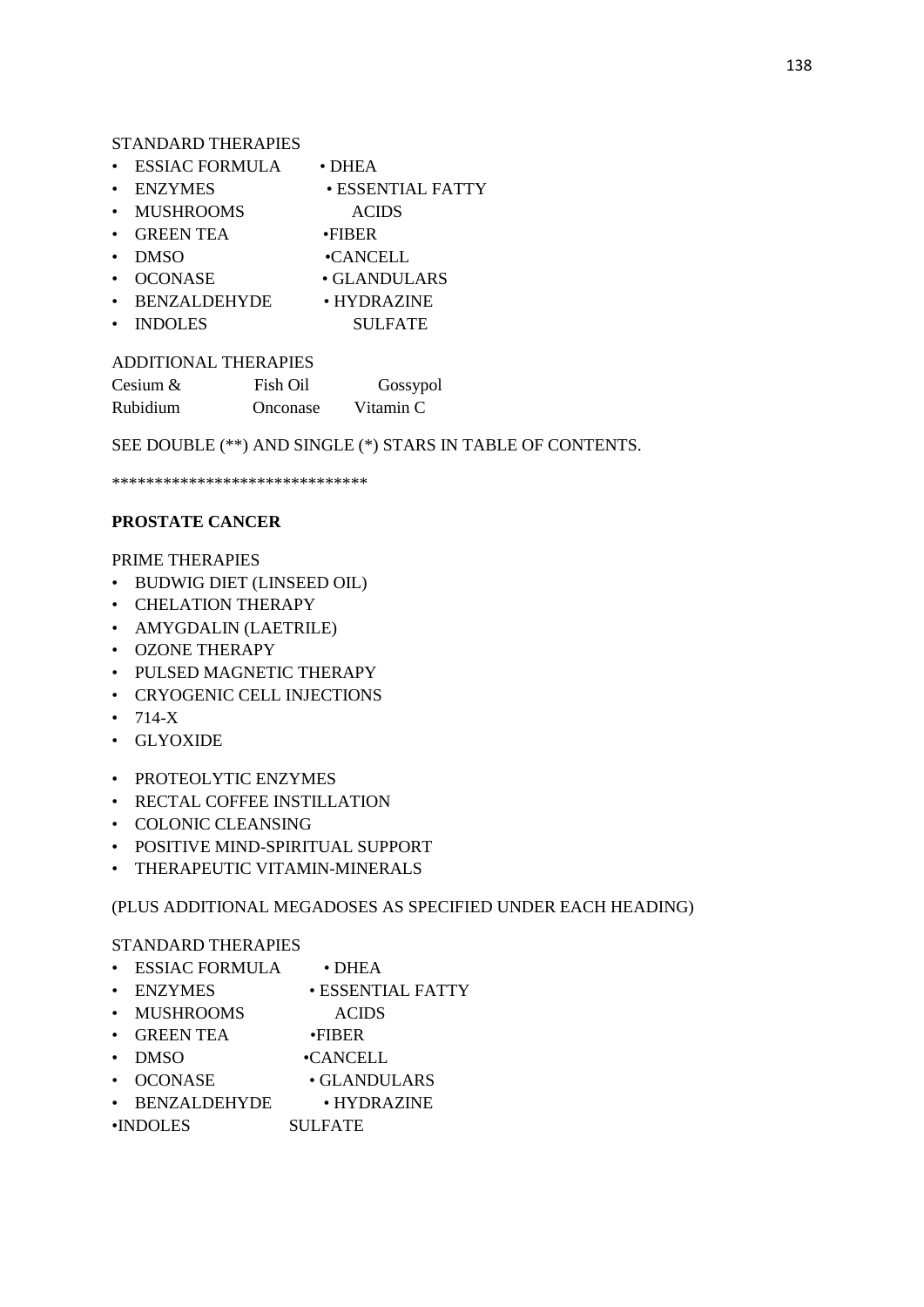#### STANDARD THERAPIES

- ESSIAC FORMULA DHEA
- ENZYMES ESSENTIAL FATTY
- MUSHROOMS ACIDS • GREEN TEA •FIBER
- 
- DMSO •CANCELL
- OCONASE GLANDULARS
- BENZALDEHYDE HYDRAZINE
- INDOLES SULFATE

## ADDITIONAL THERAPIES

| Cesium $\&$ | Fish Oil        | Gossypol  |
|-------------|-----------------|-----------|
| Rubidium    | <b>Onconase</b> | Vitamin C |

SEE DOUBLE (\*\*) AND SINGLE (\*) STARS IN TABLE OF CONTENTS.

\*\*\*\*\*\*\*\*\*\*\*\*\*\*\*\*\*\*\*\*\*\*\*\*\*\*\*\*\*\*

## **PROSTATE CANCER**

PRIME THERAPIES

- BUDWIG DIET (LINSEED OIL)
- CHELATION THERAPY
- AMYGDALIN (LAETRILE)
- OZONE THERAPY
- PULSED MAGNETIC THERAPY
- CRYOGENIC CELL INJECTIONS
- $714-X$
- GLYOXIDE
- PROTEOLYTIC ENZYMES
- RECTAL COFFEE INSTILLATION
- COLONIC CLEANSING
- POSITIVE MIND-SPIRITUAL SUPPORT
- THERAPEUTIC VITAMIN-MINERALS

## (PLUS ADDITIONAL MEGADOSES AS SPECIFIED UNDER EACH HEADING)

## STANDARD THERAPIES

- ESSIAC FORMULA DHEA
- ENZYMES ESSENTIAL FATTY
- MUSHROOMS ACIDS
- GREEN TEA •FIBER
- DMSO •CANCELL
- OCONASE GLANDULARS
- BENZALDEHYDE HYDRAZINE
- •INDOLES SULFATE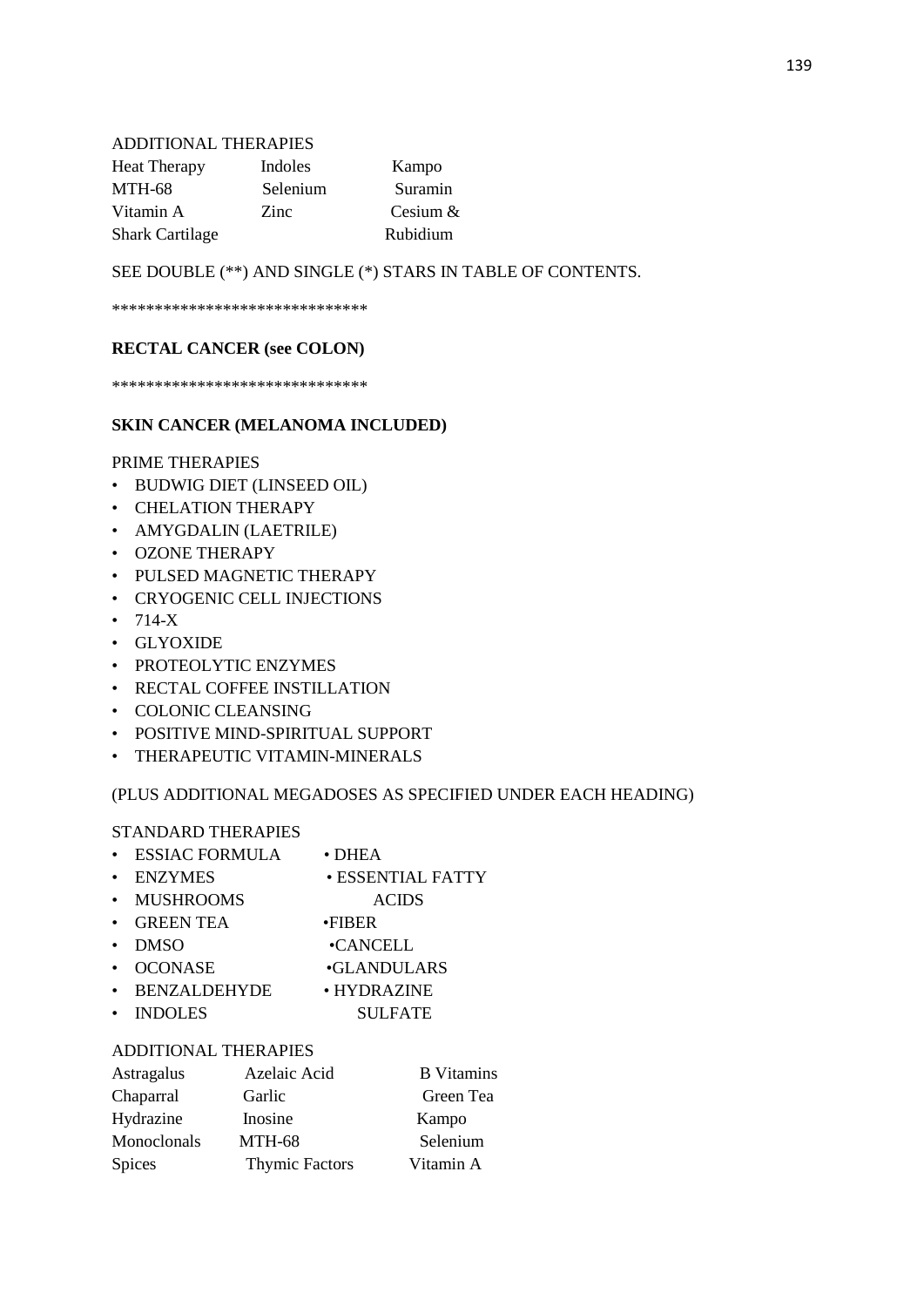#### ADDITIONAL THERAPIES

| <b>Heat Therapy</b>    | Indoles  | Kampo      |
|------------------------|----------|------------|
| MTH-68                 | Selenium | Suramin    |
| Vitamin A              | Zinc     | Cesium $&$ |
| <b>Shark Cartilage</b> |          | Rubidium   |

## SEE DOUBLE (\*\*) AND SINGLE (\*) STARS IN TABLE OF CONTENTS.

\*\*\*\*\*\*\*\*\*\*\*\*\*\*\*\*\*\*\*\*\*\*\*\*\*\*\*\*\*\*

## **RECTAL CANCER (see COLON)**

\*\*\*\*\*\*\*\*\*\*\*\*\*\*\*\*\*\*\*\*\*\*\*\*\*\*\*\*\*\*

## **SKIN CANCER (MELANOMA INCLUDED)**

#### PRIME THERAPIES

- BUDWIG DIET (LINSEED OIL)
- CHELATION THERAPY
- AMYGDALIN (LAETRILE)
- OZONE THERAPY
- PULSED MAGNETIC THERAPY
- CRYOGENIC CELL INJECTIONS
- $714-X$
- GLYOXIDE
- PROTEOLYTIC ENZYMES
- RECTAL COFFEE INSTILLATION
- COLONIC CLEANSING
- POSITIVE MIND-SPIRITUAL SUPPORT
- THERAPEUTIC VITAMIN-MINERALS

## (PLUS ADDITIONAL MEGADOSES AS SPECIFIED UNDER EACH HEADING)

## STANDARD THERAPIES

- ESSIAC FORMULA DHEA
- ENZYMES ESSENTIAL FATTY • MUSHROOMS ACIDS
- 
- GREEN TEA •FIBER
- DMSO •CANCELL
- OCONASE •GLANDULARS
- BENZALDEHYDE HYDRAZINE
- INDOLES SULFATE

## ADDITIONAL THERAPIES

| Astragalus    | Azelaic Acid          | <b>B</b> Vitamins |
|---------------|-----------------------|-------------------|
| Chaparral     | Garlic                | Green Tea         |
| Hydrazine     | Inosine               | Kampo             |
| Monoclonals   | MTH-68                | Selenium          |
| <b>Spices</b> | <b>Thymic Factors</b> | Vitamin A         |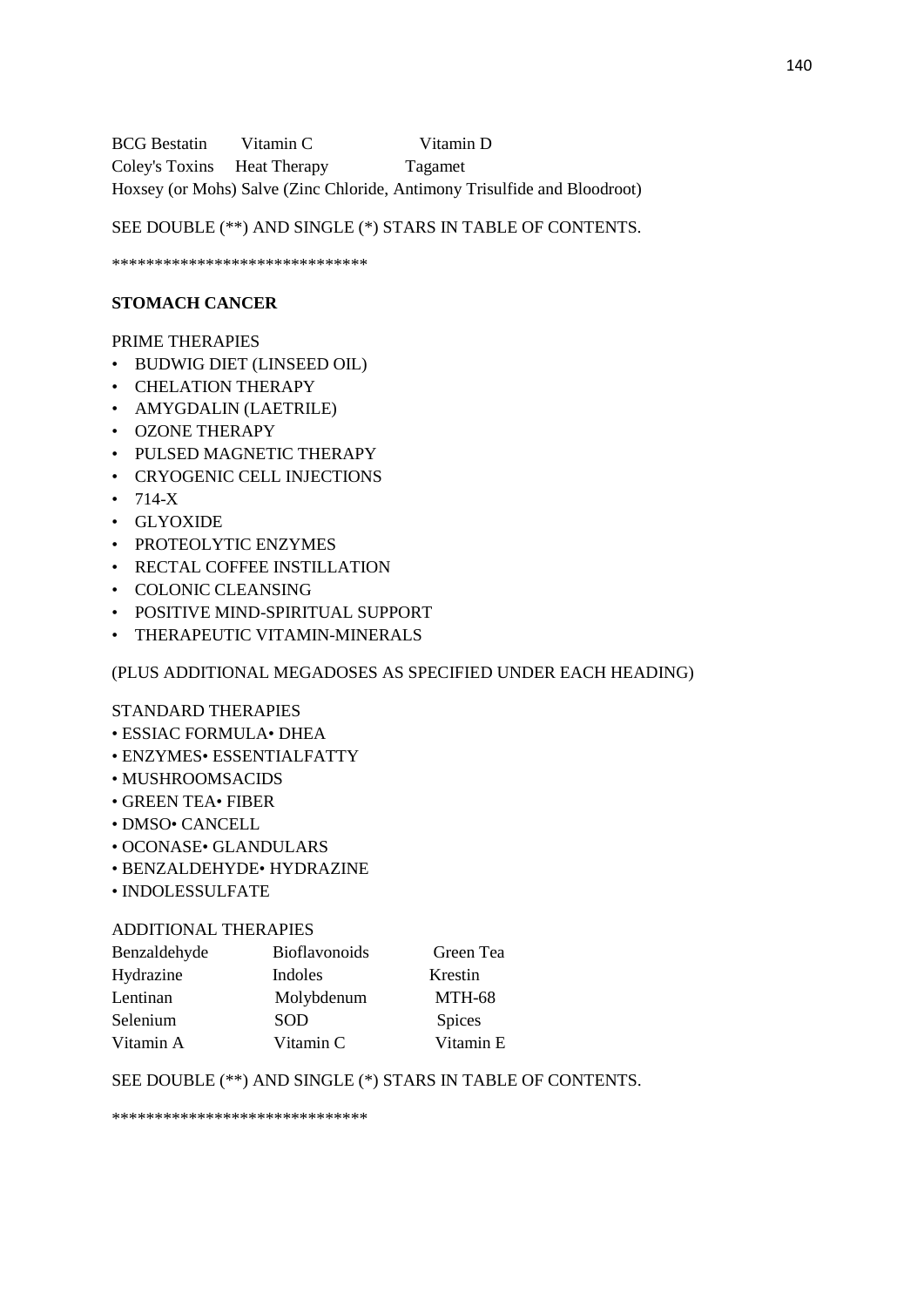BCG Bestatin Vitamin C Vitamin D Coley's Toxins Heat Therapy Tagamet Hoxsey (or Mohs) Salve (Zinc Chloride, Antimony Trisulfide and Bloodroot)

SEE DOUBLE (\*\*) AND SINGLE (\*) STARS IN TABLE OF CONTENTS.

\*\*\*\*\*\*\*\*\*\*\*\*\*\*\*\*\*\*\*\*\*\*\*\*\*\*\*\*\*\*

## **STOMACH CANCER**

PRIME THERAPIES

- BUDWIG DIET (LINSEED OIL)
- CHELATION THERAPY
- AMYGDALIN (LAETRILE)
- OZONE THERAPY
- PULSED MAGNETIC THERAPY
- CRYOGENIC CELL INJECTIONS
- $714-X$
- GLYOXIDE
- PROTEOLYTIC ENZYMES
- RECTAL COFFEE INSTILLATION
- COLONIC CLEANSING
- POSITIVE MIND-SPIRITUAL SUPPORT
- THERAPEUTIC VITAMIN-MINERALS

## (PLUS ADDITIONAL MEGADOSES AS SPECIFIED UNDER EACH HEADING)

STANDARD THERAPIES

- ESSIAC FORMULA• DHEA
- ENZYMES• ESSENTIALFATTY
- MUSHROOMSACIDS
- GREEN TEA• FIBER
- DMSO• CANCELL
- OCONASE• GLANDULARS
- BENZALDEHYDE• HYDRAZINE
- INDOLESSULFATE

## ADDITIONAL THERAPIES

| Benzaldehyde | <b>Bioflavonoids</b> | Green Tea     |
|--------------|----------------------|---------------|
| Hydrazine    | Indoles              | Krestin       |
| Lentinan     | Molybdenum           | MTH-68        |
| Selenium     | <b>SOD</b>           | <b>Spices</b> |
| Vitamin A    | Vitamin C            | Vitamin E     |

## SEE DOUBLE (\*\*) AND SINGLE (\*) STARS IN TABLE OF CONTENTS.

\*\*\*\*\*\*\*\*\*\*\*\*\*\*\*\*\*\*\*\*\*\*\*\*\*\*\*\*\*\*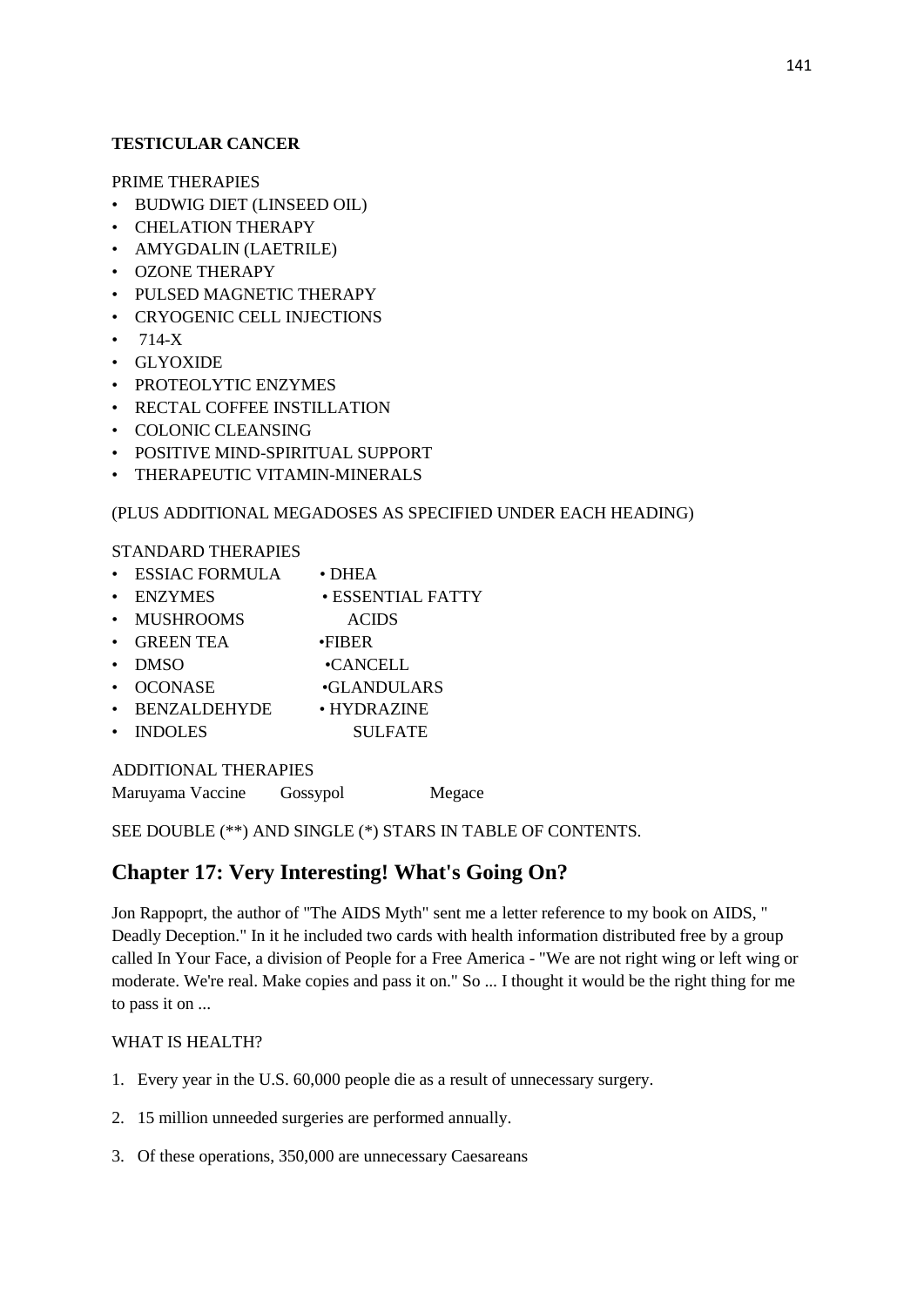## **TESTICULAR CANCER**

PRIME THERAPIES

- BUDWIG DIET (LINSEED OIL)
- CHELATION THERAPY
- AMYGDALIN (LAETRILE)
- OZONE THERAPY
- PULSED MAGNETIC THERAPY
- CRYOGENIC CELL INJECTIONS
- $-714-X$
- GLYOXIDE
- PROTEOLYTIC ENZYMES
- RECTAL COFFEE INSTILLATION
- COLONIC CLEANSING
- POSITIVE MIND-SPIRITUAL SUPPORT
- THERAPEUTIC VITAMIN-MINERALS

## (PLUS ADDITIONAL MEGADOSES AS SPECIFIED UNDER EACH HEADING)

STANDARD THERAPIES

- ESSIAC FORMULA DHEA
- ENZYMES ESSENTIAL FATTY
- MUSHROOMS ACIDS
- GREEN TEA •FIBER
- DMSO •CANCELL
- OCONASE •GLANDULARS
- BENZALDEHYDE HYDRAZINE
- INDOLES SULFATE

ADDITIONAL THERAPIES

Maruyama Vaccine Gossypol Megace

SEE DOUBLE (\*\*) AND SINGLE (\*) STARS IN TABLE OF CONTENTS.

# **Chapter 17: Very Interesting! What's Going On?**

Jon Rappoprt, the author of "The AIDS Myth" sent me a letter reference to my book on AIDS, " Deadly Deception." In it he included two cards with health information distributed free by a group called In Your Face, a division of People for a Free America - "We are not right wing or left wing or moderate. We're real. Make copies and pass it on." So ... I thought it would be the right thing for me to pass it on ...

## WHAT IS HEALTH?

- 1. Every year in the U.S. 60,000 people die as a result of unnecessary surgery.
- 2. 15 million unneeded surgeries are performed annually.
- 3. Of these operations, 350,000 are unnecessary Caesareans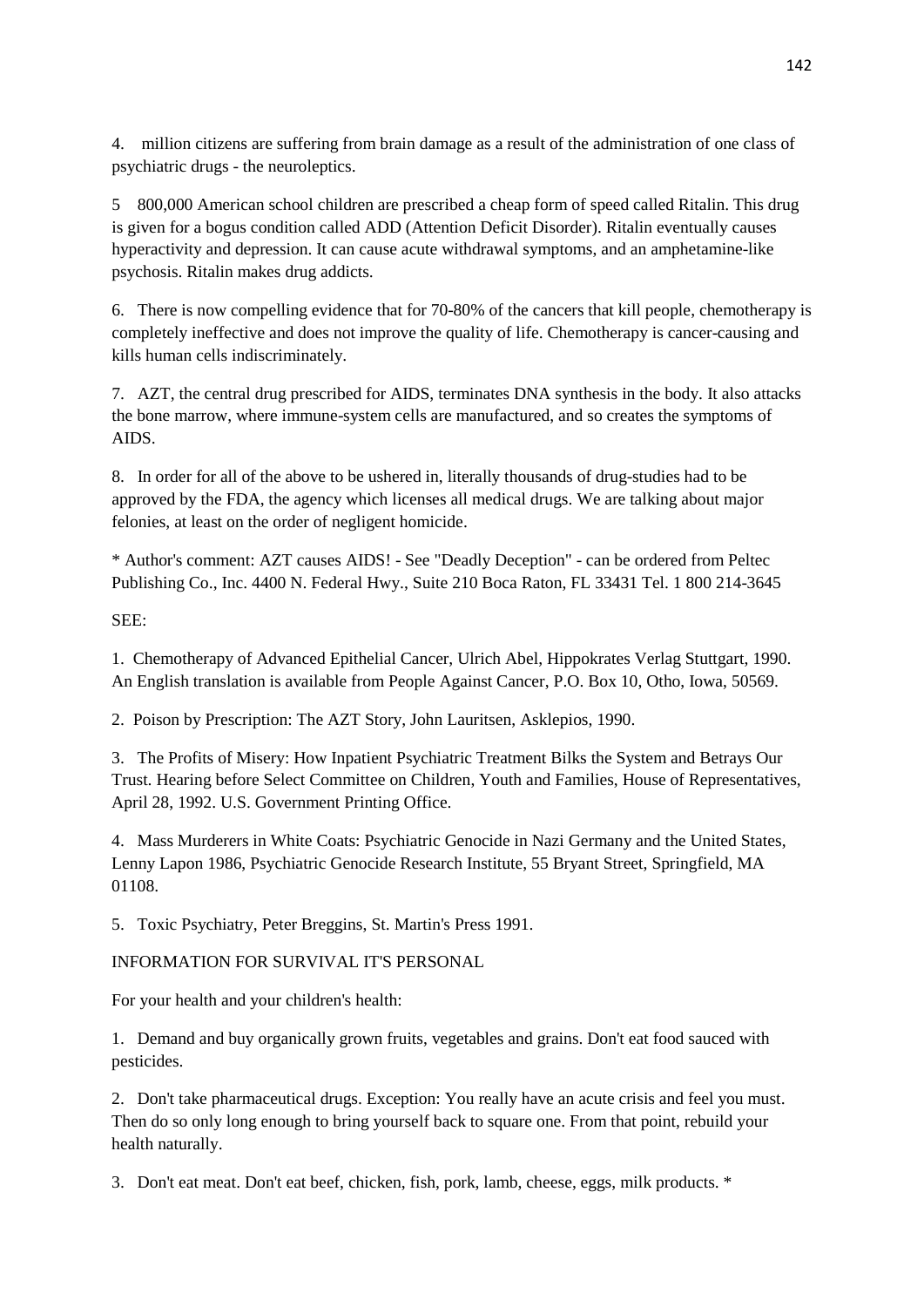4. million citizens are suffering from brain damage as a result of the administration of one class of psychiatric drugs - the neuroleptics.

5 800,000 American school children are prescribed a cheap form of speed called Ritalin. This drug is given for a bogus condition called ADD (Attention Deficit Disorder). Ritalin eventually causes hyperactivity and depression. It can cause acute withdrawal symptoms, and an amphetamine-like psychosis. Ritalin makes drug addicts.

6. There is now compelling evidence that for 70-80% of the cancers that kill people, chemotherapy is completely ineffective and does not improve the quality of life. Chemotherapy is cancer-causing and kills human cells indiscriminately.

7. AZT, the central drug prescribed for AIDS, terminates DNA synthesis in the body. It also attacks the bone marrow, where immune-system cells are manufactured, and so creates the symptoms of AIDS.

8. In order for all of the above to be ushered in, literally thousands of drug-studies had to be approved by the FDA, the agency which licenses all medical drugs. We are talking about major felonies, at least on the order of negligent homicide.

\* Author's comment: AZT causes AIDS! - See "Deadly Deception" - can be ordered from Peltec Publishing Co., Inc. 4400 N. Federal Hwy., Suite 210 Boca Raton, FL 33431 Tel. 1 800 214-3645

SEE:

1. Chemotherapy of Advanced Epithelial Cancer, Ulrich Abel, Hippokrates Verlag Stuttgart, 1990. An English translation is available from People Against Cancer, P.O. Box 10, Otho, Iowa, 50569.

2. Poison by Prescription: The AZT Story, John Lauritsen, Asklepios, 1990.

3. The Profits of Misery: How Inpatient Psychiatric Treatment Bilks the System and Betrays Our Trust. Hearing before Select Committee on Children, Youth and Families, House of Representatives, April 28, 1992. U.S. Government Printing Office.

4. Mass Murderers in White Coats: Psychiatric Genocide in Nazi Germany and the United States, Lenny Lapon 1986, Psychiatric Genocide Research Institute, 55 Bryant Street, Springfield, MA 01108.

5. Toxic Psychiatry, Peter Breggins, St. Martin's Press 1991.

INFORMATION FOR SURVIVAL IT'S PERSONAL

For your health and your children's health:

1. Demand and buy organically grown fruits, vegetables and grains. Don't eat food sauced with pesticides.

2. Don't take pharmaceutical drugs. Exception: You really have an acute crisis and feel you must. Then do so only long enough to bring yourself back to square one. From that point, rebuild your health naturally.

3. Don't eat meat. Don't eat beef, chicken, fish, pork, lamb, cheese, eggs, milk products. \*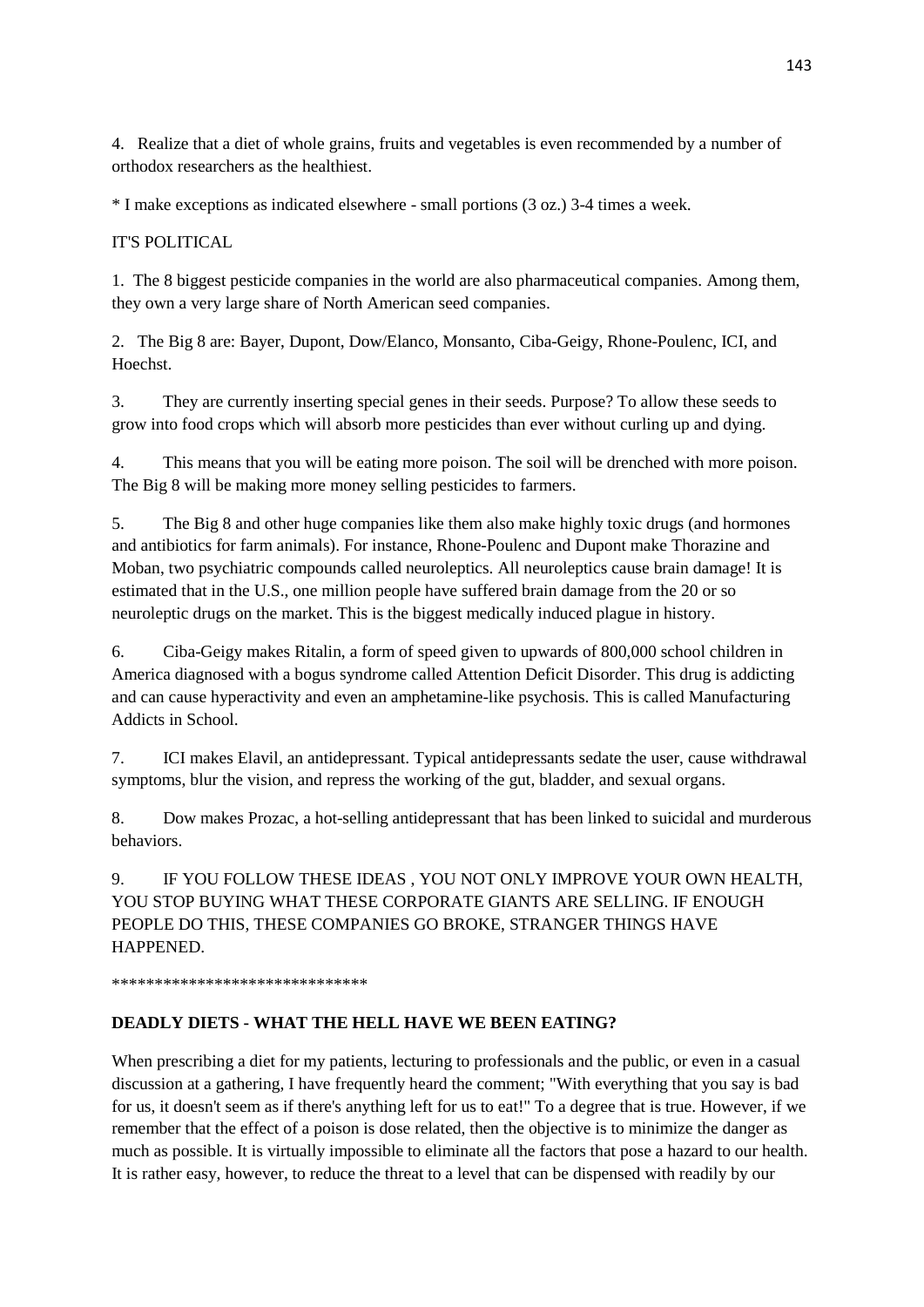4. Realize that a diet of whole grains, fruits and vegetables is even recommended by a number of orthodox researchers as the healthiest.

\* I make exceptions as indicated elsewhere - small portions (3 oz.) 3-4 times a week.

## IT'S POLITICAL

1. The 8 biggest pesticide companies in the world are also pharmaceutical companies. Among them, they own a very large share of North American seed companies.

2. The Big 8 are: Bayer, Dupont, Dow/Elanco, Monsanto, Ciba-Geigy, Rhone-Poulenc, ICI, and Hoechst.

3. They are currently inserting special genes in their seeds. Purpose? To allow these seeds to grow into food crops which will absorb more pesticides than ever without curling up and dying.

4. This means that you will be eating more poison. The soil will be drenched with more poison. The Big 8 will be making more money selling pesticides to farmers.

5. The Big 8 and other huge companies like them also make highly toxic drugs (and hormones and antibiotics for farm animals). For instance, Rhone-Poulenc and Dupont make Thorazine and Moban, two psychiatric compounds called neuroleptics. All neuroleptics cause brain damage! It is estimated that in the U.S., one million people have suffered brain damage from the 20 or so neuroleptic drugs on the market. This is the biggest medically induced plague in history.

6. Ciba-Geigy makes Ritalin, a form of speed given to upwards of 800,000 school children in America diagnosed with a bogus syndrome called Attention Deficit Disorder. This drug is addicting and can cause hyperactivity and even an amphetamine-like psychosis. This is called Manufacturing Addicts in School.

7. ICI makes Elavil, an antidepressant. Typical antidepressants sedate the user, cause withdrawal symptoms, blur the vision, and repress the working of the gut, bladder, and sexual organs.

8. Dow makes Prozac, a hot-selling antidepressant that has been linked to suicidal and murderous behaviors.

# 9. IF YOU FOLLOW THESE IDEAS , YOU NOT ONLY IMPROVE YOUR OWN HEALTH, YOU STOP BUYING WHAT THESE CORPORATE GIANTS ARE SELLING. IF ENOUGH PEOPLE DO THIS, THESE COMPANIES GO BROKE, STRANGER THINGS HAVE **HAPPENED.**

\*\*\*\*\*\*\*\*\*\*\*\*\*\*\*\*\*\*\*\*\*\*\*\*\*\*\*\*\*\*

## **DEADLY DIETS - WHAT THE HELL HAVE WE BEEN EATING?**

When prescribing a diet for my patients, lecturing to professionals and the public, or even in a casual discussion at a gathering, I have frequently heard the comment; "With everything that you say is bad for us, it doesn't seem as if there's anything left for us to eat!" To a degree that is true. However, if we remember that the effect of a poison is dose related, then the objective is to minimize the danger as much as possible. It is virtually impossible to eliminate all the factors that pose a hazard to our health. It is rather easy, however, to reduce the threat to a level that can be dispensed with readily by our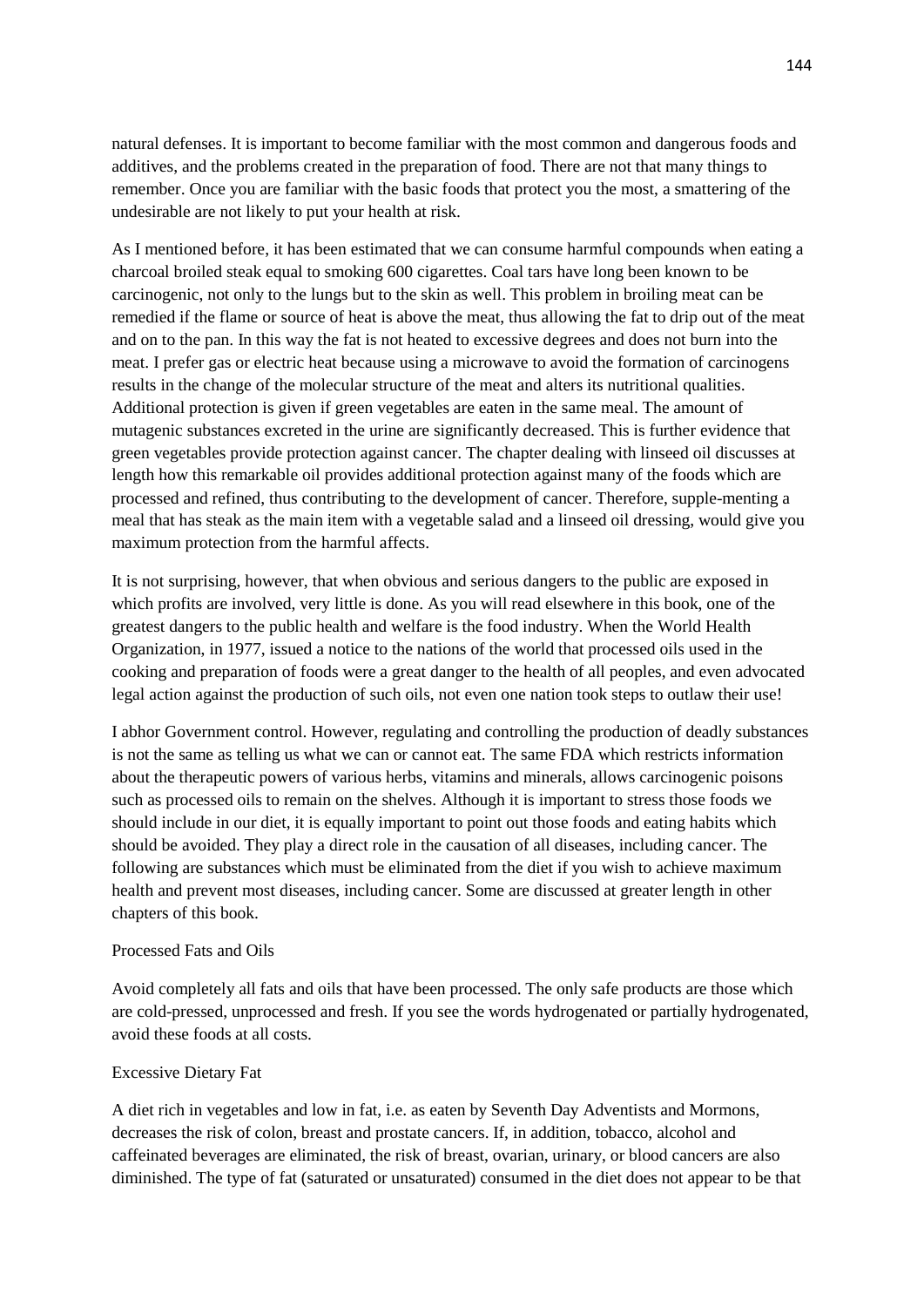natural defenses. It is important to become familiar with the most common and dangerous foods and additives, and the problems created in the preparation of food. There are not that many things to remember. Once you are familiar with the basic foods that protect you the most, a smattering of the undesirable are not likely to put your health at risk.

As I mentioned before, it has been estimated that we can consume harmful compounds when eating a charcoal broiled steak equal to smoking 600 cigarettes. Coal tars have long been known to be carcinogenic, not only to the lungs but to the skin as well. This problem in broiling meat can be remedied if the flame or source of heat is above the meat, thus allowing the fat to drip out of the meat and on to the pan. In this way the fat is not heated to excessive degrees and does not burn into the meat. I prefer gas or electric heat because using a microwave to avoid the formation of carcinogens results in the change of the molecular structure of the meat and alters its nutritional qualities. Additional protection is given if green vegetables are eaten in the same meal. The amount of mutagenic substances excreted in the urine are significantly decreased. This is further evidence that green vegetables provide protection against cancer. The chapter dealing with linseed oil discusses at length how this remarkable oil provides additional protection against many of the foods which are processed and refined, thus contributing to the development of cancer. Therefore, supple-menting a meal that has steak as the main item with a vegetable salad and a linseed oil dressing, would give you maximum protection from the harmful affects.

It is not surprising, however, that when obvious and serious dangers to the public are exposed in which profits are involved, very little is done. As you will read elsewhere in this book, one of the greatest dangers to the public health and welfare is the food industry. When the World Health Organization, in 1977, issued a notice to the nations of the world that processed oils used in the cooking and preparation of foods were a great danger to the health of all peoples, and even advocated legal action against the production of such oils, not even one nation took steps to outlaw their use!

I abhor Government control. However, regulating and controlling the production of deadly substances is not the same as telling us what we can or cannot eat. The same FDA which restricts information about the therapeutic powers of various herbs, vitamins and minerals, allows carcinogenic poisons such as processed oils to remain on the shelves. Although it is important to stress those foods we should include in our diet, it is equally important to point out those foods and eating habits which should be avoided. They play a direct role in the causation of all diseases, including cancer. The following are substances which must be eliminated from the diet if you wish to achieve maximum health and prevent most diseases, including cancer. Some are discussed at greater length in other chapters of this book.

#### Processed Fats and Oils

Avoid completely all fats and oils that have been processed. The only safe products are those which are cold-pressed, unprocessed and fresh. If you see the words hydrogenated or partially hydrogenated, avoid these foods at all costs.

#### Excessive Dietary Fat

A diet rich in vegetables and low in fat, i.e. as eaten by Seventh Day Adventists and Mormons, decreases the risk of colon, breast and prostate cancers. If, in addition, tobacco, alcohol and caffeinated beverages are eliminated, the risk of breast, ovarian, urinary, or blood cancers are also diminished. The type of fat (saturated or unsaturated) consumed in the diet does not appear to be that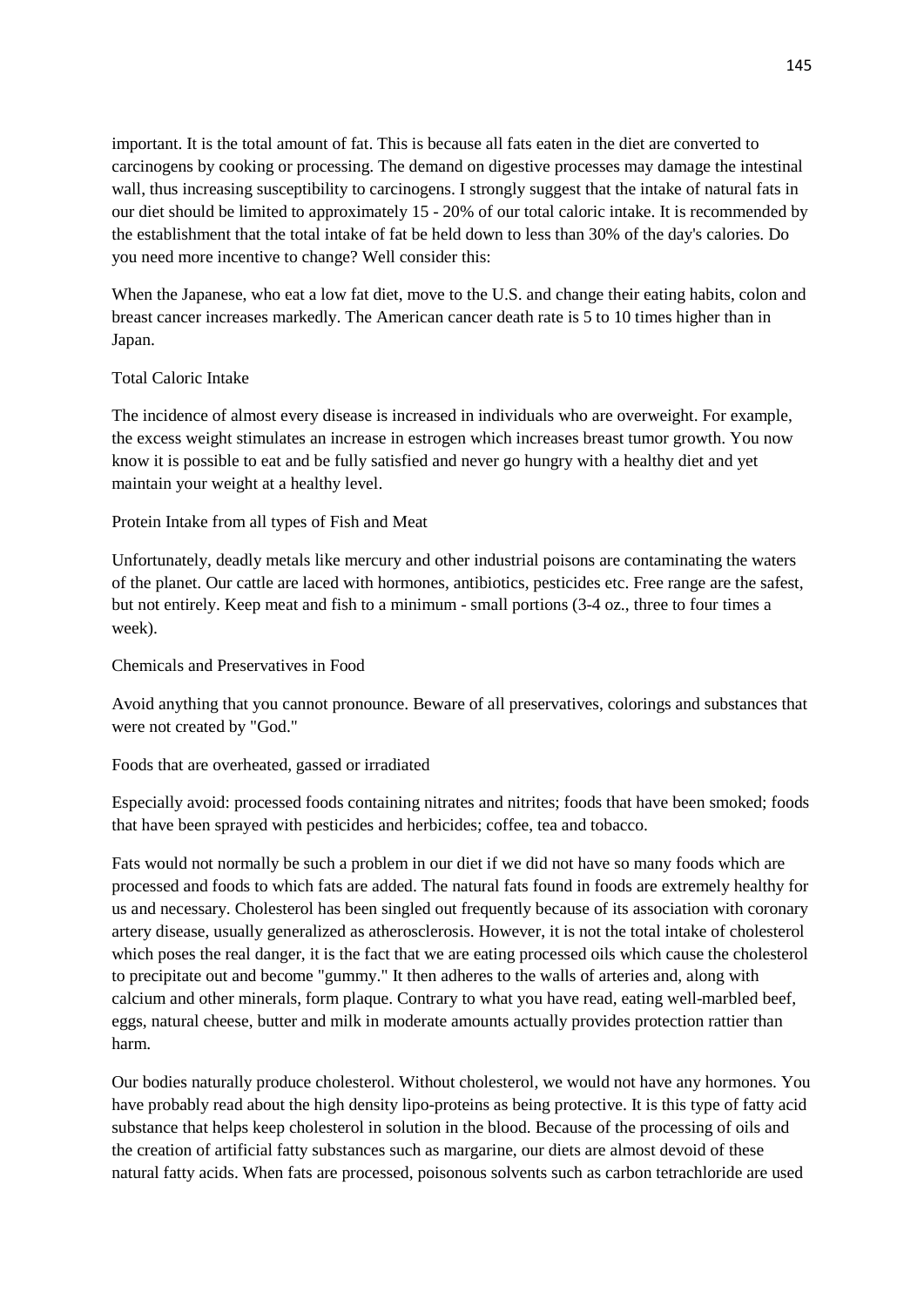important. It is the total amount of fat. This is because all fats eaten in the diet are converted to carcinogens by cooking or processing. The demand on digestive processes may damage the intestinal wall, thus increasing susceptibility to carcinogens. I strongly suggest that the intake of natural fats in our diet should be limited to approximately 15 - 20% of our total caloric intake. It is recommended by the establishment that the total intake of fat be held down to less than 30% of the day's calories. Do you need more incentive to change? Well consider this:

When the Japanese, who eat a low fat diet, move to the U.S. and change their eating habits, colon and breast cancer increases markedly. The American cancer death rate is 5 to 10 times higher than in Japan.

### Total Caloric Intake

The incidence of almost every disease is increased in individuals who are overweight. For example, the excess weight stimulates an increase in estrogen which increases breast tumor growth. You now know it is possible to eat and be fully satisfied and never go hungry with a healthy diet and yet maintain your weight at a healthy level.

### Protein Intake from all types of Fish and Meat

Unfortunately, deadly metals like mercury and other industrial poisons are contaminating the waters of the planet. Our cattle are laced with hormones, antibiotics, pesticides etc. Free range are the safest, but not entirely. Keep meat and fish to a minimum - small portions (3-4 oz., three to four times a week).

### Chemicals and Preservatives in Food

Avoid anything that you cannot pronounce. Beware of all preservatives, colorings and substances that were not created by "God."

#### Foods that are overheated, gassed or irradiated

Especially avoid: processed foods containing nitrates and nitrites; foods that have been smoked; foods that have been sprayed with pesticides and herbicides; coffee, tea and tobacco.

Fats would not normally be such a problem in our diet if we did not have so many foods which are processed and foods to which fats are added. The natural fats found in foods are extremely healthy for us and necessary. Cholesterol has been singled out frequently because of its association with coronary artery disease, usually generalized as atherosclerosis. However, it is not the total intake of cholesterol which poses the real danger, it is the fact that we are eating processed oils which cause the cholesterol to precipitate out and become "gummy." It then adheres to the walls of arteries and, along with calcium and other minerals, form plaque. Contrary to what you have read, eating well-marbled beef, eggs, natural cheese, butter and milk in moderate amounts actually provides protection rattier than harm.

Our bodies naturally produce cholesterol. Without cholesterol, we would not have any hormones. You have probably read about the high density lipo-proteins as being protective. It is this type of fatty acid substance that helps keep cholesterol in solution in the blood. Because of the processing of oils and the creation of artificial fatty substances such as margarine, our diets are almost devoid of these natural fatty acids. When fats are processed, poisonous solvents such as carbon tetrachloride are used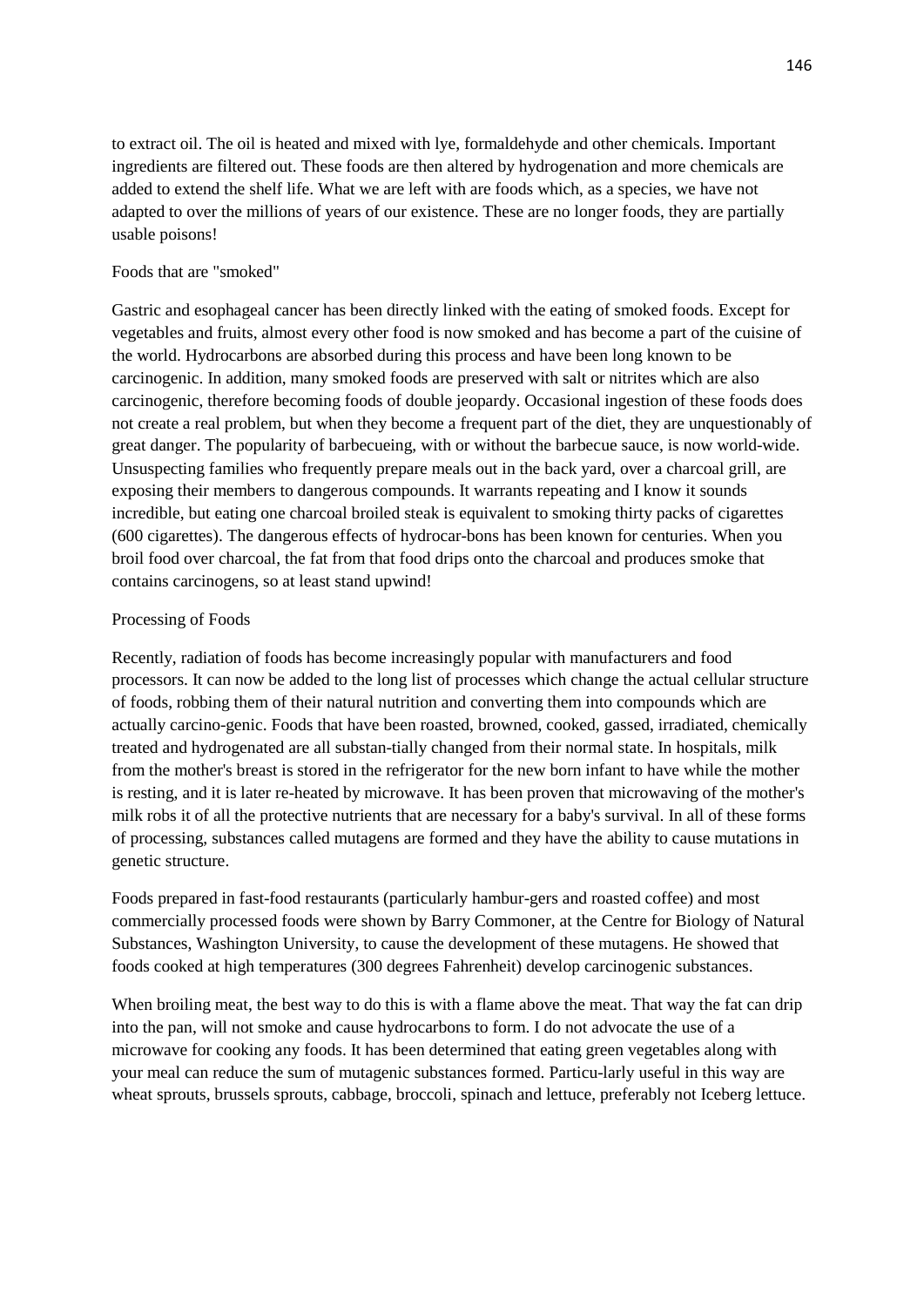to extract oil. The oil is heated and mixed with lye, formaldehyde and other chemicals. Important ingredients are filtered out. These foods are then altered by hydrogenation and more chemicals are added to extend the shelf life. What we are left with are foods which, as a species, we have not adapted to over the millions of years of our existence. These are no longer foods, they are partially usable poisons!

### Foods that are "smoked"

Gastric and esophageal cancer has been directly linked with the eating of smoked foods. Except for vegetables and fruits, almost every other food is now smoked and has become a part of the cuisine of the world. Hydrocarbons are absorbed during this process and have been long known to be carcinogenic. In addition, many smoked foods are preserved with salt or nitrites which are also carcinogenic, therefore becoming foods of double jeopardy. Occasional ingestion of these foods does not create a real problem, but when they become a frequent part of the diet, they are unquestionably of great danger. The popularity of barbecueing, with or without the barbecue sauce, is now world-wide. Unsuspecting families who frequently prepare meals out in the back yard, over a charcoal grill, are exposing their members to dangerous compounds. It warrants repeating and I know it sounds incredible, but eating one charcoal broiled steak is equivalent to smoking thirty packs of cigarettes (600 cigarettes). The dangerous effects of hydrocar-bons has been known for centuries. When you broil food over charcoal, the fat from that food drips onto the charcoal and produces smoke that contains carcinogens, so at least stand upwind!

#### Processing of Foods

Recently, radiation of foods has become increasingly popular with manufacturers and food processors. It can now be added to the long list of processes which change the actual cellular structure of foods, robbing them of their natural nutrition and converting them into compounds which are actually carcino-genic. Foods that have been roasted, browned, cooked, gassed, irradiated, chemically treated and hydrogenated are all substan-tially changed from their normal state. In hospitals, milk from the mother's breast is stored in the refrigerator for the new born infant to have while the mother is resting, and it is later re-heated by microwave. It has been proven that microwaving of the mother's milk robs it of all the protective nutrients that are necessary for a baby's survival. In all of these forms of processing, substances called mutagens are formed and they have the ability to cause mutations in genetic structure.

Foods prepared in fast-food restaurants (particularly hambur-gers and roasted coffee) and most commercially processed foods were shown by Barry Commoner, at the Centre for Biology of Natural Substances, Washington University, to cause the development of these mutagens. He showed that foods cooked at high temperatures (300 degrees Fahrenheit) develop carcinogenic substances.

When broiling meat, the best way to do this is with a flame above the meat. That way the fat can drip into the pan, will not smoke and cause hydrocarbons to form. I do not advocate the use of a microwave for cooking any foods. It has been determined that eating green vegetables along with your meal can reduce the sum of mutagenic substances formed. Particu-larly useful in this way are wheat sprouts, brussels sprouts, cabbage, broccoli, spinach and lettuce, preferably not Iceberg lettuce.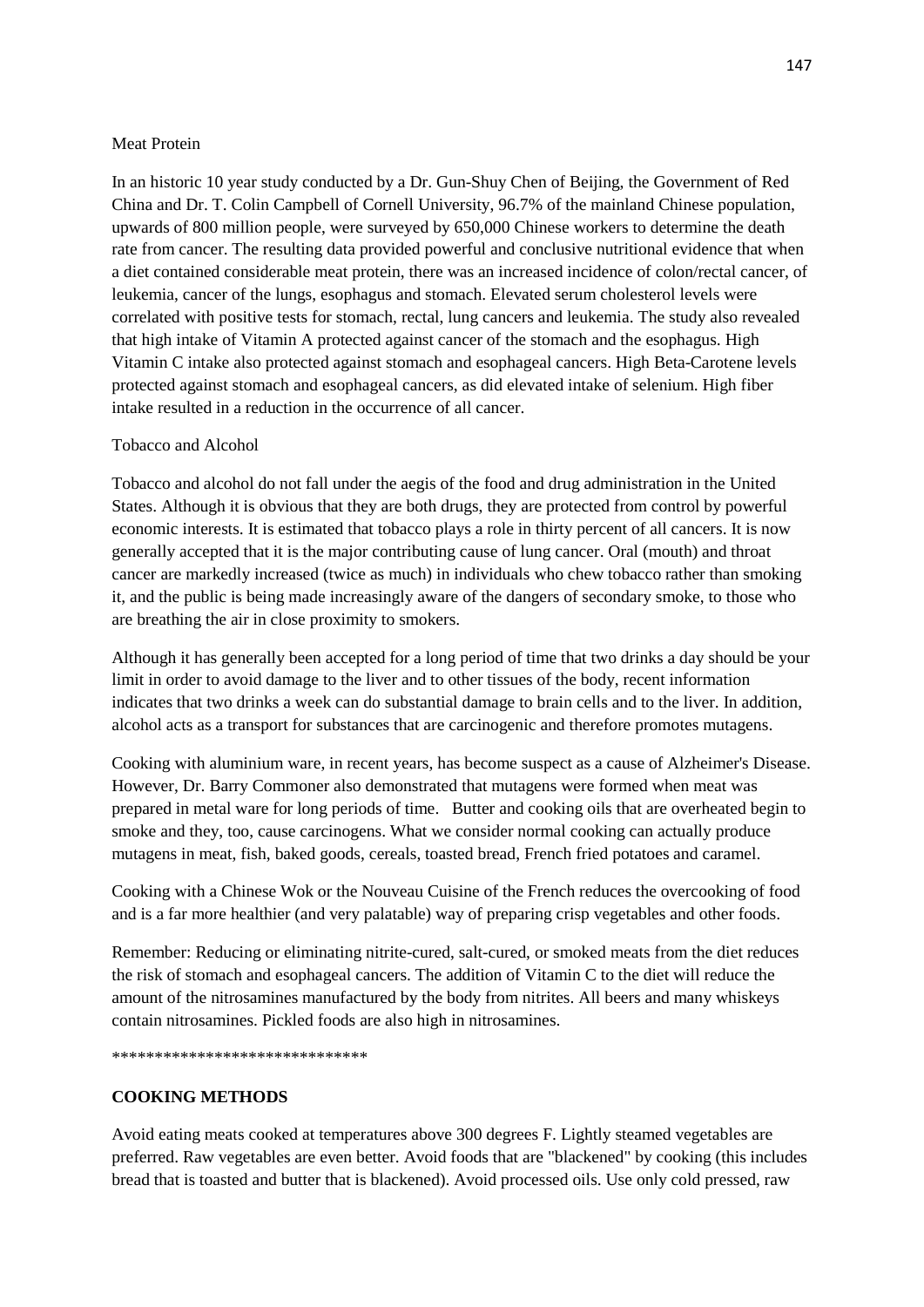#### Meat Protein

In an historic 10 year study conducted by a Dr. Gun-Shuy Chen of Beijing, the Government of Red China and Dr. T. Colin Campbell of Cornell University, 96.7% of the mainland Chinese population, upwards of 800 million people, were surveyed by 650,000 Chinese workers to determine the death rate from cancer. The resulting data provided powerful and conclusive nutritional evidence that when a diet contained considerable meat protein, there was an increased incidence of colon/rectal cancer, of leukemia, cancer of the lungs, esophagus and stomach. Elevated serum cholesterol levels were correlated with positive tests for stomach, rectal, lung cancers and leukemia. The study also revealed that high intake of Vitamin A protected against cancer of the stomach and the esophagus. High Vitamin C intake also protected against stomach and esophageal cancers. High Beta-Carotene levels protected against stomach and esophageal cancers, as did elevated intake of selenium. High fiber intake resulted in a reduction in the occurrence of all cancer.

#### Tobacco and Alcohol

Tobacco and alcohol do not fall under the aegis of the food and drug administration in the United States. Although it is obvious that they are both drugs, they are protected from control by powerful economic interests. It is estimated that tobacco plays a role in thirty percent of all cancers. It is now generally accepted that it is the major contributing cause of lung cancer. Oral (mouth) and throat cancer are markedly increased (twice as much) in individuals who chew tobacco rather than smoking it, and the public is being made increasingly aware of the dangers of secondary smoke, to those who are breathing the air in close proximity to smokers.

Although it has generally been accepted for a long period of time that two drinks a day should be your limit in order to avoid damage to the liver and to other tissues of the body, recent information indicates that two drinks a week can do substantial damage to brain cells and to the liver. In addition, alcohol acts as a transport for substances that are carcinogenic and therefore promotes mutagens.

Cooking with aluminium ware, in recent years, has become suspect as a cause of Alzheimer's Disease. However, Dr. Barry Commoner also demonstrated that mutagens were formed when meat was prepared in metal ware for long periods of time. Butter and cooking oils that are overheated begin to smoke and they, too, cause carcinogens. What we consider normal cooking can actually produce mutagens in meat, fish, baked goods, cereals, toasted bread, French fried potatoes and caramel.

Cooking with a Chinese Wok or the Nouveau Cuisine of the French reduces the overcooking of food and is a far more healthier (and very palatable) way of preparing crisp vegetables and other foods.

Remember: Reducing or eliminating nitrite-cured, salt-cured, or smoked meats from the diet reduces the risk of stomach and esophageal cancers. The addition of Vitamin C to the diet will reduce the amount of the nitrosamines manufactured by the body from nitrites. All beers and many whiskeys contain nitrosamines. Pickled foods are also high in nitrosamines.

\*\*\*\*\*\*\*\*\*\*\*\*\*\*\*\*\*\*\*\*\*\*\*\*\*\*\*\*\*\*

# **COOKING METHODS**

Avoid eating meats cooked at temperatures above 300 degrees F. Lightly steamed vegetables are preferred. Raw vegetables are even better. Avoid foods that are "blackened" by cooking (this includes bread that is toasted and butter that is blackened). Avoid processed oils. Use only cold pressed, raw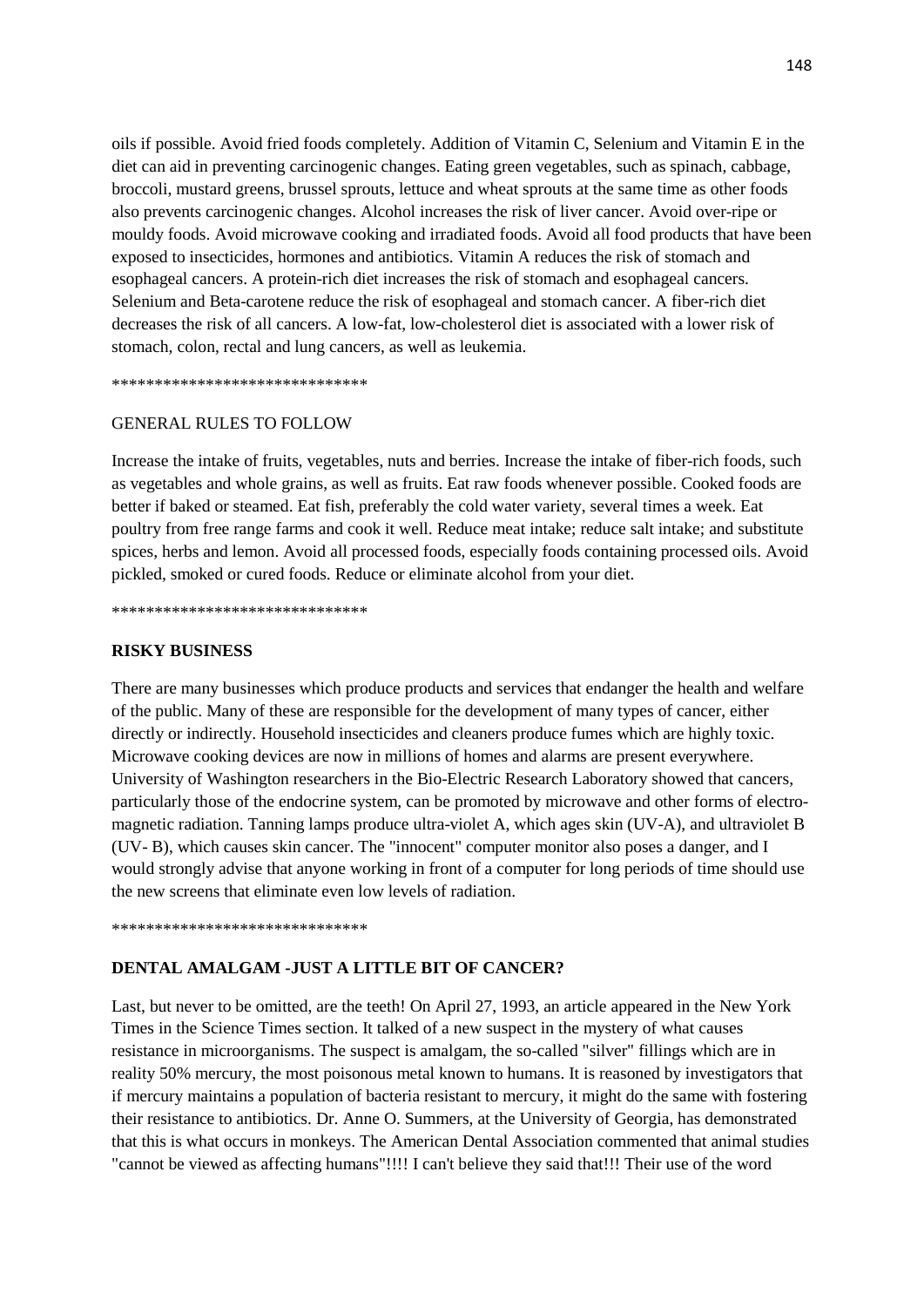oils if possible. Avoid fried foods completely. Addition of Vitamin C, Selenium and Vitamin E in the diet can aid in preventing carcinogenic changes. Eating green vegetables, such as spinach, cabbage, broccoli, mustard greens, brussel sprouts, lettuce and wheat sprouts at the same time as other foods also prevents carcinogenic changes. Alcohol increases the risk of liver cancer. Avoid over-ripe or mouldy foods. Avoid microwave cooking and irradiated foods. Avoid all food products that have been exposed to insecticides, hormones and antibiotics. Vitamin A reduces the risk of stomach and esophageal cancers. A protein-rich diet increases the risk of stomach and esophageal cancers. Selenium and Beta-carotene reduce the risk of esophageal and stomach cancer. A fiber-rich diet decreases the risk of all cancers. A low-fat, low-cholesterol diet is associated with a lower risk of stomach, colon, rectal and lung cancers, as well as leukemia.

\*\*\*\*\*\*\*\*\*\*\*\*\*\*\*\*\*\*\*\*\*\*\*\*\*\*\*\*\*\*

#### GENERAL RULES TO FOLLOW

Increase the intake of fruits, vegetables, nuts and berries. Increase the intake of fiber-rich foods, such as vegetables and whole grains, as well as fruits. Eat raw foods whenever possible. Cooked foods are better if baked or steamed. Eat fish, preferably the cold water variety, several times a week. Eat poultry from free range farms and cook it well. Reduce meat intake; reduce salt intake; and substitute spices, herbs and lemon. Avoid all processed foods, especially foods containing processed oils. Avoid pickled, smoked or cured foods. Reduce or eliminate alcohol from your diet.

\*\*\*\*\*\*\*\*\*\*\*\*\*\*\*\*\*\*\*\*\*\*\*\*\*\*\*\*\*\*

#### **RISKY BUSINESS**

There are many businesses which produce products and services that endanger the health and welfare of the public. Many of these are responsible for the development of many types of cancer, either directly or indirectly. Household insecticides and cleaners produce fumes which are highly toxic. Microwave cooking devices are now in millions of homes and alarms are present everywhere. University of Washington researchers in the Bio-Electric Research Laboratory showed that cancers, particularly those of the endocrine system, can be promoted by microwave and other forms of electromagnetic radiation. Tanning lamps produce ultra-violet A, which ages skin (UV-A), and ultraviolet B (UV- B), which causes skin cancer. The "innocent" computer monitor also poses a danger, and I would strongly advise that anyone working in front of a computer for long periods of time should use the new screens that eliminate even low levels of radiation.

\*\*\*\*\*\*\*\*\*\*\*\*\*\*\*\*\*\*\*\*\*\*\*\*\*\*\*\*\*\*

### **DENTAL AMALGAM -JUST A LITTLE BIT OF CANCER?**

Last, but never to be omitted, are the teeth! On April 27, 1993, an article appeared in the New York Times in the Science Times section. It talked of a new suspect in the mystery of what causes resistance in microorganisms. The suspect is amalgam, the so-called "silver" fillings which are in reality 50% mercury, the most poisonous metal known to humans. It is reasoned by investigators that if mercury maintains a population of bacteria resistant to mercury, it might do the same with fostering their resistance to antibiotics. Dr. Anne O. Summers, at the University of Georgia, has demonstrated that this is what occurs in monkeys. The American Dental Association commented that animal studies "cannot be viewed as affecting humans"!!!! I can't believe they said that!!! Their use of the word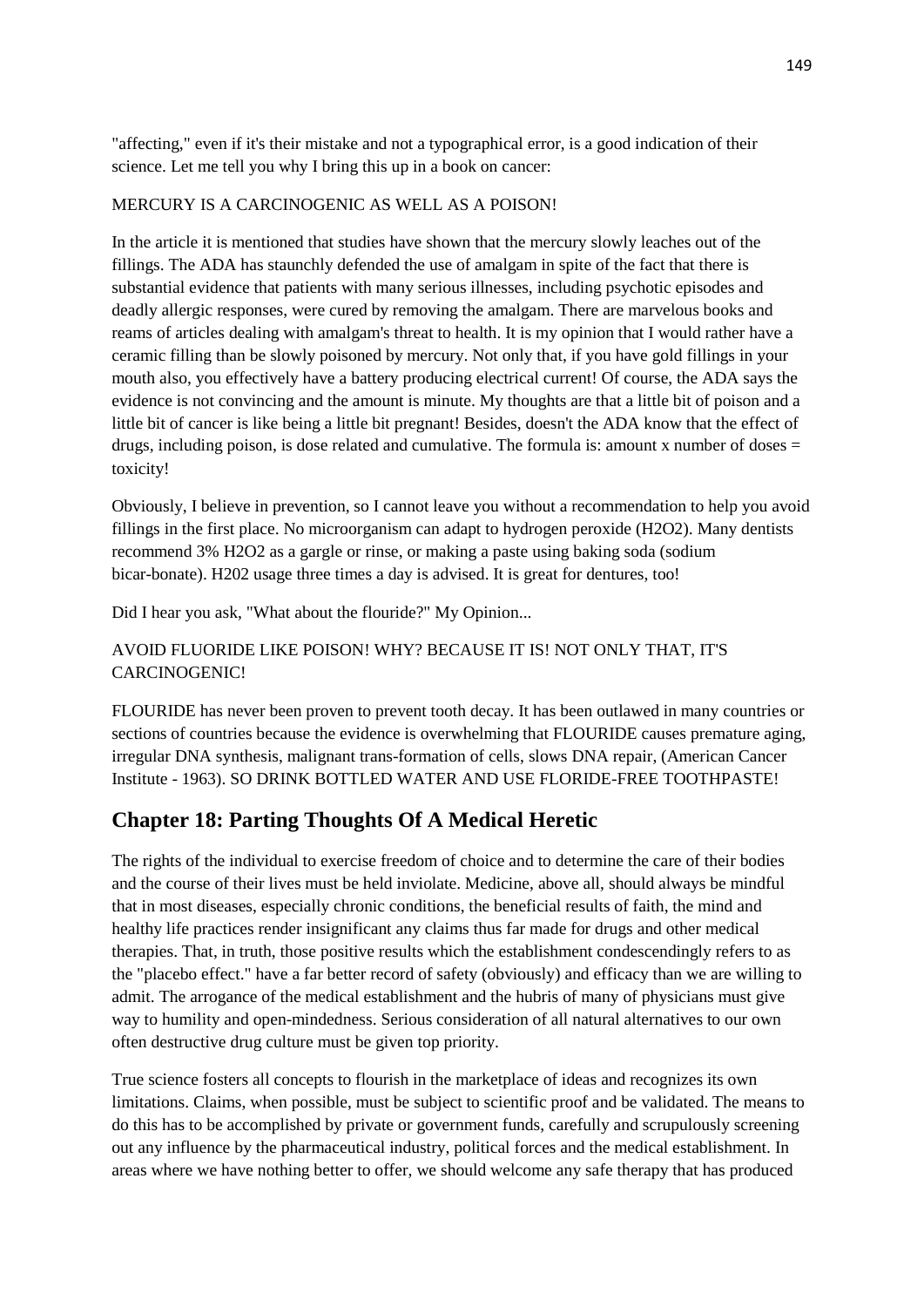"affecting," even if it's their mistake and not a typographical error, is a good indication of their science. Let me tell you why I bring this up in a book on cancer:

# MERCURY IS A CARCINOGENIC AS WELL AS A POISON!

In the article it is mentioned that studies have shown that the mercury slowly leaches out of the fillings. The ADA has staunchly defended the use of amalgam in spite of the fact that there is substantial evidence that patients with many serious illnesses, including psychotic episodes and deadly allergic responses, were cured by removing the amalgam. There are marvelous books and reams of articles dealing with amalgam's threat to health. It is my opinion that I would rather have a ceramic filling than be slowly poisoned by mercury. Not only that, if you have gold fillings in your mouth also, you effectively have a battery producing electrical current! Of course, the ADA says the evidence is not convincing and the amount is minute. My thoughts are that a little bit of poison and a little bit of cancer is like being a little bit pregnant! Besides, doesn't the ADA know that the effect of drugs, including poison, is dose related and cumulative. The formula is: amount x number of doses = toxicity!

Obviously, I believe in prevention, so I cannot leave you without a recommendation to help you avoid fillings in the first place. No microorganism can adapt to hydrogen peroxide (H2O2). Many dentists recommend 3% H2O2 as a gargle or rinse, or making a paste using baking soda (sodium bicar-bonate). H202 usage three times a day is advised. It is great for dentures, too!

Did I hear you ask, "What about the flouride?" My Opinion...

# AVOID FLUORIDE LIKE POISON! WHY? BECAUSE IT IS! NOT ONLY THAT, IT'S CARCINOGENIC!

FLOURIDE has never been proven to prevent tooth decay. It has been outlawed in many countries or sections of countries because the evidence is overwhelming that FLOURIDE causes premature aging, irregular DNA synthesis, malignant trans-formation of cells, slows DNA repair, (American Cancer Institute - 1963). SO DRINK BOTTLED WATER AND USE FLORIDE-FREE TOOTHPASTE!

# **Chapter 18: Parting Thoughts Of A Medical Heretic**

The rights of the individual to exercise freedom of choice and to determine the care of their bodies and the course of their lives must be held inviolate. Medicine, above all, should always be mindful that in most diseases, especially chronic conditions, the beneficial results of faith, the mind and healthy life practices render insignificant any claims thus far made for drugs and other medical therapies. That, in truth, those positive results which the establishment condescendingly refers to as the "placebo effect." have a far better record of safety (obviously) and efficacy than we are willing to admit. The arrogance of the medical establishment and the hubris of many of physicians must give way to humility and open-mindedness. Serious consideration of all natural alternatives to our own often destructive drug culture must be given top priority.

True science fosters all concepts to flourish in the marketplace of ideas and recognizes its own limitations. Claims, when possible, must be subject to scientific proof and be validated. The means to do this has to be accomplished by private or government funds, carefully and scrupulously screening out any influence by the pharmaceutical industry, political forces and the medical establishment. In areas where we have nothing better to offer, we should welcome any safe therapy that has produced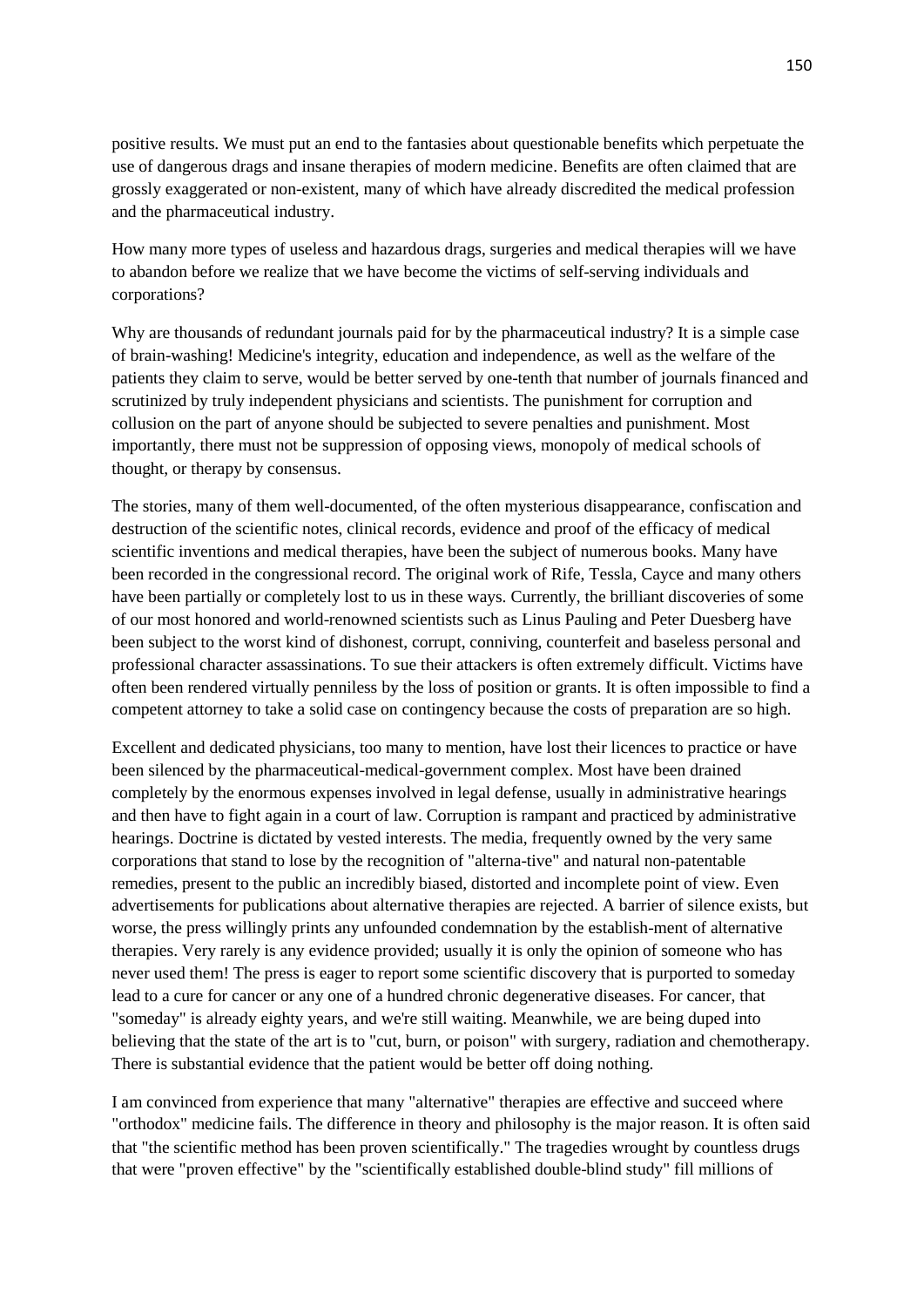positive results. We must put an end to the fantasies about questionable benefits which perpetuate the use of dangerous drags and insane therapies of modern medicine. Benefits are often claimed that are grossly exaggerated or non-existent, many of which have already discredited the medical profession and the pharmaceutical industry.

How many more types of useless and hazardous drags, surgeries and medical therapies will we have to abandon before we realize that we have become the victims of self-serving individuals and corporations?

Why are thousands of redundant journals paid for by the pharmaceutical industry? It is a simple case of brain-washing! Medicine's integrity, education and independence, as well as the welfare of the patients they claim to serve, would be better served by one-tenth that number of journals financed and scrutinized by truly independent physicians and scientists. The punishment for corruption and collusion on the part of anyone should be subjected to severe penalties and punishment. Most importantly, there must not be suppression of opposing views, monopoly of medical schools of thought, or therapy by consensus.

The stories, many of them well-documented, of the often mysterious disappearance, confiscation and destruction of the scientific notes, clinical records, evidence and proof of the efficacy of medical scientific inventions and medical therapies, have been the subject of numerous books. Many have been recorded in the congressional record. The original work of Rife, Tessla, Cayce and many others have been partially or completely lost to us in these ways. Currently, the brilliant discoveries of some of our most honored and world-renowned scientists such as Linus Pauling and Peter Duesberg have been subject to the worst kind of dishonest, corrupt, conniving, counterfeit and baseless personal and professional character assassinations. To sue their attackers is often extremely difficult. Victims have often been rendered virtually penniless by the loss of position or grants. It is often impossible to find a competent attorney to take a solid case on contingency because the costs of preparation are so high.

Excellent and dedicated physicians, too many to mention, have lost their licences to practice or have been silenced by the pharmaceutical-medical-government complex. Most have been drained completely by the enormous expenses involved in legal defense, usually in administrative hearings and then have to fight again in a court of law. Corruption is rampant and practiced by administrative hearings. Doctrine is dictated by vested interests. The media, frequently owned by the very same corporations that stand to lose by the recognition of "alterna-tive" and natural non-patentable remedies, present to the public an incredibly biased, distorted and incomplete point of view. Even advertisements for publications about alternative therapies are rejected. A barrier of silence exists, but worse, the press willingly prints any unfounded condemnation by the establish-ment of alternative therapies. Very rarely is any evidence provided; usually it is only the opinion of someone who has never used them! The press is eager to report some scientific discovery that is purported to someday lead to a cure for cancer or any one of a hundred chronic degenerative diseases. For cancer, that "someday" is already eighty years, and we're still waiting. Meanwhile, we are being duped into believing that the state of the art is to "cut, burn, or poison" with surgery, radiation and chemotherapy. There is substantial evidence that the patient would be better off doing nothing.

I am convinced from experience that many "alternative" therapies are effective and succeed where "orthodox" medicine fails. The difference in theory and philosophy is the major reason. It is often said that "the scientific method has been proven scientifically." The tragedies wrought by countless drugs that were "proven effective" by the "scientifically established double-blind study" fill millions of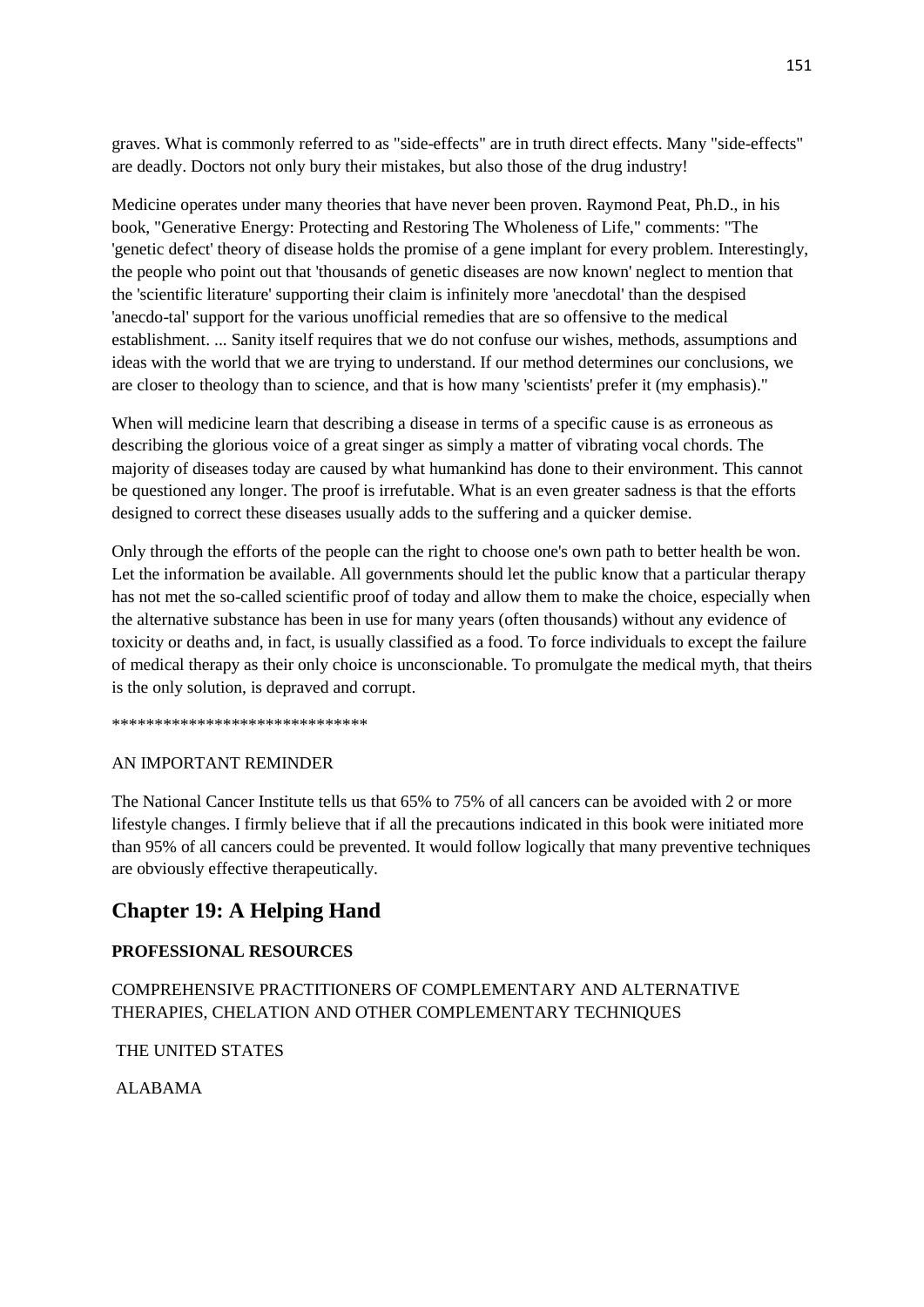graves. What is commonly referred to as "side-effects" are in truth direct effects. Many "side-effects" are deadly. Doctors not only bury their mistakes, but also those of the drug industry!

Medicine operates under many theories that have never been proven. Raymond Peat, Ph.D., in his book, "Generative Energy: Protecting and Restoring The Wholeness of Life," comments: "The 'genetic defect' theory of disease holds the promise of a gene implant for every problem. Interestingly, the people who point out that 'thousands of genetic diseases are now known' neglect to mention that the 'scientific literature' supporting their claim is infinitely more 'anecdotal' than the despised 'anecdo-tal' support for the various unofficial remedies that are so offensive to the medical establishment. ... Sanity itself requires that we do not confuse our wishes, methods, assumptions and ideas with the world that we are trying to understand. If our method determines our conclusions, we are closer to theology than to science, and that is how many 'scientists' prefer it (my emphasis)."

When will medicine learn that describing a disease in terms of a specific cause is as erroneous as describing the glorious voice of a great singer as simply a matter of vibrating vocal chords. The majority of diseases today are caused by what humankind has done to their environment. This cannot be questioned any longer. The proof is irrefutable. What is an even greater sadness is that the efforts designed to correct these diseases usually adds to the suffering and a quicker demise.

Only through the efforts of the people can the right to choose one's own path to better health be won. Let the information be available. All governments should let the public know that a particular therapy has not met the so-called scientific proof of today and allow them to make the choice, especially when the alternative substance has been in use for many years (often thousands) without any evidence of toxicity or deaths and, in fact, is usually classified as a food. To force individuals to except the failure of medical therapy as their only choice is unconscionable. To promulgate the medical myth, that theirs is the only solution, is depraved and corrupt.

\*\*\*\*\*\*\*\*\*\*\*\*\*\*\*\*\*\*\*\*\*\*\*\*\*\*\*\*\*\*

#### AN IMPORTANT REMINDER

The National Cancer Institute tells us that 65% to 75% of all cancers can be avoided with 2 or more lifestyle changes. I firmly believe that if all the precautions indicated in this book were initiated more than 95% of all cancers could be prevented. It would follow logically that many preventive techniques are obviously effective therapeutically.

# **Chapter 19: A Helping Hand**

### **PROFESSIONAL RESOURCES**

COMPREHENSIVE PRACTITIONERS OF COMPLEMENTARY AND ALTERNATIVE THERAPIES, CHELATION AND OTHER COMPLEMENTARY TECHNIQUES

THE UNITED STATES

ALABAMA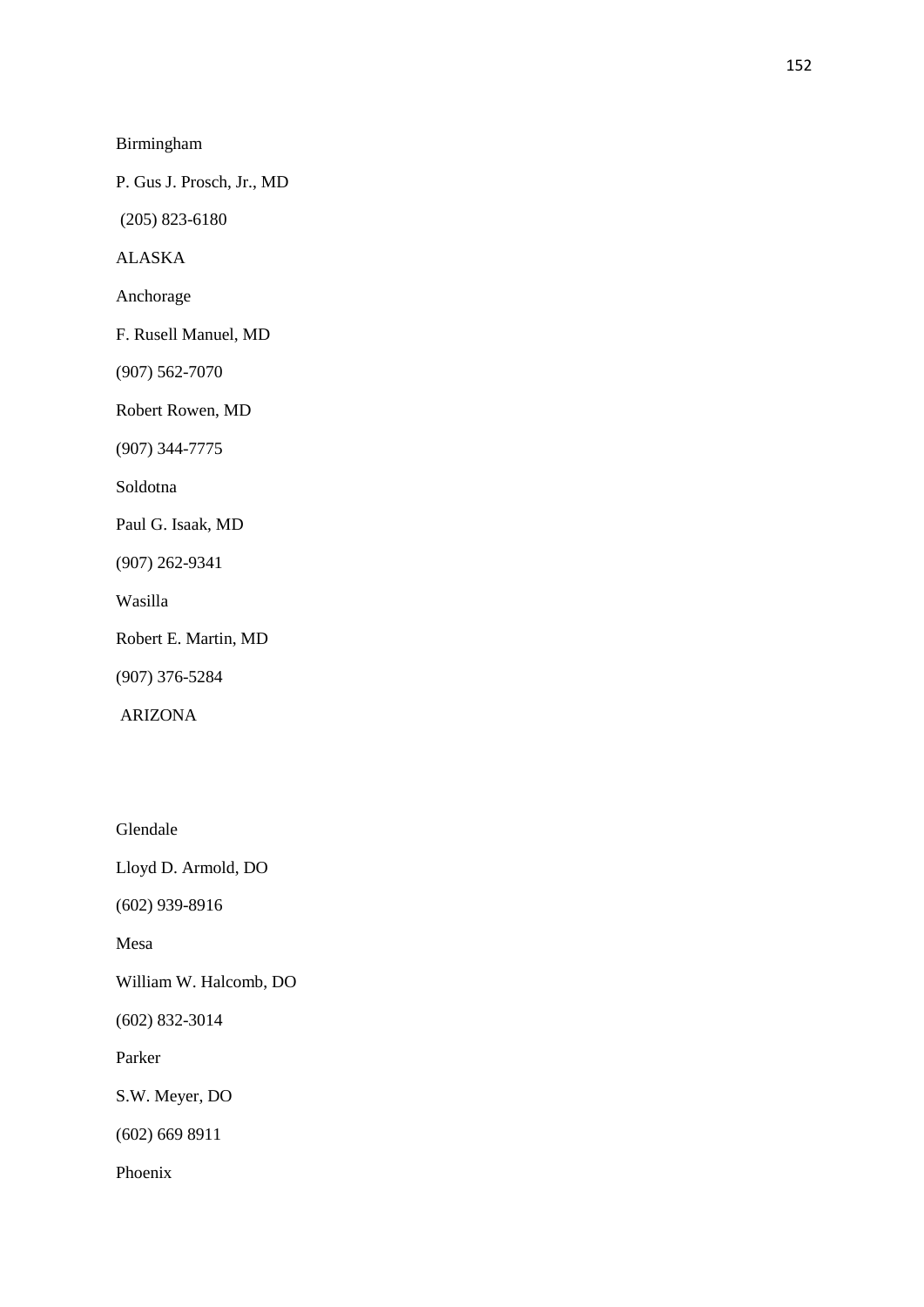Birmingham

P. Gus J. Prosch, Jr., MD

(205) 823-6180

ALASKA

Anchorage

F. Rusell Manuel, MD

(907) 562-7070

Robert Rowen, MD

(907) 344-7775

Soldotna

Paul G. Isaak, MD

(907) 262-9341

Wasilla

Robert E. Martin, MD

(907) 376-5284

ARIZONA

Glendale

Lloyd D. Armold, DO

(602) 939-8916

Mesa

William W. Halcomb, DO

(602) 832-3014

Parker

S.W. Meyer, DO

(602) 669 8911

Phoenix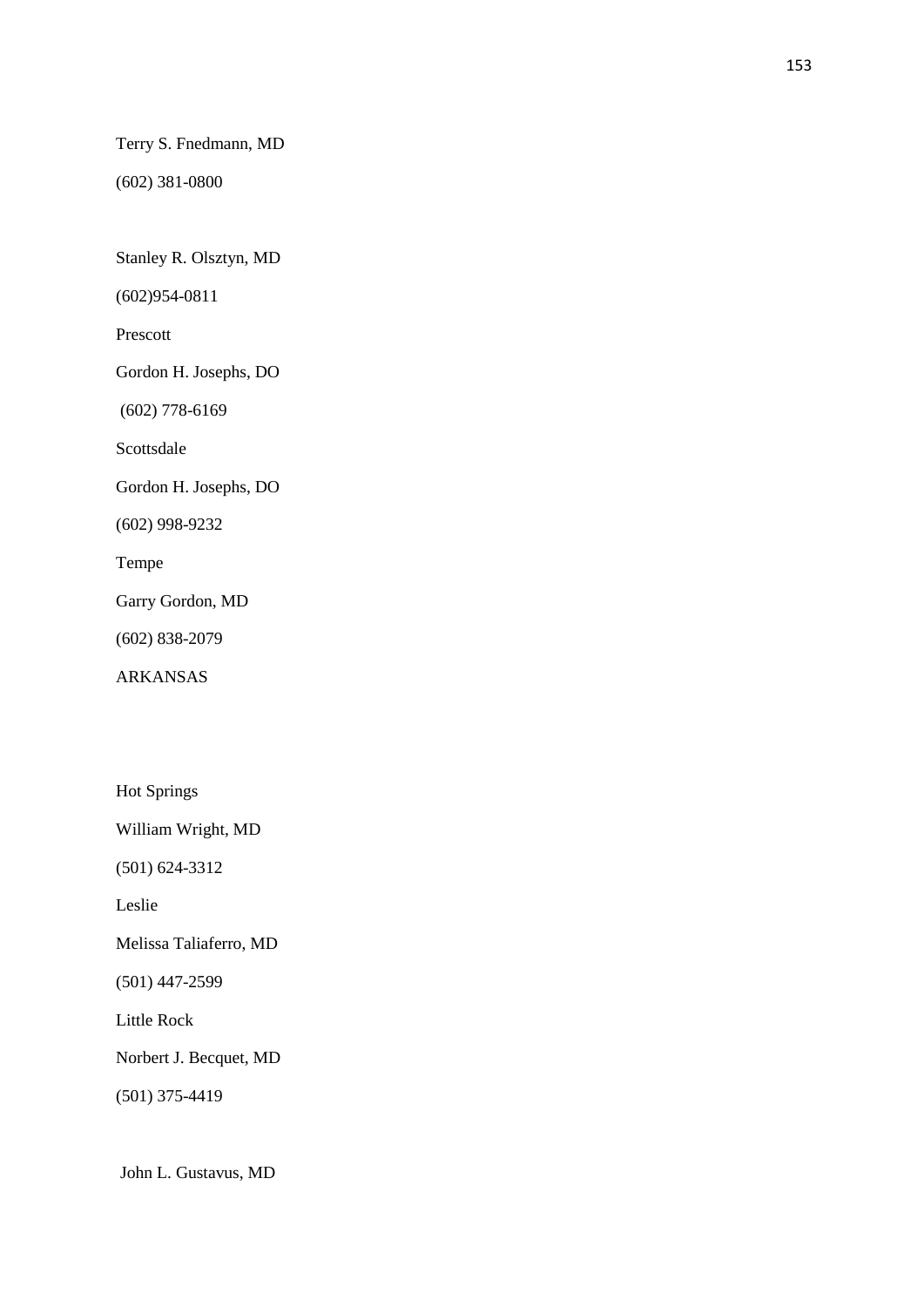Terry S. Fnedmann, MD

(602) 381-0800

Stanley R. Olsztyn, MD

(602)954-0811

Prescott

Gordon H. Josephs, DO

(602) 778-6169

Scottsdale

Gordon H. Josephs, DO

(602) 998-9232

Tempe

Garry Gordon, MD

(602) 838-2079

ARKANSAS

Hot Springs

William Wright, MD

(501) 624-3312

Leslie

Melissa Taliaferro, MD

(501) 447-2599

Little Rock

Norbert J. Becquet, MD

(501) 375-4419

John L. Gustavus, MD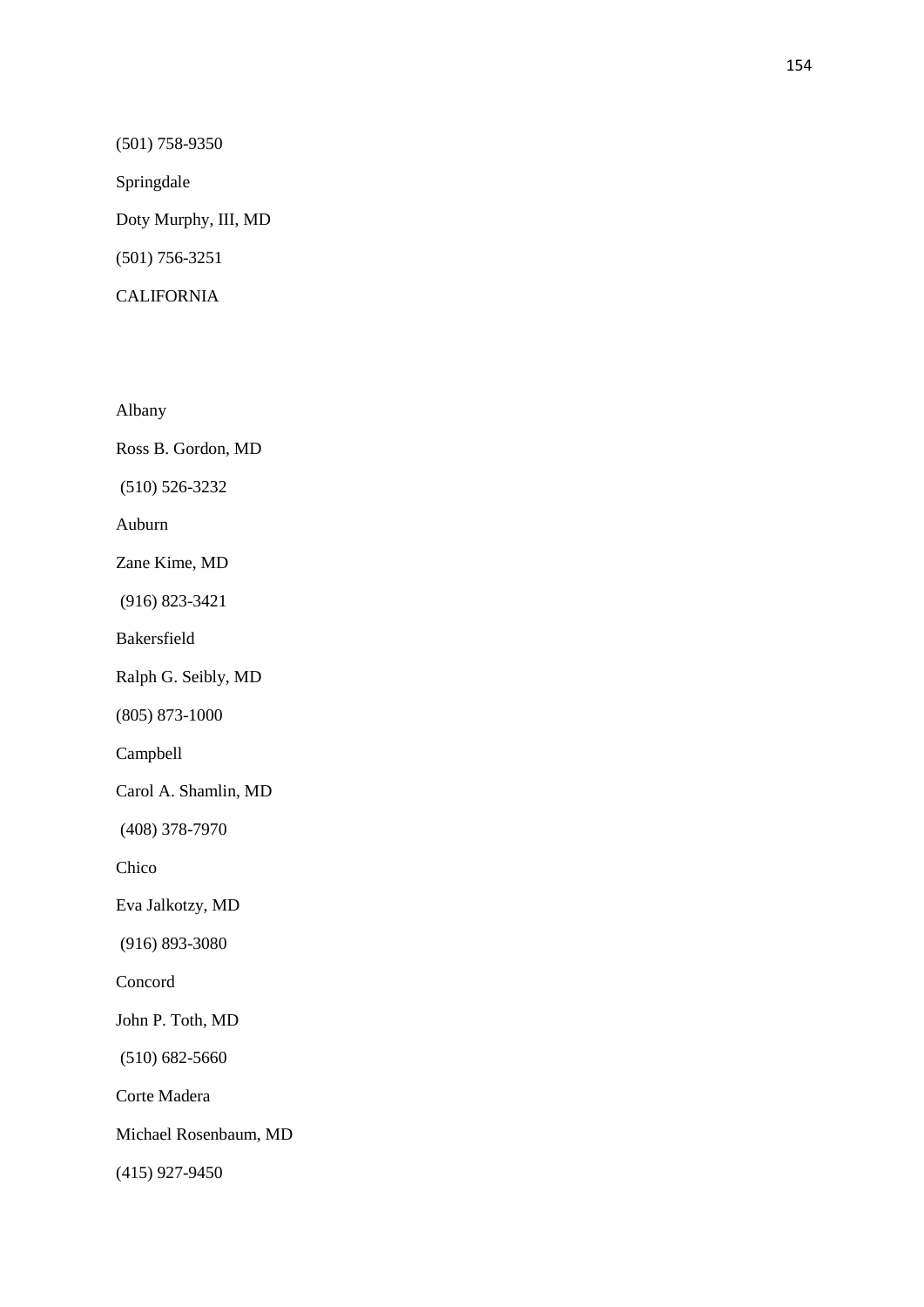(501) 758-9350

Springdale

Doty Murphy, III, MD

(501) 756-3251

CALIFORNIA

Albany

Ross B. Gordon, MD

(510) 526-3232

Auburn

Zane Kime, MD

(916) 823-3421

Bakersfield

Ralph G. Seibly, MD

(805) 873-1000

Campbell

Carol A. Shamlin, MD

(408) 378-7970

Chico

Eva Jalkotzy, MD

(916) 893-3080

Concord

John P. Toth, MD

(510) 682-5660

Corte Madera

Michael Rosenbaum, MD

(415) 927-9450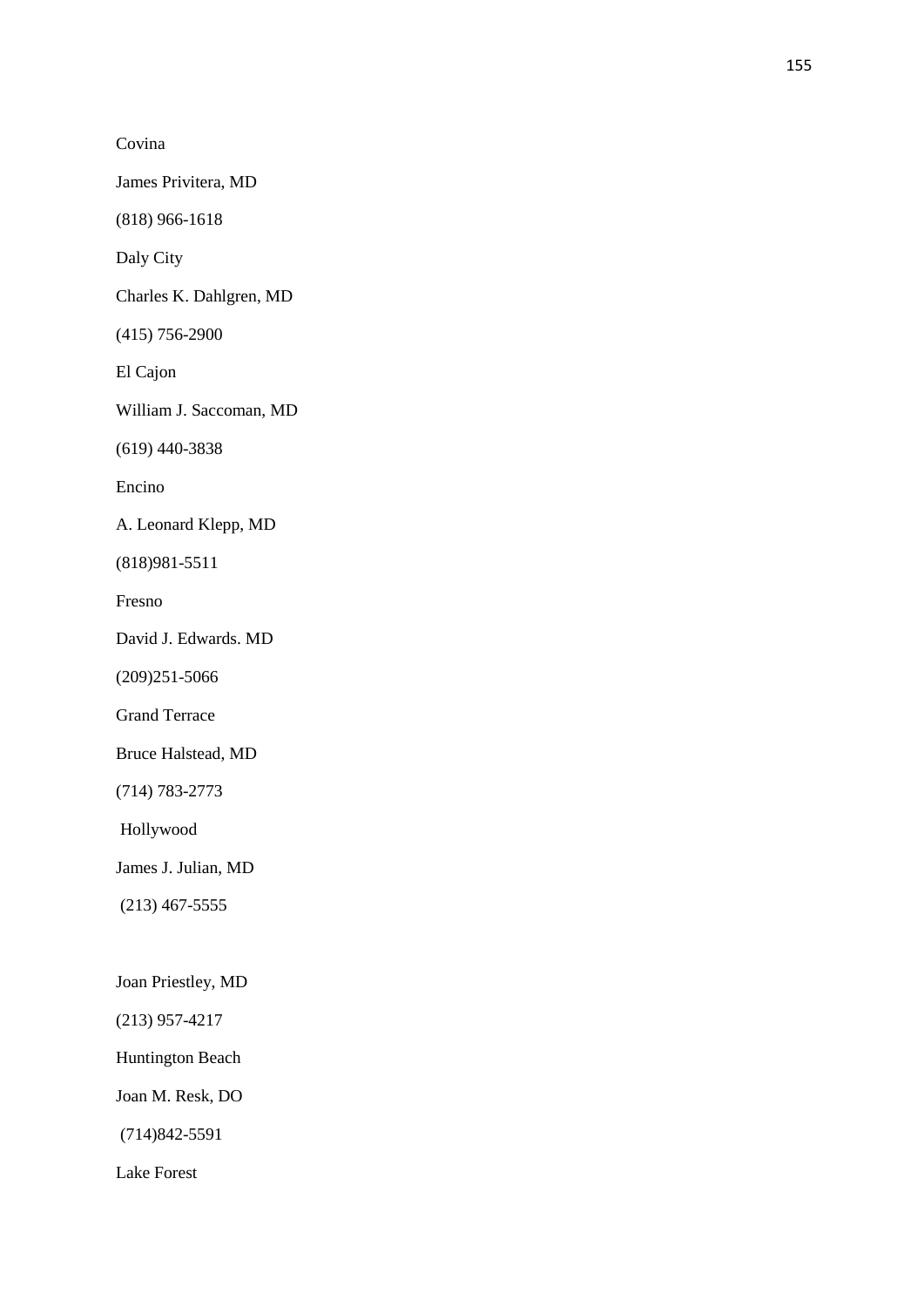Covina

James Privitera, MD

(818) 966-1618

Daly City

Charles K. Dahlgren, MD

(415) 756-2900

El Cajon

William J. Saccoman, MD

(619) 440-3838

Encino

A. Leonard Klepp, MD

(818)981-5511

Fresno

David J. Edwards. MD

(209)251-5066

Grand Terrace

Bruce Halstead, MD

(714) 783-2773

Hollywood

James J. Julian, MD

(213) 467-5555

Joan Priestley, MD

(213) 957-4217

Huntington Beach

Joan M. Resk, DO

(714)842-5591

Lake Forest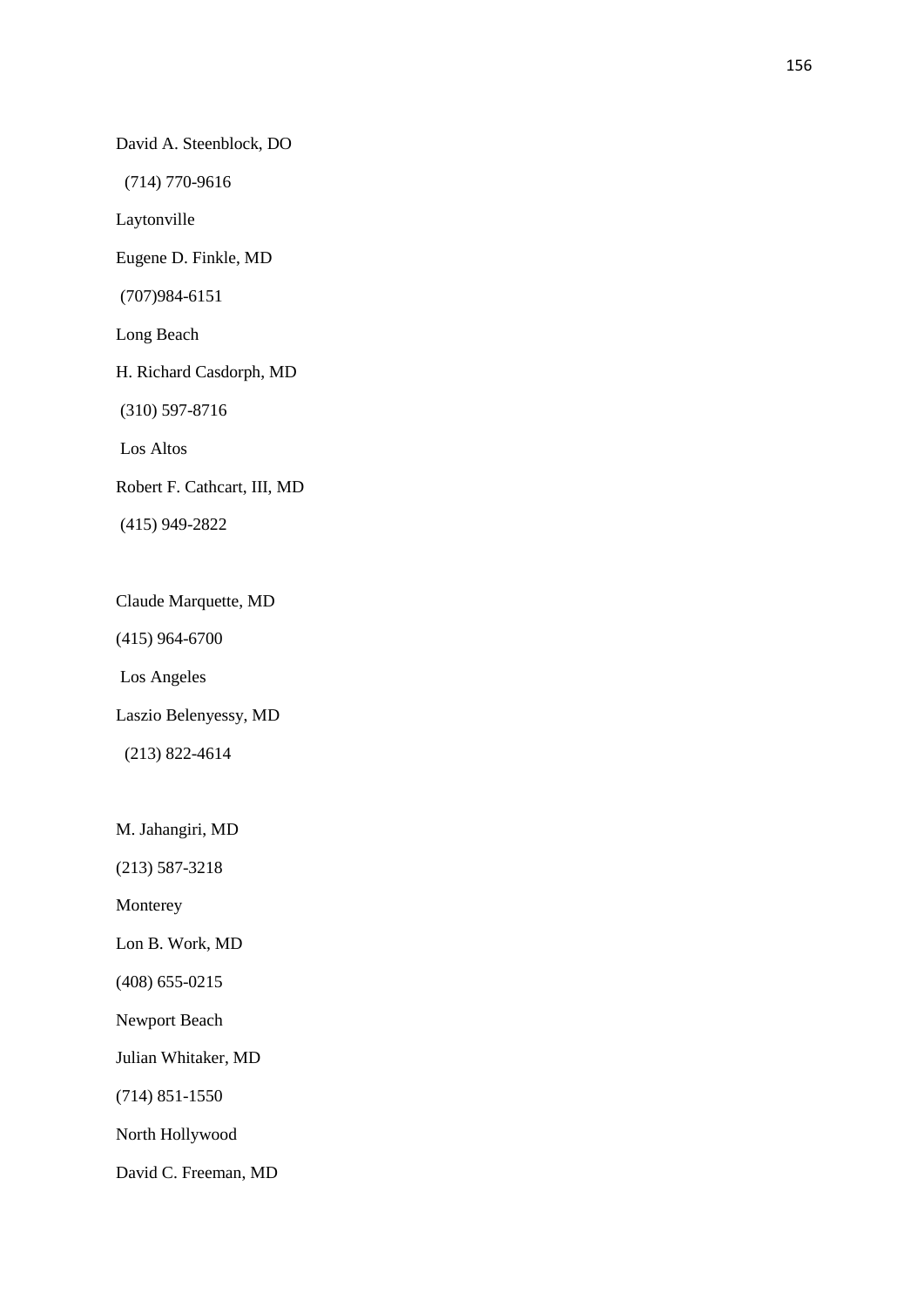David A. Steenblock, DO

(714) 770 -9616

Laytonville

Eugene D. Finkle, MD

(707)984 -6151

Long Beach

H. Richard Casdorph, MD

(310) 597 -8716

Los Altos

Robert F. Cathcart, III, M D

(415) 949 -2822

Claude Marquette, MD

(415) 964 -6700

Los Angeles

Laszio Belenyessy, MD

(213) 822 -4614

M. Jahangiri, MD

(213) 587 -3218

Monterey

Lon B. Work, MD

(408) 655 -0215

Newport Beach

Julian Whitaker, MD

(714) 851 -1550

North Hollywood

David C. Freeman, MD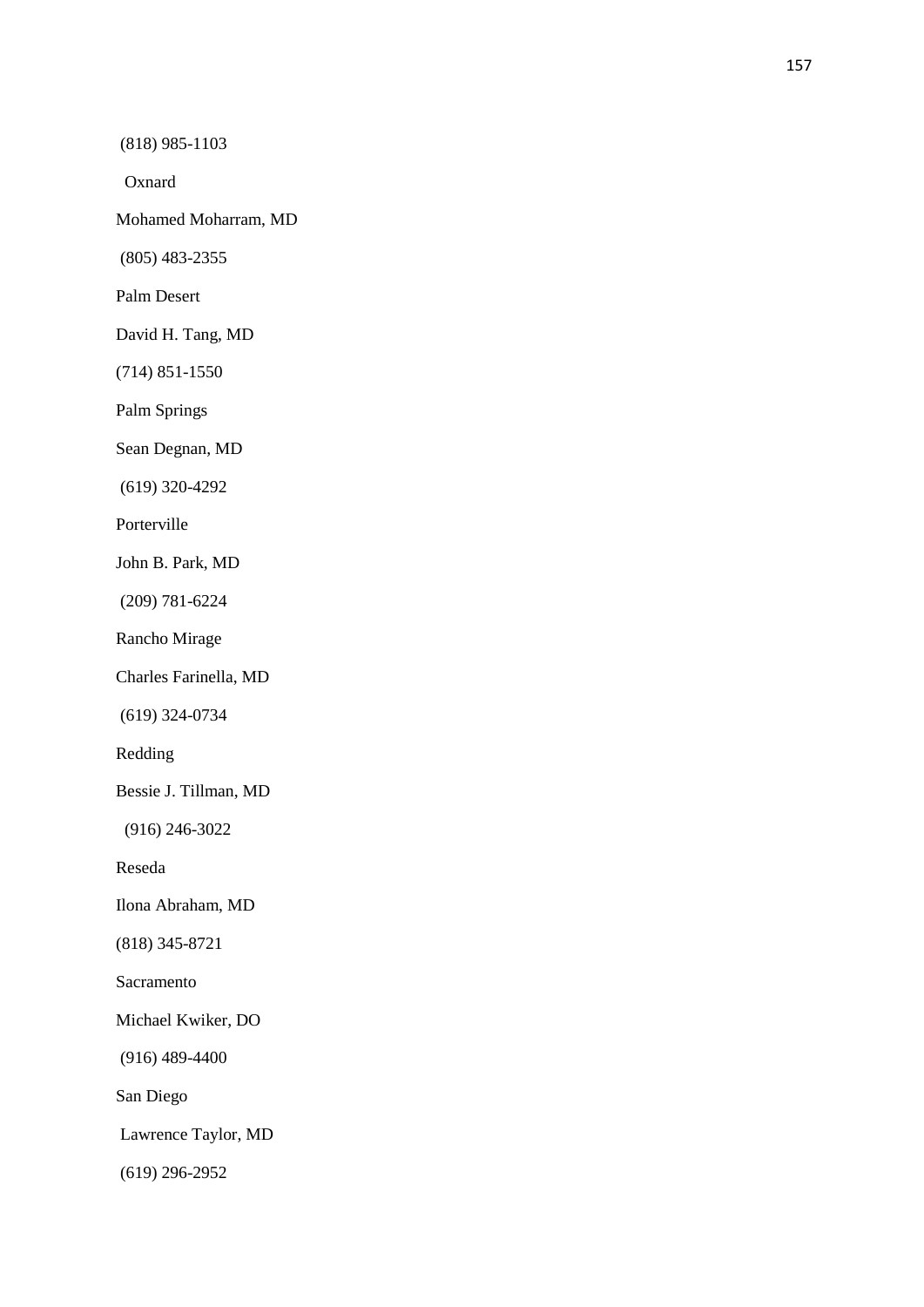(818) 985 -1103

Oxnard

Mohamed Moharram, MD

(805) 483 -2355

Palm Desert

David H. Tang, MD

(714) 851 -1550

Palm Springs

Sean Degnan, MD

(619) 320 -4292

Porterville

John B. Park, MD

(209) 781 -6224

Rancho Mirage

Charles Farinella, MD

(619) 324 -0734

Redding

Bessie J. Tillman, MD

(916) 246 -3022

Reseda

Ilona Abraham, MD

(818) 345 -8721

Sacramento

Michael Kwiker, DO

(916) 489 -4400

San Diego

Lawrence Taylor, MD

(619) 296 -2952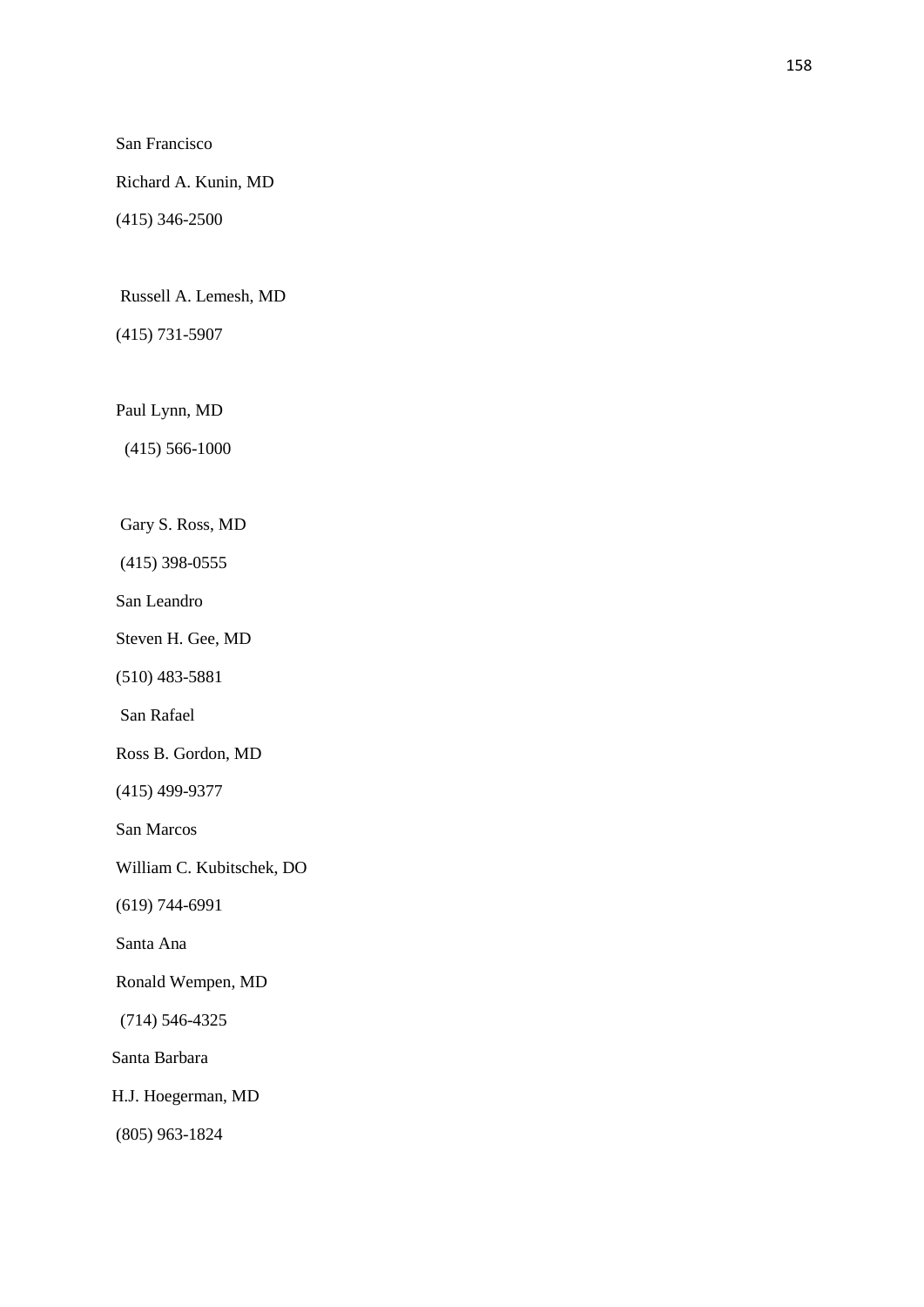San Francisco

Richard A. Kunin, MD

(415) 346 -2500

Russell A. Lemesh, MD

(415) 731 -5907

Paul Lynn, MD

(415) 566 -1000

Gary S. Ross, MD

(415) 398 -0555

San Leandro

Steven H. Gee, MD

(510) 483 -5881

San Rafael

Ross B. Gordon, MD

(415) 499 -9377

San Marcos

William C. Kubitschek, DO

(619) 744 -6991

Santa Ana

Ronald Wempen, MD

(714) 546 -4325

Santa Barbara

H.J. Hoegerman, MD

(805) 963 -1824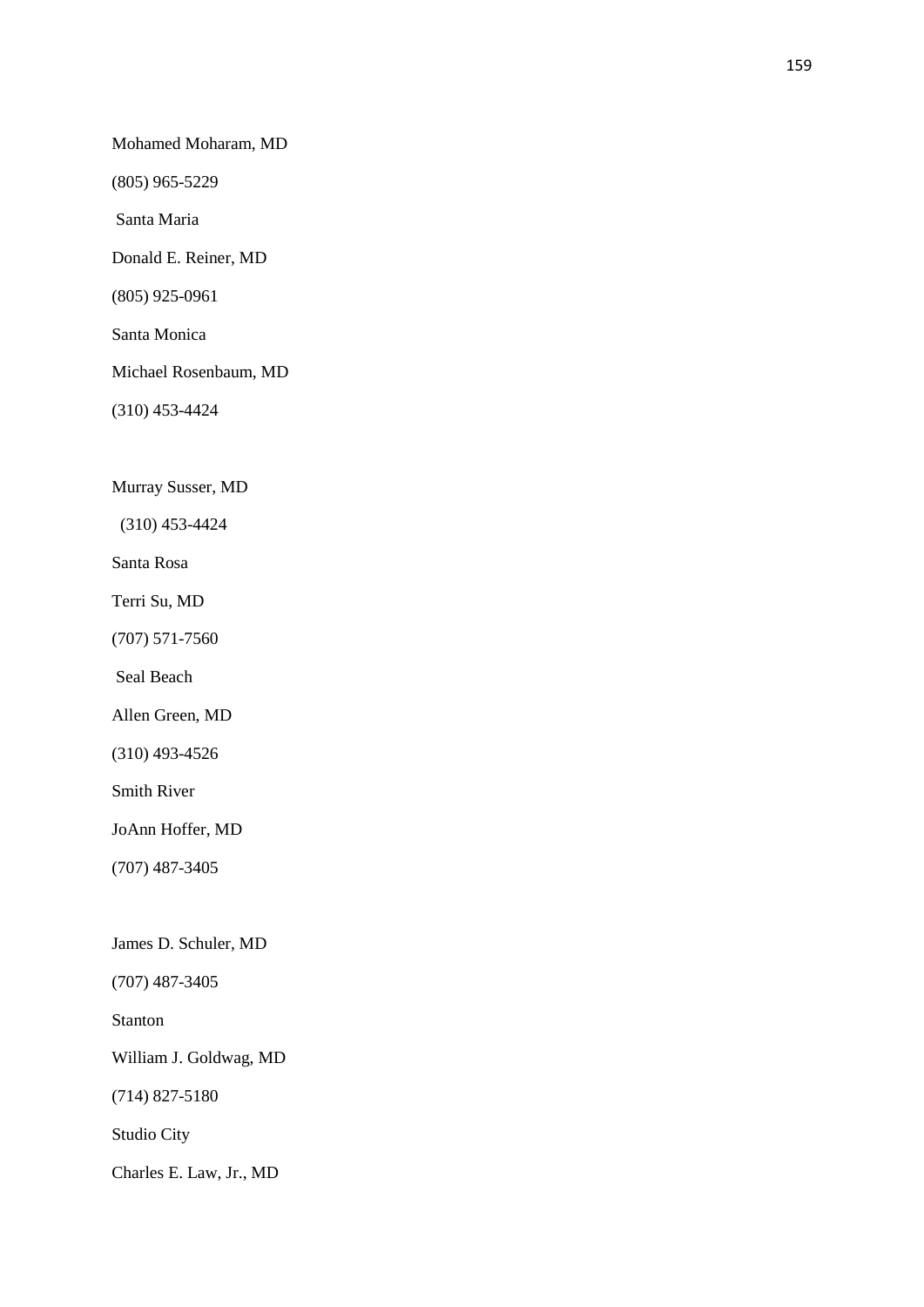Mohamed Moharam, MD

(805) 965 -5229

Santa Maria

Donald E. Reiner, MD

(805) 925 -0961

Santa Monica

Michael Rosenbaum, MD

(310) 453 -4424

Murray Susser, MD

(310) 453 -4424

Santa Rosa

Terri Su, MD

(707) 571 -7560

Seal Beach

Allen Green, MD

(310) 493 -4526

Smith River

JoAnn Hoffer, MD

(707) 487 -3405

James D. Schuler, MD

(707) 487 -3405

Stanton

William J. Goldwag, MD

(714) 827 -5180

Studio City

Charles E. Law, Jr., MD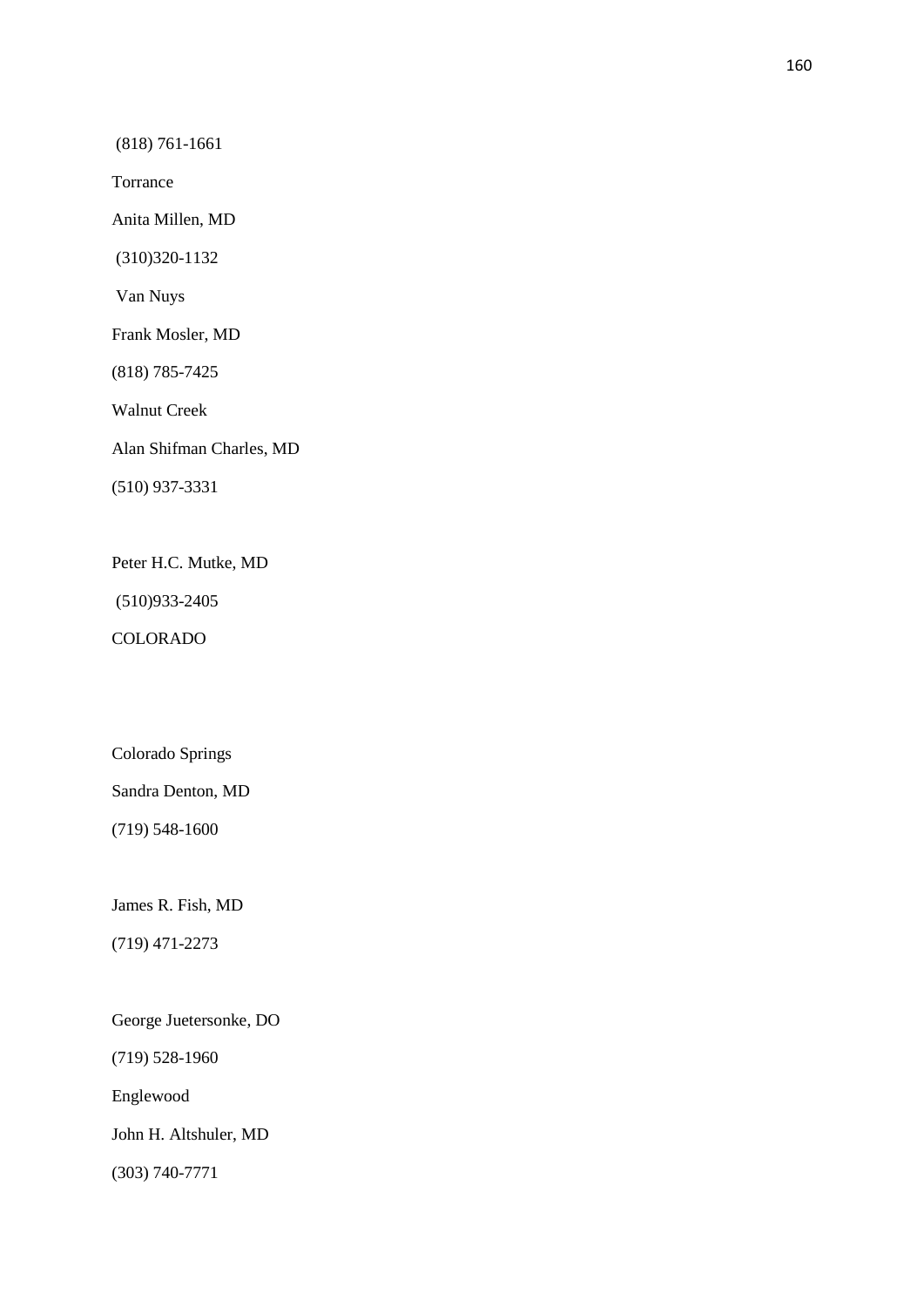(818) 761 -1661

Torrance

Anita Millen, MD

(310)320 -1132

Van Nuys

Frank Mosler, MD

(818) 785 -7425

Walnut Creek

Alan Shifman Charles, MD

(510) 937 -3331

Peter H.C. Mutke, MD

(510)933 -2405

COLORADO

Colorado Springs

Sandra Denton, MD

(719) 548 -1600

James R. Fish, MD

(719) 471 -2273

George Juetersonke, DO

(719) 528 -1960

Englewood

John H. Altshuler, MD

(303) 740 -7771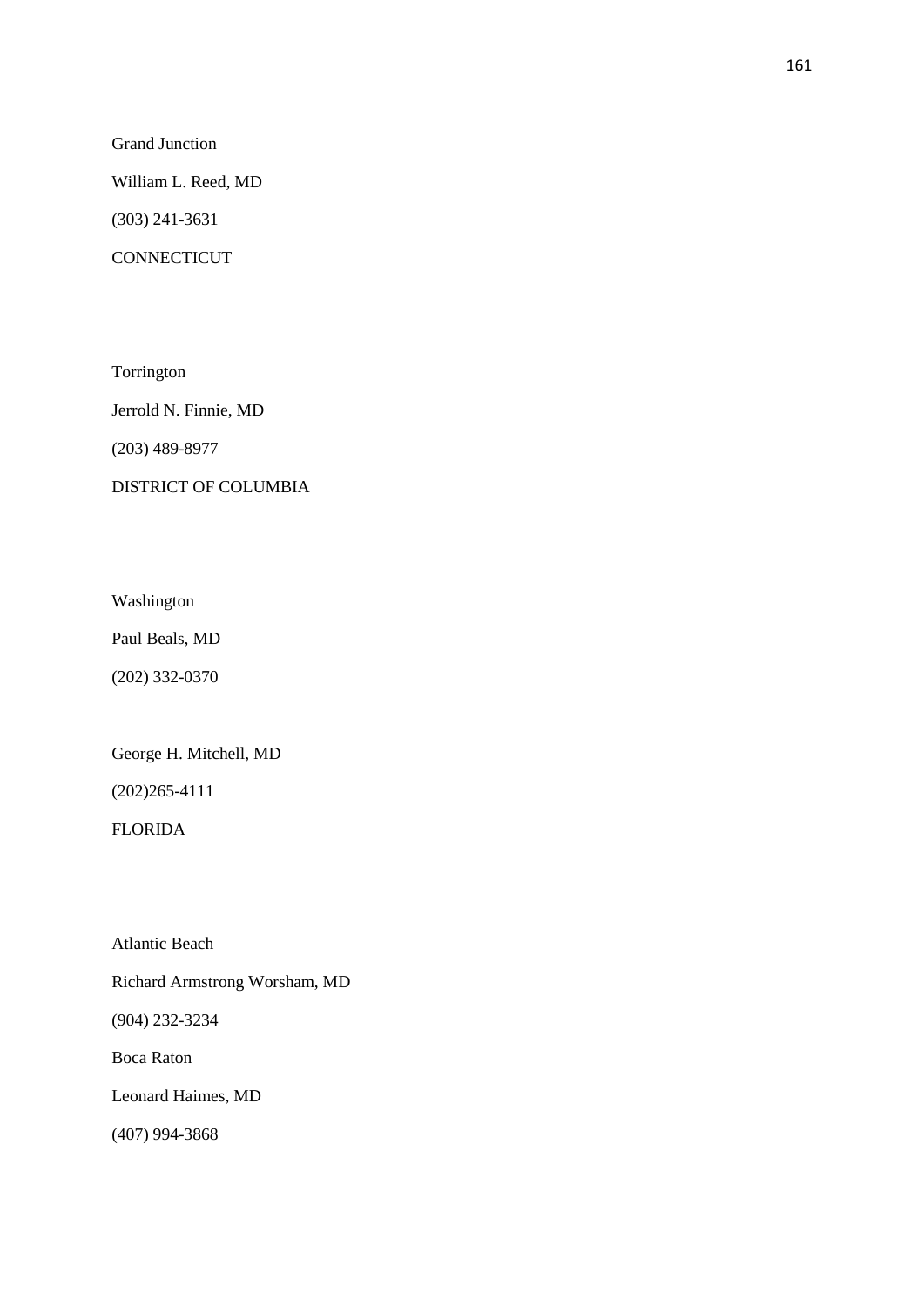Grand Junction

William L. Reed, MD

(303) 241-3631

CONNECTICUT

Torrington

Jerrold N. Finnie, MD

(203) 489-8977

DISTRICT OF COLUMBIA

Washington

Paul Beals, MD

(202) 332-0370

George H. Mitchell, MD

(202)265-4111

FLORIDA

Atlantic Beach

Richard Armstrong Worsham, MD (904) 232-3234 Boca Raton Leonard Haimes, MD

(407) 994-3868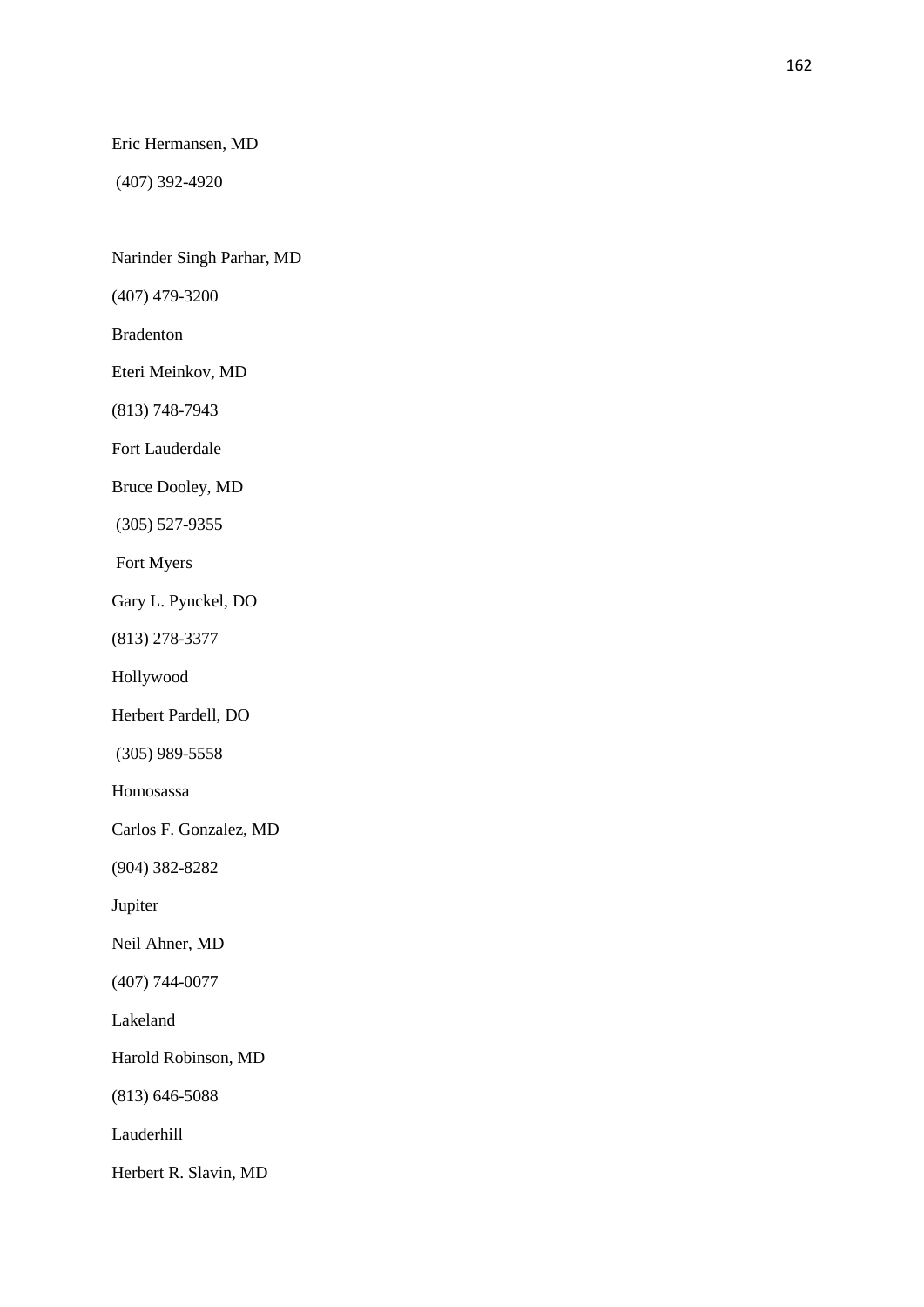Eric Hermansen, MD

(407) 392 -4920

Narinder Singh Parhar, MD

(407) 479 -3200

Bradenton

Eteri Meinkov, MD

(813) 748 -7943

Fort Lauderdale

Bruce Dooley, MD

(305) 527 -9355

Fort Myers

Gary L. Pynckel, DO

(813) 278 -3377

Hollywood

Herbert Pardell, DO

(305) 989 -5558

Homosassa

Carlos F. Gonzalez, MD

(904) 382 -8282

Jupiter

Neil Ahner, MD

(407) 744 -0077

Lakeland

Harold Robinson, MD

(813) 646 -5088

Lauderhill

Herbert R. Slavin, MD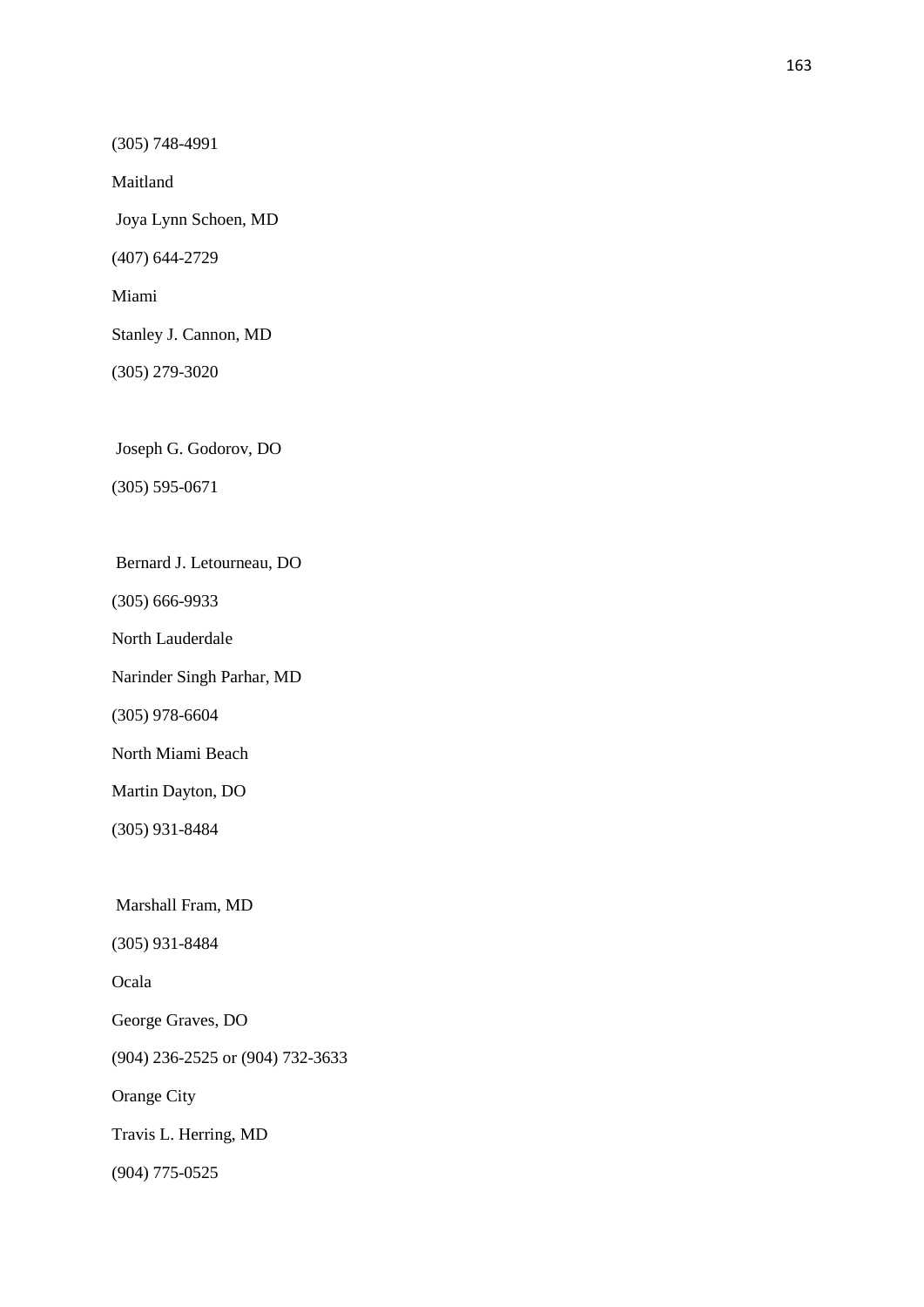(305) 748-4991

Maitland

Joya Lynn Schoen, MD

(407) 644-2729

Miami

Stanley J. Cannon, MD

(305) 279-3020

Joseph G. Godorov, DO

(305) 595-0671

Bernard J. Letourneau, DO

(305) 666-9933

North Lauderdale

Narinder Singh Parhar, MD

(305) 978-6604

North Miami Beach

Martin Dayton, DO

(305) 931-8484

Marshall Fram, MD

(305) 931-8484

Ocala

George Graves, DO

(904) 236-2525 or (904) 732-3633

Orange City

Travis L. Herring, MD

(904) 775-0525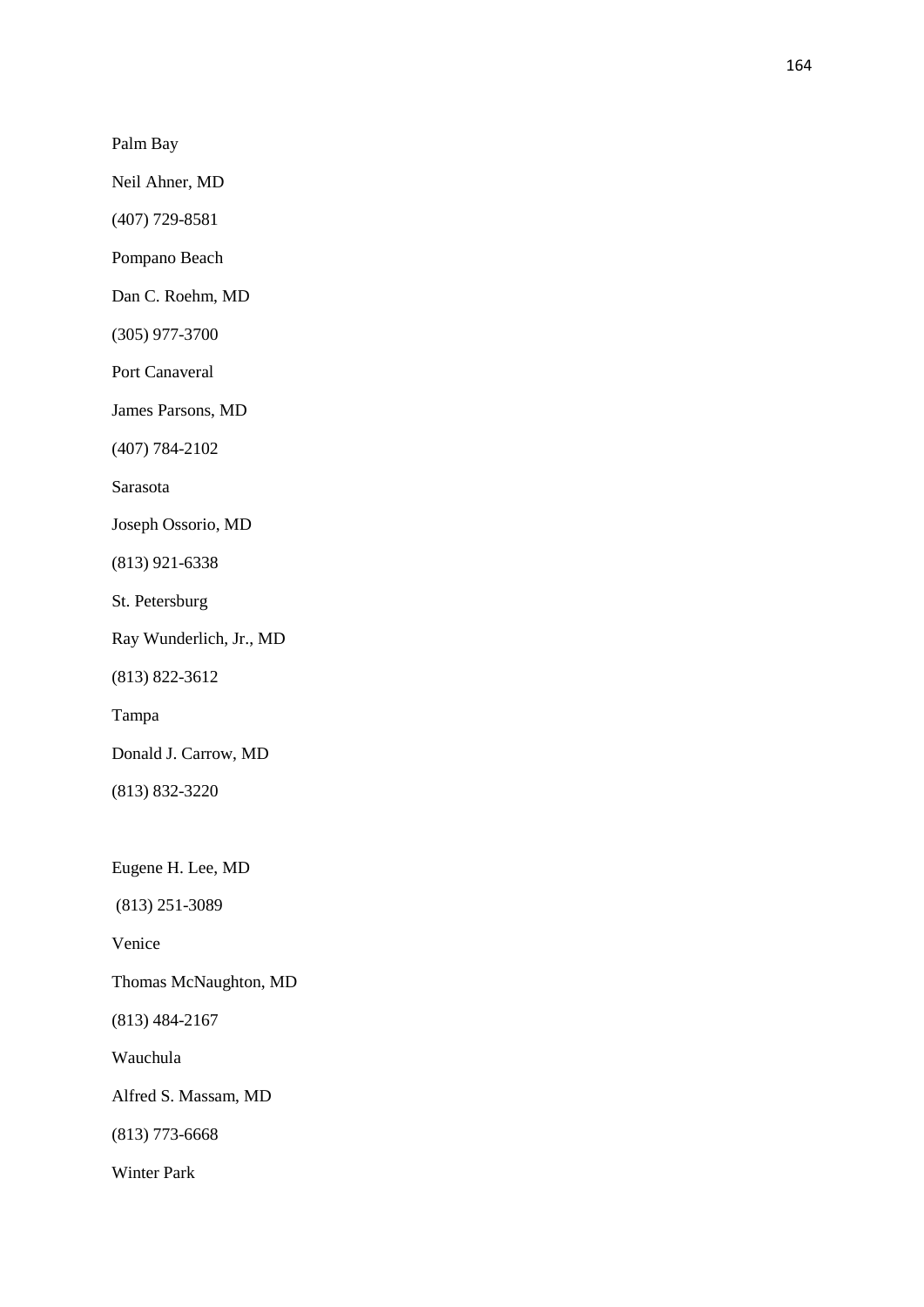Palm Bay

Neil Ahner, MD

(407) 729 -8581

Pompano Beach

Dan C. Roehm, MD

(305) 977 -3700

Port Canaveral

James Parsons, MD

(407) 784 -2102

Sarasota

Joseph Ossorio, MD

(813) 921 -6338

St. Petersburg

Ray Wunderlich, Jr., MD

(813) 822 -3612

Tampa

Donald J. Carrow, MD

(813) 832 -3220

Eugene H. Lee, MD

(813) 251 -3089

Venice

Thomas McNaughton, MD

(813) 484 -2167

Wauchula

Alfred S. Massam, MD

(813) 773 -6668

Winter Park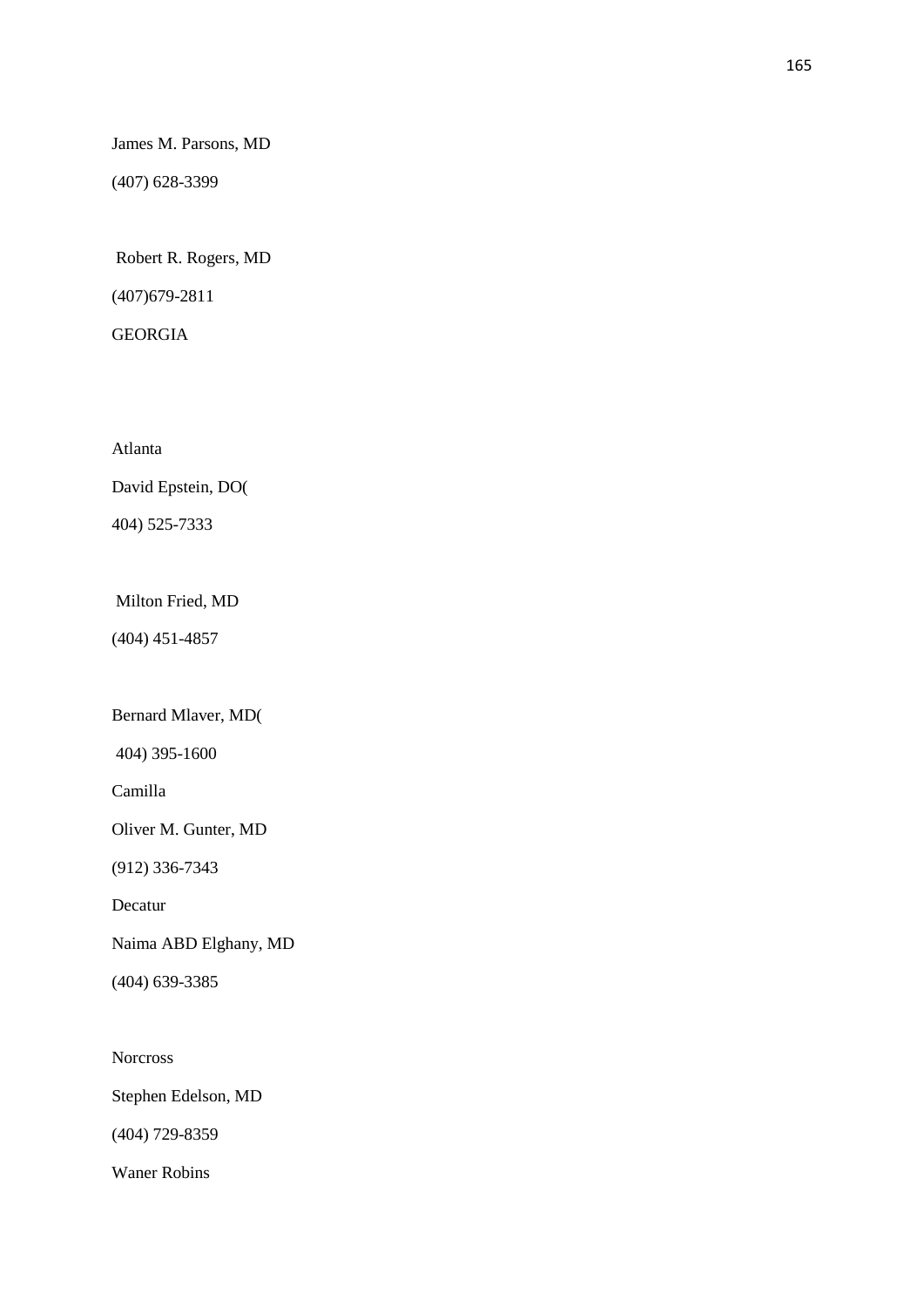James M. Parsons, MD

(407) 628-3399

Robert R. Rogers, MD

(407)679-2811

GEORGIA

Atlanta

David Epstein, DO(

404) 525-7333

Milton Fried, MD

(404) 451-4857

Bernard Mlaver, MD(

404) 395-1600

Camilla

Oliver M. Gunter, MD

(912) 336-7343

Decatur

Naima ABD Elghany, MD

(404) 639-3385

**Norcross** 

Stephen Edelson, MD

(404) 729-8359

Waner Robins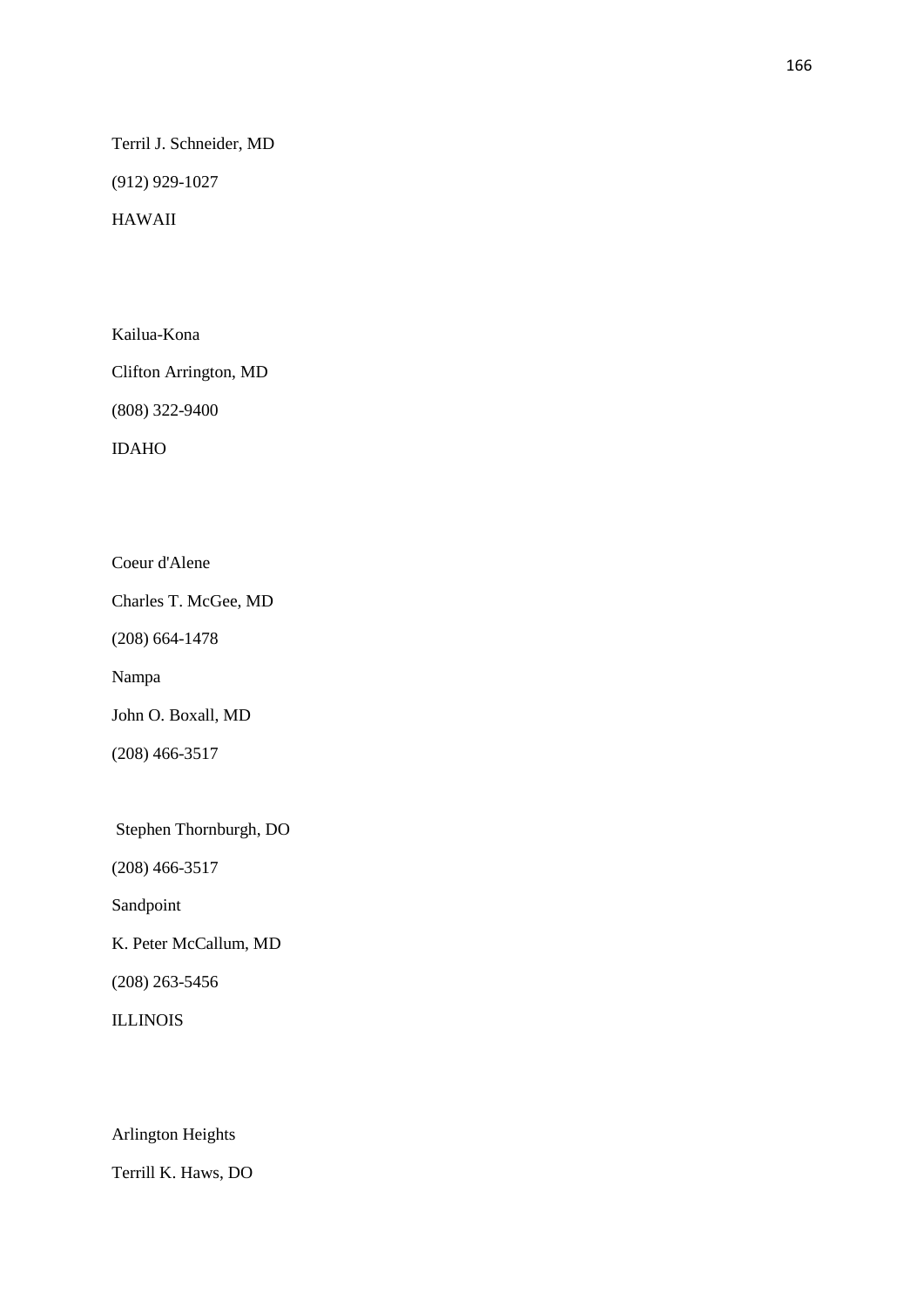Terril J. Schneider, MD

(912) 929-1027

HAWAII

Kailua-Kona

Clifton Arrington, MD

(808) 322-9400

IDAHO

Coeur d'Alene

Charles T. McGee, MD

(208) 664-1478

Nampa

John O. Boxall, MD

(208) 466-3517

Stephen Thornburgh, DO

(208) 466-3517

Sandpoint

K. Peter McCallum, MD

(208) 263-5456

ILLINOIS

Arlington Heights

Terrill K. Haws, DO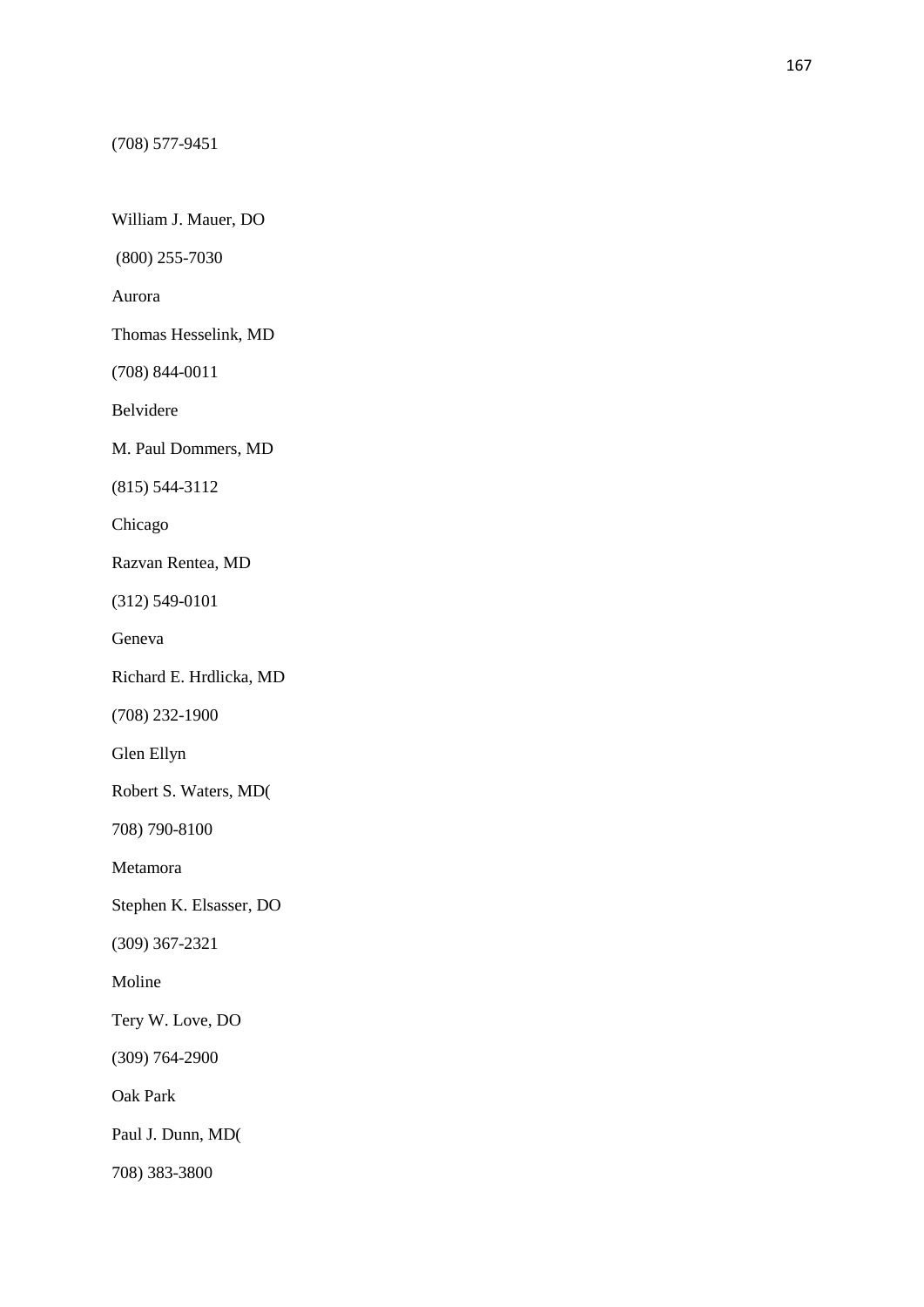(708) 577 -9451

William J. Mauer, DO

(800) 255 -7030

Aurora

Thomas Hesselink, MD

(708) 844 -0011

Belvidere

M. Paul Dommers, MD

(815) 544 -3112

Chicago

Razvan Rentea, MD

(312) 549 -0101

Geneva

Richard E. Hrdlicka, MD

(708) 232 -1900

Glen Ellyn

Robert S. Waters, MD(

708) 790 -8100

Metamora

Stephen K. Elsasser, DO

(309) 367 -2321

Moline

Tery W. Love, DO

(309) 764 -2900

Oak Park

Paul J. Dunn, MD(

708) 383 -3800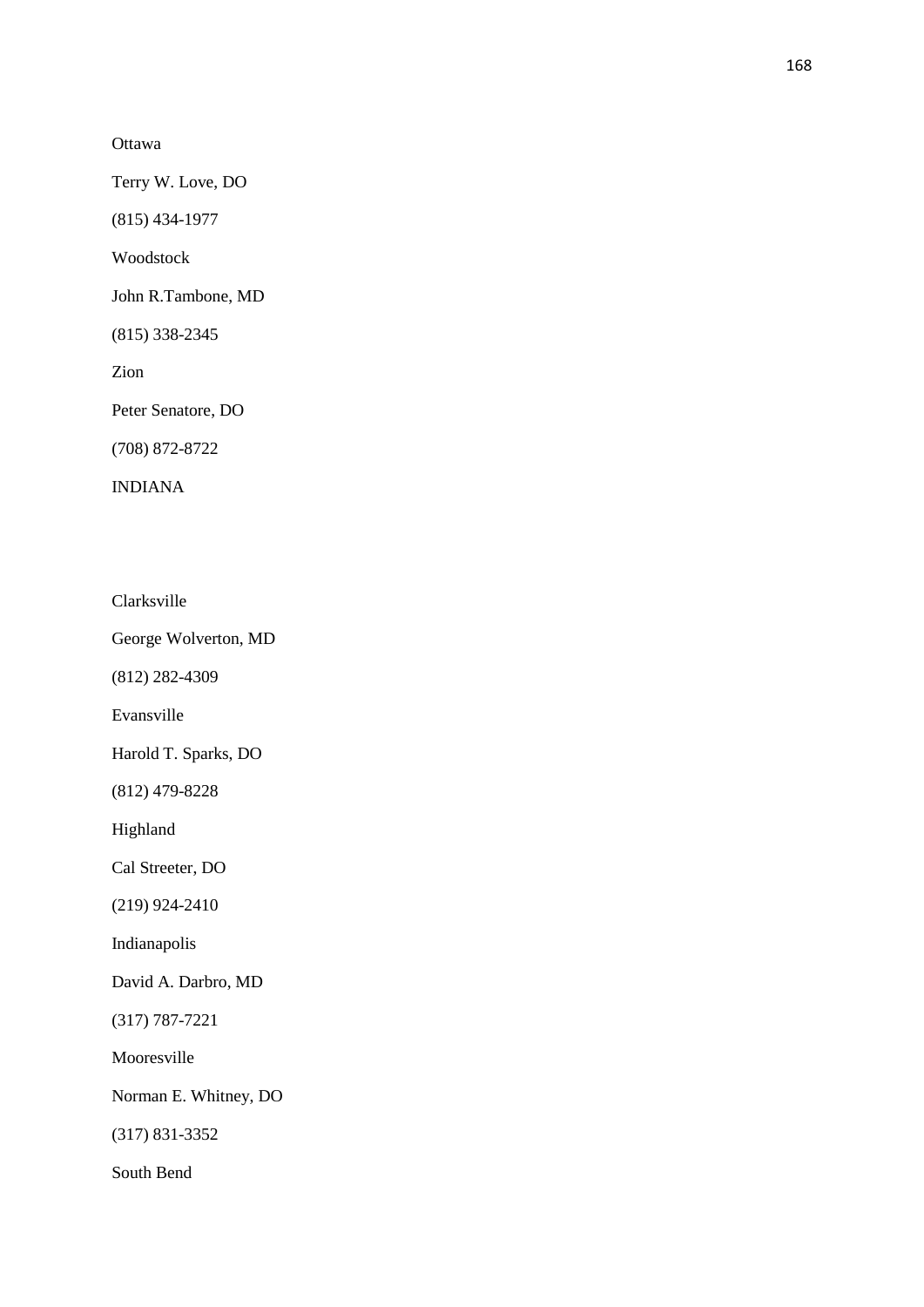**Ottawa** 

Terry W. Love, DO

(815) 434 -1977

Woodstock

John R.Tambone, MD

(815) 338 -2345

Zion

Peter Senatore, DO

(708) 872 -8722

INDIANA

Clarksville

George Wolverton, MD

(812) 282 -4309

Evansville

Harold T. Sparks, DO

(812) 479 -8228

Highland

Cal Streeter, DO

(219) 924 -2410

Indianapolis

David A. Darbro, MD

(317) 787 -7221

Mooresville

Norman E. Whitney, DO

(317) 831 -3352

South Bend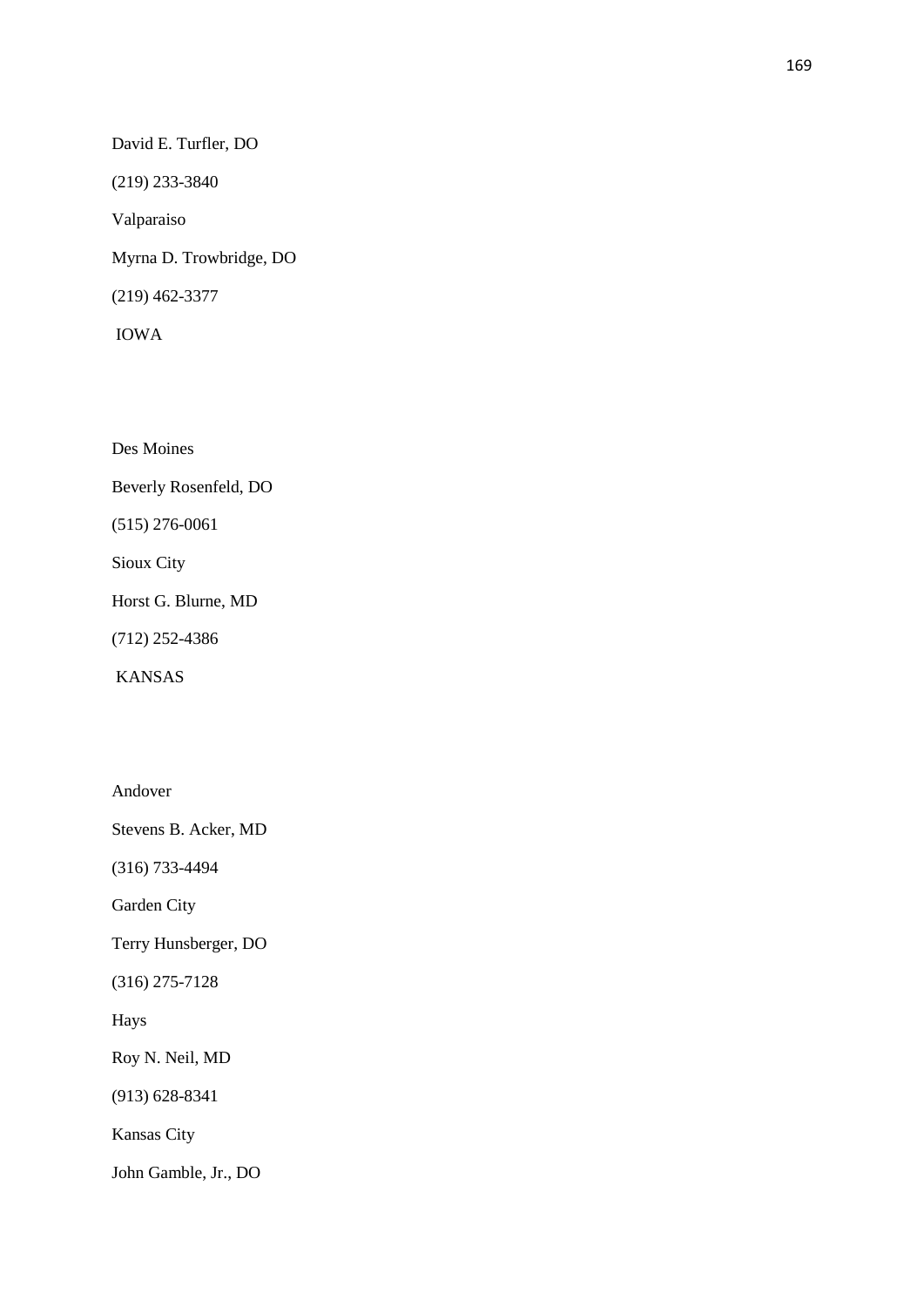David E. Turfler, DO (219) 233 -3840 Valparaiso Myrna D. Trowbridge, DO (219) 462 -3377 IOWA<br>Des Moines

Beverly Rosenfeld, DO

(515) 276 -0061

Sioux City

Horst G. Blurne, MD

(712) 252 -4386

KANSAS

Andover

Stevens B. Acker, MD

(316) 733 -4494

Garden City

Terry Hunsberger, DO

(316) 275 -7128

Hays

Roy N. Neil, MD

(913) 628 -8341

Kansas City

John Gamble, Jr., DO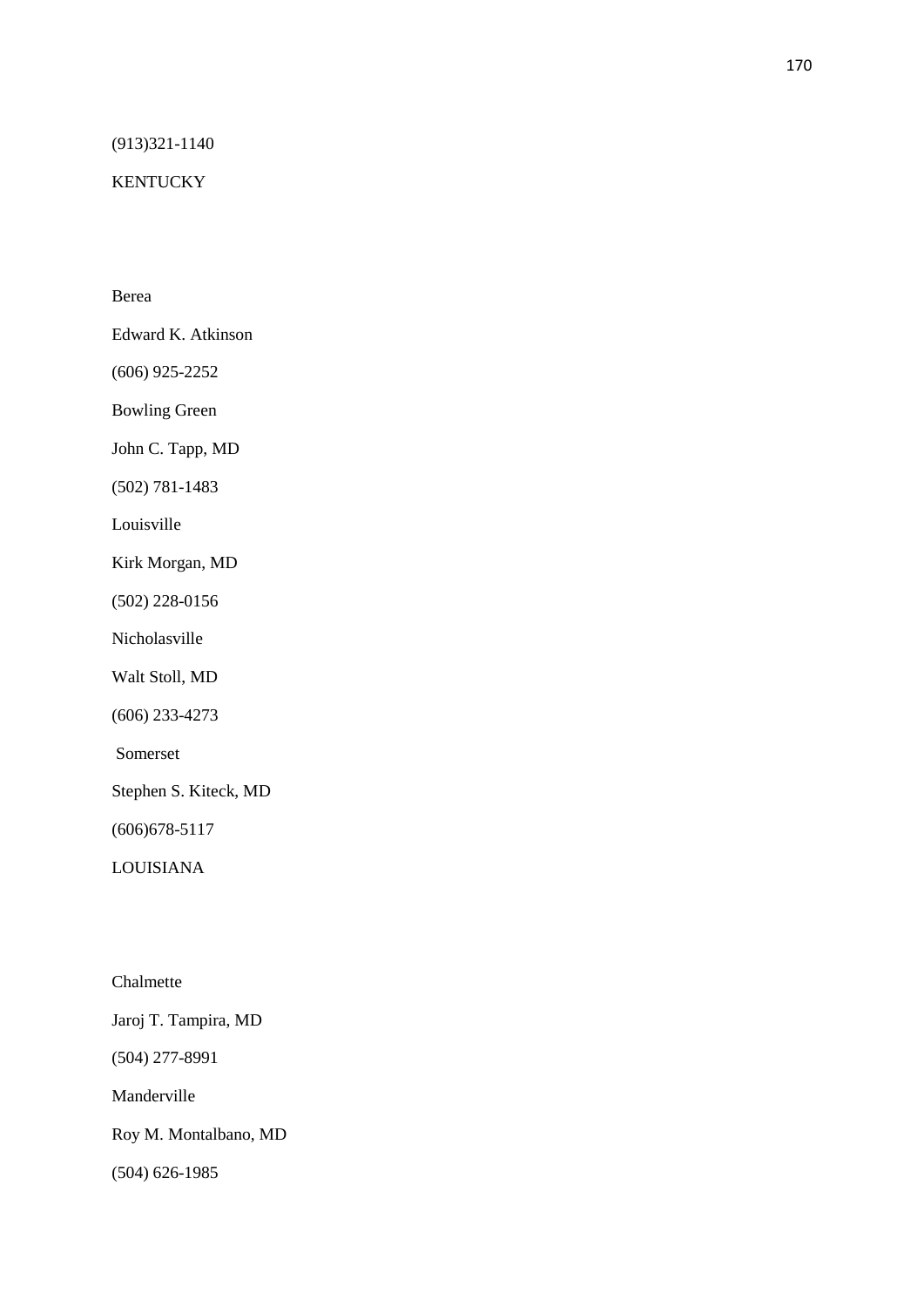### (913)321 -1140

# **KENTUCKY**

Berea

Edward K. Atkinson

(606) 925 -2252

Bowling Green

John C. Tapp, MD

(502) 781 -1483

Louisville

Kirk Morgan, MD

(502) 228 -0156

Nicholasville

Walt Stoll, MD

(606) 233 -4273

Somerset

Stephen S. Kiteck, MD

(606)678 -5117

LOUISIANA

Chalmette Jaroj T. Tampira, MD (504) 277 -8991 Manderville Roy M. Montalbano, MD (504) 626 -1985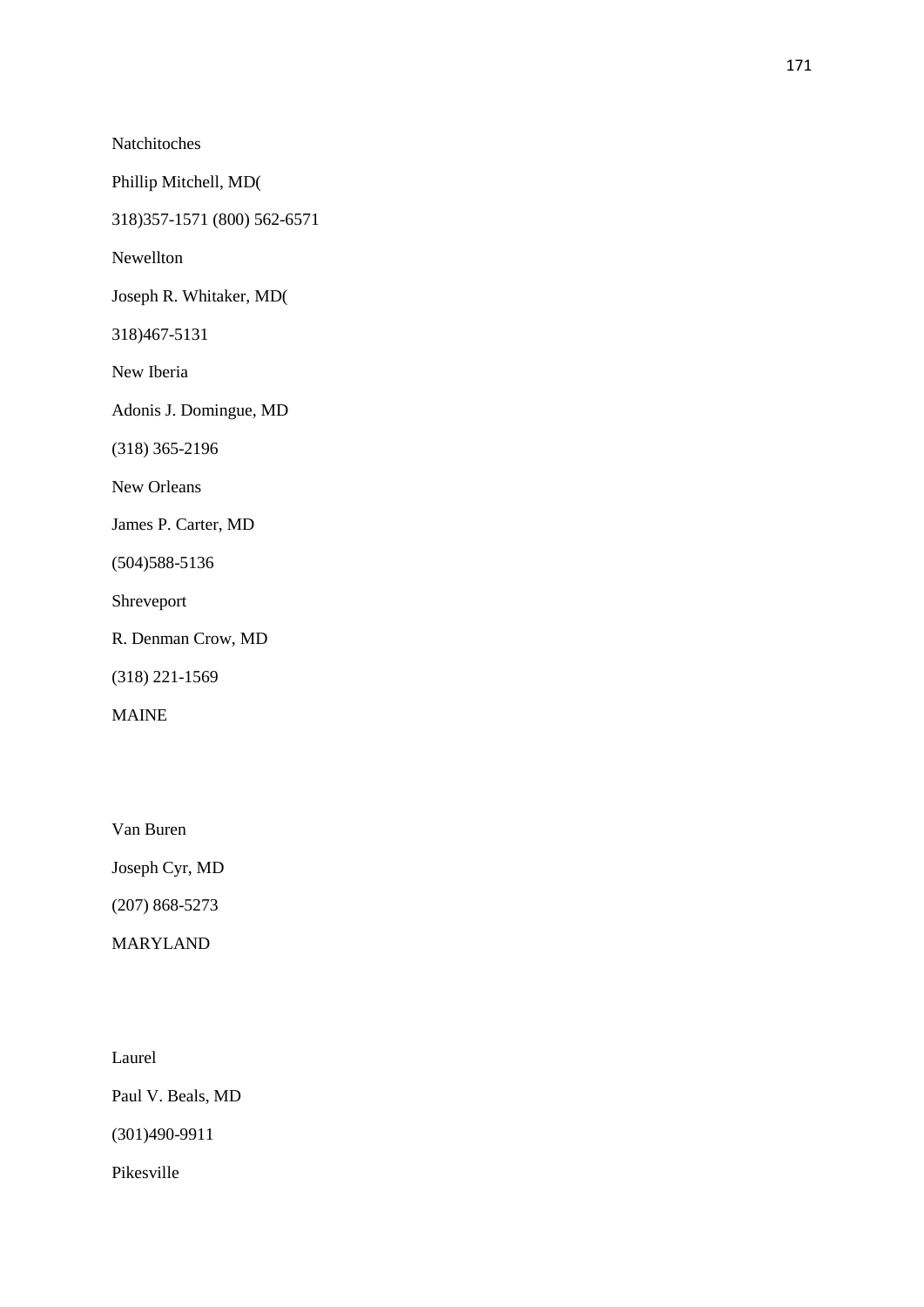Natchitoches

Phillip Mitchell, MD(

318)357-1571 (800) 562-6571

Newellton

Joseph R. Whitaker, MD(

318)467-5131

New Iberia

Adonis J. Domingue, MD

(318) 365-2196

New Orleans

James P. Carter, MD

(504)588-5136

Shreveport

R. Denman Crow, MD

(318) 221-1569

MAINE

Van Buren

Joseph Cyr, MD

(207) 868-5273

MARYLAND

Laurel

Paul V. Beals, MD

(301)490-9911

Pikesville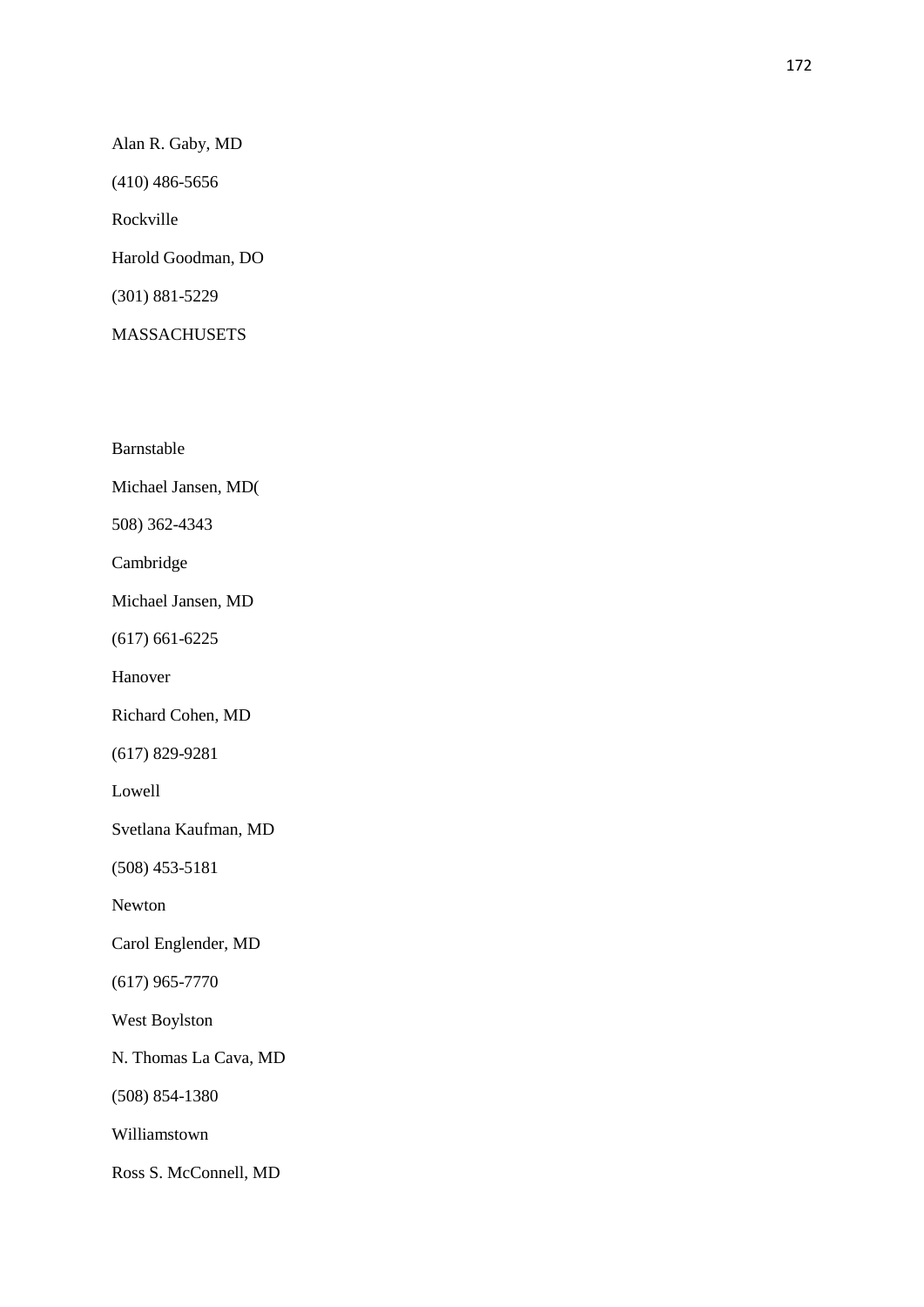Alan R. Gaby, MD (410) 486 -5656 Rockville Harold Goodman, DO (301) 881 -5229 MASSACHUSETS

Barnstable

Michael Jansen, MD(

508) 362 -4343

Cambridge

Michael Jansen, MD

(617) 661 -6225

Hanover

Richard Cohen, MD

(617) 829 -9281

Lowell

Svetlana Kaufman, MD

(508) 453 -5181

Newton

Carol Englender, MD

(617) 965 - 7770

West Boylston

N. Thomas La Cava, MD

(508) 854 -1380

Williamstown

Ross S. McConnell, MD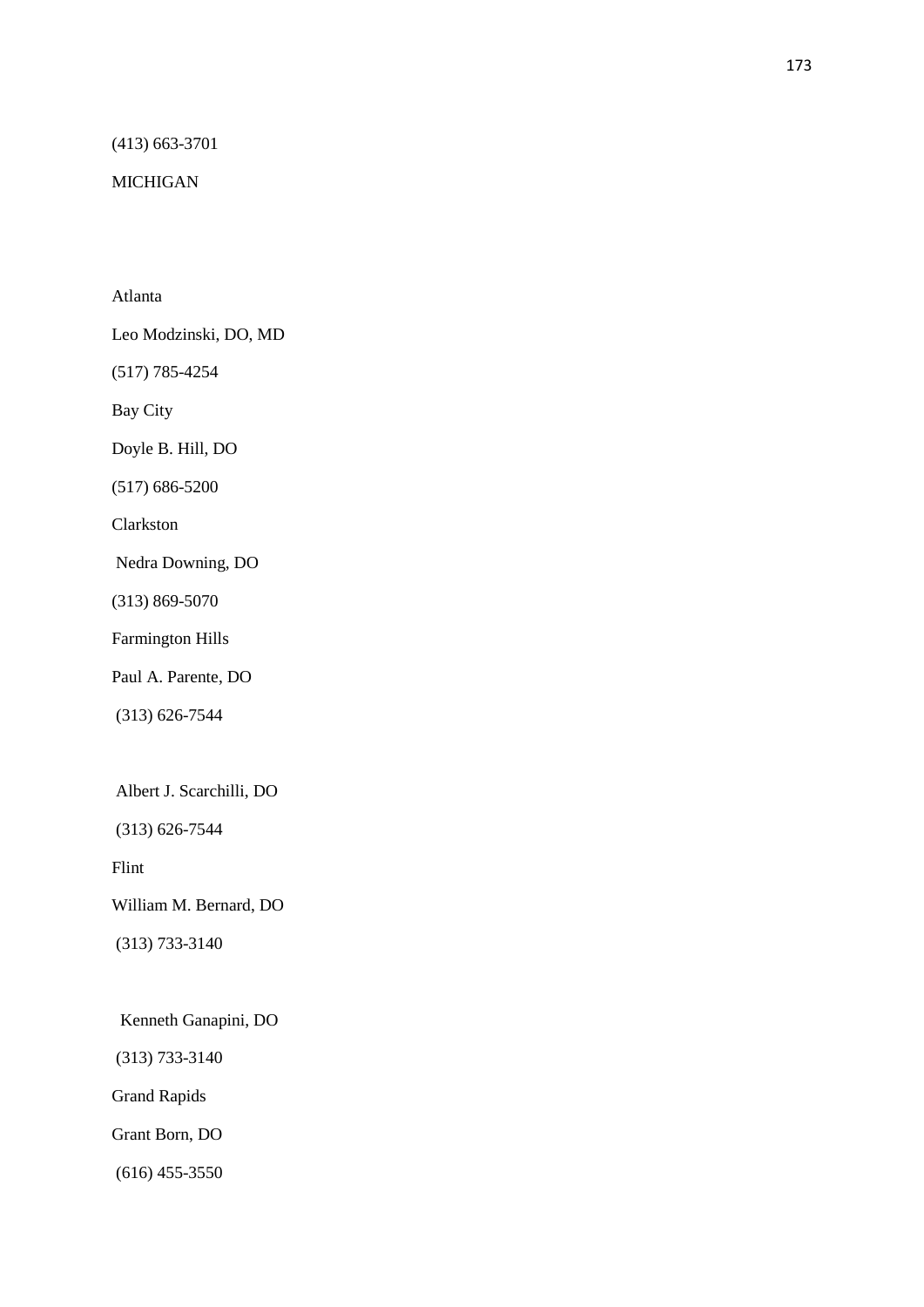(413) 663 -3701

# MICHIGAN

Atlanta

Leo Modzinski, DO, MD

(517) 785 -4254

Bay City

Doyle B. Hill, DO

(517) 686 -5200

Clarkston

Nedra Downing, DO

(313) 869 -5070

Farmington Hills

Paul A. Parente, DO

(313) 626 -7544

Albert J. Scarchilli, DO

(313) 626 -7544

Flint

William M. Bernard, DO

(313) 733 -3140

 Kenneth Ganapini, DO (313) 733 -3140

Grand Rapids

Grant Born, DO

(616) 455 -3550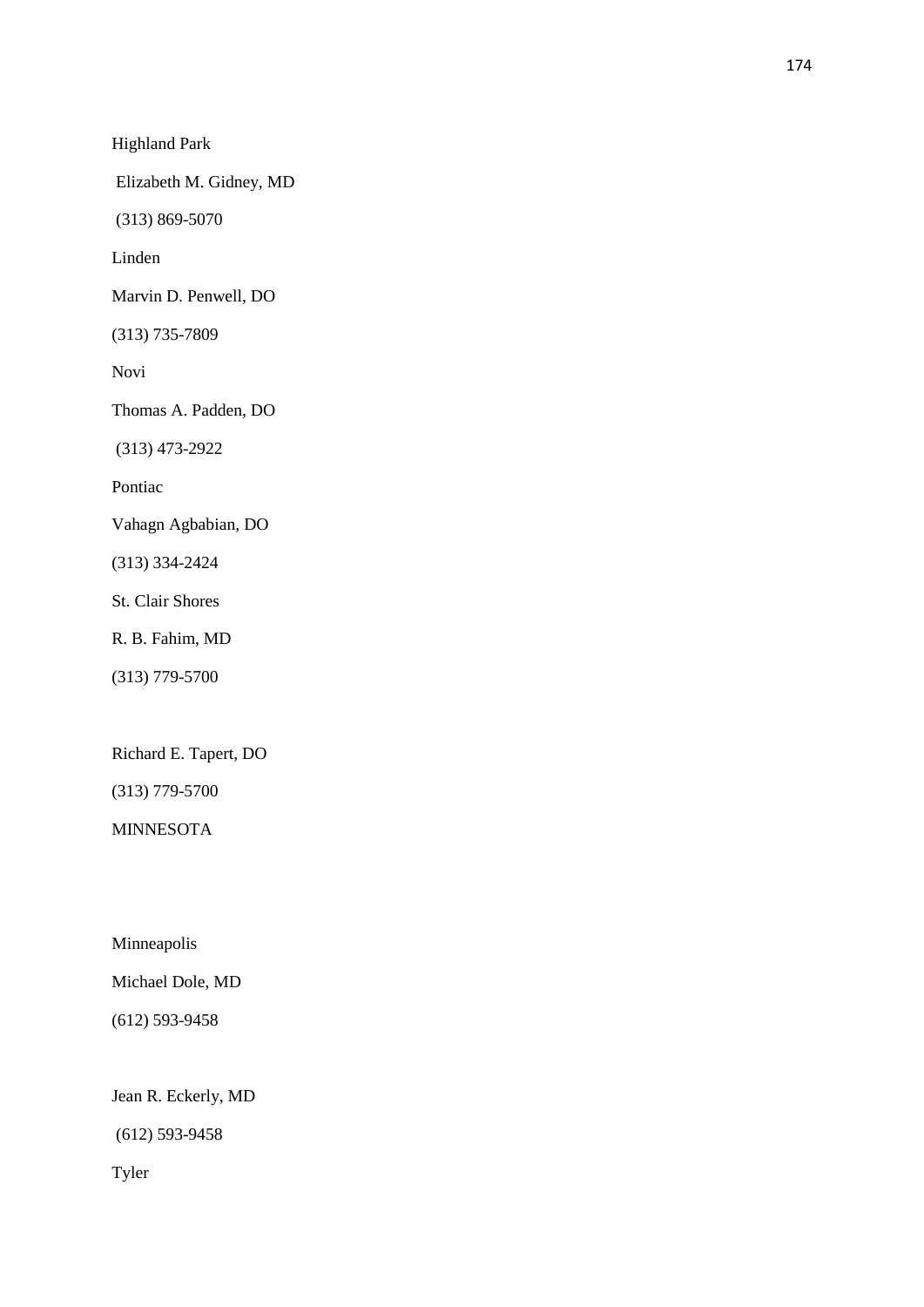Highland Park

Elizabeth M. Gidney, MD

(313) 869 -5070

Linden

Marvin D. Penwell, DO

(313) 735 -7809

Novi

Thomas A. Padden, DO

(313) 473 -2922

Pontiac

Vahagn Agbabian, DO

(313) 334 -2424

St. Clair Shores

R. B. Fahim, MD

(313) 779 -5700

Richard E. Tapert, DO

(313) 779 -5700

MINNESOTA

Minneapolis

Michael Dole, MD

(612) 593 -9458

Jean R. Eckerly, MD

(612) 593 -9458

Tyler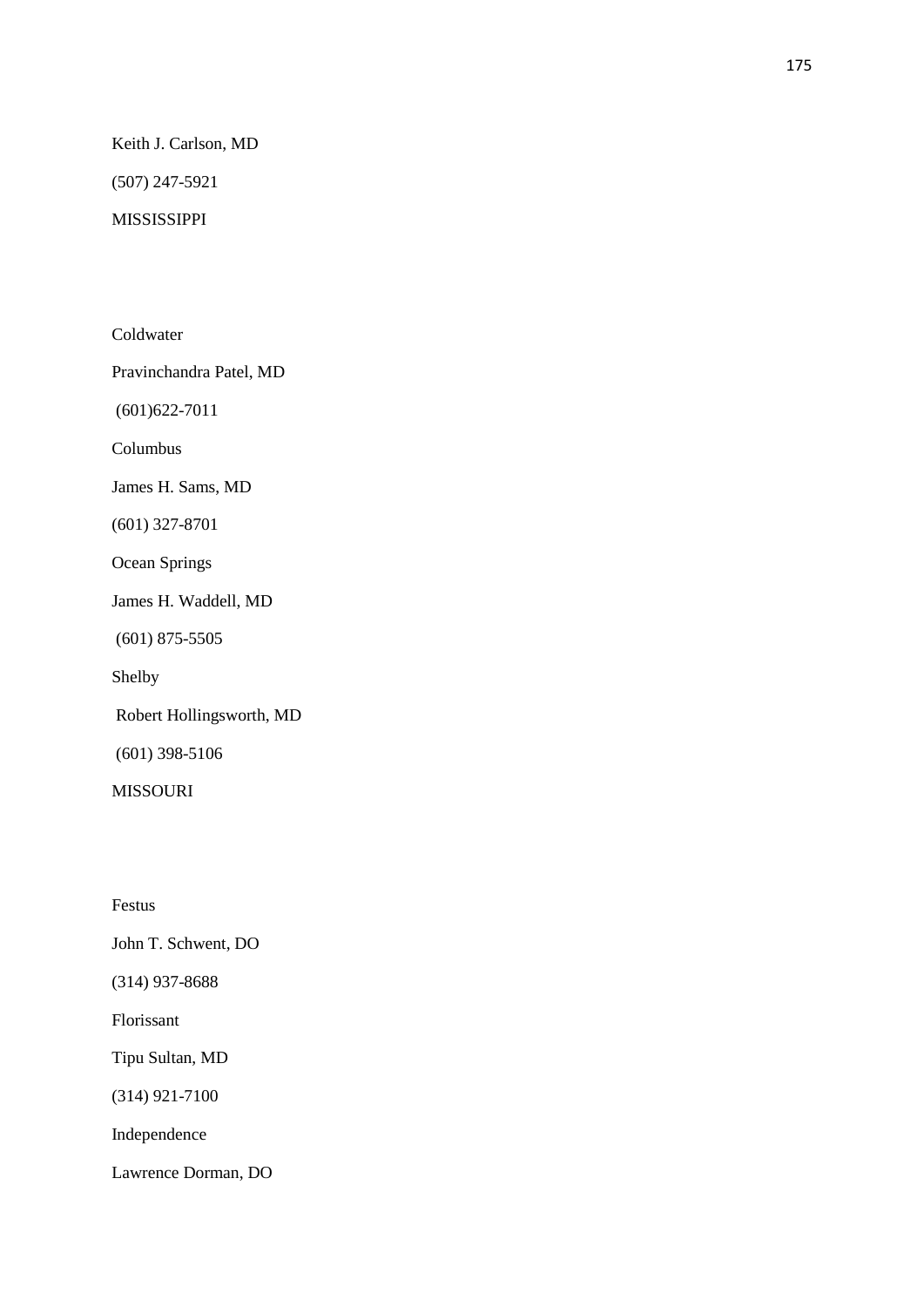Keith J. Carlson, MD

(507) 247 -5921

MISSISSIPPI

Coldwater

Pravinchandra Patel, MD

(601)622 -7011

Columbus

James H. Sams, MD

(601) 327 -8701

Ocean Springs

James H. Waddell, MD

(601) 875 -5505

Shelby

Robert Hollingsworth, MD

(601) 398 -5106

MISSOURI

Festus

John T. Schwent, DO

(314) 937 -8688

Florissant

Tipu Sultan, MD

(314) 921 -7100

Independence

Lawrence Dorman, DO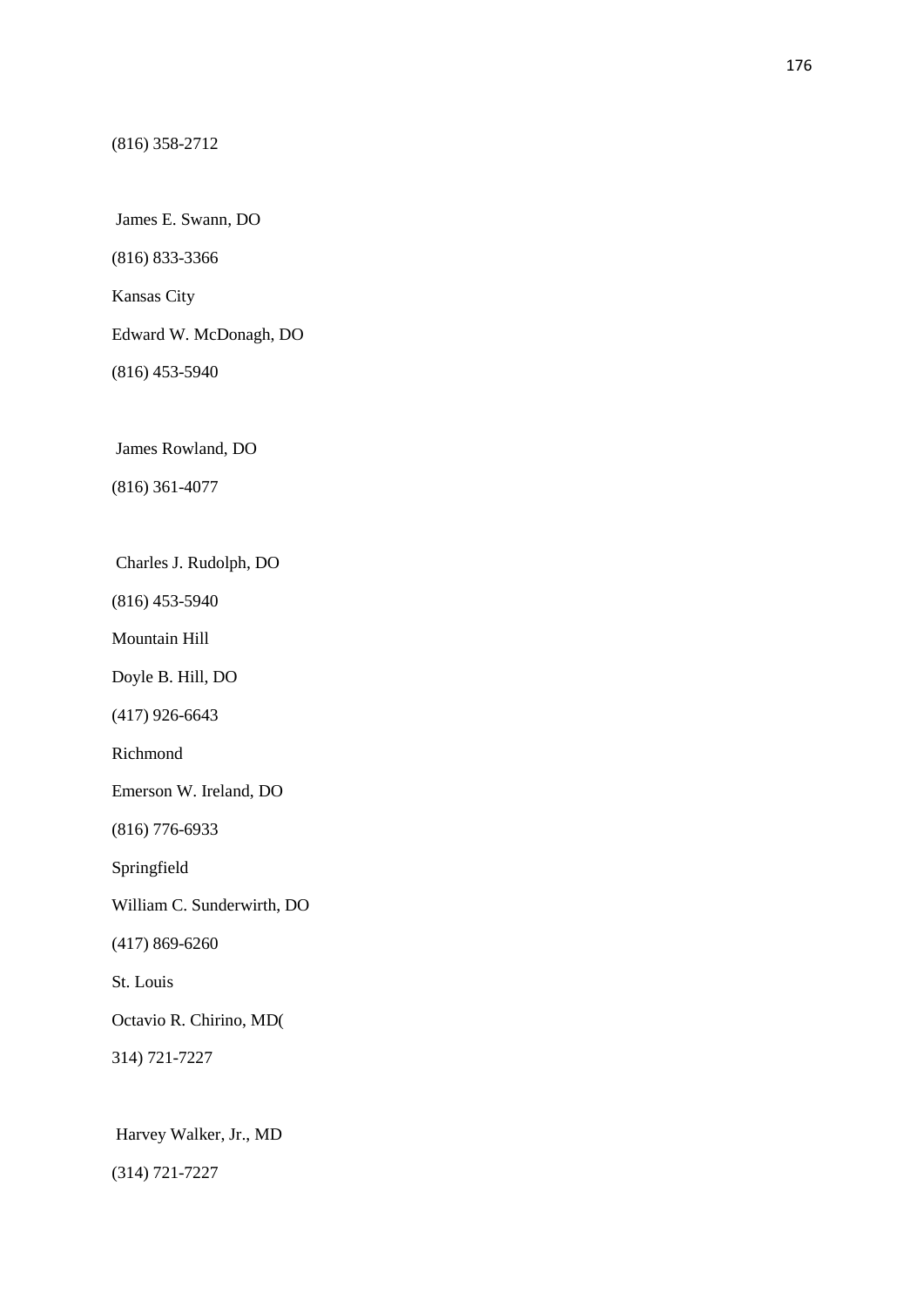(816) 358 -2712

James E. Swann, DO

(816) 833 -3366

Kansas City

Edward W. McDonagh, DO

(816) 453 -5940

James Rowland, DO

(816) 361 -4077

Charles J. Rudolph, DO

(816) 453 -5940

Mountain Hill

Doyle B. Hill, DO

(417) 926 -6643

Richmond

Emerson W. Ireland, DO

(816) 776 -6933

Springfield

William C. Sunderwirth, DO

(417) 869 -6260

St. Louis

Octavio R. Chirino, MD(

314) 721 -7227

Harvey Walker, Jr., MD

(314) 721 -7227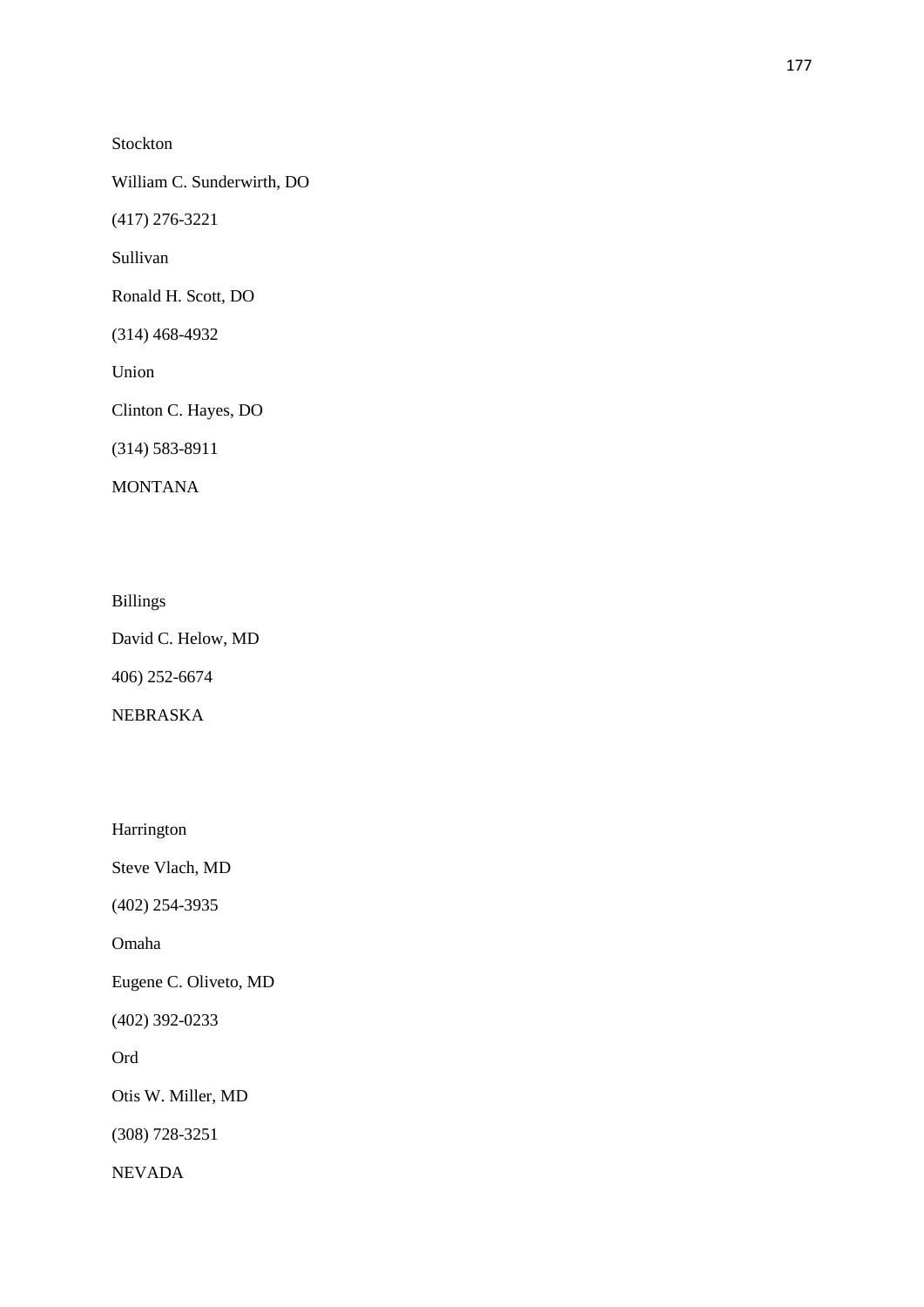Stockton

William C. Sunderwirth, DO

(417) 276-3221

Sullivan

Ronald H. Scott, DO

(314) 468-4932

Union

Clinton C. Hayes, DO

(314) 583-8911

MONTANA

Billings

David C. Helow, MD

406) 252-6674

NEBRASKA

Harrington

Steve Vlach, MD

(402) 254-3935

Omaha

Eugene C. Oliveto, MD

(402) 392-0233

Ord

Otis W. Miller, MD

(308) 728-3251

NEVADA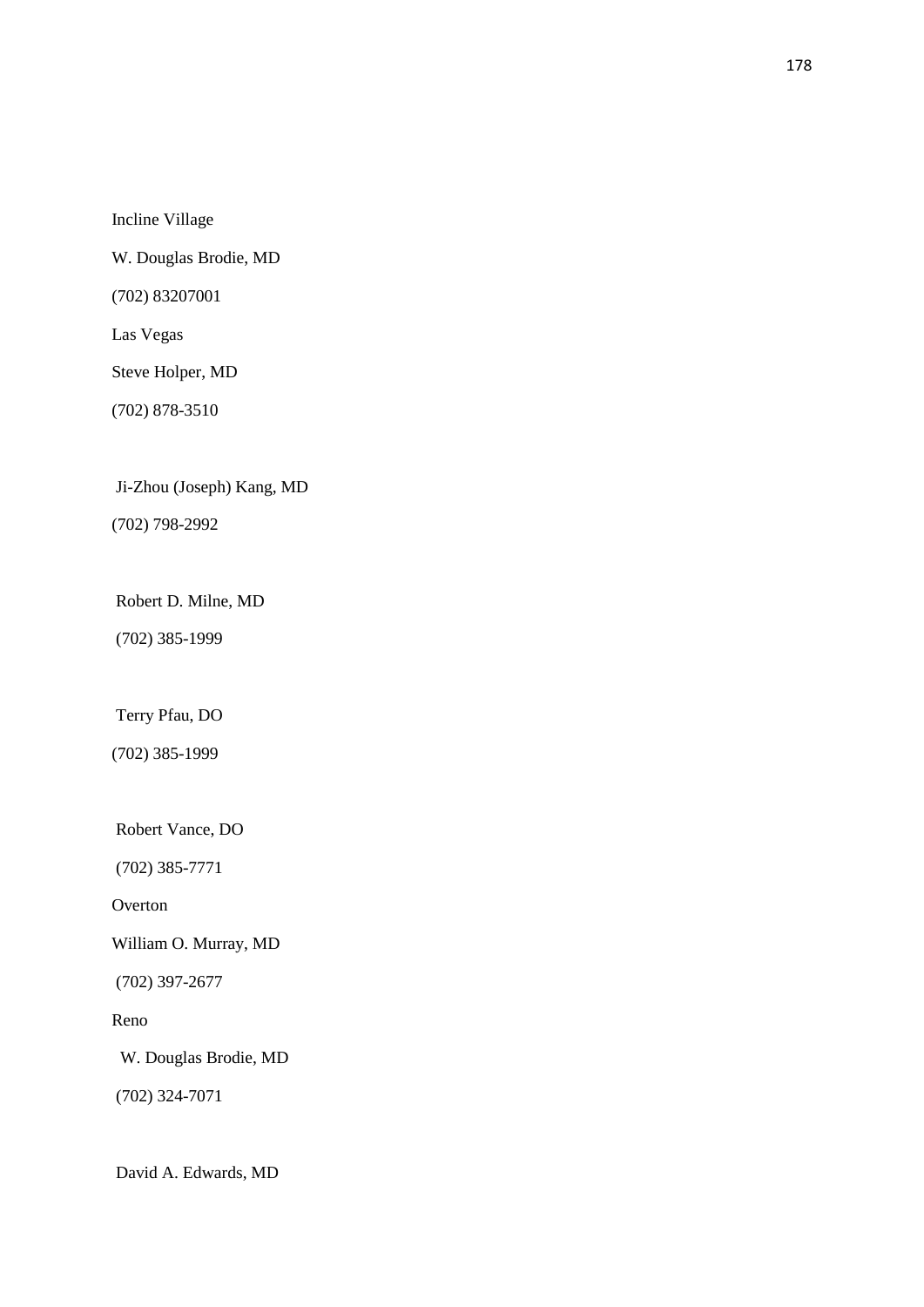Incline Village

W. Douglas Brodie, MD

(702) 83207001

Las Vegas

Steve Holper, MD

(702) 878-3510

Ji-Zhou (Joseph) Kang, MD

(702) 798-2992

Robert D. Milne, MD

(702) 385-1999

Terry Pfau, DO

(702) 385-1999

Robert Vance, DO

(702) 385-7771

Overton

William O. Murray, MD

(702) 397-2677

# Reno

W. Douglas Brodie, MD

(702) 324-7071

David A. Edwards, MD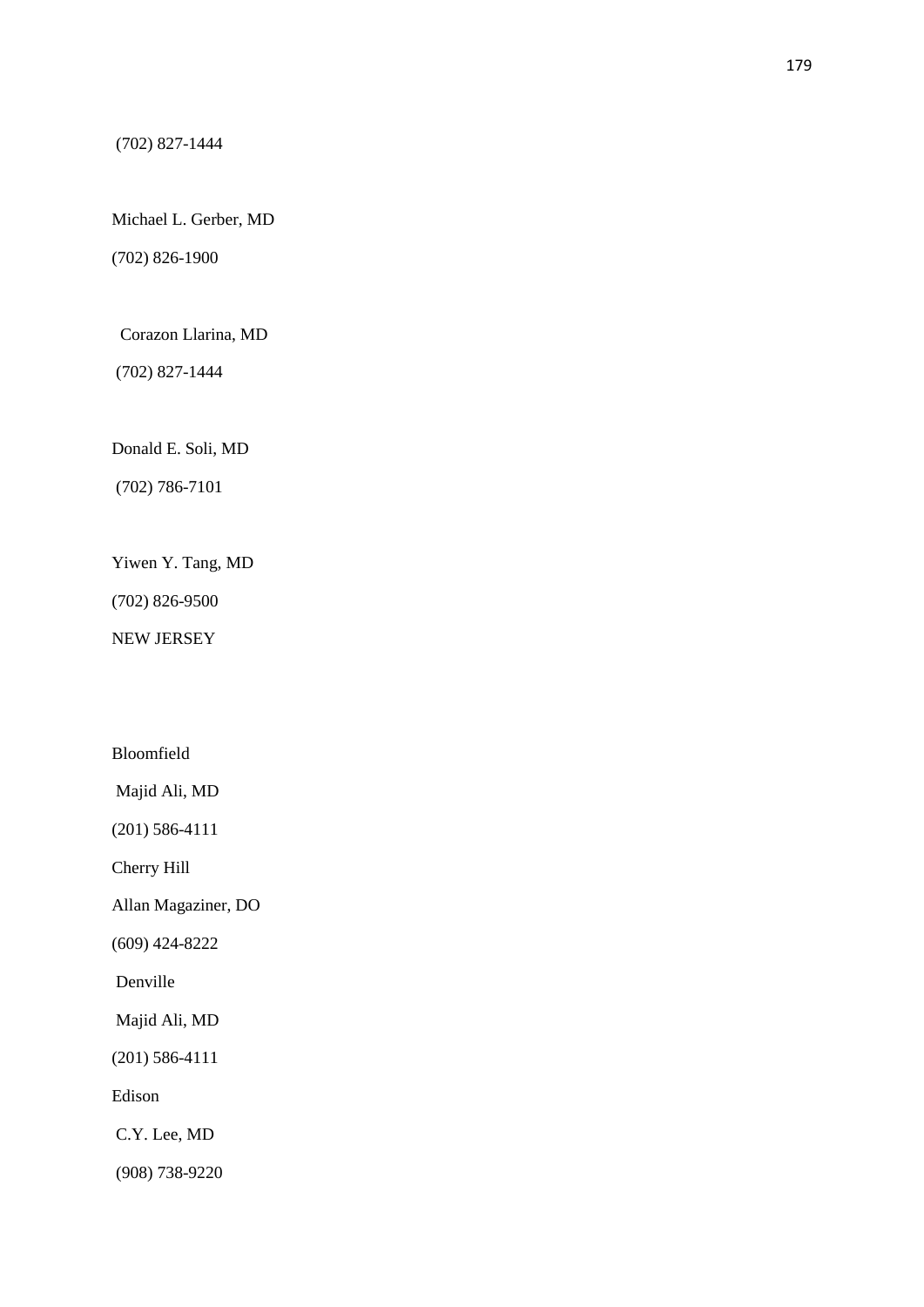(702) 827 -1444

Michael L. Gerber, MD

(702) 826 -1900

Corazon Llarina, MD

(702) 827 -1444

Donald E. Soli, MD

(702) 786 -7101

Yiwen Y. Tang, MD

(702) 826 -9500

NEW JERSEY

Bloomfield

Majid Ali, MD

(201) 586 -4111

Cherry Hill

Allan Magaziner, DO

(609) 424 -8222

Denville

Majid Ali, MD

(201) 586 -4111

Edison

C.Y. Lee, MD

(908) 738 -9220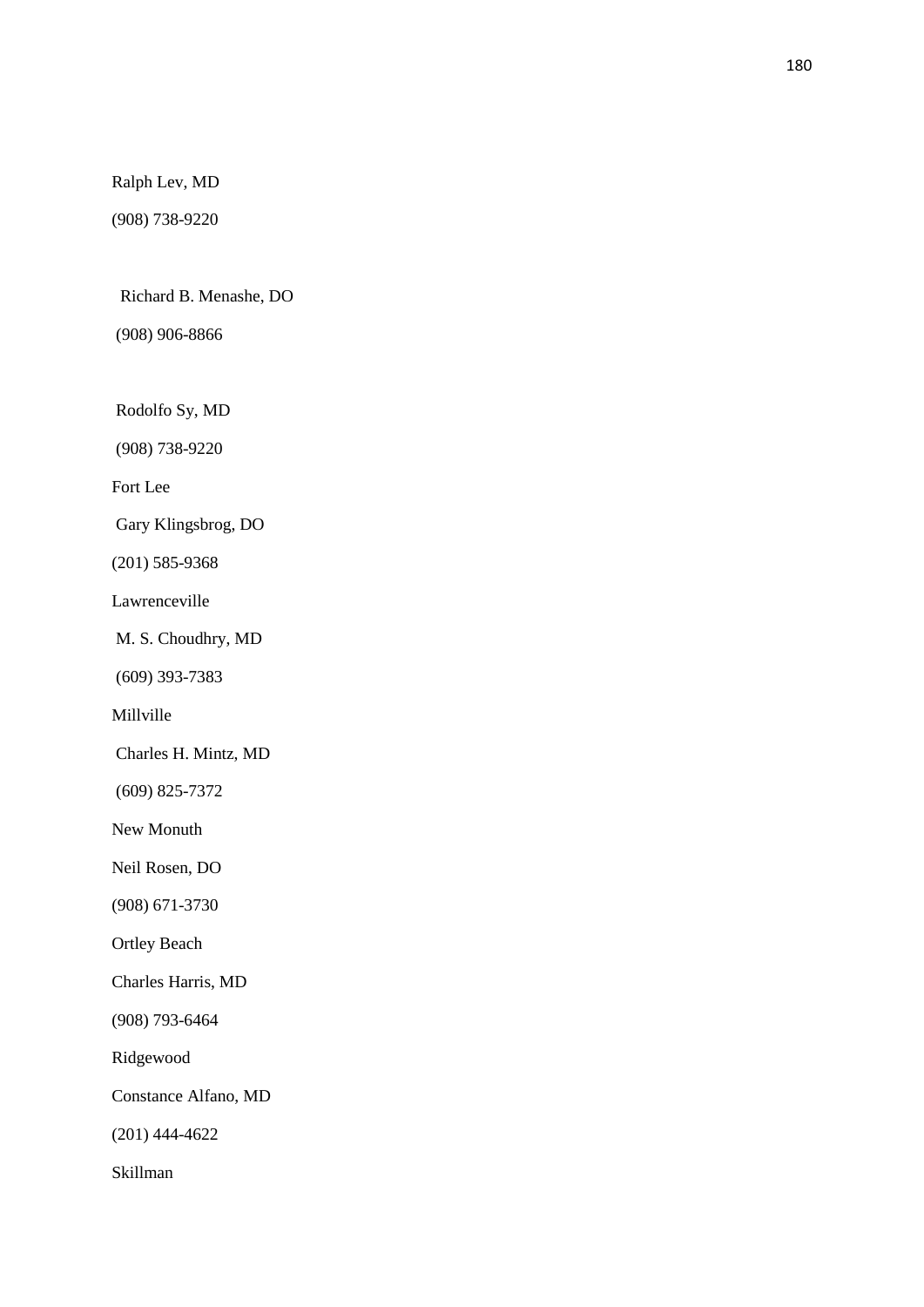Ralph Lev, MD

(908) 738 -9220

Richard B. Menashe, DO

(908) 906 -8866

Rodolfo Sy, MD

(908) 738 -9220

Fort Lee

Gary Klingsbrog, DO

(201) 585 -9368

Lawrenceville

M. S. Choudhry, MD

(609) 393 -7383

Millville

Charles H. Mintz, MD

(609) 825 -7372

New Monuth

Neil Rosen, DO

(908) 671 -3730

Ortley Beach

Charles Harris, MD

(908) 793 -6464

Ridgewood

Constance Alfano, MD

(201) 444 -4622

Skillman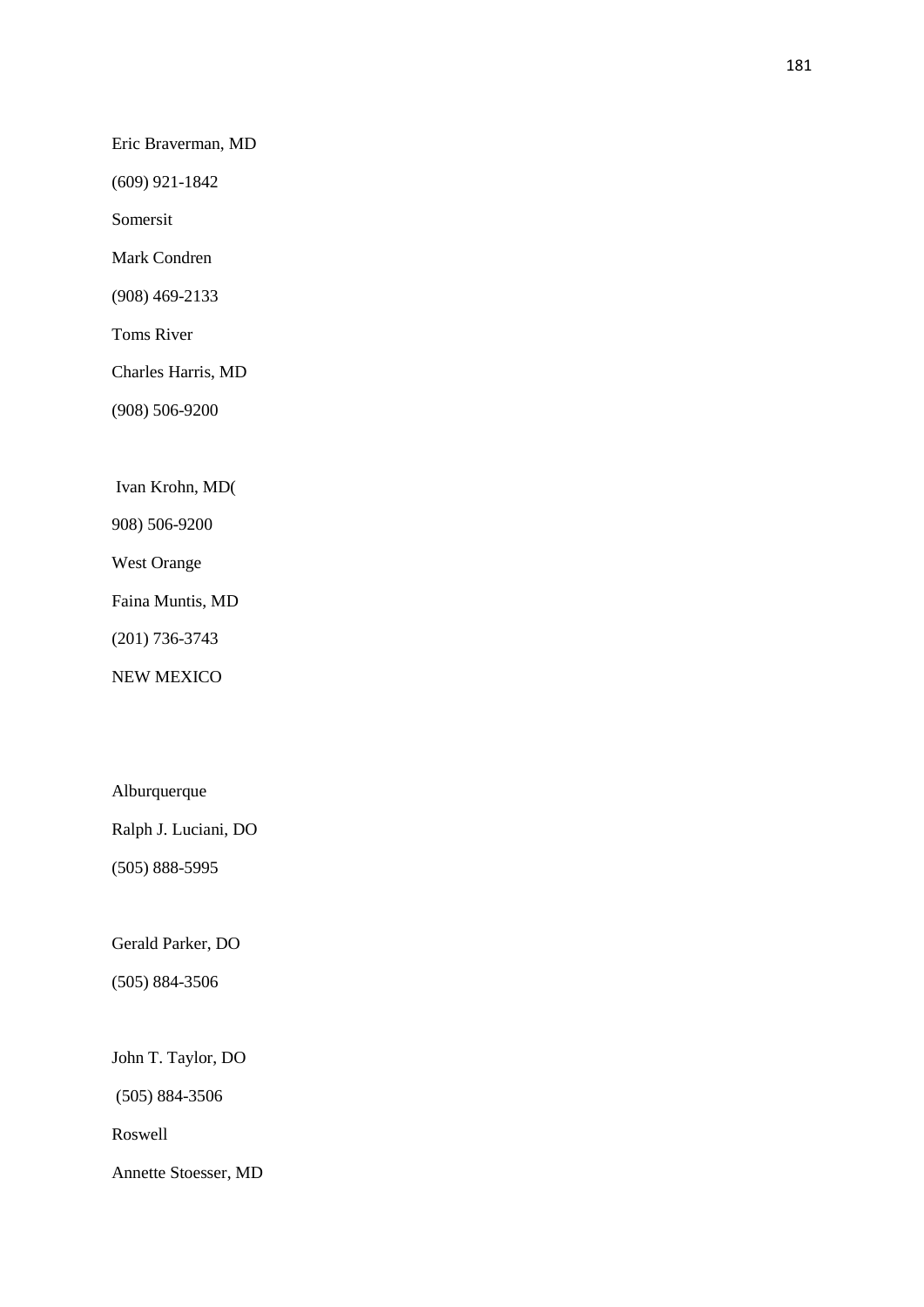Eric Braverman, MD

(609) 921 -1842

Somersit

Mark Condren

(908) 469 -2133

Toms River

Charles Harris, MD

(908) 506 -9200

Ivan Krohn, MD(

908) 506 -9200

West Orange

Faina Muntis, MD

(201) 736 -3743

NEW MEXICO

Alburquerque

Ralph J. Luciani, DO

(505) 888 -5995

Gerald Parker, DO

(505) 884 -3506

John T. Taylor, DO

(505) 884 -3506

Roswell

Annette Stoesser, MD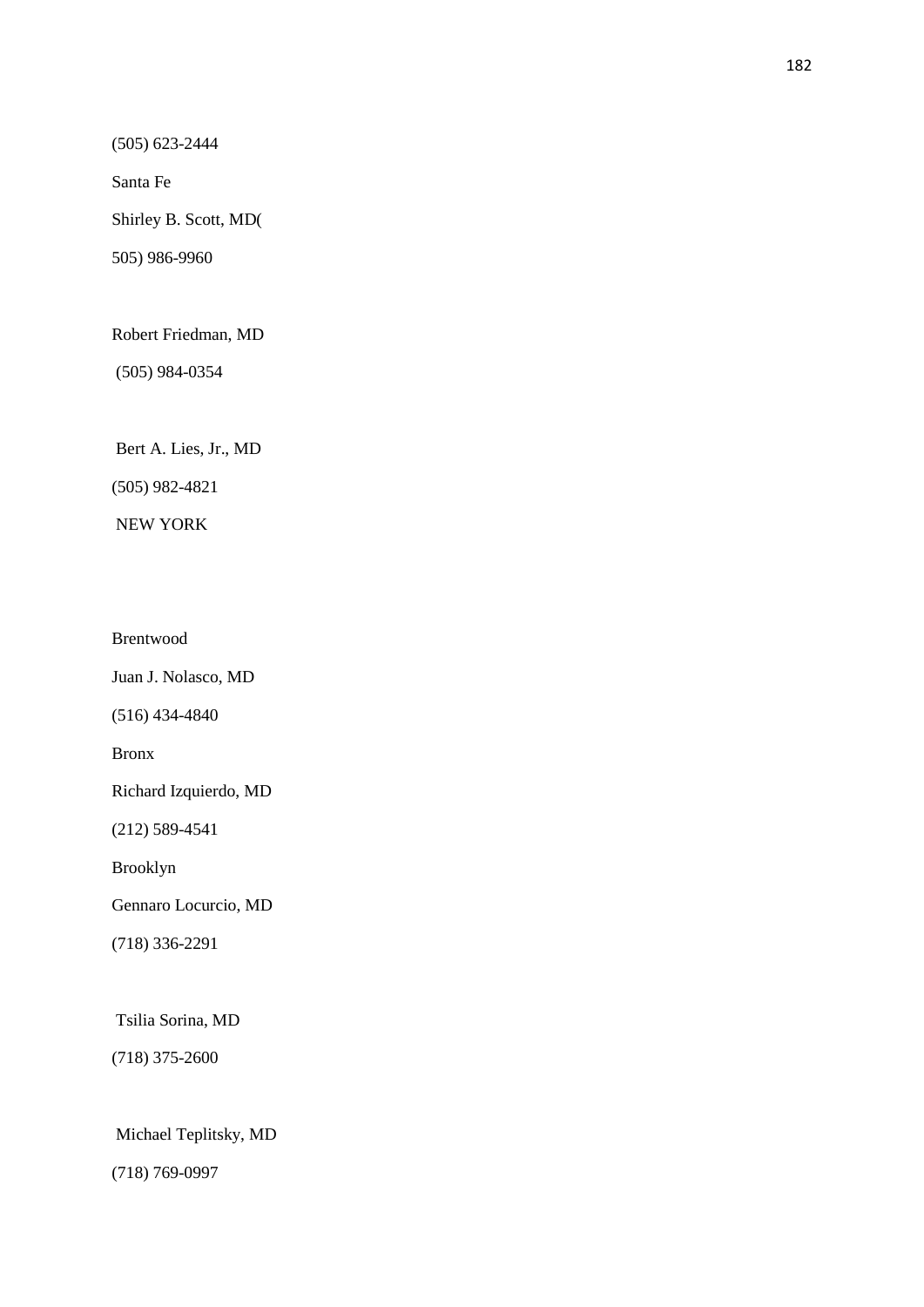(505) 623 -2444

Santa Fe

Shirley B. Scott, MD(

505) 986 -9960

Robert Friedman, MD

(505) 984 -0354

Bert A. Lies, Jr., MD

(505) 982 -4821

NEW YORK

Brentwood

Juan J. Nolasco, MD

(516) 434 -4840

Bronx

Richard Izquierdo, MD

(212) 589 -4541

Brooklyn

Gennaro Locurcio, MD

(718) 336 -2291

Tsilia Sorina, MD

(718) 375 -2600

Michael Teplitsky, MD

(718) 769 -0997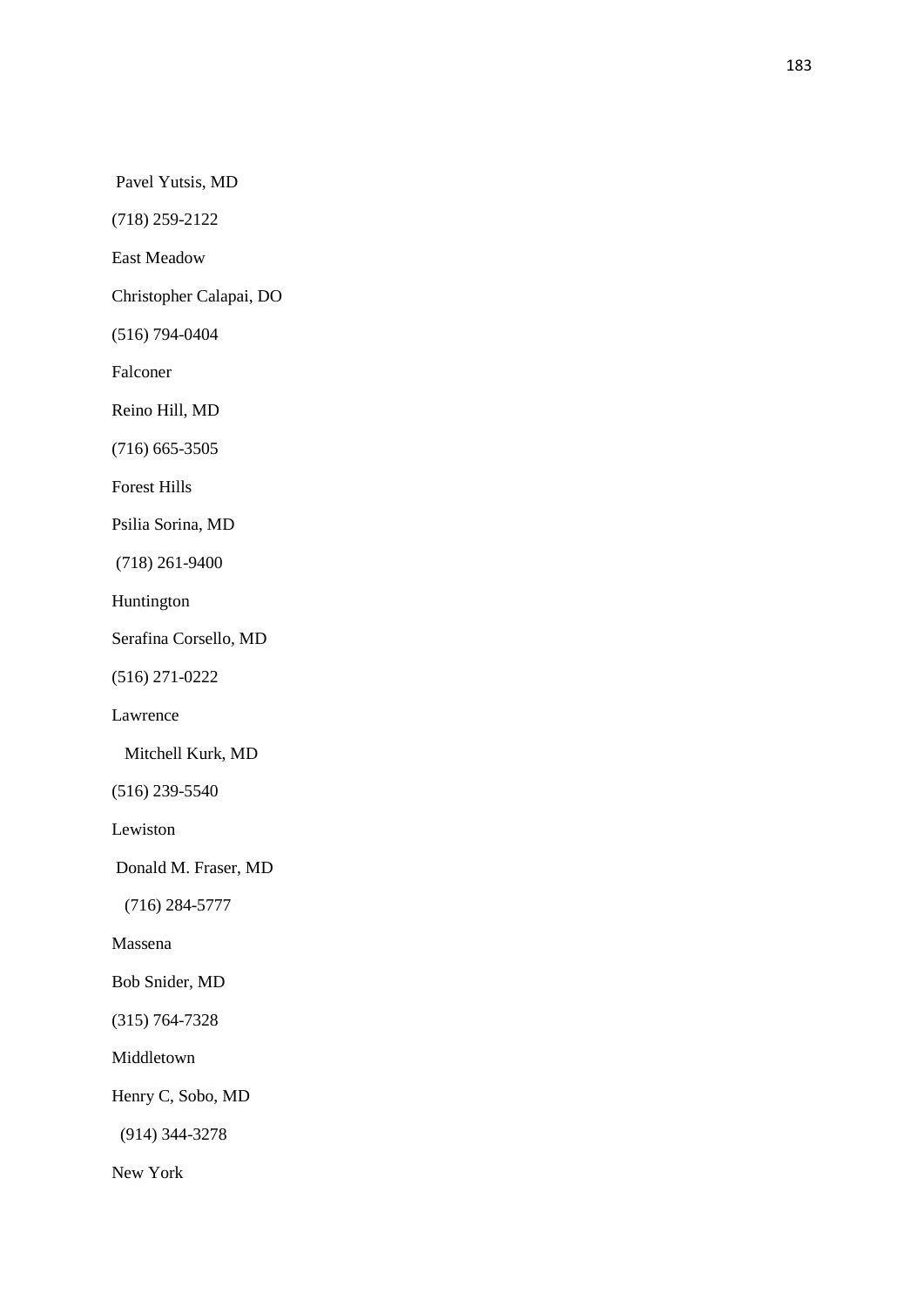Pavel Yutsis, MD

(718) 259 -2122

East Meadow

Christopher Calapai, DO

(516) 794 -0404

Falconer

Reino Hill, MD

(716) 665 -3505

Forest Hills

Psilia Sorina, MD

(718) 261 -9400

Huntington

Serafina Corsello, MD

(516) 271 -0222

Lawrence

Mitchell Kurk, MD

(516) 239 -5540

Lewiston

Donald M. Fraser, MD

(716) 284 -5777

Massena

Bob Snider, MD

(315) 764 -7328

Middletown

Henry C, Sobo, MD

(914) 344 -3278

New York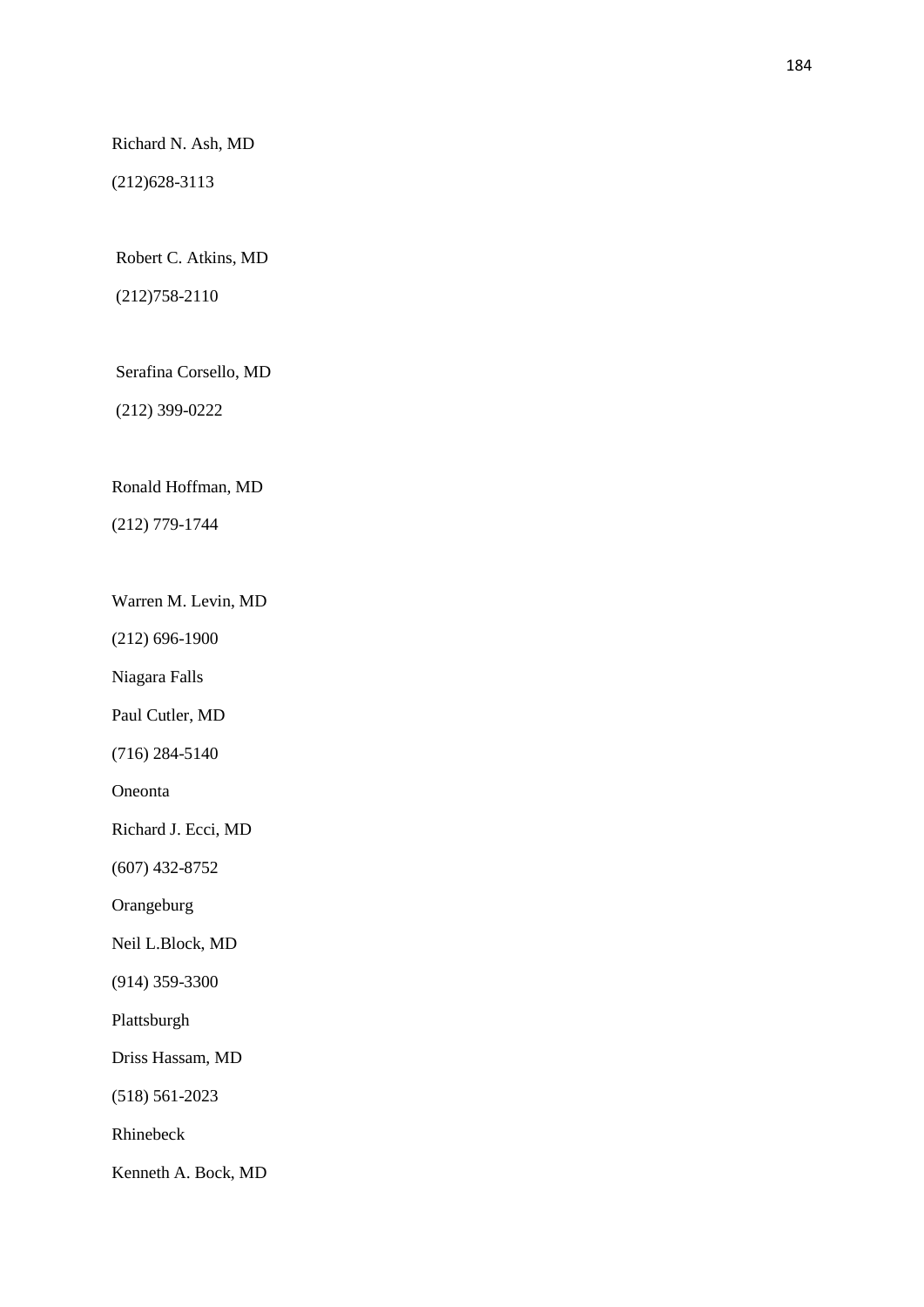Richard N. Ash, MD

(212)628 -3113

Robert C. Atkins, MD

(212)758 -2110

Serafina Corsello, MD

(212) 399 -0222

Ronald Hoffman, MD

(212) 779 -1744

Warren M. Levin, MD

(212) 696 -1900

Niagara Falls

Paul Cutler, MD

(716) 284 -5140

Oneonta

Richard J. Ecci, MD

(607) 432 -8752

Orangeburg

Neil L.Block, MD

(914) 359 -3300

Plattsburgh

Driss Hassam, MD

(518) 561 -2023

Rhinebeck

Kenneth A. Bock, MD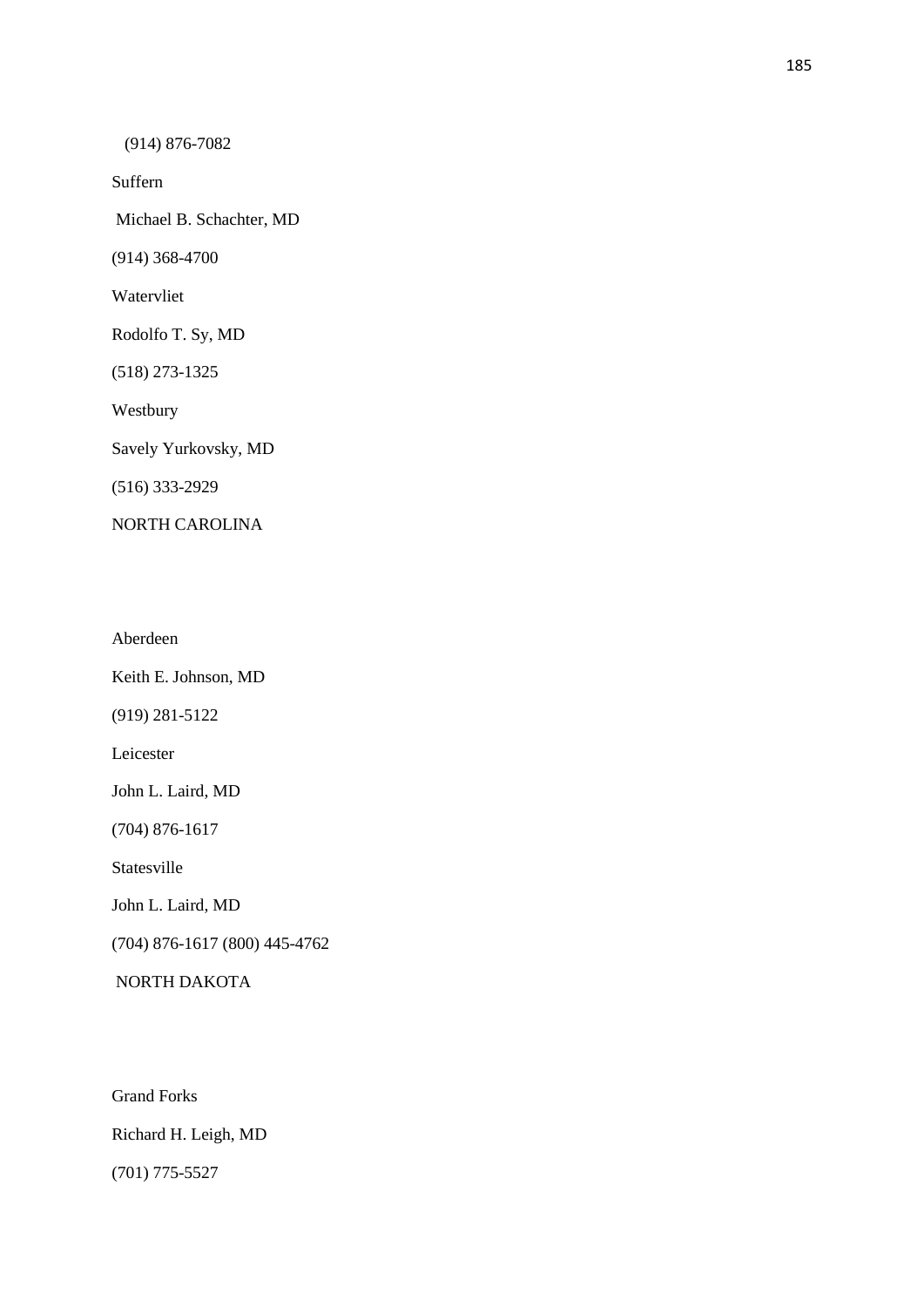(914) 876-7082

Suffern

Michael B. Schachter, MD

(914) 368-4700

Watervliet

Rodolfo T. Sy, MD

(518) 273-1325

Westbury

Savely Yurkovsky, MD

(516) 333-2929

NORTH CAROLINA

Aberdeen

Keith E. Johnson, MD

(919) 281-5122

Leicester

John L. Laird, MD

(704) 876-1617

Statesville

John L. Laird, MD

(704) 876-1617 (800) 445-4762

NORTH DAKOTA

Grand Forks Richard H. Leigh, MD (701) 775-5527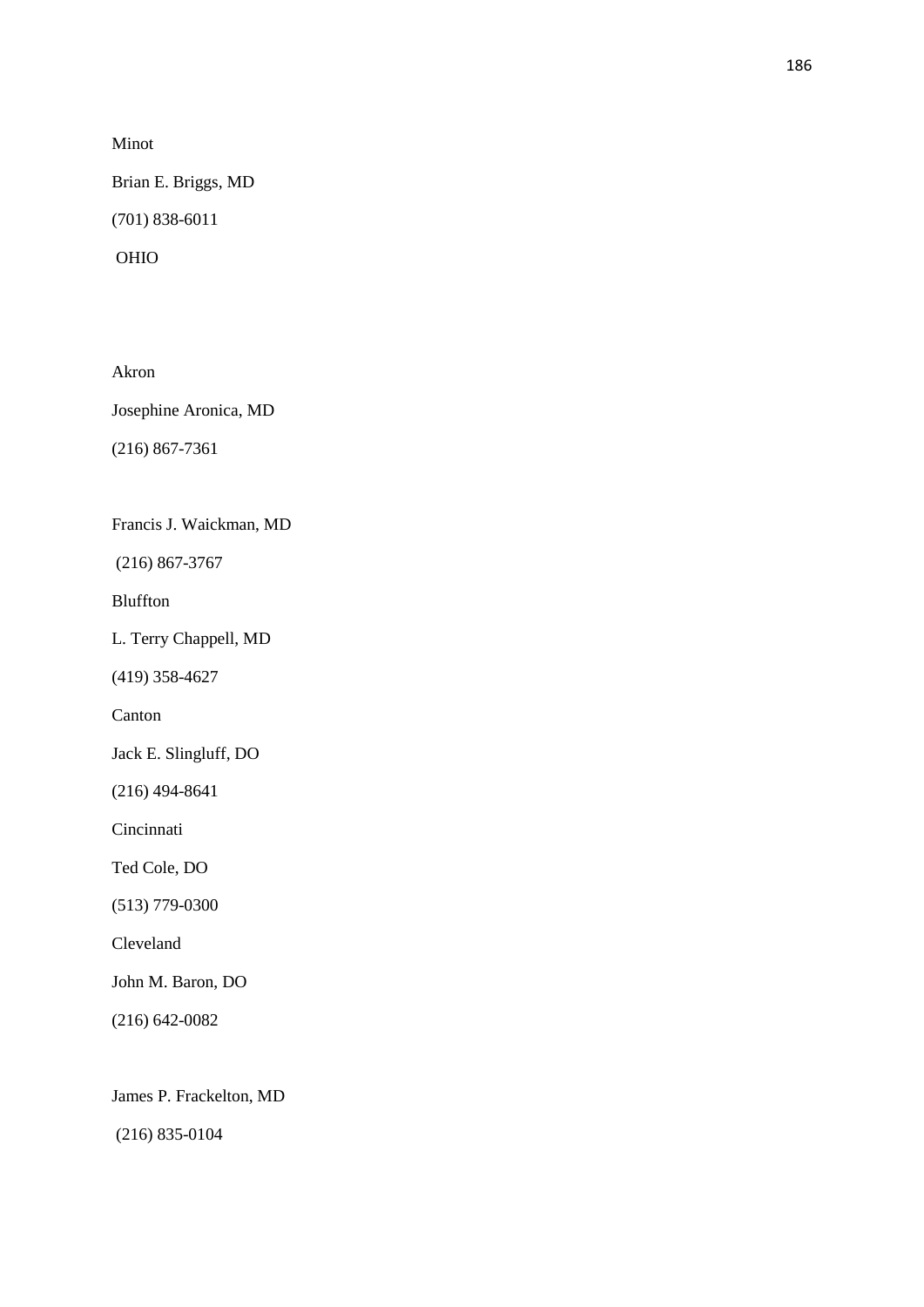Minot

Brian E. Briggs, MD

(701) 838 -6011

OHIO

Akron

Josephine Aronica, MD

(216) 867 -7361

Francis J. Waickman, MD

(216) 867 -3767

Bluffton

L. Terry Chappell, MD

(419) 358 -4627

Canton

Jack E. Slingluff, DO

(216) 494 -8641

Cincinnati

Ted Cole, DO

(513) 779 -0300

Cleveland

John M. Baron, DO

(216) 642 -0082

James P. Frackelton, MD

(216) 835 -0104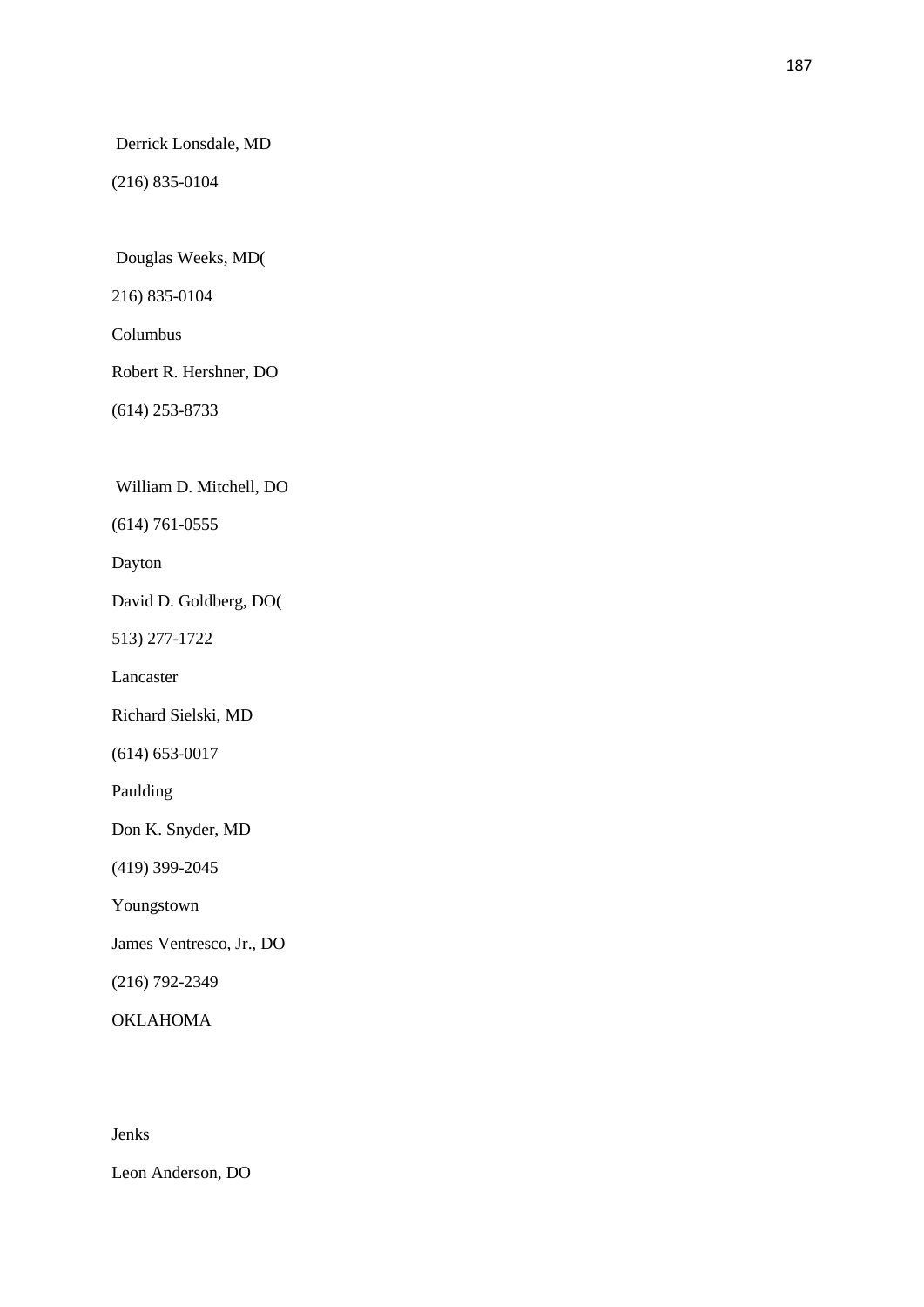Derrick Lonsdale, MD

(216) 835 -0104

Douglas Weeks, MD(

216) 835 -0104

Columbus

Robert R. Hershner, DO

(614) 253 -8733

William D. Mitchell, DO

(614) 761 -0555

Dayton

David D. Goldberg, DO(

513) 277 -1722

Lancaster

Richard Sielski, MD

(614) 653 -0017

Paulding

Don K. Snyder, MD

(419) 399 -2045

Youngstown

James Ventresco, Jr., DO

(216) 792 -2349

OKLAHOMA

Jenks

Leon Anderson, DO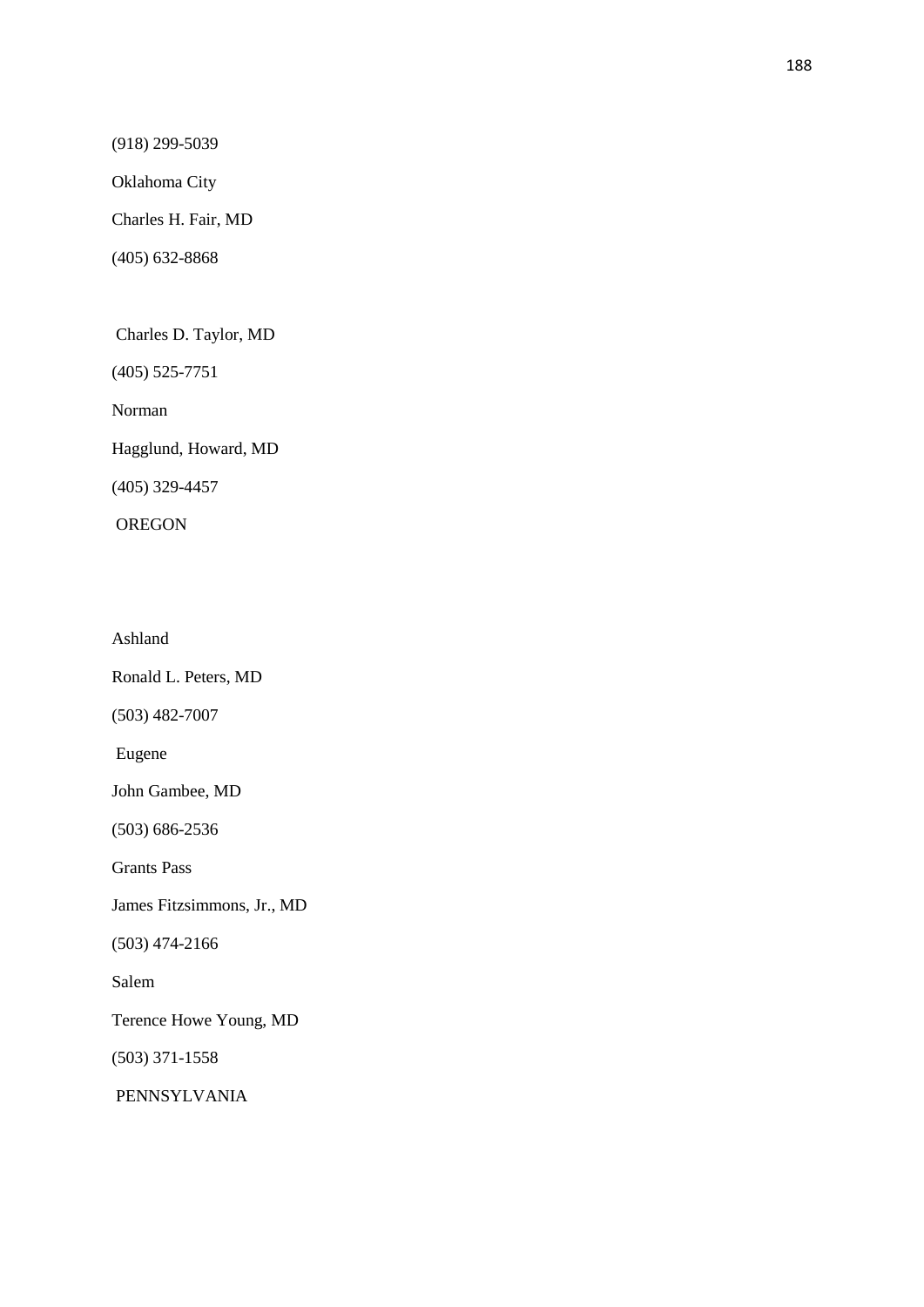(918) 299 -5039

Oklahoma City

Charles H. Fair, MD

(405) 632 -8868

Charles D. Taylor, MD

(405) 525 -7751

Norman

Hagglund, Howard, MD

(405) 329 -4457

OREGON

Ashland

Ronald L. Peters, MD

(503) 482 -7007

Eugene

John Gambee, MD

(503) 686 -2536

Grants Pass

James Fitzsimmons, Jr., MD

(503) 474 -2166

Salem

Terence Howe Young, MD

(503) 371 -1558

PENNSYLVANIA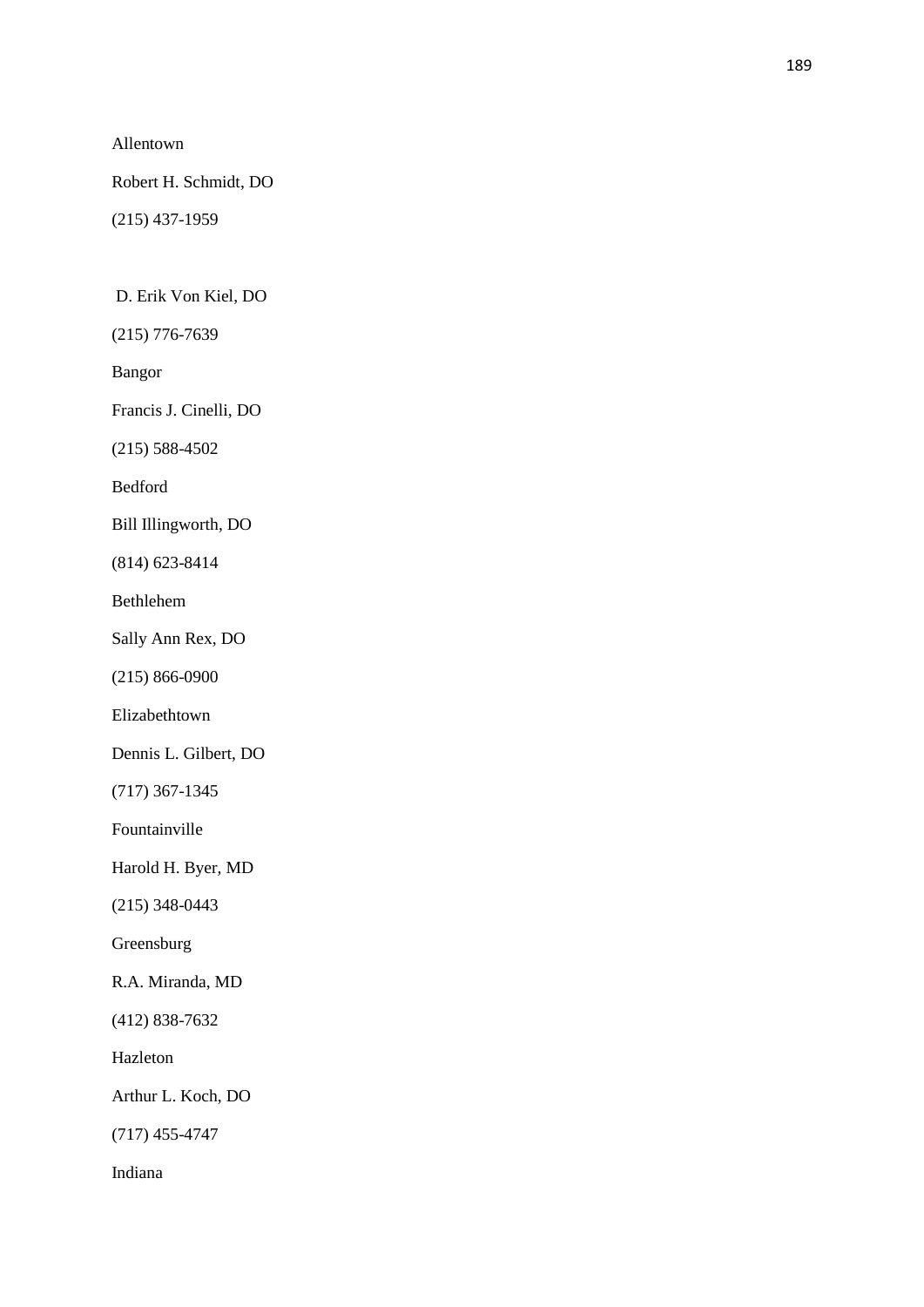Allentown

Robert H. Schmidt, DO

(215) 437 -1959

D. Erik Von Kiel, DO

(215) 776 -7639

Bangor

Francis J. Cinelli, DO

(215) 588 -4502

Bedford

Bill Illingworth, DO

(814) 623 -8414

Bethlehem

Sally Ann Rex, DO

(215) 866 -0900

Elizabethtown

Dennis L. Gilbert, DO

(717) 367 -1345

Fountainville

Harold H. Byer, MD

(215) 348 -0443

Greensburg

R.A. Miranda, MD

(412) 838 -7632

Hazleton

Arthur L. Koch, DO

(717) 455 -4747

Indiana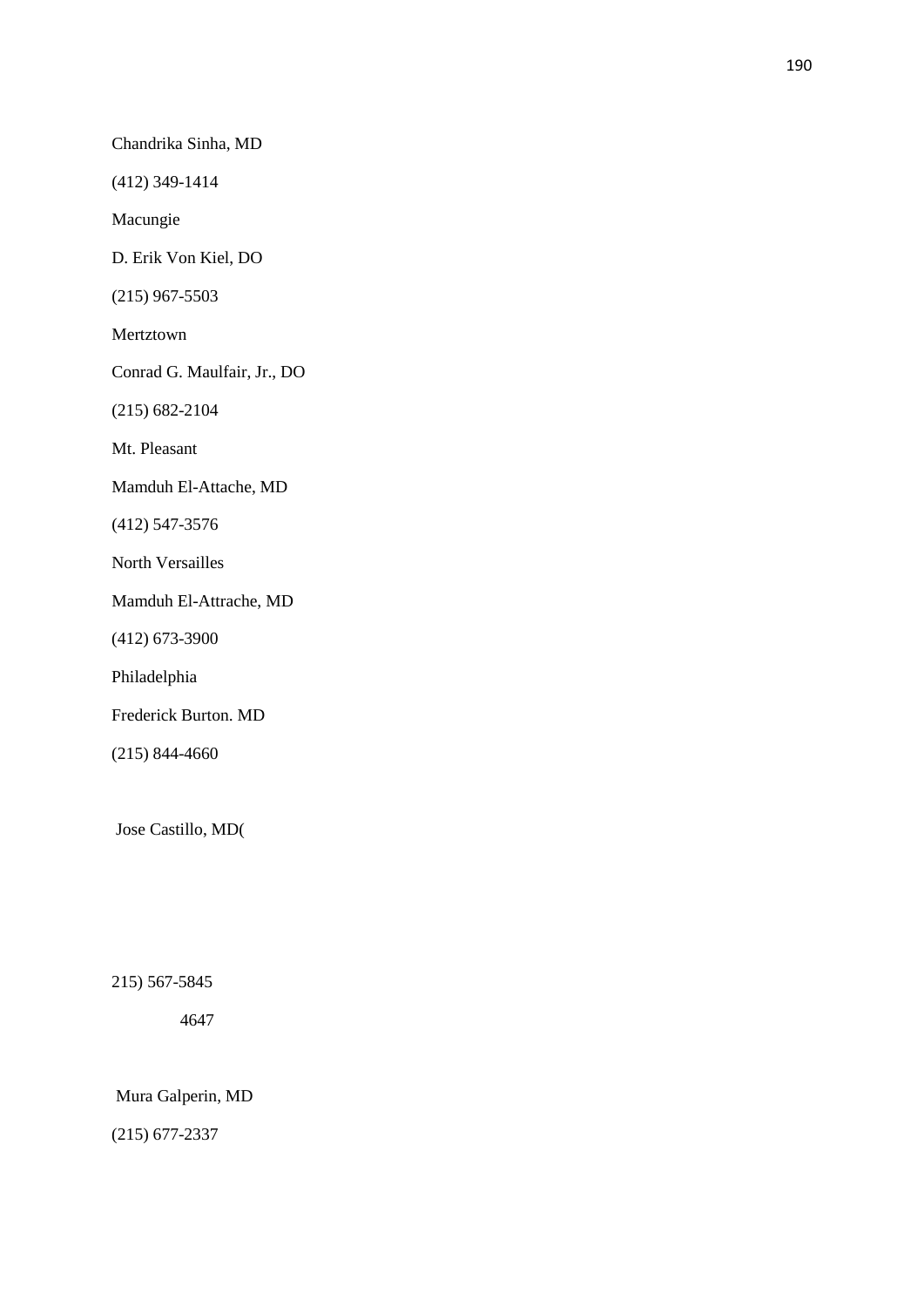Chandrika Sinha, MD

(412) 349-1414

Macungie

D. Erik Von Kiel, DO

(215) 967-5503

Mertztown

Conrad G. Maulfair, Jr., DO

(215) 682-2104

Mt. Pleasant

Mamduh El-Attache, MD

(412) 547-3576

North Versailles

Mamduh El-Attrache, MD

(412) 673-3900

Philadelphia

Frederick Burton. MD

(215) 844-4660

Jose Castillo, MD(

215) 567-5845

4647

Mura Galperin, MD

(215) 677-2337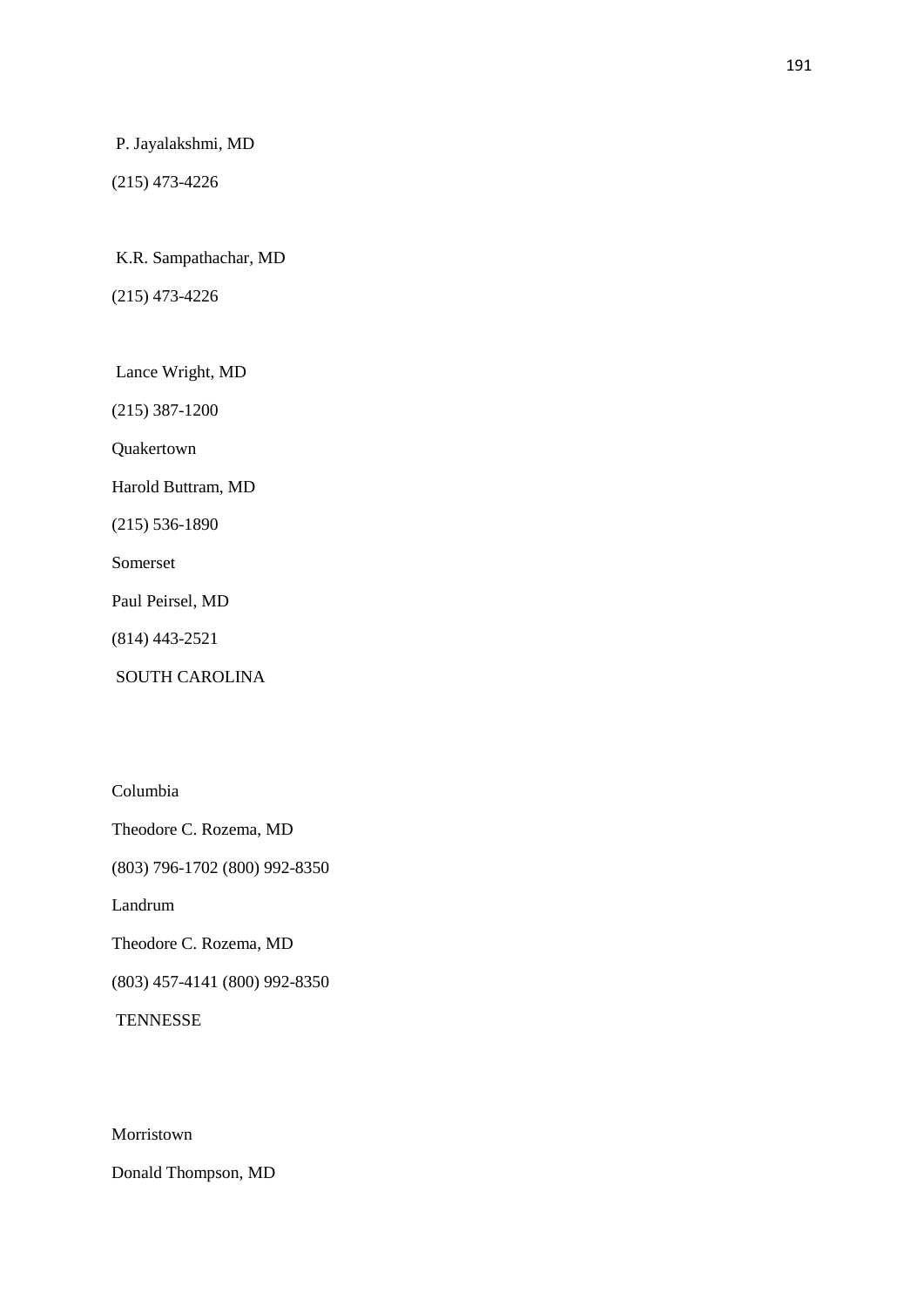P. Jayalakshmi, MD

(215) 473-4226

K.R. Sampathachar, MD

(215) 473-4226

Lance Wright, MD

(215) 387-1200

Quakertown

Harold Buttram, MD

(215) 536-1890

Somerset

Paul Peirsel, MD

(814) 443-2521

SOUTH CAROLINA

Columbia

Theodore C. Rozema, MD (803) 796-1702 (800) 992-8350

Landrum

Theodore C. Rozema, MD

(803) 457-4141 (800) 992-8350

**TENNESSE** 

Morristown

Donald Thompson, MD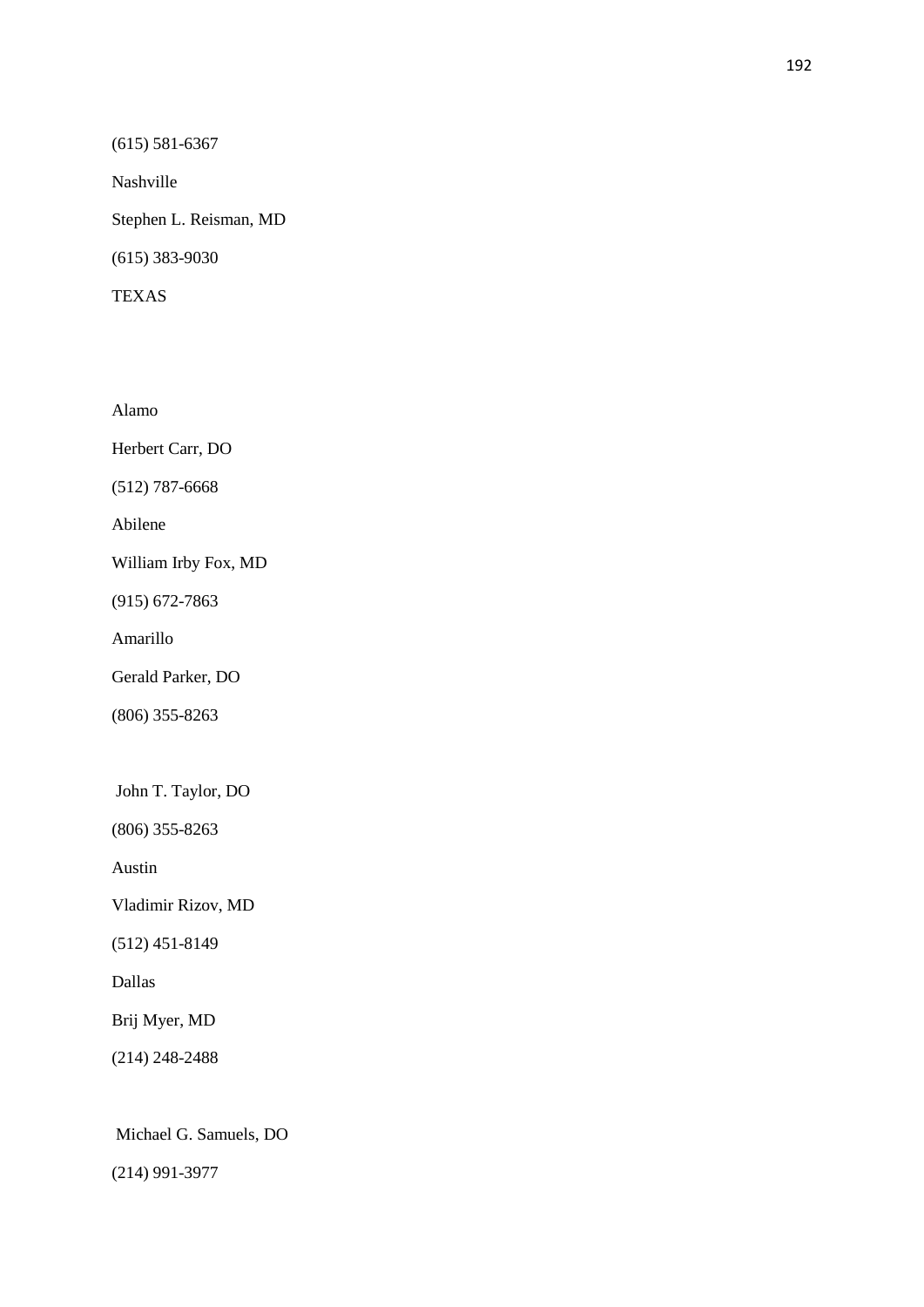(615) 581 -6367

Nashville

Stephen L. Reisman, MD

(615) 383 -9030

TEXAS

Alamo

Herbert Carr, DO

(512) 787 -6668

Abilene

William Irby Fox, MD

(915) 672 -7863

Amarillo

Gerald Parker, DO

(806) 355 -8263

John T. Taylor, DO

(806) 355 -8263

Austin

Vladimir Rizov, MD

(512) 451 -8149

Dallas

Brij Myer, MD

(214) 248 -2488

Michael G. Samuels, DO

(214) 991 -3977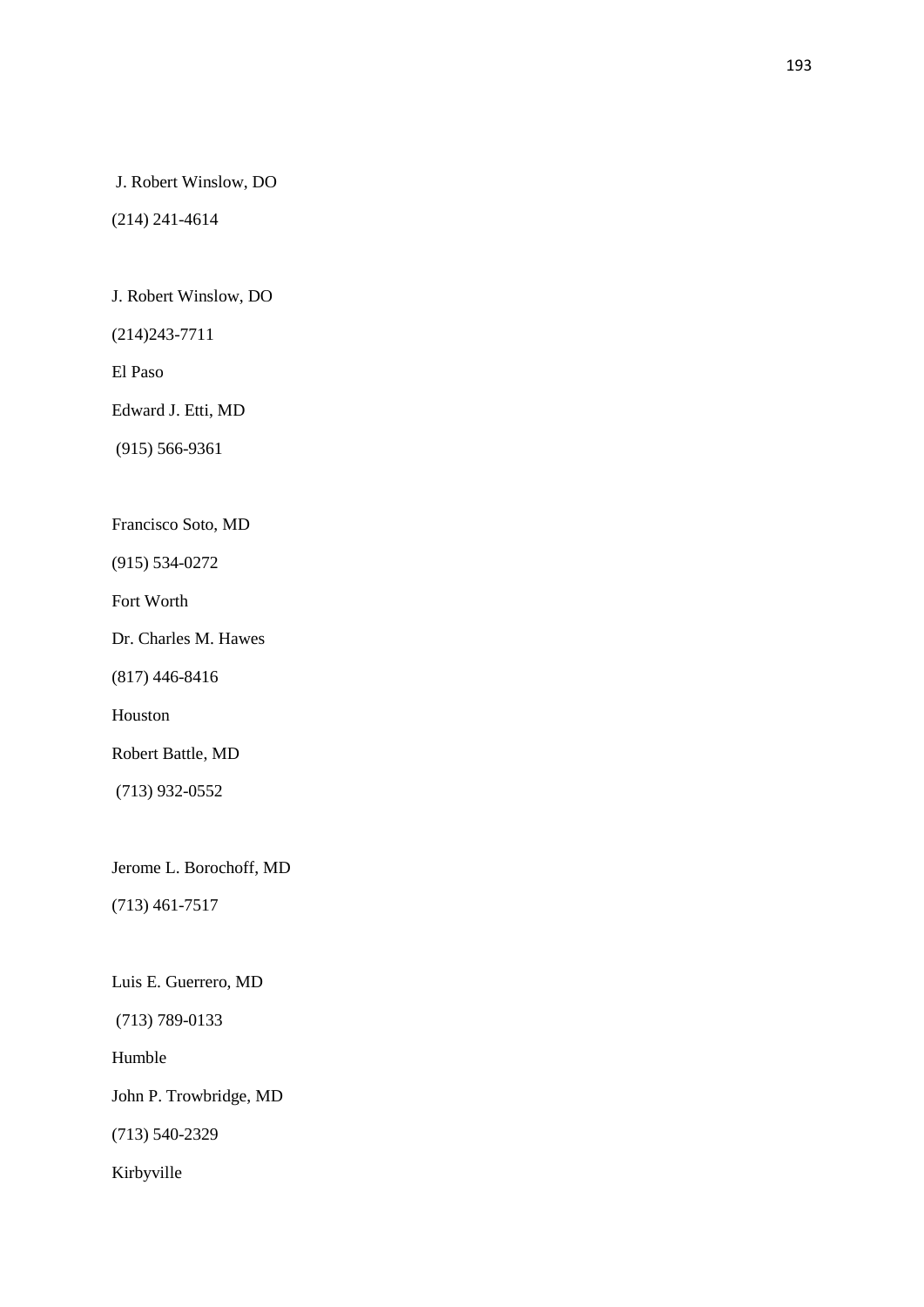J. Robert Winslow, DO

(214) 241 -4614

J. Robert Winslow, DO

(214)243 -7711

El Paso

Edward J. Etti, MD

(915) 566 -9361

Francisco Soto, MD

(915) 534 -0272

Fort Worth

Dr. Charles M. Hawes

(817) 446 -8416

Houston

Robert Battle, MD

(713) 932 -0552

Jerome L. Borochoff, MD

(713) 461 -7517

Luis E. Guerrero, MD

(713) 789 -0133

Humble

John P. Trowbridge, MD

(713) 540 -2329

Kirbyville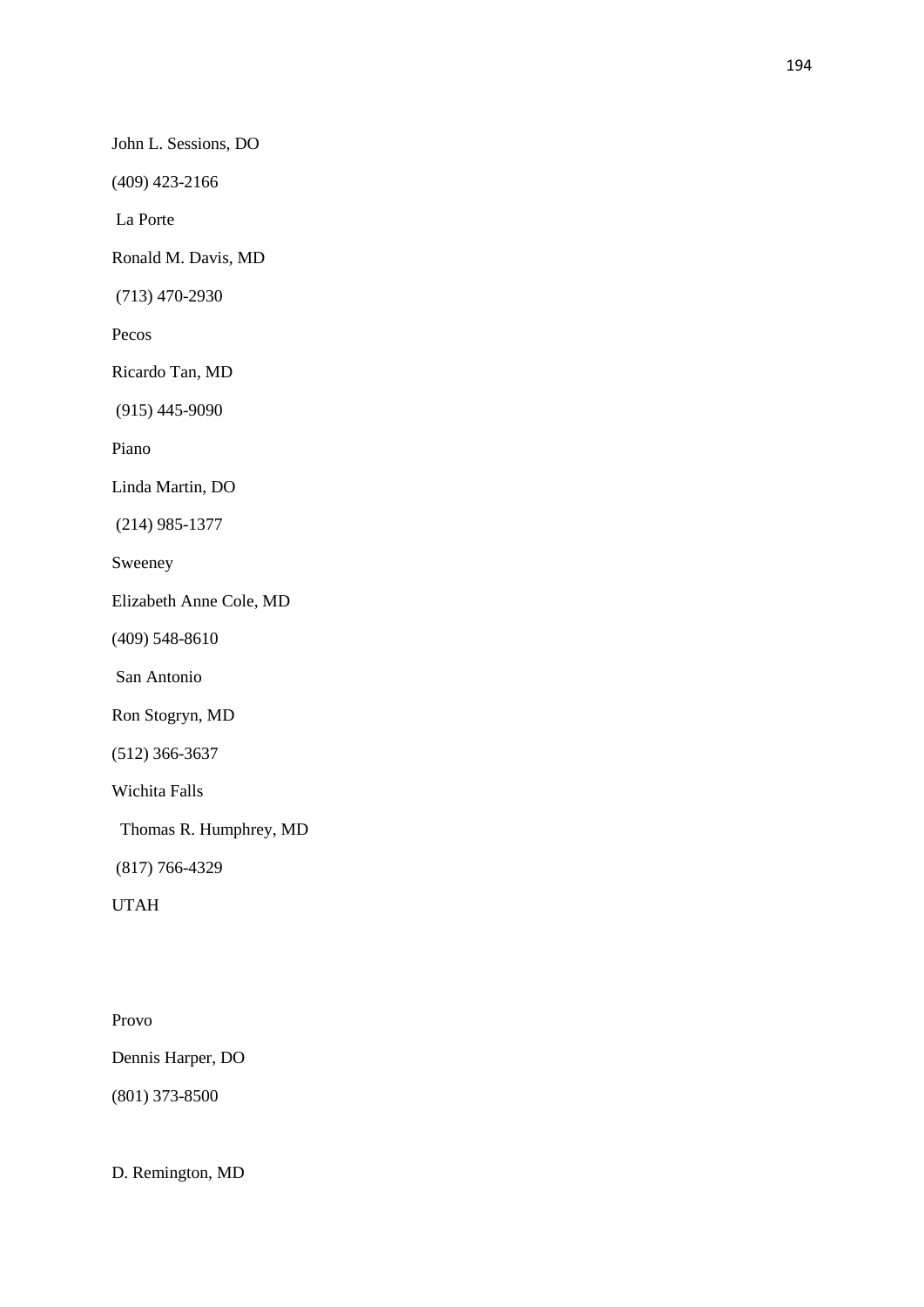John L. Sessions, DO

(409) 423 -2166

La Porte

Ronald M. Davis, MD

(713) 470 -2930

Pecos

Ricardo Tan, MD

(915) 445 -9090

Piano

Linda Martin, DO

(214) 985 -1377

Sweeney

Elizabeth Anne Cole, MD

(409) 548 -8610

San Antonio

Ron Stogryn, MD

(512) 366 -3637

Wichita Falls

Thomas R. Humphrey, MD

(817) 766 -4329

UTAH

Provo

Dennis Harper, DO

(801) 373 -8500

D. Remington, MD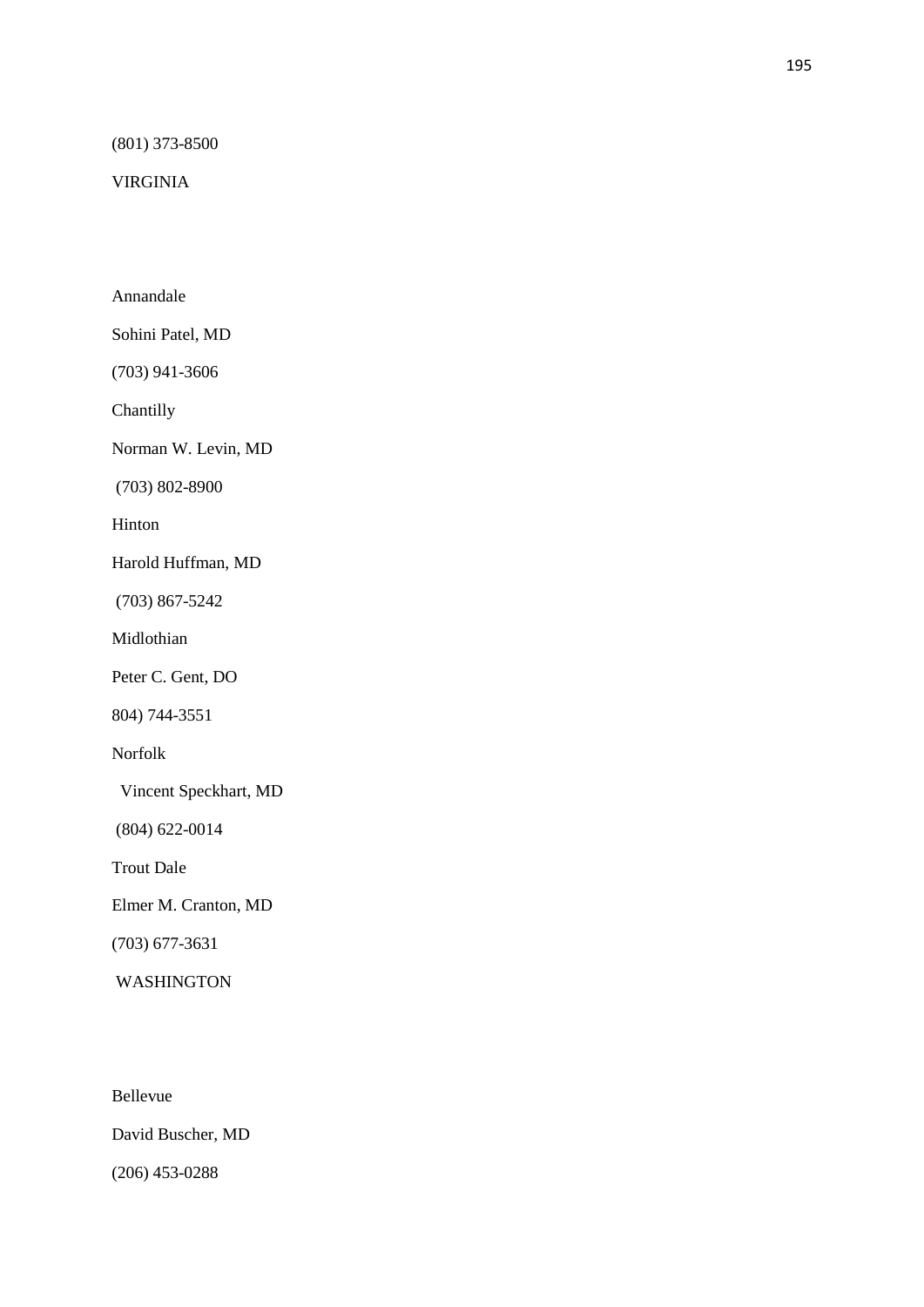(801) 373 -8500

## VIRGINIA

Annandale

Sohini Patel, MD

(703) 941 -3606

Chantilly

Norman W. Levin, MD

(703) 802 -8900

Hinton

Harold Huffman, MD

(703) 867 -5242

Midlothian

Peter C. Gent, DO

804) 744 -3551

Norfolk

Vincent Speckhart, MD

(804) 622 -0014

Trout Dale

Elmer M. Cranton, MD

(703) 677 -3631

WASHINGTON

Bellevue David Buscher, MD

(206) 453 -0288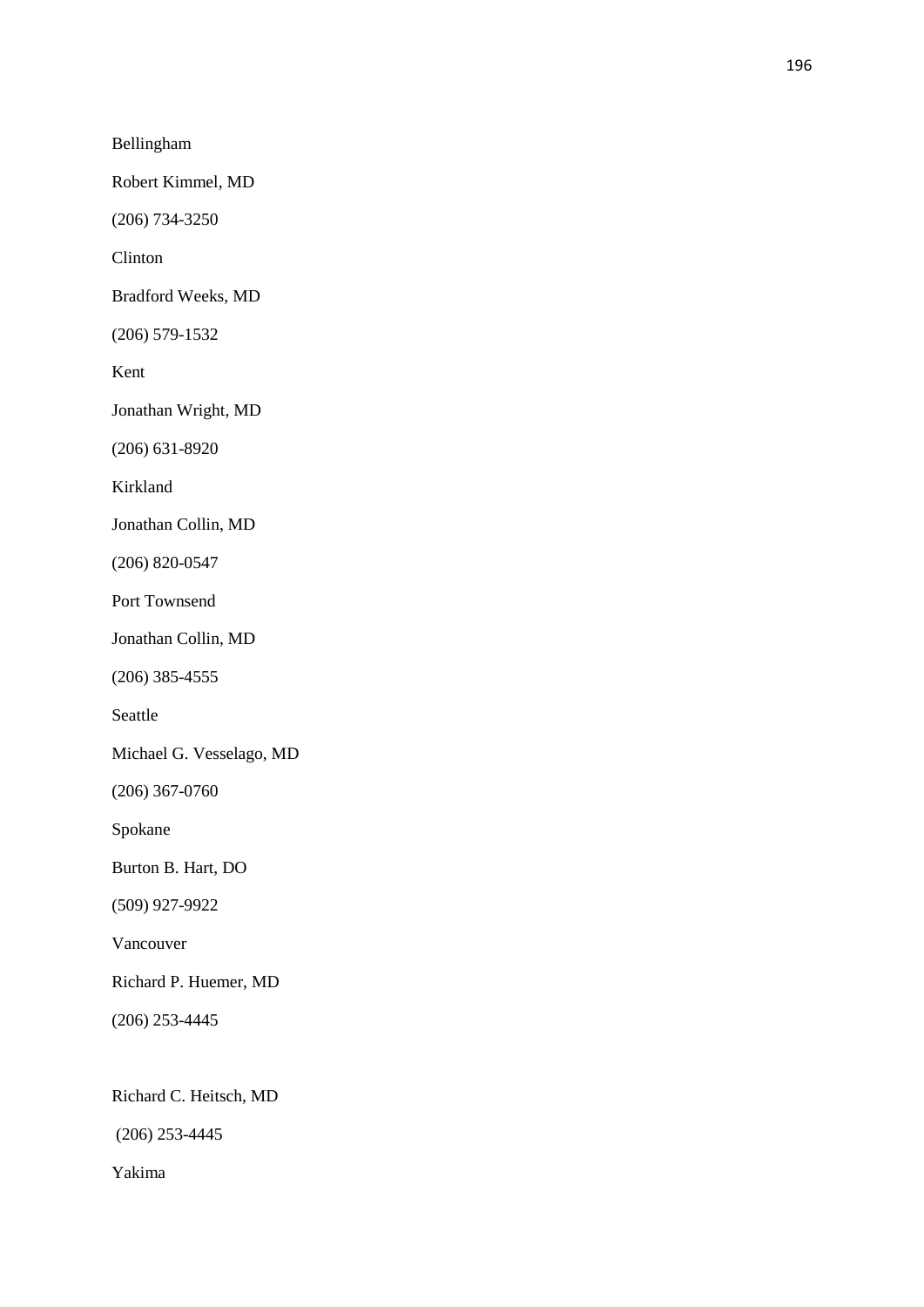Bellingham

Robert Kimmel, MD

(206) 734 -3250

Clinton

Bradford Weeks, MD

(206) 579 -1532

Kent

Jonathan Wright, MD

(206) 631 -8920

Kirkland

Jonathan Collin, MD

(206) 820 -0547

Port Townsend

Jonathan Collin, MD

(206) 385 -4555

Seattle

Michael G. Vesselago, MD

(206) 367 -0760

Spokane

Burton B. Hart, DO

(509) 927 -9922

Vancouver

Richard P. Huemer, MD

(206) 253 -4445

Richard C. Heitsch, MD

(206) 253 -4445

Yakima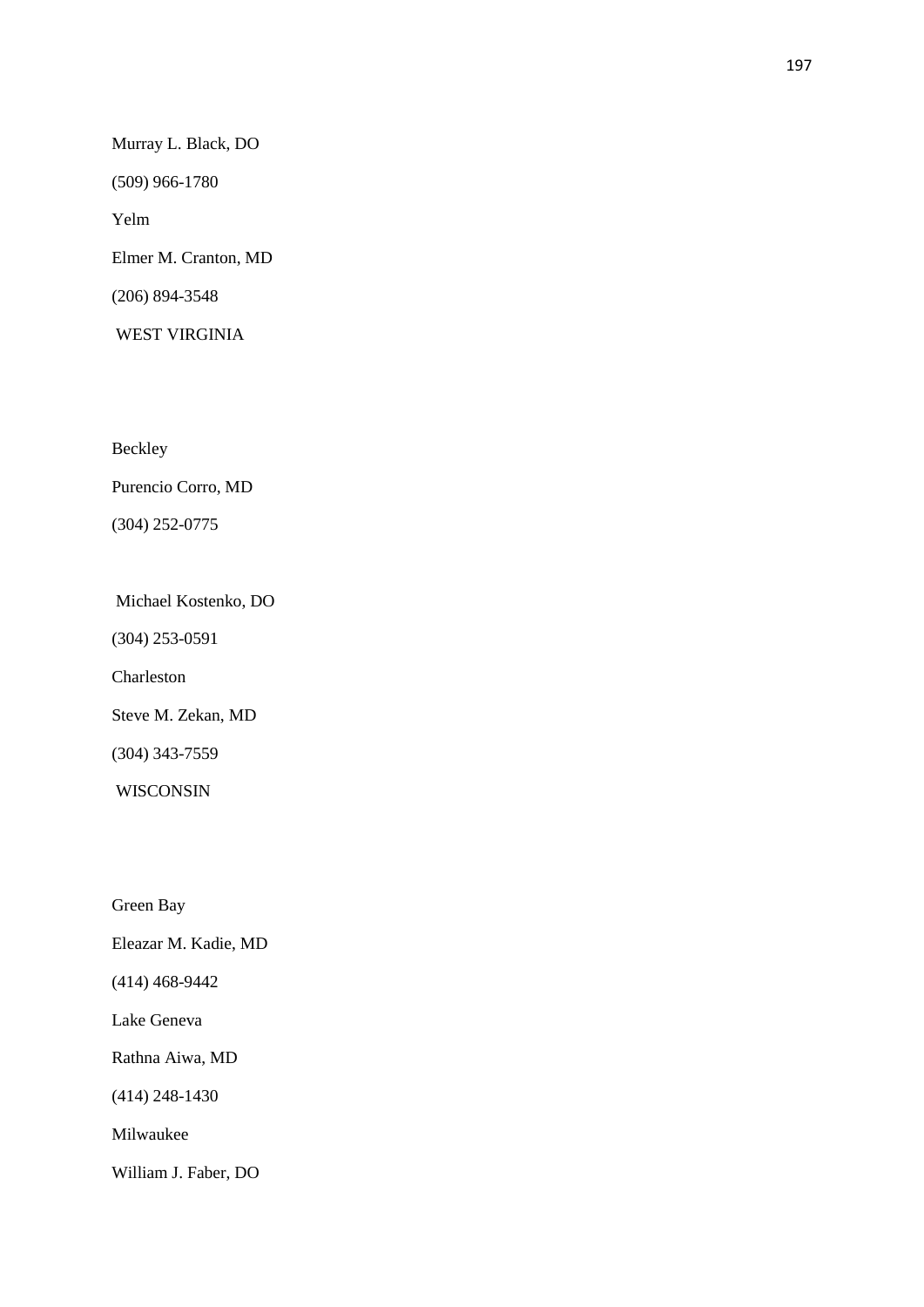Murray L. Black, DO (509) 966 -1780 Yelm Elmer M. Cranton, MD (206) 894 -3548 WEST VIRGINIA

Beckley

Purencio Corro, MD

(304) 252 -0775

Michael Kostenko, DO

(304) 253 -0591

Charleston

Steve M. Zekan, MD

(304) 343 -7559

WISCONSIN

Green Bay

Eleazar M. Kadie, MD

(414) 468 -9442

Lake Geneva

Rathna Aiwa, MD

(414) 248 -1430

Milwaukee

William J. Faber, DO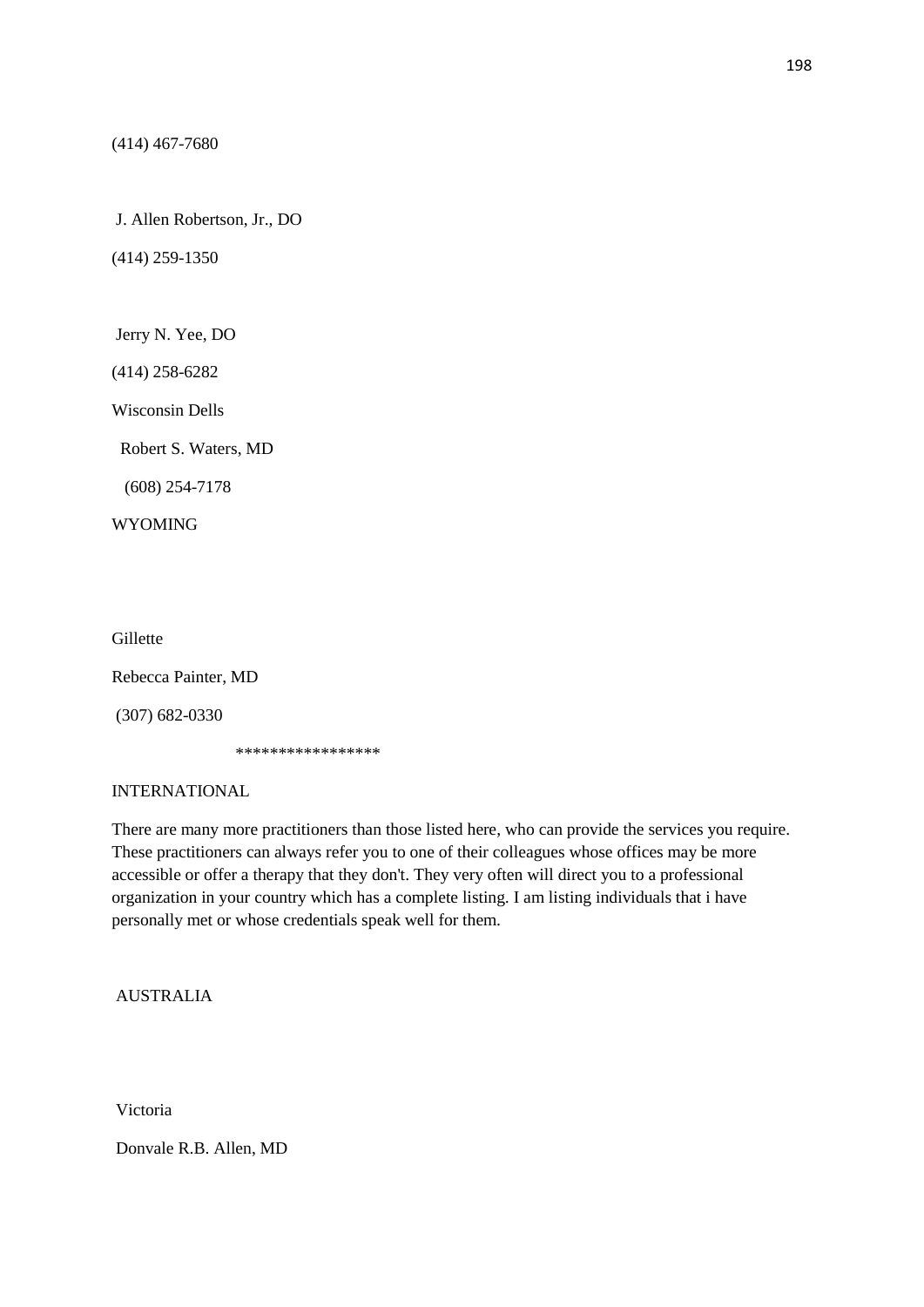(414) 467-7680

J. Allen Robertson, Jr., DO

(414) 259-1350

Jerry N. Yee, DO

(414) 258-6282

Wisconsin Dells

Robert S. Waters, MD

(608) 254-7178

WYOMING

Gillette

Rebecca Painter, MD

(307) 682-0330

\*\*\*\*\*\*\*\*\*\*\*\*\*\*\*\*\*

INTERNATIONAL

There are many more practitioners than those listed here, who can provide the services you require. These practitioners can always refer you to one of their colleagues whose offices may be more accessible or offer a therapy that they don't. They very often will direct you to a professional organization in your country which has a complete listing. I am listing individuals that i have personally met or whose credentials speak well for them.

AUSTRALIA

Victoria

Donvale R.B. Allen, MD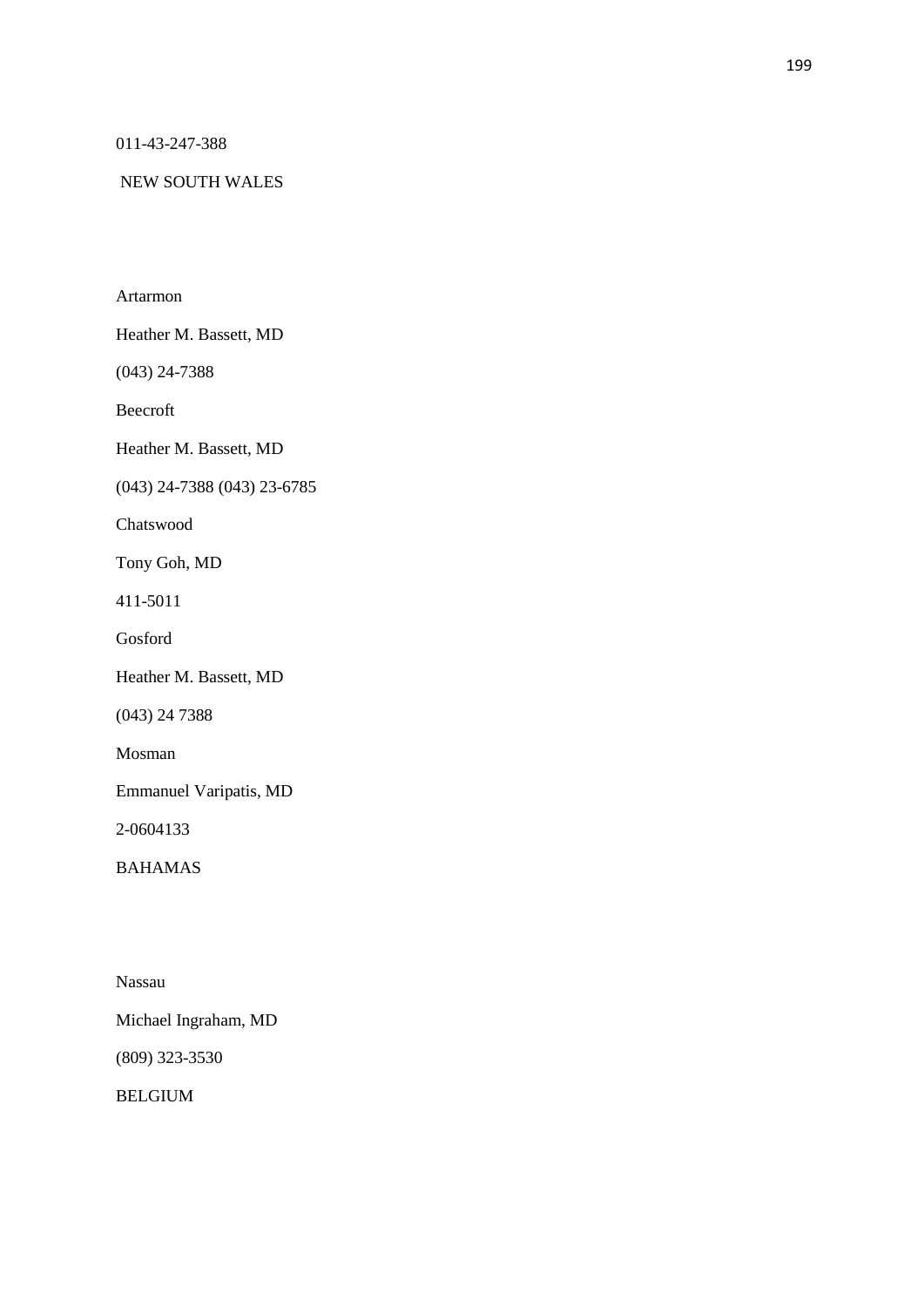011-43-247-388

## NEW SOUTH WALES

Artarmon

Heather M. Bassett, MD

(043) 24-7388

Beecroft

Heather M. Bassett, MD

(043) 24-7388 (043) 23-6785

Chatswood

Tony Goh, MD

411-5011

Gosford

Heather M. Bassett, MD

(043) 24 7388

Mosman

Emmanuel Varipatis, MD

2-0604133

BAHAMAS

Nassau

Michael Ingraham, MD

(809) 323-3530

BELGIUM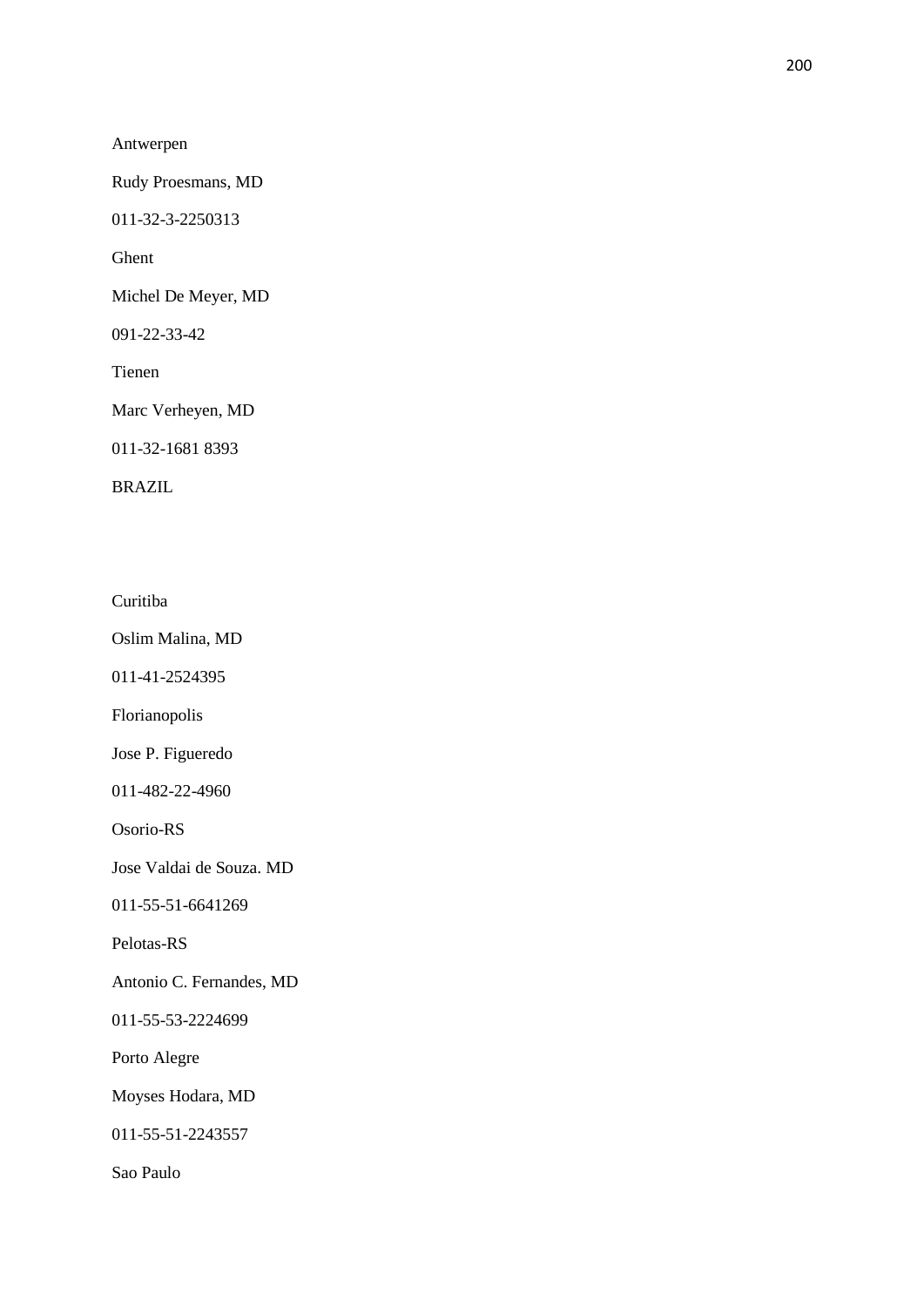Antwerpen

Rudy Proesmans, MD

011 -32 - 3 -2250313

Ghent

Michel De Meyer, MD

091 -22 -33 -42

Tienen

Marc Verheyen, MD

011 -32 -1681 8393

BRAZIL

Curitiba

Oslim Malina, MD

011 -41 -2524395

Florianopolis

Jose P. Figueredo

011 -482 -22 -4960

Osorio -RS

Jose Valdai de Souza. MD

011 -55 -51 -6641269

Pelotas-RS

Antonio C. Fernandes, MD

011 -55 -53 -2224699

Porto Alegre

Moyses Hodara, MD

011 -55 -51 -2243557

Sao Paulo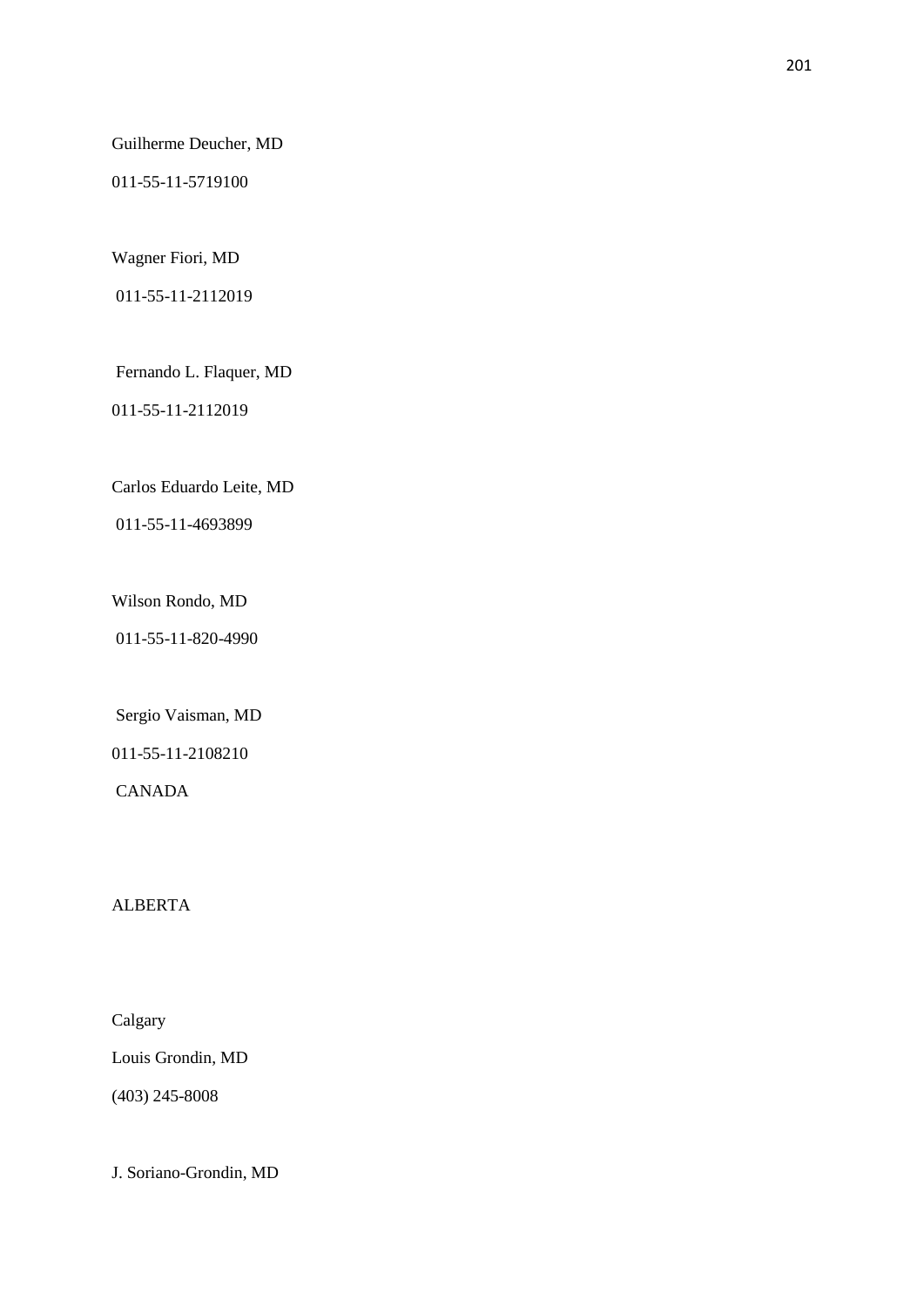Guilherme Deucher, MD

011-55-11-5719100

Wagner Fiori, MD

011-55-11-2112019

Fernando L. Flaquer, MD

011-55-11-2112019

Carlos Eduardo Leite, MD

011-55-11-4693899

Wilson Rondo, MD

011-55-11-820-4990

Sergio Vaisman, MD

011-55-11-2108210

CANADA

## ALBERTA

Calgary Louis Grondin, MD (403) 245-8008

J. Soriano-Grondin, MD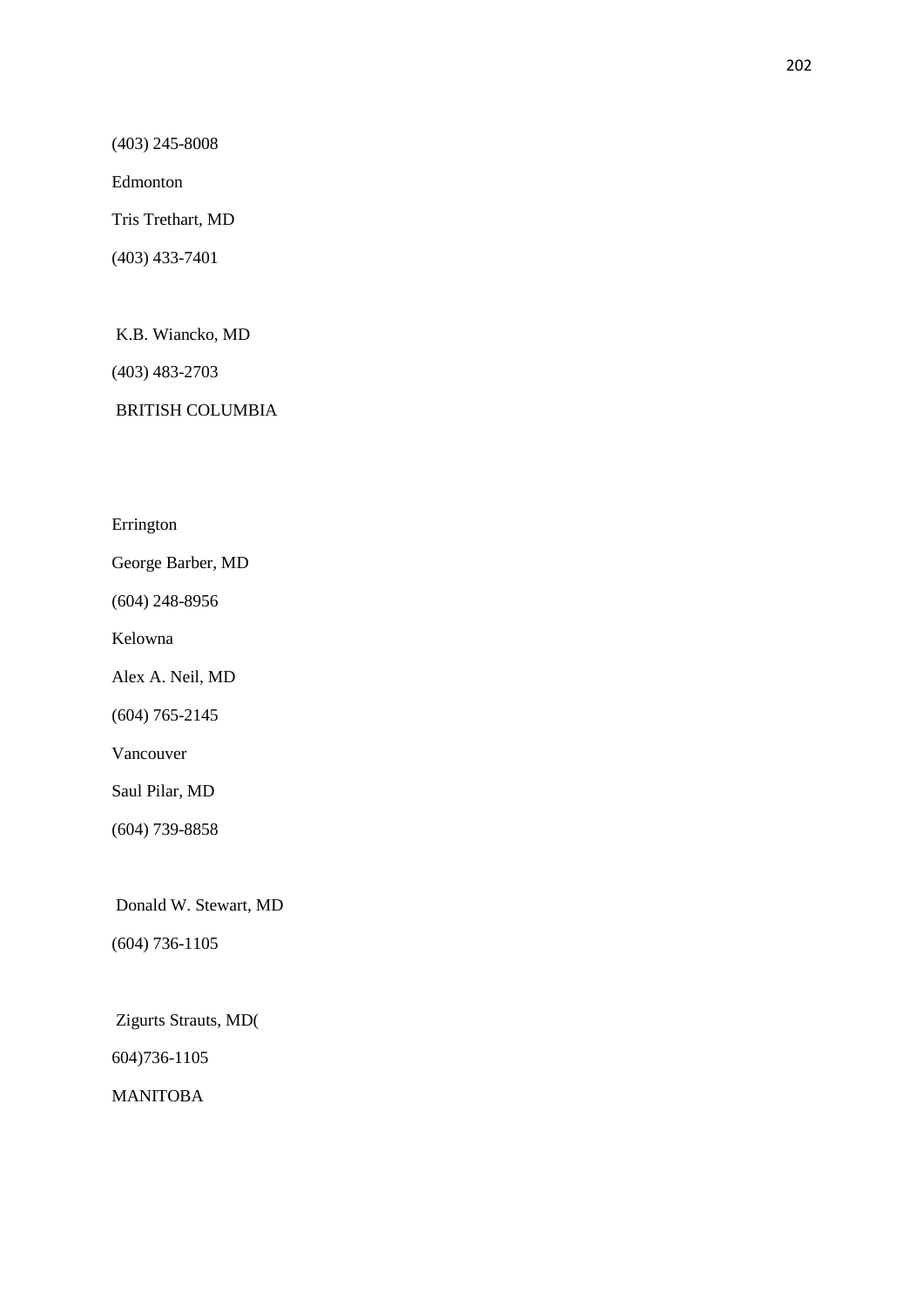(403) 245 -8008

Edmonton

## Tris Trethart, MD

(403) 433 -7401

K.B. Wiancko, MD

(403) 483 -2703

BRITISH COLUMBIA

Errington

George Barber, MD

(604) 248 -8956

Kelowna

Alex A. Neil, MD

(604) 765 -2145

Vancouver

Saul Pilar, MD

(604) 739 -8858

Donald W. Stewart, MD

(604) 736 -1105

Zigurts Strauts, MD(

604)736 -1105

MANITOBA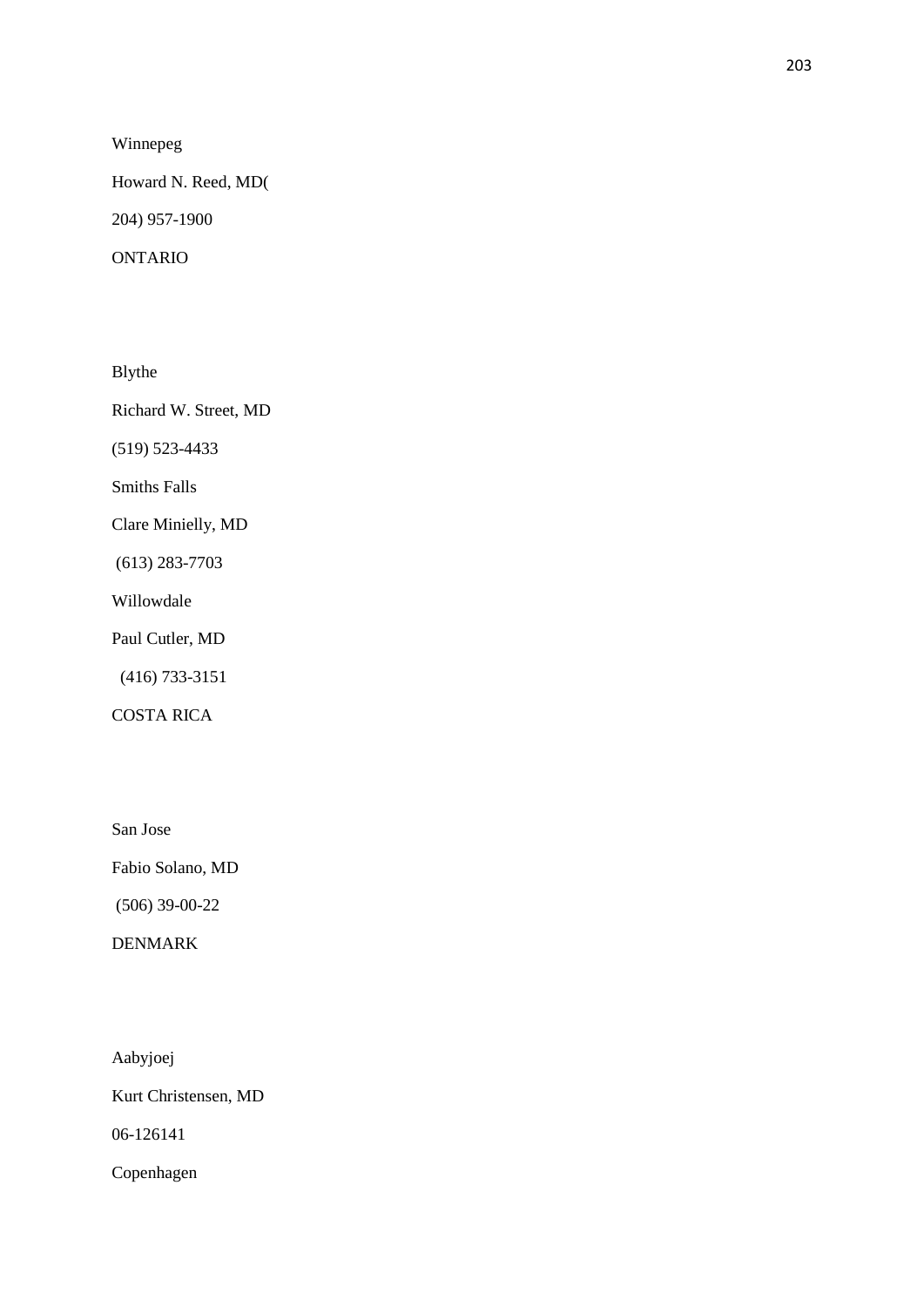Winnepeg

Howard N. Reed, MD(

204) 957 -1900

ONTARIO

Blythe

Richard W. Street, MD

(519) 523 -4433

Smiths Falls

Clare Minielly, MD

(613) 283 -7703

Willowdale

Paul Cutler, MD

(416) 733 -3151

COSTA RICA

San Jose

Fabio Solano, MD

(506) 39 -00 -22

# DENMARK

Aabyjoej

Kurt Christensen, MD

06 -126141

Copenhagen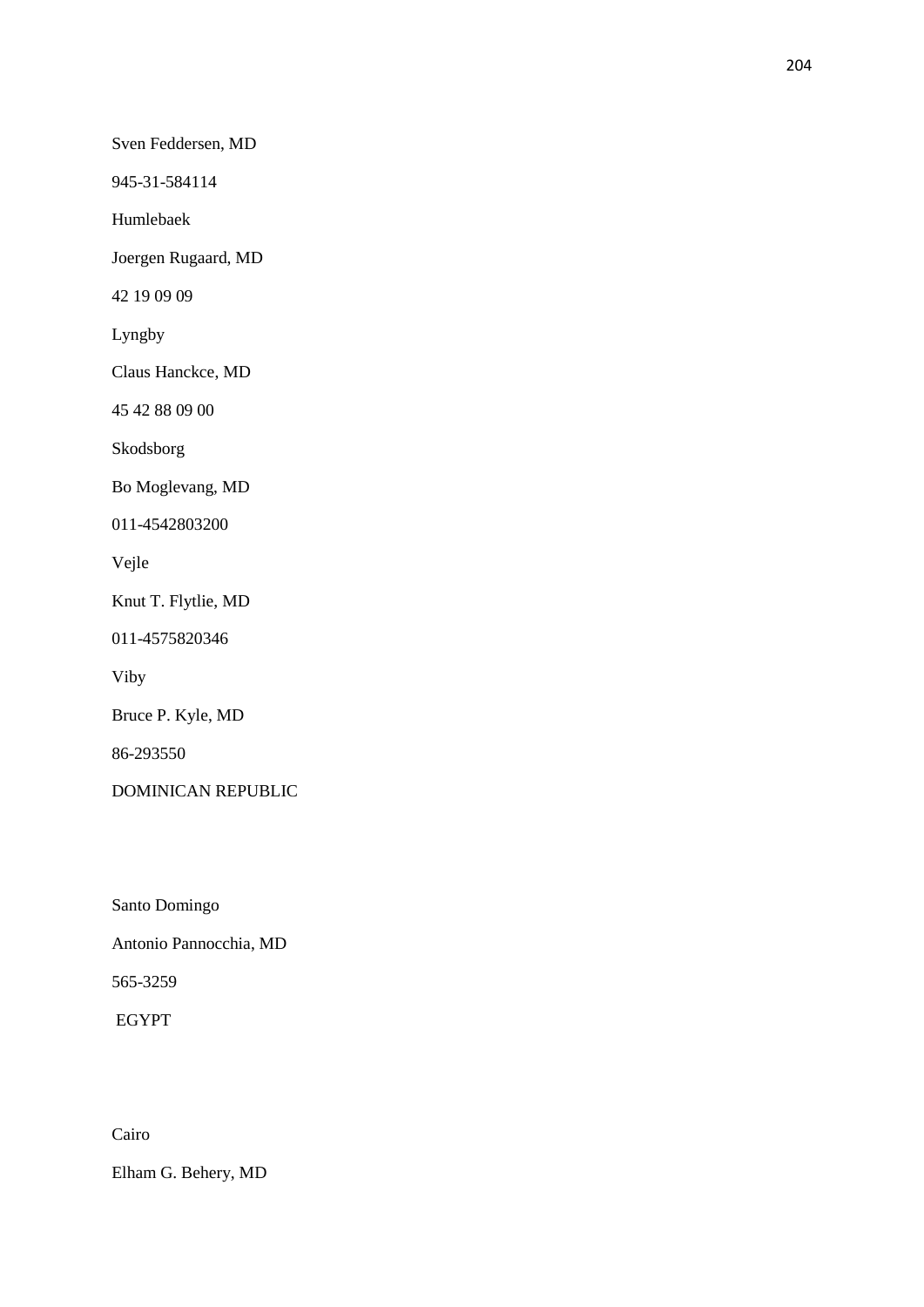Sven Feddersen, MD

945 -31 -584114

Humlebaek

Joergen Rugaard, MD

42 19 09 09

Lyngby

Claus Hanckce, MD

45 42 88 09 00

Skodsborg

Bo Moglevang, MD

011 -4542803200

Vejle

Knut T. Flytlie, MD

011 -4575820346

Viby

Bruce P. Kyle, MD

86 -293550

DOMINICAN REPUBLIC

Santo Domingo

Antonio Pannocchia, MD

565 -3259

EGYPT

Cairo

Elham G. Behery, MD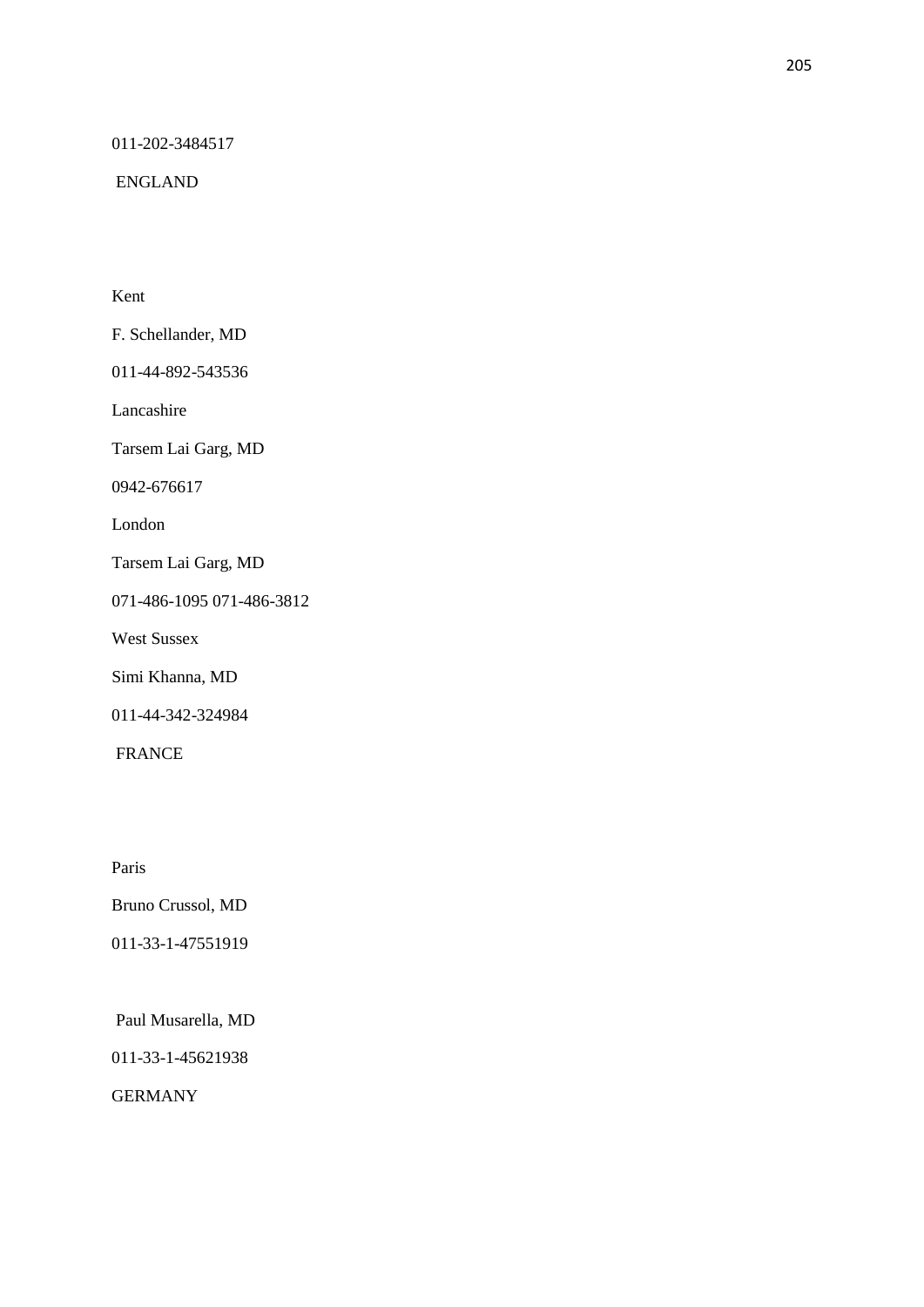011-202-3484517

ENGLAND

Kent

F. Schellander, MD

011-44-892-543536

Lancashire

Tarsem Lai Garg, MD

0942-676617

London

Tarsem Lai Garg, MD

071-486-1095 071-486-3812

West Sussex

Simi Khanna, MD

011-44-342-324984

FRANCE

Paris

Bruno Crussol, MD

011-33-1-47551919

Paul Musarella, MD

011-33-1-45621938

GERMANY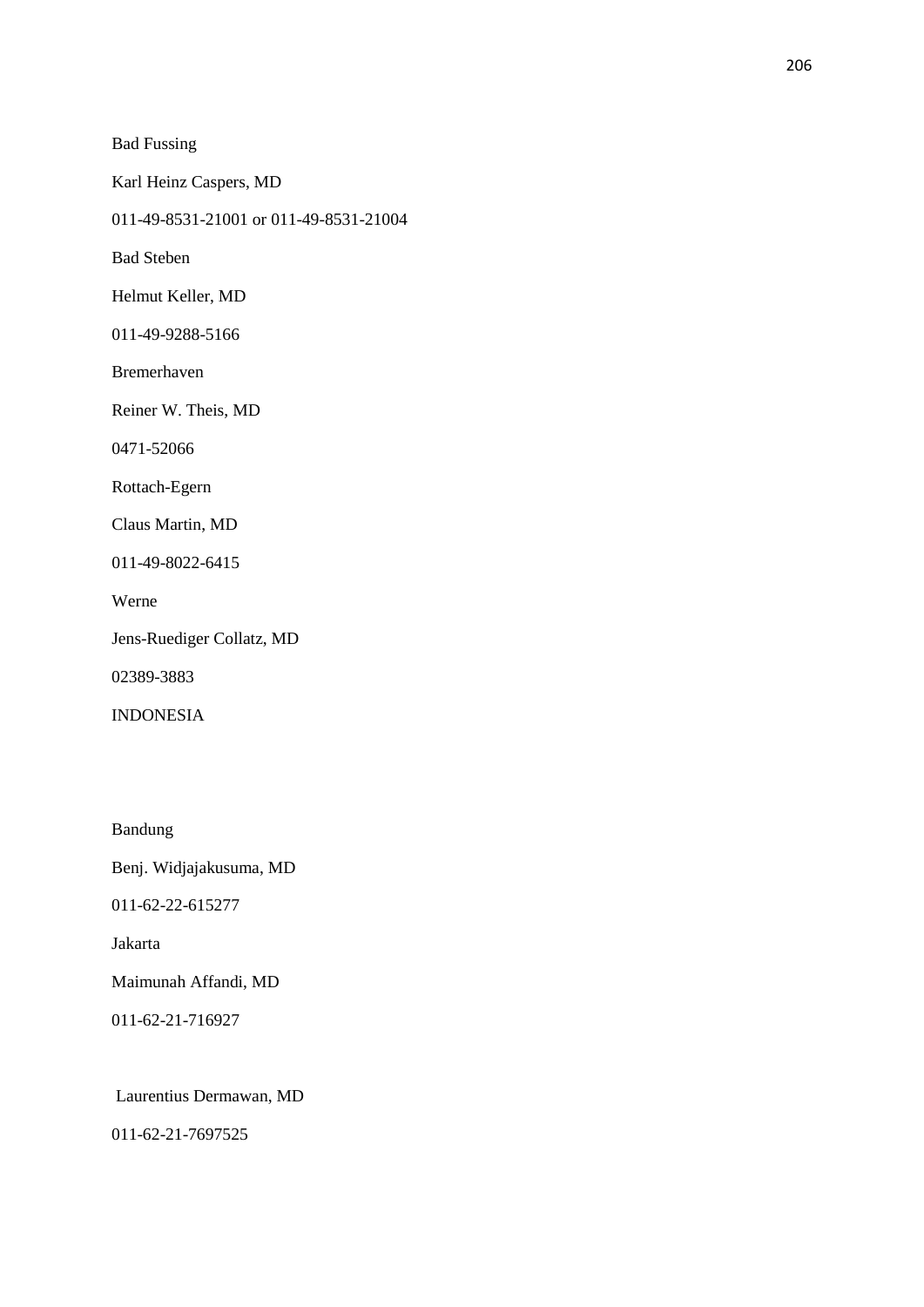Bad Fussing

Karl Heinz Caspers, MD

011-49-8531-21001 or 011-49-8531-21004

Bad Steben

Helmut Keller, MD

011-49-9288-5166

Bremerhaven

Reiner W. Theis, MD

0471-52066

Rottach-Egern

Claus Martin, MD

011-49-8022-6415

Werne

Jens-Ruediger Collatz, MD

02389-3883

INDONESIA

Bandung Benj. Widjajakusuma, MD 011-62-22-615277 Jakarta Maimunah Affandi, MD 011-62-21-716927

Laurentius Dermawan, MD

011-62-21-7697525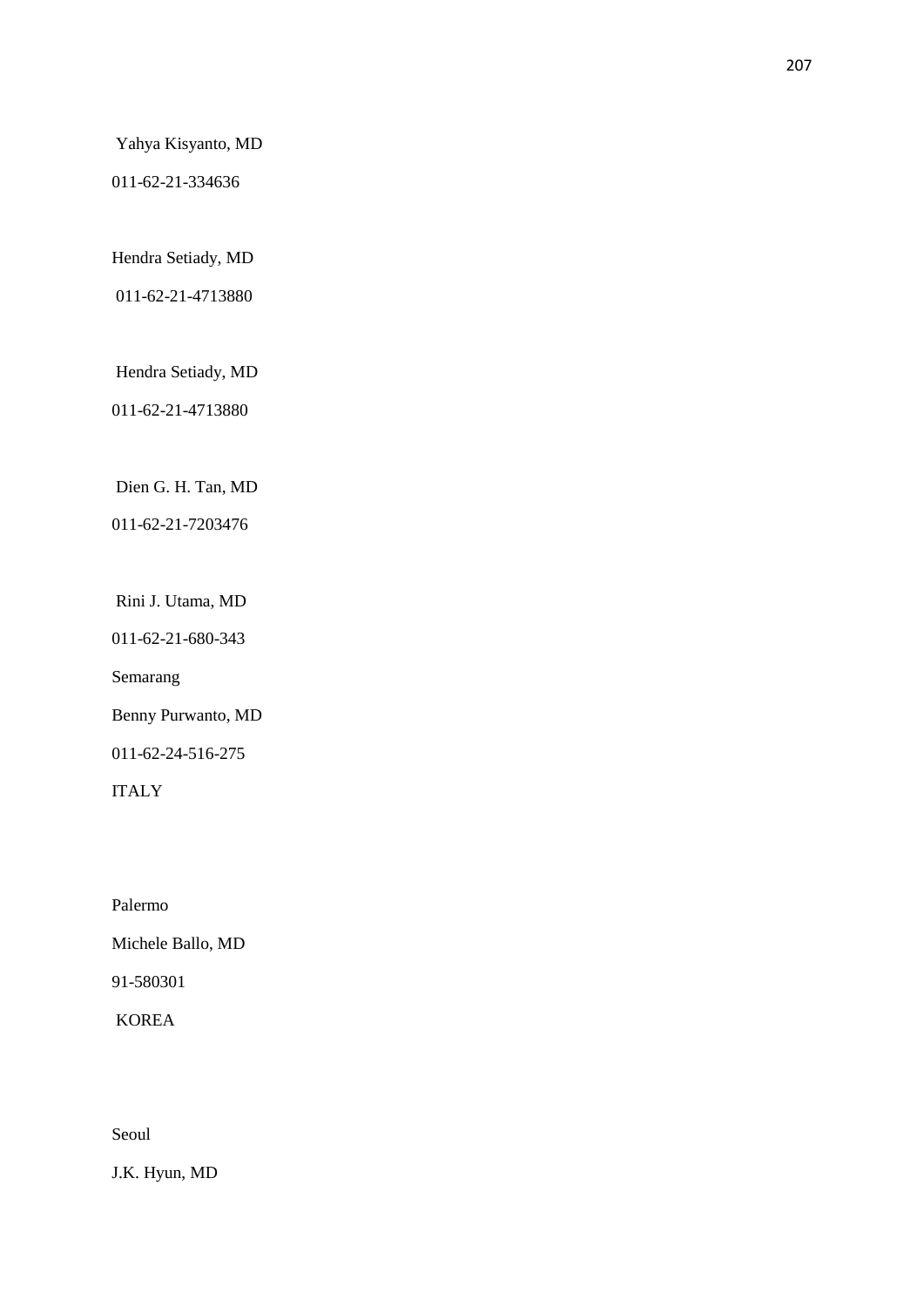Yahya Kisyanto, MD

011-62-21-334636

Hendra Setiady, MD

011-62-21-4713880

Hendra Setiady, MD

011-62-21-4713880

Dien G. H. Tan, MD

011-62-21-7203476

Rini J. Utama, MD

011-62-21-680-343

Semarang

Benny Purwanto, MD

011-62-24-516-275

ITALY

Palermo

Michele Ballo, MD

91-580301

KOREA

Seoul

J.K. Hyun, MD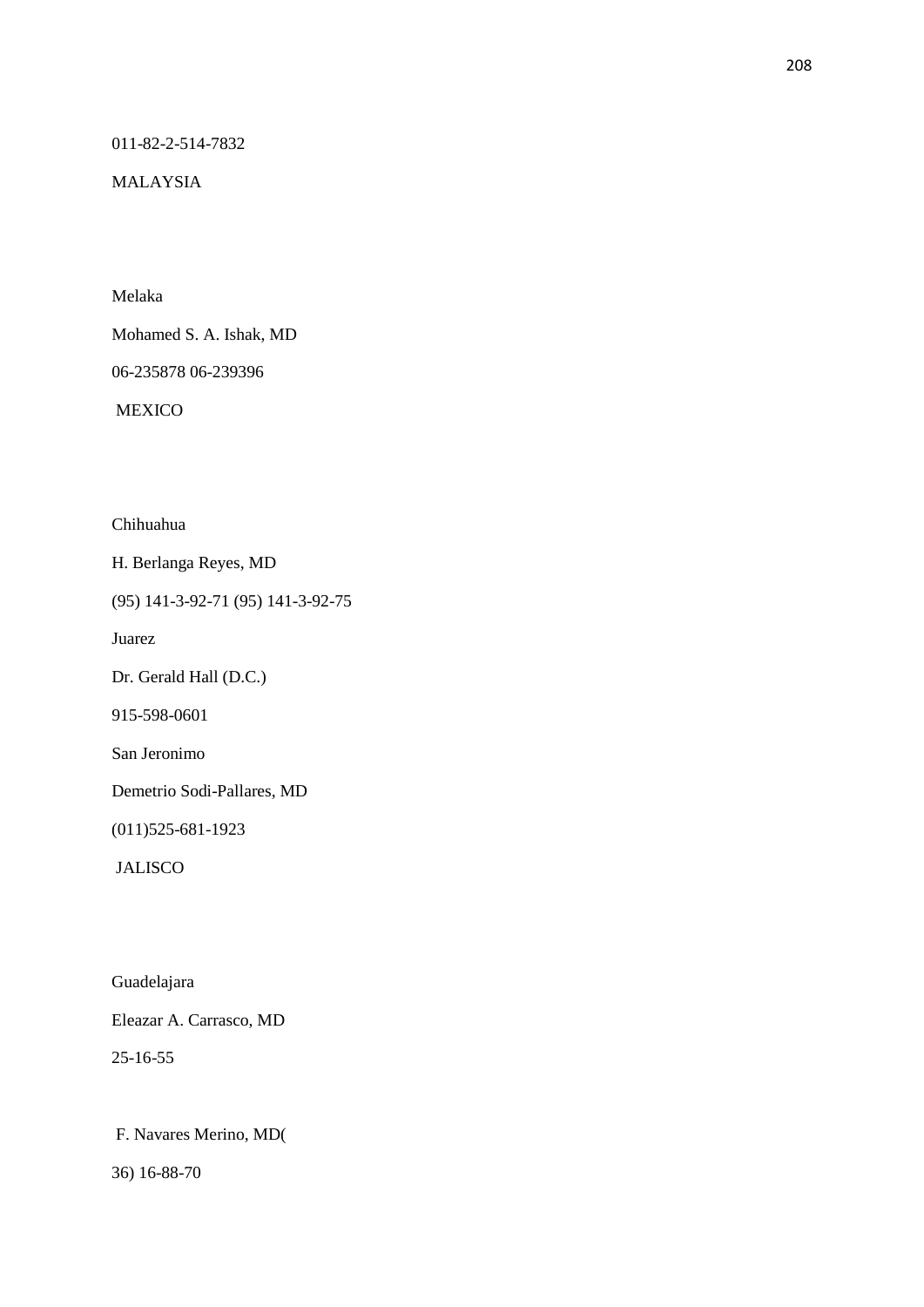011-82-2-514-7832

MALAYSIA

Melaka

Mohamed S. A. Ishak, MD

06-235878 06-239396

MEXICO

Chihuahua

H. Berlanga Reyes, MD (95) 141-3-92-71 (95) 141-3-92-75

Juarez

Dr. Gerald Hall (D.C.)

915-598-0601

San Jeronimo

Demetrio Sodi-Pallares, MD

(011)525-681-1923

JALISCO

Guadelajara Eleazar A. Carrasco, MD 25-16-55

F. Navares Merino, MD(

36) 16-88-70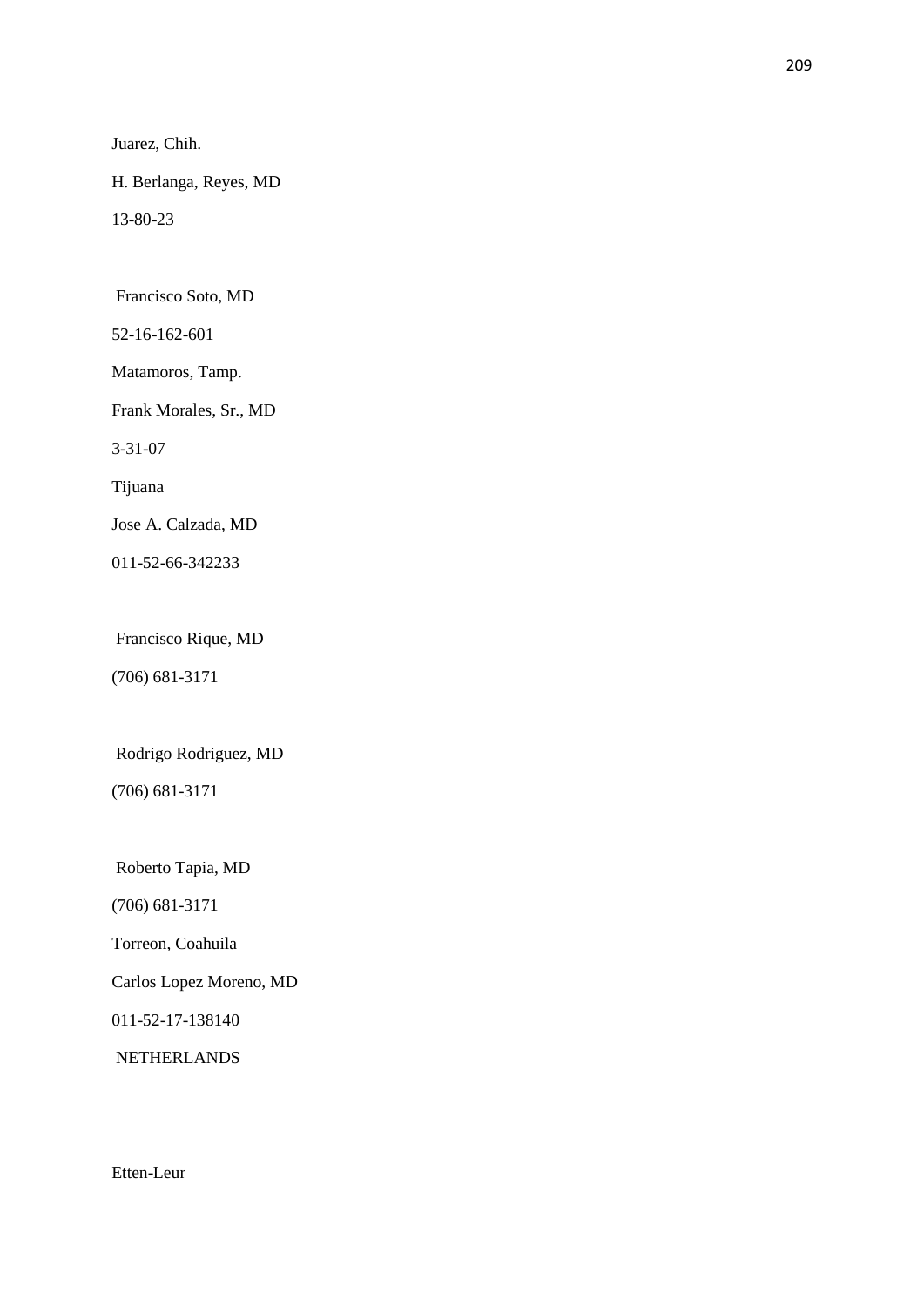Juarez, Chih.

H. Berlanga, Reyes, MD

13-80-23

Francisco Soto, MD

52-16-162-601

Matamoros, Tamp.

Frank Morales, Sr., MD

3-31-07

Tijuana

Jose A. Calzada, MD

011-52-66-342233

Francisco Rique, MD

(706) 681-3171

Rodrigo Rodriguez, MD

(706) 681-3171

Roberto Tapia, MD

(706) 681-3171

Torreon, Coahuila

Carlos Lopez Moreno, MD

011-52-17-138140

NETHERLANDS

Etten-Leur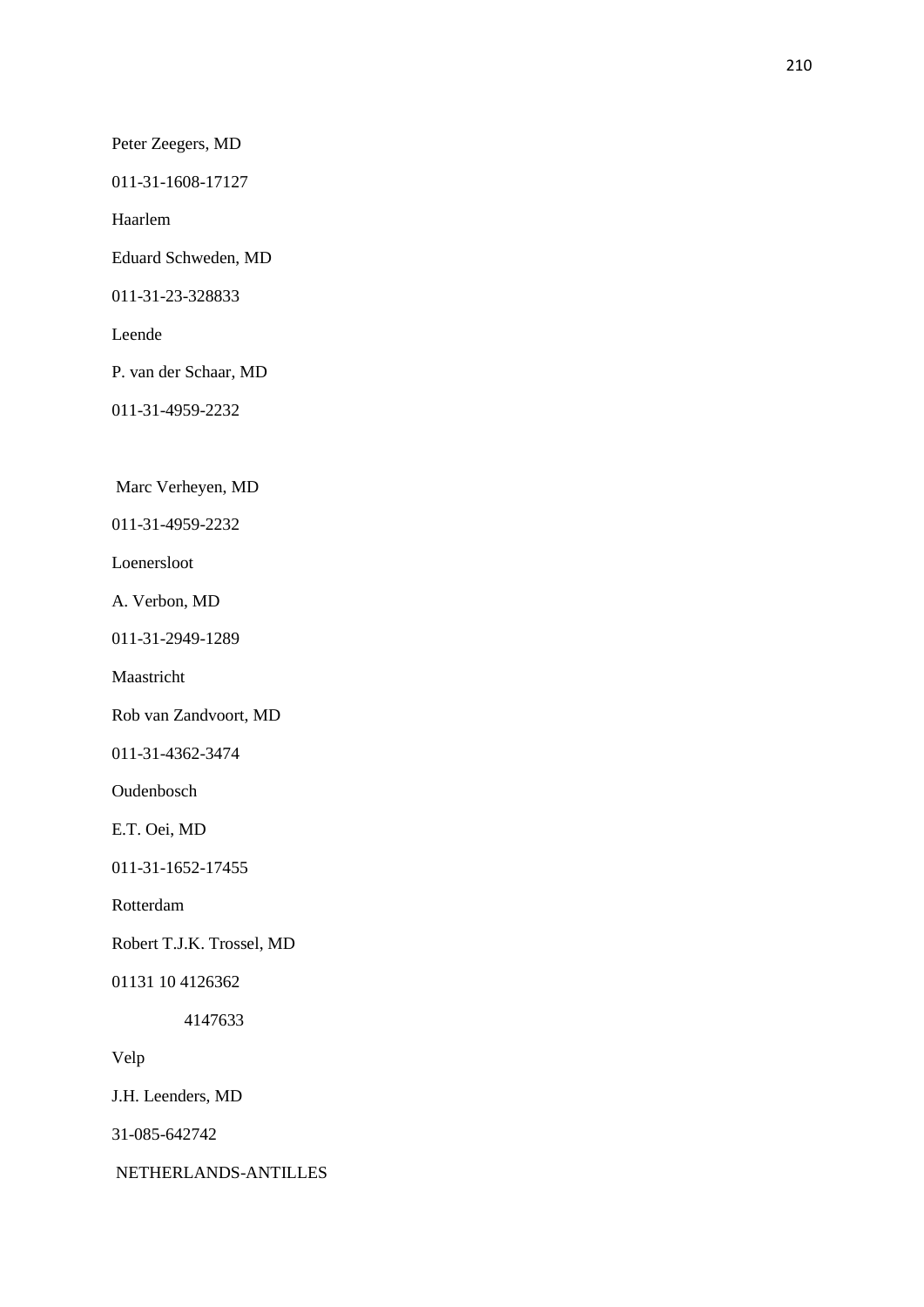Peter Zeegers, MD

011-31-1608-17127

Haarlem

Eduard Schweden, MD

011-31-23-328833

Leende

P. van der Schaar, MD

011-31-4959-2232

Marc Verheyen, MD

011-31-4959-2232

Loenersloot

A. Verbon, MD

011-31-2949-1289

Maastricht

Rob van Zandvoort, MD

011-31-4362-3474

Oudenbosch

E.T. Oei, MD

011-31-1652-17455

Rotterdam

Robert T.J.K. Trossel, MD

01131 10 4126362

4147633

Velp

J.H. Leenders, MD

31-085-642742

NETHERLANDS-ANTILLES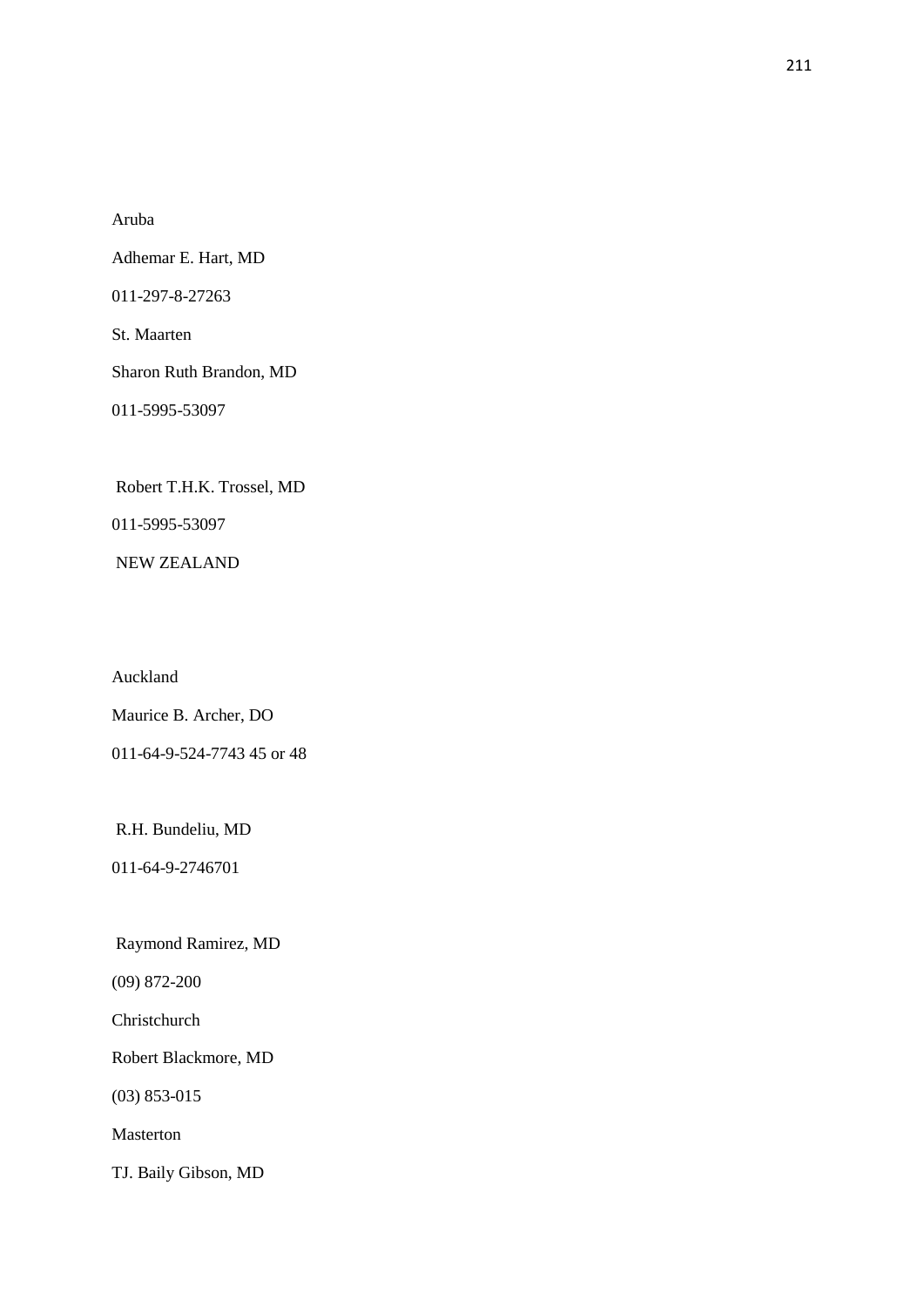Aruba

Adhemar E. Hart, MD

011-297-8-27263

St. Maarten

Sharon Ruth Brandon, MD

011-5995-53097

Robert T.H.K. Trossel, MD

011-5995-53097

NEW ZEALAND

Auckland

Maurice B. Archer, DO

011-64-9-524-7743 45 or 48

R.H. Bundeliu, MD

011-64-9-2746701

Raymond Ramirez, MD

(09) 872-200

Christchurch

Robert Blackmore, MD

(03) 853-015

Masterton

TJ. Baily Gibson, MD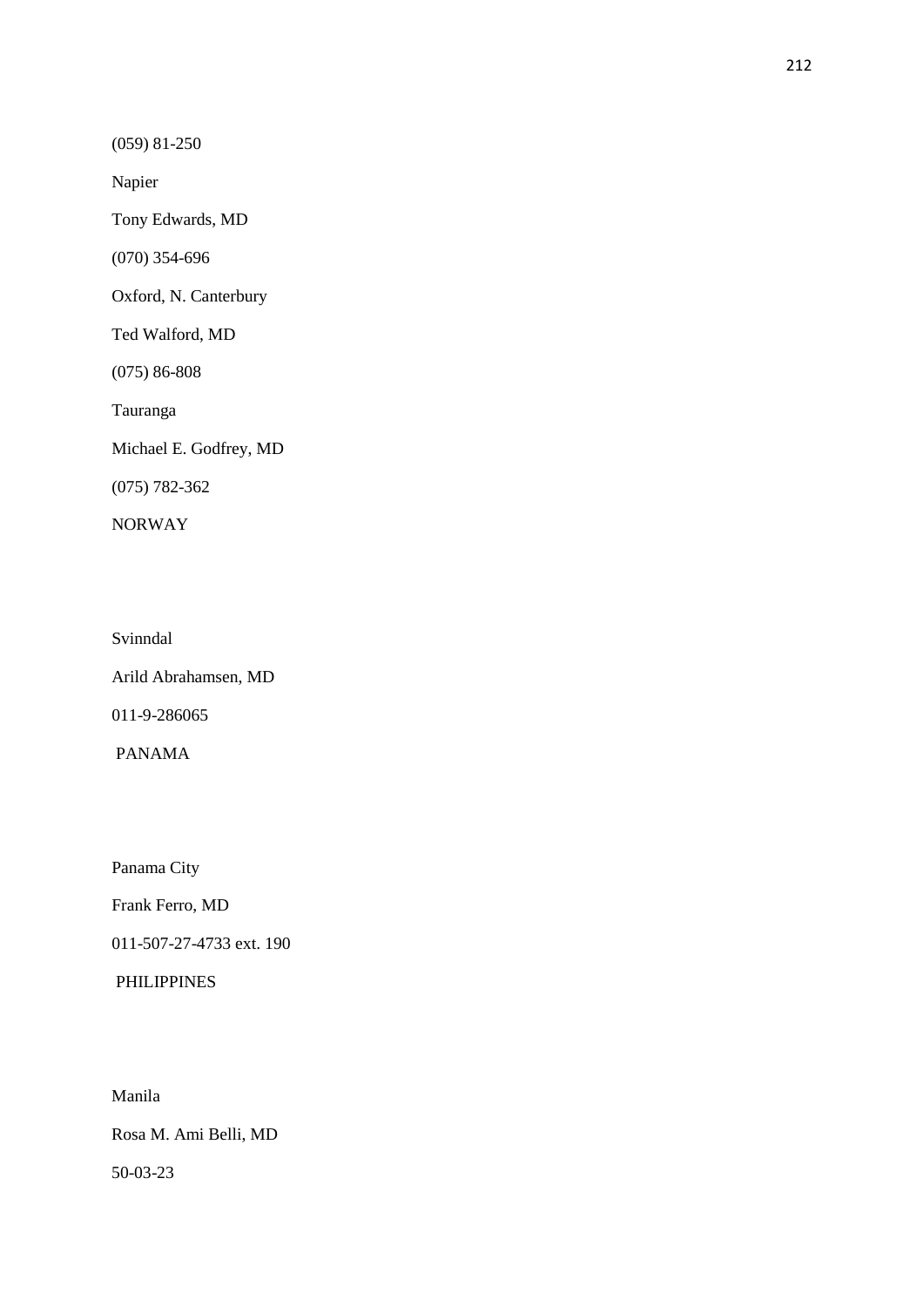(059) 81-250

Napier

Tony Edwards, MD

(070) 354-696

Oxford, N. Canterbury

Ted Walford, MD

(075) 86-808

Tauranga

Michael E. Godfrey, MD

(075) 782-362

NORWAY

Svinndal

Arild Abrahamsen, MD

011-9-286065

PANAMA

Panama City

Frank Ferro, MD

011-507-27-4733 ext. 190

PHILIPPINES

Manila Rosa M. Ami Belli, MD

50-03-23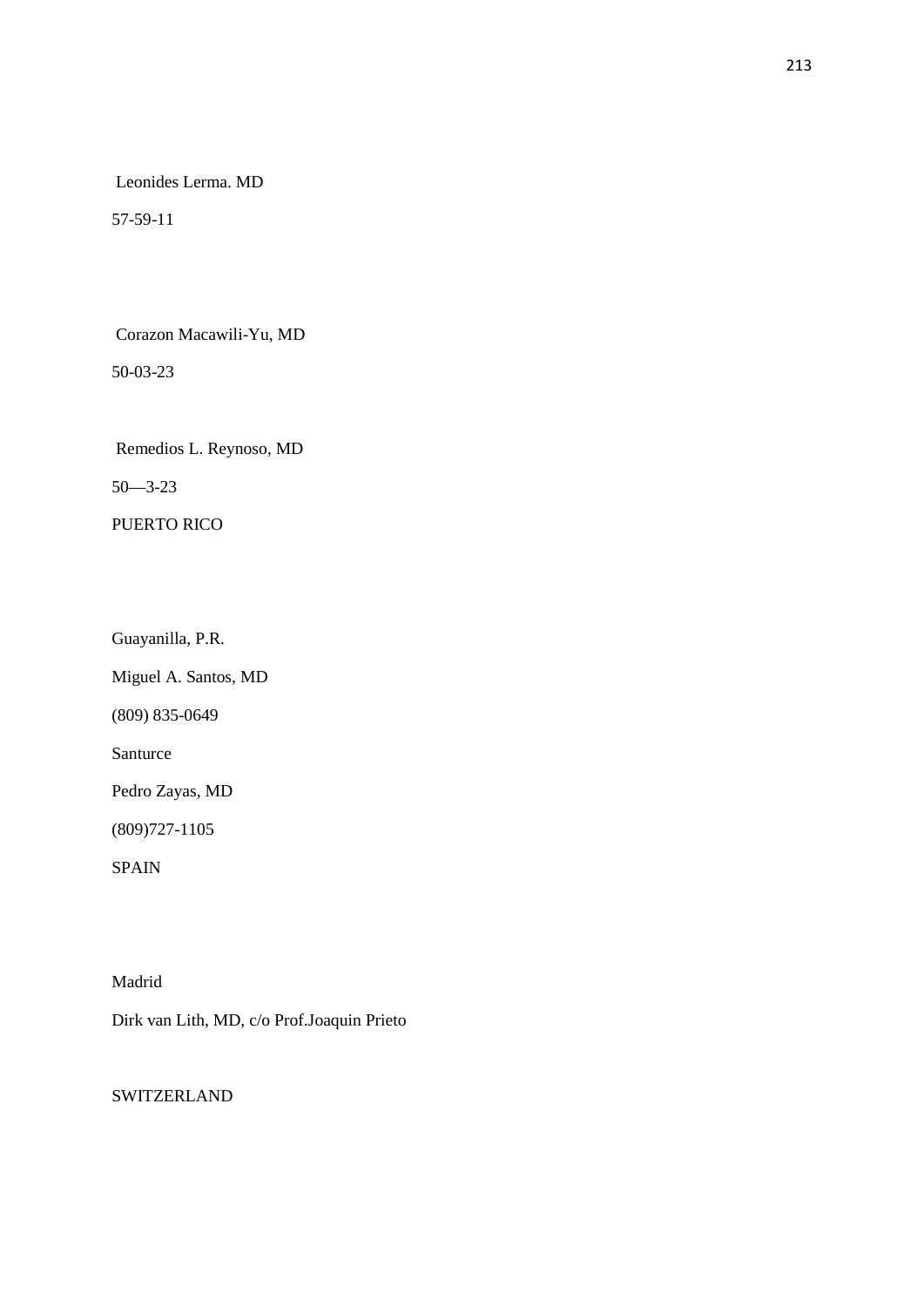Leonides Lerma. MD

57-59-11

Corazon Macawili-Yu, MD

50-03-23

Remedios L. Reynoso, MD

50—3-23

PUERTO RICO

Guayanilla, P.R.

Miguel A. Santos, MD

(809) 835-0649

Santurce

Pedro Zayas, MD

(809)727-1105

SPAIN

Madrid Dirk van Lith, MD, c/o Prof.Joaquin Prieto

SWITZERLAND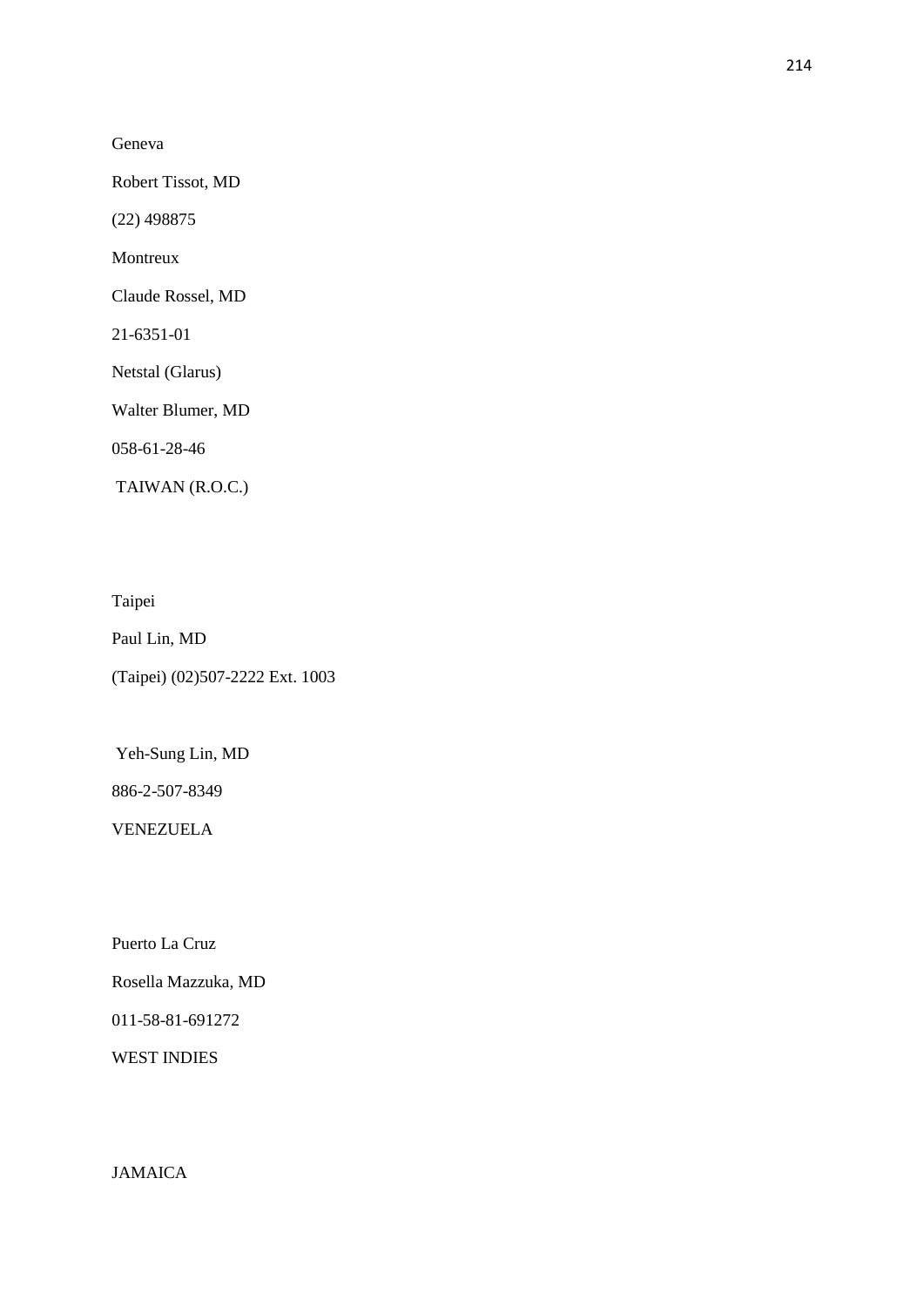Geneva

Robert Tissot, MD

(22) 498875

Montreux

Claude Rossel, MD

21-6351-01

Netstal (Glarus)

Walter Blumer, MD

058-61-28-46

TAIWAN (R.O.C.)

Taipei

Paul Lin, MD

(Taipei) (02)507-2222 Ext. 1003

Yeh-Sung Lin, MD

886-2-507-8349

VENEZUELA

Puerto La Cruz

Rosella Mazzuka, MD

011-58-81-691272

WEST INDIES

JAMAICA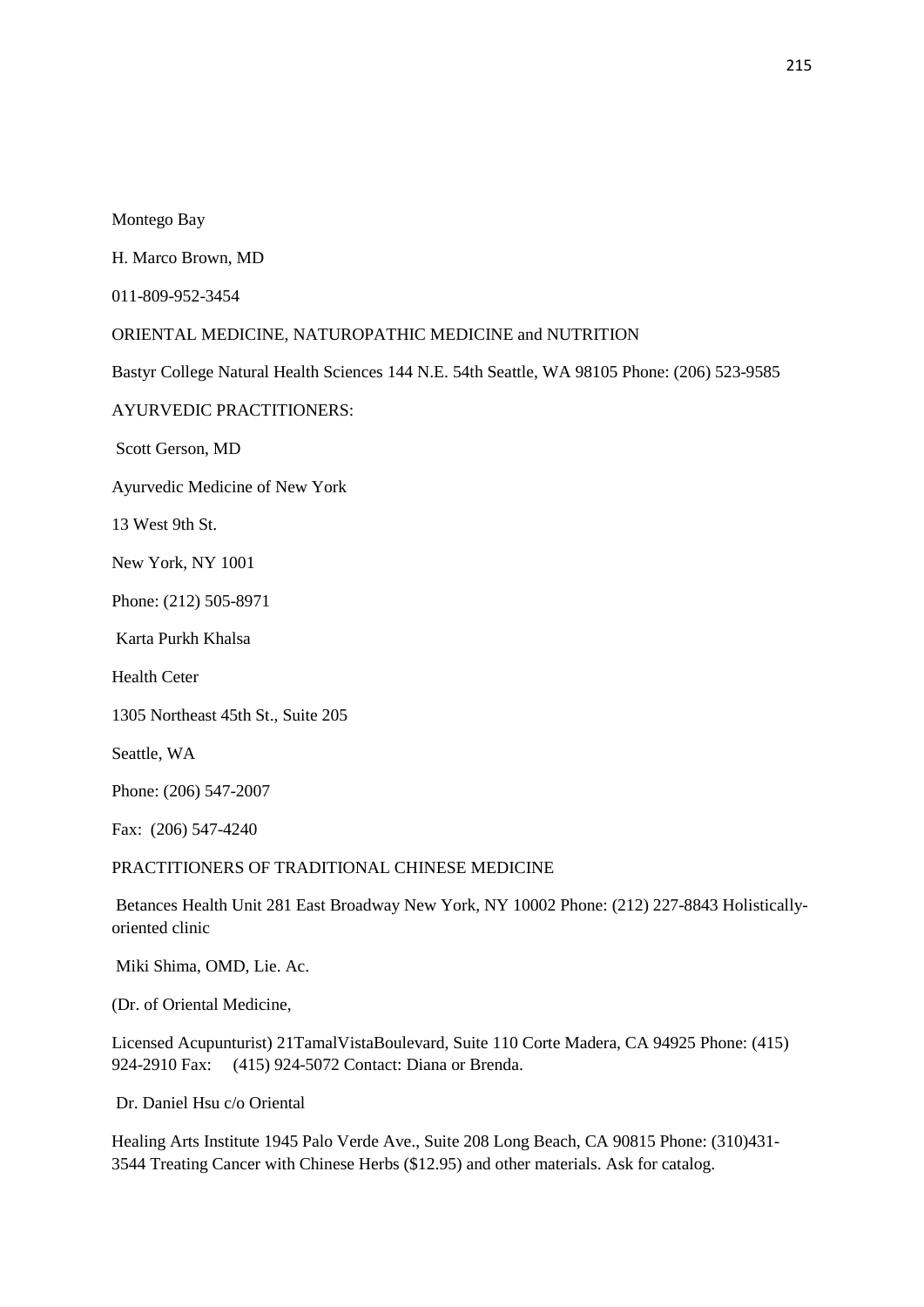Montego Bay

H. Marco Brown, MD

011-809-952-3454

#### ORIENTAL MEDICINE, NATUROPATHIC MEDICINE and NUTRITION

Bastyr College Natural Health Sciences 144 N.E. 54th Seattle, WA 98105 Phone: (206) 523-9585

### AYURVEDIC PRACTITIONERS:

Scott Gerson, MD

Ayurvedic Medicine of New York

13 West 9th St.

New York, NY 1001

Phone: (212) 505-8971

Karta Purkh Khalsa

Health Ceter

1305 Northeast 45th St., Suite 205

Seattle, WA

Phone: (206) 547-2007

Fax: (206) 547-4240

#### PRACTITIONERS OF TRADITIONAL CHINESE MEDICINE

Betances Health Unit 281 East Broadway New York, NY 10002 Phone: (212) 227-8843 Holisticallyoriented clinic

Miki Shima, OMD, Lie. Ac.

(Dr. of Oriental Medicine,

Licensed Acupunturist) 21TamalVistaBoulevard, Suite 110 Corte Madera, CA 94925 Phone: (415) 924-2910 Fax: (415) 924-5072 Contact: Diana or Brenda.

Dr. Daniel Hsu c/o Oriental

Healing Arts Institute 1945 Palo Verde Ave., Suite 208 Long Beach, CA 90815 Phone: (310)431- 3544 Treating Cancer with Chinese Herbs (\$12.95) and other materials. Ask for catalog.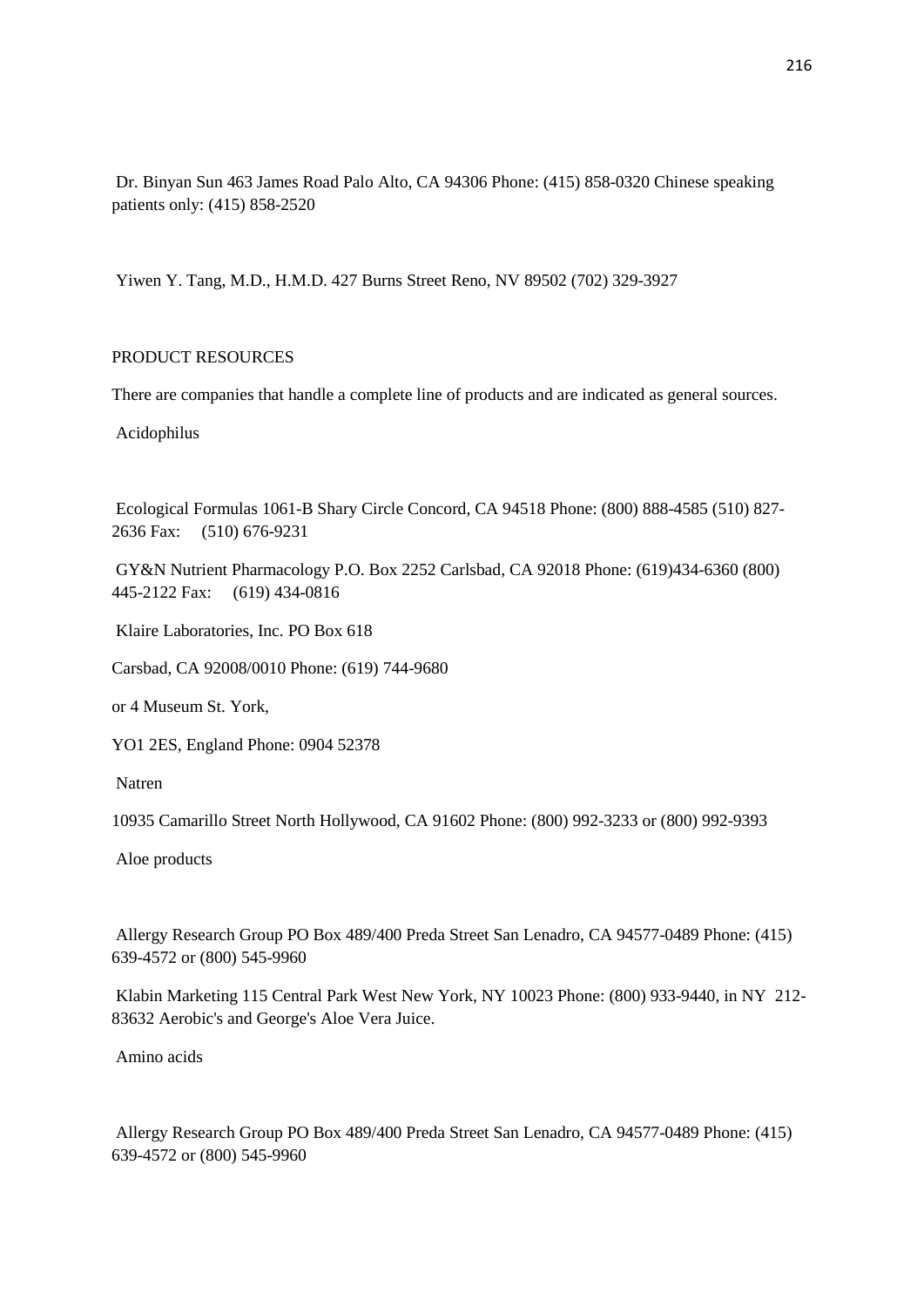Dr. Binyan Sun 463 James Road Palo Alto, CA 94306 Phone: (415) 858-0320 Chinese speaking patients only: (415) 858-2520

Yiwen Y. Tang, M.D., H.M.D. 427 Burns Street Reno, NV 89502 (702) 329-3927

### PRODUCT RESOURCES

There are companies that handle a complete line of products and are indicated as general sources.

Acidophilus

Ecological Formulas 1061-B Shary Circle Concord, CA 94518 Phone: (800) 888-4585 (510) 827- 2636 Fax: (510) 676-9231

GY&N Nutrient Pharmacology P.O. Box 2252 Carlsbad, CA 92018 Phone: (619)434-6360 (800) 445-2122 Fax: (619) 434-0816

Klaire Laboratories, Inc. PO Box 618

Carsbad, CA 92008/0010 Phone: (619) 744-9680

or 4 Museum St. York,

YO1 2ES, England Phone: 0904 52378

Natren

10935 Camarillo Street North Hollywood, CA 91602 Phone: (800) 992-3233 or (800) 992-9393

Aloe products

Allergy Research Group PO Box 489/400 Preda Street San Lenadro, CA 94577-0489 Phone: (415) 639-4572 or (800) 545-9960

Klabin Marketing 115 Central Park West New York, NY 10023 Phone: (800) 933-9440, in NY 212- 83632 Aerobic's and George's Aloe Vera Juice.

Amino acids

Allergy Research Group PO Box 489/400 Preda Street San Lenadro, CA 94577-0489 Phone: (415) 639-4572 or (800) 545-9960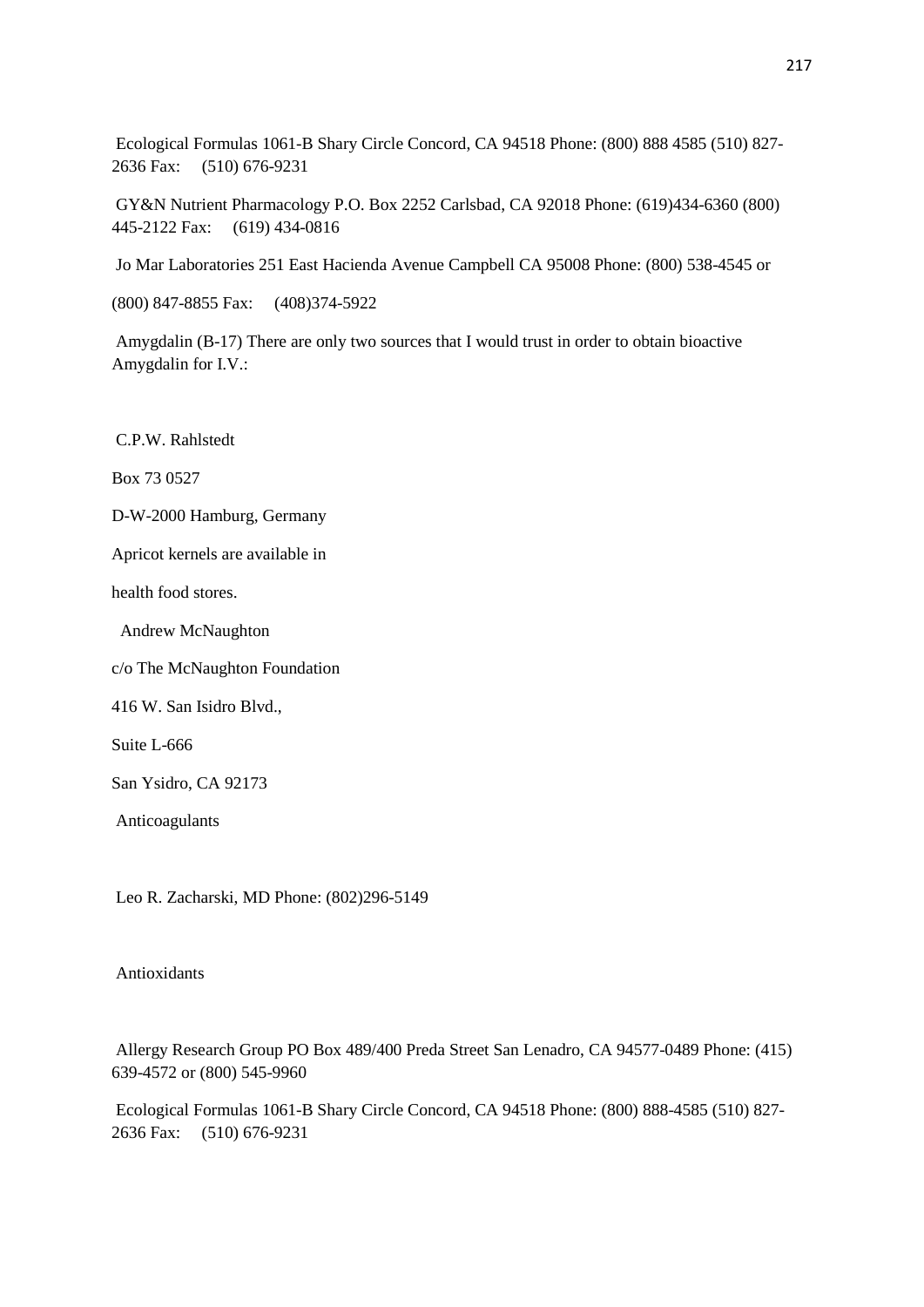Ecological Formulas 1061-B Shary Circle Concord, CA 94518 Phone: (800) 888 4585 (510) 827- 2636 Fax: (510) 676-9231

GY&N Nutrient Pharmacology P.O. Box 2252 Carlsbad, CA 92018 Phone: (619)434-6360 (800) 445-2122 Fax: (619) 434-0816

Jo Mar Laboratories 251 East Hacienda Avenue Campbell CA 95008 Phone: (800) 538-4545 or

(800) 847-8855 Fax: (408)374-5922

Amygdalin (B-17) There are only two sources that I would trust in order to obtain bioactive Amygdalin for I.V.:

C.P.W. Rahlstedt

Box 73 0527

D-W-2000 Hamburg, Germany

Apricot kernels are available in

health food stores.

Andrew McNaughton

c/o The McNaughton Foundation

416 W. San Isidro Blvd.,

Suite L-666

San Ysidro, CA 92173

Anticoagulants

Leo R. Zacharski, MD Phone: (802)296-5149

Antioxidants

Allergy Research Group PO Box 489/400 Preda Street San Lenadro, CA 94577-0489 Phone: (415) 639-4572 or (800) 545-9960

Ecological Formulas 1061-B Shary Circle Concord, CA 94518 Phone: (800) 888-4585 (510) 827- 2636 Fax: (510) 676-9231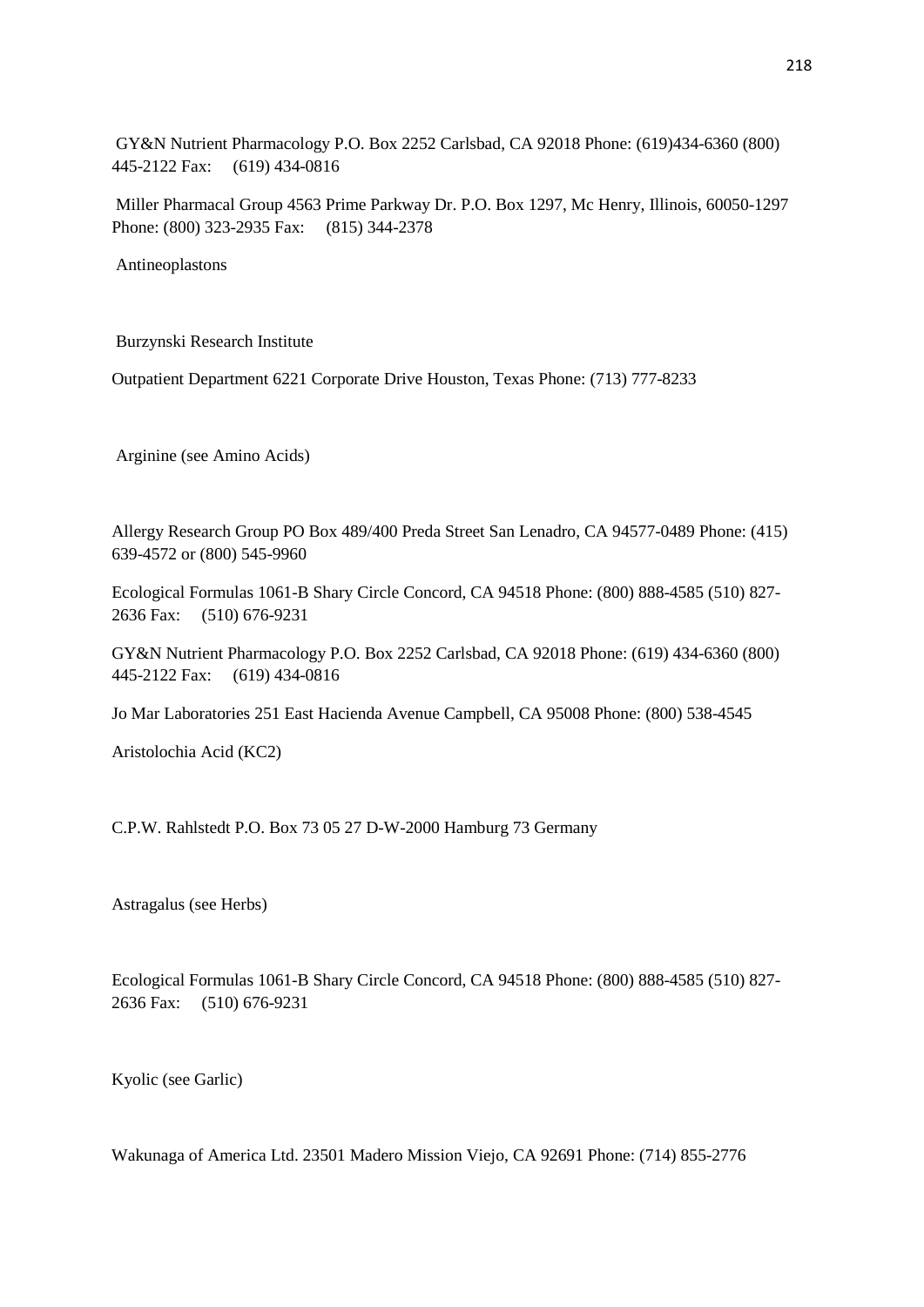GY&N Nutrient Pharmacology P.O. Box 2252 Carlsbad, CA 92018 Phone: (619)434-6360 (800) 445-2122 Fax: (619) 434-0816

Miller Pharmacal Group 4563 Prime Parkway Dr. P.O. Box 1297, Mc Henry, Illinois, 60050-1297 Phone: (800) 323-2935 Fax: (815) 344-2378

Antineoplastons

Burzynski Research Institute

Outpatient Department 6221 Corporate Drive Houston, Texas Phone: (713) 777-8233

Arginine (see Amino Acids)

Allergy Research Group PO Box 489/400 Preda Street San Lenadro, CA 94577-0489 Phone: (415) 639-4572 or (800) 545-9960

Ecological Formulas 1061-B Shary Circle Concord, CA 94518 Phone: (800) 888-4585 (510) 827- 2636 Fax: (510) 676-9231

GY&N Nutrient Pharmacology P.O. Box 2252 Carlsbad, CA 92018 Phone: (619) 434-6360 (800) 445-2122 Fax: (619) 434-0816

Jo Mar Laboratories 251 East Hacienda Avenue Campbell, CA 95008 Phone: (800) 538-4545

Aristolochia Acid (KC2)

C.P.W. Rahlstedt P.O. Box 73 05 27 D-W-2000 Hamburg 73 Germany

Astragalus (see Herbs)

Ecological Formulas 1061-B Shary Circle Concord, CA 94518 Phone: (800) 888-4585 (510) 827- 2636 Fax: (510) 676-9231

Kyolic (see Garlic)

Wakunaga of America Ltd. 23501 Madero Mission Viejo, CA 92691 Phone: (714) 855-2776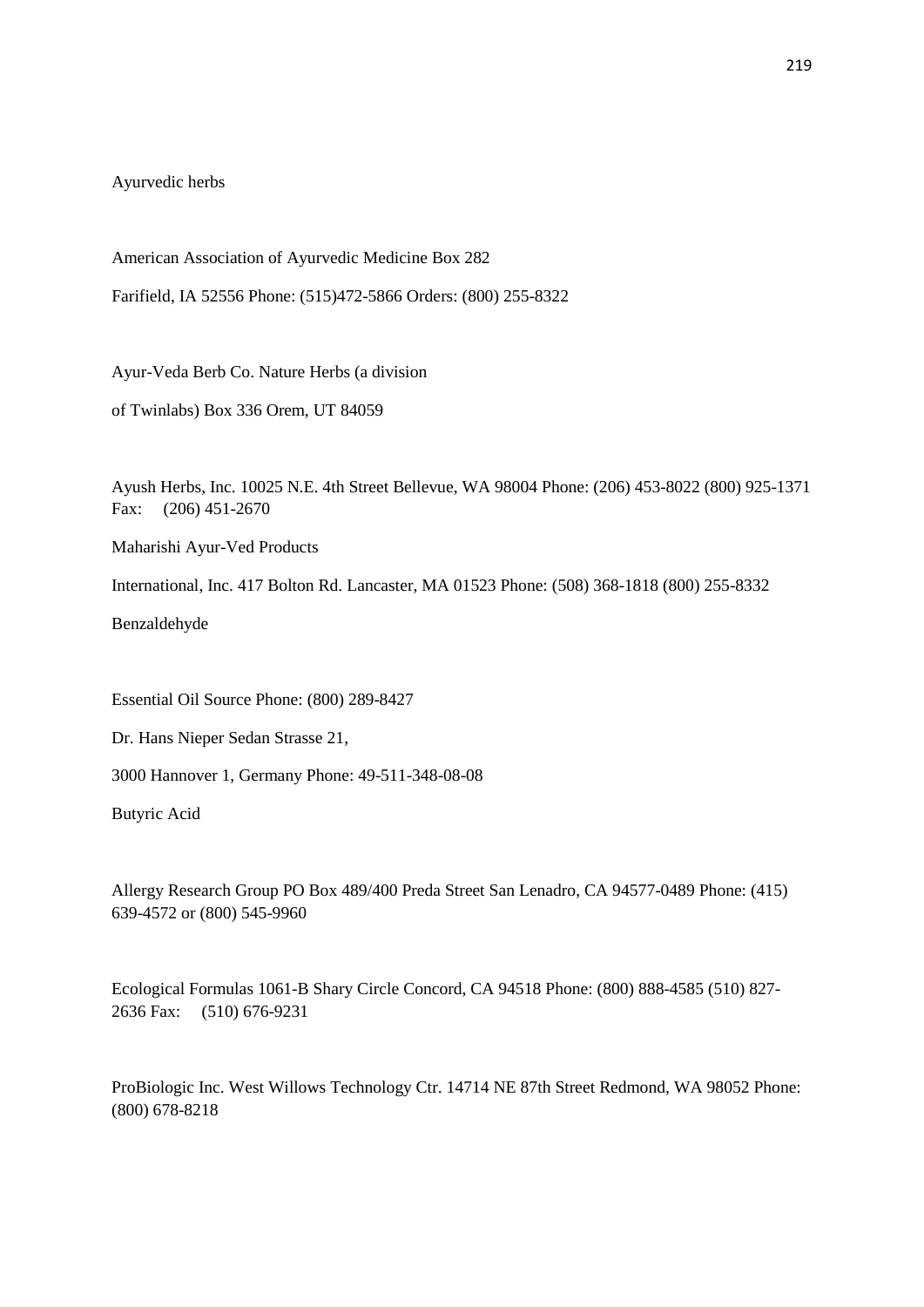Ayurvedic herbs

American Association of Ayurvedic Medicine Box 282

Farifield, IA 52556 Phone: (515)472-5866 Orders: (800) 255-8322

Ayur-Veda Berb Co. Nature Herbs (a division

of Twinlabs) Box 336 Orem, UT 84059

Ayush Herbs, Inc. 10025 N.E. 4th Street Bellevue, WA 98004 Phone: (206) 453-8022 (800) 925-1371 Fax: (206) 451-2670

Maharishi Ayur-Ved Products

International, Inc. 417 Bolton Rd. Lancaster, MA 01523 Phone: (508) 368-1818 (800) 255-8332

Benzaldehyde

Essential Oil Source Phone: (800) 289-8427

Dr. Hans Nieper Sedan Strasse 21,

3000 Hannover 1, Germany Phone: 49-511-348-08-08

Butyric Acid

Allergy Research Group PO Box 489/400 Preda Street San Lenadro, CA 94577-0489 Phone: (415) 639-4572 or (800) 545-9960

Ecological Formulas 1061-B Shary Circle Concord, CA 94518 Phone: (800) 888-4585 (510) 827- 2636 Fax: (510) 676-9231

ProBiologic Inc. West Willows Technology Ctr. 14714 NE 87th Street Redmond, WA 98052 Phone: (800) 678-8218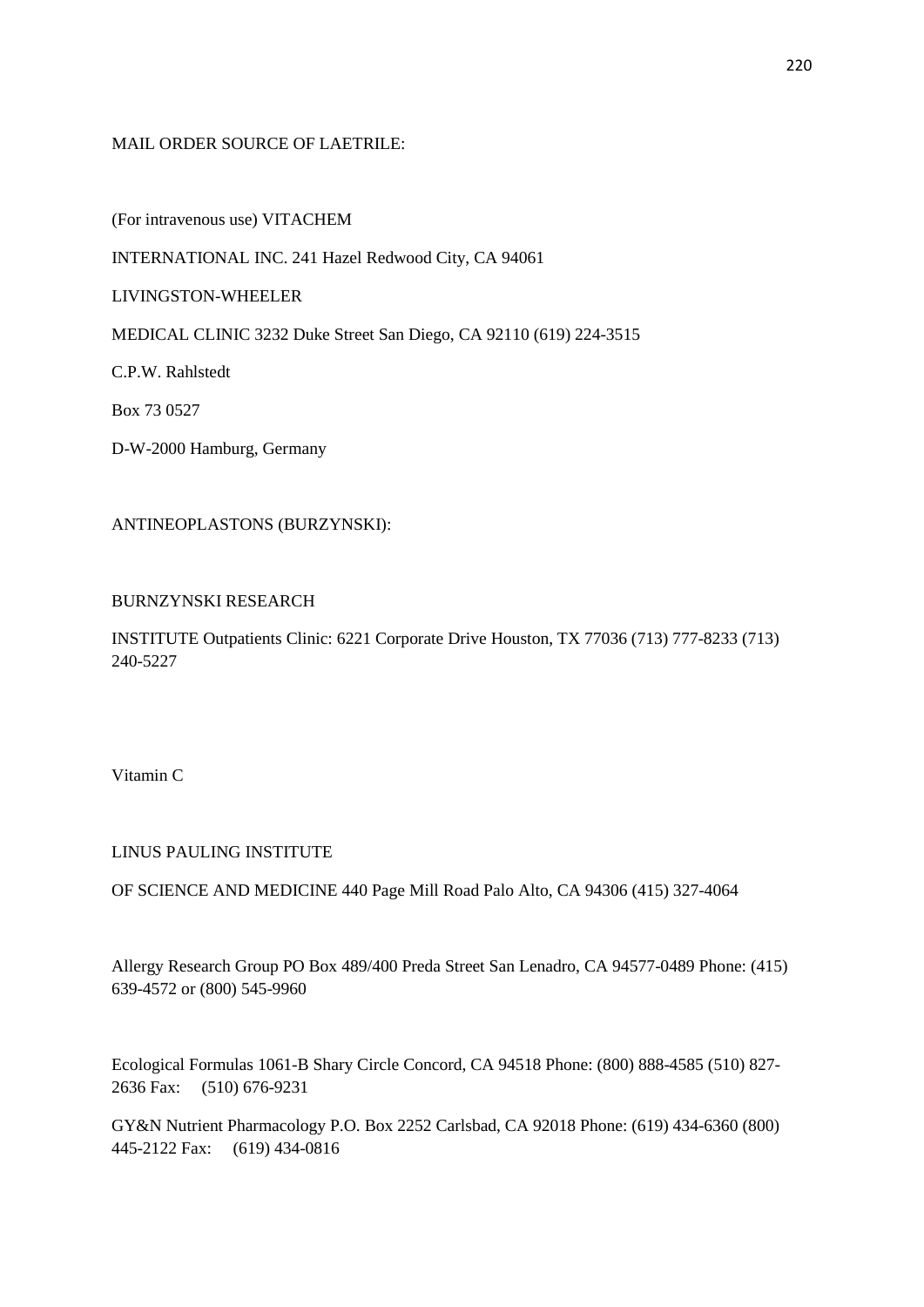## MAIL ORDER SOURCE OF LAETRILE:

(For intravenous use) VITACHEM

INTERNATIONAL INC. 241 Hazel Redwood City, CA 94061

LIVINGSTON-WHEELER

MEDICAL CLINIC 3232 Duke Street San Diego, CA 92110 (619) 224-3515

C.P.W. Rahlstedt

Box 73 0527

D-W-2000 Hamburg, Germany

## ANTINEOPLASTONS (BURZYNSKI):

### BURNZYNSKI RESEARCH

INSTITUTE Outpatients Clinic: 6221 Corporate Drive Houston, TX 77036 (713) 777-8233 (713) 240-5227

Vitamin C

### LINUS PAULING INSTITUTE

# OF SCIENCE AND MEDICINE 440 Page Mill Road Palo Alto, CA 94306 (415) 327-4064

Allergy Research Group PO Box 489/400 Preda Street San Lenadro, CA 94577-0489 Phone: (415) 639-4572 or (800) 545-9960

Ecological Formulas 1061-B Shary Circle Concord, CA 94518 Phone: (800) 888-4585 (510) 827- 2636 Fax: (510) 676-9231

GY&N Nutrient Pharmacology P.O. Box 2252 Carlsbad, CA 92018 Phone: (619) 434-6360 (800) 445-2122 Fax: (619) 434-0816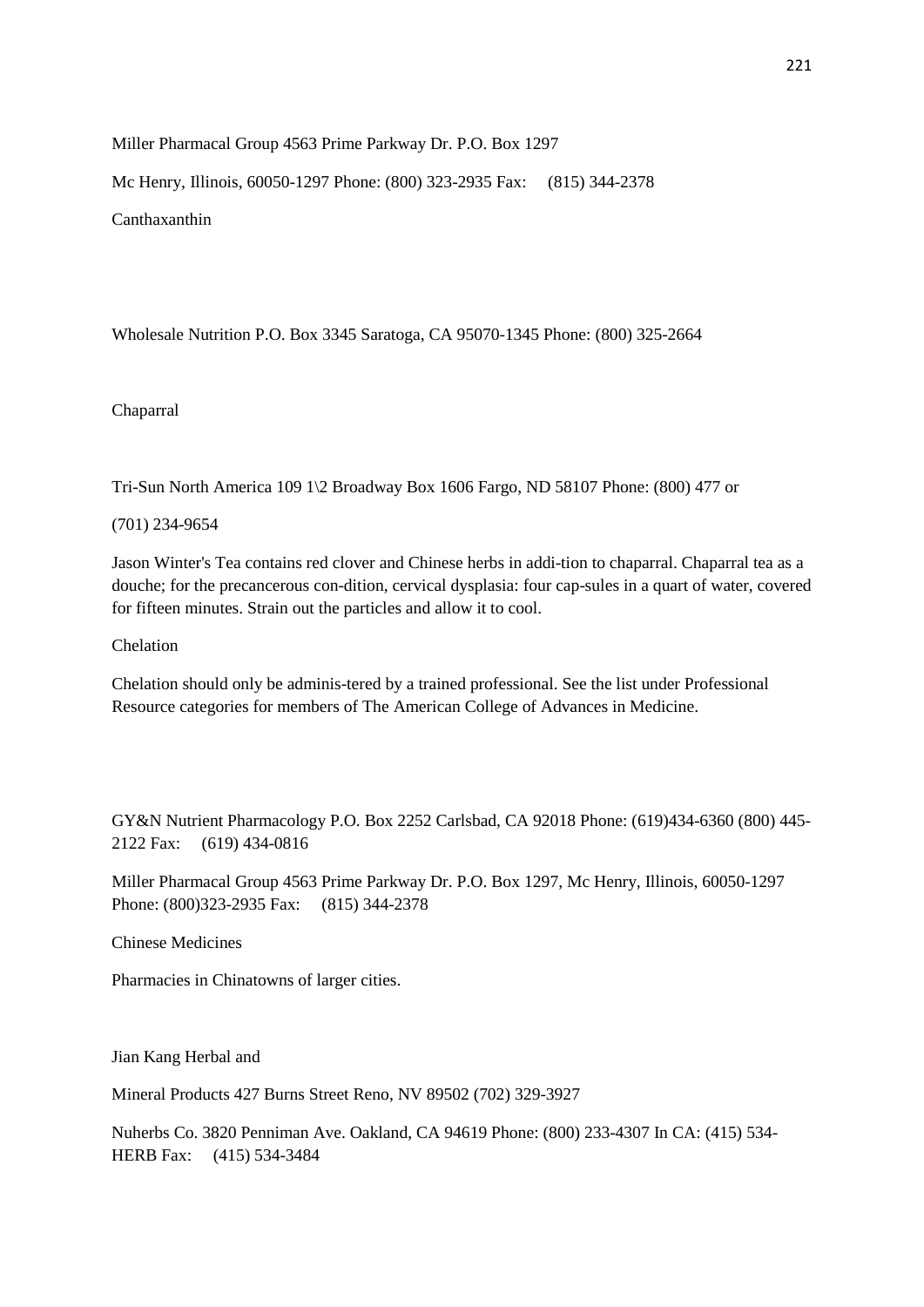Miller Pharmacal Group 4563 Prime Parkway Dr. P.O. Box 1297

Mc Henry, Illinois, 60050-1297 Phone: (800) 323-2935 Fax: (815) 344-2378

Canthaxanthin

Wholesale Nutrition P.O. Box 3345 Saratoga, CA 95070-1345 Phone: (800) 325-2664

Chaparral

Tri-Sun North America 109 1\2 Broadway Box 1606 Fargo, ND 58107 Phone: (800) 477 or

(701) 234-9654

Jason Winter's Tea contains red clover and Chinese herbs in addi-tion to chaparral. Chaparral tea as a douche; for the precancerous con-dition, cervical dysplasia: four cap-sules in a quart of water, covered for fifteen minutes. Strain out the particles and allow it to cool.

Chelation

Chelation should only be adminis-tered by a trained professional. See the list under Professional Resource categories for members of The American College of Advances in Medicine.

GY&N Nutrient Pharmacology P.O. Box 2252 Carlsbad, CA 92018 Phone: (619)434-6360 (800) 445- 2122 Fax: (619) 434-0816

Miller Pharmacal Group 4563 Prime Parkway Dr. P.O. Box 1297, Mc Henry, Illinois, 60050-1297 Phone: (800)323-2935 Fax: (815) 344-2378

Chinese Medicines

Pharmacies in Chinatowns of larger cities.

Jian Kang Herbal and

Mineral Products 427 Burns Street Reno, NV 89502 (702) 329-3927

Nuherbs Co. 3820 Penniman Ave. Oakland, CA 94619 Phone: (800) 233-4307 In CA: (415) 534- HERB Fax: (415) 534-3484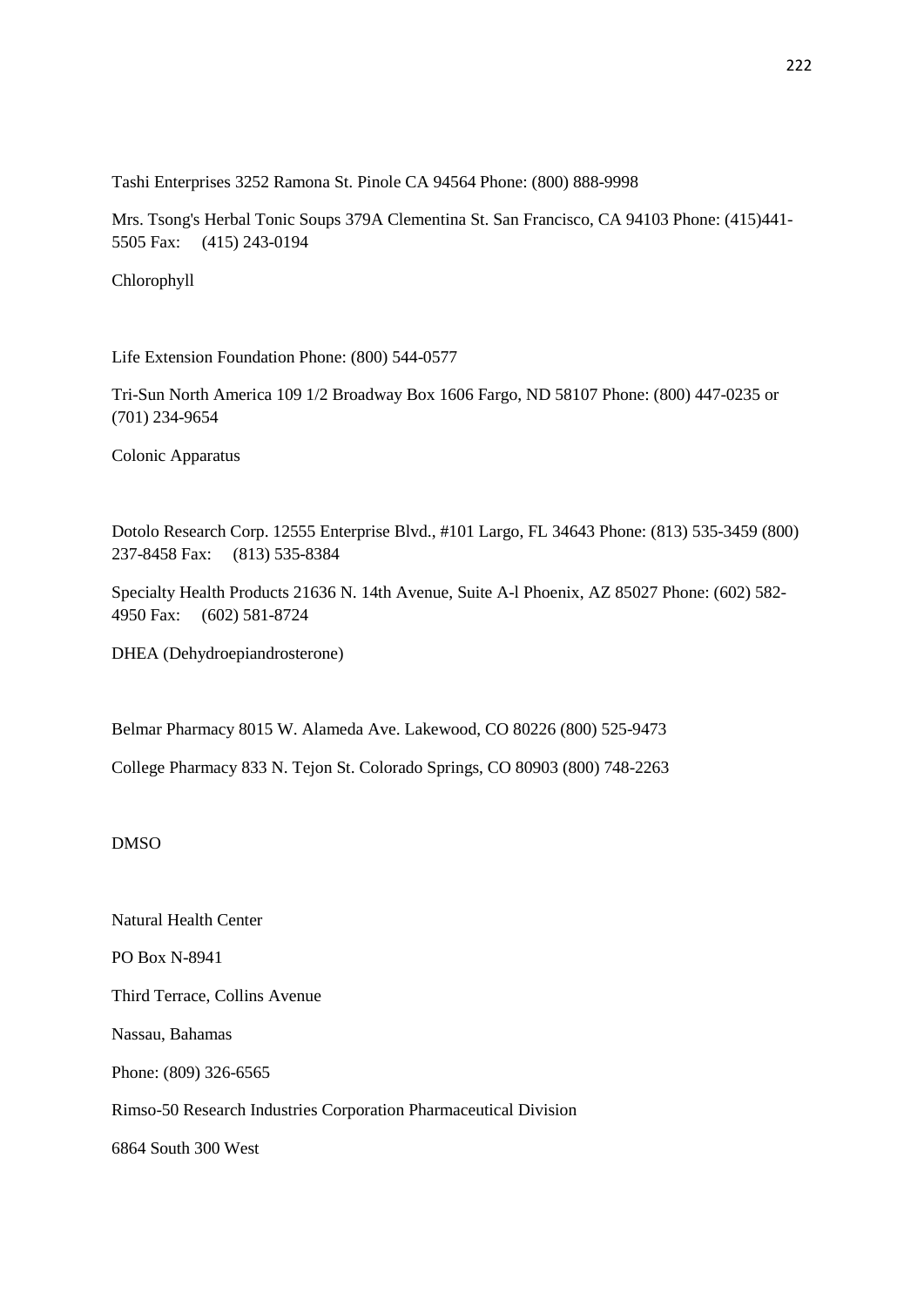Tashi Enterprises 3252 Ramona St. Pinole CA 94564 Phone: (800) 888-9998

Mrs. Tsong's Herbal Tonic Soups 379A Clementina St. San Francisco, CA 94103 Phone: (415)441- 5505 Fax: (415) 243-0194

Chlorophyll

Life Extension Foundation Phone: (800) 544-0577

Tri-Sun North America 109 1/2 Broadway Box 1606 Fargo, ND 58107 Phone: (800) 447-0235 or (701) 234-9654

Colonic Apparatus

Dotolo Research Corp. 12555 Enterprise Blvd., #101 Largo, FL 34643 Phone: (813) 535-3459 (800) 237-8458 Fax: (813) 535-8384

Specialty Health Products 21636 N. 14th Avenue, Suite A-l Phoenix, AZ 85027 Phone: (602) 582- 4950 Fax: (602) 581-8724

DHEA (Dehydroepiandrosterone)

Belmar Pharmacy 8015 W. Alameda Ave. Lakewood, CO 80226 (800) 525-9473

College Pharmacy 833 N. Tejon St. Colorado Springs, CO 80903 (800) 748-2263

## DMSO

Natural Health Center

PO Box N-8941

Third Terrace, Collins Avenue

Nassau, Bahamas

Phone: (809) 326-6565

Rimso-50 Research Industries Corporation Pharmaceutical Division

6864 South 300 West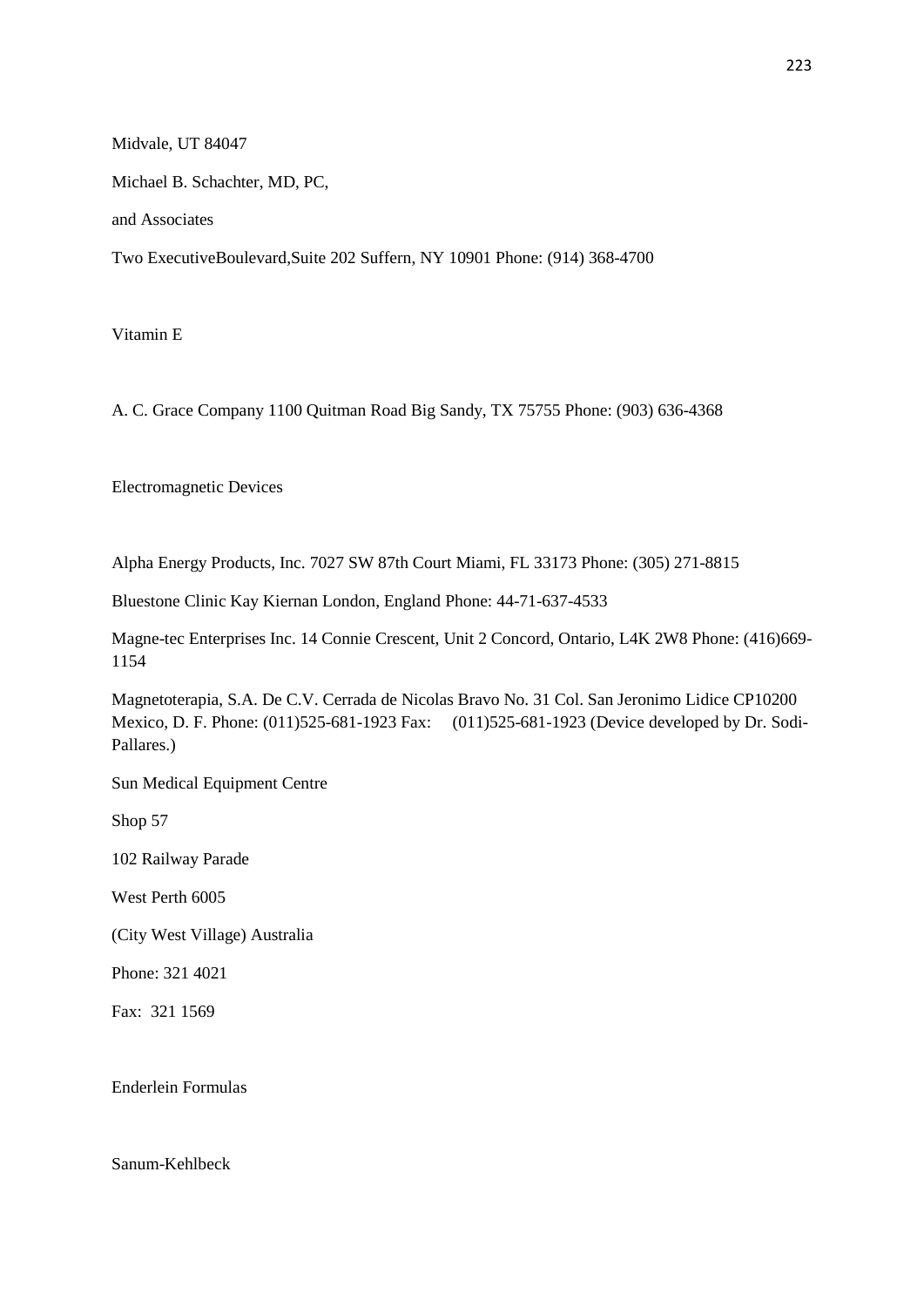Midvale, UT 84047

Michael B. Schachter, MD, PC,

and Associates

Two ExecutiveBoulevard,Suite 202 Suffern, NY 10901 Phone: (914) 368-4700

Vitamin E

A. C. Grace Company 1100 Quitman Road Big Sandy, TX 75755 Phone: (903) 636-4368

Electromagnetic Devices

Alpha Energy Products, Inc. 7027 SW 87th Court Miami, FL 33173 Phone: (305) 271-8815

Bluestone Clinic Kay Kiernan London, England Phone: 44-71-637-4533

Magne-tec Enterprises Inc. 14 Connie Crescent, Unit 2 Concord, Ontario, L4K 2W8 Phone: (416)669- 1154

Magnetoterapia, S.A. De C.V. Cerrada de Nicolas Bravo No. 31 Col. San Jeronimo Lidice CP10200 Mexico, D. F. Phone: (011)525-681-1923 Fax: (011)525-681-1923 (Device developed by Dr. Sodi-Pallares.)

Sun Medical Equipment Centre

Shop 57

102 Railway Parade

West Perth 6005

(City West Village) Australia

Phone: 321 4021

Fax: 321 1569

Enderlein Formulas

Sanum-Kehlbeck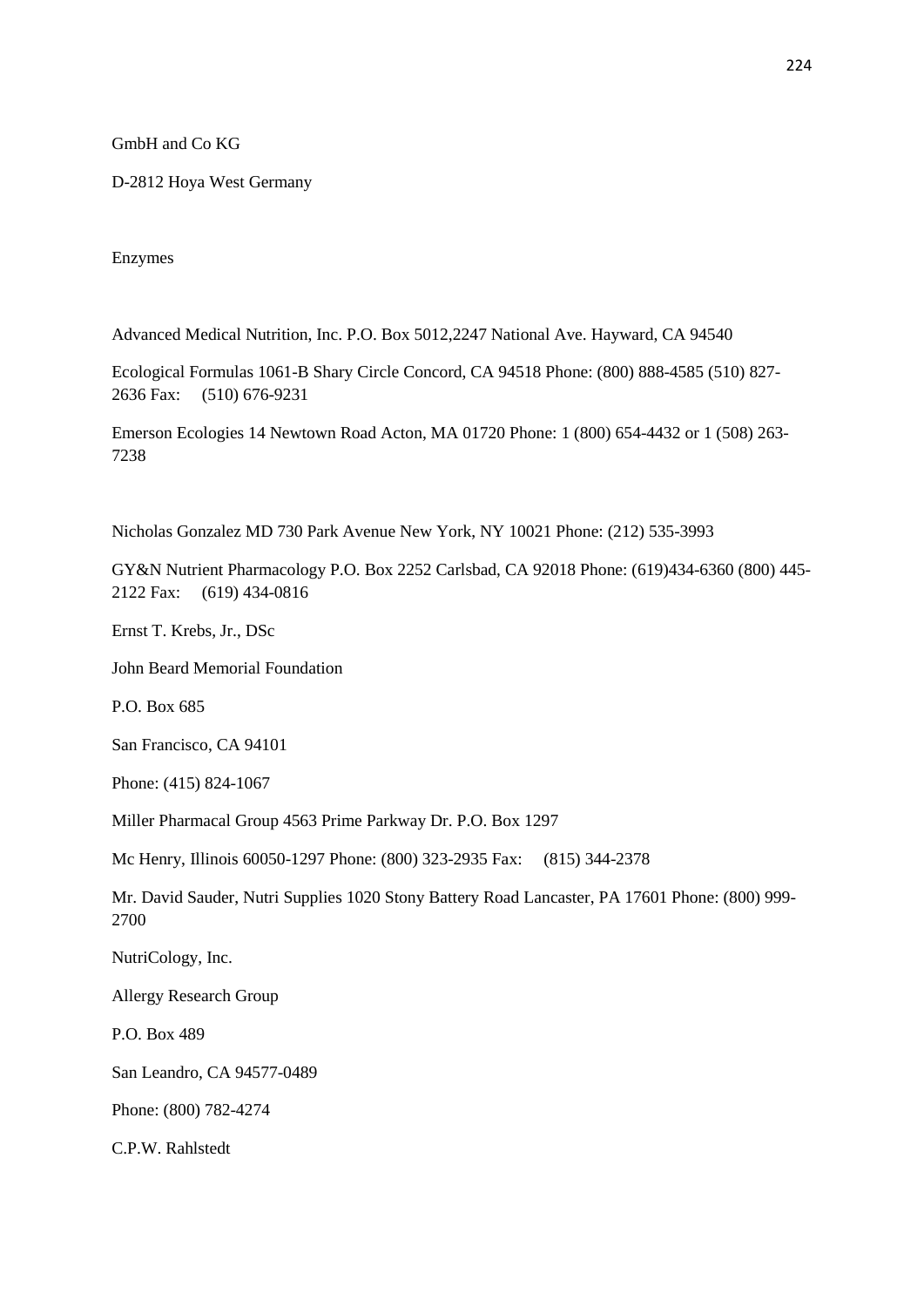GmbH and Co KG

D-2812 Hoya West Germany

Enzymes

Advanced Medical Nutrition, Inc. P.O. Box 5012,2247 National Ave. Hayward, CA 94540

Ecological Formulas 1061-B Shary Circle Concord, CA 94518 Phone: (800) 888-4585 (510) 827- 2636 Fax: (510) 676-9231

Emerson Ecologies 14 Newtown Road Acton, MA 01720 Phone: 1 (800) 654-4432 or 1 (508) 263- 7238

Nicholas Gonzalez MD 730 Park Avenue New York, NY 10021 Phone: (212) 535-3993

GY&N Nutrient Pharmacology P.O. Box 2252 Carlsbad, CA 92018 Phone: (619)434-6360 (800) 445- 2122 Fax: (619) 434-0816

Ernst T. Krebs, Jr., DSc

John Beard Memorial Foundation

P.O. Box 685

San Francisco, CA 94101

Phone: (415) 824-1067

Miller Pharmacal Group 4563 Prime Parkway Dr. P.O. Box 1297

Mc Henry, Illinois 60050-1297 Phone: (800) 323-2935 Fax: (815) 344-2378

Mr. David Sauder, Nutri Supplies 1020 Stony Battery Road Lancaster, PA 17601 Phone: (800) 999- 2700

NutriCology, Inc.

Allergy Research Group

P.O. Box 489

San Leandro, CA 94577-0489

Phone: (800) 782-4274

C.P.W. Rahlstedt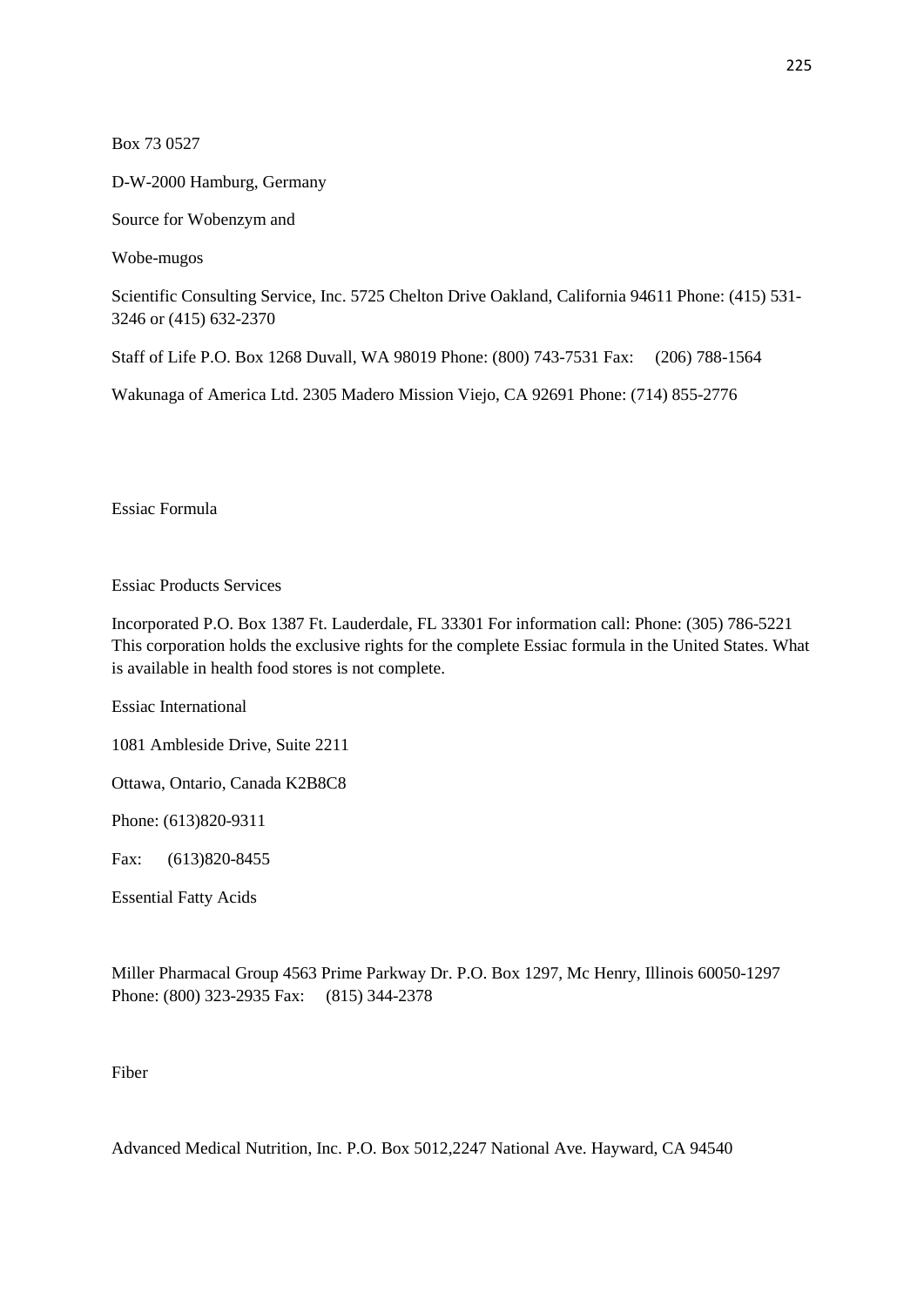Box 73 0527

D-W-2000 Hamburg, Germany

Source for Wobenzym and

Wobe-mugos

Scientific Consulting Service, Inc. 5725 Chelton Drive Oakland, California 94611 Phone: (415) 531- 3246 or (415) 632-2370

Staff of Life P.O. Box 1268 Duvall, WA 98019 Phone: (800) 743-7531 Fax: (206) 788-1564

Wakunaga of America Ltd. 2305 Madero Mission Viejo, CA 92691 Phone: (714) 855-2776

Essiac Formula

Essiac Products Services

Incorporated P.O. Box 1387 Ft. Lauderdale, FL 33301 For information call: Phone: (305) 786-5221 This corporation holds the exclusive rights for the complete Essiac formula in the United States. What is available in health food stores is not complete.

Essiac International

1081 Ambleside Drive, Suite 2211

Ottawa, Ontario, Canada K2B8C8

Phone: (613)820-9311

Fax: (613)820-8455

Essential Fatty Acids

Miller Pharmacal Group 4563 Prime Parkway Dr. P.O. Box 1297, Mc Henry, Illinois 60050-1297 Phone: (800) 323-2935 Fax: (815) 344-2378

Fiber

Advanced Medical Nutrition, Inc. P.O. Box 5012,2247 National Ave. Hayward, CA 94540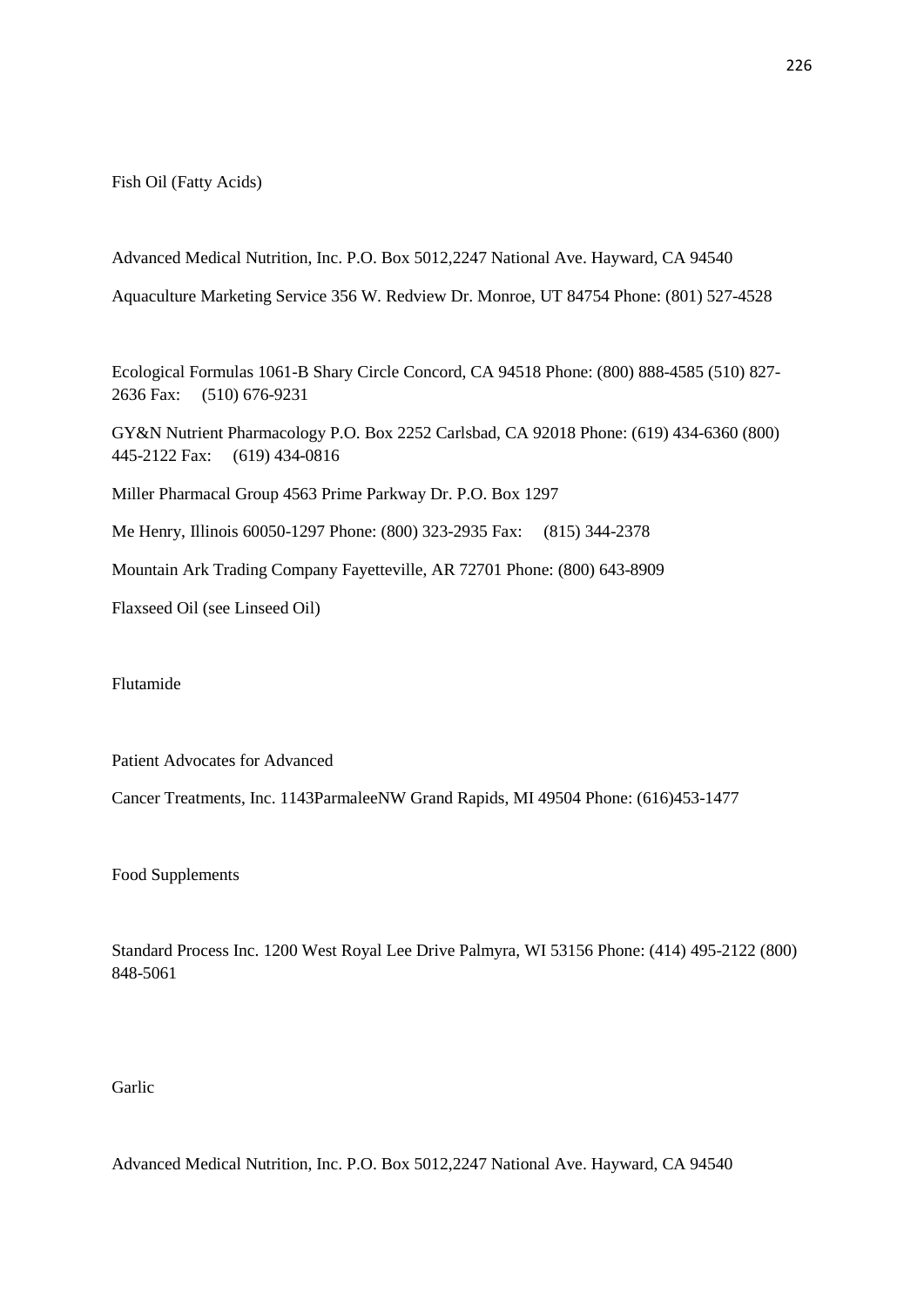Fish Oil (Fatty Acids)

Advanced Medical Nutrition, Inc. P.O. Box 5012,2247 National Ave. Hayward, CA 94540

Aquaculture Marketing Service 356 W. Redview Dr. Monroe, UT 84754 Phone: (801) 527-4528

Ecological Formulas 1061-B Shary Circle Concord, CA 94518 Phone: (800) 888-4585 (510) 827- 2636 Fax: (510) 676-9231

GY&N Nutrient Pharmacology P.O. Box 2252 Carlsbad, CA 92018 Phone: (619) 434-6360 (800) 445-2122 Fax: (619) 434-0816

Miller Pharmacal Group 4563 Prime Parkway Dr. P.O. Box 1297

Me Henry, Illinois 60050-1297 Phone: (800) 323-2935 Fax: (815) 344-2378

Mountain Ark Trading Company Fayetteville, AR 72701 Phone: (800) 643-8909

Flaxseed Oil (see Linseed Oil)

Flutamide

Patient Advocates for Advanced

Cancer Treatments, Inc. 1143ParmaleeNW Grand Rapids, MI 49504 Phone: (616)453-1477

Food Supplements

Standard Process Inc. 1200 West Royal Lee Drive Palmyra, WI 53156 Phone: (414) 495-2122 (800) 848-5061

Garlic

Advanced Medical Nutrition, Inc. P.O. Box 5012,2247 National Ave. Hayward, CA 94540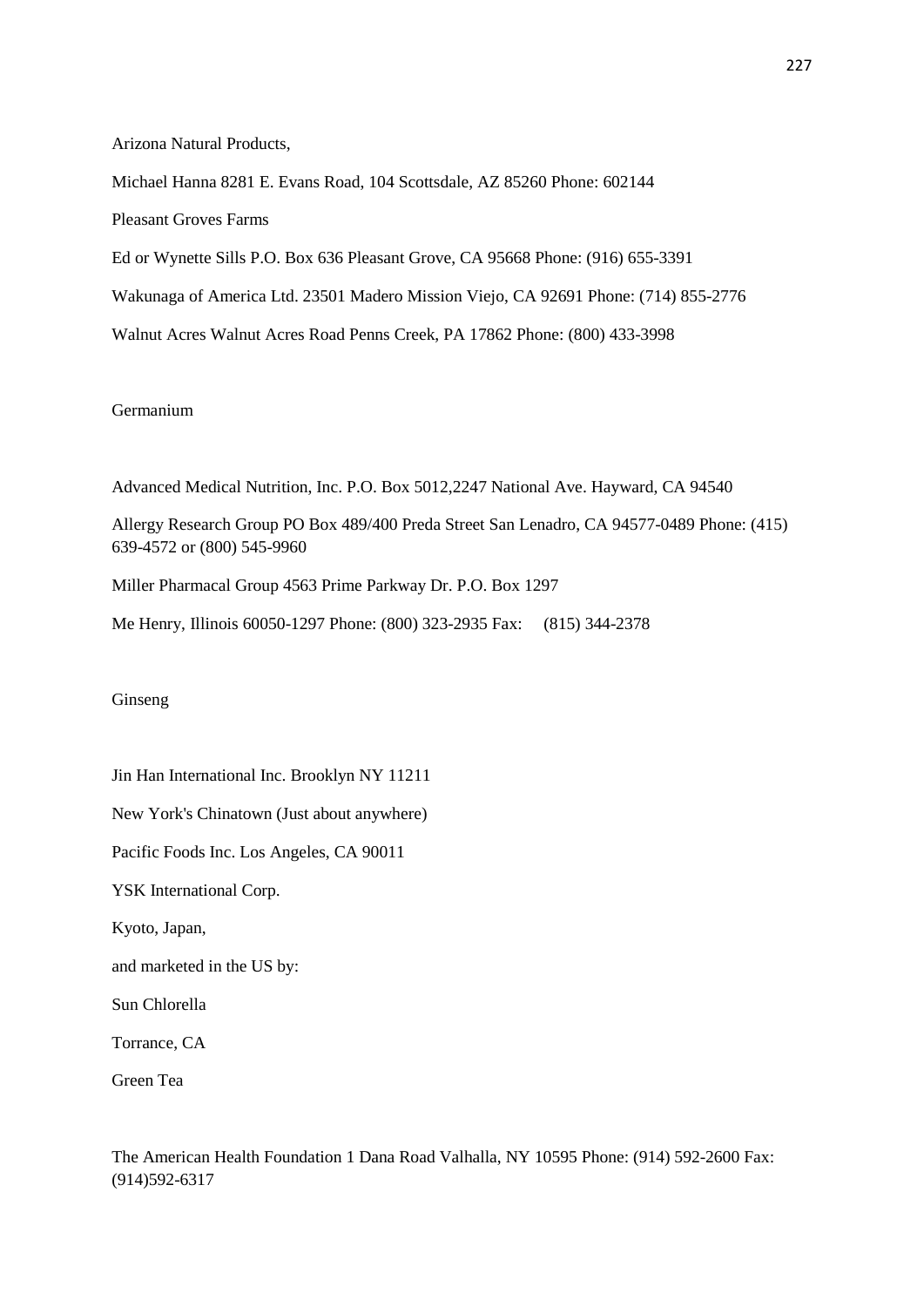Arizona Natural Products,

Michael Hanna 8281 E. Evans Road, 104 Scottsdale, AZ 85260 Phone: 602144

Pleasant Groves Farms

Ed or Wynette Sills P.O. Box 636 Pleasant Grove, CA 95668 Phone: (916) 655-3391

Wakunaga of America Ltd. 23501 Madero Mission Viejo, CA 92691 Phone: (714) 855-2776

Walnut Acres Walnut Acres Road Penns Creek, PA 17862 Phone: (800) 433-3998

### Germanium

Advanced Medical Nutrition, Inc. P.O. Box 5012,2247 National Ave. Hayward, CA 94540

Allergy Research Group PO Box 489/400 Preda Street San Lenadro, CA 94577-0489 Phone: (415) 639-4572 or (800) 545-9960

Miller Pharmacal Group 4563 Prime Parkway Dr. P.O. Box 1297

Me Henry, Illinois 60050-1297 Phone: (800) 323-2935 Fax: (815) 344-2378

Ginseng

Jin Han International Inc. Brooklyn NY 11211

New York's Chinatown (Just about anywhere)

Pacific Foods Inc. Los Angeles, CA 90011

YSK International Corp.

Kyoto, Japan,

and marketed in the US by:

Sun Chlorella

Torrance, CA

Green Tea

The American Health Foundation 1 Dana Road Valhalla, NY 10595 Phone: (914) 592-2600 Fax: (914)592-6317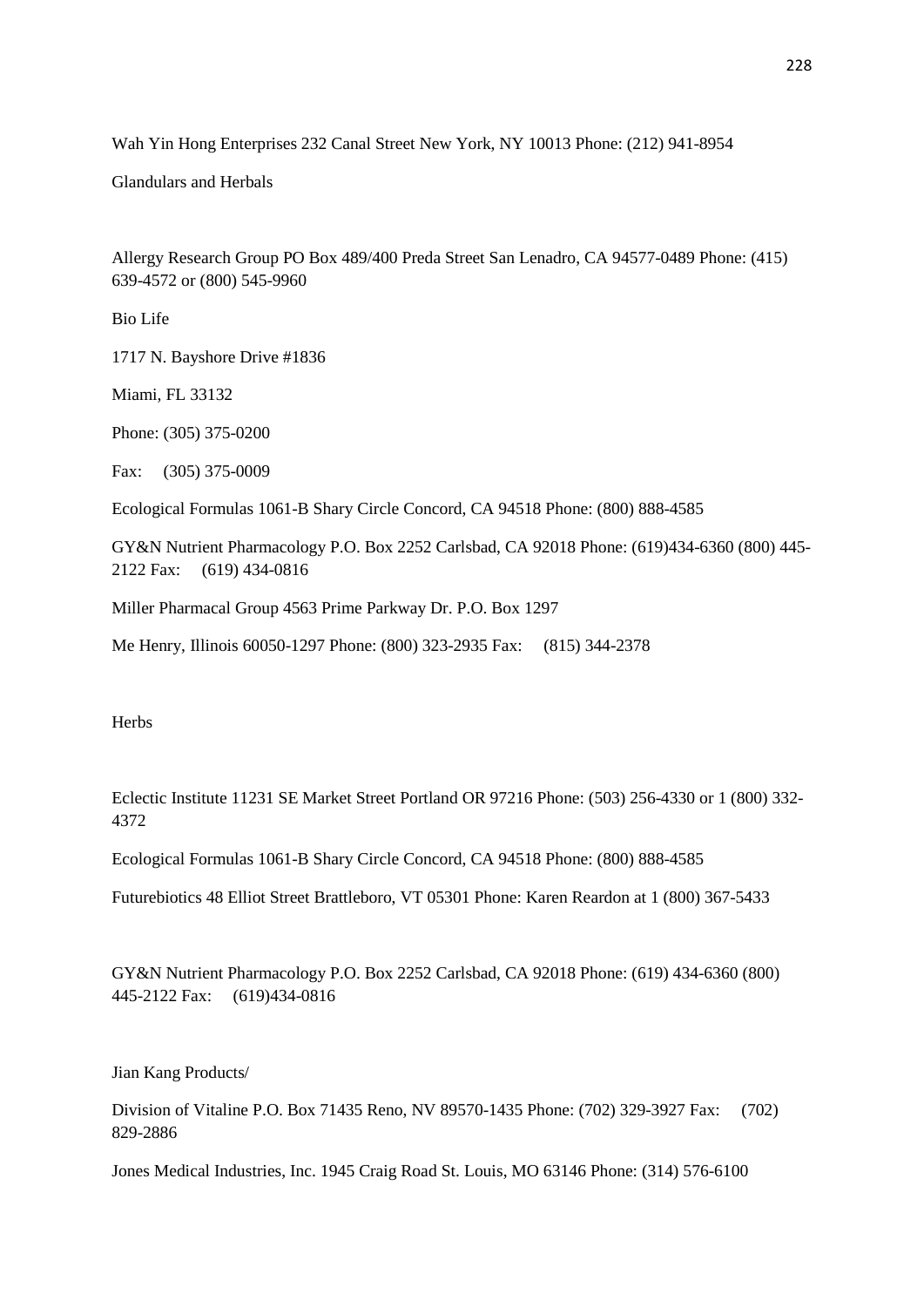Wah Yin Hong Enterprises 232 Canal Street New York, NY 10013 Phone: (212) 941-8954

Glandulars and Herbals

Allergy Research Group PO Box 489/400 Preda Street San Lenadro, CA 94577-0489 Phone: (415) 639-4572 or (800) 545-9960

Bio Life

1717 N. Bayshore Drive #1836

Miami, FL 33132

Phone: (305) 375-0200

Fax: (305) 375-0009

Ecological Formulas 1061-B Shary Circle Concord, CA 94518 Phone: (800) 888-4585

GY&N Nutrient Pharmacology P.O. Box 2252 Carlsbad, CA 92018 Phone: (619)434-6360 (800) 445- 2122 Fax: (619) 434-0816

Miller Pharmacal Group 4563 Prime Parkway Dr. P.O. Box 1297

Me Henry, Illinois 60050-1297 Phone: (800) 323-2935 Fax: (815) 344-2378

Herbs

Eclectic Institute 11231 SE Market Street Portland OR 97216 Phone: (503) 256-4330 or 1 (800) 332- 4372

Ecological Formulas 1061-B Shary Circle Concord, CA 94518 Phone: (800) 888-4585

Futurebiotics 48 Elliot Street Brattleboro, VT 05301 Phone: Karen Reardon at 1 (800) 367-5433

GY&N Nutrient Pharmacology P.O. Box 2252 Carlsbad, CA 92018 Phone: (619) 434-6360 (800) 445-2122 Fax: (619)434-0816

Jian Kang Products/

Division of Vitaline P.O. Box 71435 Reno, NV 89570-1435 Phone: (702) 329-3927 Fax: (702) 829-2886

Jones Medical Industries, Inc. 1945 Craig Road St. Louis, MO 63146 Phone: (314) 576-6100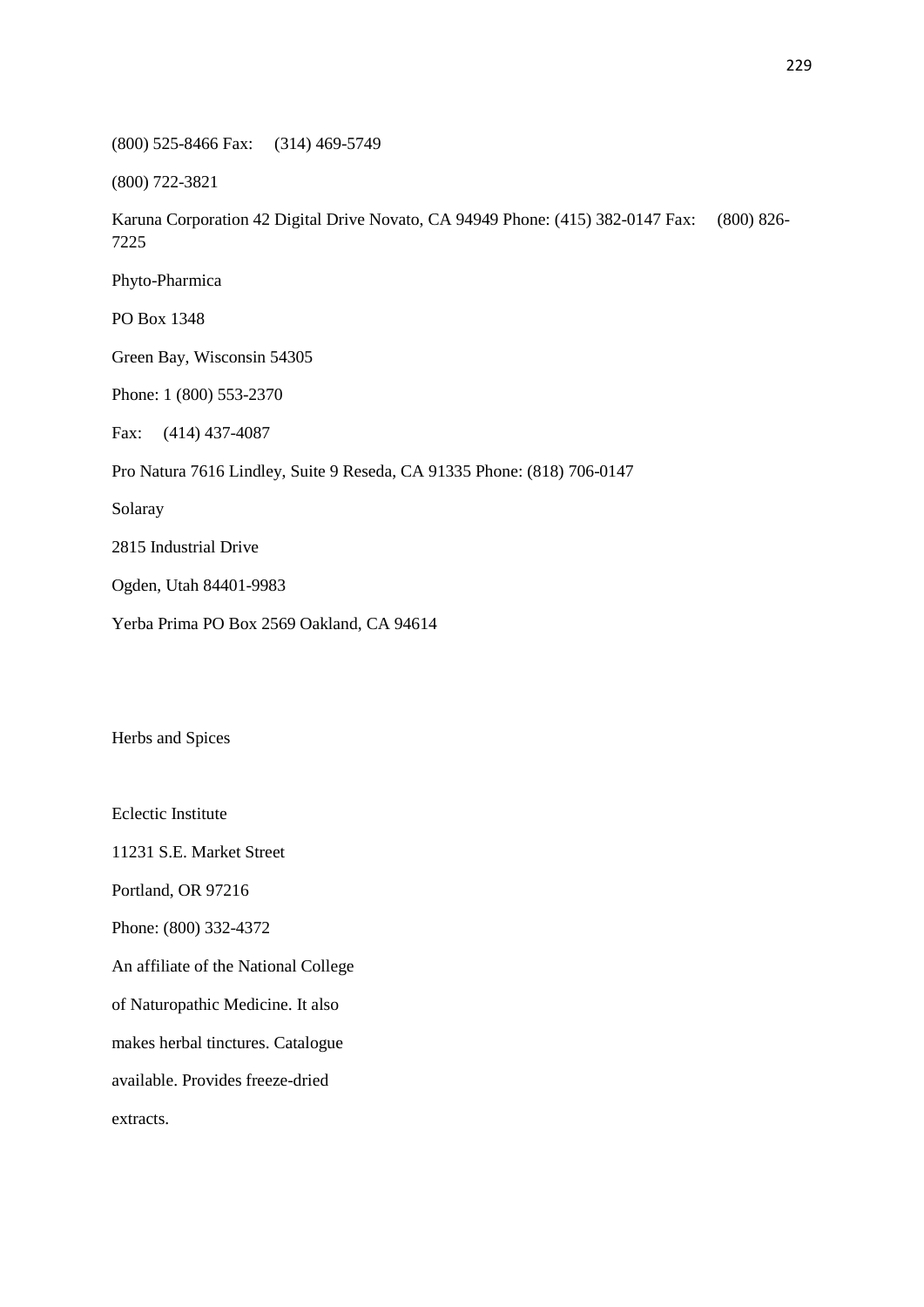(800) 525-8466 Fax: (314) 469-5749 (800) 722-3821 Karuna Corporation 42 Digital Drive Novato, CA 94949 Phone: (415) 382-0147 Fax: (800) 826- 7225 Phyto-Pharmica PO Box 1348 Green Bay, Wisconsin 54305 Phone: 1 (800) 553-2370 Fax: (414) 437-4087 Pro Natura 7616 Lindley, Suite 9 Reseda, CA 91335 Phone: (818) 706-0147 Solaray 2815 Industrial Drive Ogden, Utah 84401-9983 Yerba Prima PO Box 2569 Oakland, CA 94614

Herbs and Spices

Eclectic Institute

11231 S.E. Market Street

Portland, OR 97216

Phone: (800) 332-4372

An affiliate of the National College

of Naturopathic Medicine. It also

makes herbal tinctures. Catalogue

available. Provides freeze-dried

extracts.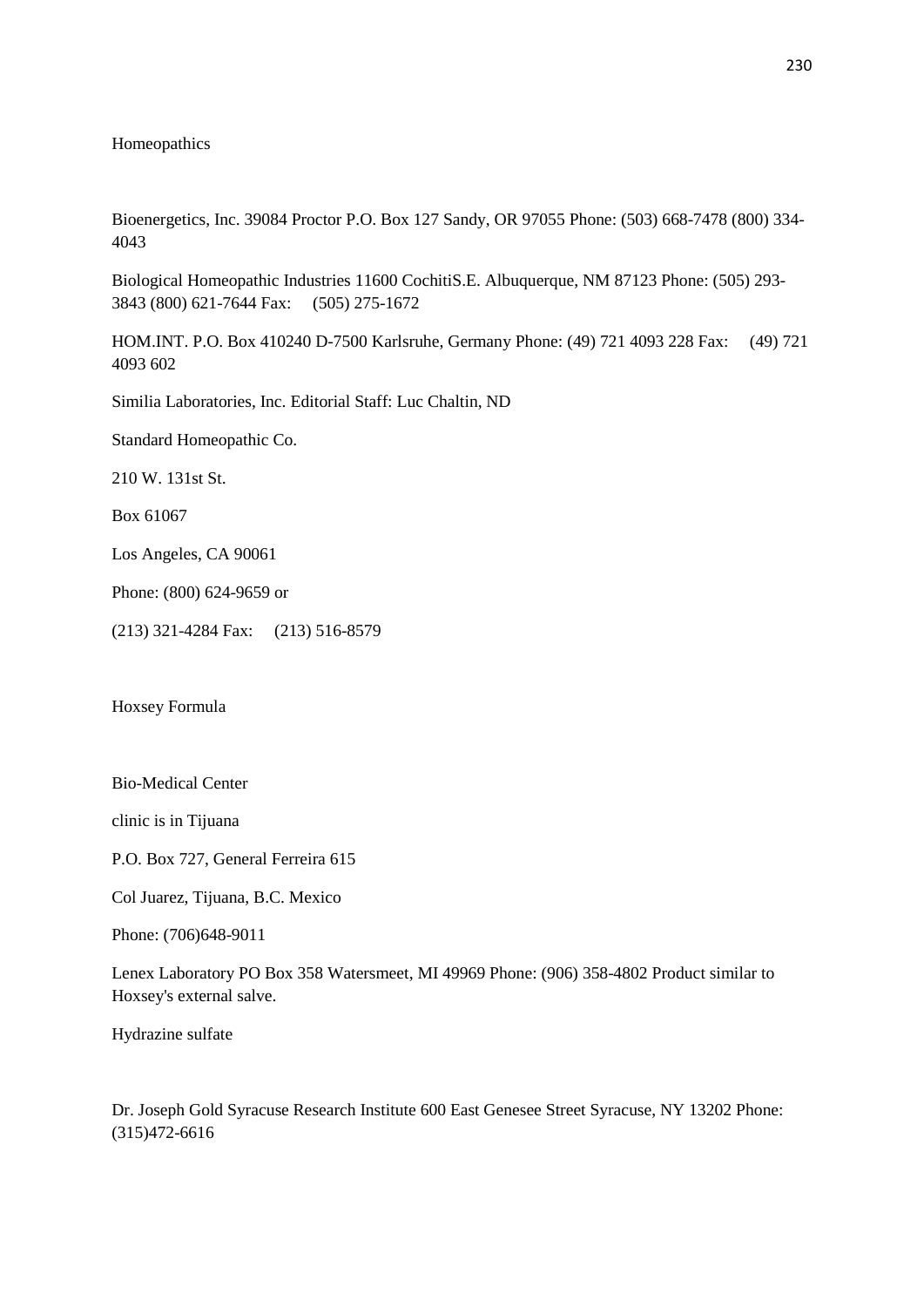### Homeopathics

Bioenergetics, Inc. 39084 Proctor P.O. Box 127 Sandy, OR 97055 Phone: (503) 668-7478 (800) 334- 4043

Biological Homeopathic Industries 11600 CochitiS.E. Albuquerque, NM 87123 Phone: (505) 293- 3843 (800) 621-7644 Fax: (505) 275-1672

HOM.INT. P.O. Box 410240 D-7500 Karlsruhe, Germany Phone: (49) 721 4093 228 Fax: (49) 721 4093 602

Similia Laboratories, Inc. Editorial Staff: Luc Chaltin, ND

Standard Homeopathic Co.

210 W. 131st St.

Box 61067

Los Angeles, CA 90061

Phone: (800) 624-9659 or

(213) 321-4284 Fax: (213) 516-8579

Hoxsey Formula

Bio-Medical Center

clinic is in Tijuana

P.O. Box 727, General Ferreira 615

Col Juarez, Tijuana, B.C. Mexico

Phone: (706)648-9011

Lenex Laboratory PO Box 358 Watersmeet, MI 49969 Phone: (906) 358-4802 Product similar to Hoxsey's external salve.

Hydrazine sulfate

Dr. Joseph Gold Syracuse Research Institute 600 East Genesee Street Syracuse, NY 13202 Phone: (315)472-6616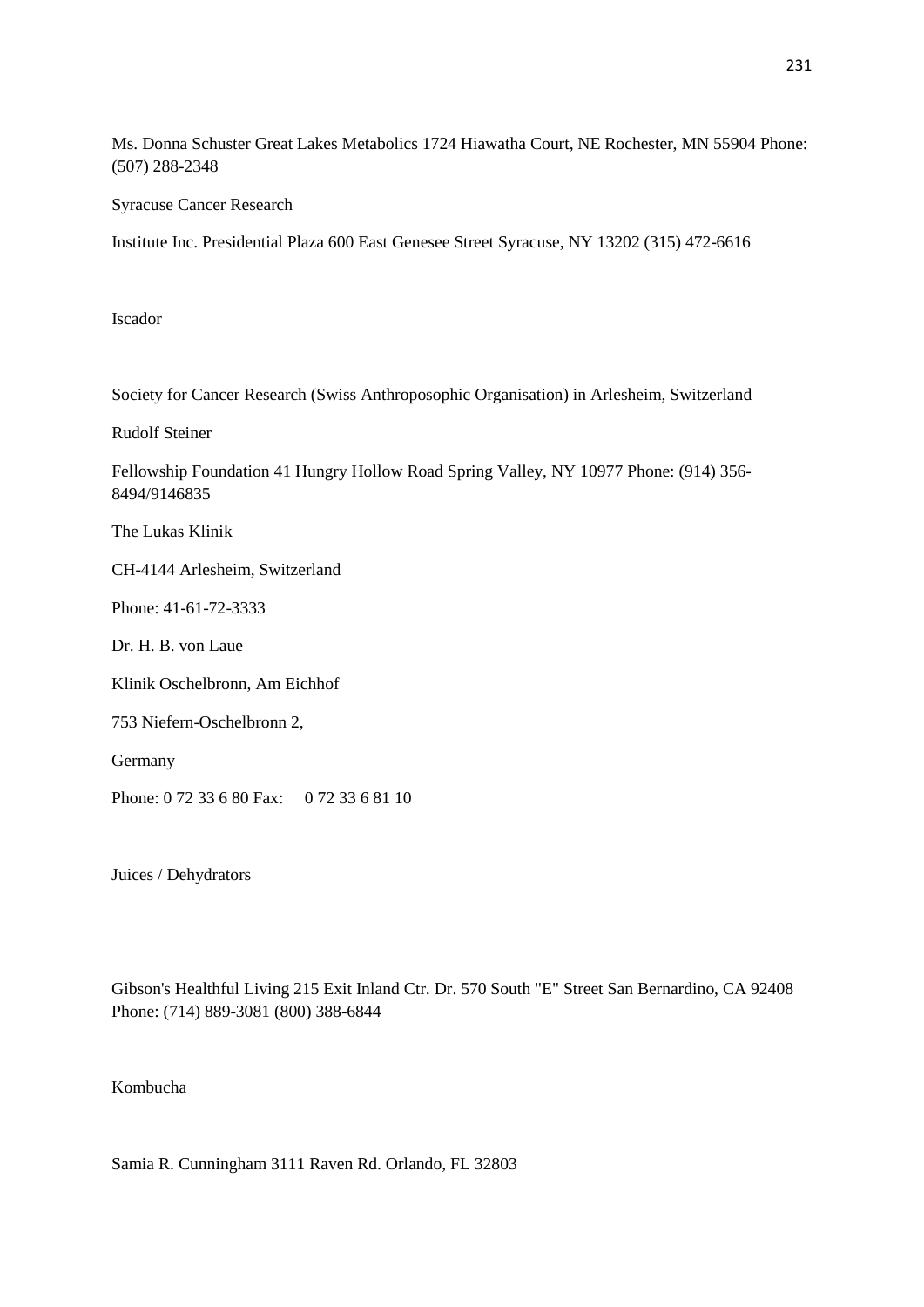Ms. Donna Schuster Great Lakes Metabolics 1724 Hiawatha Court, NE Rochester, MN 55904 Phone: (507) 288-2348

Syracuse Cancer Research

Institute Inc. Presidential Plaza 600 East Genesee Street Syracuse, NY 13202 (315) 472-6616

Iscador

Society for Cancer Research (Swiss Anthroposophic Organisation) in Arlesheim, Switzerland

Rudolf Steiner

Fellowship Foundation 41 Hungry Hollow Road Spring Valley, NY 10977 Phone: (914) 356- 8494/9146835

The Lukas Klinik

CH-4144 Arlesheim, Switzerland

Phone: 41-61-72-3333

Dr. H. B. von Laue

Klinik Oschelbronn, Am Eichhof

753 Niefern-Oschelbronn 2,

Germany

Phone: 0 72 33 6 80 Fax: 0 72 33 6 81 10

Juices / Dehydrators

Gibson's Healthful Living 215 Exit Inland Ctr. Dr. 570 South "E" Street San Bernardino, CA 92408 Phone: (714) 889-3081 (800) 388-6844

Kombucha

Samia R. Cunningham 3111 Raven Rd. Orlando, FL 32803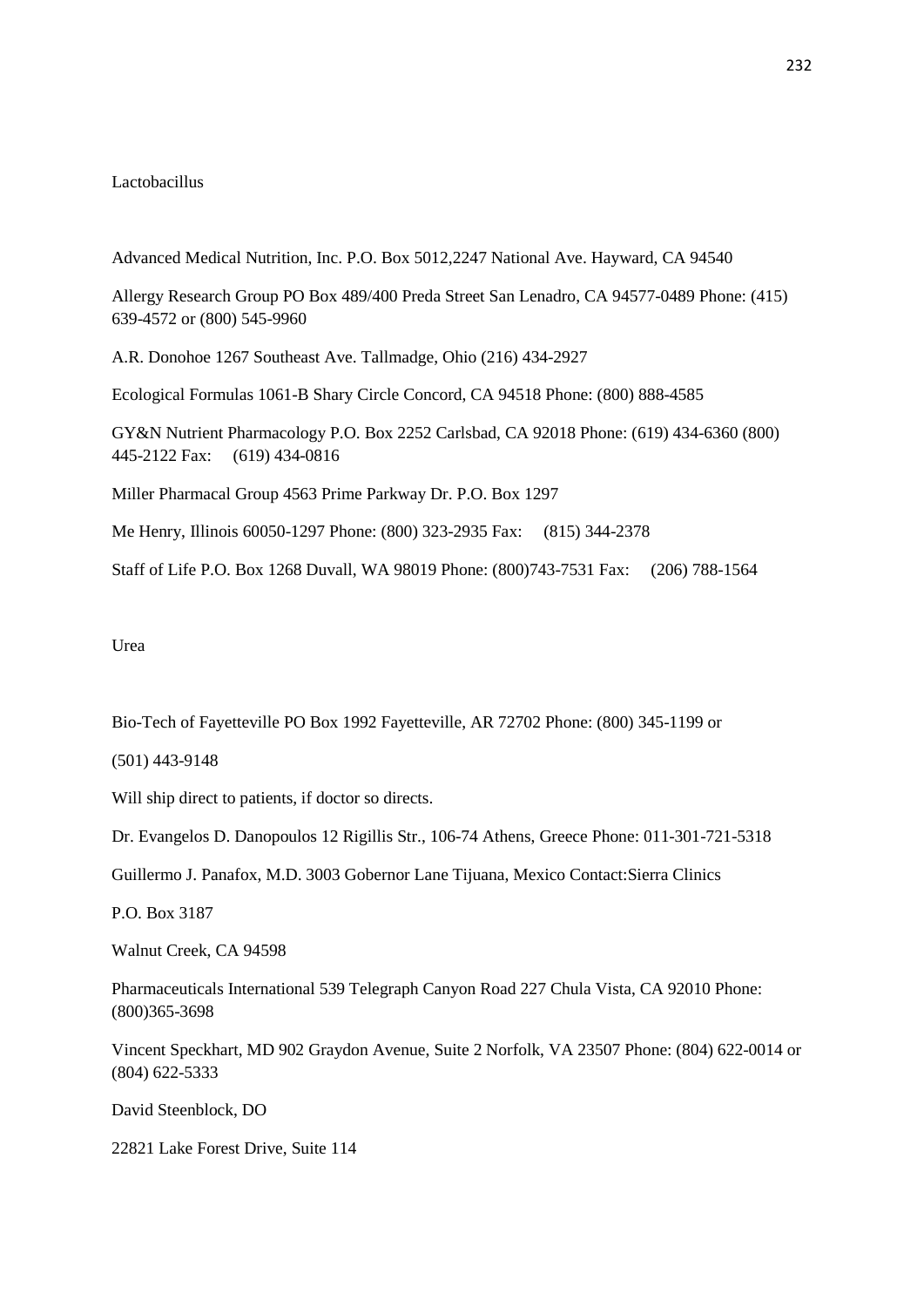#### Lactobacillus

Advanced Medical Nutrition, Inc. P.O. Box 5012,2247 National Ave. Hayward, CA 94540

Allergy Research Group PO Box 489/400 Preda Street San Lenadro, CA 94577-0489 Phone: (415) 639-4572 or (800) 545-9960

A.R. Donohoe 1267 Southeast Ave. Tallmadge, Ohio (216) 434-2927

Ecological Formulas 1061-B Shary Circle Concord, CA 94518 Phone: (800) 888-4585

GY&N Nutrient Pharmacology P.O. Box 2252 Carlsbad, CA 92018 Phone: (619) 434-6360 (800) 445-2122 Fax: (619) 434-0816

Miller Pharmacal Group 4563 Prime Parkway Dr. P.O. Box 1297

Me Henry, Illinois 60050-1297 Phone: (800) 323-2935 Fax: (815) 344-2378

Staff of Life P.O. Box 1268 Duvall, WA 98019 Phone: (800)743-7531 Fax: (206) 788-1564

#### Urea

Bio-Tech of Fayetteville PO Box 1992 Fayetteville, AR 72702 Phone: (800) 345-1199 or

(501) 443-9148

Will ship direct to patients, if doctor so directs.

Dr. Evangelos D. Danopoulos 12 Rigillis Str., 106-74 Athens, Greece Phone: 011-301-721-5318

Guillermo J. Panafox, M.D. 3003 Gobernor Lane Tijuana, Mexico Contact:Sierra Clinics

P.O. Box 3187

Walnut Creek, CA 94598

Pharmaceuticals International 539 Telegraph Canyon Road 227 Chula Vista, CA 92010 Phone: (800)365-3698

Vincent Speckhart, MD 902 Graydon Avenue, Suite 2 Norfolk, VA 23507 Phone: (804) 622-0014 or (804) 622-5333

David Steenblock, DO

22821 Lake Forest Drive, Suite 114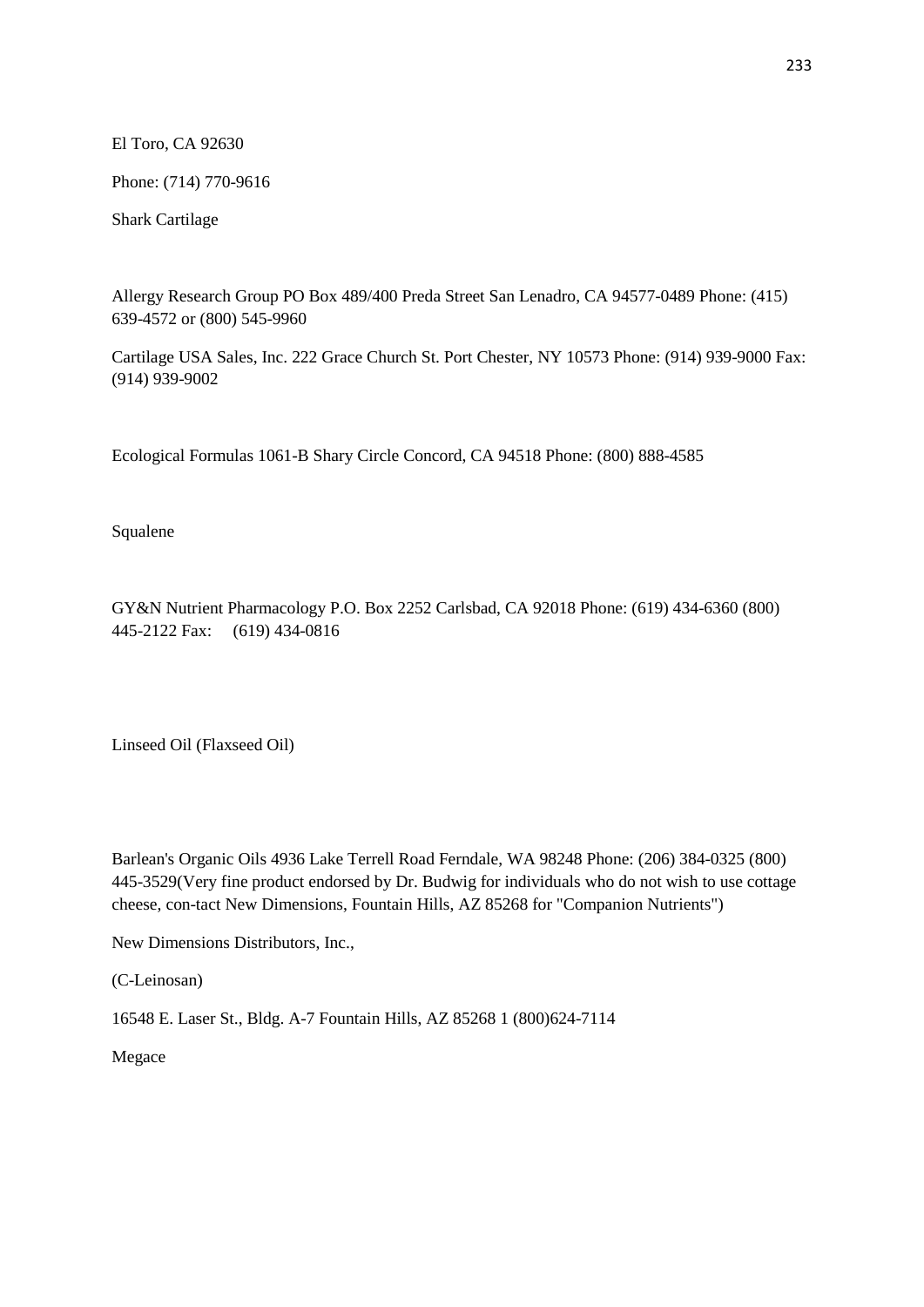El Toro, CA 92630

Phone: (714) 770-9616

Shark Cartilage

Allergy Research Group PO Box 489/400 Preda Street San Lenadro, CA 94577-0489 Phone: (415) 639-4572 or (800) 545-9960

Cartilage USA Sales, Inc. 222 Grace Church St. Port Chester, NY 10573 Phone: (914) 939-9000 Fax: (914) 939-9002

Ecological Formulas 1061-B Shary Circle Concord, CA 94518 Phone: (800) 888-4585

Squalene

GY&N Nutrient Pharmacology P.O. Box 2252 Carlsbad, CA 92018 Phone: (619) 434-6360 (800) 445-2122 Fax: (619) 434-0816

Linseed Oil (Flaxseed Oil)

Barlean's Organic Oils 4936 Lake Terrell Road Ferndale, WA 98248 Phone: (206) 384-0325 (800) 445-3529(Very fine product endorsed by Dr. Budwig for individuals who do not wish to use cottage cheese, con-tact New Dimensions, Fountain Hills, AZ 85268 for "Companion Nutrients")

New Dimensions Distributors, Inc.,

(C-Leinosan)

16548 E. Laser St., Bldg. A-7 Fountain Hills, AZ 85268 1 (800)624-7114

Megace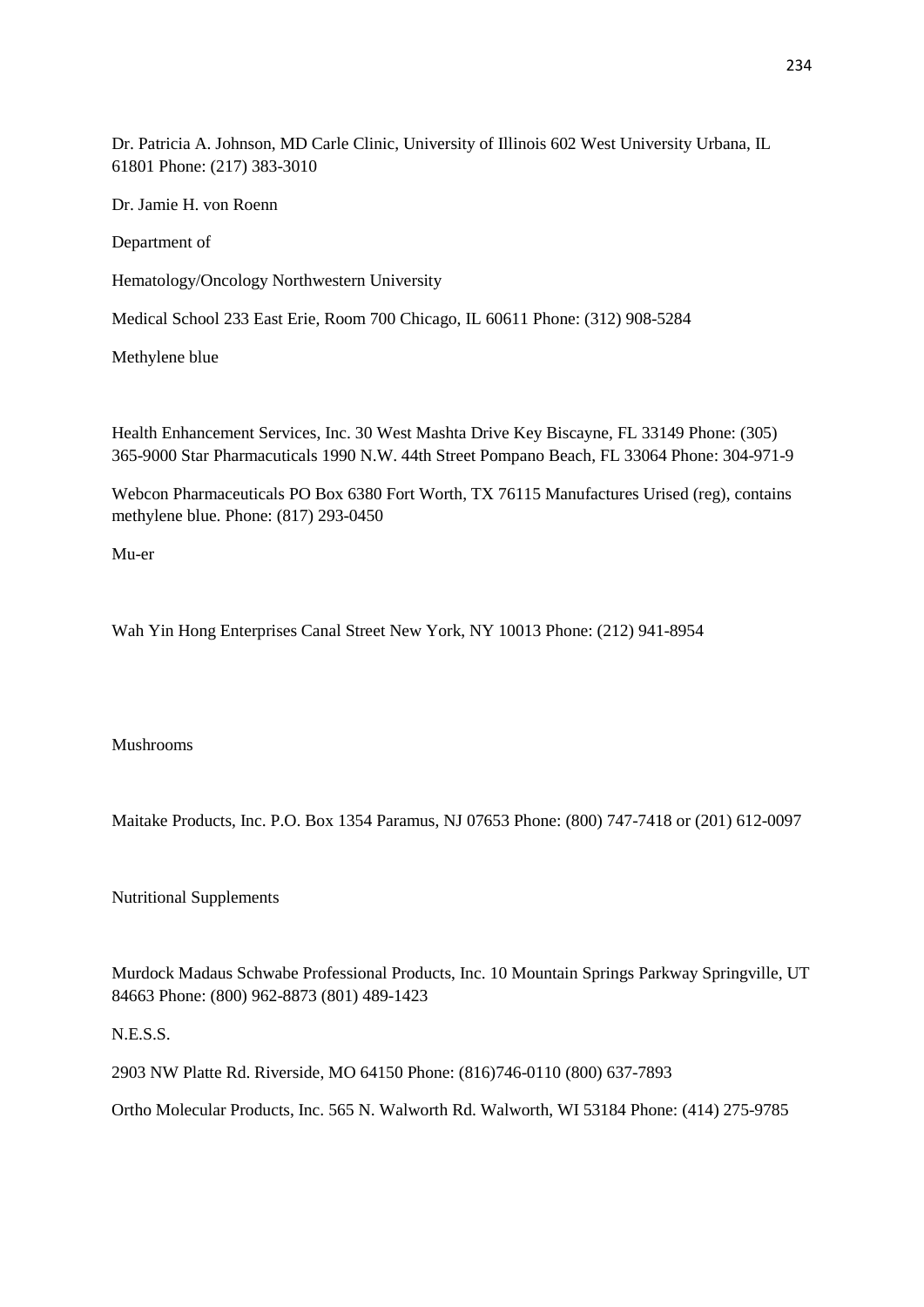Dr. Patricia A. Johnson, MD Carle Clinic, University of Illinois 602 West University Urbana, IL 61801 Phone: (217) 383-3010

Dr. Jamie H. von Roenn

Department of

Hematology/Oncology Northwestern University

Medical School 233 East Erie, Room 700 Chicago, IL 60611 Phone: (312) 908-5284

Methylene blue

Health Enhancement Services, Inc. 30 West Mashta Drive Key Biscayne, FL 33149 Phone: (305) 365-9000 Star Pharmacuticals 1990 N.W. 44th Street Pompano Beach, FL 33064 Phone: 304-971-9

Webcon Pharmaceuticals PO Box 6380 Fort Worth, TX 76115 Manufactures Urised (reg), contains methylene blue. Phone: (817) 293-0450

Mu-er

Wah Yin Hong Enterprises Canal Street New York, NY 10013 Phone: (212) 941-8954

Mushrooms

Maitake Products, Inc. P.O. Box 1354 Paramus, NJ 07653 Phone: (800) 747-7418 or (201) 612-0097

Nutritional Supplements

Murdock Madaus Schwabe Professional Products, Inc. 10 Mountain Springs Parkway Springville, UT 84663 Phone: (800) 962-8873 (801) 489-1423

N.E.S.S.

2903 NW Platte Rd. Riverside, MO 64150 Phone: (816)746-0110 (800) 637-7893

Ortho Molecular Products, Inc. 565 N. Walworth Rd. Walworth, WI 53184 Phone: (414) 275-9785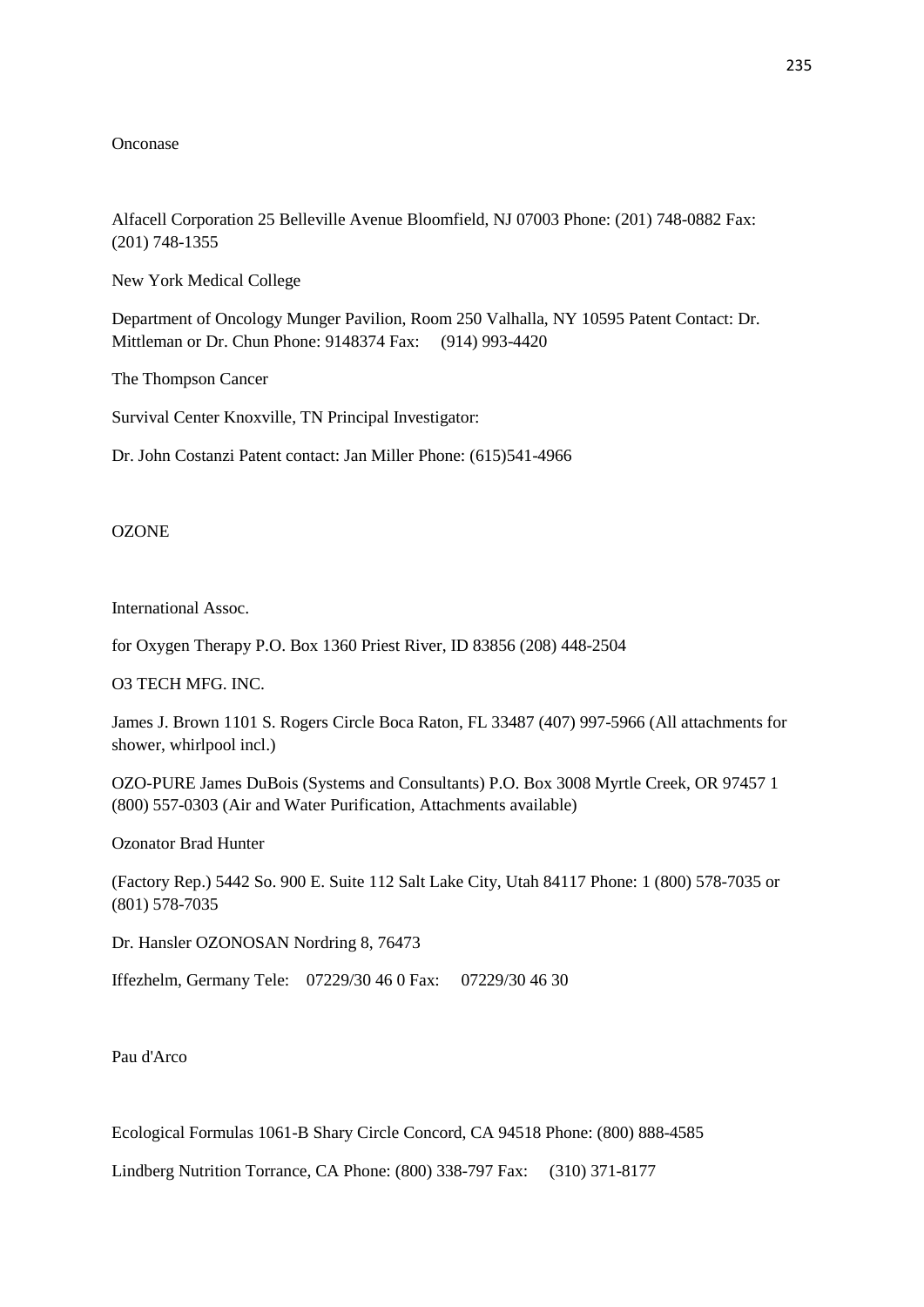#### Onconase

Alfacell Corporation 25 Belleville Avenue Bloomfield, NJ 07003 Phone: (201) 748-0882 Fax: (201) 748-1355

New York Medical College

Department of Oncology Munger Pavilion, Room 250 Valhalla, NY 10595 Patent Contact: Dr. Mittleman or Dr. Chun Phone: 9148374 Fax: (914) 993-4420

The Thompson Cancer

Survival Center Knoxville, TN Principal Investigator:

Dr. John Costanzi Patent contact: Jan Miller Phone: (615)541-4966

**OZONE** 

International Assoc.

for Oxygen Therapy P.O. Box 1360 Priest River, ID 83856 (208) 448-2504

O3 TECH MFG. INC.

James J. Brown 1101 S. Rogers Circle Boca Raton, FL 33487 (407) 997-5966 (All attachments for shower, whirlpool incl.)

OZO-PURE James DuBois (Systems and Consultants) P.O. Box 3008 Myrtle Creek, OR 97457 1 (800) 557-0303 (Air and Water Purification, Attachments available)

Ozonator Brad Hunter

(Factory Rep.) 5442 So. 900 E. Suite 112 Salt Lake City, Utah 84117 Phone: 1 (800) 578-7035 or (801) 578-7035

Dr. Hansler OZONOSAN Nordring 8, 76473

Iffezhelm, Germany Tele: 07229/30 46 0 Fax: 07229/30 46 30

Pau d'Arco

Ecological Formulas 1061-B Shary Circle Concord, CA 94518 Phone: (800) 888-4585

Lindberg Nutrition Torrance, CA Phone: (800) 338-797 Fax: (310) 371-8177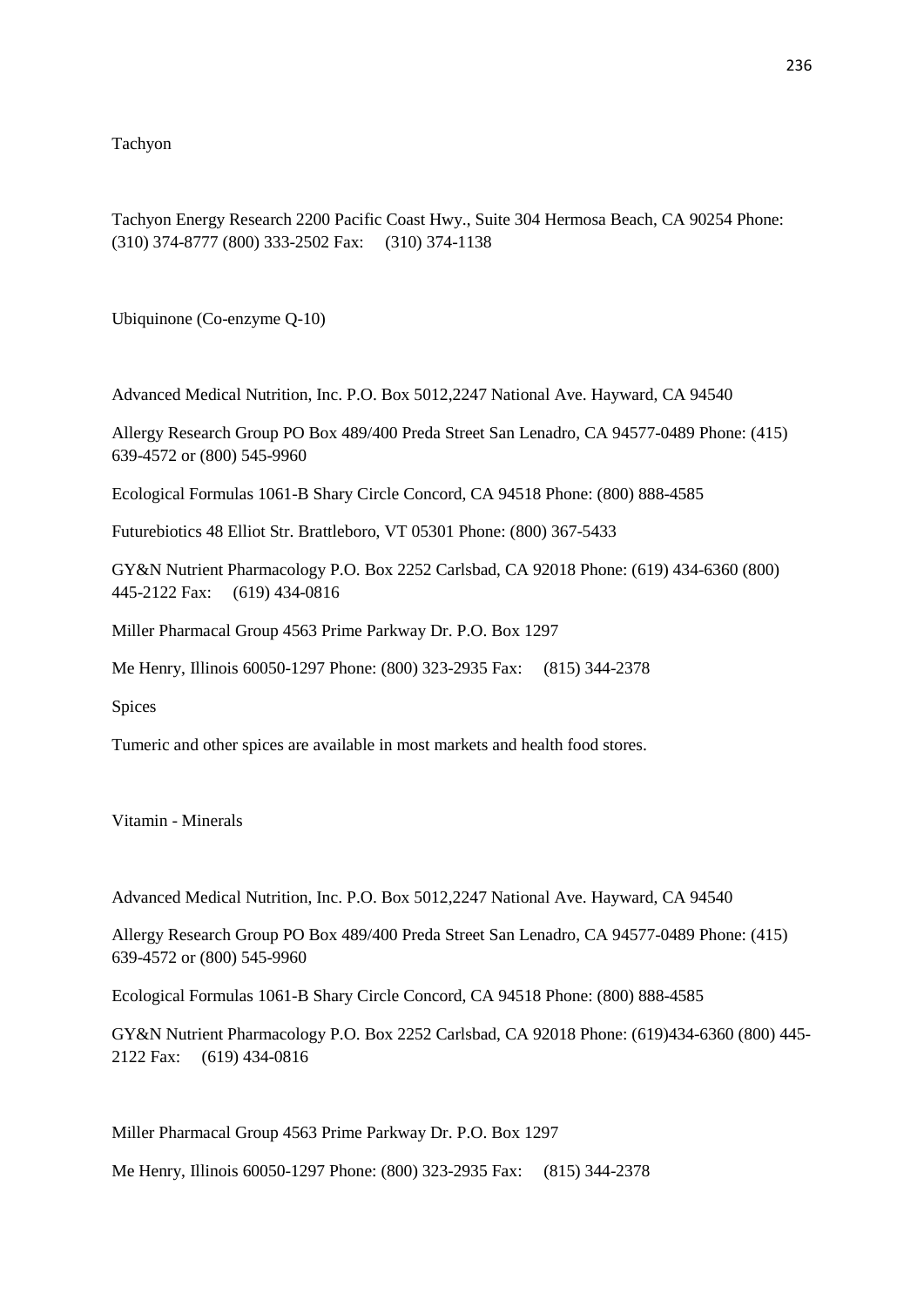Tachyon

Tachyon Energy Research 2200 Pacific Coast Hwy., Suite 304 Hermosa Beach, CA 90254 Phone: (310) 374-8777 (800) 333-2502 Fax: (310) 374-1138

Ubiquinone (Co-enzyme Q-10)

Advanced Medical Nutrition, Inc. P.O. Box 5012,2247 National Ave. Hayward, CA 94540

Allergy Research Group PO Box 489/400 Preda Street San Lenadro, CA 94577-0489 Phone: (415) 639-4572 or (800) 545-9960

Ecological Formulas 1061-B Shary Circle Concord, CA 94518 Phone: (800) 888-4585

Futurebiotics 48 Elliot Str. Brattleboro, VT 05301 Phone: (800) 367-5433

GY&N Nutrient Pharmacology P.O. Box 2252 Carlsbad, CA 92018 Phone: (619) 434-6360 (800) 445-2122 Fax: (619) 434-0816

Miller Pharmacal Group 4563 Prime Parkway Dr. P.O. Box 1297

Me Henry, Illinois 60050-1297 Phone: (800) 323-2935 Fax: (815) 344-2378

Spices

Tumeric and other spices are available in most markets and health food stores.

Vitamin - Minerals

Advanced Medical Nutrition, Inc. P.O. Box 5012,2247 National Ave. Hayward, CA 94540

Allergy Research Group PO Box 489/400 Preda Street San Lenadro, CA 94577-0489 Phone: (415) 639-4572 or (800) 545-9960

Ecological Formulas 1061-B Shary Circle Concord, CA 94518 Phone: (800) 888-4585

GY&N Nutrient Pharmacology P.O. Box 2252 Carlsbad, CA 92018 Phone: (619)434-6360 (800) 445- 2122 Fax: (619) 434-0816

Miller Pharmacal Group 4563 Prime Parkway Dr. P.O. Box 1297

Me Henry, Illinois 60050-1297 Phone: (800) 323-2935 Fax: (815) 344-2378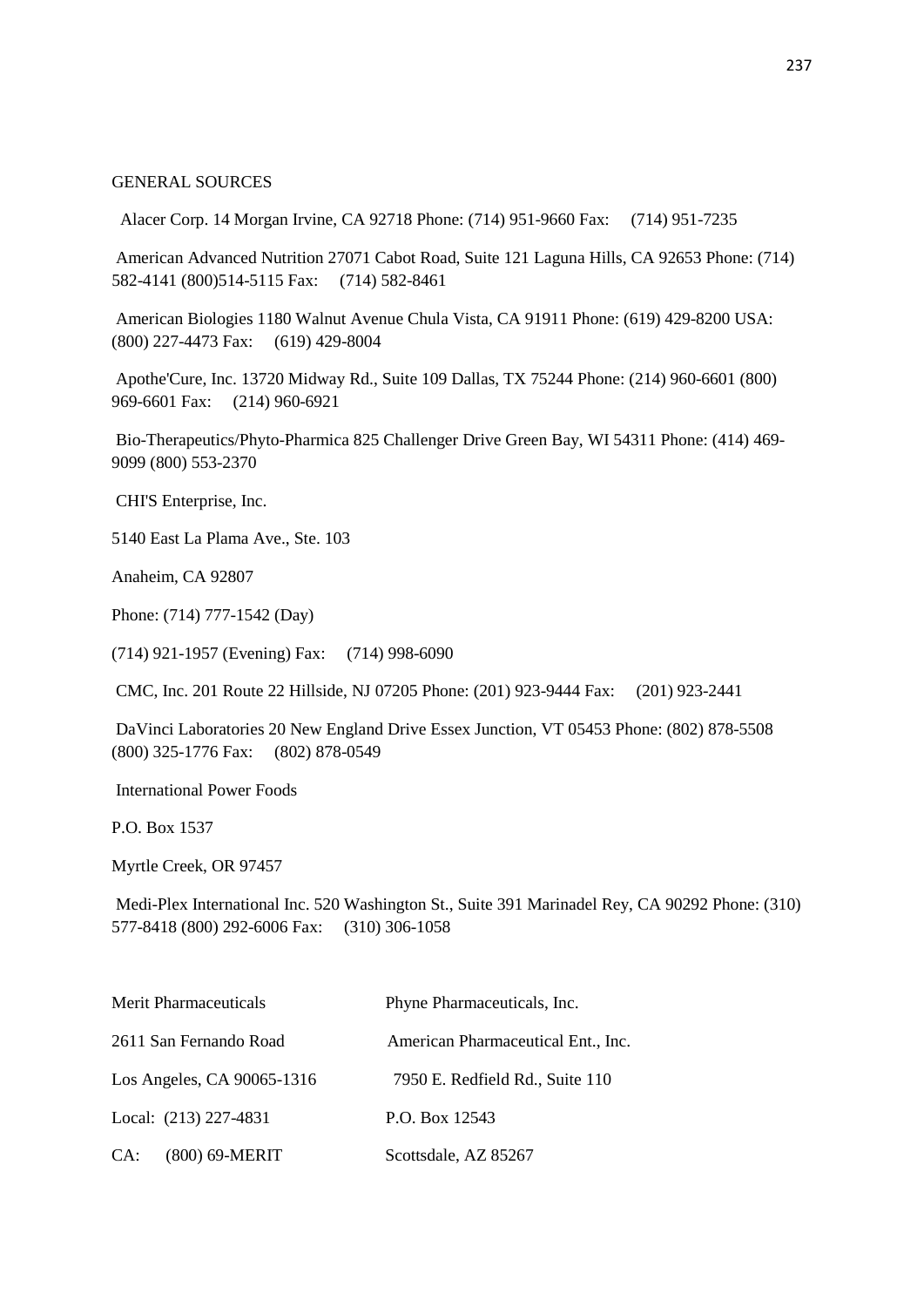#### GENERAL SOURCES

Alacer Corp. 14 Morgan Irvine, CA 92718 Phone: (714) 951-9660 Fax: (714) 951-7235

American Advanced Nutrition 27071 Cabot Road, Suite 121 Laguna Hills, CA 92653 Phone: (714) 582-4141 (800)514-5115 Fax: (714) 582-8461

American Biologies 1180 Walnut Avenue Chula Vista, CA 91911 Phone: (619) 429-8200 USA: (800) 227-4473 Fax: (619) 429-8004

Apothe'Cure, Inc. 13720 Midway Rd., Suite 109 Dallas, TX 75244 Phone: (214) 960-6601 (800) 969-6601 Fax: (214) 960-6921

Bio-Therapeutics/Phyto-Pharmica 825 Challenger Drive Green Bay, WI 54311 Phone: (414) 469- 9099 (800) 553-2370

CHI'S Enterprise, Inc.

5140 East La Plama Ave., Ste. 103

Anaheim, CA 92807

Phone: (714) 777-1542 (Day)

(714) 921-1957 (Evening) Fax: (714) 998-6090

CMC, Inc. 201 Route 22 Hillside, NJ 07205 Phone: (201) 923-9444 Fax: (201) 923-2441

DaVinci Laboratories 20 New England Drive Essex Junction, VT 05453 Phone: (802) 878-5508 (800) 325-1776 Fax: (802) 878-0549

International Power Foods

P.O. Box 1537

Myrtle Creek, OR 97457

Medi-Plex International Inc. 520 Washington St., Suite 391 Marinadel Rey, CA 90292 Phone: (310) 577-8418 (800) 292-6006 Fax: (310) 306-1058

| Merit Pharmaceuticals      | Phyne Pharmaceuticals, Inc.        |
|----------------------------|------------------------------------|
| 2611 San Fernando Road     | American Pharmaceutical Ent., Inc. |
| Los Angeles, CA 90065-1316 | 7950 E. Redfield Rd., Suite 110    |
| Local: (213) 227-4831      | P.O. Box 12543                     |
| (800) 69-MERIT<br>CA:      | Scottsdale, AZ 85267               |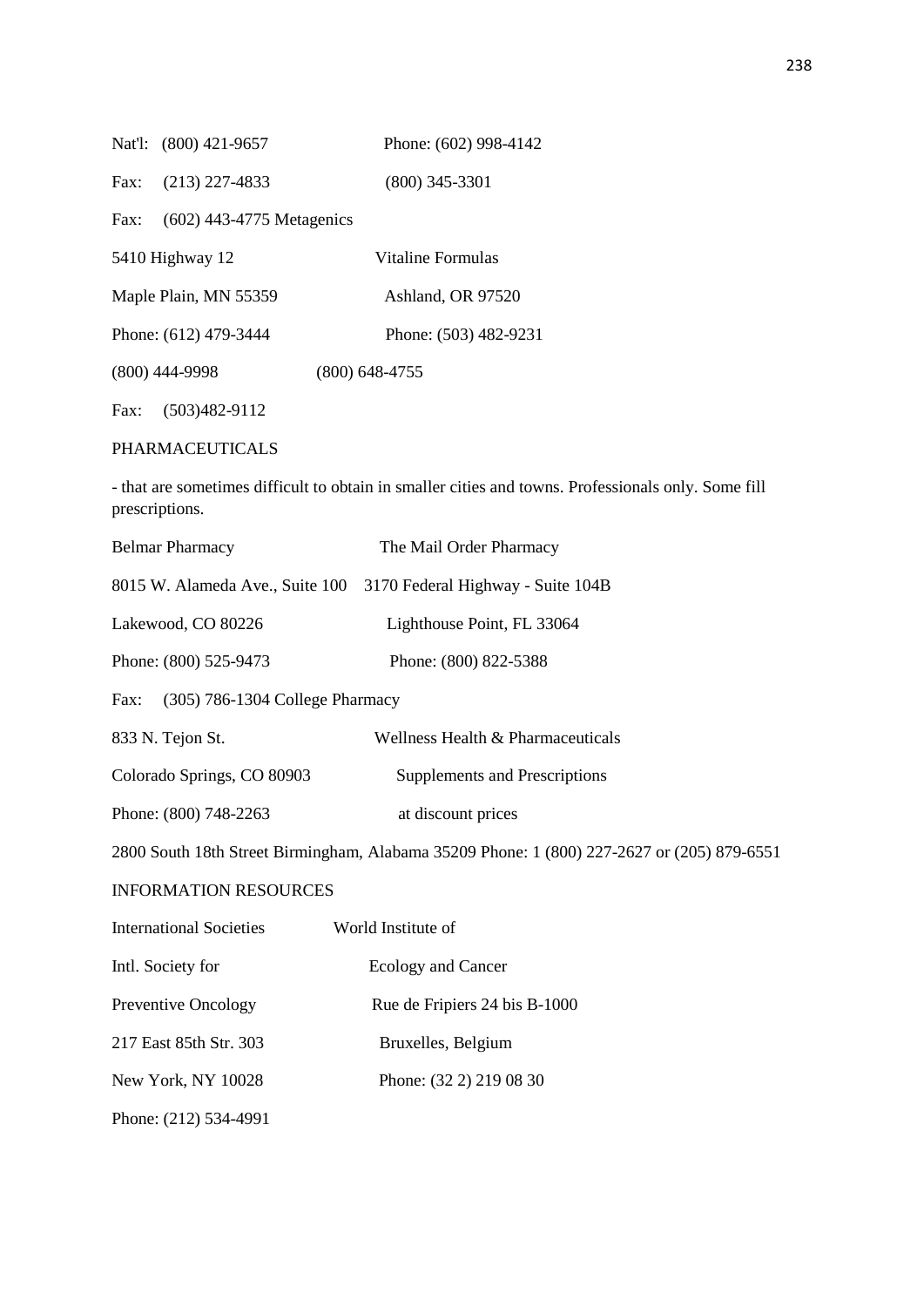|                                                                                            | Nat'l: (800) 421-9657          | Phone: (602) 998-4142                                                                               |
|--------------------------------------------------------------------------------------------|--------------------------------|-----------------------------------------------------------------------------------------------------|
| Fax:                                                                                       | $(213)$ 227-4833               | $(800)$ 345-3301                                                                                    |
| Fax:                                                                                       | (602) 443-4775 Metagenics      |                                                                                                     |
|                                                                                            | 5410 Highway 12                | Vitaline Formulas                                                                                   |
|                                                                                            | Maple Plain, MN 55359          | Ashland, OR 97520                                                                                   |
|                                                                                            | Phone: (612) 479-3444          | Phone: (503) 482-9231                                                                               |
| $(800)$ 444-9998<br>$(800)$ 648-4755                                                       |                                |                                                                                                     |
| Fax:                                                                                       | $(503)482 - 9112$              |                                                                                                     |
|                                                                                            | <b>PHARMACEUTICALS</b>         |                                                                                                     |
|                                                                                            | prescriptions.                 | - that are sometimes difficult to obtain in smaller cities and towns. Professionals only. Some fill |
|                                                                                            | <b>Belmar Pharmacy</b>         | The Mail Order Pharmacy                                                                             |
| 8015 W. Alameda Ave., Suite 100<br>3170 Federal Highway - Suite 104B                       |                                |                                                                                                     |
|                                                                                            | Lakewood, CO 80226             | Lighthouse Point, FL 33064                                                                          |
|                                                                                            | Phone: (800) 525-9473          | Phone: (800) 822-5388                                                                               |
| Fax:<br>(305) 786-1304 College Pharmacy                                                    |                                |                                                                                                     |
|                                                                                            | 833 N. Tejon St.               | Wellness Health & Pharmaceuticals                                                                   |
|                                                                                            | Colorado Springs, CO 80903     | Supplements and Prescriptions                                                                       |
|                                                                                            | Phone: (800) 748-2263          | at discount prices                                                                                  |
| 2800 South 18th Street Birmingham, Alabama 35209 Phone: 1 (800) 227-2627 or (205) 879-6551 |                                |                                                                                                     |
|                                                                                            | <b>INFORMATION RESOURCES</b>   |                                                                                                     |
|                                                                                            | <b>International Societies</b> | World Institute of                                                                                  |
|                                                                                            | Intl. Society for              | Ecology and Cancer                                                                                  |
|                                                                                            | Preventive Oncology            | Rue de Fripiers 24 bis B-1000                                                                       |
|                                                                                            | 217 East 85th Str. 303         | Bruxelles, Belgium                                                                                  |
|                                                                                            | New York, NY 10028             | Phone: (32 2) 219 08 30                                                                             |
|                                                                                            | Phone: (212) 534-4991          |                                                                                                     |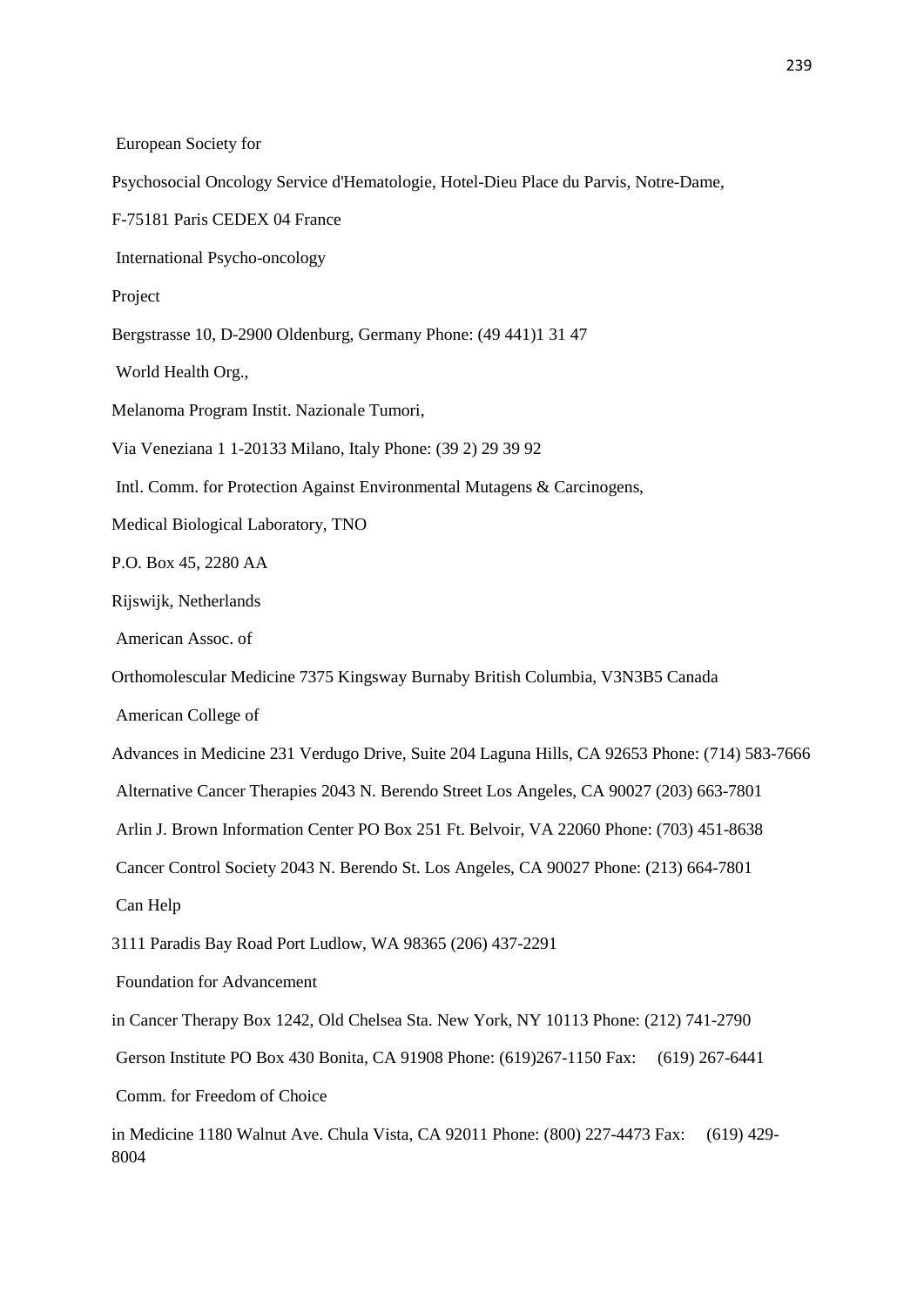European Society for

Psychosocial Oncology Service d'Hematologie, Hotel-Dieu Place du Parvis, Notre-Dame,

F-75181 Paris CEDEX 04 France

International Psycho-oncology

Project

Bergstrasse 10, D-2900 Oldenburg, Germany Phone: (49 441)1 31 47

World Health Org.,

Melanoma Program Instit. Nazionale Tumori,

Via Veneziana 1 1-20133 Milano, Italy Phone: (39 2) 29 39 92

Intl. Comm. for Protection Against Environmental Mutagens & Carcinogens,

Medical Biological Laboratory, TNO

P.O. Box 45, 2280 AA

Rijswijk, Netherlands

American Assoc. of

Orthomolescular Medicine 7375 Kingsway Burnaby British Columbia, V3N3B5 Canada

American College of

Advances in Medicine 231 Verdugo Drive, Suite 204 Laguna Hills, CA 92653 Phone: (714) 583-7666

Alternative Cancer Therapies 2043 N. Berendo Street Los Angeles, CA 90027 (203) 663-7801

Arlin J. Brown Information Center PO Box 251 Ft. Belvoir, VA 22060 Phone: (703) 451-8638

Cancer Control Society 2043 N. Berendo St. Los Angeles, CA 90027 Phone: (213) 664-7801

Can Help

3111 Paradis Bay Road Port Ludlow, WA 98365 (206) 437-2291

Foundation for Advancement

in Cancer Therapy Box 1242, Old Chelsea Sta. New York, NY 10113 Phone: (212) 741-2790

Gerson Institute PO Box 430 Bonita, CA 91908 Phone: (619)267-1150 Fax: (619) 267-6441

Comm. for Freedom of Choice

in Medicine 1180 Walnut Ave. Chula Vista, CA 92011 Phone: (800) 227-4473 Fax: (619) 429- 8004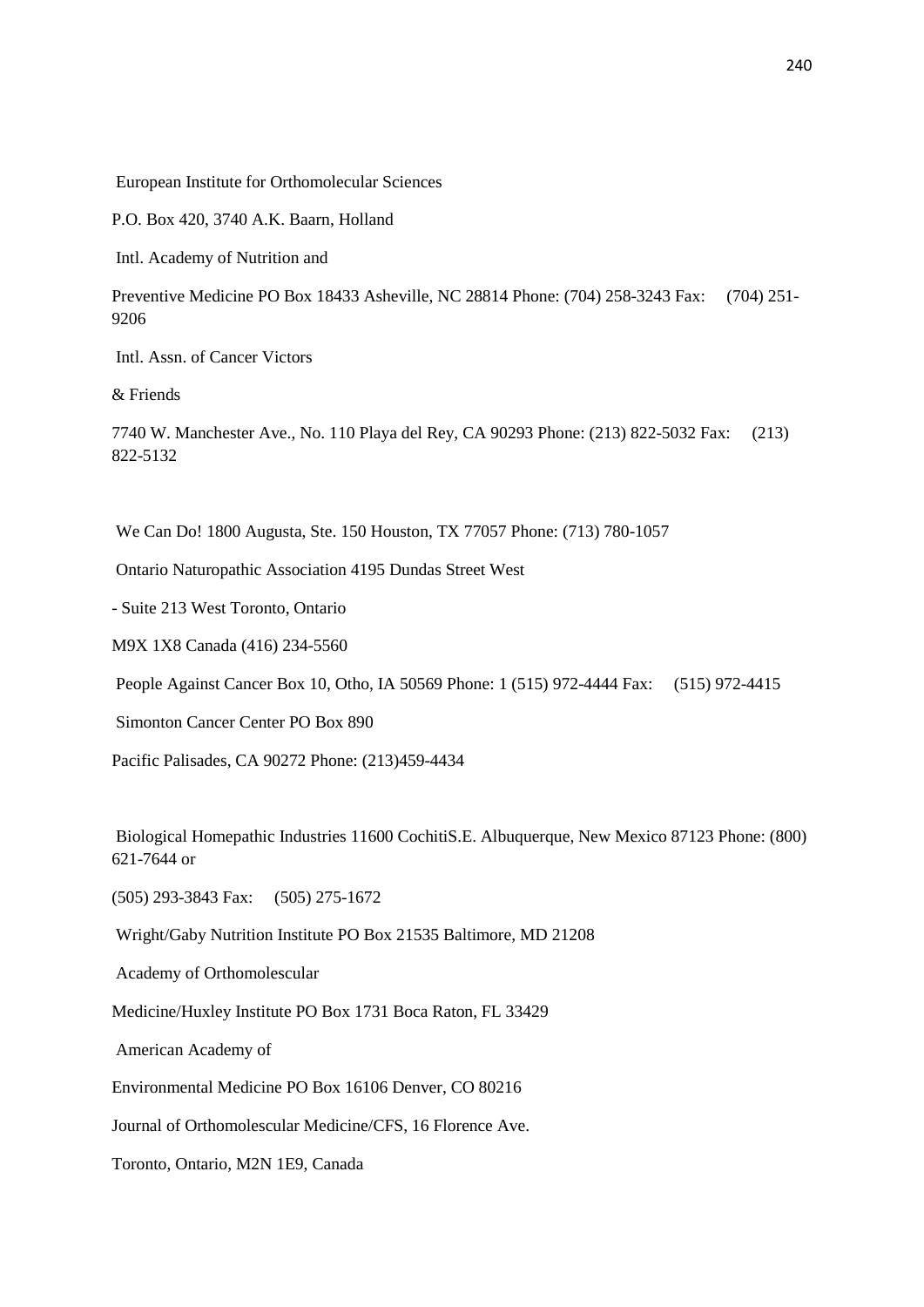European Institute for Orthomolecular Sciences

P.O. Box 420, 3740 A.K. Baarn, Holland

Intl. Academy of Nutrition and

Preventive Medicine PO Box 18433 Asheville, NC 28814 Phone: (704) 258-3243 Fax: (704) 251- 9206

Intl. Assn. of Cancer Victors

& Friends

7740 W. Manchester Ave., No. 110 Playa del Rey, CA 90293 Phone: (213) 822-5032 Fax: (213) 822-5132

We Can Do! 1800 Augusta, Ste. 150 Houston, TX 77057 Phone: (713) 780-1057

Ontario Naturopathic Association 4195 Dundas Street West

- Suite 213 West Toronto, Ontario

M9X 1X8 Canada (416) 234-5560

People Against Cancer Box 10, Otho, IA 50569 Phone: 1 (515) 972-4444 Fax: (515) 972-4415

Simonton Cancer Center PO Box 890

Pacific Palisades, CA 90272 Phone: (213)459-4434

Biological Homepathic Industries 11600 CochitiS.E. Albuquerque, New Mexico 87123 Phone: (800) 621-7644 or

(505) 293-3843 Fax: (505) 275-1672

Wright/Gaby Nutrition Institute PO Box 21535 Baltimore, MD 21208

Academy of Orthomolescular

Medicine/Huxley Institute PO Box 1731 Boca Raton, FL 33429

American Academy of

Environmental Medicine PO Box 16106 Denver, CO 80216

Journal of Orthomolescular Medicine/CFS, 16 Florence Ave.

Toronto, Ontario, M2N 1E9, Canada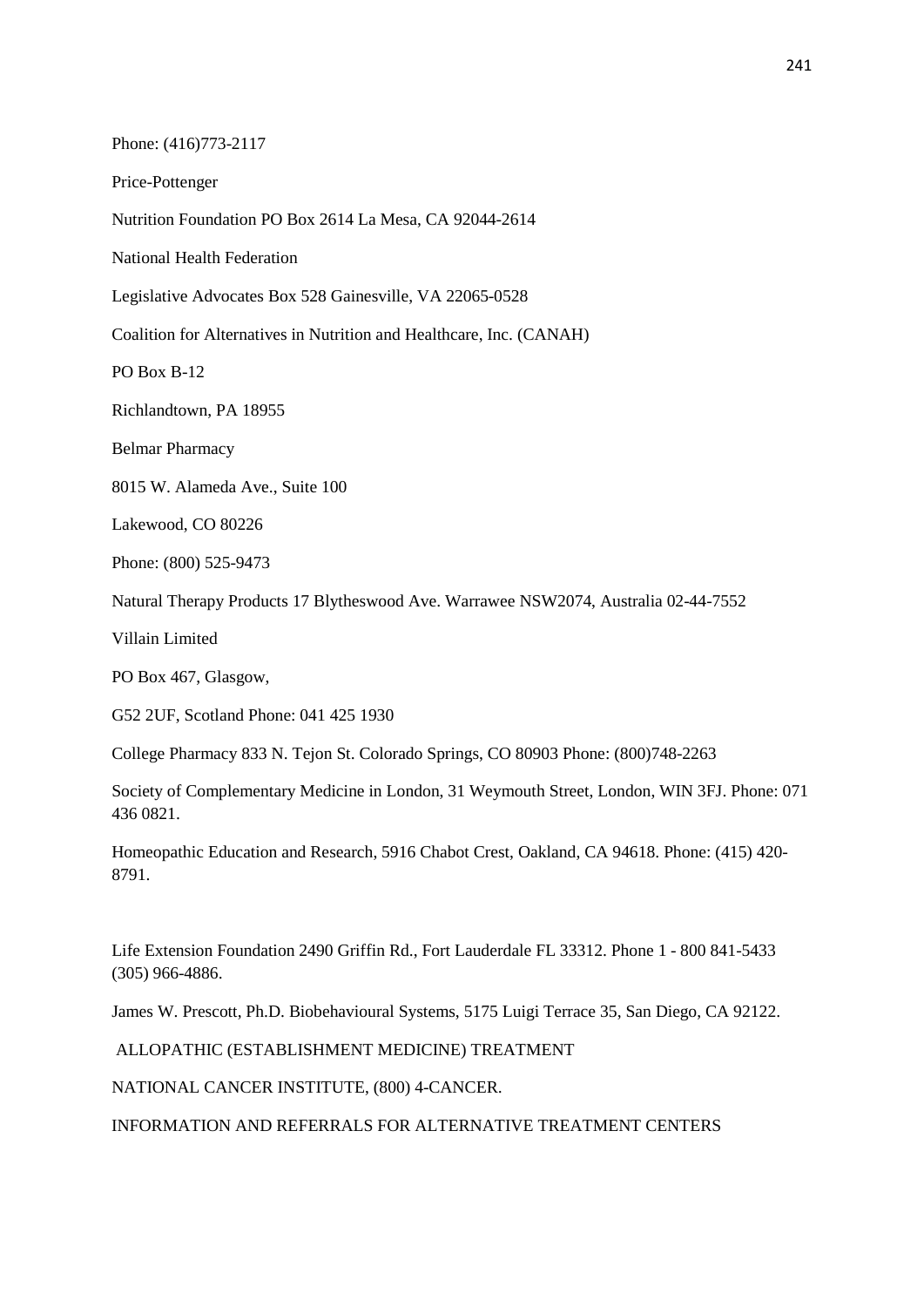Phone: (416)773-2117

Price-Pottenger

Nutrition Foundation PO Box 2614 La Mesa, CA 92044-2614

National Health Federation

Legislative Advocates Box 528 Gainesville, VA 22065-0528

Coalition for Alternatives in Nutrition and Healthcare, Inc. (CANAH)

PO Box B-12

Richlandtown, PA 18955

Belmar Pharmacy

8015 W. Alameda Ave., Suite 100

Lakewood, CO 80226

Phone: (800) 525-9473

Natural Therapy Products 17 Blytheswood Ave. Warrawee NSW2074, Australia 02-44-7552

Villain Limited

PO Box 467, Glasgow,

G52 2UF, Scotland Phone: 041 425 1930

College Pharmacy 833 N. Tejon St. Colorado Springs, CO 80903 Phone: (800)748-2263

Society of Complementary Medicine in London, 31 Weymouth Street, London, WIN 3FJ. Phone: 071 436 0821.

Homeopathic Education and Research, 5916 Chabot Crest, Oakland, CA 94618. Phone: (415) 420- 8791.

Life Extension Foundation 2490 Griffin Rd., Fort Lauderdale FL 33312. Phone 1 - 800 841-5433 (305) 966-4886.

James W. Prescott, Ph.D. Biobehavioural Systems, 5175 Luigi Terrace 35, San Diego, CA 92122.

ALLOPATHIC (ESTABLISHMENT MEDICINE) TREATMENT

NATIONAL CANCER INSTITUTE, (800) 4-CANCER.

INFORMATION AND REFERRALS FOR ALTERNATIVE TREATMENT CENTERS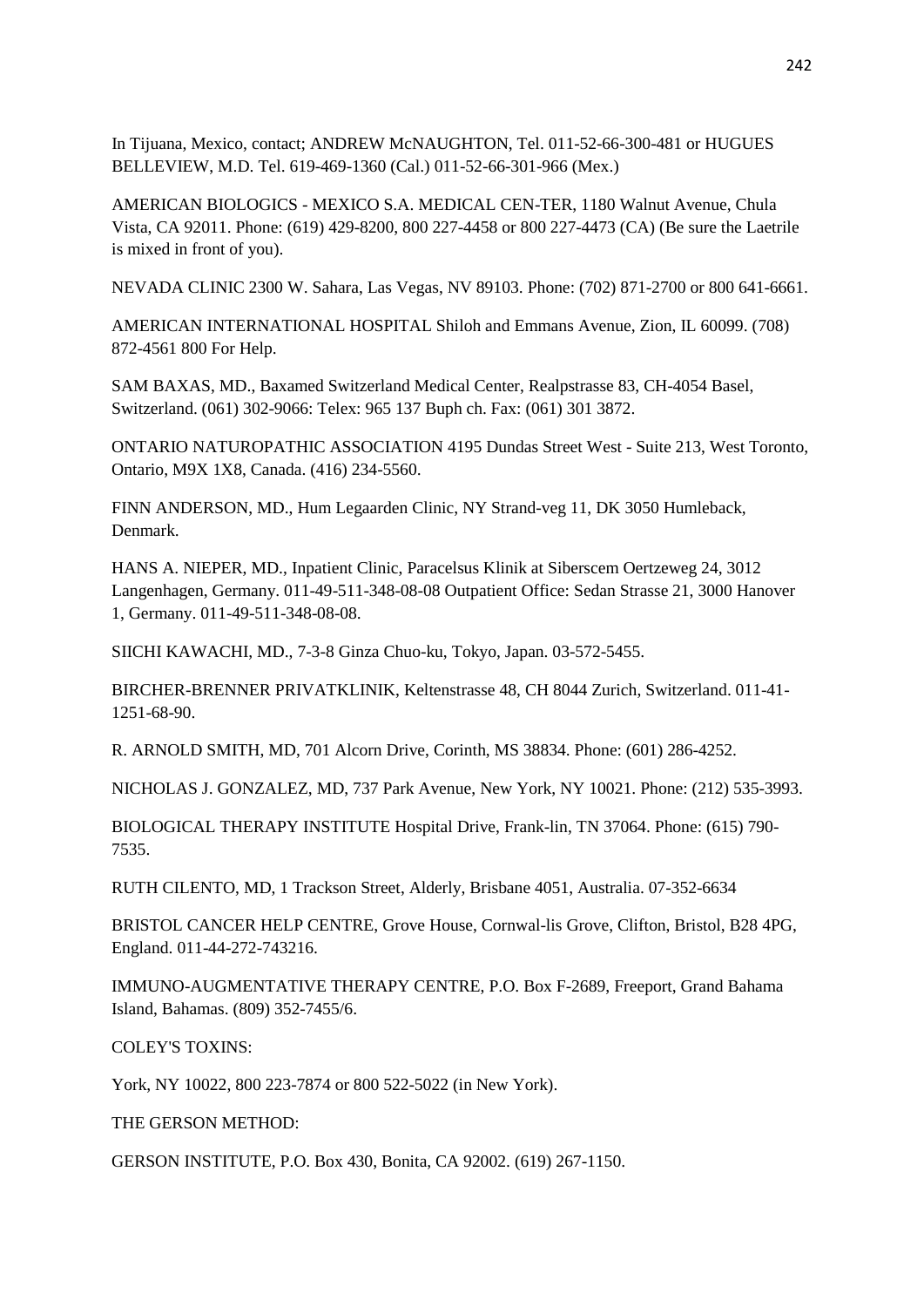In Tijuana, Mexico, contact; ANDREW McNAUGHTON, Tel. 011-52-66-300-481 or HUGUES BELLEVIEW, M.D. Tel. 619-469-1360 (Cal.) 011-52-66-301-966 (Mex.)

AMERICAN BIOLOGICS - MEXICO S.A. MEDICAL CEN-TER, 1180 Walnut Avenue, Chula Vista, CA 92011. Phone: (619) 429-8200, 800 227-4458 or 800 227-4473 (CA) (Be sure the Laetrile is mixed in front of you).

NEVADA CLINIC 2300 W. Sahara, Las Vegas, NV 89103. Phone: (702) 871-2700 or 800 641-6661.

AMERICAN INTERNATIONAL HOSPITAL Shiloh and Emmans Avenue, Zion, IL 60099. (708) 872-4561 800 For Help.

SAM BAXAS, MD., Baxamed Switzerland Medical Center, Realpstrasse 83, CH-4054 Basel, Switzerland. (061) 302-9066: Telex: 965 137 Buph ch. Fax: (061) 301 3872.

ONTARIO NATUROPATHIC ASSOCIATION 4195 Dundas Street West - Suite 213, West Toronto, Ontario, M9X 1X8, Canada. (416) 234-5560.

FINN ANDERSON, MD., Hum Legaarden Clinic, NY Strand-veg 11, DK 3050 Humleback, Denmark.

HANS A. NIEPER, MD., Inpatient Clinic, Paracelsus Klinik at Siberscem Oertzeweg 24, 3012 Langenhagen, Germany. 011-49-511-348-08-08 Outpatient Office: Sedan Strasse 21, 3000 Hanover 1, Germany. 011-49-511-348-08-08.

SIICHI KAWACHI, MD., 7-3-8 Ginza Chuo-ku, Tokyo, Japan. 03-572-5455.

BIRCHER-BRENNER PRIVATKLINIK, Keltenstrasse 48, CH 8044 Zurich, Switzerland. 011-41- 1251-68-90.

R. ARNOLD SMITH, MD, 701 Alcorn Drive, Corinth, MS 38834. Phone: (601) 286-4252.

NICHOLAS J. GONZALEZ, MD, 737 Park Avenue, New York, NY 10021. Phone: (212) 535-3993.

BIOLOGICAL THERAPY INSTITUTE Hospital Drive, Frank-lin, TN 37064. Phone: (615) 790- 7535.

RUTH CILENTO, MD, 1 Trackson Street, Alderly, Brisbane 4051, Australia. 07-352-6634

BRISTOL CANCER HELP CENTRE, Grove House, Cornwal-lis Grove, Clifton, Bristol, B28 4PG, England. 011-44-272-743216.

IMMUNO-AUGMENTATIVE THERAPY CENTRE, P.O. Box F-2689, Freeport, Grand Bahama Island, Bahamas. (809) 352-7455/6.

COLEY'S TOXINS:

York, NY 10022, 800 223-7874 or 800 522-5022 (in New York).

THE GERSON METHOD:

GERSON INSTITUTE, P.O. Box 430, Bonita, CA 92002. (619) 267-1150.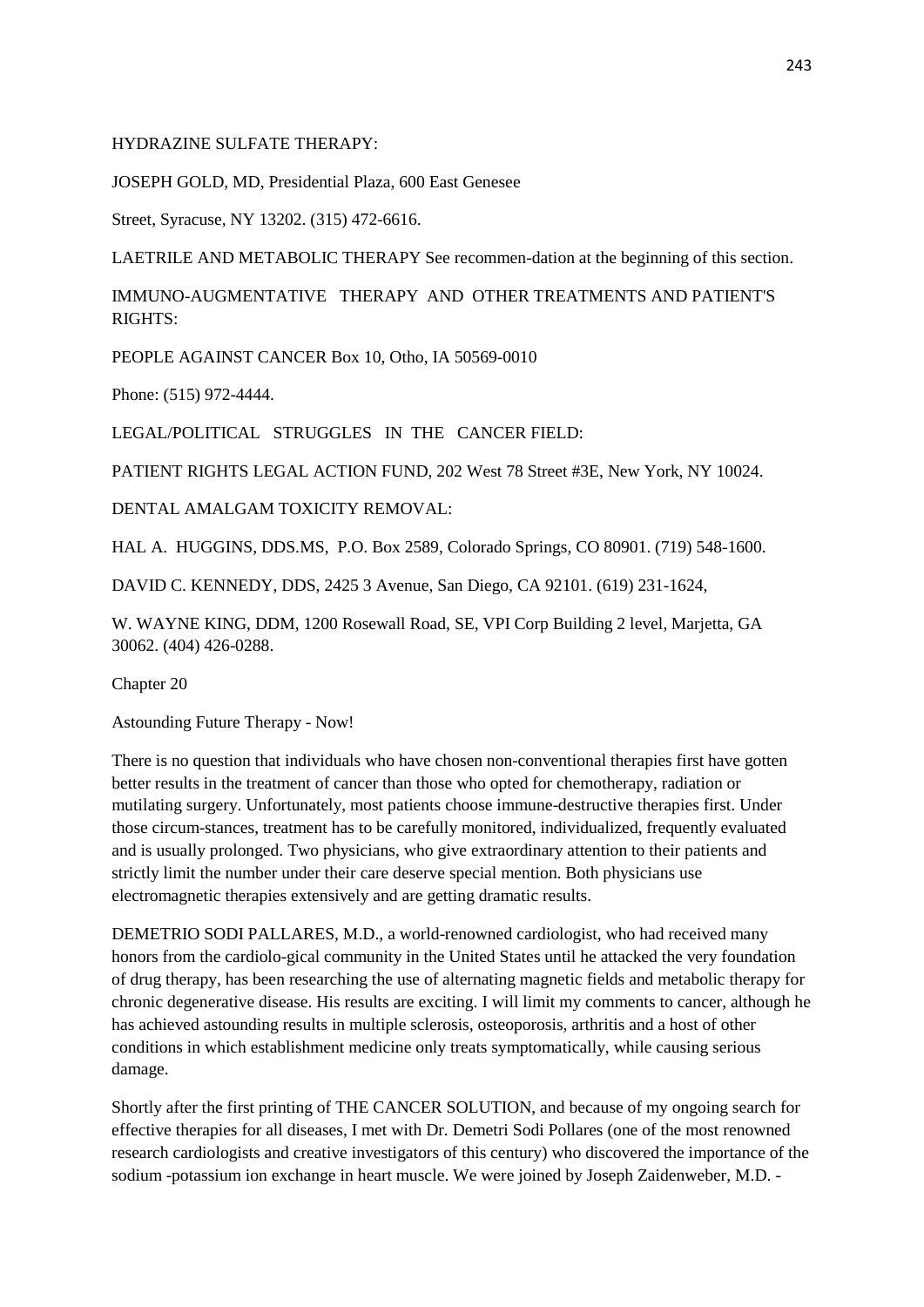## HYDRAZINE SULFATE THERAPY:

JOSEPH GOLD, MD, Presidential Plaza, 600 East Genesee

Street, Syracuse, NY 13202. (315) 472-6616.

LAETRILE AND METABOLIC THERAPY See recommen-dation at the beginning of this section.

IMMUNO-AUGMENTATIVE THERAPY AND OTHER TREATMENTS AND PATIENT'S RIGHTS:

PEOPLE AGAINST CANCER Box 10, Otho, IA 50569-0010

Phone: (515) 972-4444.

LEGAL/POLITICAL STRUGGLES IN THE CANCER FIELD:

PATIENT RIGHTS LEGAL ACTION FUND, 202 West 78 Street #3E, New York, NY 10024.

DENTAL AMALGAM TOXICITY REMOVAL:

HAL A. HUGGINS, DDS.MS, P.O. Box 2589, Colorado Springs, CO 80901. (719) 548-1600.

DAVID C. KENNEDY, DDS, 2425 3 Avenue, San Diego, CA 92101. (619) 231-1624,

W. WAYNE KING, DDM, 1200 Rosewall Road, SE, VPI Corp Building 2 level, Marjetta, GA 30062. (404) 426-0288.

Chapter 20

Astounding Future Therapy - Now!

There is no question that individuals who have chosen non-conventional therapies first have gotten better results in the treatment of cancer than those who opted for chemotherapy, radiation or mutilating surgery. Unfortunately, most patients choose immune-destructive therapies first. Under those circum-stances, treatment has to be carefully monitored, individualized, frequently evaluated and is usually prolonged. Two physicians, who give extraordinary attention to their patients and strictly limit the number under their care deserve special mention. Both physicians use electromagnetic therapies extensively and are getting dramatic results.

DEMETRIO SODI PALLARES, M.D., a world-renowned cardiologist, who had received many honors from the cardiolo-gical community in the United States until he attacked the very foundation of drug therapy, has been researching the use of alternating magnetic fields and metabolic therapy for chronic degenerative disease. His results are exciting. I will limit my comments to cancer, although he has achieved astounding results in multiple sclerosis, osteoporosis, arthritis and a host of other conditions in which establishment medicine only treats symptomatically, while causing serious damage.

Shortly after the first printing of THE CANCER SOLUTION, and because of my ongoing search for effective therapies for all diseases, I met with Dr. Demetri Sodi Pollares (one of the most renowned research cardiologists and creative investigators of this century) who discovered the importance of the sodium -potassium ion exchange in heart muscle. We were joined by Joseph Zaidenweber, M.D. -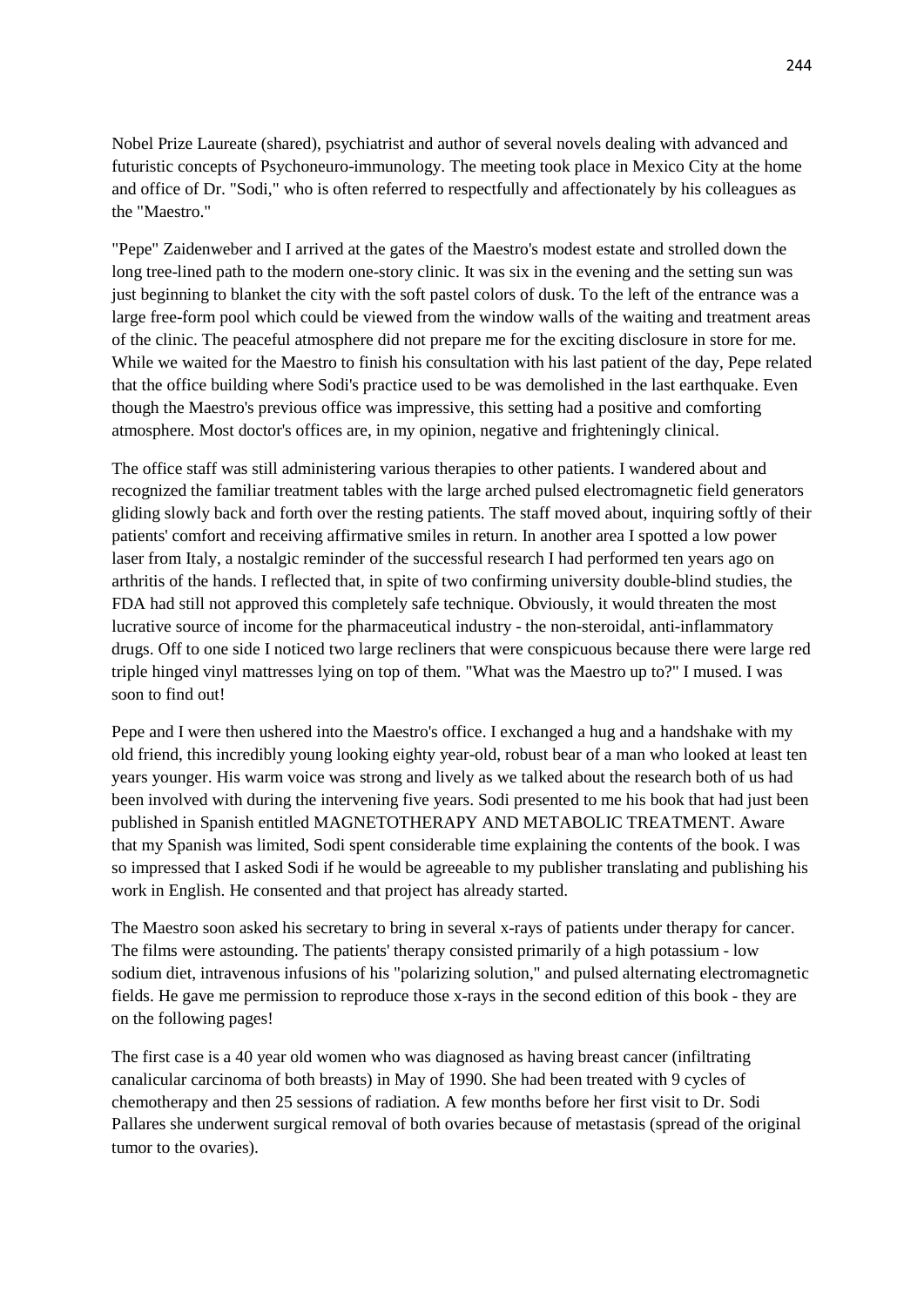Nobel Prize Laureate (shared), psychiatrist and author of several novels dealing with advanced and futuristic concepts of Psychoneuro-immunology. The meeting took place in Mexico City at the home and office of Dr. "Sodi," who is often referred to respectfully and affectionately by his colleagues as the "Maestro."

"Pepe" Zaidenweber and I arrived at the gates of the Maestro's modest estate and strolled down the long tree-lined path to the modern one-story clinic. It was six in the evening and the setting sun was just beginning to blanket the city with the soft pastel colors of dusk. To the left of the entrance was a large free-form pool which could be viewed from the window walls of the waiting and treatment areas of the clinic. The peaceful atmosphere did not prepare me for the exciting disclosure in store for me. While we waited for the Maestro to finish his consultation with his last patient of the day, Pepe related that the office building where Sodi's practice used to be was demolished in the last earthquake. Even though the Maestro's previous office was impressive, this setting had a positive and comforting atmosphere. Most doctor's offices are, in my opinion, negative and frighteningly clinical.

The office staff was still administering various therapies to other patients. I wandered about and recognized the familiar treatment tables with the large arched pulsed electromagnetic field generators gliding slowly back and forth over the resting patients. The staff moved about, inquiring softly of their patients' comfort and receiving affirmative smiles in return. In another area I spotted a low power laser from Italy, a nostalgic reminder of the successful research I had performed ten years ago on arthritis of the hands. I reflected that, in spite of two confirming university double-blind studies, the FDA had still not approved this completely safe technique. Obviously, it would threaten the most lucrative source of income for the pharmaceutical industry - the non-steroidal, anti-inflammatory drugs. Off to one side I noticed two large recliners that were conspicuous because there were large red triple hinged vinyl mattresses lying on top of them. "What was the Maestro up to?" I mused. I was soon to find out!

Pepe and I were then ushered into the Maestro's office. I exchanged a hug and a handshake with my old friend, this incredibly young looking eighty year-old, robust bear of a man who looked at least ten years younger. His warm voice was strong and lively as we talked about the research both of us had been involved with during the intervening five years. Sodi presented to me his book that had just been published in Spanish entitled MAGNETOTHERAPY AND METABOLIC TREATMENT. Aware that my Spanish was limited, Sodi spent considerable time explaining the contents of the book. I was so impressed that I asked Sodi if he would be agreeable to my publisher translating and publishing his work in English. He consented and that project has already started.

The Maestro soon asked his secretary to bring in several x-rays of patients under therapy for cancer. The films were astounding. The patients' therapy consisted primarily of a high potassium - low sodium diet, intravenous infusions of his "polarizing solution," and pulsed alternating electromagnetic fields. He gave me permission to reproduce those x-rays in the second edition of this book - they are on the following pages!

The first case is a 40 year old women who was diagnosed as having breast cancer (infiltrating canalicular carcinoma of both breasts) in May of 1990. She had been treated with 9 cycles of chemotherapy and then 25 sessions of radiation. A few months before her first visit to Dr. Sodi Pallares she underwent surgical removal of both ovaries because of metastasis (spread of the original tumor to the ovaries).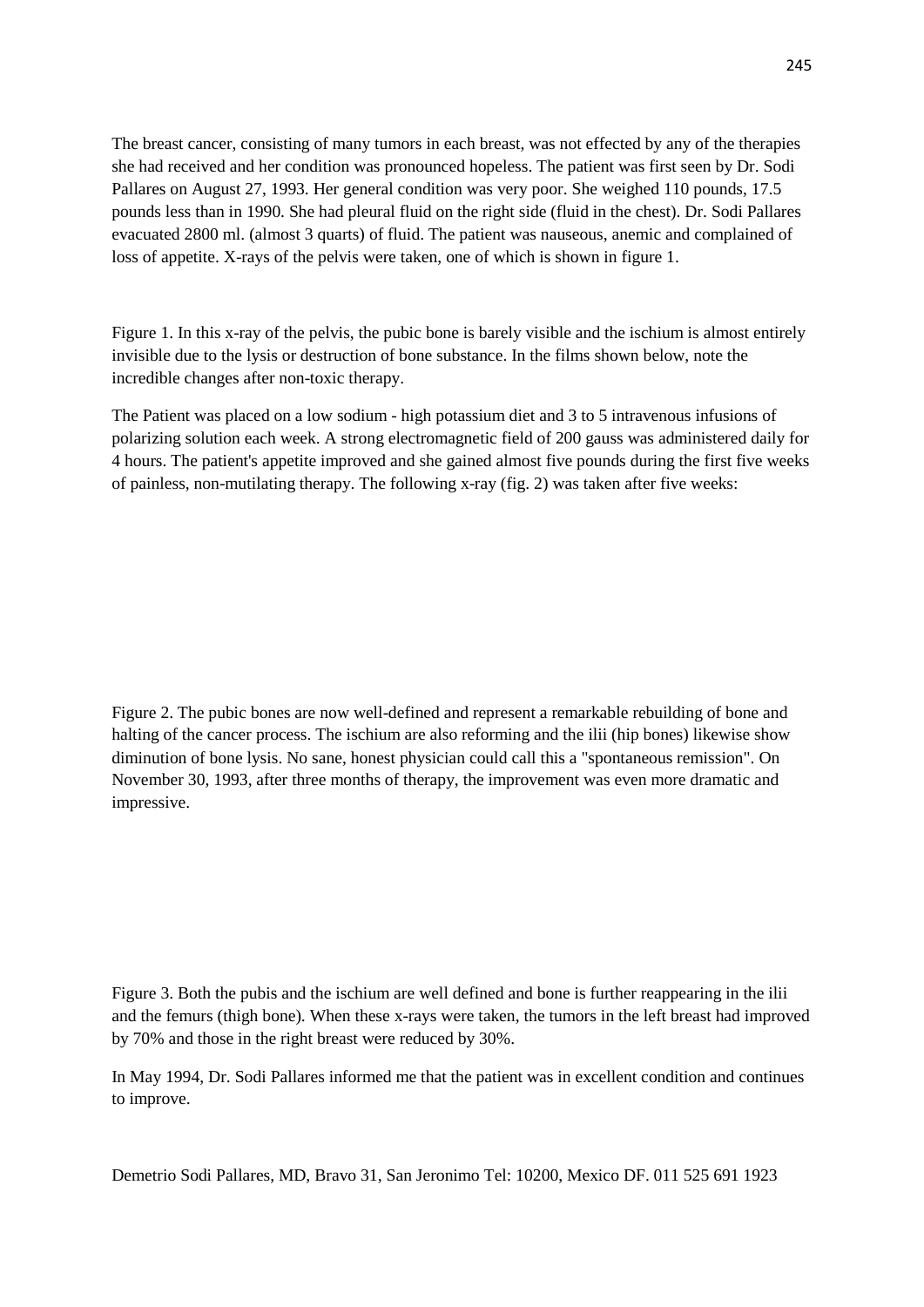The breast cancer, consisting of many tumors in each breast, was not effected by any of the therapies she had received and her condition was pronounced hopeless. The patient was first seen by Dr. Sodi Pallares on August 27, 1993. Her general condition was very poor. She weighed 110 pounds, 17.5 pounds less than in 1990. She had pleural fluid on the right side (fluid in the chest). Dr. Sodi Pallares evacuated 2800 ml. (almost 3 quarts) of fluid. The patient was nauseous, anemic and complained of loss of appetite. X-rays of the pelvis were taken, one of which is shown in figure 1.

Figure 1. In this x-ray of the pelvis, the pubic bone is barely visible and the ischium is almost entirely invisible due to the lysis or destruction of bone substance. In the films shown below, note the incredible changes after non-toxic therapy.

The Patient was placed on a low sodium - high potassium diet and 3 to 5 intravenous infusions of polarizing solution each week. A strong electromagnetic field of 200 gauss was administered daily for 4 hours. The patient's appetite improved and she gained almost five pounds during the first five weeks of painless, non-mutilating therapy. The following x-ray (fig. 2) was taken after five weeks:

Figure 2. The pubic bones are now well-defined and represent a remarkable rebuilding of bone and halting of the cancer process. The ischium are also reforming and the ilii (hip bones) likewise show diminution of bone lysis. No sane, honest physician could call this a "spontaneous remission". On November 30, 1993, after three months of therapy, the improvement was even more dramatic and impressive.

Figure 3. Both the pubis and the ischium are well defined and bone is further reappearing in the ilii and the femurs (thigh bone). When these x-rays were taken, the tumors in the left breast had improved by 70% and those in the right breast were reduced by 30%.

In May 1994, Dr. Sodi Pallares informed me that the patient was in excellent condition and continues to improve.

Demetrio Sodi Pallares, MD, Bravo 31, San Jeronimo Tel: 10200, Mexico DF. 011 525 691 1923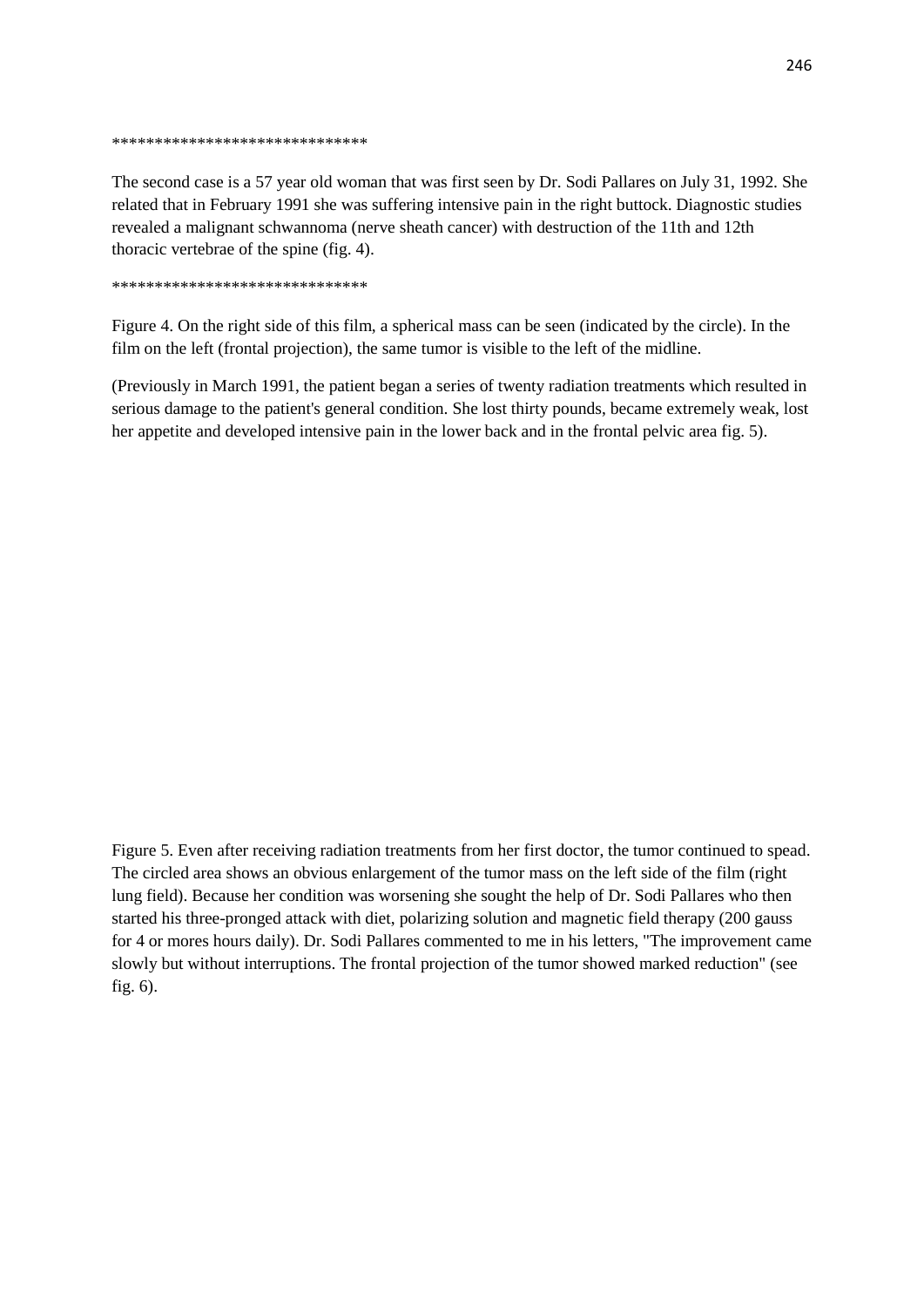\*\*\*\*\*\*\*\*\*\*\*\*\*\*\*\*\*\*\*\*\*\*\*\*\*\*\*\*\*\*

The second case is a 57 year old woman that was first seen by Dr. Sodi Pallares on July 31, 1992. She related that in February 1991 she was suffering intensive pain in the right buttock. Diagnostic studies revealed a malignant schwannoma (nerve sheath cancer) with destruction of the 11th and 12th thoracic vertebrae of the spine (fig. 4).

\*\*\*\*\*\*\*\*\*\*\*\*\*\*\*\*\*\*\*\*\*\*\*\*\*\*\*\*\*\*

Figure 4. On the right side of this film, a spherical mass can be seen (indicated by the circle). In the film on the left (frontal projection), the same tumor is visible to the left of the midline.

(Previously in March 1991, the patient began a series of twenty radiation treatments which resulted in serious damage to the patient's general condition. She lost thirty pounds, became extremely weak, lost her appetite and developed intensive pain in the lower back and in the frontal pelvic area fig. 5).

Figure 5. Even after receiving radiation treatments from her first doctor, the tumor continued to spead. The circled area shows an obvious enlargement of the tumor mass on the left side of the film (right lung field). Because her condition was worsening she sought the help of Dr. Sodi Pallares who then started his three-pronged attack with diet, polarizing solution and magnetic field therapy (200 gauss for 4 or mores hours daily). Dr. Sodi Pallares commented to me in his letters, "The improvement came slowly but without interruptions. The frontal projection of the tumor showed marked reduction" (see fig. 6).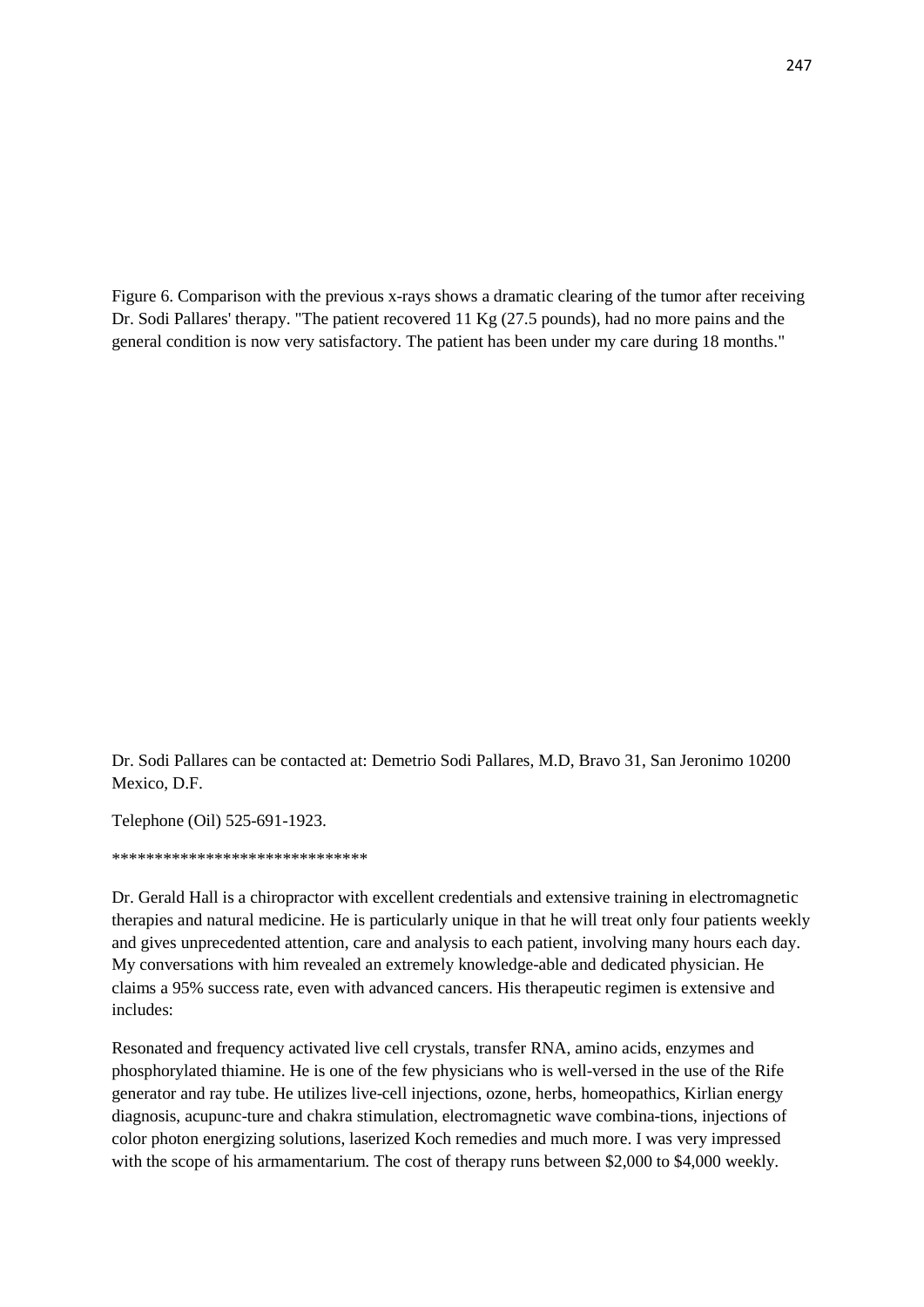Figure 6. Comparison with the previous x-rays shows a dramatic clearing of the tumor after receiving Dr. Sodi Pallares' therapy. "The patient recovered 11 Kg (27.5 pounds), had no more pains and the general condition is now very satisfactory. The patient has been under my care during 18 months."

Dr. Sodi Pallares can be contacted at: Demetrio Sodi Pallares, M.D, Bravo 31, San Jeronimo 10200 Mexico, D.F.

Telephone (Oil) 525-691-1923.

\*\*\*\*\*\*\*\*\*\*\*\*\*\*\*\*\*\*\*\*\*\*\*\*\*\*\*\*\*\*

Dr. Gerald Hall is a chiropractor with excellent credentials and extensive training in electromagnetic therapies and natural medicine. He is particularly unique in that he will treat only four patients weekly and gives unprecedented attention, care and analysis to each patient, involving many hours each day. My conversations with him revealed an extremely knowledge-able and dedicated physician. He claims a 95% success rate, even with advanced cancers. His therapeutic regimen is extensive and includes:

Resonated and frequency activated live cell crystals, transfer RNA, amino acids, enzymes and phosphorylated thiamine. He is one of the few physicians who is well-versed in the use of the Rife generator and ray tube. He utilizes live-cell injections, ozone, herbs, homeopathics, Kirlian energy diagnosis, acupunc-ture and chakra stimulation, electromagnetic wave combina-tions, injections of color photon energizing solutions, laserized Koch remedies and much more. I was very impressed with the scope of his armamentarium. The cost of therapy runs between \$2,000 to \$4,000 weekly.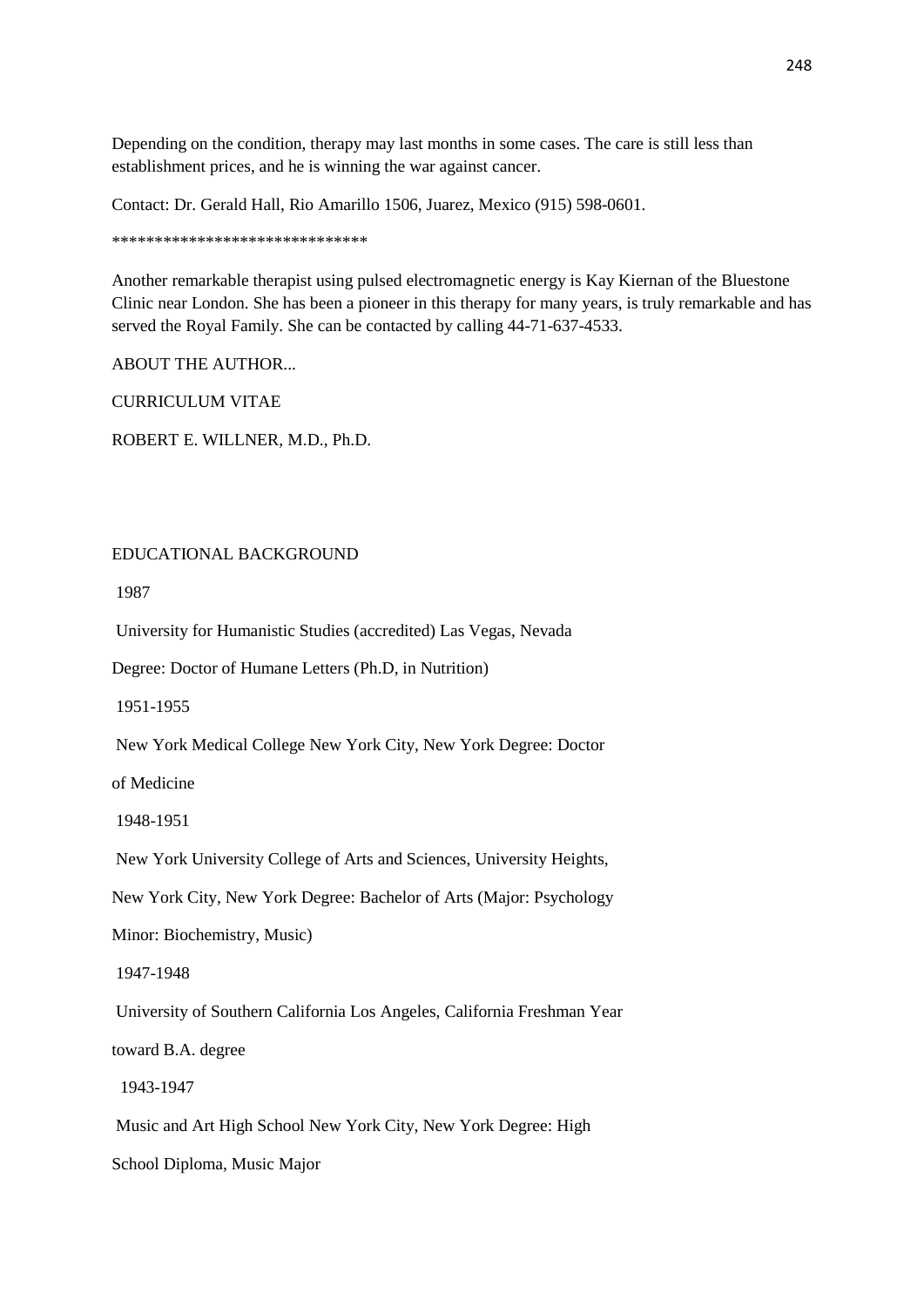Depending on the condition, therapy may last months in some cases. The care is still less than establishment prices, and he is winning the war against cancer.

Contact: Dr. Gerald Hall, Rio Amarillo 1506, Juarez, Mexico (915) 598-0601.

\*\*\*\*\*\*\*\*\*\*\*\*\*\*\*\*\*\*\*\*\*\*\*\*\*\*\*\*\*\*

Another remarkable therapist using pulsed electromagnetic energy is Kay Kiernan of the Bluestone Clinic near London. She has been a pioneer in this therapy for many years, is truly remarkable and has served the Royal Family. She can be contacted by calling 44-71-637-4533.

ABOUT THE AUTHOR...

CURRICULUM VITAE

ROBERT E. WILLNER, M.D., Ph.D.

## EDUCATIONAL BACKGROUND

1987

University for Humanistic Studies (accredited) Las Vegas, Nevada

Degree: Doctor of Humane Letters (Ph.D, in Nutrition)

1951-1955

New York Medical College New York City, New York Degree: Doctor

of Medicine

1948-1951

New York University College of Arts and Sciences, University Heights,

New York City, New York Degree: Bachelor of Arts (Major: Psychology

Minor: Biochemistry, Music)

1947-1948

University of Southern California Los Angeles, California Freshman Year

toward B.A. degree

1943-1947

Music and Art High School New York City, New York Degree: High

School Diploma, Music Major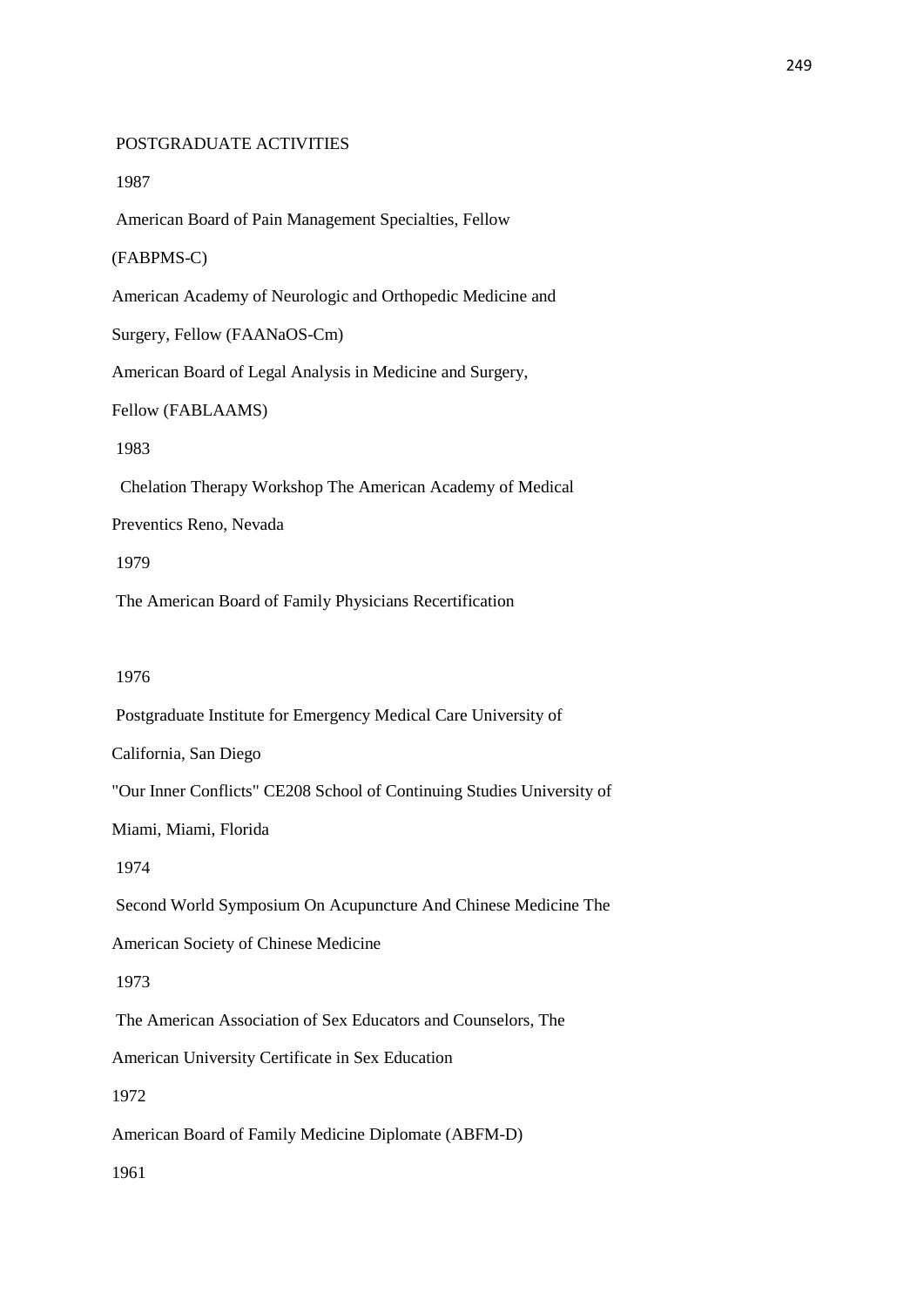#### POSTGRADUATE ACTIVITIES

1987

American Board of Pain Management Specialties, Fellow

#### (FABPMS-C)

American Academy of Neurologic and Orthopedic Medicine and

Surgery, Fellow (FAANaOS-Cm)

American Board of Legal Analysis in Medicine and Surgery,

Fellow (FABLAAMS)

#### 1983

Chelation Therapy Workshop The American Academy of Medical

Preventics Reno, Nevada

1979

The American Board of Family Physicians Recertification

### 1976

Postgraduate Institute for Emergency Medical Care University of

California, San Diego

"Our Inner Conflicts" CE208 School of Continuing Studies University of

Miami, Miami, Florida

1974

Second World Symposium On Acupuncture And Chinese Medicine The

American Society of Chinese Medicine

1973

The American Association of Sex Educators and Counselors, The

American University Certificate in Sex Education

1972

American Board of Family Medicine Diplomate (ABFM-D)

1961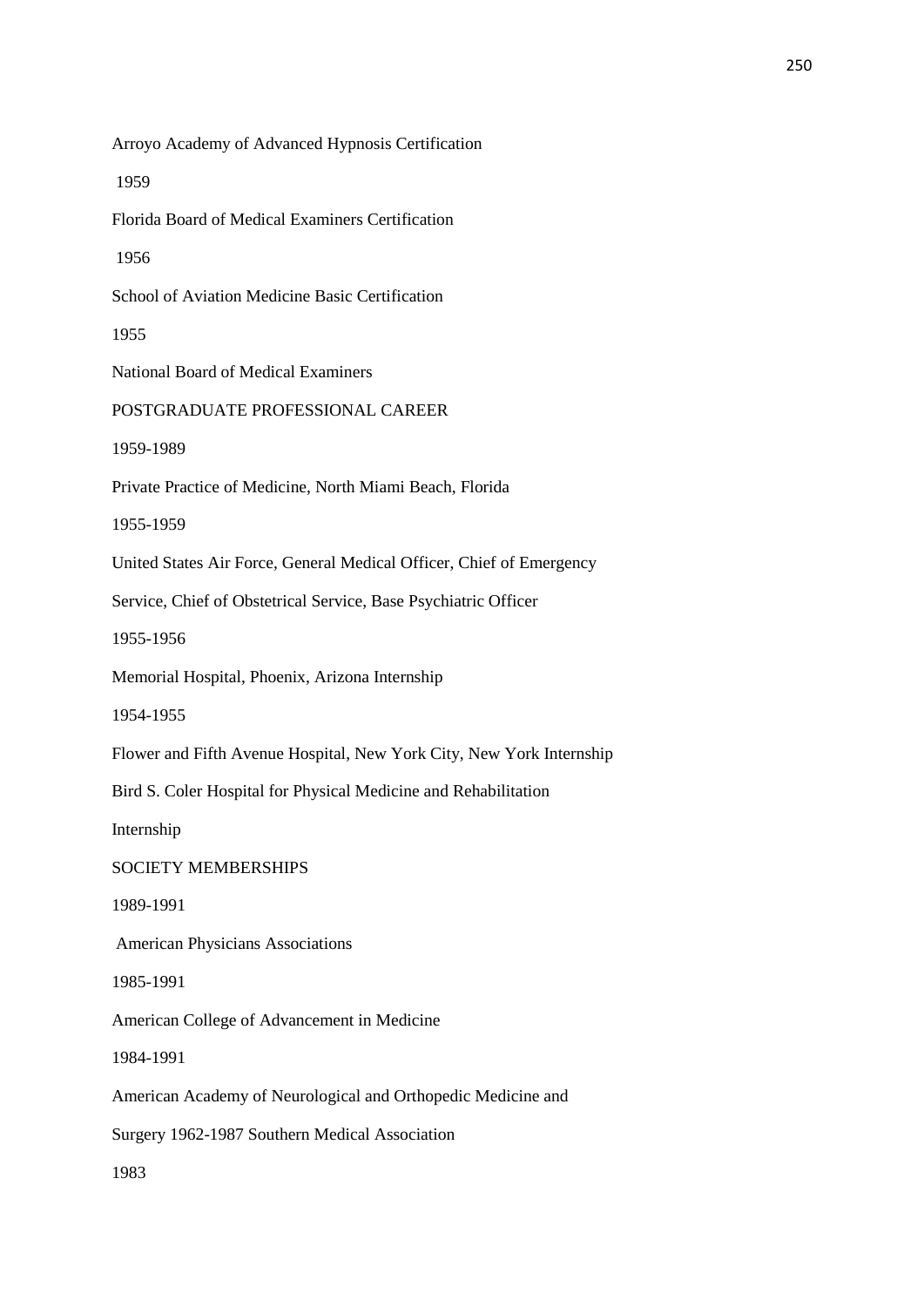Arroyo Academy of Advanced Hypnosis Certification 1959 Florida Board of Medical Examiners Certification 1956 School of Aviation Medicine Basic Certification 1955 National Board of Medical Examiners POSTGRADUATE PROFESSIONAL CAREER 1959-1989 Private Practice of Medicine, North Miami Beach, Florida 1955-1959 United States Air Force, General Medical Officer, Chief of Emergency Service, Chief of Obstetrical Service, Base Psychiatric Officer 1955-1956 Memorial Hospital, Phoenix, Arizona Internship 1954-1955 Flower and Fifth Avenue Hospital, New York City, New York Internship Bird S. Coler Hospital for Physical Medicine and Rehabilitation Internship SOCIETY MEMBERSHIPS 1989-1991 American Physicians Associations 1985-1991 American College of Advancement in Medicine 1984-1991 American Academy of Neurological and Orthopedic Medicine and Surgery 1962-1987 Southern Medical Association 1983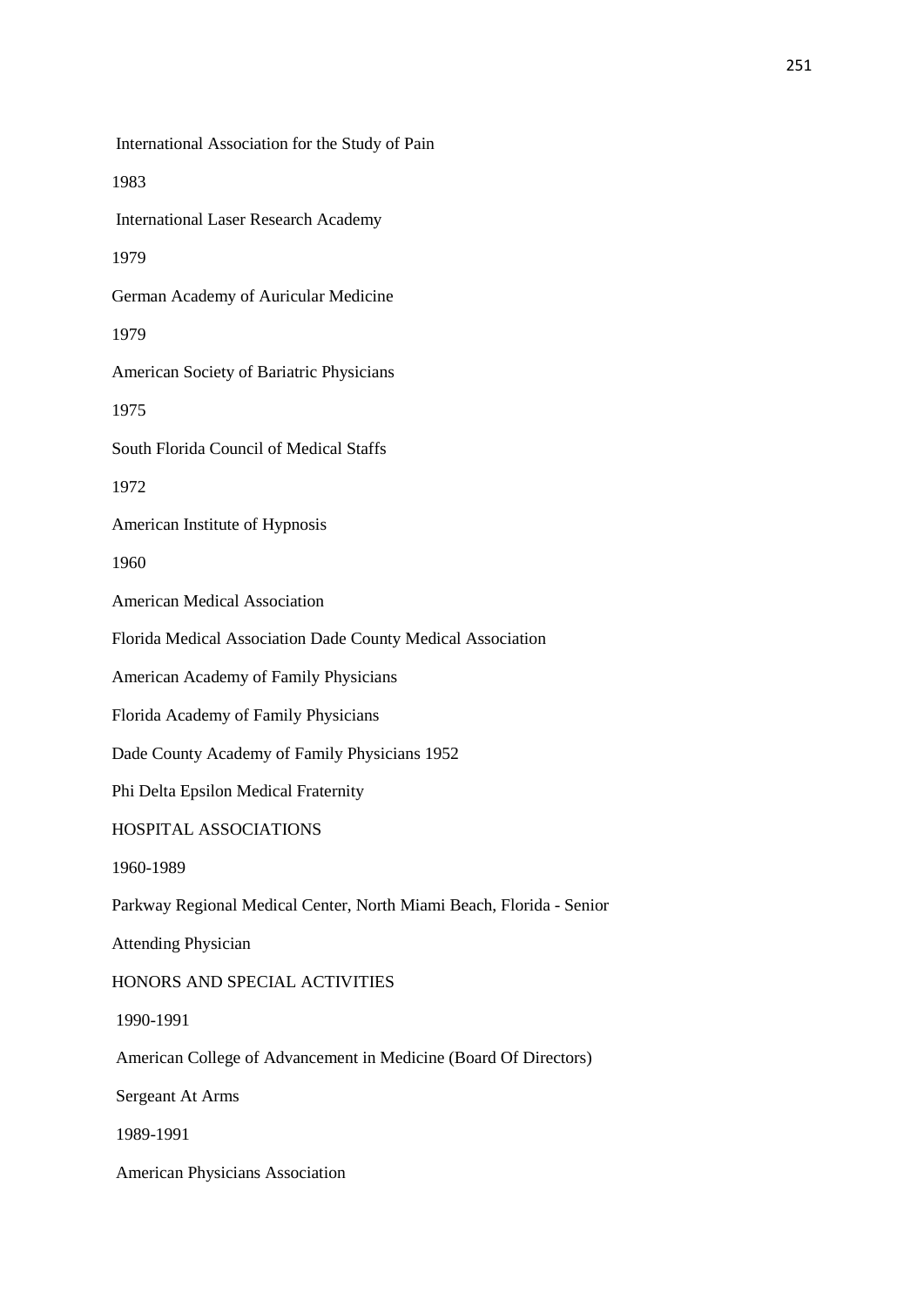International Association for the Study of Pain 1983 International Laser Research Academy 1979 German Academy of Auricular Medicine 1979 American Society of Bariatric Physicians 1975 South Florida Council of Medical Staffs 1972 American Institute of Hypnosis 1960 American Medical Association Florida Medical Association Dade County Medical Association American Academy of Family Physicians Florida Academy of Family Physicians Dade County Academy of Family Physicians 1952 Phi Delta Epsilon Medical Fraternity HOSPITAL ASSOCIATIONS 1960-1989 Parkway Regional Medical Center, North Miami Beach, Florida - Senior Attending Physician HONORS AND SPECIAL ACTIVITIES 1990-1991 American College of Advancement in Medicine (Board Of Directors) Sergeant At Arms 1989-1991 American Physicians Association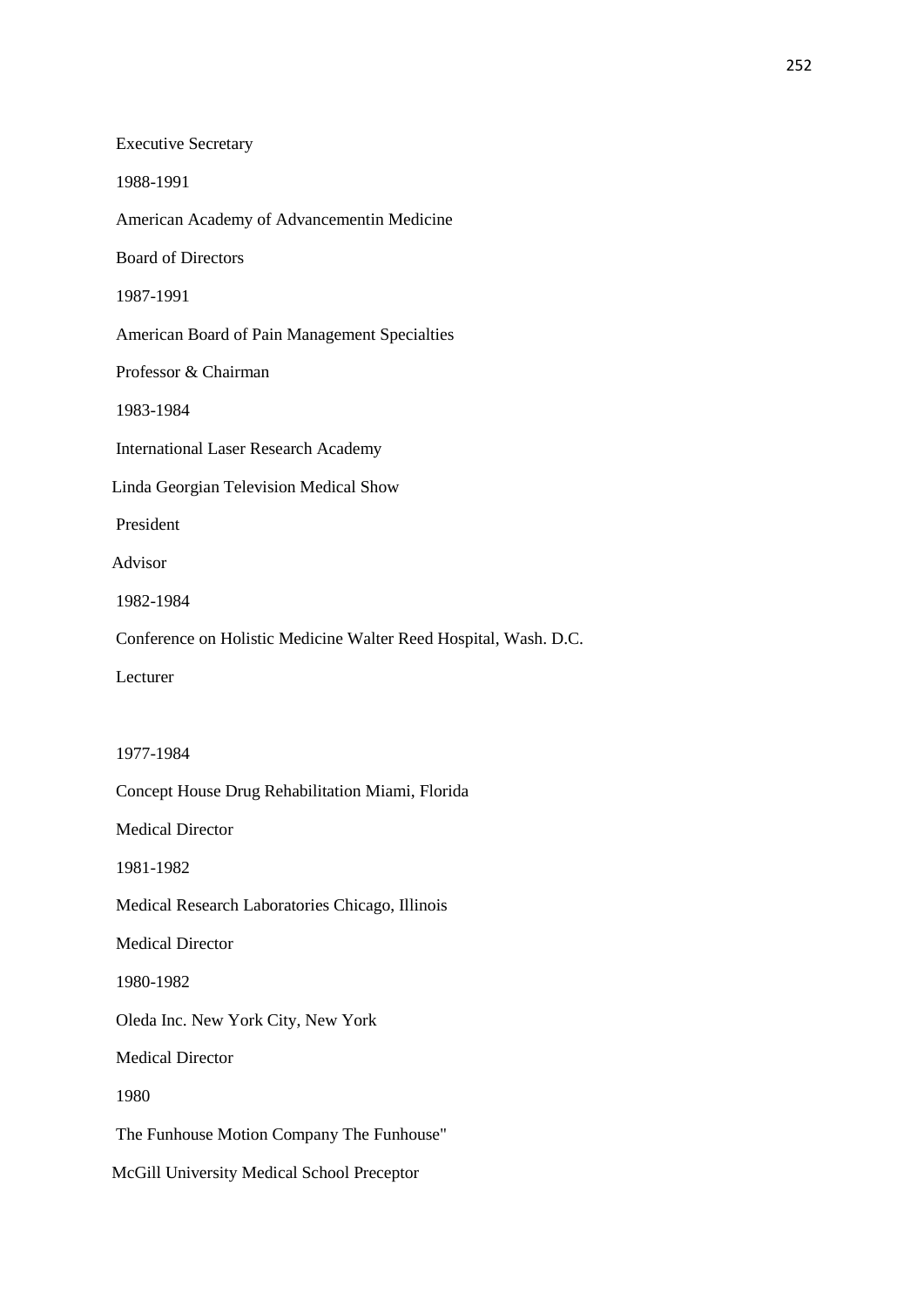Executive Secretary 1988-1991 American Academy of Advancementin Medicine Board of Directors 1987-1991 American Board of Pain Management Specialties Professor & Chairman 1983-1984 International Laser Research Academy Linda Georgian Television Medical Show President Advisor 1982-1984 Conference on Holistic Medicine Walter Reed Hospital, Wash. D.C. Lecturer 1977-1984 Concept House Drug Rehabilitation Miami, Florida Medical Director 1981-1982 Medical Research Laboratories Chicago, Illinois Medical Director 1980-1982 Oleda Inc. New York City, New York Medical Director 1980 The Funhouse Motion Company The Funhouse" McGill University Medical School Preceptor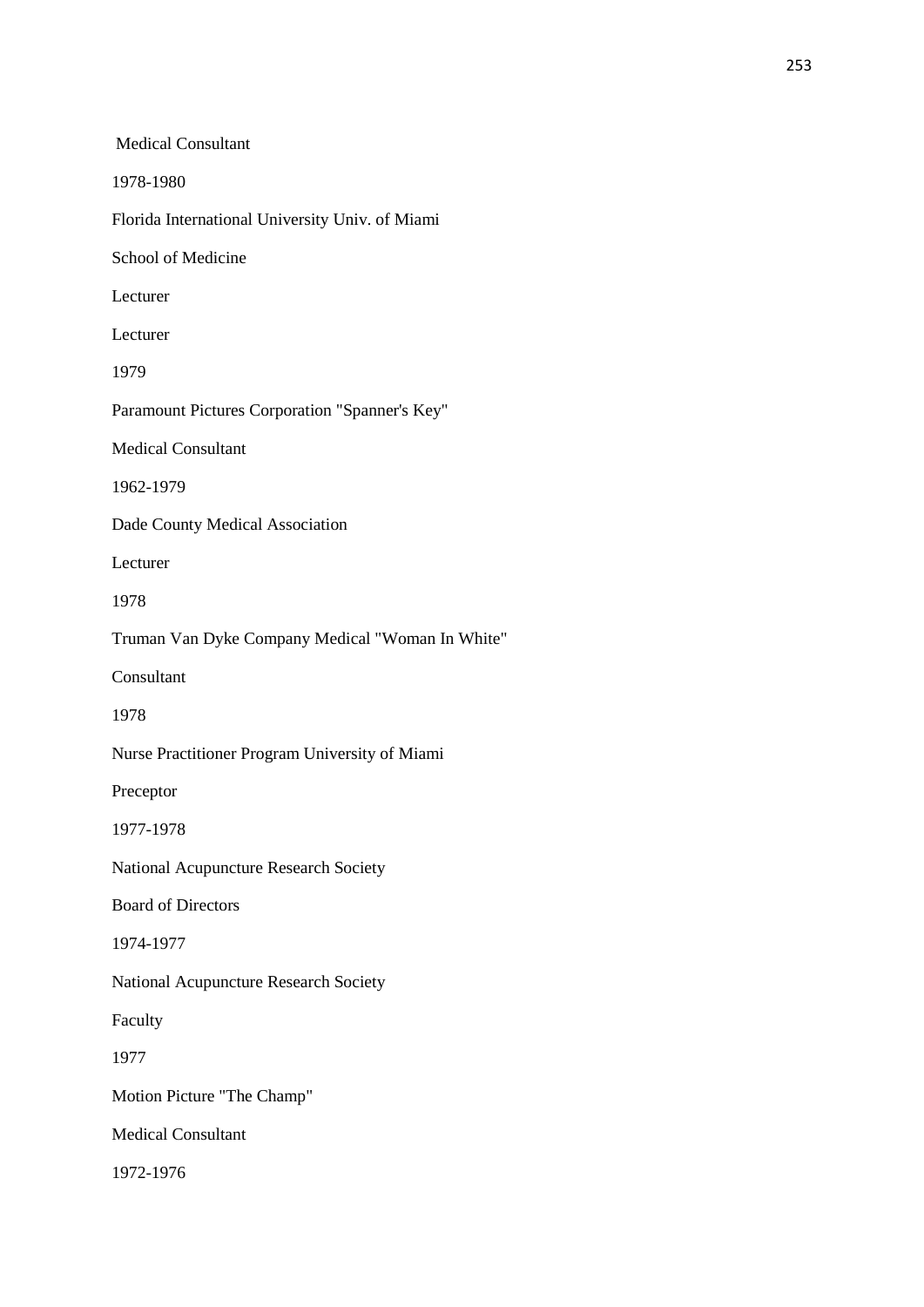Medical Consultant 1978-1980 Florida International University Univ. of Miami School of Medicine Lecturer Lecturer 1979 Paramount Pictures Corporation "Spanner's Key" Medical Consultant 1962-1979 Dade County Medical Association Lecturer 1978 Truman Van Dyke Company Medical "Woman In White" Consultant 1978 Nurse Practitioner Program University of Miami Preceptor 1977-1978 National Acupuncture Research Society Board of Directors 1974-1977 National Acupuncture Research Society Faculty 1977 Motion Picture "The Champ" Medical Consultant 1972-1976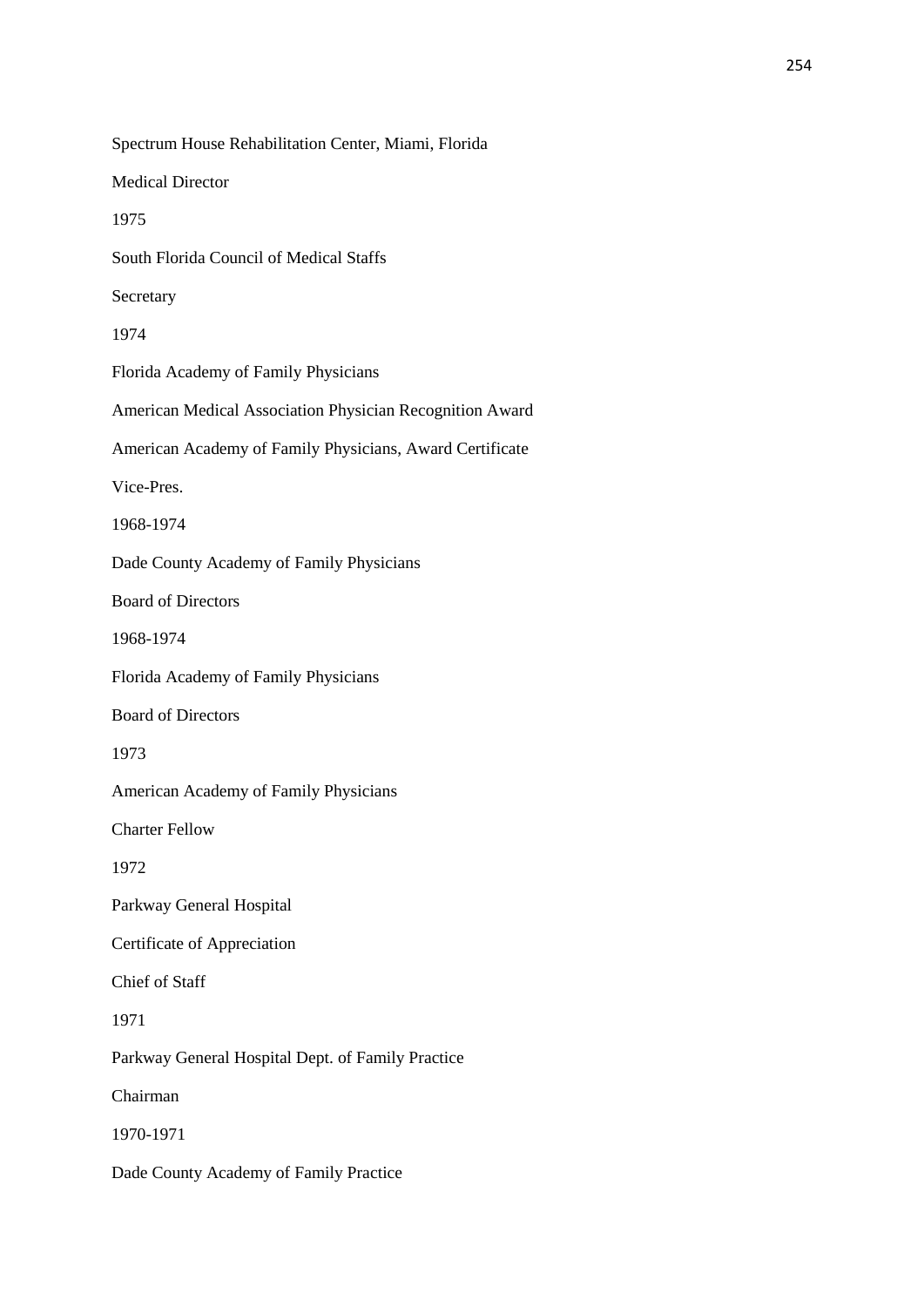Spectrum House Rehabilitation Center, Miami, Florida Medical Director 1975 South Florida Council of Medical Staffs Secretary 1974 Florida Academy of Family Physicians American Medical Association Physician Recognition Award American Academy of Family Physicians, Award Certificate Vice-Pres. 1968-1974 Dade County Academy of Family Physicians Board of Directors 1968-1974 Florida Academy of Family Physicians Board of Directors 1973 American Academy of Family Physicians Charter Fellow 1972 Parkway General Hospital Certificate of Appreciation Chief of Staff 1971 Parkway General Hospital Dept. of Family Practice Chairman 1970-1971 Dade County Academy of Family Practice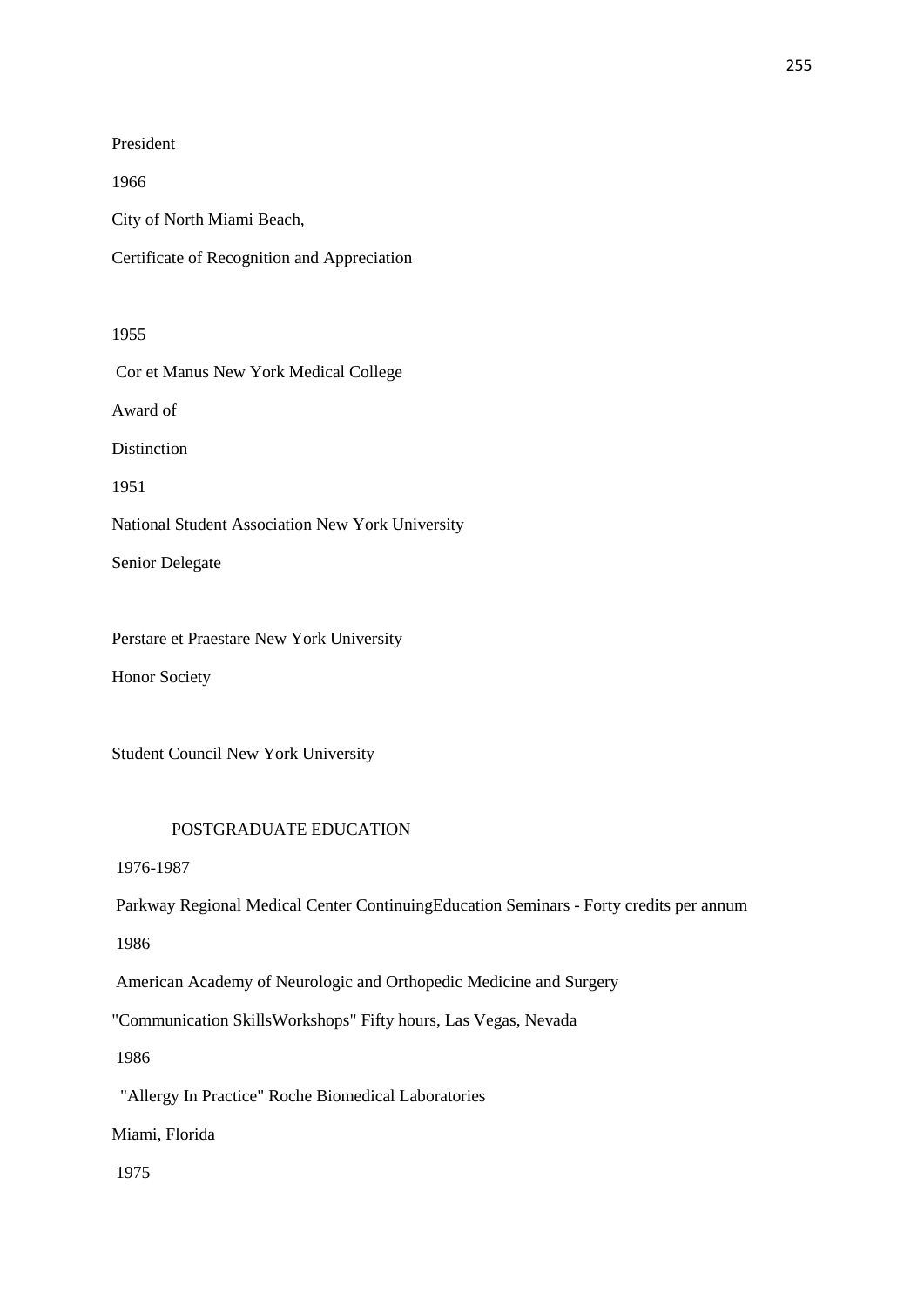President

1966

City of North Miami Beach,

Certificate of Recognition and Appreciation

1955

Cor et Manus New York Medical College

Award of

Distinction

1951

National Student Association New York University

Senior Delegate

Perstare et Praestare New York University Honor Society

Student Council New York University

## POSTGRADUATE EDUCATION

1976-1987

Parkway Regional Medical Center ContinuingEducation Seminars - Forty credits per annum

1986

American Academy of Neurologic and Orthopedic Medicine and Surgery

"Communication SkillsWorkshops" Fifty hours, Las Vegas, Nevada

1986

"Allergy In Practice" Roche Biomedical Laboratories

Miami, Florida

1975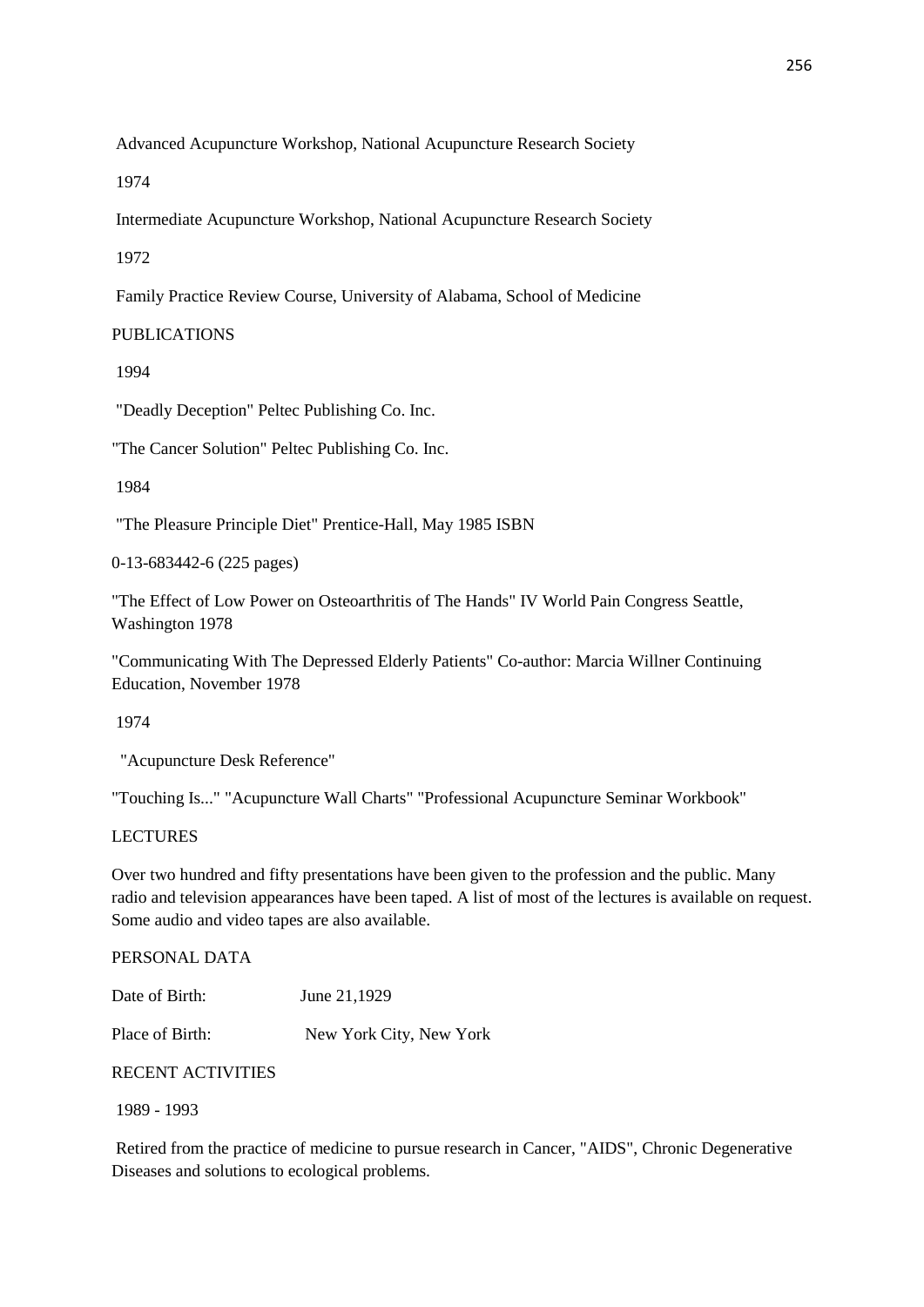Advanced Acupuncture Workshop, National Acupuncture Research Society

1974

Intermediate Acupuncture Workshop, National Acupuncture Research Society

1972

Family Practice Review Course, University of Alabama, School of Medicine

PUBLICATIONS

1994

"Deadly Deception" Peltec Publishing Co. Inc.

"The Cancer Solution" Peltec Publishing Co. Inc.

1984

"The Pleasure Principle Diet" Prentice-Hall, May 1985 ISBN

0-13-683442-6 (225 pages)

"The Effect of Low Power on Osteoarthritis of The Hands" IV World Pain Congress Seattle, Washington 1978

"Communicating With The Depressed Elderly Patients" Co-author: Marcia Willner Continuing Education, November 1978

1974

"Acupuncture Desk Reference"

"Touching Is..." "Acupuncture Wall Charts" "Professional Acupuncture Seminar Workbook"

### LECTURES

Over two hundred and fifty presentations have been given to the profession and the public. Many radio and television appearances have been taped. A list of most of the lectures is available on request. Some audio and video tapes are also available.

PERSONAL DATA

Date of Birth: June 21,1929

Place of Birth: New York City, New York

RECENT ACTIVITIES

1989 - 1993

Retired from the practice of medicine to pursue research in Cancer, "AIDS", Chronic Degenerative Diseases and solutions to ecological problems.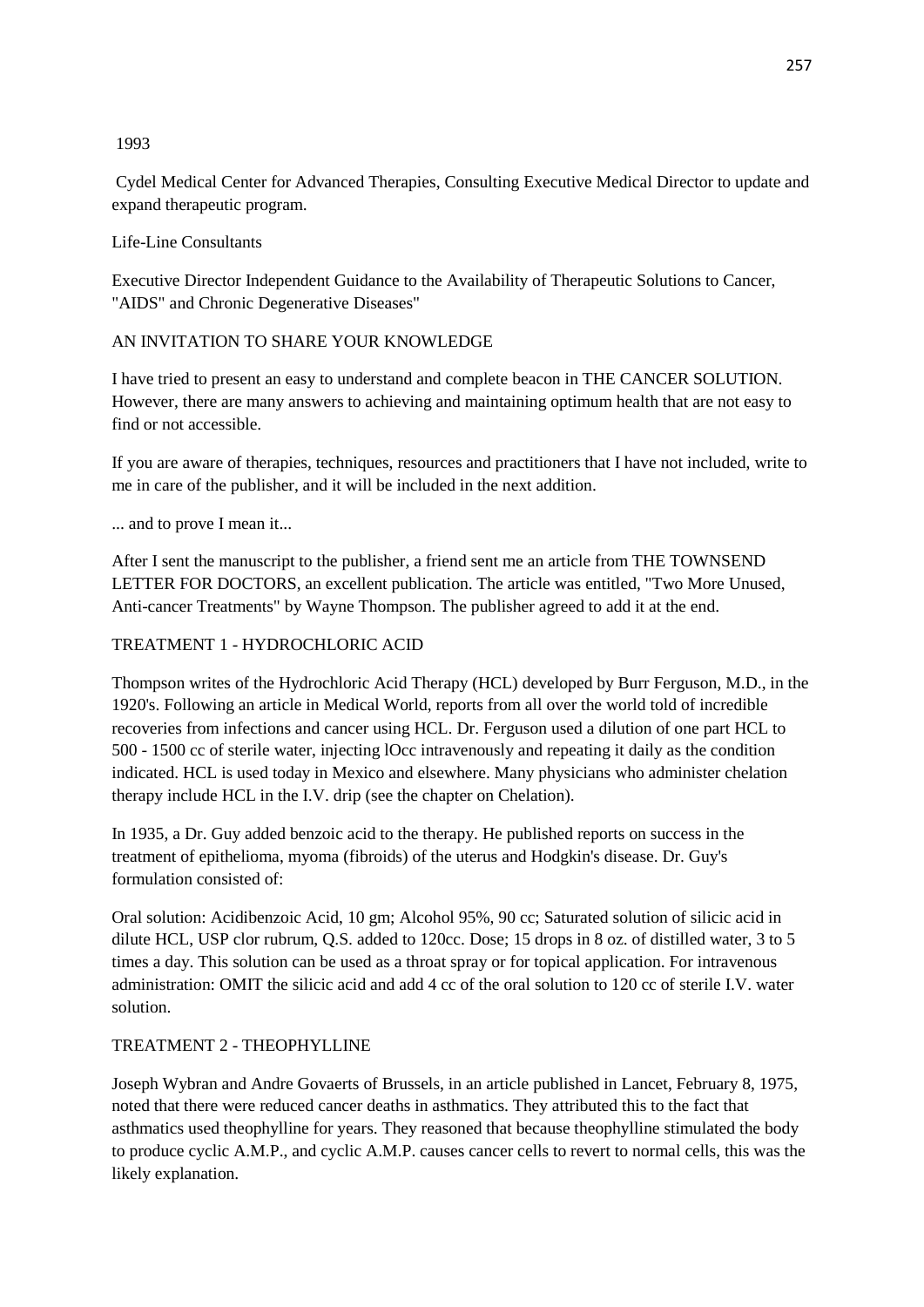### 1993

Cydel Medical Center for Advanced Therapies, Consulting Executive Medical Director to update and expand therapeutic program.

### Life-Line Consultants

Executive Director Independent Guidance to the Availability of Therapeutic Solutions to Cancer, "AIDS" and Chronic Degenerative Diseases"

# AN INVITATION TO SHARE YOUR KNOWLEDGE

I have tried to present an easy to understand and complete beacon in THE CANCER SOLUTION. However, there are many answers to achieving and maintaining optimum health that are not easy to find or not accessible.

If you are aware of therapies, techniques, resources and practitioners that I have not included, write to me in care of the publisher, and it will be included in the next addition.

... and to prove I mean it...

After I sent the manuscript to the publisher, a friend sent me an article from THE TOWNSEND LETTER FOR DOCTORS, an excellent publication. The article was entitled, "Two More Unused, Anti-cancer Treatments" by Wayne Thompson. The publisher agreed to add it at the end.

# TREATMENT 1 - HYDROCHLORIC ACID

Thompson writes of the Hydrochloric Acid Therapy (HCL) developed by Burr Ferguson, M.D., in the 1920's. Following an article in Medical World, reports from all over the world told of incredible recoveries from infections and cancer using HCL. Dr. Ferguson used a dilution of one part HCL to 500 - 1500 cc of sterile water, injecting lOcc intravenously and repeating it daily as the condition indicated. HCL is used today in Mexico and elsewhere. Many physicians who administer chelation therapy include HCL in the I.V. drip (see the chapter on Chelation).

In 1935, a Dr. Guy added benzoic acid to the therapy. He published reports on success in the treatment of epithelioma, myoma (fibroids) of the uterus and Hodgkin's disease. Dr. Guy's formulation consisted of:

Oral solution: Acidibenzoic Acid, 10 gm; Alcohol 95%, 90 cc; Saturated solution of silicic acid in dilute HCL, USP clor rubrum, Q.S. added to 120cc. Dose; 15 drops in 8 oz. of distilled water, 3 to 5 times a day. This solution can be used as a throat spray or for topical application. For intravenous administration: OMIT the silicic acid and add 4 cc of the oral solution to 120 cc of sterile I.V. water solution.

## TREATMENT 2 - THEOPHYLLINE

Joseph Wybran and Andre Govaerts of Brussels, in an article published in Lancet, February 8, 1975, noted that there were reduced cancer deaths in asthmatics. They attributed this to the fact that asthmatics used theophylline for years. They reasoned that because theophylline stimulated the body to produce cyclic A.M.P., and cyclic A.M.P. causes cancer cells to revert to normal cells, this was the likely explanation.